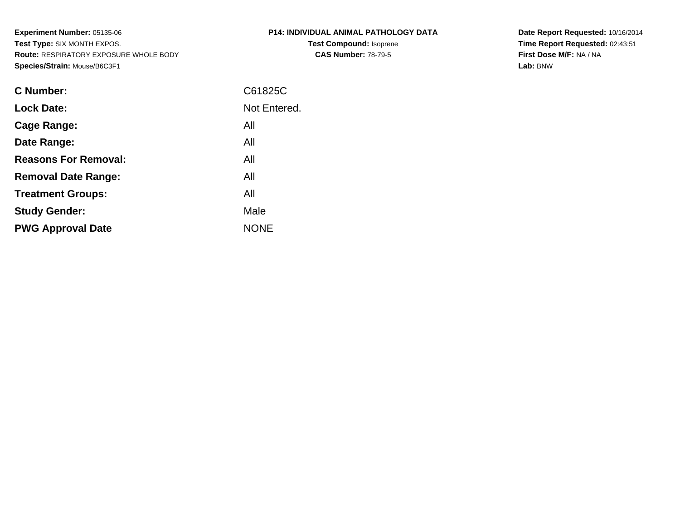**Experiment Number:** 05135-06 **Test Type:** SIX MONTH EXPOS. **Route:** RESPIRATORY EXPOSURE WHOLE BODY**Species/Strain:** Mouse/B6C3F1

| P14: INDIVIDUAL ANIMAL PATHOLOGY DATA |
|---------------------------------------|
| <b>Test Compound: Isoprene</b>        |
| <b>CAS Number: 78-79-5</b>            |

**Date Report Requested:** 10/16/2014 **Time Report Requested:** 02:43:51**First Dose M/F:** NA / NA**Lab:** BNW

| <b>C</b> Number:            | C61825C      |
|-----------------------------|--------------|
| <b>Lock Date:</b>           | Not Entered. |
| Cage Range:                 | All          |
| Date Range:                 | All          |
| <b>Reasons For Removal:</b> | All          |
| <b>Removal Date Range:</b>  | All          |
| <b>Treatment Groups:</b>    | All          |
| <b>Study Gender:</b>        | Male         |
| <b>PWG Approval Date</b>    | <b>NONE</b>  |
|                             |              |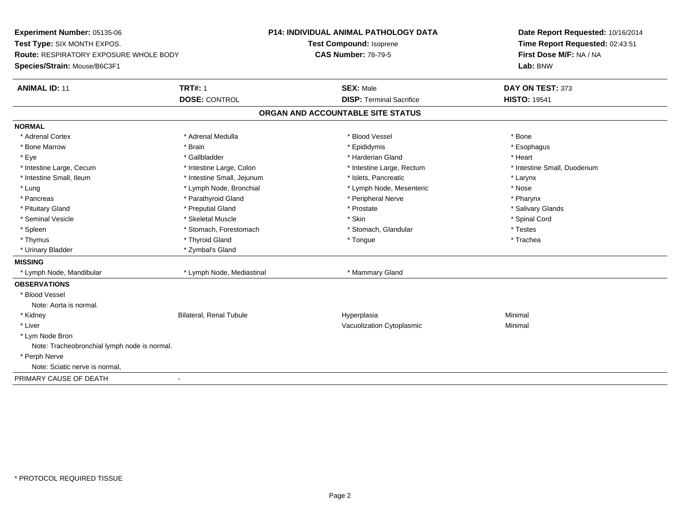**Experiment Number:** 05135-06**Test Type:** SIX MONTH EXPOS.**Route:** RESPIRATORY EXPOSURE WHOLE BODY**Species/Strain:** Mouse/B6C3F1**P14: INDIVIDUAL ANIMAL PATHOLOGY DATATest Compound:** Isoprene**CAS Number:** 78-79-5**Date Report Requested:** 10/16/2014**Time Report Requested:** 02:43:51**First Dose M/F:** NA / NA**Lab:** BNW**ANIMAL ID:** 11**TRT#:** 1 **SEX:** Male **DAY ON TEST:** 373 **DOSE:** CONTROL**DISP:** Terminal Sacrifice **HISTO:** 19541 **ORGAN AND ACCOUNTABLE SITE STATUSNORMAL**\* Adrenal Cortex \* Adrenal Cortex \* \* Adrenal Medulla \* \* Adrenal Medulla \* \* Blood Vessel \* \* Brood Vessel \* \* Bone \* Esophagus \* Bone Marrow \* Brain \* Epididymis \* Esophagus \* Eye \* \* Gallbladder \* \* Gallbladder \* \* \* \* Harderian Gland \* \* Heart \* Heart \* Heart \* Heart \* Heart \* Heart \* Intestine Large, Cecum \* Intestine Large, Colon \* Intestine Large, Rectum \* Intestine Small, Duodenum\* Intestine Small, Ileum \* Thestine Small, Jejunum \* 1998 \* Islets, Pancreatic \* The manus \* Larynx \* Larynx \* Nose \* Lung \* Lymph Node, Bronchial \* Now the term is the term in the term in the term is the term in the term in the term is the term in the term in the term is the term in the term in the term is the term in the term in the t \* Pharynx \* Pancreas \* Parathyroid Gland \* Parathyroid Gland \* Peripheral Nerve \* Salivary Glands \* Pituitary Gland \* \* Then the state \* Preputial Gland \* Prosection \* Prostate \* \* Salivary Glands \* Salivary Glands \* Salivary Glands \* Salivary Glands \* Salivary Glands \* Salivary Glands \* Salivary Glands \* Salivary Glan \* Seminal Vesicle \* \* Spinal Cord \* Skeletal Muscle \* \* Skin \* \* Skin \* \* Spinal Vesicle \* Spinal Cord \* Spinal Cord \* Spleen \* Stomach, Forestomach \* Stomach \* Stomach, Slandular \* Testes \* Testes \* Trachea \* Thymus \* \* The mode of the total term of the total term of the total term of the total term of the total term of the total term of the total term of the total term of the total term of the total term of the total term of \* Urinary Bladder \* Zymbal's Gland**MISSING** \* Lymph Node, Mandibular \* Lymph Node, Mediastinal \* Mammary Gland**OBSERVATIONS** \* Blood VesselNote: Aorta is normal. \* Kidney Bilateral, Renal Tubule Hyperplasia Minimal \* Liver Vacuolization Cytoplasmic Minimal \* Lym Node Bron Note: Tracheobronchial lymph node is normal. \* Perph Nerve Note: Sciatic nerve is normal,PRIMARY CAUSE OF DEATH-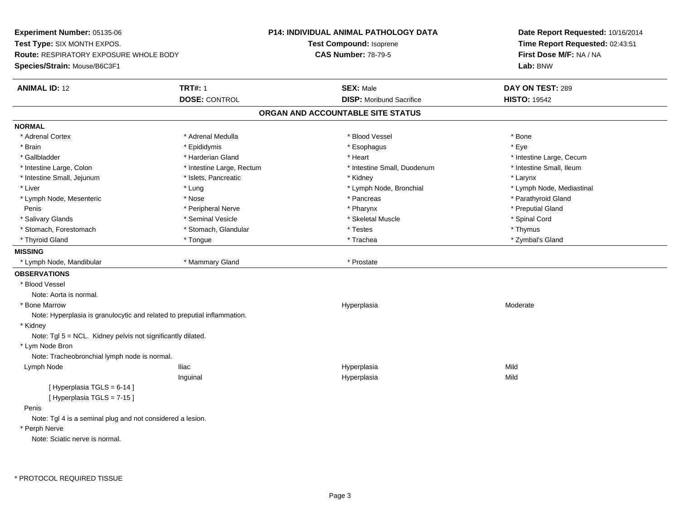**Experiment Number:** 05135-06**Test Type:** SIX MONTH EXPOS.**Route:** RESPIRATORY EXPOSURE WHOLE BODY**Species/Strain:** Mouse/B6C3F1**P14: INDIVIDUAL ANIMAL PATHOLOGY DATATest Compound:** Isoprene**CAS Number:** 78-79-5**Date Report Requested:** 10/16/2014**Time Report Requested:** 02:43:51**First Dose M/F:** NA / NA**Lab:** BNW**ANIMAL ID:** 12**TRT#:** 1 **SEX:** Male **DAY ON TEST:** 289 **DOSE:** CONTROL**DISP:** Moribund Sacrifice **HISTO:** 19542 **ORGAN AND ACCOUNTABLE SITE STATUSNORMAL**\* Adrenal Cortex \* Adrenal Medulla \* Adrenal Medulla \* Blood Vessel \* Bood Vessel \* Bone \* Bone \* Bone \* Bone \* Bone \* Bone \* Bone \* Bone \* Bone \* Bone \* Bone \* Bone \* Bone \* Bone \* Bone \* Bone \* Bone \* Bone \* Bone \* Bone \* Bone \* Bone \* \* \* Eve \* Brain \* \* Expediance \* Epididymis \* \* Expediance \* \* Esophagus \* Expediance \* \* Expediance \* Eye \* Eye \* Gallbladder \* https://www.frage.com/marticle/state-of-state-of-state-of-state-of-state-of-state-of-state-of-state-of-state-of-state-of-state-of-state-of-state-of-state-of-state-of-state-of-state-of-state-of-state-of-stat \* Intestine Small, Ileum \* Intestine Large, Colon \* Intestine Large, Rectum \* Intestine Small, Duodenum \* Intestine Small, Duodenum \* Intestine Small, Jejunum \* The metal was a structure of the structure of the structure of the structure of the structure of the structure of the structure of the structure of the structure of the structure of the structu \* Liver which is the settlement of the settlement of the settlement of the settlement of the settlement of the settlement of the settlement of the settlement of the settlement of the settlement of the settlement of the set \* Lymph Node, Mesenteric \* Nose \* Pancreas \* Parathyroid GlandPenis \* Alternative \* Peripheral Nerve \* \* Peripheral Nerve \* \* Pharynx \* \* Pharynx \* \* Preputial Gland \* Preputial Gland \* # Preputial Gland \* # Preputial Gland \* # Preputial Gland \* # Preputial Gland \* # Preputial Gland \* Salivary Glands \* Seminal Vesicle \* Skeletal Muscle \* Spinal Cord\* Stomach, Forestomach \* Thymus \* Stomach, Glandular \* Testes \* Testes \* Thymus \* Thymus \* Thymus \* Zymbal's Gland \* Thyroid Gland \* Tongue \* Trachea \* Zymbal's Gland **MISSING** \* Lymph Node, Mandibular \* Mammary Gland \* Prostate**OBSERVATIONS** \* Blood VesselNote: Aorta is normal. \* Bone Marroww which is a state of the state of the Hyperplasia control Hyperplasia and the Moderate of the Moderate of the Moderate of the Moderate of the Moderate of the Moderate of the Moderate of the Moderate of the Moderate of the Note: Hyperplasia is granulocytic and related to preputial inflammation. \* Kidney Note: Tgl 5 = NCL. Kidney pelvis not significantly dilated. \* Lym Node Bron Note: Tracheobronchial lymph node is normal. Lymph Node Iliac Hyperplasia Mild Inguinal Hyperplasiaa Mild  $[$  Hyperplasia TGLS = 6-14 ] [ Hyperplasia TGLS = 7-15 ] Penis Note: Tgl 4 is a seminal plug and not considered a lesion. \* Perph NerveNote: Sciatic nerve is normal.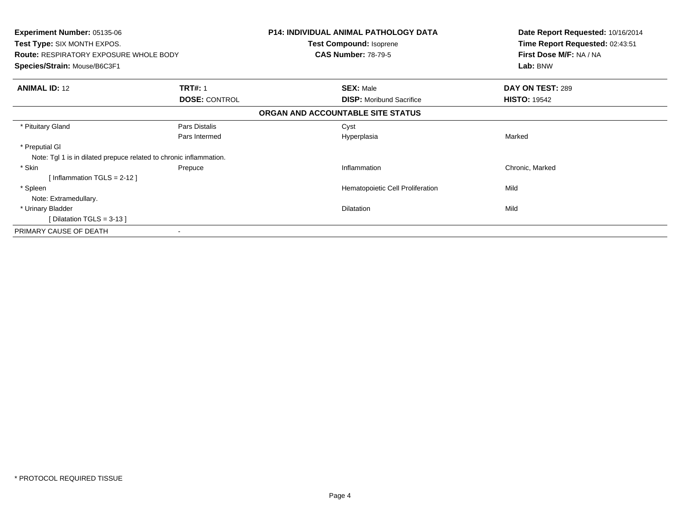|                                                                    | Date Report Requested: 10/16/2014<br>Time Report Requested: 02:43:51<br>First Dose M/F: NA / NA<br>Lab: BNW                                                                                                                                                                                       |
|--------------------------------------------------------------------|---------------------------------------------------------------------------------------------------------------------------------------------------------------------------------------------------------------------------------------------------------------------------------------------------|
|                                                                    |                                                                                                                                                                                                                                                                                                   |
| <b>TRT#: 1</b>                                                     | DAY ON TEST: 289                                                                                                                                                                                                                                                                                  |
| <b>DOSE: CONTROL</b>                                               | <b>HISTO: 19542</b>                                                                                                                                                                                                                                                                               |
|                                                                    |                                                                                                                                                                                                                                                                                                   |
| Pars Distalis                                                      |                                                                                                                                                                                                                                                                                                   |
| Pars Intermed                                                      | Marked                                                                                                                                                                                                                                                                                            |
|                                                                    |                                                                                                                                                                                                                                                                                                   |
| Note: Tgl 1 is in dilated prepuce related to chronic inflammation. |                                                                                                                                                                                                                                                                                                   |
| Prepuce                                                            | Chronic, Marked                                                                                                                                                                                                                                                                                   |
|                                                                    |                                                                                                                                                                                                                                                                                                   |
|                                                                    | Mild                                                                                                                                                                                                                                                                                              |
|                                                                    |                                                                                                                                                                                                                                                                                                   |
|                                                                    | Mild                                                                                                                                                                                                                                                                                              |
|                                                                    |                                                                                                                                                                                                                                                                                                   |
|                                                                    |                                                                                                                                                                                                                                                                                                   |
|                                                                    | <b>P14: INDIVIDUAL ANIMAL PATHOLOGY DATA</b><br>Test Compound: Isoprene<br><b>CAS Number: 78-79-5</b><br><b>SEX: Male</b><br><b>DISP:</b> Moribund Sacrifice<br>ORGAN AND ACCOUNTABLE SITE STATUS<br>Cyst<br>Hyperplasia<br>Inflammation<br>Hematopoietic Cell Proliferation<br><b>Dilatation</b> |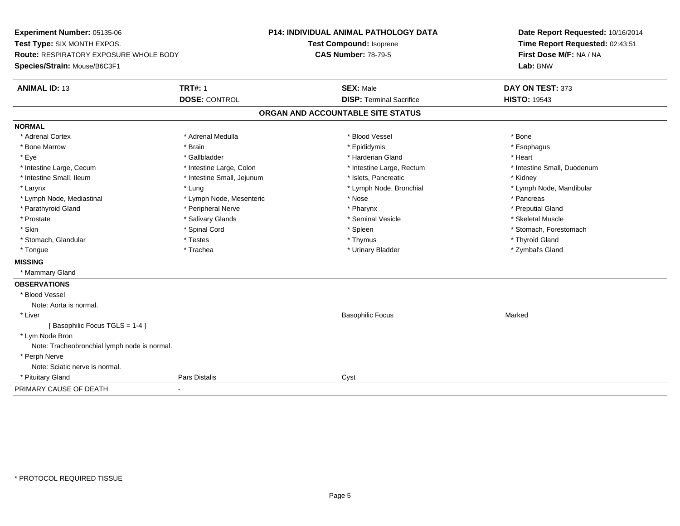**Experiment Number:** 05135-06**Test Type:** SIX MONTH EXPOS.**Route:** RESPIRATORY EXPOSURE WHOLE BODY**Species/Strain:** Mouse/B6C3F1**P14: INDIVIDUAL ANIMAL PATHOLOGY DATATest Compound:** Isoprene**CAS Number:** 78-79-5**Date Report Requested:** 10/16/2014**Time Report Requested:** 02:43:51**First Dose M/F:** NA / NA**Lab:** BNW**ANIMAL ID:** 13**TRT#:** 1 **SEX:** Male **DAY ON TEST:** 373 **DOSE:** CONTROL**DISP:** Terminal Sacrifice **HISTO:** 19543 **ORGAN AND ACCOUNTABLE SITE STATUSNORMAL**\* Adrenal Cortex \* Adrenal Cortex \* \* Adrenal Medulla \* \* Adrenal Medulla \* \* Blood Vessel \* \* Brood Vessel \* \* Bone \* Esophagus \* Bone Marrow \* Brain \* Epididymis \* Esophagus \* Eye \* \* Gallbladder \* \* Gallbladder \* \* \* \* Harderian Gland \* \* Heart \* Heart \* Heart \* Heart \* Heart \* Heart \* Intestine Large, Cecum \* Intestine Large, Colon \* Intestine Large, Rectum \* Intestine Small, Duodenum\* Intestine Small, Ileum \* **Allen and The Accord Accord Test intervents** \* Islets, Pancreatic \* The manus \* Kidney \* Larynx \* Lung \* Lymph Node, Bronchial \* Lymph Node, Mandibular \* Lymph Node, Mediastinal \* The state of the second text of the second text of the second text of the second text of the second text of the second text of the second text of the second text of the second text of text of te \* Preputial Gland \* Parathyroid Gland \* **Example 20** \* Peripheral Nerve \* Pharynx \* Pharynx \* Pharynx \* Skeletal Muscle \* Prostate \* \* Skeletal Muscle \* \* Salivary Glands \* \* \* Seminal Vesicle \* \* \* Seminal Vesicle \* \* Skeletal Muscle \* Skin \* Spinal Cord \* Spinal Cord \* Spinal Cord \* Spinal \* Spinal \* Stomach, Forestomach \* Stomach, Forestomach \* Stomach, Glandular \* \* \* Thyroid Glandular \* Thestes \* \* Thymus \* Thymus \* Thyroid Glandular \* Thyroid Gland \* Zymbal's Gland \* Tongue \* Trachea \* Urinary Bladder \* Zymbal's Gland **MISSING** \* Mammary Gland**OBSERVATIONS** \* Blood VesselNote: Aorta is normal. \* Liver Basophilic Focuss Marked [ Basophilic Focus TGLS = 1-4 ] \* Lym Node Bron Note: Tracheobronchial lymph node is normal. \* Perph Nerve Note: Sciatic nerve is normal. \* Pituitary Glandd **Pars Distalis** Cyst PRIMARY CAUSE OF DEATH-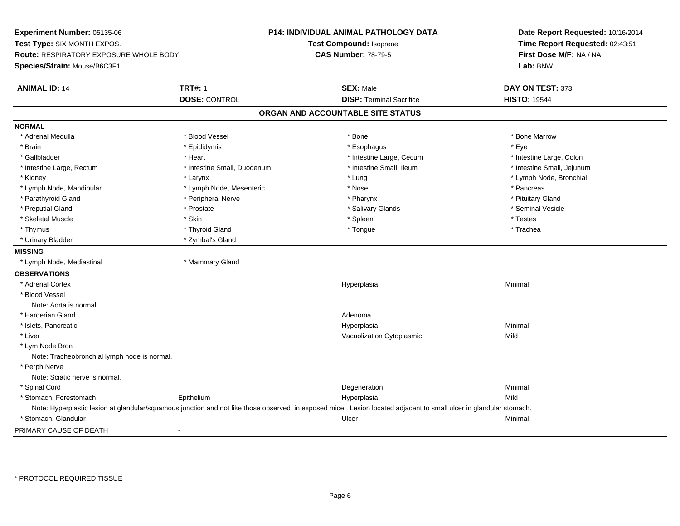**Experiment Number:** 05135-06**Test Type:** SIX MONTH EXPOS.**Route:** RESPIRATORY EXPOSURE WHOLE BODY**Species/Strain:** Mouse/B6C3F1**P14: INDIVIDUAL ANIMAL PATHOLOGY DATATest Compound:** Isoprene**CAS Number:** 78-79-5**Date Report Requested:** 10/16/2014**Time Report Requested:** 02:43:51**First Dose M/F:** NA / NA**Lab:** BNW**ANIMAL ID:** 14**TRT#:** 1 **SEX:** Male **DAY ON TEST:** 373 **DOSE:** CONTROL**DISP:** Terminal Sacrifice **HISTO:** 19544 **ORGAN AND ACCOUNTABLE SITE STATUSNORMAL**\* Adrenal Medulla \* \* \* Blood Vessel \* \* \* Bone Marrow \* \* Bone Marrow \* \* Bone Marrow \* Brain \* \* Expediance \* Epididymis \* \* Expediance \* \* Esophagus \* Expediance \* \* Expediance \* Eye \* Eye \* Intestine Large, Colon \* Gallbladder \* The mode of the state of the state of the state of the state of the state of the state of the state of the state of the state of the state of the state of the state of the state of the state of the state of \* Intestine Small, Jejunum \* Intestine Large, Rectum \* Intestine Small, Duodenum \* Intestine Small, Ileum \* 1ntestine Small, Ileum \* Kidney \* Larynx \* Lung \* Lymph Node, Bronchial \* Lymph Node, Mandibular \* The same \* Lymph Node, Mesenteric \* Nose \* Nose \* \* Nose \* \* Pancreas \* Pancreas \* Pituitary Gland \* Parathyroid Gland \* **Arror and \* Peripheral Nerve \* Pharynx \* Pharynx \* Pharynx** \* Pharynx \* Seminal Vesicle \* Preputial Gland \* \* Annual vesicle \* \* Prostate \* \* Salivary Glands \* \* Salivary Glands \* \* Seminal Vesicle \* \* Skeletal Muscle \* \* \* Stesserve \* Skin \* \* Skin \* \* \* Spleen \* \* Spleen \* \* Testes \* Testes \* Trachea \* Thymus \* \* The mode of the total term of the total term of the total term of the total term of the total term of the total term of the total term of the total term of the total term of the total term of the total term of \* Urinary Bladder \* Zymbal's Gland**MISSING** \* Lymph Node, Mediastinal \* Mammary Gland**OBSERVATIONS** \* Adrenal Cortexx and the contract of the contract of the contract of the contract of the contract of the contract of the contract of the contract of the contract of the contract of the contract of the contract of the contract of the cont a **Minimal**  \* Blood VesselNote: Aorta is normal. \* Harderian Glandd and a state of the control of the control of the control of the control of the control of the control of the control of the control of the control of the control of the control of the control of the control of the contro \* Islets, Pancreaticc and the control of the control of the control of the control of the control of the control of the control of the control of the control of the control of the control of the control of the control of the control of the co a **Minimal**  \* Liver Vacuolization Cytoplasmicc Mild \* Lym Node Bron Note: Tracheobronchial lymph node is normal. \* Perph Nerve Note: Sciatic nerve is normal. \* Spinal Cordd and the control of the control of the control of the control of the control of the control of the control of the control of the control of the control of the control of the control of the control of the control of the co \* Stomach, Forestomach EpitheliumMild (Mild Epithelium and not like those observed in exposed mice. Lesion located adjacent to small ulcer in glandular<br>Note: Hyperplastic lesion at glandular/squamous junction and not like those observed in exposed mice. \* Stomach, Glandularr and the control of the control of the control of the control of the control of the control of the control of the control of the control of the control of the control of the control of the control of the control of the co PRIMARY CAUSE OF DEATH-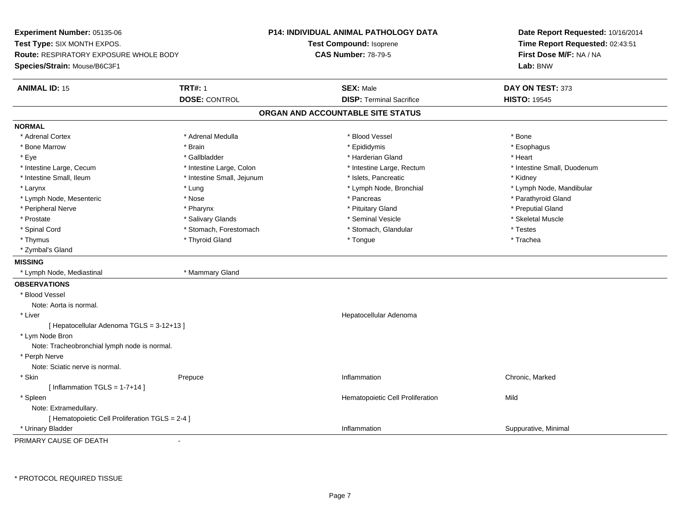**Experiment Number:** 05135-06**Test Type:** SIX MONTH EXPOS.**Route:** RESPIRATORY EXPOSURE WHOLE BODY**Species/Strain:** Mouse/B6C3F1**P14: INDIVIDUAL ANIMAL PATHOLOGY DATATest Compound:** Isoprene**CAS Number:** 78-79-5**Date Report Requested:** 10/16/2014**Time Report Requested:** 02:43:51**First Dose M/F:** NA / NA**Lab:** BNW**ANIMAL ID:** 15 **TRT#:** <sup>1</sup> **SEX:** Male **DAY ON TEST:** <sup>373</sup> **DOSE:** CONTROL**DISP:** Terminal Sacrifice **HISTO:** 19545 **ORGAN AND ACCOUNTABLE SITE STATUSNORMAL**\* Adrenal Cortex \* Adrenal Cortex \* \* Adrenal Medulla \* \* Adrenal Medulla \* \* Blood Vessel \* \* Brood Vessel \* \* Bone \* Esophagus \* Bone Marrow \* Brain \* Epididymis \* Esophagus \* Eye \* \* Gallbladder \* \* Gallbladder \* \* \* \* Harderian Gland \* \* Heart \* Heart \* Heart \* Heart \* Heart \* Heart \* Intestine Large, Cecum \* Intestine Large, Colon \* Intestine Large, Thestine Large, Rectum \* Intestine Small, Duodenum \* Intestine Small, Ileum \* Thestine Small, Jejunum \* 1998, Pancreatic \* Kidney \* Kidney \* Kidney \* Kidney \* Larynx \* Lung \* Lymph Node, Bronchial \* Lymph Node, Mandibular \* Lymph Node, Mesenteric \* Nose \* Pancreas \* Parathyroid Gland\* Peripheral Nerve \* \* \* \* Pharynx \* \* Pharynx \* \* \* Preputial Gland \* \* Preputial Gland \* \* Preputial Gland \* Skeletal Muscle \* Prostate \* \* Skeletal Muscle \* \* Salivary Glands \* \* \* Seminal Vesicle \* \* \* Seminal Vesicle \* \* Skeletal Muscle \* Spinal Cord \* Testes \* Stomach, Forestomach \* Testes \* Stomach, Glandular \* Testes \* Testes \* Trachea \* Thymus \* \* The mode of the total term of the total term of the total term of the total term of the total term of the total term of the total term of the total term of the total term of the total term of the total term of \* Zymbal's Gland**MISSING** \* Lymph Node, Mediastinal \* Mammary Gland**OBSERVATIONS** \* Blood VesselNote: Aorta is normal. \* Liver Hepatocellular Adenoma[ Hepatocellular Adenoma TGLS = 3-12+13 ] \* Lym Node Bron Note: Tracheobronchial lymph node is normal. \* Perph Nerve Note: Sciatic nerve is normal. \* Skinn and the Prepuce of the Chronic, Marked Chronic, Marked Chronic, Marked Chronic, Marked Chronic, Marked Chronic, Marked Chronic, Marked Chronic, Marked Chronic, Marked Chronic, Marked Chronic, Marked Chronic, Marked Chron  $[$  Inflammation TGLS = 1-7+14 ] \* SpleenHematopoietic Cell Proliferation Mild Note: Extramedullary.[ Hematopoietic Cell Proliferation TGLS = 2-4 ] \* Urinary Bladderr and the control of the control of the control of the control of the control of the control of the control of Inflammation **Suppurative, Minimal** 

PRIMARY CAUSE OF DEATH-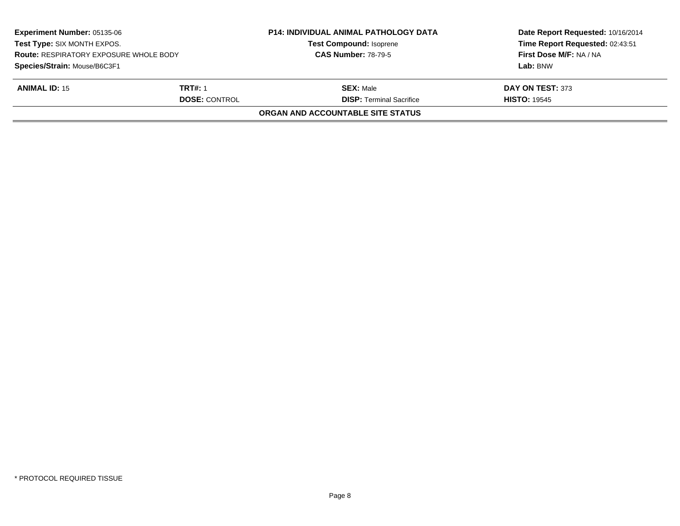| <b>Experiment Number: 05135-06</b><br>Test Type: SIX MONTH EXPOS.<br><b>Route: RESPIRATORY EXPOSURE WHOLE BODY</b><br>Species/Strain: Mouse/B6C3F1 |                                        | <b>P14: INDIVIDUAL ANIMAL PATHOLOGY DATA</b><br><b>Test Compound: Isoprene</b><br><b>CAS Number: 78-79-5</b> | Date Report Requested: 10/16/2014<br>Time Report Requested: 02:43:51<br>First Dose M/F: NA / NA<br>Lab: BNW |
|----------------------------------------------------------------------------------------------------------------------------------------------------|----------------------------------------|--------------------------------------------------------------------------------------------------------------|-------------------------------------------------------------------------------------------------------------|
| <b>ANIMAL ID: 15</b>                                                                                                                               | <b>TRT#: 1</b><br><b>DOSE: CONTROL</b> | <b>SEX: Male</b><br><b>DISP:</b> Terminal Sacrifice                                                          | DAY ON TEST: 373<br><b>HISTO: 19545</b>                                                                     |
|                                                                                                                                                    |                                        | ORGAN AND ACCOUNTABLE SITE STATUS                                                                            |                                                                                                             |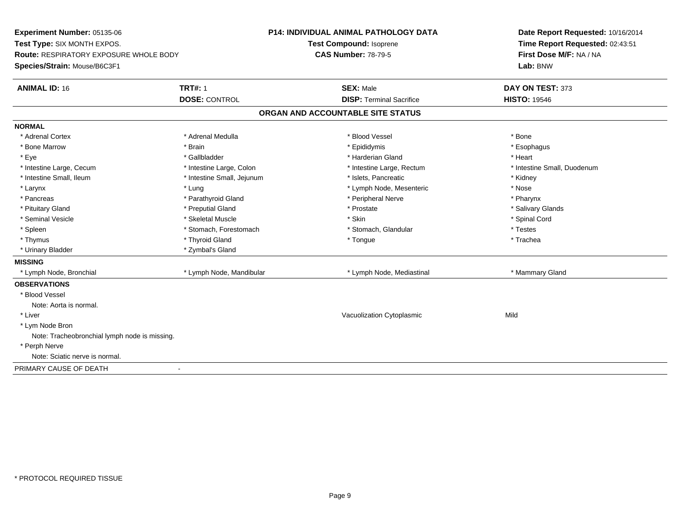**Experiment Number:** 05135-06**Test Type:** SIX MONTH EXPOS.**Route:** RESPIRATORY EXPOSURE WHOLE BODY**Species/Strain:** Mouse/B6C3F1**P14: INDIVIDUAL ANIMAL PATHOLOGY DATATest Compound:** Isoprene**CAS Number:** 78-79-5**Date Report Requested:** 10/16/2014**Time Report Requested:** 02:43:51**First Dose M/F:** NA / NA**Lab:** BNW**ANIMAL ID:** 16**6 TRT#:** 1 **TRT#:** 1 **SEX:** Male **SEX:** Male **DAY ON TEST:** 373 **DOSE:** CONTROL**DISP:** Terminal Sacrifice **HISTO:** 19546 **ORGAN AND ACCOUNTABLE SITE STATUSNORMAL**\* Adrenal Cortex \* Adrenal Cortex \* \* Adrenal Medulla \* \* Adrenal Medulla \* \* Blood Vessel \* \* Brood Vessel \* \* Bone \* Esophagus \* Bone Marrow \* Brain \* Epididymis \* Esophagus \* Eye \* \* Gallbladder \* \* Gallbladder \* \* \* \* Harderian Gland \* \* Heart \* Heart \* Heart \* Heart \* Heart \* Heart \* Intestine Large, Cecum \* Intestine Large, Colon \* Intestine Large, Rectum \* Intestine Small, Duodenum\* Intestine Small, Ileum \* **Alleman \* Intestine Small, Jejunum** \* The \* Islets, Pancreatic \* \* \* Kidney \* Kidney \* Larynx \* Larynx \* Lung \* Lung \* Lung \* Lung \* Lymph Node, Mesenteric \* Nose \* Nose \* Pharynx \* Pancreas \* Pancreas \* Parathyroid Gland \* Peripheral Nerve \* Peripheral Nerve \* Salivary Glands \* Pituitary Gland \* \* Then the state \* Preputial Gland \* Prosection \* Prostate \* \* Salivary Glands \* Salivary Glands \* Salivary Glands \* Salivary Glands \* Salivary Glands \* Salivary Glands \* Salivary Glands \* Salivary Glan \* Seminal Vesicle \* \* Spinal Cord \* Skeletal Muscle \* \* Skin \* \* Skin \* \* Spinal Vesicle \* Spinal Cord \* Spinal Cord \* Spleen \* Stomach, Forestomach \* Stomach \* Stomach, Slandular \* Testes \* Testes \* Trachea \* Thymus \* \* The mode of the total term of the total term of the total term of the total term of the total term of the total term of the total term of the total term of the total term of the total term of the total term of \* Urinary Bladder \* Zymbal's Gland**MISSING**\* Lymph Node, Bronchial \* Lymph Node, Mandibular \* Lymph Node, Mediastinal \* Manmary Gland **OBSERVATIONS** \* Blood VesselNote: Aorta is normal. \* Liver Vacuolization Cytoplasmicc Mild \* Lym Node Bron Note: Tracheobronchial lymph node is missing. \* Perph Nerve Note: Sciatic nerve is normal.PRIMARY CAUSE OF DEATH-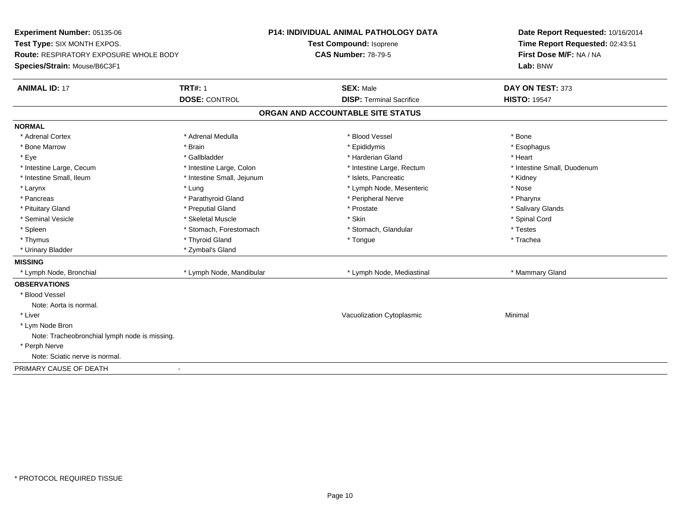**Experiment Number:** 05135-06**Test Type:** SIX MONTH EXPOS.**Route:** RESPIRATORY EXPOSURE WHOLE BODY**Species/Strain:** Mouse/B6C3F1**P14: INDIVIDUAL ANIMAL PATHOLOGY DATATest Compound:** Isoprene**CAS Number:** 78-79-5**Date Report Requested:** 10/16/2014**Time Report Requested:** 02:43:51**First Dose M/F:** NA / NA**Lab:** BNW**ANIMAL ID:** 17**TRT#:** 1 **SEX:** Male **DAY ON TEST:** 373 **DOSE:** CONTROL**DISP:** Terminal Sacrifice **HISTO:** 19547 **ORGAN AND ACCOUNTABLE SITE STATUSNORMAL**\* Adrenal Cortex \* Adrenal Cortex \* \* Adrenal Medulla \* \* Adrenal Medulla \* \* Blood Vessel \* \* Brood Vessel \* \* Bone \* Esophagus \* Bone Marrow \* Brain \* Epididymis \* Esophagus \* Eye \* \* Gallbladder \* \* Gallbladder \* \* \* \* Harderian Gland \* \* Heart \* Heart \* Heart \* Heart \* Heart \* Heart \* Intestine Large, Cecum \* Intestine Large, Colon \* Intestine Large, Rectum \* Intestine Small, Duodenum\* Intestine Small, Ileum \* Thestine Small, Jejunum \* 1998, Pancreatic \* Kidney \* Kidney \* Kidney \* Kidney \* Larynx \* Larynx \* Lung \* Lung \* Lung \* Lung \* Lymph Node, Mesenteric \* Nose \* Nose \* Pharynx \* Pancreas \* Pancreas \* Parathyroid Gland \* Peripheral Nerve \* Peripheral Nerve \* Salivary Glands \* Pituitary Gland \* \* Then the state \* Preputial Gland \* Prosection \* Prostate \* \* Salivary Glands \* Salivary Glands \* Salivary Glands \* Salivary Glands \* Salivary Glands \* Salivary Glands \* Salivary Glands \* Salivary Glan \* Seminal Vesicle \* \* Spinal Cord \* Skeletal Muscle \* \* Skin \* \* Skin \* \* Spinal Vesicle \* Spinal Cord \* Spinal Cord \* Spleen \* Stomach, Forestomach \* Stomach \* Stomach, Slandular \* Testes \* Testes \* Trachea \* Thymus \* \* The mode of the total term of the total term of the total term of the total term of the total term of the total term of the total term of the total term of the total term of the total term of the total term of \* Urinary Bladder \* Zymbal's Gland**MISSING**\* Lymph Node, Bronchial \* Lymph Node, Mandibular \* Lymph Node, Mediastinal \* Manmary Gland **OBSERVATIONS** \* Blood VesselNote: Aorta is normal. \* Liver Vacuolization Cytoplasmic Minimal \* Lym Node Bron Note: Tracheobronchial lymph node is missing. \* Perph Nerve Note: Sciatic nerve is normal.PRIMARY CAUSE OF DEATH-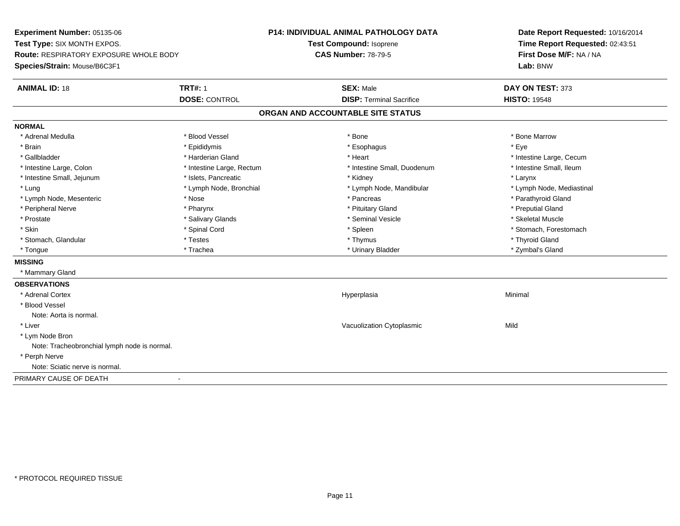**Experiment Number:** 05135-06**Test Type:** SIX MONTH EXPOS.**Route:** RESPIRATORY EXPOSURE WHOLE BODY**Species/Strain:** Mouse/B6C3F1**P14: INDIVIDUAL ANIMAL PATHOLOGY DATATest Compound:** Isoprene**CAS Number:** 78-79-5**Date Report Requested:** 10/16/2014**Time Report Requested:** 02:43:51**First Dose M/F:** NA / NA**Lab:** BNW**ANIMAL ID:** 18**TRT#:** 1 **SEX:** Male **DAY ON TEST:** 373 **DOSE:** CONTROL**DISP:** Terminal Sacrifice **HISTO:** 19548 **ORGAN AND ACCOUNTABLE SITE STATUSNORMAL**\* Adrenal Medulla \* \* \* Blood Vessel \* \* \* Bone Marrow \* \* Bone Marrow \* \* Bone Marrow \* Brain \* \* Expediance \* Epididymis \* \* Expediance \* \* Esophagus \* Expediance \* \* Expediance \* Eye \* Eye \* Gallbladder \* https://www.frage.com/marticle/state-of-state-of-state-of-state-of-state-of-state-of-state-of-state-of-state-of-state-of-state-of-state-of-state-of-state-of-state-of-state-of-state-of-state-of-state-of-stat \* Intestine Small, Ileum \* Intestine Large, Colon \* Intestine Large, Rectum \* Intestine Small, Duodenum \* Intestine Small, Duodenum \* Intestine Small, Jejunum \* The many research that we have the state of the state of the state of the state of the state of the state of the state of the state of the state of the state of the state of the state of the st \* Lymph Node, Mediastinal \* Lung \* Lymph Node, Bronchial \* Lymph Node, Mandibular \* Lymph Node, Mandibular \* Lymph Node, Mesenteric \* Nose \* Pancreas \* Parathyroid Gland\* Peripheral Nerve \* \* \* \* Pharynx \* \* Pharynx \* \* \* Preputial Gland \* \* Preputial Gland \* \* Preputial Gland \* Skeletal Muscle \* Prostate \* \* Skeletal Muscle \* \* Salivary Glands \* \* \* Seminal Vesicle \* \* \* Seminal Vesicle \* \* Skeletal Muscle \* Skin \* Spinal Cord \* Spinal Cord \* Spinal Cord \* Spinal \* Spinal \* Stomach, Forestomach \* Stomach, Forestomach \* Stomach, Glandular \* \* \* Thyroid Glandular \* Thestes \* \* Thymus \* Thymus \* Thyroid Glandular \* Thyroid Gland \* Zymbal's Gland \* Tongue \* Trachea \* Urinary Bladder \* Zymbal's Gland **MISSING** \* Mammary Gland**OBSERVATIONS** \* Adrenal Cortexx and the contract of the contract of the contract of the contract of the contract of the contract of the contract of the contract of the contract of the contract of the contract of the contract of the contract of the cont a **Minimal**  \* Blood VesselNote: Aorta is normal. \* Liver Vacuolization Cytoplasmicc Mild \* Lym Node Bron Note: Tracheobronchial lymph node is normal. \* Perph Nerve Note: Sciatic nerve is normal.PRIMARY CAUSE OF DEATH-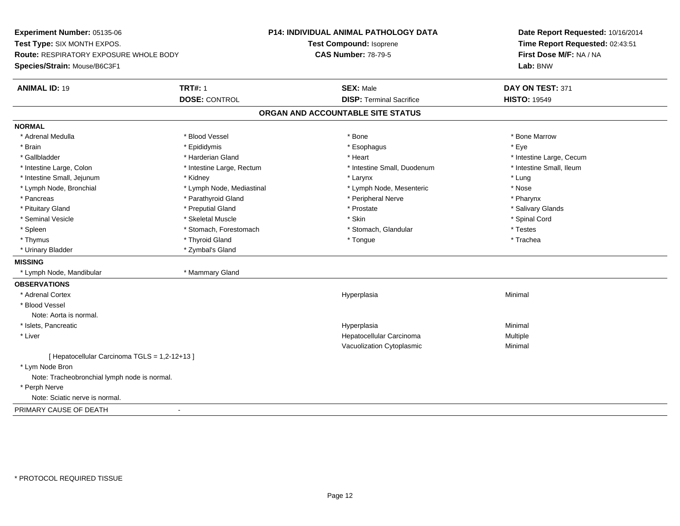**Experiment Number:** 05135-06**Test Type:** SIX MONTH EXPOS.**Route:** RESPIRATORY EXPOSURE WHOLE BODY**Species/Strain:** Mouse/B6C3F1**P14: INDIVIDUAL ANIMAL PATHOLOGY DATATest Compound:** Isoprene**CAS Number:** 78-79-5**Date Report Requested:** 10/16/2014**Time Report Requested:** 02:43:51**First Dose M/F:** NA / NA**Lab:** BNW**ANIMAL ID:** 19 **TRT#:** <sup>1</sup> **SEX:** Male **DAY ON TEST:** <sup>371</sup> **DOSE:** CONTROL**DISP:** Terminal Sacrifice **HISTO:** 19549 **ORGAN AND ACCOUNTABLE SITE STATUSNORMAL**\* Adrenal Medulla \* \* \* Blood Vessel \* \* \* Bone Marrow \* \* Bone Marrow \* \* Bone Marrow \* Brain \* \* Expediance \* Epididymis \* \* Expediance \* \* Esophagus \* Expediance \* \* Expediance \* Eye \* Eye \* Gallbladder \* https://www.frage.com/marticle/state-of-state-of-state-of-state-of-state-of-state-of-state-of-state-of-state-of-state-of-state-of-state-of-state-of-state-of-state-of-state-of-state-of-state-of-state-of-stat \* Intestine Small, Ileum \* Intestine Large, Colon \* Intestine Large, Rectum \* Intestine Small, Duodenum \* Intestine Small, Duodenum \* Intestine Small, Jejunum \* \* **Allen Andrew \* Kidney** \* \* **Allen Andrew \* Larynx** \* Larynx \* \* Larynx \* Lung \* Nose \* Lymph Node, Bronchial \* Lymph Node, Mediastinal \* Lymph Node, Mesenteric \* Nosember \* Nosember \* Nosember \* No \* Pharynx \* Pancreas \* Parathyroid Gland \* Peripheral Nerve \* Peripheral Nerve \* Peripheral Nerve \* Salivary Glands \* Pituitary Gland \* \* Then the state \* Preputial Gland \* Prosection \* Prostate \* \* Salivary Glands \* Salivary Glands \* Salivary Glands \* Salivary Glands \* Salivary Glands \* Salivary Glands \* Salivary Glands \* Salivary Glan \* Seminal Vesicle \* \* Spinal Cord \* Skeletal Muscle \* \* Skin \* \* Skin \* \* Spinal Vesicle \* Spinal Cord \* Spinal Cord \* Spleen \* Stomach, Forestomach \* Stomach \* Stomach, Slandular \* Testes \* Testes \* Trachea \* Thymus \* \* The mode of the total term of the total term of the total term of the total term of the total term of the total term of the total term of the total term of the total term of the total term of the total term of \* Urinary Bladder \* Zymbal's Gland**MISSING** \* Lymph Node, Mandibular \* Mammary Gland**OBSERVATIONS** \* Adrenal Cortexx and the contract of the contract of the contract of the contract of the contract of the contract of the contract of the contract of the contract of the contract of the contract of the contract of the contract of the cont a **Minimal**  \* Blood VesselNote: Aorta is normal. \* Islets, Pancreaticc and the control of the control of the control of the control of the control of the control of the control of the control of the control of the control of the control of the control of the control of the control of the co a **Minimal**  \* Liver Hepatocellular Carcinoma Multiple Vacuolization Cytoplasmic Minimal [ Hepatocellular Carcinoma TGLS = 1,2-12+13 ] \* Lym Node Bron Note: Tracheobronchial lymph node is normal. \* Perph Nerve Note: Sciatic nerve is normal.PRIMARY CAUSE OF DEATH-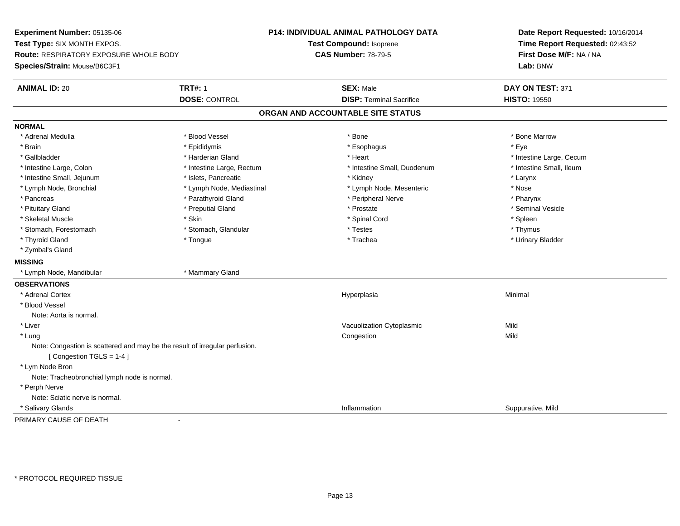**Experiment Number:** 05135-06**Test Type:** SIX MONTH EXPOS.**Route:** RESPIRATORY EXPOSURE WHOLE BODY**Species/Strain:** Mouse/B6C3F1**P14: INDIVIDUAL ANIMAL PATHOLOGY DATATest Compound:** Isoprene**CAS Number:** 78-79-5**Date Report Requested:** 10/16/2014**Time Report Requested:** 02:43:52**First Dose M/F:** NA / NA**Lab:** BNW**ANIMAL ID:** 20 **TRT#:** <sup>1</sup> **SEX:** Male **DAY ON TEST:** <sup>371</sup> **DOSE:** CONTROL**DISP:** Terminal Sacrifice **HISTO:** 19550 **ORGAN AND ACCOUNTABLE SITE STATUSNORMAL**\* Adrenal Medulla \* \* \* Blood Vessel \* \* \* Bone Marrow \* \* Bone Marrow \* \* Bone Marrow \* Brain \* \* Expediance \* Epididymis \* \* Expediance \* \* Esophagus \* Expediance \* \* Expediance \* Eye \* Eye \* Gallbladder \* https://www.frage.com/marticle/state-of-state-of-state-of-state-of-state-of-state-of-state-of-state-of-state-of-state-of-state-of-state-of-state-of-state-of-state-of-state-of-state-of-state-of-state-of-stat \* Intestine Small, Ileum \* Intestine Large, Colon \* Intestine Large, Rectum \* Intestine Small, Duodenum \* Intestine Small, Duodenum \* Intestine Small, Jejunum \* The matches of the state of the state of the state of the state of the state of the state of the state of the state of the state of the state of the state of the state of the state of the state \* Nose \* Lymph Node, Bronchial \* Lymph Node, Mediastinal \* Lymph Node, Mesenteric \* Nosember \* Nosember \* Nosember \* Nosember \* Nosember \* Nosember \* Nosember \* Nosember \* Nosember \* Nosember \* Nosember \* Nosember \* Nosember \* No \* Pharynx \* Pancreas \* Parathyroid Gland \* Peripheral Nerve \* Peripheral Nerve \* Peripheral Nerve \* Seminal Vesicle \* Pituitary Gland \* \* Then the state \* Preputial Gland \* \* Prosection \* Prostate \* \* Seminal Vesicle \* \* Seminal Vesicle \* Skeletal Muscle \* Skin \* Spinal Cord \* Spleen \* Thymus \* Stomach, Forestomach \* Testes \* Stomach, Glandular \* Testes \* Testes \* Testes \* Testes \* Testes \* Testes \* T \* Urinary Bladder \* Thyroid Gland \* \* The control of the total property and the top of the top of the top of the top of the top of the top of the top of the top of the top of the top of the top of the top of the top of the top of the top of \* Zymbal's Gland**MISSING** \* Lymph Node, Mandibular \* Mammary Gland**OBSERVATIONS** \* Adrenal Cortexx and the contract of the contract of the contract of the contract of the contract of the contract of the contract of the contract of the contract of the contract of the contract of the contract of the contract of the cont a **Minimal**  \* Blood VesselNote: Aorta is normal. \* Liver Vacuolization Cytoplasmicc Mild **Mild**  \* Lungg and the congression of the congression of the congression of the congression of the congression of the congression Note: Congestion is scattered and may be the result of irregular perfusion.[ Congestion TGLS = 1-4 ] \* Lym Node Bron Note: Tracheobronchial lymph node is normal. \* Perph Nerve Note: Sciatic nerve is normal. \* Salivary Glandss and the contract of the contract of the contract of the contract of the contract of the contract of the contract of the contract of the contract of the contract of the contract of the contract of the contract of the cont Inflammation **Suppurative, Mild** PRIMARY CAUSE OF DEATH-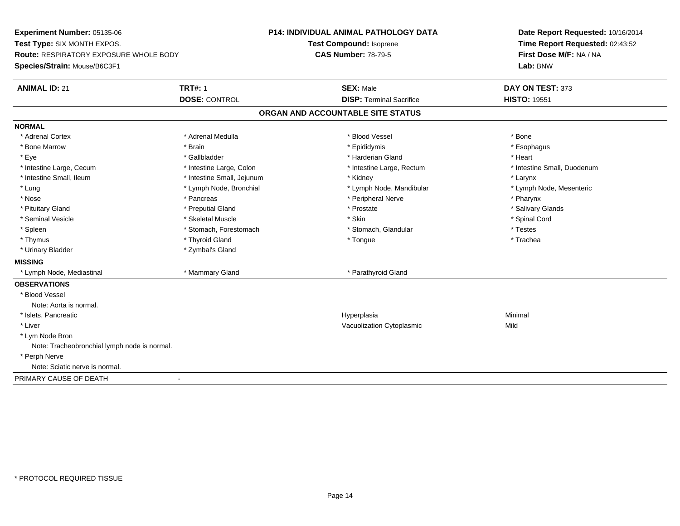**Experiment Number:** 05135-06**Test Type:** SIX MONTH EXPOS.**Route:** RESPIRATORY EXPOSURE WHOLE BODY**Species/Strain:** Mouse/B6C3F1**P14: INDIVIDUAL ANIMAL PATHOLOGY DATATest Compound:** Isoprene**CAS Number:** 78-79-5**Date Report Requested:** 10/16/2014**Time Report Requested:** 02:43:52**First Dose M/F:** NA / NA**Lab:** BNW**ANIMAL ID:** 21**TRT#:** 1 **SEX:** Male **DAY ON TEST:** 373 **DOSE:** CONTROL**DISP:** Terminal Sacrifice **HISTO:** 19551 **ORGAN AND ACCOUNTABLE SITE STATUSNORMAL**\* Adrenal Cortex \* Adrenal Cortex \* \* Adrenal Medulla \* \* Adrenal Medulla \* \* Blood Vessel \* \* Brood Vessel \* \* Bone \* Esophagus \* Bone Marrow \* Brain \* Epididymis \* Esophagus \* Eye \* \* Gallbladder \* \* Gallbladder \* \* \* \* Harderian Gland \* \* Heart \* Heart \* Heart \* Heart \* Heart \* Heart \* Intestine Large, Cecum \* Intestine Large, Colon \* Intestine Large, Rectum \* Intestine Small, Duodenum \* Intestine Small, Ileum \* Intestine Small, Jejunum \* Kidney \* Larynx\* Lymph Node, Mesenteric \* Lung \* Lymph Node, Bronchial \* Lymph Node, Mandibular \* Lymph Node, Mandibular \* Nose \* Pancreas \* Peripheral Nerve \* Pharynx \* Salivary Glands \* Pituitary Gland \* \* Then the state \* Preputial Gland \* Prosection \* Prostate \* \* Salivary Glands \* Salivary Glands \* Salivary Glands \* Salivary Glands \* Salivary Glands \* Salivary Glands \* Salivary Glands \* Salivary Glan \* Seminal Vesicle \* \* Spinal Cord \* Skeletal Muscle \* \* Skin \* \* Skin \* \* Spinal Vesicle \* Spinal Cord \* Spinal Cord \* Spleen \* Stomach, Forestomach \* Stomach \* Stomach, Slandular \* Testes \* Testes \* Trachea \* Thymus \* \* The mode of the total term of the total term of the total term of the total term of the total term of the total term of the total term of the total term of the total term of the total term of the total term of \* Urinary Bladder \* Zymbal's Gland**MISSING** \* Lymph Node, Mediastinal \* Mammary Gland \* Parathyroid Gland**OBSERVATIONS** \* Blood VesselNote: Aorta is normal. \* Islets, Pancreaticc and the control of the control of the control of the control of the control of the control of the control of the control of the control of the control of the control of the control of the control of the control of the co a **Minimal**  \* Liver Vacuolization Cytoplasmicc Mild \* Lym Node Bron Note: Tracheobronchial lymph node is normal. \* Perph Nerve Note: Sciatic nerve is normal.PRIMARY CAUSE OF DEATH-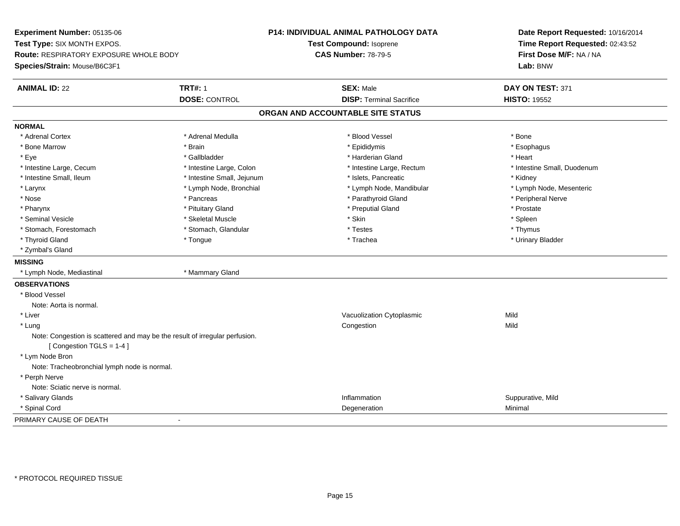**Experiment Number:** 05135-06**Test Type:** SIX MONTH EXPOS.**Route:** RESPIRATORY EXPOSURE WHOLE BODY**Species/Strain:** Mouse/B6C3F1**P14: INDIVIDUAL ANIMAL PATHOLOGY DATATest Compound:** Isoprene**CAS Number:** 78-79-5**Date Report Requested:** 10/16/2014**Time Report Requested:** 02:43:52**First Dose M/F:** NA / NA**Lab:** BNW**ANIMAL ID:** 22 **TRT#:** <sup>1</sup> **SEX:** Male **DAY ON TEST:** <sup>371</sup> **DOSE:** CONTROL**DISP:** Terminal Sacrifice **HISTO:** 19552 **ORGAN AND ACCOUNTABLE SITE STATUSNORMAL**\* Adrenal Cortex \* Adrenal Cortex \* \* Adrenal Medulla \* \* Adrenal Medulla \* \* Blood Vessel \* \* Brood Vessel \* \* Bone \* Esophagus \* Bone Marrow \* Brain \* Epididymis \* Esophagus \* Eye \* \* Gallbladder \* \* Gallbladder \* \* \* \* Harderian Gland \* \* Heart \* Heart \* Heart \* Heart \* Heart \* Heart \* Intestine Large, Cecum \* Intestine Large, Colon \* Intestine Large, Rectum \* Intestine Small, Duodenum\* Intestine Small, Ileum \* Thestine Small, Jejunum \* 1998, Pancreatic \* Kidney \* Kidney \* Kidney \* Kidney \* Lymph Node, Mesenteric \* Larynx **\*** Lymph Node, Bronchial \* Lymph Node, Mandibular \* Lymph Node, Mandibular \* Nose \* \* Pancreas \* \* Pancreas \* \* Pancreas \* \* Parathyroid Gland \* \* Peripheral Nerve \* Peripheral Nerve \* \* Pharynx \* Pituitary Gland \* Preputial Gland \* Prostate \* Spleen \* Seminal Vesicle \* \* \* Sheem \* Skeletal Muscle \* \* Stemme \* Skin \* \* Skin \* \* Spleen \* Spleen \* Spleen \* Spleen \* Thymus \* Stomach, Forestomach \* Testes \* Stomach, Glandular \* Testes \* Testes \* Testes \* Testes \* Testes \* Testes \* T \* Urinary Bladder \* Thyroid Gland \* \* The control of the total property and the top of the top of the top of the top of the top of the top of the top of the top of the top of the top of the top of the top of the top of the top of the top of \* Zymbal's Gland**MISSING** \* Lymph Node, Mediastinal \* Mammary Gland**OBSERVATIONS** \* Blood VesselNote: Aorta is normal. \* Liver Vacuolization Cytoplasmicc Mild Mild \* Lungg and the congression of the congression of the congression of the congression of the congression of the congression Note: Congestion is scattered and may be the result of irregular perfusion.[ Congestion TGLS = 1-4 ] \* Lym Node Bron Note: Tracheobronchial lymph node is normal. \* Perph Nerve Note: Sciatic nerve is normal. \* Salivary Glandss and the contract of the contract of the contract of the contract of the contract of the contract of the contract of the contract of the contract of the contract of the contract of the contract of the contract of the cont Inflammation **Suppurative, Mild**<br>
Deceneration **Minimal**  \* Spinal Cordd and the control of the control of the control of the control of the control of the control of the control of the control of the control of the control of the control of the control of the control of the control of the co PRIMARY CAUSE OF DEATH-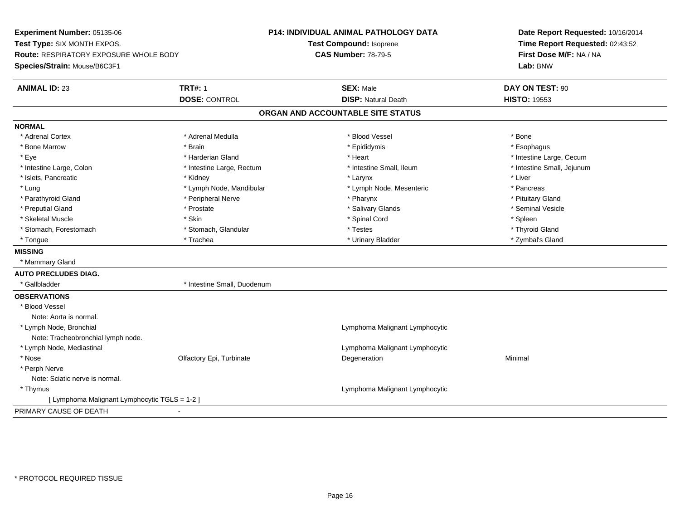**Experiment Number:** 05135-06**Test Type:** SIX MONTH EXPOS.**Route:** RESPIRATORY EXPOSURE WHOLE BODY**Species/Strain:** Mouse/B6C3F1**P14: INDIVIDUAL ANIMAL PATHOLOGY DATATest Compound:** Isoprene**CAS Number:** 78-79-5**Date Report Requested:** 10/16/2014**Time Report Requested:** 02:43:52**First Dose M/F:** NA / NA**Lab:** BNW**ANIMAL ID:** 23**TRT#:** 1 **SEX:** Male **DAY ON TEST:** 90 **DOSE:** CONTROL**DISP:** Natural Death **HISTO:** 19553 **ORGAN AND ACCOUNTABLE SITE STATUSNORMAL**\* Adrenal Cortex \* Adrenal Cortex \* \* Adrenal Medulla \* \* Adrenal Medulla \* \* Blood Vessel \* \* Brood Vessel \* \* Bone \* Esophagus \* Bone Marrow \* Brain \* Epididymis \* Esophagus \* Eye \* https://www.frage.com/mode.com/mode.com/mode.com/mode.com/mode.com/mode.com/mode.com/mode.com/mode.com/ \* Intestine Large, Colon \* Intestine Large, Rectum \* Intestine Small, Ileum \* Intestine Small, Jejunum\* Islets, Pancreatic \* \* \* Andrew \* Kidney \* \* Kidney \* \* Larynx \* Larynx \* \* Larynx \* \* Liver \* Liver \* Liver \* Lung external text of the Lymph Node, Mandibular \* Lymph Node, Mesenteric \* Pancreas \* Pancreas \* Pancreas \* Pituitary Gland \* Parathyroid Gland \* \* Peripheral Nerve \* \* Peripheral Nerve \* \* Pharynx \* \* Pharynx \* \* Pituitary Gland \* Pituitary Gland \* Seminal Vesicle \* Preputial Gland \* \* Annual vesicle \* \* Prostate \* \* Salivary Glands \* \* Salivary Glands \* \* Seminal Vesicle \* \* Skeletal Muscle \* Skin \* Spinal Cord \* Spleen \* Thyroid Gland \* Stomach, Forestomach \* Testes \* Stomach, Glandular \* Testes \* Testes \* Testes \* Testes \* Testes \* \* Testes \*  $\sim$  \* Testes \* Testes \* Testes \* Testes \* Testes \* Testes \* Testes \* Testes \* Testes \* Testes \* Testes \* Teste \* Zymbal's Gland \* Tongue \* Trachea \* Urinary Bladder \* Zymbal's Gland **MISSING** \* Mammary Gland**AUTO PRECLUDES DIAG.** \* Gallbladder \* Intestine Small, Duodenum**OBSERVATIONS** \* Blood VesselNote: Aorta is normal. \* Lymph Node, Bronchial Lymphoma Malignant LymphocyticNote: Tracheobronchial lymph node. \* Lymph Node, Mediastinal Lymphoma Malignant Lymphocytic \* Nosee and the Colfactory Epi, Turbinate and the Degeneration Colfactory Epi, Turbinate and the Degeneration Minimal \* Perph Nerve Note: Sciatic nerve is normal. \* Thymus Lymphoma Malignant Lymphocytic [ Lymphoma Malignant Lymphocytic TGLS = 1-2 ]PRIMARY CAUSE OF DEATH-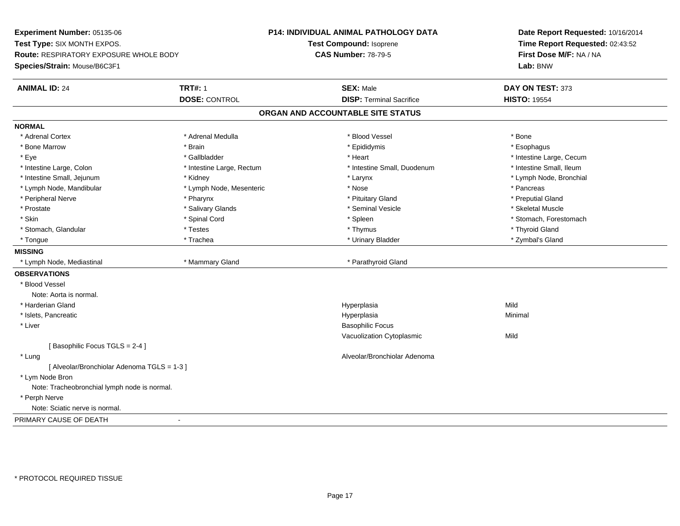**Experiment Number:** 05135-06**Test Type:** SIX MONTH EXPOS.**Route:** RESPIRATORY EXPOSURE WHOLE BODY**Species/Strain:** Mouse/B6C3F1**P14: INDIVIDUAL ANIMAL PATHOLOGY DATATest Compound:** Isoprene**CAS Number:** 78-79-5**Date Report Requested:** 10/16/2014**Time Report Requested:** 02:43:52**First Dose M/F:** NA / NA**Lab:** BNW**ANIMAL ID:** 24**TRT#:** 1 **SEX:** Male **DAY ON TEST:** 373 **DOSE:** CONTROL**DISP:** Terminal Sacrifice **HISTO:** 19554 **ORGAN AND ACCOUNTABLE SITE STATUSNORMAL**\* Adrenal Cortex \* Adrenal Cortex \* \* Adrenal Medulla \* \* Adrenal Medulla \* \* Blood Vessel \* \* Brood Vessel \* \* Bone \* Esophagus \* Bone Marrow \* Brain \* Epididymis \* Esophagus \* Eye \* https://www.frage.com/windown.com/windown.com/windown.com/windown.com/windown.com/windown.com/windown-\* Intestine Small, Ileum \* Intestine Large, Colon \* Intestine Large, Rectum \* Intestine Small, Duodenum \* Intestine Small, Duodenum \* Lymph Node, Bronchial \* Intestine Small, Jejunum \* Moreover \* Kidney \* Larynx \* Larynx \* Larynx \* Larynx \* Larynx \* Larynx \* Larynx \* Larynx \* Larynx \* Larynx \* Larynx \* Larynx \* Larynx \* Larynx \* Larynx \* Larynx \* Larynx \* Larynx \* Larynx \* La \* Lymph Node, Mandibular \* The state of the second text of the second text of the second text of the second text of the second text of the second text of the second text of the second text of the second text of text of tex \* Preputial Gland \* Peripheral Nerve \* \* \* \* Pharynx \* \* Pharynx \* \* \* Preputial Gland \* \* Preputial Gland \* \* Preputial Gland \* Skeletal Muscle \* Prostate \* \* Skeletal Muscle \* \* Salivary Glands \* \* \* Seminal Vesicle \* \* \* Seminal Vesicle \* \* Skeletal Muscle \* Skin \* Spinal Cord \* Spinal Cord \* Spinal Cord \* Spinal \* Spinal \* Stomach, Forestomach \* Stomach, Forestomach \* Stomach, Glandular \* Thyroid Gland \* Testes \* Thyroid Gland \* Thyroid Gland \* Thyroid Gland \* Thyroid Gland \* Zymbal's Gland \* Tongue \* Trachea \* Urinary Bladder \* Zymbal's Gland **MISSING** \* Lymph Node, Mediastinal \* Mammary Gland \* Parathyroid Gland**OBSERVATIONS** \* Blood VesselNote: Aorta is normal. \* Harderian Glandd and the control of the control of the control of the Hyperplasia and the control of the Mild of the control of the control of the control of the control of the control of the control of the control of the control of the \* Islets, Pancreaticc and the control of the control of the control of the control of the control of the control of the control of the control of the control of the control of the control of the control of the control of the control of the co a **Minimal**  \* Liver Basophilic Focus Vacuolization Cytoplasmicc Mild [ Basophilic Focus TGLS = 2-4 ] \* Lung Alveolar/Bronchiolar Adenoma [ Alveolar/Bronchiolar Adenoma TGLS = 1-3 ] \* Lym Node Bron Note: Tracheobronchial lymph node is normal. \* Perph Nerve Note: Sciatic nerve is normal.PRIMARY CAUSE OF DEATH-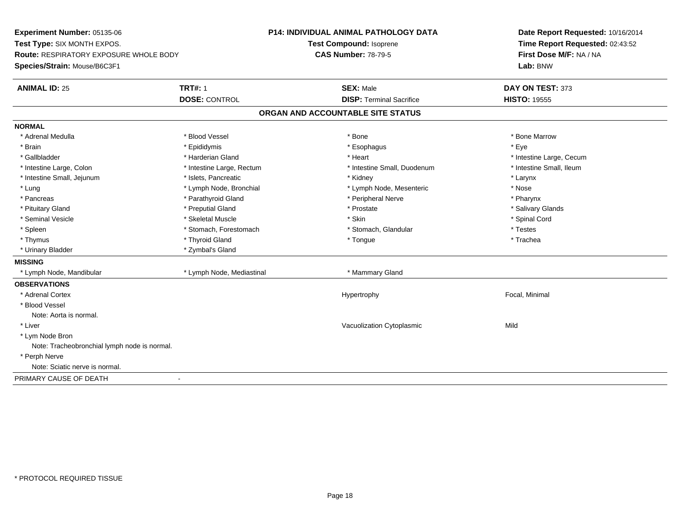**Experiment Number:** 05135-06**Test Type:** SIX MONTH EXPOS.**Route:** RESPIRATORY EXPOSURE WHOLE BODY**Species/Strain:** Mouse/B6C3F1**P14: INDIVIDUAL ANIMAL PATHOLOGY DATATest Compound:** Isoprene**CAS Number:** 78-79-5**Date Report Requested:** 10/16/2014**Time Report Requested:** 02:43:52**First Dose M/F:** NA / NA**Lab:** BNW**ANIMAL ID:** 25 **TRT#:** <sup>1</sup> **SEX:** Male **DAY ON TEST:** <sup>373</sup> **DOSE:** CONTROL**DISP:** Terminal Sacrifice **HISTO:** 19555 **ORGAN AND ACCOUNTABLE SITE STATUSNORMAL**\* Adrenal Medulla \* \* \* Blood Vessel \* \* \* Bone Marrow \* \* Bone Marrow \* \* Bone Marrow \* Brain \* \* Expediance \* Epididymis \* \* Expediance \* \* Esophagus \* Expediance \* \* Expediance \* Eye \* Eye \* Gallbladder \* https://www.frage.com/marticle/state-of-state-of-state-of-state-of-state-of-state-of-state-of-state-of-state-of-state-of-state-of-state-of-state-of-state-of-state-of-state-of-state-of-state-of-state-of-stat \* Intestine Small, Ileum \* Intestine Large, Colon \* Intestine Large, Rectum \* Intestine Small, Duodenum \* Intestine Small, Duodenum \* Intestine Small, Jejunum \* The metal was a structure of the structure of the structure of the structure of the structure of the structure of the structure of the structure of the structure of the structure of the structu \* Nose \* Lung \* Lymph Node, Bronchial \* Now the term is the term in the term in the term is the term in the term in the term is the term in the term in the term is the term in the term in the term is the term in the term in the t \* Pharynx \* Pancreas \* Parathyroid Gland \* Parathyroid Gland \* Peripheral Nerve \* Salivary Glands \* Pituitary Gland \* \* Then the state \* Preputial Gland \* Prosection \* Prostate \* \* Salivary Glands \* Salivary Glands \* Salivary Glands \* Salivary Glands \* Salivary Glands \* Salivary Glands \* Salivary Glands \* Salivary Glan \* Seminal Vesicle \* \* Spinal Cord \* Skeletal Muscle \* \* Skin \* \* Skin \* \* Spinal Vesicle \* Spinal Cord \* Spinal Cord \* Spleen \* Stomach, Forestomach \* Stomach \* Stomach, Slandular \* Testes \* Testes \* Trachea \* Thymus \* \* The mode of the total term of the total term of the total term of the total term of the total term of the total term of the total term of the total term of the total term of the total term of the total term of \* Urinary Bladder \* Zymbal's Gland**MISSING** \* Lymph Node, Mandibular \* Lymph Node, Mediastinal \* Mammary Gland**OBSERVATIONS** \* Adrenal Cortex Hypertrophy Focal, Minimal \* Blood VesselNote: Aorta is normal. \* Liver Vacuolization Cytoplasmicc Mild \* Lym Node Bron Note: Tracheobronchial lymph node is normal. \* Perph Nerve Note: Sciatic nerve is normal.PRIMARY CAUSE OF DEATH-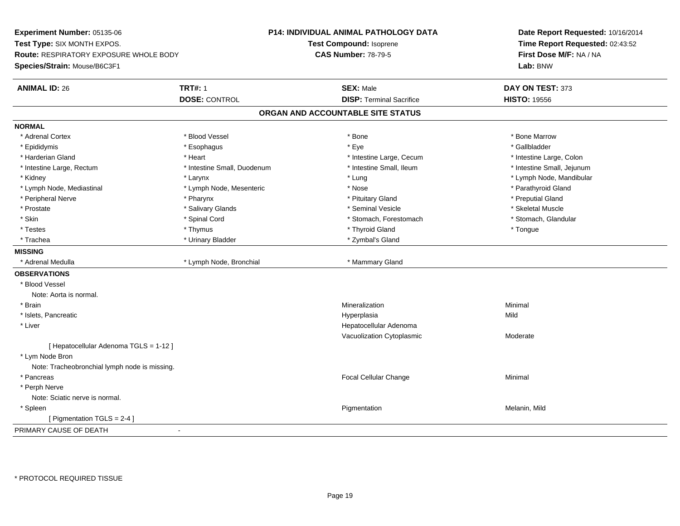**Experiment Number:** 05135-06**Test Type:** SIX MONTH EXPOS.**Route:** RESPIRATORY EXPOSURE WHOLE BODY**Species/Strain:** Mouse/B6C3F1**P14: INDIVIDUAL ANIMAL PATHOLOGY DATATest Compound:** Isoprene**CAS Number:** 78-79-5**Date Report Requested:** 10/16/2014**Time Report Requested:** 02:43:52**First Dose M/F:** NA / NA**Lab:** BNW**ANIMAL ID:** 26**6 TRT#:** 1 **TRT#:** 1 **SEX:** Male **SEX:** Male **DAY ON TEST:** 373 **DOSE:** CONTROL**DISP:** Terminal Sacrifice **HISTO:** 19556 **ORGAN AND ACCOUNTABLE SITE STATUSNORMAL**\* Adrenal Cortex \* Adrenal Cortex \* \* Attachers \* Blood Vessel \* \* Bone \* \* \* Bone \* \* Bone \* \* Bone \* Bone Marrow \* Bone Marrow \* Gallbladder \* Epididymis \* \* exphagus \* Esophagus \* \* Eye \* \* Eye \* \* Exercise \* Gallbladder \* Gallbladder \* \* Gallbladder \* \* Gallbladder \* \* Gallbladder \* \* Gallbladder \* \* Gallbladder \* \* Exercise \* \* \* Gallbladder \* \* \* Gallbladde \* Harderian Gland \* The structure \* Theart \* Heart \* Intestine Large, Cecum \* Intestine Large, Cecum \* Intestine Large, Colon \* Intestine Small, Jejunum \* Intestine Large, Rectum \* 10 **\*** Intestine Small, Duodenum \* Intestine Small, Ileum \* Kidney \* Larynx \* Lung \* Lymph Node, Mandibular \* Lymph Node, Mediastinal \* The state of the second text of the second text of the second of the second text of the second of the second of the second of the second of the second of the second of the second of the second o \* Peripheral Nerve \* \* \* \* Pharynx \* \* Pharynx \* \* \* Preputial Gland \* \* Preputial Gland \* \* Preputial Gland \* Skeletal Muscle \* Prostate \* \* Skeletal Muscle \* \* Salivary Glands \* \* \* Seminal Vesicle \* \* \* Seminal Vesicle \* \* Skeletal Muscle \* Stomach. Glandular \* Skin \* Spinal Cord \* Spinal Cord \* Stomach, Forestomach \* Stomach, Forestomach \* Testes \* Thymus \* Thyroid Gland \* Tongue \* Trachea \* Urinary Bladder \* 2ymbal's Gland \* Zymbal's Gland \* Zymbal's Gland \* Zymbal's Gland **MISSING**\* Adrenal Medulla \* Lymph Node, Bronchial \* Mammary Gland **OBSERVATIONS** \* Blood VesselNote: Aorta is normal. \* Brainn and the controller of the controller of the controller of the Mineralization and the controller of the Minimal \* Islets, Pancreaticc and the control of the control of the control of the control of the control of the control of the control of the control of the control of the control of the control of the control of the control of the control of the co a Mild \* Liver Hepatocellular Adenoma Vacuolization Cytoplasmic Moderate[ Hepatocellular Adenoma TGLS = 1-12 ] \* Lym Node Bron Note: Tracheobronchial lymph node is missing. \* Pancreas Focal Cellular Changee Minimal \* Perph Nerve Note: Sciatic nerve is normal. \* Spleenn and the control of the control of the control of the control of the control of the control of the control of  $P$ [ Pigmentation TGLS = 2-4 ]PRIMARY CAUSE OF DEATH-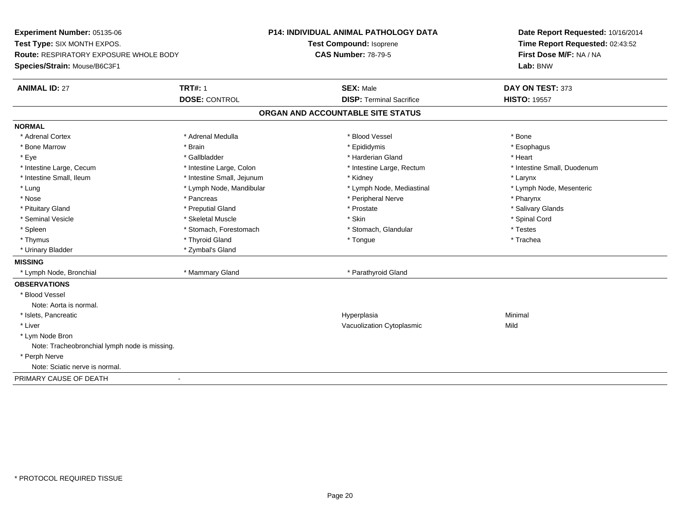**Experiment Number:** 05135-06**Test Type:** SIX MONTH EXPOS.**Route:** RESPIRATORY EXPOSURE WHOLE BODY**Species/Strain:** Mouse/B6C3F1**P14: INDIVIDUAL ANIMAL PATHOLOGY DATATest Compound:** Isoprene**CAS Number:** 78-79-5**Date Report Requested:** 10/16/2014**Time Report Requested:** 02:43:52**First Dose M/F:** NA / NA**Lab:** BNW**ANIMAL ID:** 27**TRT#:** 1 **SEX:** Male **DAY ON TEST:** 373 **DOSE:** CONTROL**DISP:** Terminal Sacrifice **HISTO:** 19557 **ORGAN AND ACCOUNTABLE SITE STATUSNORMAL**\* Adrenal Cortex \* Adrenal Cortex \* \* Adrenal Medulla \* \* Adrenal Medulla \* \* Blood Vessel \* \* Brood Vessel \* \* Bone \* Esophagus \* Bone Marrow \* Brain \* Epididymis \* Esophagus \* Eye \* \* Gallbladder \* \* Gallbladder \* \* \* \* Harderian Gland \* \* Heart \* Heart \* Heart \* Heart \* Heart \* Heart \* Intestine Large, Cecum \* Intestine Large, Colon \* Intestine Large, Thestine Large, Rectum \* Intestine Small, Duodenum \* Intestine Small, Ileum \* Intestine Small, Jejunum \* Kidney \* Larynx\* Lymph Node, Mesenteric \* Lung \* Lymph Node, Mandibular \* Lymph Node, Mediastinal \* Lymph Node, Mediastinal \* \* Nose \* Pancreas \* Peripheral Nerve \* Pharynx \* Salivary Glands \* Pituitary Gland \* \* Then the state \* Preputial Gland \* Prosection \* Prostate \* \* Salivary Glands \* Salivary Glands \* Salivary Glands \* Salivary Glands \* Salivary Glands \* Salivary Glands \* Salivary Glands \* Salivary Glan \* Seminal Vesicle \* \* Spinal Cord \* Skeletal Muscle \* \* Skin \* \* Skin \* \* Spinal Vesicle \* Spinal Cord \* Spinal Cord \* Spleen \* Stomach, Forestomach \* Stomach \* Stomach, Slandular \* Testes \* Testes \* Trachea \* Thymus \* \* The mode of the total term of the total term of the total term of the total term of the total term of the total term of the total term of the total term of the total term of the total term of the total term of \* Urinary Bladder \* Zymbal's Gland**MISSING** \* Lymph Node, Bronchial \* Mammary Gland \* Parathyroid Gland**OBSERVATIONS** \* Blood VesselNote: Aorta is normal. \* Islets, Pancreaticc and the control of the control of the control of the control of the control of the control of the control of the control of the control of the control of the control of the control of the control of the control of the co a **Minimal**  \* Liver Vacuolization Cytoplasmicc Mild \* Lym Node Bron Note: Tracheobronchial lymph node is missing. \* Perph Nerve Note: Sciatic nerve is normal.PRIMARY CAUSE OF DEATH-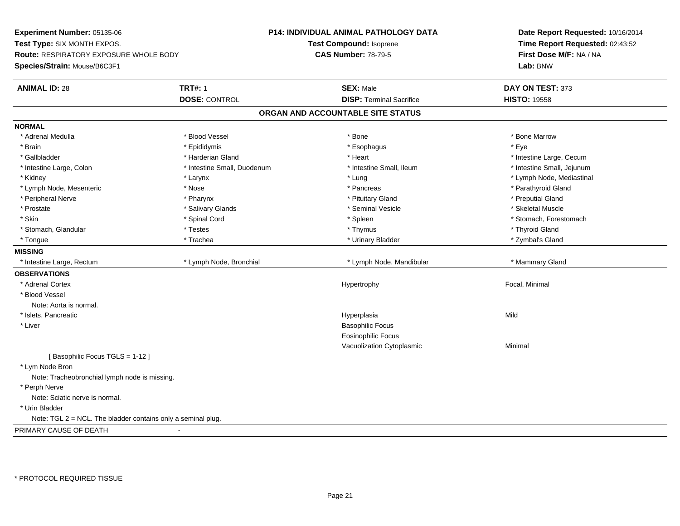**Experiment Number:** 05135-06**Test Type:** SIX MONTH EXPOS.**Route:** RESPIRATORY EXPOSURE WHOLE BODY**Species/Strain:** Mouse/B6C3F1**P14: INDIVIDUAL ANIMAL PATHOLOGY DATATest Compound:** Isoprene**CAS Number:** 78-79-5**Date Report Requested:** 10/16/2014**Time Report Requested:** 02:43:52**First Dose M/F:** NA / NA**Lab:** BNW**ANIMAL ID:** 28**TRT#:** 1 **SEX:** Male **DAY ON TEST:** 373 **DOSE:** CONTROL**DISP:** Terminal Sacrifice **HISTO:** 19558 **ORGAN AND ACCOUNTABLE SITE STATUSNORMAL**\* Adrenal Medulla \* \* \* Blood Vessel \* \* \* Bone Marrow \* \* Bone Marrow \* \* Bone Marrow \* Brain \* \* Expediance \* Epididymis \* \* Expediance \* \* Esophagus \* Expediance \* \* Expediance \* Eye \* Eye \* Gallbladder \* https://www.frage.com/marticle/state-of-state-of-state-of-state-of-state-of-state-of-state-of-state-of-state-of-state-of-state-of-state-of-state-of-state-of-state-of-state-of-state-of-state-of-state-of-stat \* Intestine Small, Jejunum \* Intestine Large, Colon \* Intestine Small, Duodenum \* Intestine Small, Ileum \* Intestine Small, Ileum \* Kidney \* Larynx \* Lung \* Lymph Node, Mediastinal \* Lymph Node, Mesenteric \* The state of the state of the state of the state of the state of the state of the state of the state of the state of the state of the state of the state of the state of the state of the state of \* Peripheral Nerve \* \* \* \* Pharynx \* \* Pharynx \* \* \* Preputial Gland \* \* Preputial Gland \* \* Preputial Gland \* Skeletal Muscle \* Prostate \* \* Skeletal Muscle \* \* Salivary Glands \* \* \* Seminal Vesicle \* \* \* Seminal Vesicle \* \* Skeletal Muscle \* Skin \* Spinal Cord \* Spinal Cord \* Spinal Cord \* Spinal \* Spinal \* Stomach, Forestomach \* Stomach, Forestomach \* Stomach, Glandular \* Thyroid Gland \* Testes \* Thyroid Gland \* Thyroid Gland \* Thyroid Gland \* Thyroid Gland \* Zymbal's Gland \* Tongue \* Trachea \* Urinary Bladder \* Zymbal's Gland **MISSING**\* Intestine Large, Rectum \* Lymph Node, Bronchial \* Lymph Node, Mandibular \* Mammary Gland **OBSERVATIONS** \* Adrenal Cortex Hypertrophy Focal, Minimal \* Blood VesselNote: Aorta is normal. \* Islets, Pancreaticc and the control of the control of the control of the control of the control of the control of the control of the control of the control of the control of the control of the control of the control of the control of the co a Mild \* Liver Basophilic Focus Eosinophilic Focus Vacuolization Cytoplasmic Minimal [ Basophilic Focus TGLS = 1-12 ] \* Lym Node Bron Note: Tracheobronchial lymph node is missing. \* Perph Nerve Note: Sciatic nerve is normal. \* Urin BladderNote:  $TGL 2 = NCL$ . The bladder contains only a seminal plug. PRIMARY CAUSE OF DEATH-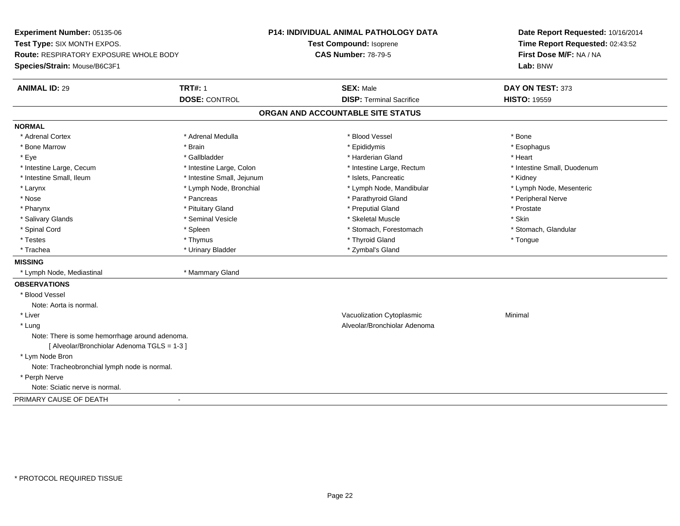**Experiment Number:** 05135-06**Test Type:** SIX MONTH EXPOS.**Route:** RESPIRATORY EXPOSURE WHOLE BODY**Species/Strain:** Mouse/B6C3F1**P14: INDIVIDUAL ANIMAL PATHOLOGY DATATest Compound:** Isoprene**CAS Number:** 78-79-5**Date Report Requested:** 10/16/2014**Time Report Requested:** 02:43:52**First Dose M/F:** NA / NA**Lab:** BNW**ANIMAL ID:** 29 **TRT#:** <sup>1</sup> **SEX:** Male **DAY ON TEST:** <sup>373</sup> **DOSE:** CONTROL**DISP:** Terminal Sacrifice **HISTO:** 19559 **ORGAN AND ACCOUNTABLE SITE STATUSNORMAL**\* Adrenal Cortex \* Adrenal Cortex \* \* Adrenal Medulla \* \* Adrenal Medulla \* \* Blood Vessel \* \* Brood Vessel \* \* Bone \* Esophagus \* Bone Marrow \* Brain \* Epididymis \* Esophagus \* Eye \* \* Gallbladder \* \* Gallbladder \* \* \* \* Harderian Gland \* \* Heart \* Heart \* Heart \* Heart \* Heart \* Heart \* Intestine Large, Cecum \* Intestine Large, Colon \* Intestine Large, Rectum \* Intestine Small, Duodenum\* Intestine Small, Ileum \* Thestine Small, Jejunum \* 1998, Pancreatic \* Kidney \* Kidney \* Kidney \* Kidney \* Lymph Node, Mesenteric \* Larynx **\*** Lymph Node, Bronchial \* Lymph Node, Mandibular \* Lymph Node, Mandibular \* Nose \* \* Pancreas \* \* Pancreas \* \* Pancreas \* \* Parathyroid Gland \* \* Peripheral Nerve \* Peripheral Nerve \* \* Pharynx \* Pituitary Gland \* Preputial Gland \* Prostate \* Salivary Glands \* Seminal Vesicle \* Skeletal Muscle \* Skin\* Stomach, Glandular \* Spinal Cord **\* Stomach, Forestomach \* Spinal Cord \*** Stomach, Forestomach \* Stomach, Forestomach \* Testes \* Thymus \* Thyroid Gland \* Tongue \* Trachea \* Urinary Bladder \* Zymbal's Gland \* Zymbal's Gland **MISSING** \* Lymph Node, Mediastinal \* Mammary Gland**OBSERVATIONS** \* Blood VesselNote: Aorta is normal. \* Liver Vacuolization Cytoplasmic Minimal \* Lung Alveolar/Bronchiolar Adenoma Note: There is some hemorrhage around adenoma. [ Alveolar/Bronchiolar Adenoma TGLS = 1-3 ] \* Lym Node Bron Note: Tracheobronchial lymph node is normal. \* Perph Nerve Note: Sciatic nerve is normal.PRIMARY CAUSE OF DEATH-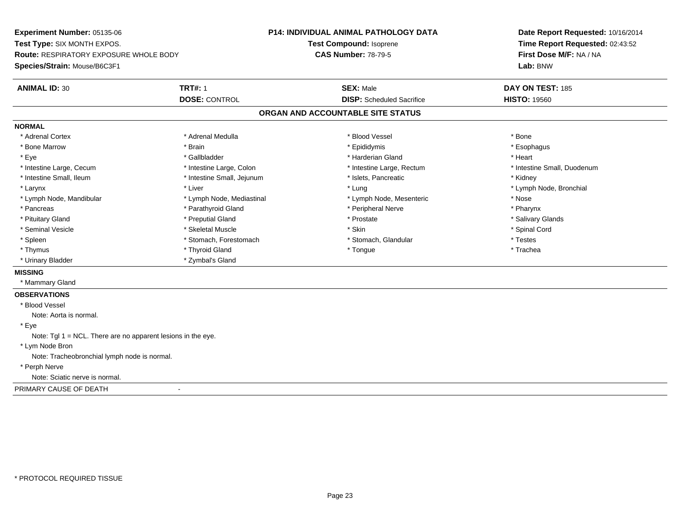**Experiment Number:** 05135-06**Test Type:** SIX MONTH EXPOS.**Route:** RESPIRATORY EXPOSURE WHOLE BODY**Species/Strain:** Mouse/B6C3F1**P14: INDIVIDUAL ANIMAL PATHOLOGY DATATest Compound:** Isoprene**CAS Number:** 78-79-5**Date Report Requested:** 10/16/2014**Time Report Requested:** 02:43:52**First Dose M/F:** NA / NA**Lab:** BNW**ANIMAL ID:** 30**TRT#:** 1 **SEX:** Male **DAY ON TEST:** 185 **DOSE:** CONTROL**DISP:** Scheduled Sacrifice **HISTO:** 19560 **ORGAN AND ACCOUNTABLE SITE STATUSNORMAL**\* Adrenal Cortex \* Adrenal Cortex \* \* Adrenal Medulla \* \* Adrenal Medulla \* \* Blood Vessel \* \* Brood Vessel \* \* Bone \* Esophagus \* Bone Marrow \* Brain \* Epididymis \* Esophagus \* Eye \* \* Gallbladder \* \* Gallbladder \* \* \* \* Harderian Gland \* \* Heart \* Heart \* Heart \* Heart \* Heart \* Heart \* Intestine Large, Cecum \* Intestine Large, Colon \* Intestine Large, Rectum \* Intestine Small, Duodenum\* Intestine Small, Ileum \* **Allen and The Accord Accord Test intervents** \* Islets, Pancreatic \* The manus \* Kidney \* Larynx \* Louis \* Liver \* Lung \* Lung \* Lung \* Lung \* Lung \* Lymph Node, Bronchial \* Lymph Node, Bronchial \* \* Lymph Node, Mandibular \* The state of the state of the Mediastinal \* Lymph Node, Mesenteric \* Nose \* Pharynx \* Pancreas \* Pancreas \* Parathyroid Gland \* Peripheral Nerve \* Peripheral Nerve \* Salivary Glands \* Pituitary Gland \* \* Then the state \* Preputial Gland \* Prosection \* Prostate \* \* Salivary Glands \* Salivary Glands \* Salivary Glands \* Salivary Glands \* Salivary Glands \* Salivary Glands \* Salivary Glands \* Salivary Glan \* Seminal Vesicle \* \* Spinal Cord \* Skeletal Muscle \* \* Skin \* \* Skin \* \* Spinal Vesicle \* Spinal Cord \* Spinal Cord \* Spleen \* Stomach, Forestomach \* Stomach \* Stomach, Glandular \* Testes \* Testes \* Trachea \* Thymus \* \* The mode of the total term of the total term of the total term of the total term of the total term of the total term of the total term of the total term of the total term of the total term of the total term of \* Urinary Bladder \* Zymbal's Gland**MISSING** \* Mammary Gland**OBSERVATIONS** \* Blood VesselNote: Aorta is normal. \* EyeNote: Tgl 1 = NCL. There are no apparent lesions in the eye. \* Lym Node Bron Note: Tracheobronchial lymph node is normal. \* Perph Nerve Note: Sciatic nerve is normal.PRIMARY CAUSE OF DEATH-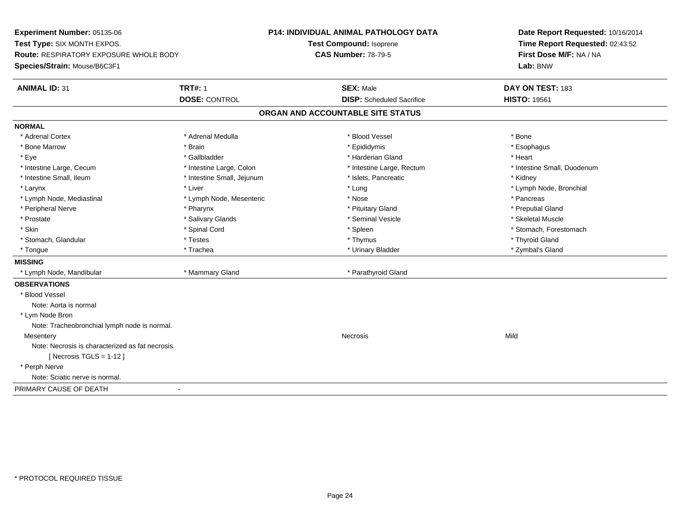**Experiment Number:** 05135-06**Test Type:** SIX MONTH EXPOS.**Route:** RESPIRATORY EXPOSURE WHOLE BODY**Species/Strain:** Mouse/B6C3F1**P14: INDIVIDUAL ANIMAL PATHOLOGY DATATest Compound:** Isoprene**CAS Number:** 78-79-5**Date Report Requested:** 10/16/2014**Time Report Requested:** 02:43:52**First Dose M/F:** NA / NA**Lab:** BNW**ANIMAL ID:** 31**TRT#:** 1 **SEX:** Male **DAY ON TEST:** 183 **DOSE:** CONTROL**DISP:** Scheduled Sacrifice **HISTO:** 19561 **ORGAN AND ACCOUNTABLE SITE STATUSNORMAL**\* Adrenal Cortex \* Adrenal Cortex \* \* Adrenal Medulla \* \* Adrenal Medulla \* \* Blood Vessel \* \* Brood Vessel \* \* Bone \* Esophagus \* Bone Marrow \* Brain \* Epididymis \* Esophagus \* Eye \* \* Gallbladder \* \* Gallbladder \* \* \* \* Harderian Gland \* \* Heart \* Heart \* Heart \* Heart \* Heart \* Heart \* Intestine Large, Cecum \* Intestine Large, Colon \* Intestine Large, Rectum \* Intestine Small, Duodenum\* Intestine Small, Ileum \* **Allen and The Accord Accord Test intervents** \* Islets, Pancreatic \* The manus \* Kidney \* Larynx \* Louis \* Liver \* Lung \* Lung \* Lung \* Lung \* Lung \* Lymph Node, Bronchial \* Lymph Node, Bronchial \* \* Lymph Node, Mediastinal \* The state of the Mode, Mesenteric the state of the state of the state of the state of the state of the state of the state of the state of the state of the state of the state of the state of the \* Preputial Gland \* Peripheral Nerve \* \* \* \* Pharynx \* \* Pharynx \* \* \* Preputial Gland \* \* Preputial Gland \* \* Preputial Gland \* Skeletal Muscle \* Prostate \* \* Skeletal Muscle \* \* Salivary Glands \* \* Steminal Vesicle \* \* Seminal Vesicle \* \* Skeletal Muscle \* Skin \* Spinal Cord \* Spinal Cord \* Spinal Cord \* Spinal \* Spinal \* Stomach, Forestomach \* Stomach, Forestomach \* Stomach, Glandular \* \* \* Thyroid Glandular \* Thestes \* \* Thymus \* Thymus \* Thyroid Glandular \* Thyroid Gland \* Zymbal's Gland \* Tongue \* Trachea \* Urinary Bladder \* Zymbal's Gland **MISSING** \* Lymph Node, Mandibular \* Mammary Gland \* Parathyroid Gland**OBSERVATIONS** \* Blood VesselNote: Aorta is normal \* Lym Node Bron Note: Tracheobronchial lymph node is normal.**Mesentery** y and the control of the control of the control of the control of the control of the control of the control of the control of the control of the control of the control of the control of the control of the control of the co Note: Necrosis is characterized as fat necrosis. $[$  Necrosis TGLS = 1-12  $]$  \* Perph Nerve Note: Sciatic nerve is normal.PRIMARY CAUSE OF DEATH-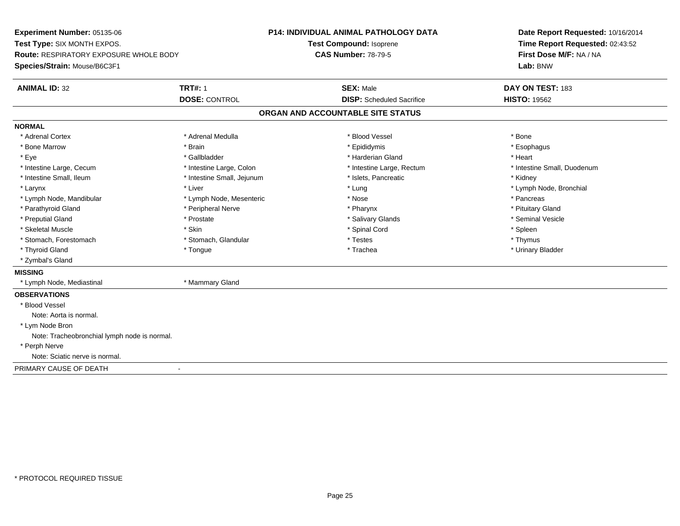**Experiment Number:** 05135-06**Test Type:** SIX MONTH EXPOS.**Route:** RESPIRATORY EXPOSURE WHOLE BODY**Species/Strain:** Mouse/B6C3F1**P14: INDIVIDUAL ANIMAL PATHOLOGY DATATest Compound:** Isoprene**CAS Number:** 78-79-5**Date Report Requested:** 10/16/2014**Time Report Requested:** 02:43:52**First Dose M/F:** NA / NA**Lab:** BNW**ANIMAL ID:** 32**TRT#:** 1 **SEX:** Male **DAY ON TEST:** 183 **DOSE:** CONTROL**DISP:** Scheduled Sacrifice **HISTO:** 19562 **ORGAN AND ACCOUNTABLE SITE STATUSNORMAL**\* Adrenal Cortex \* Adrenal Cortex \* \* Adrenal Medulla \* \* Adrenal Medulla \* \* Blood Vessel \* \* Brood Vessel \* \* Bone \* Esophagus \* Bone Marrow \* Brain \* Epididymis \* Esophagus \* Eye \* \* Gallbladder \* \* Gallbladder \* \* \* \* Harderian Gland \* \* Heart \* Heart \* Heart \* Heart \* Heart \* Heart \* Intestine Large, Cecum \* Intestine Large, Colon \* Intestine Large, Rectum \* Intestine Small, Duodenum\* Intestine Small, Ileum \* Thestine Small, Jejunum \* 1998, Pancreatic \* Kidney \* Kidney \* Kidney \* Kidney \* Larynx \* Louis \* Liver \* Lung \* Lung \* Lung \* Lung \* Lung \* Lymph Node, Bronchial \* Lymph Node, Bronchial \* \* Lymph Node, Mandibular \* The state of the second text of the second text of the second text of the second text of the second text of the second text of the second text of the second text of text of text of text of text o \* Pituitary Gland \* Parathyroid Gland \* **Example 20** \* Peripheral Nerve \* Pharynx \* Pharynx \* Pharynx \* Seminal Vesicle \* Preputial Gland \* \* Annual vesicle \* \* Prostate \* \* Salivary Glands \* \* Salivary Glands \* \* Seminal Vesicle \* \* Skeletal Muscle \* Skin \* Spinal Cord \* Spleen \* Thymus \* Stomach, Forestomach \* Testes \* Stomach, Glandular \* Testes \* Testes \* Testes \* Testes \* Testes \* Testes \* T \* Urinary Bladder \* Thyroid Gland \* \* The control of the total property and the top of the top of the top of the top of the top of the top of the top of the top of the top of the top of the top of the top of the top of the top of the top of \* Zymbal's Gland**MISSING** \* Lymph Node, Mediastinal \* Mammary Gland**OBSERVATIONS** \* Blood VesselNote: Aorta is normal. \* Lym Node Bron Note: Tracheobronchial lymph node is normal. \* Perph Nerve Note: Sciatic nerve is normal.PRIMARY CAUSE OF DEATH-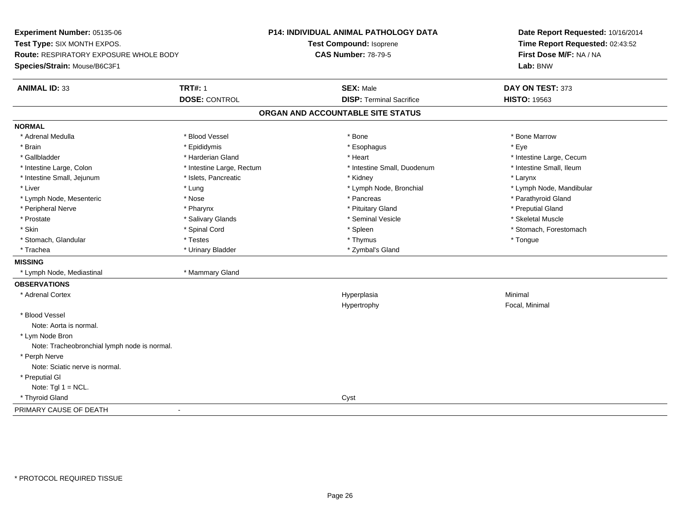**Experiment Number:** 05135-06**Test Type:** SIX MONTH EXPOS.**Route:** RESPIRATORY EXPOSURE WHOLE BODY**Species/Strain:** Mouse/B6C3F1**P14: INDIVIDUAL ANIMAL PATHOLOGY DATATest Compound:** Isoprene**CAS Number:** 78-79-5**Date Report Requested:** 10/16/2014**Time Report Requested:** 02:43:52**First Dose M/F:** NA / NA**Lab:** BNW**ANIMAL ID:** 33**TRT#:** 1 **SEX:** Male **DAY ON TEST:** 373 **DOSE:** CONTROL**DISP:** Terminal Sacrifice **HISTO:** 19563 **ORGAN AND ACCOUNTABLE SITE STATUSNORMAL**\* Adrenal Medulla \* \* \* Blood Vessel \* \* \* Bone Marrow \* \* Bone Marrow \* \* Bone Marrow \* Brain \* \* Expediance \* Epididymis \* \* Expediance \* \* Esophagus \* Expediance \* \* Expediance \* Eye \* Eye \* Gallbladder \* https://www.frage.com/marticle/state-of-state-of-state-of-state-of-state-of-state-of-state-of-state-of-state-of-state-of-state-of-state-of-state-of-state-of-state-of-state-of-state-of-state-of-state-of-stat \* Intestine Small, Ileum \* Intestine Large, Colon \* Intestine Large, Rectum \* Intestine Small, Duodenum \* Intestine Small, Duodenum \* Intestine Small, Jejunum \* \* Microsoft Material and The Small, Jejunum \* Larynx \* Larynx \* Larynx \* Liver which is the settlement of the term of the settlement of the settlement of the settlement of the settlement of the settlement of the settlement of the settlement of the settlement of the settlement of the settlemen \* Lymph Node, Mesenteric \* The state of the state of the state of the state of the state of the state of the state of the state of the state of the state of the state of the state of the state of the state of the state of \* Peripheral Nerve \* \* \* \* Pharynx \* \* Pharynx \* \* \* Preputial Gland \* \* Preputial Gland \* \* Preputial Gland \* Skeletal Muscle \* Prostate \* \* Skeletal Muscle \* \* Salivary Glands \* \* Steminal Vesicle \* \* Seminal Vesicle \* \* Skeletal Muscle \* Skin \* Spinal Cord \* Spinal Cord \* Spinal Cord \* Spinal \* Spinal \* Stomach, Forestomach \* Stomach, Forestomach \* Stomach, Glandular \* \* Thestes \* \* Testes \* \* Thymus \* Thymus \* Thymus \* Thesterius \* Tongue \* Trachea \* Urinary Bladder \* Zymbal's Gland \* Zymbal's Gland **MISSING** \* Lymph Node, Mediastinal \* Mammary Gland**OBSERVATIONS** \* Adrenal Cortexx and the contract of the contract of the contract of the contract of the contract of the contract of the contract of the contract of the contract of the contract of the contract of the contract of the contract of the cont a **Minimal** Hypertrophy Focal, Minimal \* Blood VesselNote: Aorta is normal. \* Lym Node Bron Note: Tracheobronchial lymph node is normal. \* Perph Nerve Note: Sciatic nerve is normal. \* Preputial GlNote:  $Tgl 1 = NCL$ . \* Thyroid Glandd<sub>d</sub> Cyst PRIMARY CAUSE OF DEATH-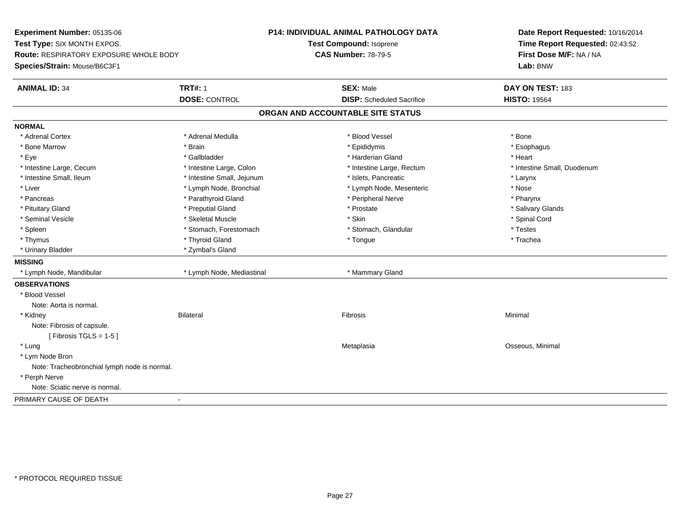**Experiment Number:** 05135-06**Test Type:** SIX MONTH EXPOS.**Route:** RESPIRATORY EXPOSURE WHOLE BODY**Species/Strain:** Mouse/B6C3F1**P14: INDIVIDUAL ANIMAL PATHOLOGY DATATest Compound:** Isoprene**CAS Number:** 78-79-5**Date Report Requested:** 10/16/2014**Time Report Requested:** 02:43:52**First Dose M/F:** NA / NA**Lab:** BNW**ANIMAL ID:** 34 **TRT#:** <sup>1</sup> **SEX:** Male **DAY ON TEST:** <sup>183</sup> **DOSE:** CONTROL**DISP:** Scheduled Sacrifice **HISTO:** 19564 **ORGAN AND ACCOUNTABLE SITE STATUSNORMAL**\* Adrenal Cortex \* Adrenal Cortex \* \* Adrenal Medulla \* \* Adrenal Medulla \* \* Blood Vessel \* \* Brood Vessel \* \* Bone \* Esophagus \* Bone Marrow \* Brain \* Epididymis \* Esophagus \* Eye \* \* Gallbladder \* \* Gallbladder \* \* \* \* Harderian Gland \* \* Heart \* Heart \* Heart \* Heart \* Heart \* Heart \* Intestine Large, Cecum \* Intestine Large, Colon \* Intestine Large, Thestine Large, Rectum \* Intestine Small, Duodenum \* Intestine Small, Ileum \* Thestine Small, Jejunum \* Islets, Pancreatic \* The manus \* Larynx \* Larynx \* Nose \* Liver \* Lymph Node, Bronchial \* Lymph Node, Mesenteric \* November 2014 \* Pharynx \* Pancreas \* Parathyroid Gland \* Peripheral Nerve \* Peripheral Nerve \* Peripheral Nerve \* Salivary Glands \* Pituitary Gland \* \* Then the state \* Preputial Gland \* Prosection \* Prostate \* \* Salivary Glands \* Salivary Glands \* Salivary Glands \* Salivary Glands \* Salivary Glands \* Salivary Glands \* Salivary Glands \* Salivary Glan \* Seminal Vesicle \* \* Spinal Cord \* Skeletal Muscle \* \* Skin \* \* Skin \* \* Spinal Vesicle \* Spinal Cord \* Spinal Cord \* Spleen \* Stomach, Forestomach \* Stomach \* Stomach, Slandular \* Testes \* Testes \* Trachea \* Thymus \* \* The mode of the total term of the total term of the total term of the total term of the total term of the total term of the total term of the total term of the total term of the total term of the total term of \* Urinary Bladder \* Zymbal's Gland**MISSING**\* Lymph Node, Mandibular \* Lymph Node, Mediastinal \* Mammary Gland **OBSERVATIONS** \* Blood VesselNote: Aorta is normal. \* Kidneyy the controller of the Bilateral Controller and the Controller of the Fibrosis of the Controller of Minimal S Note: Fibrosis of capsule. $[$  Fibrosis TGLS = 1-5  $]$  \* Lungg and the contract of the contract of the contract of the Metaplasia contract of the Coseous, Minimal of the contract of the contract of the contract of the contract of the contract of  $\alpha$  of  $\alpha$  of  $\alpha$  of  $\alpha$  of  $\alpha$  \* Lym Node Bron Note: Tracheobronchial lymph node is normal. \* Perph Nerve Note: Sciatic nerve is normal.PRIMARY CAUSE OF DEATH-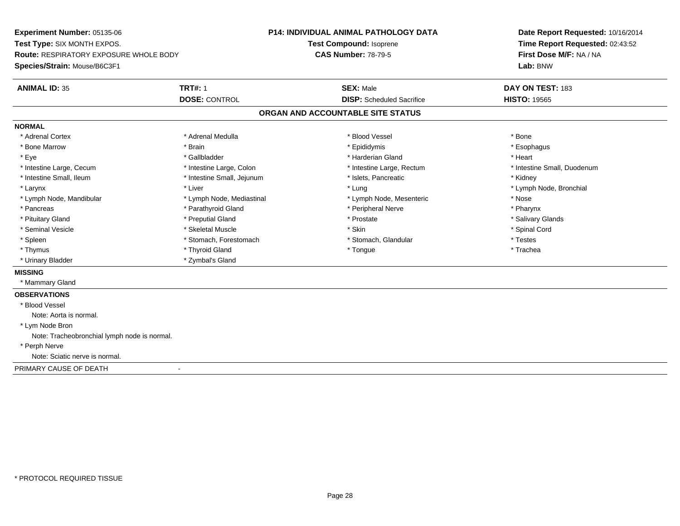**Experiment Number:** 05135-06**Test Type:** SIX MONTH EXPOS.**Route:** RESPIRATORY EXPOSURE WHOLE BODY**Species/Strain:** Mouse/B6C3F1**P14: INDIVIDUAL ANIMAL PATHOLOGY DATATest Compound:** Isoprene**CAS Number:** 78-79-5**Date Report Requested:** 10/16/2014**Time Report Requested:** 02:43:52**First Dose M/F:** NA / NA**Lab:** BNW**ANIMAL ID:** 35**TRT#:** 1 **SEX:** Male **DAY ON TEST:** 183 **DOSE:** CONTROL**DISP:** Scheduled Sacrifice **HISTO:** 19565 **ORGAN AND ACCOUNTABLE SITE STATUSNORMAL**\* Adrenal Cortex \* Adrenal Cortex \* \* Adrenal Medulla \* \* Adrenal Medulla \* \* Blood Vessel \* \* Brood Vessel \* \* Bone \* Esophagus \* Bone Marrow \* Brain \* Epididymis \* Esophagus \* Eye \* \* Gallbladder \* \* Gallbladder \* \* \* \* Harderian Gland \* \* Heart \* Heart \* Heart \* Heart \* Heart \* Heart \* Intestine Large, Cecum \* Intestine Large, Colon \* Intestine Large, Thestine Large, Rectum \* Intestine Small, Duodenum \* Intestine Small, Ileum \* **Alleman \* Intestine Small, Jejunum \***  \* Islets, Pancreatic \* \* \* Kidney \* Kidney \* Larynx \* Louis \* Liver \* Lung \* Lung \* Lung \* Lung \* Lung \* Lymph Node, Bronchial \* Lymph Node, Bronchial \* \* Lymph Node, Mandibular \* The state of the state of the Mediastinal \* Lymph Node, Mesenteric \* Nose \* Pharynx \* Pancreas \* Pancreas \* Parathyroid Gland \* Peripheral Nerve \* Peripheral Nerve \* Salivary Glands \* Pituitary Gland \* \* Then the state \* Preputial Gland \* Prosection \* Prostate \* \* Salivary Glands \* Salivary Glands \* Salivary Glands \* Salivary Glands \* Salivary Glands \* Salivary Glands \* Salivary Glands \* Salivary Glan \* Seminal Vesicle \* \* Spinal Cord \* Skeletal Muscle \* \* Skin \* \* Skin \* \* Spinal Vesicle \* Spinal Cord \* Spinal Cord \* Spleen \* Stomach, Forestomach \* Stomach \* Stomach, Glandular \* Testes \* Testes \* Trachea \* Thymus \* \* The mode of the total term of the total term of the total term of the total term of the total term of the total term of the total term of the total term of the total term of the total term of the total term of \* Urinary Bladder \* Zymbal's Gland**MISSING** \* Mammary Gland**OBSERVATIONS** \* Blood VesselNote: Aorta is normal. \* Lym Node Bron Note: Tracheobronchial lymph node is normal. \* Perph Nerve Note: Sciatic nerve is normal.PRIMARY CAUSE OF DEATH-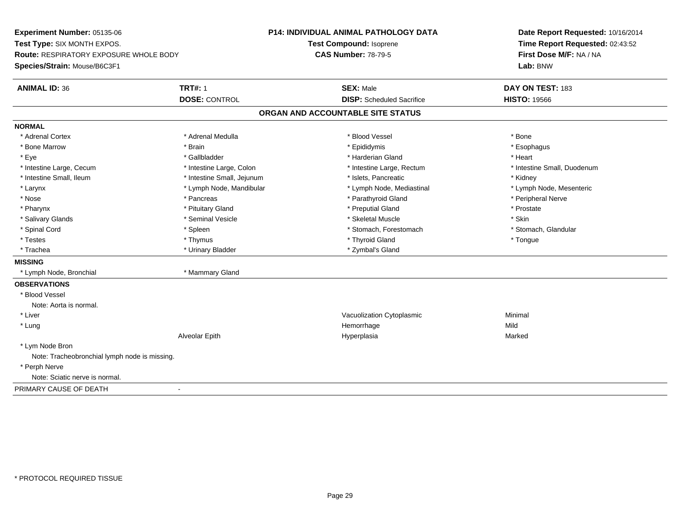**Experiment Number:** 05135-06**Test Type:** SIX MONTH EXPOS.**Route:** RESPIRATORY EXPOSURE WHOLE BODY**Species/Strain:** Mouse/B6C3F1**P14: INDIVIDUAL ANIMAL PATHOLOGY DATATest Compound:** Isoprene**CAS Number:** 78-79-5**Date Report Requested:** 10/16/2014**Time Report Requested:** 02:43:52**First Dose M/F:** NA / NA**Lab:** BNW**ANIMAL ID:** 36**6 TRT#:** 1 **TRT#:** 1 **SEX:** Male **SEX:** Male **DAY ON TEST:** 183 **DOSE:** CONTROL**DISP:** Scheduled Sacrifice **HISTO:** 19566 **ORGAN AND ACCOUNTABLE SITE STATUSNORMAL**\* Adrenal Cortex \* Adrenal Cortex \* \* Adrenal Medulla \* \* Adrenal Medulla \* \* Blood Vessel \* \* Brood Vessel \* \* Bone \* Esophagus \* Bone Marrow \* Brain \* Epididymis \* Esophagus \* Eye \* \* Gallbladder \* \* Gallbladder \* \* \* \* Harderian Gland \* \* Heart \* Heart \* Heart \* Heart \* Heart \* Heart \* Intestine Large, Cecum \* Intestine Large, Colon \* Intestine Large, Rectum \* Intestine Small, Duodenum\* Intestine Small, Ileum \* **Allen and The Accord Accord Test intervents** \* Islets, Pancreatic \* The manus \* Kidney \* Lymph Node, Mesenteric \* Larynx **\*** Lymph Node, Mandibular \* Lymph Node, Mediastinal \* Lymph Node, Mediastinal \* Nose \* \* Pancreas \* \* Pancreas \* \* Pancreas \* \* Parathyroid Gland \* \* Peripheral Nerve \* Peripheral Nerve \* \* Pharynx \* Pituitary Gland \* Preputial Gland \* Prostate \* Salivary Glands \* Seminal Vesicle \* Skeletal Muscle \* Skin\* Stomach, Glandular \* Spinal Cord **\* Stomach, Forestomach \* Spinal Cord \*** Stomach, Forestomach \* Stomach, Forestomach \* Testes \* Thymus \* Thyroid Gland \* Tongue \* Trachea \* Urinary Bladder \* Zymbal's Gland \* Zymbal's Gland **MISSING** \* Lymph Node, Bronchial \* Mammary Gland**OBSERVATIONS** \* Blood VesselNote: Aorta is normal. \* Liver Vacuolization CytoplasmicMinimal<br>Mild \* Lungg and the state of the state of the state of the state of the Hemorrhage state of the Mild state of the Mild state of the State of the State of the State of the State of the State of the State of the State of the State of Alveolar Epith Hyperplasia Marked \* Lym Node Bron Note: Tracheobronchial lymph node is missing. \* Perph Nerve Note: Sciatic nerve is normal.PRIMARY CAUSE OF DEATH-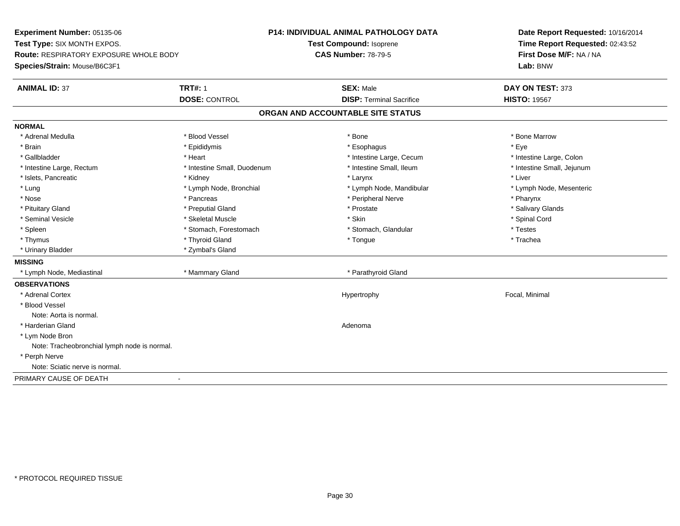**Experiment Number:** 05135-06**Test Type:** SIX MONTH EXPOS.**Route:** RESPIRATORY EXPOSURE WHOLE BODY**Species/Strain:** Mouse/B6C3F1**P14: INDIVIDUAL ANIMAL PATHOLOGY DATATest Compound:** Isoprene**CAS Number:** 78-79-5**Date Report Requested:** 10/16/2014**Time Report Requested:** 02:43:52**First Dose M/F:** NA / NA**Lab:** BNW**ANIMAL ID:** 37**TRT#:** 1 **SEX:** Male **DAY ON TEST:** 373 **DOSE:** CONTROL**DISP:** Terminal Sacrifice **HISTO:** 19567 **ORGAN AND ACCOUNTABLE SITE STATUSNORMAL**\* Adrenal Medulla \* \* \* Blood Vessel \* \* \* Bone Marrow \* \* Bone Marrow \* \* Bone Marrow \* Brain \* \* Expediance \* Epididymis \* \* Expediance \* \* Esophagus \* Expediance \* \* Expediance \* Eye \* Eye \* Intestine Large, Colon \* Gallbladder \* The mode of the state of the state of the state of the state of the state of the state of the state of the state of the state of the state of the state of the state of the state of the state of the state of \* Intestine Small, Jejunum \* Intestine Large, Rectum \* Intestine Small, Duodenum \* Intestine Small, Ileum \* Intestine Small, Ileum \* Islets, Pancreatic \* \* \* Andrew \* Kidney \* \* Kidney \* \* Larynx \* Larynx \* \* Larynx \* \* Liver \* Liver \* Liver \* Lung \* Lymph Node, Bronchial \* Lymph Node, Mandibular \* Lymph Node, Mesenteric\* Nose \* Pancreas \* Peripheral Nerve \* Pharynx \* Salivary Glands \* Pituitary Gland \* \* Then the state \* Preputial Gland \* Prosection \* Prostate \* \* Salivary Glands \* Salivary Glands \* Salivary Glands \* Salivary Glands \* Salivary Glands \* Salivary Glands \* Salivary Glands \* Salivary Glan \* Seminal Vesicle \* \* Spinal Cord \* Skeletal Muscle \* \* Skin \* \* Skin \* \* Spinal Vesicle \* Spinal Cord \* Spinal Cord \* Spleen \* Stomach, Forestomach \* Stomach \* Stomach, Slandular \* Testes \* Testes \* Trachea \* Thymus \* \* The mode of the total term of the total term of the total term of the total term of the total term of the total term of the total term of the total term of the total term of the total term of the total term of \* Urinary Bladder \* Zymbal's Gland**MISSING** \* Lymph Node, Mediastinal \* Mammary Gland \* Parathyroid Gland**OBSERVATIONS** \* Adrenal Cortex Hypertrophy Focal, Minimal \* Blood VesselNote: Aorta is normal. \* Harderian Glandd and a state of the control of the control of the control of the control of the control of the control of the control of the control of the control of the control of the control of the control of the control of the contro \* Lym Node Bron Note: Tracheobronchial lymph node is normal. \* Perph Nerve Note: Sciatic nerve is normal.PRIMARY CAUSE OF DEATH-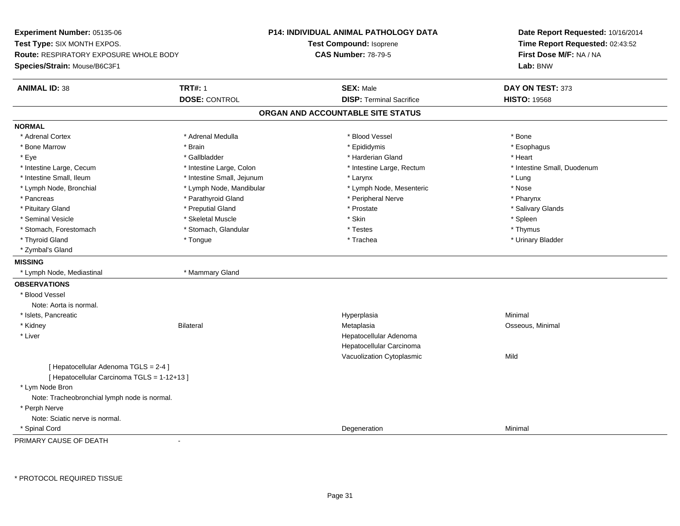**Experiment Number:** 05135-06**Test Type:** SIX MONTH EXPOS.**Route:** RESPIRATORY EXPOSURE WHOLE BODY**Species/Strain:** Mouse/B6C3F1**P14: INDIVIDUAL ANIMAL PATHOLOGY DATATest Compound:** Isoprene**CAS Number:** 78-79-5**Date Report Requested:** 10/16/2014**Time Report Requested:** 02:43:52**First Dose M/F:** NA / NA**Lab:** BNW**ANIMAL ID:** 38**TRT#:** 1 **SEX:** Male **DAY ON TEST:** 373 **DOSE:** CONTROL**DISP:** Terminal Sacrifice **HISTO:** 19568 **ORGAN AND ACCOUNTABLE SITE STATUSNORMAL**\* Adrenal Cortex \* Adrenal Cortex \* \* Adrenal Medulla \* \* Adrenal Medulla \* \* Blood Vessel \* \* Brood Vessel \* \* Bone \* Esophagus \* Bone Marrow \* Brain \* Epididymis \* Esophagus \* Eye \* \* Gallbladder \* \* Gallbladder \* \* \* \* Harderian Gland \* \* Heart \* Heart \* Heart \* Heart \* Heart \* Heart \* Intestine Large, Cecum \* Intestine Large, Colon \* Intestine Large, Thestine Large, Rectum \* Intestine Small, Duodenum \* Intestine Small, Ileum \* https://www.farestine Small, Jejunum \* Larynx \* Larynx \* Larynx \* Larynx \* Lung \* Nose \* Lymph Node, Bronchial \* Lymph Node, Mandibular \* Nosember is the Node, Mesenteric \* Pharynx \* Pancreas \* Parathyroid Gland \* Parathyroid Gland \* Peripheral Nerve \* Salivary Glands \* Pituitary Gland \* \* Then the state \* Preputial Gland \* Prosection \* Prostate \* \* Salivary Glands \* Salivary Glands \* Salivary Glands \* Salivary Glands \* Salivary Glands \* Salivary Glands \* Salivary Glands \* Salivary Glan \* Seminal Vesicle \* \* \* Sheem \* Skeletal Muscle \* \* Stemme \* Skin \* \* Skin \* \* Spleen \* Spleen \* Spleen \* Spleen \* Thymus \* Stomach, Forestomach \* Testes \* Stomach, Glandular \* Testes \* Testes \* Testes \* Testes \* Testes \* Testes \* T \* Urinary Bladder \* Thyroid Gland \* \* The control of the total property and the top of the top of the top of the top of the top of the top of the top of the top of the top of the top of the top of the top of the top of the top of the top of \* Zymbal's Gland**MISSING** \* Lymph Node, Mediastinal \* Mammary Gland**OBSERVATIONS** \* Blood VesselNote: Aorta is normal. \* Islets, Pancreaticc and the control of the control of the control of the control of the control of the control of the control of the control of the control of the control of the control of the control of the control of the control of the co a **Minimal**  \* Kidney Bilateral MetaplasiaMetaplasia **Matagoria and Matagoria and Matagoria and Osseous**, Minimal \* Liver Hepatocellular Adenoma Hepatocellular Carcinoma Vacuolization Cytoplasmicc Mild [ Hepatocellular Adenoma TGLS = 2-4 ][ Hepatocellular Carcinoma TGLS = 1-12+13 ] \* Lym Node Bron Note: Tracheobronchial lymph node is normal. \* Perph Nerve Note: Sciatic nerve is normal. \* Spinal Cordd and the control of the control of the control of the control of the control of the control of the control of the control of the control of the control of the control of the control of the control of the control of the co

PRIMARY CAUSE OF DEATH-

\* PROTOCOL REQUIRED TISSUE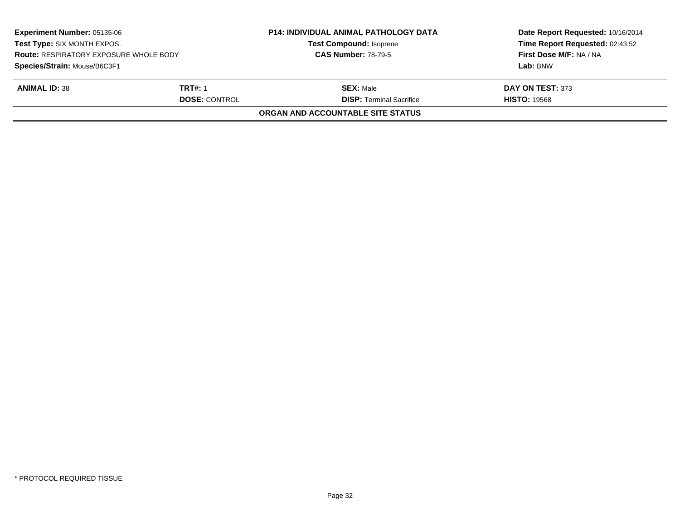| <b>Experiment Number: 05135-06</b><br><b>Test Type: SIX MONTH EXPOS.</b><br><b>Route: RESPIRATORY EXPOSURE WHOLE BODY</b><br>Species/Strain: Mouse/B6C3F1 |                      | <b>P14: INDIVIDUAL ANIMAL PATHOLOGY DATA</b> | Date Report Requested: 10/16/2014<br>Time Report Requested: 02:43:52<br>First Dose M/F: NA / NA |
|-----------------------------------------------------------------------------------------------------------------------------------------------------------|----------------------|----------------------------------------------|-------------------------------------------------------------------------------------------------|
|                                                                                                                                                           |                      | <b>Test Compound: Isoprene</b>               |                                                                                                 |
|                                                                                                                                                           |                      | <b>CAS Number: 78-79-5</b>                   |                                                                                                 |
|                                                                                                                                                           |                      |                                              | Lab: BNW                                                                                        |
| <b>ANIMAL ID: 38</b>                                                                                                                                      | <b>TRT#: 1</b>       | <b>SEX: Male</b>                             | DAY ON TEST: 373                                                                                |
|                                                                                                                                                           | <b>DOSE: CONTROL</b> | <b>DISP: Terminal Sacrifice</b>              | <b>HISTO: 19568</b>                                                                             |
|                                                                                                                                                           |                      | ORGAN AND ACCOUNTABLE SITE STATUS            |                                                                                                 |
|                                                                                                                                                           |                      |                                              |                                                                                                 |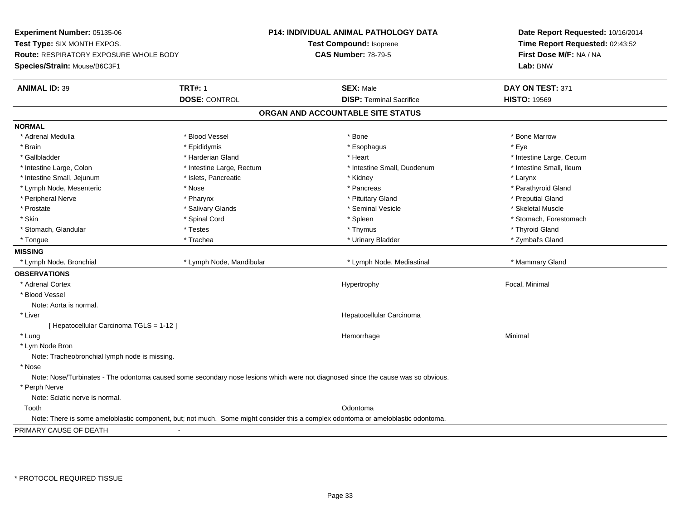**Experiment Number:** 05135-06**Test Type:** SIX MONTH EXPOS.**Route:** RESPIRATORY EXPOSURE WHOLE BODY**Species/Strain:** Mouse/B6C3F1**P14: INDIVIDUAL ANIMAL PATHOLOGY DATATest Compound:** Isoprene**CAS Number:** 78-79-5**Date Report Requested:** 10/16/2014**Time Report Requested:** 02:43:52**First Dose M/F:** NA / NA**Lab:** BNW**ANIMAL ID:** 39 **TRT#:** <sup>1</sup> **SEX:** Male **DAY ON TEST:** <sup>371</sup> **DOSE:** CONTROL**DISP:** Terminal Sacrifice **HISTO:** 19569 **ORGAN AND ACCOUNTABLE SITE STATUSNORMAL**\* Adrenal Medulla \* \* \* Blood Vessel \* \* \* Bone Marrow \* \* Bone Marrow \* \* Bone Marrow \* Brain \* \* Expediance \* Epididymis \* \* Expediance \* \* Esophagus \* Expediance \* \* Expediance \* Eye \* Eye \* Gallbladder \* https://www.frage.com/marticle/state-of-state-of-state-of-state-of-state-of-state-of-state-of-state-of-state-of-state-of-state-of-state-of-state-of-state-of-state-of-state-of-state-of-state-of-state-of-stat \* Intestine Small, Ileum \* Intestine Large, Colon \* Intestine Large, Rectum \* Intestine Small, Duodenum \* Intestine Small, Duodenum \* Intestine Small, Jejunum \* The metal was a structure of the structure of the structure of the structure of the structure of the structure of the structure of the structure of the structure of the structure of the structu \* Parathyroid Gland \* Lymph Node, Mesenteric \* Nose \* Nose \* Nose \* Pancreas \* Pancreas \* Pancreas \* Pancreas \* Pancreas \* Pancreas \* Pancreas \* Pancreas \* Pancreas \* Pancreas \* Pancreas \* Pancreas \* Pancreas \* Pancreas \* Pancreas \* Pancreas \* Peripheral Nerve \* \* \* \* Pharynx \* \* Pharynx \* \* \* Preputial Gland \* \* Preputial Gland \* \* Preputial Gland \* Skeletal Muscle \* Prostate \* \* Skeletal Muscle \* \* Salivary Glands \* \* Steminal Vesicle \* \* Seminal Vesicle \* \* Skeletal Muscle \* Skin \* Spinal Cord \* Spinal Cord \* Spinal Cord \* Spinal \* Spinal \* Stomach, Forestomach \* Stomach, Forestomach \* Stomach, Glandular \* Thyroid Gland \* Testes \* Thyroid Gland \* Thyroid Gland \* Thyroid Gland \* Thyroid Gland \* Zymbal's Gland \* Tongue \* Trachea \* Urinary Bladder \* Zymbal's Gland **MISSING**\* Lymph Node, Bronchial \* Lymph Node, Mandibular \* Lymph Node, Mediastinal \* Mammary Gland **OBSERVATIONS** \* Adrenal Cortex Hypertrophy Focal, Minimal \* Blood VesselNote: Aorta is normal. \* Liver Hepatocellular Carcinoma[ Hepatocellular Carcinoma TGLS = 1-12 ] \* Lungg and the state of the state of the state of the state of the Minimal Section 1, and the state of the state of the state of the state of the state of the state of the state of the state of the state of the state of the sta \* Lym Node Bron Note: Tracheobronchial lymph node is missing. \* Nose Note: Nose/Turbinates - The odontoma caused some secondary nose lesions which were not diagnosed since the cause was so obvious. \* Perph Nerve Note: Sciatic nerve is normal. Toothh ann an t-ainm an t-ainm an t-ainm ann an t-ainm an t-ainm an t-ainm an t-ainm an t-ainm an t-ainm an t-ainm a<br>Iomraidhean Note: There is some ameloblastic component, but; not much. Some might consider this a complex odontoma or ameloblastic odontoma.PRIMARY CAUSE OF DEATH-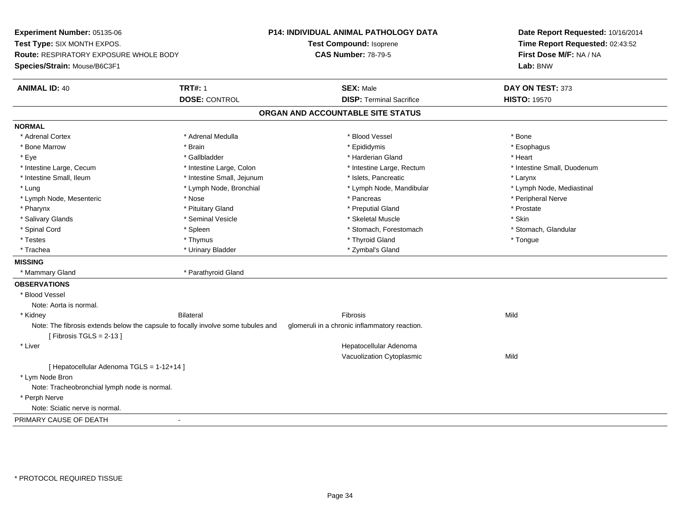**Experiment Number:** 05135-06**Test Type:** SIX MONTH EXPOS.**Route:** RESPIRATORY EXPOSURE WHOLE BODY**Species/Strain:** Mouse/B6C3F1**P14: INDIVIDUAL ANIMAL PATHOLOGY DATATest Compound:** Isoprene**CAS Number:** 78-79-5**Date Report Requested:** 10/16/2014**Time Report Requested:** 02:43:52**First Dose M/F:** NA / NA**Lab:** BNW**ANIMAL ID:** 40**TRT#:** 1 **SEX:** Male **DAY ON TEST:** 373 **DOSE:** CONTROL**DISP:** Terminal Sacrifice **HISTO:** 19570 **ORGAN AND ACCOUNTABLE SITE STATUSNORMAL**\* Adrenal Cortex \* Adrenal Cortex \* \* Adrenal Medulla \* \* Adrenal Medulla \* \* Blood Vessel \* \* Brood Vessel \* \* Bone \* Esophagus \* Bone Marrow \* Brain \* Epididymis \* Esophagus \* Eye \* \* Gallbladder \* \* Gallbladder \* \* \* \* Harderian Gland \* \* Heart \* Heart \* Heart \* Heart \* Heart \* Heart \* Intestine Large, Cecum \* Intestine Large, Colon \* Intestine Large, Thestine Large, Rectum \* Intestine Small, Duodenum \* Intestine Small, Ileum \* Intestine Small, Jejunum \* Islets, Pancreatic \* Larynx\* Lymph Node, Mediastinal \* Lung \* Lymph Node, Bronchial \* Lymph Node, Mandibular \* Lymph Node, Mandibular \* Lymph Node, Mesenteric \* The state of the state of the state of the state of the state of the state of the state of the state of the state of the state of the state of the state of the state of the state of the state of \* Pharynx \* Pituitary Gland \* Preputial Gland \* Prostate \* Salivary Glands \* Seminal Vesicle \* Skeletal Muscle \* Skin\* Stomach, Glandular \* Spinal Cord **\* Stomach, Forestomach \* Spinal Cord \*** Stomach, Forestomach \* Stomach, Forestomach \* Testes \* Thymus \* Thyroid Gland \* Tongue \* Trachea \* Urinary Bladder \* Zymbal's Gland \* Zymbal's Gland \* Zymbal's Gland **MISSING**\* Mammary Gland \* Parathyroid Gland **OBSERVATIONS** \* Blood VesselNote: Aorta is normal. \* Kidney Bilateral Fibrosis MildNote: The fibrosis extends below the capsule to focally involve some tubules and glomeruli in a chronic inflammatory reaction.  $[$  Fibrosis TGLS = 2-13  $]$  \* Liver Hepatocellular Adenoma Vacuolization Cytoplasmicc Mild [ Hepatocellular Adenoma TGLS = 1-12+14 ] \* Lym Node Bron Note: Tracheobronchial lymph node is normal. \* Perph Nerve Note: Sciatic nerve is normal.PRIMARY CAUSE OF DEATH-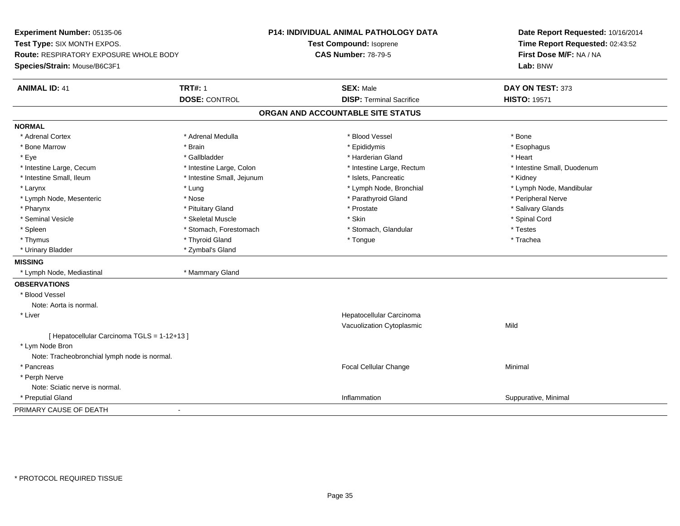**Experiment Number:** 05135-06**Test Type:** SIX MONTH EXPOS.**Route:** RESPIRATORY EXPOSURE WHOLE BODY**Species/Strain:** Mouse/B6C3F1**P14: INDIVIDUAL ANIMAL PATHOLOGY DATATest Compound:** Isoprene**CAS Number:** 78-79-5**Date Report Requested:** 10/16/2014**Time Report Requested:** 02:43:52**First Dose M/F:** NA / NA**Lab:** BNW**ANIMAL ID:** 41**TRT#:** 1 **SEX:** Male **DAY ON TEST:** 373 **DOSE:** CONTROL**DISP:** Terminal Sacrifice **HISTO:** 19571 **ORGAN AND ACCOUNTABLE SITE STATUSNORMAL**\* Adrenal Cortex \* Adrenal Cortex \* \* Adrenal Medulla \* \* Adrenal Medulla \* \* Blood Vessel \* \* Brood Vessel \* \* Bone \* Esophagus \* Bone Marrow \* Brain \* Epididymis \* Esophagus \* Eye \* \* Gallbladder \* \* Gallbladder \* \* \* \* Harderian Gland \* \* Heart \* Heart \* Heart \* Heart \* Heart \* Heart \* Intestine Large, Cecum \* Intestine Large, Colon \* Intestine Large, Thestine Large, Rectum \* Intestine Small, Duodenum \* Intestine Small, Ileum \* Thestine Small, Jejunum \* 1998, Pancreatic \* Kidney \* Kidney \* Kidney \* Kidney \* Larynx \* Lung \* Lymph Node, Bronchial \* Lymph Node, Mandibular \* Lymph Node, Mesenteric \* The state of the state of the state of the state of the state of the state of the state of the state of the state of the state of the state of the state of the state of the state of the state of \* Salivary Glands \* Pharynx \* That was also to the set of the set of the set of the set of the set of the set of the set of the set of the set of the set of the set of the set of the set of the set of the set of the set of the set of the se \* Seminal Vesicle \* \* Spinal Cord \* Skeletal Muscle \* \* Skin \* \* Skin \* \* Spinal Vesicle \* Spinal Cord \* Spinal Cord \* Spleen \* Stomach, Forestomach \* Stomach \* Stomach, Slandular \* Testes \* Testes \* Trachea \* Thymus \* \* The mode of the total term of the total term of the total term of the total term of the total term of the total term of the total term of the total term of the total term of the total term of the total term of \* Urinary Bladder \* Zymbal's Gland**MISSING** \* Lymph Node, Mediastinal \* Mammary Gland**OBSERVATIONS** \* Blood VesselNote: Aorta is normal. \* Liver Hepatocellular Carcinoma Vacuolization Cytoplasmicc Mild [ Hepatocellular Carcinoma TGLS = 1-12+13 ] \* Lym Node Bron Note: Tracheobronchial lymph node is normal. \* Pancreas Focal Cellular Changee Minimal \* Perph Nerve Note: Sciatic nerve is normal. \* Preputial Glandd and the control of the control of the control of the control of the control of the control of the control of the control of the control of the control of the control of the control of the control of the control of the co PRIMARY CAUSE OF DEATH-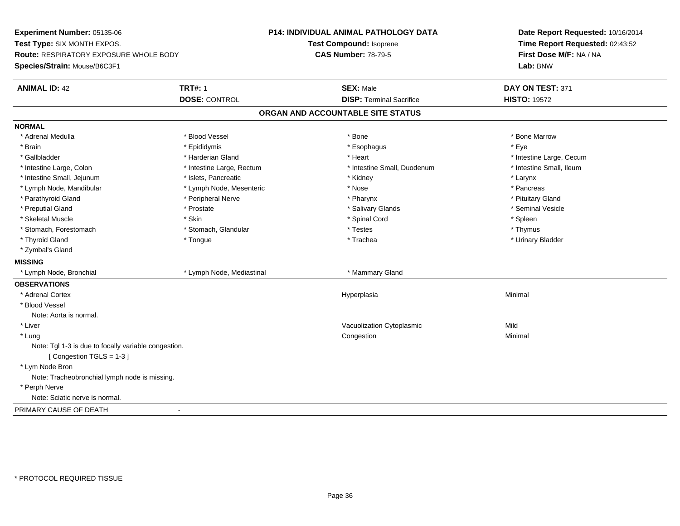**Experiment Number:** 05135-06**Test Type:** SIX MONTH EXPOS.**Route:** RESPIRATORY EXPOSURE WHOLE BODY**Species/Strain:** Mouse/B6C3F1**P14: INDIVIDUAL ANIMAL PATHOLOGY DATATest Compound:** Isoprene**CAS Number:** 78-79-5**Date Report Requested:** 10/16/2014**Time Report Requested:** 02:43:52**First Dose M/F:** NA / NA**Lab:** BNW**ANIMAL ID:** 42 **TRT#:** <sup>1</sup> **SEX:** Male **DAY ON TEST:** <sup>371</sup> **DOSE:** CONTROL**DISP:** Terminal Sacrifice **HISTO:** 19572 **ORGAN AND ACCOUNTABLE SITE STATUSNORMAL**\* Adrenal Medulla \* \* \* Blood Vessel \* \* \* Bone Marrow \* \* Bone Marrow \* \* Bone Marrow \* Brain \* \* Expediance \* Epididymis \* \* Expediance \* \* Esophagus \* Expediance \* \* Expediance \* Eye \* Eye \* Gallbladder \* https://www.frage.com/marticle/state-of-state-of-state-of-state-of-state-of-state-of-state-of-state-of-state-of-state-of-state-of-state-of-state-of-state-of-state-of-state-of-state-of-state-of-state-of-stat \* Intestine Small, Ileum \* Intestine Large, Colon \* Intestine Large, Rectum \* Intestine Small, Duodenum \* Intestine Small, Duodenum \* Intestine Small, Jejunum \* The metal was a structure of the structure of the structure of the structure of the structure of the structure of the structure of the structure of the structure of the structure of the structu \* Pancreas \* Lymph Node, Mandibular \* Nose \* Lymph Node, Mesenteric \* Nose \* Nose \* Pituitary Gland \* Parathyroid Gland \* **Arror and \* Peripheral Nerve \* Pharynx \* Pharynx \* Pharynx** \* Pharynx \* Seminal Vesicle \* Preputial Gland \* \* Annual vesicle \* \* Prostate \* \* Salivary Glands \* \* Salivary Glands \* \* Seminal Vesicle \* \* Skeletal Muscle \* Skin \* Spinal Cord \* Spleen \* Thymus \* Stomach, Forestomach \* Testes \* Stomach, Glandular \* Testes \* Testes \* Testes \* Testes \* Testes \* Testes \* T \* Urinary Bladder \* Thyroid Gland \* \* The control of the total property and the top of the top of the top of the top of the top of the top of the top of the top of the top of the top of the top of the top of the top of the top of the top of \* Zymbal's Gland**MISSING**\* Lymph Node, Bronchial \* Lymph Node, Mediastinal \* Mammary Gland **OBSERVATIONS** \* Adrenal Cortexx and the contract of the contract of the contract of the contract of the contract of the contract of the contract of the contract of the contract of the contract of the contract of the contract of the contract of the cont a **Minimal**  \* Blood VesselNote: Aorta is normal. \* Liver Vacuolization Cytoplasmicc Mild Minimal \* Lungg and the congestion of the congestion of the congestion of the congestion of the congestion of the congestion Note: Tgl 1-3 is due to focally variable congestion.[ Congestion TGLS = 1-3 ] \* Lym Node Bron Note: Tracheobronchial lymph node is missing. \* Perph Nerve Note: Sciatic nerve is normal.PRIMARY CAUSE OF DEATH-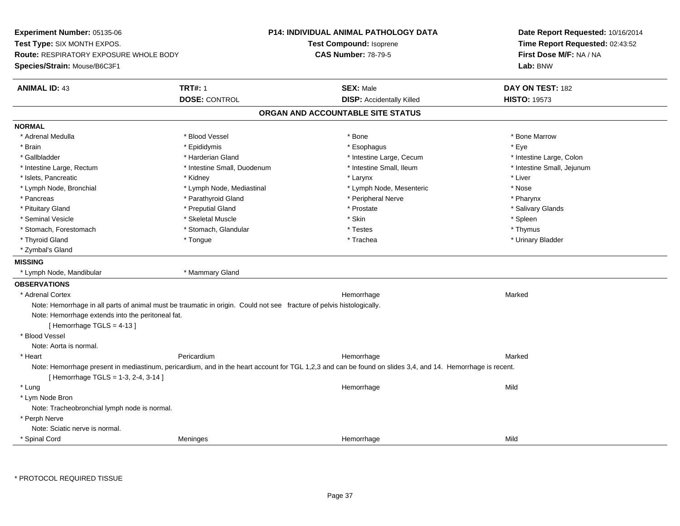**Experiment Number:** 05135-06**Test Type:** SIX MONTH EXPOS.**Route:** RESPIRATORY EXPOSURE WHOLE BODY**Species/Strain:** Mouse/B6C3F1**P14: INDIVIDUAL ANIMAL PATHOLOGY DATATest Compound:** Isoprene**CAS Number:** 78-79-5**Date Report Requested:** 10/16/2014**Time Report Requested:** 02:43:52**First Dose M/F:** NA / NA**Lab:** BNW**ANIMAL ID:** 43**TRT#:** 1 **SEX:** Male **DAY ON TEST:** 182 **DOSE:** CONTROL**DISP:** Accidentally Killed **HISTO:** 19573 **ORGAN AND ACCOUNTABLE SITE STATUSNORMAL**\* Adrenal Medulla \* \* \* Blood Vessel \* \* \* Bone Marrow \* \* Bone Marrow \* \* Bone Marrow \* Brain \* \* Expediance \* Epididymis \* \* Expediance \* \* Esophagus \* Expediance \* \* Expediance \* Eye \* Eye \* Intestine Large, Colon \* Gallbladder \* The state of the state of the state of the state of the state of the state of the state of the state of the state of the state of the state of the state of the state of the state of the state of the state o \* Intestine Small, Jejunum \* Intestine Large, Rectum \* Intestine Small, Duodenum \* Intestine Small, Duodenum \* \* Intestine Small, Ileum \* Islets, Pancreatic \* \* \* Andrew \* Kidney \* \* Kidney \* \* Larynx \* Larynx \* \* Larynx \* \* Liver \* Liver \* Liver \* Lymph Node, Bronchial \* Lymph Node, Mediastinal \* Lymph Node, Mesenteric \* Nose\* Pharynx \* Pancreas \* Parathyroid Gland \* Parathyroid Gland \* Peripheral Nerve \* Salivary Glands \* Pituitary Gland \* \* Then the state \* Preputial Gland \* Prosection \* Prostate \* \* Salivary Glands \* Salivary Glands \* Salivary Glands \* Salivary Glands \* Salivary Glands \* Salivary Glands \* Salivary Glands \* Salivary Glan \* Seminal Vesicle \* \* \* Sheem \* Skeletal Muscle \* \* Stemme \* Skin \* \* Skin \* \* Spleen \* Spleen \* Spleen \* Spleen \* Thymus \* Stomach, Forestomach \* Testes \* Stomach, Glandular \* Testes \* Testes \* Testes \* Testes \* Testes \* Testes \* T \* Urinary Bladder \* Thyroid Gland \* \* The control of the total property and the top of the top of the top of the top of the top of the top of the top of the top of the top of the top of the top of the top of the top of the top of the top of \* Zymbal's Gland**MISSING** \* Lymph Node, Mandibular \* Mammary Gland**OBSERVATIONS** \* Adrenal Cortex**x Hemorrhage** e Marked Marked Note: Hemorrhage in all parts of animal must be traumatic in origin. Could not see fracture of pelvis histologically.Note: Hemorrhage extends into the peritoneal fat.[ Hemorrhage TGLS = 4-13 ] \* Blood VesselNote: Aorta is normal. \* Heart Pericardium Hemorrhage Marked Note: Hemorrhage present in mediastinum, pericardium, and in the heart account for TGL 1,2,3 and can be found on slides 3,4, and 14. Hemorrhage is recent. $[$  Hemorrhage TGLS = 1-3, 2-4, 3-14  $]$  \* Lungg and the state of the state of the state of the state of the Hemorrhage state of the Mild state of the Mild state of the State of the State of the State of the State of the State of the State of the State of the State of \* Lym Node Bron Note: Tracheobronchial lymph node is normal. \* Perph Nerve Note: Sciatic nerve is normal. \* Spinal Cordd and the Meninges and the Meninges of the Meninge of the Mild and the Mild and the Mild and the Mild and the Mild and the Mild and the Mild and the Mild and the Mild and the Mild and the Mild and the Mild and the Mild and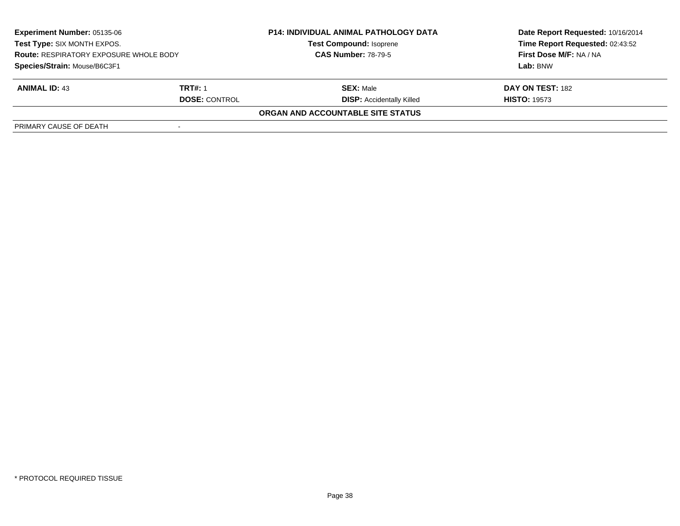| <b>Experiment Number: 05135-06</b><br>Test Type: SIX MONTH EXPOS.<br><b>Route: RESPIRATORY EXPOSURE WHOLE BODY</b><br>Species/Strain: Mouse/B6C3F1 |                | <b>P14: INDIVIDUAL ANIMAL PATHOLOGY DATA</b><br><b>Test Compound: Isoprene</b><br><b>CAS Number: 78-79-5</b> | Date Report Requested: 10/16/2014 |
|----------------------------------------------------------------------------------------------------------------------------------------------------|----------------|--------------------------------------------------------------------------------------------------------------|-----------------------------------|
|                                                                                                                                                    |                |                                                                                                              | Time Report Requested: 02:43:52   |
|                                                                                                                                                    |                |                                                                                                              | <b>First Dose M/F: NA / NA</b>    |
|                                                                                                                                                    |                |                                                                                                              | Lab: BNW                          |
| <b>ANIMAL ID: 43</b>                                                                                                                               | <b>TRT#: 1</b> | <b>SEX: Male</b>                                                                                             | DAY ON TEST: 182                  |
| <b>DOSE: CONTROL</b>                                                                                                                               |                | <b>DISP:</b> Accidentally Killed                                                                             | <b>HISTO: 19573</b>               |
|                                                                                                                                                    |                | ORGAN AND ACCOUNTABLE SITE STATUS                                                                            |                                   |
| PRIMARY CAUSE OF DEATH                                                                                                                             |                |                                                                                                              |                                   |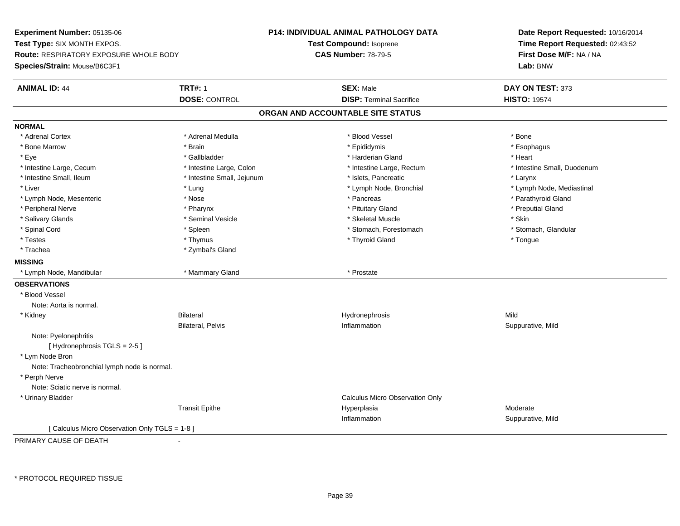**Experiment Number:** 05135-06**Test Type:** SIX MONTH EXPOS.**Route:** RESPIRATORY EXPOSURE WHOLE BODY**Species/Strain:** Mouse/B6C3F1**P14: INDIVIDUAL ANIMAL PATHOLOGY DATATest Compound:** Isoprene**CAS Number:** 78-79-5**Date Report Requested:** 10/16/2014**Time Report Requested:** 02:43:52**First Dose M/F:** NA / NA**Lab:** BNW**ANIMAL ID:** 44**TRT#:** 1 **SEX:** Male **DAY ON TEST:** 373 **DOSE:** CONTROL**DISP:** Terminal Sacrifice **HISTO:** 19574 **ORGAN AND ACCOUNTABLE SITE STATUSNORMAL**\* Adrenal Cortex \* Adrenal Cortex \* \* Adrenal Medulla \* \* Adrenal Medulla \* \* Blood Vessel \* \* Brood Vessel \* \* Bone \* Esophagus \* Bone Marrow \* Brain \* Epididymis \* Esophagus \* Eye \* \* Gallbladder \* \* Gallbladder \* \* \* \* Harderian Gland \* \* Heart \* Heart \* Heart \* Heart \* Heart \* Heart \* Intestine Large, Cecum \* Intestine Large, Colon \* Intestine Large, Thestine Large, Rectum \* Intestine Small, Duodenum \* Intestine Small, Ileum \* Intestine Small, Jejunum \* Islets, Pancreatic \* Larynx\* Liver which is the settlement of the settlement of the settlement of the settlement of the settlement of the settlement of the settlement of the settlement of the settlement of the settlement of the settlement of the set \* Lymph Node, Mesenteric \* Nose \* Pancreas \* Parathyroid Gland\* Peripheral Nerve \* \* \* \* Pharynx \* \* Pharynx \* \* \* Preputial Gland \* \* Preputial Gland \* \* Preputial Gland \* Salivary Glands \* Seminal Vesicle \* Skeletal Muscle \* Skin\* Stomach, Glandular \* Spinal Cord **\* Stomach, Forestomach \* Spinal Cord \*** Stomach, Forestomach \* Stomach, Forestomach \* Testes \* Thymus \* Thyroid Gland \* Tongue \* Trachea \* Zymbal's Gland**MISSING** \* Lymph Node, Mandibular \* Mammary Gland \* Prostate**OBSERVATIONS** \* Blood VesselNote: Aorta is normal. \* Kidney Bilateral Hydronephrosis Mildn Suppurative, Mild Bilateral, Pelvis InflammationNote: Pyelonephritis[Hydronephrosis TGLS = 2-5] \* Lym Node Bron Note: Tracheobronchial lymph node is normal. \* Perph Nerve Note: Sciatic nerve is normal. \* Urinary Bladder Calculus Micro Observation OnlyTransit Epithee and the Hyperplasia measurement of the Moderate of the Moderate of the Moderate  $\mathsf{M}$ Inflammation Suppurative, Mild [ Calculus Micro Observation Only TGLS = 1-8 ]

PRIMARY CAUSE OF DEATH-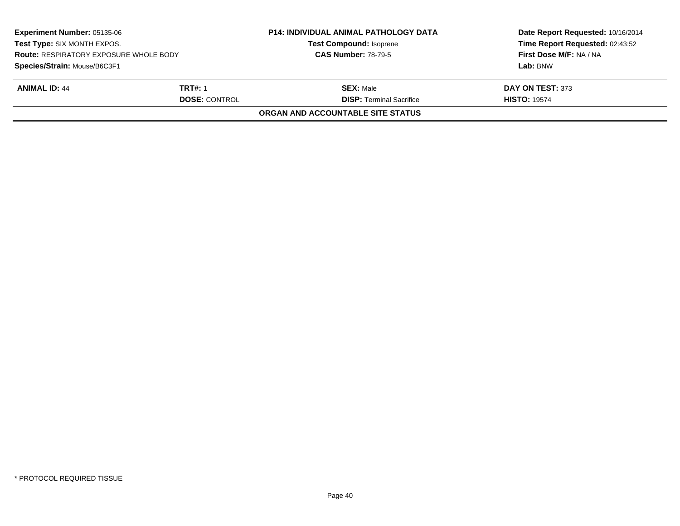| <b>Experiment Number: 05135-06</b><br>Test Type: SIX MONTH EXPOS.<br><b>Route: RESPIRATORY EXPOSURE WHOLE BODY</b><br>Species/Strain: Mouse/B6C3F1 |  | <b>P14: INDIVIDUAL ANIMAL PATHOLOGY DATA</b><br><b>Test Compound: Isoprene</b><br><b>CAS Number: 78-79-5</b> | Date Report Requested: 10/16/2014<br>Time Report Requested: 02:43:52<br>First Dose M/F: NA / NA |                                 |                     |
|----------------------------------------------------------------------------------------------------------------------------------------------------|--|--------------------------------------------------------------------------------------------------------------|-------------------------------------------------------------------------------------------------|---------------------------------|---------------------|
|                                                                                                                                                    |  |                                                                                                              |                                                                                                 |                                 | Lab: BNW            |
|                                                                                                                                                    |  |                                                                                                              |                                                                                                 | <b>ANIMAL ID: 44</b>            | <b>TRT#: 1</b>      |
|                                                                                                                                                    |  |                                                                                                              | <b>DOSE: CONTROL</b>                                                                            | <b>DISP: Terminal Sacrifice</b> | <b>HISTO: 19574</b> |
|                                                                                                                                                    |  | ORGAN AND ACCOUNTABLE SITE STATUS                                                                            |                                                                                                 |                                 |                     |
|                                                                                                                                                    |  |                                                                                                              |                                                                                                 |                                 |                     |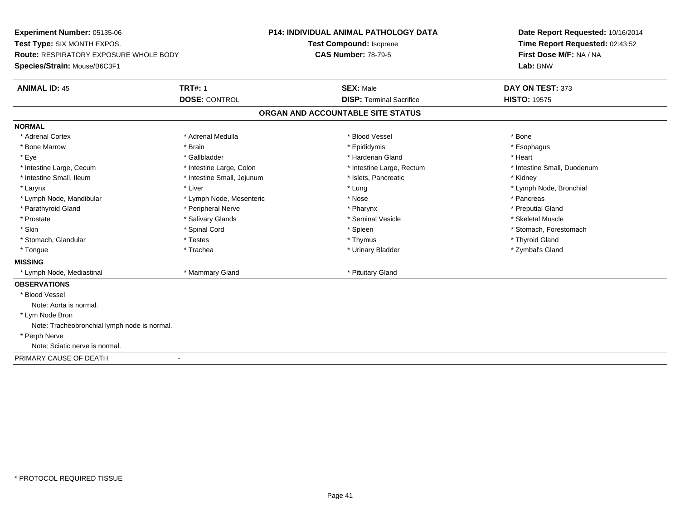**Experiment Number:** 05135-06**Test Type:** SIX MONTH EXPOS.**Route:** RESPIRATORY EXPOSURE WHOLE BODY**Species/Strain:** Mouse/B6C3F1**P14: INDIVIDUAL ANIMAL PATHOLOGY DATATest Compound:** Isoprene**CAS Number:** 78-79-5**Date Report Requested:** 10/16/2014**Time Report Requested:** 02:43:52**First Dose M/F:** NA / NA**Lab:** BNW**ANIMAL ID:** 45 **TRT#:** <sup>1</sup> **SEX:** Male **DAY ON TEST:** <sup>373</sup> **DOSE:** CONTROL**DISP:** Terminal Sacrifice **HISTO:** 19575 **ORGAN AND ACCOUNTABLE SITE STATUSNORMAL**\* Adrenal Cortex \* Adrenal Cortex \* \* Adrenal Medulla \* \* Adrenal Medulla \* \* Blood Vessel \* \* Brood Vessel \* \* Bone \* Esophagus \* Bone Marrow \* Brain \* Epididymis \* Esophagus \* Eye \* \* Gallbladder \* \* Gallbladder \* \* \* \* Harderian Gland \* \* Heart \* Heart \* Heart \* Heart \* Heart \* Heart \* Intestine Large, Cecum \* Intestine Large, Colon \* Intestine Large, Thestine Large, Rectum \* Intestine Small, Duodenum \* Intestine Small, Ileum \* Thestine Small, Jejunum \* 1998, Pancreatic \* Kidney \* Kidney \* Kidney \* Kidney \* Larynx \* Louis \* Liver \* Lung \* Lung \* Lung \* Lung \* Lung \* Lymph Node, Bronchial \* Lymph Node, Bronchial \* \* Lymph Node, Mandibular \* The state of the second text of the second text of the second text of the second version of the second of the second version of the second version of the second version of the second version of t \* Preputial Gland \* Parathyroid Gland \* **Example 20** \* Peripheral Nerve \* Pharynx \* Pharynx \* Pharynx \* Skeletal Muscle \* Prostate \* \* Skeletal Muscle \* \* Salivary Glands \* \* Steminal Vesicle \* \* Seminal Vesicle \* \* Skeletal Muscle \* Skin \* Spinal Cord \* Spinal Cord \* Spinal Cord \* Spinal \* Spinal \* Stomach, Forestomach \* Stomach, Forestomach \* Stomach, Glandular \* \* \* Thyroid Glandular \* Thestes \* \* Thymus \* Thymus \* Thyroid Glandular \* Thyroid Gland \* Zymbal's Gland \* Tongue \* Trachea \* Urinary Bladder \* Zymbal's Gland **MISSING**\* Lymph Node, Mediastinal **\* Mammary Gland \* Pituitary Gland** \* Pituitary Gland \* Pituitary Gland \* P **OBSERVATIONS** \* Blood VesselNote: Aorta is normal. \* Lym Node Bron Note: Tracheobronchial lymph node is normal. \* Perph Nerve Note: Sciatic nerve is normal.PRIMARY CAUSE OF DEATH-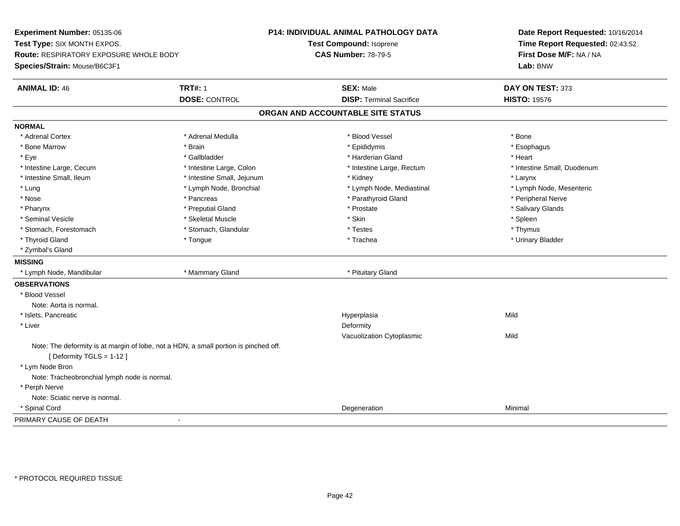**Experiment Number:** 05135-06**Test Type:** SIX MONTH EXPOS.**Route:** RESPIRATORY EXPOSURE WHOLE BODY**Species/Strain:** Mouse/B6C3F1**P14: INDIVIDUAL ANIMAL PATHOLOGY DATATest Compound:** Isoprene**CAS Number:** 78-79-5**Date Report Requested:** 10/16/2014**Time Report Requested:** 02:43:52**First Dose M/F:** NA / NA**Lab:** BNW**ANIMAL ID:** 46**6 TRT#:** 1 **TRT#:** 1 **SEX:** Male **SEX:** Male **DAY ON TEST:** 373 **DOSE:** CONTROL**DISP:** Terminal Sacrifice **HISTO:** 19576 **ORGAN AND ACCOUNTABLE SITE STATUSNORMAL**\* Adrenal Cortex \* Adrenal Cortex \* \* Adrenal Medulla \* \* Adrenal Medulla \* \* Blood Vessel \* \* Brood Vessel \* \* Bone \* Esophagus \* Bone Marrow \* Brain \* Epididymis \* Esophagus \* Eye \* \* Gallbladder \* \* Gallbladder \* \* \* \* Harderian Gland \* \* Heart \* Heart \* Heart \* Heart \* Heart \* Heart \* Intestine Large, Cecum \* Intestine Large, Colon \* Intestine Large, Rectum \* Intestine Small, Duodenum \* Intestine Small, Ileum \* Intestine Small, Jejunum \* Kidney \* Larynx\* Lymph Node, Mesenteric \* Lung \* Lymph Node, Bronchial \* Lymph Node, and \* Lymph Node, Mediastinal \* Lymph Node, Mediastinal \* Nose \* \* Pancreas \* \* Pancreas \* \* Pancreas \* \* Parathyroid Gland \* \* Peripheral Nerve \* Peripheral Nerve \* \* Salivary Glands \* Pharynx \* That was the second to the second that the second term in the second term in the second term in the second term in the second term in the second term in the second term in the second term in the second term in \* Seminal Vesicle \* \* \* Sheem \* Skeletal Muscle \* \* Stemme \* Skin \* \* Skin \* \* Spleen \* Spleen \* Spleen \* Spleen \* Thymus \* Stomach, Forestomach \* Testes \* Stomach, Glandular \* Testes \* Testes \* Testes \* Testes \* Testes \* Testes \* T \* Urinary Bladder \* Thyroid Gland \* \* The control of the total property and the top of the top of the top of the top of the top of the top of the top of the top of the top of the top of the top of the top of the top of the top of the top of \* Zymbal's Gland**MISSING**\* Lymph Node, Mandibular \* Mammary Gland \* Mammary Gland \* Pituitary Gland \* Pituitary Gland \* Pituitary Gland **OBSERVATIONS** \* Blood VesselNote: Aorta is normal. \* Islets, Pancreaticc and the contract of the contract of the contract of the contract of the contract of the contract of the contract of the contract of the contract of the contract of the contract of the contract of the contract of the cont a Mild \* Liverr and the control of the control of the control of the control of the control of the control of the control of the control of the control of the control of the control of the control of the control of the control of the co Vacuolization Cytoplasmicc Mild Note: The deformity is at margin of lobe, not a HDN, a small portion is pinched off.[ Deformity TGLS = 1-12 ] \* Lym Node Bron Note: Tracheobronchial lymph node is normal. \* Perph Nerve Note: Sciatic nerve is normal. \* Spinal Cordd and the control of the control of the control of the control of the control of the control of the control of the control of the control of the control of the control of the control of the control of the control of the co PRIMARY CAUSE OF DEATH-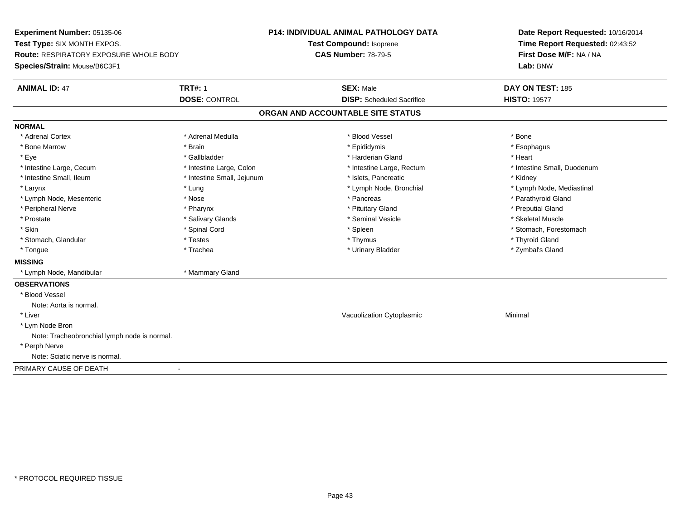**Experiment Number:** 05135-06**Test Type:** SIX MONTH EXPOS.**Route:** RESPIRATORY EXPOSURE WHOLE BODY**Species/Strain:** Mouse/B6C3F1**P14: INDIVIDUAL ANIMAL PATHOLOGY DATATest Compound:** Isoprene**CAS Number:** 78-79-5**Date Report Requested:** 10/16/2014**Time Report Requested:** 02:43:52**First Dose M/F:** NA / NA**Lab:** BNW**ANIMAL ID:** 47**TRT#:** 1 **SEX:** Male **DAY ON TEST:** 185 **DOSE:** CONTROL**DISP:** Scheduled Sacrifice **HISTO:** 19577 **ORGAN AND ACCOUNTABLE SITE STATUSNORMAL**\* Adrenal Cortex \* Adrenal Cortex \* \* Adrenal Medulla \* \* Adrenal Medulla \* \* Blood Vessel \* \* Brood Vessel \* \* Bone \* Esophagus \* Bone Marrow \* Brain \* Epididymis \* Esophagus \* Eye \* \* Gallbladder \* \* Gallbladder \* \* \* \* Harderian Gland \* \* Heart \* Heart \* Heart \* Heart \* Heart \* Heart \* Intestine Large, Cecum \* Intestine Large, Colon \* Intestine Large, Thestine Large, Rectum \* Intestine Small, Duodenum \* Intestine Small, Ileum \* Thestine Small, Jejunum \* 1998, Pancreatic \* Kidney \* Kidney \* Kidney \* Kidney \* Larynx \* Lymph Node, Bronchial \* Lymph Node, Bronchial \* Lymph Node, et al. \* Lymph Node, Mediastinal \* Lymph Node, Mediastinal \* Lymph Node, Mediastinal \* Lymph Node, Mediastinal \* Lymph Node, Mediastinal \* Lymph Node, \* Lymph Node, Mesenteric \* The state of the state of the state of the state of the state of the state of the state of the state of the state of the state of the state of the state of the state of the state of the state of \* Peripheral Nerve \* \* \* \* Pharynx \* \* Pharynx \* \* \* Preputial Gland \* \* Preputial Gland \* \* Preputial Gland \* Skeletal Muscle \* Prostate \* \* Skeletal Muscle \* \* Salivary Glands \* \* Steminal Vesicle \* \* Seminal Vesicle \* \* Skeletal Muscle \* Skin \* Spinal Cord \* Spinal Cord \* Spinal Cord \* Spinal \* Spinal \* Stomach, Forestomach \* Stomach, Forestomach \* Stomach, Glandular \* \* \* Thyroid Glandular \* Thestes \* \* Thymus \* Thymus \* Thyroid Glandular \* Thyroid Gland \* Zymbal's Gland \* Tongue \* Trachea \* Urinary Bladder \* Zymbal's Gland **MISSING** \* Lymph Node, Mandibular \* Mammary Gland**OBSERVATIONS** \* Blood VesselNote: Aorta is normal. \* Liver Vacuolization Cytoplasmic Minimal \* Lym Node Bron Note: Tracheobronchial lymph node is normal. \* Perph Nerve Note: Sciatic nerve is normal.PRIMARY CAUSE OF DEATH-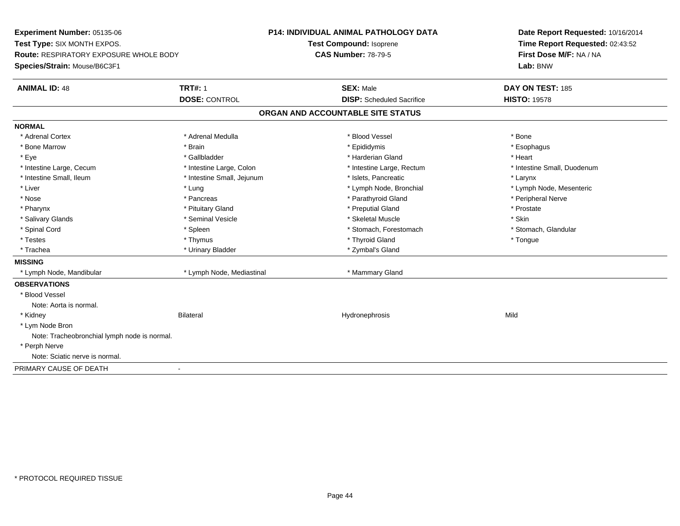**Experiment Number:** 05135-06**Test Type:** SIX MONTH EXPOS.**Route:** RESPIRATORY EXPOSURE WHOLE BODY**Species/Strain:** Mouse/B6C3F1**P14: INDIVIDUAL ANIMAL PATHOLOGY DATATest Compound:** Isoprene**CAS Number:** 78-79-5**Date Report Requested:** 10/16/2014**Time Report Requested:** 02:43:52**First Dose M/F:** NA / NA**Lab:** BNW**ANIMAL ID:** 48**TRT#:** 1 **SEX:** Male **DAY ON TEST:** 185 **DOSE:** CONTROL**DISP:** Scheduled Sacrifice **HISTO:** 19578 **ORGAN AND ACCOUNTABLE SITE STATUSNORMAL**\* Adrenal Cortex \* Adrenal Cortex \* \* Adrenal Medulla \* \* Adrenal Medulla \* \* Blood Vessel \* \* Brood Vessel \* \* Bone \* Esophagus \* Bone Marrow \* Brain \* Epididymis \* Esophagus \* Eye \* \* Gallbladder \* \* Gallbladder \* \* \* \* Harderian Gland \* \* Heart \* Heart \* Heart \* Heart \* Heart \* Heart \* Intestine Large, Cecum \* Intestine Large, Colon \* Intestine Large, Rectum \* Intestine Small, Duodenum \* Intestine Small, Ileum \* Intestine Small, Jejunum \* Islets, Pancreatic \* Larynx\* Liver which is the settlement of the state of the state of the state of the state of the state of the state of the state of the state of the state of the state of the state of the state of the state of the state of the s \* Nose \* \* Pancreas \* \* Pancreas \* \* Pancreas \* \* Parathyroid Gland \* \* Peripheral Nerve \* Peripheral Nerve \* \* Pharynx \* Pituitary Gland \* Preputial Gland \* Prostate \* Salivary Glands \* Seminal Vesicle \* Skeletal Muscle \* Skin\* Stomach, Glandular \* Spinal Cord \* Spinal Cord \* Spinal Cord \* Stomach, Forestomach \* Spinal Cord \* Stomach, Forestomach \* Testes \* Thymus \* Thyroid Gland \* Tongue \* Trachea \* Urinary Bladder \* Zymbal's Gland \* Zymbal's Gland **MISSING** \* Lymph Node, Mandibular \* Lymph Node, Mediastinal \* Mammary Gland**OBSERVATIONS** \* Blood VesselNote: Aorta is normal. \* Kidney Bilateral Hydronephrosis Mild \* Lym Node Bron Note: Tracheobronchial lymph node is normal. \* Perph Nerve Note: Sciatic nerve is normal.PRIMARY CAUSE OF DEATH-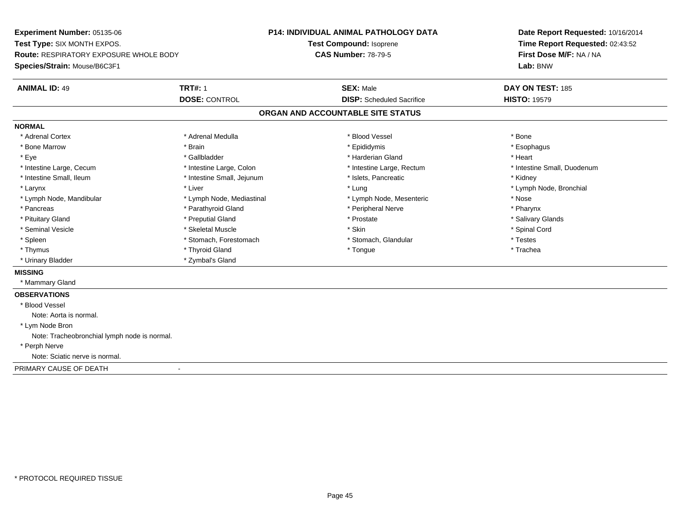**Experiment Number:** 05135-06**Test Type:** SIX MONTH EXPOS.**Route:** RESPIRATORY EXPOSURE WHOLE BODY**Species/Strain:** Mouse/B6C3F1**P14: INDIVIDUAL ANIMAL PATHOLOGY DATATest Compound:** Isoprene**CAS Number:** 78-79-5**Date Report Requested:** 10/16/2014**Time Report Requested:** 02:43:52**First Dose M/F:** NA / NA**Lab:** BNW**ANIMAL ID:** 49 **TRT#:** <sup>1</sup> **SEX:** Male **DAY ON TEST:** <sup>185</sup> **DOSE:** CONTROL**DISP:** Scheduled Sacrifice **HISTO:** 19579 **ORGAN AND ACCOUNTABLE SITE STATUSNORMAL**\* Adrenal Cortex \* Adrenal Cortex \* \* Adrenal Medulla \* \* Adrenal Medulla \* \* Blood Vessel \* \* Brood Vessel \* \* Bone \* Esophagus \* Bone Marrow \* Brain \* Epididymis \* Esophagus \* Eye \* \* Gallbladder \* \* Gallbladder \* \* \* \* Harderian Gland \* \* Heart \* Heart \* Heart \* Heart \* Heart \* Heart \* Intestine Large, Cecum \* Intestine Large, Colon \* Intestine Large, Rectum \* Intestine Small, Duodenum\* Intestine Small, Ileum \* **Allen and The Accord Test intervally of the Small**, Jejunum \* Islets, Pancreatic \* \* Kidney \* Kidney \* Larynx \* Louis \* Liver \* Lung \* Lung \* Lung \* Lung \* Lung \* Lymph Node, Bronchial \* Lymph Node, Bronchial \* \* Lymph Node, Mandibular \* The state of the state of the Mediastinal \* Lymph Node, Mesenteric \* Nose \* Pharynx \* Pancreas \* Pancreas \* Parathyroid Gland \* Peripheral Nerve \* Peripheral Nerve \* Salivary Glands \* Pituitary Gland \* \* Then the state \* Preputial Gland \* Prosection \* Prostate \* \* Salivary Glands \* Salivary Glands \* Salivary Glands \* Salivary Glands \* Salivary Glands \* Salivary Glands \* Salivary Glands \* Salivary Glan \* Seminal Vesicle \* \* Spinal Cord \* Skeletal Muscle \* \* Skin \* \* Skin \* \* Spinal Vesicle \* Spinal Cord \* Spinal Cord \* Spleen \* Stomach, Forestomach \* Stomach \* Stomach, Glandular \* Testes \* Testes \* Trachea \* Thymus \* \* The mode of the total term of the total term of the total term of the total term of the total term of the total term of the total term of the total term of the total term of the total term of the total term of \* Urinary Bladder \* Zymbal's Gland**MISSING** \* Mammary Gland**OBSERVATIONS** \* Blood VesselNote: Aorta is normal. \* Lym Node Bron Note: Tracheobronchial lymph node is normal. \* Perph Nerve Note: Sciatic nerve is normal.PRIMARY CAUSE OF DEATH-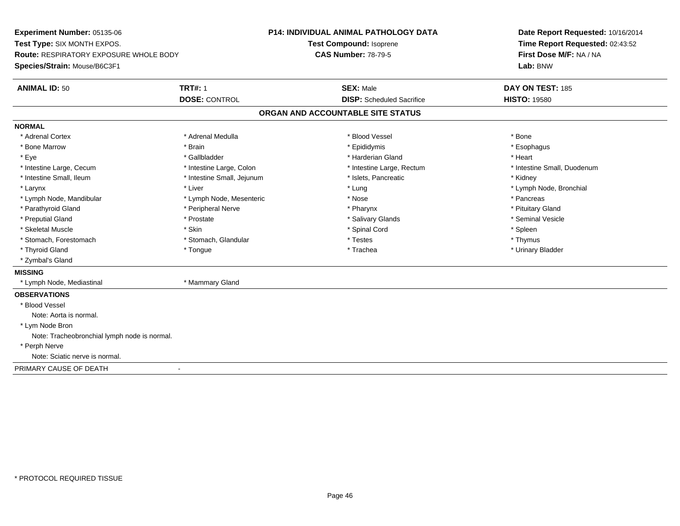**Experiment Number:** 05135-06**Test Type:** SIX MONTH EXPOS.**Route:** RESPIRATORY EXPOSURE WHOLE BODY**Species/Strain:** Mouse/B6C3F1**P14: INDIVIDUAL ANIMAL PATHOLOGY DATATest Compound:** Isoprene**CAS Number:** 78-79-5**Date Report Requested:** 10/16/2014**Time Report Requested:** 02:43:52**First Dose M/F:** NA / NA**Lab:** BNW**ANIMAL ID:** 50**TRT#:** 1 **SEX:** Male **DAY ON TEST:** 185 **DOSE:** CONTROL**DISP:** Scheduled Sacrifice **HISTO:** 19580 **ORGAN AND ACCOUNTABLE SITE STATUSNORMAL**\* Adrenal Cortex \* Adrenal Cortex \* \* Adrenal Medulla \* \* Adrenal Medulla \* \* Blood Vessel \* \* Brood Vessel \* \* Bone \* Esophagus \* Bone Marrow \* Brain \* Epididymis \* Esophagus \* Eye \* \* Gallbladder \* \* Gallbladder \* \* \* \* Harderian Gland \* \* Heart \* Heart \* Heart \* Heart \* Heart \* Heart \* Intestine Large, Cecum \* Intestine Large, Colon \* Intestine Large, Rectum \* Intestine Small, Duodenum\* Intestine Small, Ileum \* Thestine Small, Jejunum \* 1998, Pancreatic \* Kidney \* Kidney \* Kidney \* Kidney \* Larynx \* Louis \* Liver \* Lung \* Lung \* Lung \* Lung \* Lung \* Lymph Node, Bronchial \* Lymph Node, Bronchial \* \* Lymph Node, Mandibular \* The state of the second text of the second text of the second text of the second version of the second of the second version of the second version of the second version of the second version of t \* Pituitary Gland \* Parathyroid Gland \* **Example 20** \* Peripheral Nerve \* Pharynx \* Pharynx \* Pharynx \* Seminal Vesicle \* Preputial Gland \* \* Annual vesicle \* \* Prostate \* \* Salivary Glands \* \* Salivary Glands \* \* Seminal Vesicle \* \* Skeletal Muscle \* Skin \* Spinal Cord \* Spleen \* Thymus \* Stomach, Forestomach \* Testes \* Stomach, Glandular \* Testes \* Testes \* Testes \* Testes \* Testes \* Testes \* T \* Urinary Bladder \* Thyroid Gland \* \* The control of the total property and the top of the top of the top of the top of the top of the top of the top of the top of the top of the top of the top of the top of the top of the top of the top of \* Zymbal's Gland**MISSING** \* Lymph Node, Mediastinal \* Mammary Gland**OBSERVATIONS** \* Blood VesselNote: Aorta is normal. \* Lym Node Bron Note: Tracheobronchial lymph node is normal. \* Perph Nerve Note: Sciatic nerve is normal.PRIMARY CAUSE OF DEATH-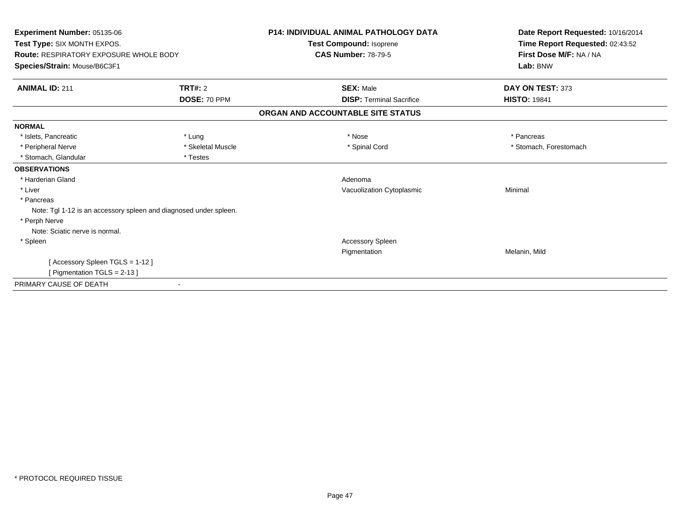| Experiment Number: 05135-06<br>Test Type: SIX MONTH EXPOS.<br><b>Route: RESPIRATORY EXPOSURE WHOLE BODY</b> |                   | <b>P14: INDIVIDUAL ANIMAL PATHOLOGY DATA</b><br>Test Compound: Isoprene<br><b>CAS Number: 78-79-5</b> | Date Report Requested: 10/16/2014<br>Time Report Requested: 02:43:52<br>First Dose M/F: NA / NA |
|-------------------------------------------------------------------------------------------------------------|-------------------|-------------------------------------------------------------------------------------------------------|-------------------------------------------------------------------------------------------------|
| Species/Strain: Mouse/B6C3F1                                                                                |                   |                                                                                                       | Lab: BNW                                                                                        |
| <b>ANIMAL ID: 211</b>                                                                                       | <b>TRT#: 2</b>    | <b>SEX: Male</b>                                                                                      | DAY ON TEST: 373                                                                                |
|                                                                                                             | DOSE: 70 PPM      | <b>DISP: Terminal Sacrifice</b>                                                                       | <b>HISTO: 19841</b>                                                                             |
|                                                                                                             |                   | ORGAN AND ACCOUNTABLE SITE STATUS                                                                     |                                                                                                 |
| <b>NORMAL</b>                                                                                               |                   |                                                                                                       |                                                                                                 |
| * Islets, Pancreatic                                                                                        | * Lung            | * Nose                                                                                                | * Pancreas                                                                                      |
| * Peripheral Nerve                                                                                          | * Skeletal Muscle | * Spinal Cord                                                                                         | * Stomach, Forestomach                                                                          |
| * Stomach, Glandular                                                                                        | * Testes          |                                                                                                       |                                                                                                 |
| <b>OBSERVATIONS</b>                                                                                         |                   |                                                                                                       |                                                                                                 |
| * Harderian Gland                                                                                           |                   | Adenoma                                                                                               |                                                                                                 |
| * Liver                                                                                                     |                   | Vacuolization Cytoplasmic                                                                             | Minimal                                                                                         |
| * Pancreas                                                                                                  |                   |                                                                                                       |                                                                                                 |
| Note: Tgl 1-12 is an accessory spleen and diagnosed under spleen.                                           |                   |                                                                                                       |                                                                                                 |
| * Perph Nerve                                                                                               |                   |                                                                                                       |                                                                                                 |
| Note: Sciatic nerve is normal.                                                                              |                   |                                                                                                       |                                                                                                 |
| * Spleen                                                                                                    |                   | Accessory Spleen                                                                                      |                                                                                                 |
|                                                                                                             |                   | Pigmentation                                                                                          | Melanin, Mild                                                                                   |
| [Accessory Spleen TGLS = 1-12]                                                                              |                   |                                                                                                       |                                                                                                 |
| [Pigmentation TGLS = 2-13]                                                                                  |                   |                                                                                                       |                                                                                                 |
| PRIMARY CAUSE OF DEATH                                                                                      |                   |                                                                                                       |                                                                                                 |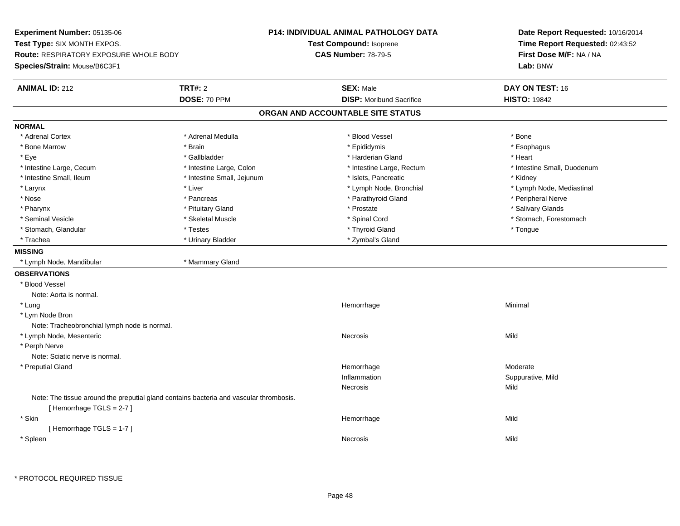**Experiment Number:** 05135-06**Test Type:** SIX MONTH EXPOS.**Route:** RESPIRATORY EXPOSURE WHOLE BODY**Species/Strain:** Mouse/B6C3F1**P14: INDIVIDUAL ANIMAL PATHOLOGY DATATest Compound:** Isoprene**CAS Number:** 78-79-5**Date Report Requested:** 10/16/2014**Time Report Requested:** 02:43:52**First Dose M/F:** NA / NA**Lab:** BNW**ANIMAL ID:** 212**TRT#:** 2 **SEX:** Male **DAY ON TEST:** 16 **DOSE:** 70 PPM**DISP:** Moribund Sacrifice **HISTO:** 19842 **ORGAN AND ACCOUNTABLE SITE STATUSNORMAL**\* Adrenal Cortex \* Adrenal Cortex \* \* Adrenal Medulla \* \* Adrenal Medulla \* \* Blood Vessel \* \* Brood Vessel \* \* Bone \* Esophagus \* Bone Marrow \* Brain \* Epididymis \* Esophagus \* Eye \* \* Gallbladder \* \* Gallbladder \* \* \* \* Harderian Gland \* \* Heart \* Heart \* Heart \* Heart \* Heart \* Heart \* Intestine Large, Cecum \* Intestine Large, Colon \* Intestine Large, Thestine Large, Rectum \* Intestine Small, Duodenum \* Intestine Small, Ileum \* Thestine Small, Jejunum \* Islets, Pancreatic \* \* Kidney \* Kidney \* Kidney \* Larynx \* Lymph Node, Bronchial \* Lymph Node, Bronchial \* Lymph Node, et al. \* Lymph Node, Mediastinal \* \* Lymph Node, Mediastinal \* \* Lymph Node, Mediastinal \* November 2008, Nediastinal \* Lymph Node, Mediastinal \* Lymph \* Nose \* \* Pancreas \* \* Pancreas \* \* Pancreas \* \* Parathyroid Gland \* \* Peripheral Nerve \* Peripheral Nerve \* \* Salivary Glands \* Pharynx \* That was also to the set of the set of the set of the set of the set of the set of the set of the set of the set of the set of the set of the set of the set of the set of the set of the set of the set of the se \* Seminal Vesicle \* The state of the state of the set of the set of the set of the set of the set of the set of the set of the set of the set of the set of the set of the set of the set of the set of the set of the set of \* Stomach, Glandular \* \* \* Thestes \* \* Testes \* \* Thyroid Gland \* Thyroid Gland \* \* Thestes \* \* Thogue \* Th \* Trachea \* Urinary Bladder \* Trachea \* Zymbal's Gland **MISSING** \* Lymph Node, Mandibular \* Mammary Gland**OBSERVATIONS** \* Blood VesselNote: Aorta is normal. \* Lungg and the state of the state of the state of the state of the Minimal Section 1, and the state of the state of the state of the state of the state of the state of the state of the state of the state of the state of the sta \* Lym Node Bron Note: Tracheobronchial lymph node is normal. \* Lymph Node, Mesentericc contract the contract of the contract of the contract of the contract of the contract of the contract of the contract of the contract of the contract of the contract of the contract of the contract of the contract of the \* Perph Nerve Note: Sciatic nerve is normal. \* Preputial Glandd and the state of the state of the state of the Moderate of the Moderate of the Moderate of the Moderate of the Moderate of the Moderate of the Moderate of the Moderate of the Moderate of the Moderate of the Moderate of t Inflammation Suppurative, Mild Necrosiss and the contract of the Mild Note: The tissue around the preputial gland contains bacteria and vascular thrombosis.[ Hemorrhage TGLS = 2-7 ] \* Skinn and the state of the state of the state of the state of the Middle Middle of the State of the Middle of the Middle of the Middle of the State of the Middle of the State of the State of the State of the State of the State [ Hemorrhage TGLS = 1-7 ] \* Spleenn and the control of the control of the control of the control of the control of the control of the control of the control of the control of the control of the control of the control of the control of the control of the co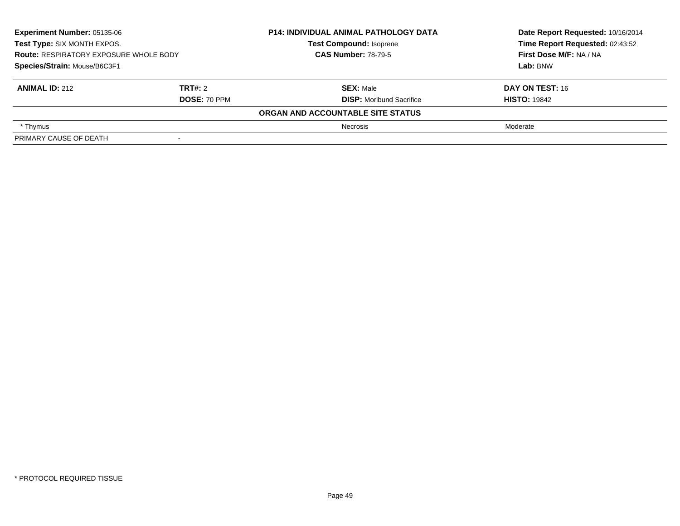| <b>Experiment Number: 05135-06</b><br>Test Type: SIX MONTH EXPOS.<br><b>Route: RESPIRATORY EXPOSURE WHOLE BODY</b><br>Species/Strain: Mouse/B6C3F1 |                | <b>P14: INDIVIDUAL ANIMAL PATHOLOGY DATA</b><br><b>Test Compound: Isoprene</b><br><b>CAS Number: 78-79-5</b> | Date Report Requested: 10/16/2014 |
|----------------------------------------------------------------------------------------------------------------------------------------------------|----------------|--------------------------------------------------------------------------------------------------------------|-----------------------------------|
|                                                                                                                                                    |                |                                                                                                              | Time Report Requested: 02:43:52   |
|                                                                                                                                                    |                |                                                                                                              | First Dose M/F: NA / NA           |
|                                                                                                                                                    |                |                                                                                                              | Lab: BNW                          |
| <b>ANIMAL ID: 212</b>                                                                                                                              | <b>TRT#:</b> 2 | <b>SEX: Male</b>                                                                                             | DAY ON TEST: 16                   |
| <b>DOSE: 70 PPM</b>                                                                                                                                |                | <b>DISP:</b> Moribund Sacrifice                                                                              | <b>HISTO: 19842</b>               |
|                                                                                                                                                    |                | ORGAN AND ACCOUNTABLE SITE STATUS                                                                            |                                   |
| * Thymus                                                                                                                                           |                | <b>Necrosis</b>                                                                                              | Moderate                          |
| PRIMARY CAUSE OF DEATH                                                                                                                             |                |                                                                                                              |                                   |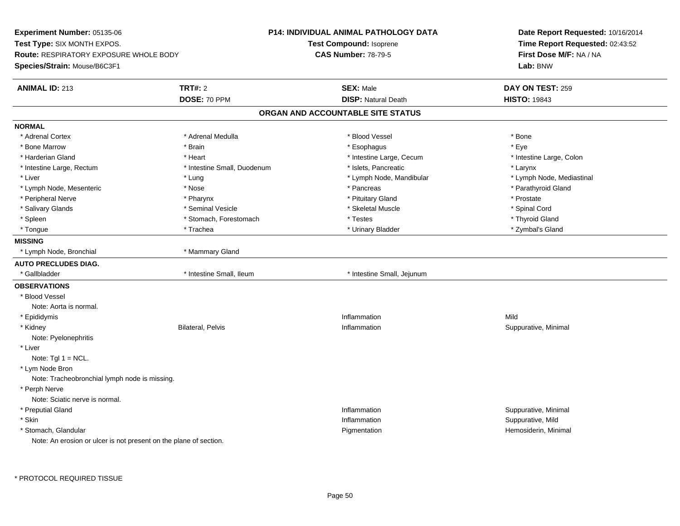**Experiment Number:** 05135-06**Test Type:** SIX MONTH EXPOS.**Route:** RESPIRATORY EXPOSURE WHOLE BODY**Species/Strain:** Mouse/B6C3F1**P14: INDIVIDUAL ANIMAL PATHOLOGY DATATest Compound:** Isoprene**CAS Number:** 78-79-5**Date Report Requested:** 10/16/2014**Time Report Requested:** 02:43:52**First Dose M/F:** NA / NA**Lab:** BNW**ANIMAL ID:** 213**TRT#:** 2 **SEX:** Male **DAY ON TEST:** 259 **DOSE:** 70 PPM**DISP:** Natural Death **HISTO:** 19843 **ORGAN AND ACCOUNTABLE SITE STATUSNORMAL**\* Adrenal Cortex \* Adrenal Cortex \* \* Adrenal Medulla \* \* Adrenal Medulla \* \* Blood Vessel \* \* Brood Vessel \* \* Bone \* Eve \* Bone Marrow \* Brain \* Esophagus \* Eye \* Intestine Large, Colon \* Harderian Gland \* The state of the state of the state of the state of the state of the state of the state of the state of the state of the state of the state of the state of the state of the state of the state of the sta \* Intestine Large, Rectum \* Thestine Small, Duodenum \* Islets, Pancreatic \* The matches \* Larynx \* Larynx \* Lymph Node, Mediastinal \* Liver \* Lung \* Lung \* Lung \* Lung \* Lymph Node, Mandibular \* Lymph Node, Mandibular \* Lymph Node, Mesenteric \* The state of the state of the state of the state of the state of the state of the state of the state of the state of the state of the state of the state of the state of the state of the state of \* Peripheral Nerve \* \* \* Postate \* \* Pharynx \* \* Pharynx \* \* Pituitary Gland \* \* Prostate \* Prostate \* Prostate \* Spinal Cord \* Salivary Glands \* \* \$ https://www.frieducer.com/web/2012/absoluter/state/sected \* Skeletal Muscle \* Spinal Cord \* Spinal Cord \* Spinal Cord \* Spinal Cord \* Spinal Cord \* Spinal Cord \* Spinal Cord \* Spinal Cord \* Spinal C \* Thvroid Gland \* Spleen \* Testes \* Spleen \* Testes \* Stomach, Forestomach \* Testes \* Testes \* Testes \* Testes \* Testes \* Testes \* Testes \* Testes \* Testes \* Testes \* Testes \* Testes \* Testes \* Testes \* Testes \* Testes \* Testes \* Testes \* \* Zymbal's Gland \* Tongue \* Trachea \* Urinary Bladder \* Zymbal's Gland **MISSING** \* Lymph Node, Bronchial \* Mammary Gland**AUTO PRECLUDES DIAG.**\* Gallbladder **\*** Intestine Small, Ileum \* Intestine Small, Ileum \* Intestine Small, Jejunum **OBSERVATIONS** \* Blood VesselNote: Aorta is normal. \* Epididymiss and the contract of the contract of the contract of the contract of the contract of the contract of the contract of the contract of the contract of the contract of the contract of the contract of the contract of the cont n Mild \* Kidneyy Bilateral, Pelvis Inflammation Inflammation **Suppurative, Minimal** Note: Pyelonephritis \* LiverNote:  $Tgl 1 = NCL$ . \* Lym Node Bron Note: Tracheobronchial lymph node is missing. \* Perph Nerve Note: Sciatic nerve is normal. \* Preputial Glandd in the suppurative, Minimal of the Suppuration of the Suppurative, Minimal of the Suppurative, Minimal of the Suppurative, Minimal of the Suppurative, Minimal of the Suppurative, Minimal of the Suppurative,  $\alpha$  \* Skinn inflammation in the suppurative, Mild (i.e.,  $\blacksquare$  ) inflammation in the suppurative, Mild (i.e.,  $\blacksquare$  ) is the suppurative, Mild (i.e.,  $\blacksquare$  ) is the suppurative,  $\blacksquare$  ) is the suppurative,  $\blacksquare$  ) is the suppur \* Stomach, Glandular Pigmentation Hemosiderin, Minimal Note: An erosion or ulcer is not present on the plane of section.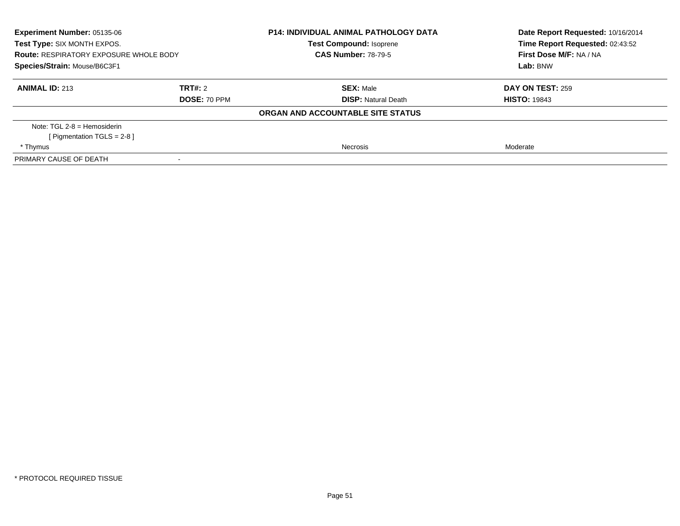| Experiment Number: 05135-06<br>Test Type: SIX MONTH EXPOS.<br><b>Route: RESPIRATORY EXPOSURE WHOLE BODY</b><br>Species/Strain: Mouse/B6C3F1 |                          | <b>P14: INDIVIDUAL ANIMAL PATHOLOGY DATA</b><br><b>Test Compound: Isoprene</b><br><b>CAS Number: 78-79-5</b> | Date Report Requested: 10/16/2014<br>Time Report Requested: 02:43:52<br>First Dose M/F: NA / NA<br>Lab: BNW |
|---------------------------------------------------------------------------------------------------------------------------------------------|--------------------------|--------------------------------------------------------------------------------------------------------------|-------------------------------------------------------------------------------------------------------------|
| <b>ANIMAL ID: 213</b><br><b>TRT#:</b> 2<br><b>DOSE: 70 PPM</b>                                                                              |                          | <b>SEX: Male</b><br><b>DISP:</b> Natural Death                                                               | <b>DAY ON TEST: 259</b><br><b>HISTO: 19843</b>                                                              |
|                                                                                                                                             |                          | ORGAN AND ACCOUNTABLE SITE STATUS                                                                            |                                                                                                             |
| Note: $TGL 2-8 =$ Hemosiderin<br>[Pigmentation TGLS = $2-8$ ]                                                                               |                          |                                                                                                              |                                                                                                             |
| * Thymus                                                                                                                                    |                          | Necrosis                                                                                                     | Moderate                                                                                                    |
| PRIMARY CAUSE OF DEATH                                                                                                                      | $\overline{\phantom{a}}$ |                                                                                                              |                                                                                                             |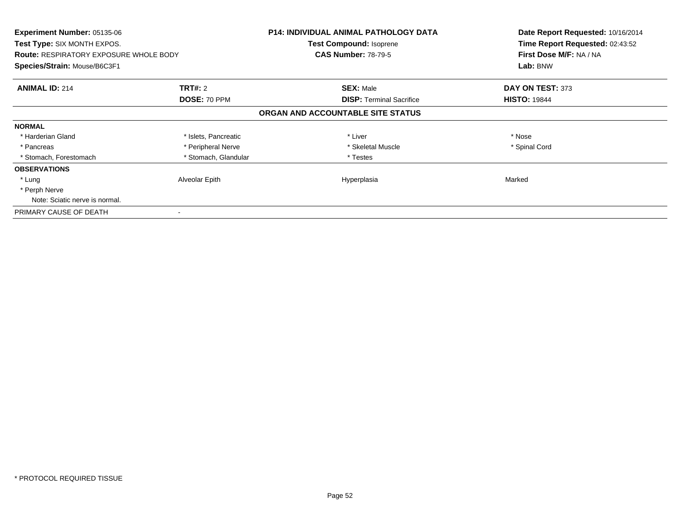| <b>Experiment Number: 05135-06</b><br>Test Type: SIX MONTH EXPOS.<br><b>Route: RESPIRATORY EXPOSURE WHOLE BODY</b><br>Species/Strain: Mouse/B6C3F1 |                      | <b>P14: INDIVIDUAL ANIMAL PATHOLOGY DATA</b><br>Test Compound: Isoprene | Date Report Requested: 10/16/2014<br>Time Report Requested: 02:43:52<br>First Dose M/F: NA / NA |
|----------------------------------------------------------------------------------------------------------------------------------------------------|----------------------|-------------------------------------------------------------------------|-------------------------------------------------------------------------------------------------|
|                                                                                                                                                    |                      | <b>CAS Number: 78-79-5</b>                                              |                                                                                                 |
|                                                                                                                                                    |                      |                                                                         | Lab: BNW                                                                                        |
| <b>ANIMAL ID: 214</b>                                                                                                                              | TRT#: 2              | <b>SEX: Male</b>                                                        | DAY ON TEST: 373                                                                                |
|                                                                                                                                                    | DOSE: 70 PPM         | <b>DISP: Terminal Sacrifice</b>                                         | <b>HISTO: 19844</b>                                                                             |
|                                                                                                                                                    |                      | ORGAN AND ACCOUNTABLE SITE STATUS                                       |                                                                                                 |
| <b>NORMAL</b>                                                                                                                                      |                      |                                                                         |                                                                                                 |
| * Harderian Gland                                                                                                                                  | * Islets, Pancreatic | * Liver                                                                 | * Nose                                                                                          |
| * Pancreas                                                                                                                                         | * Peripheral Nerve   | * Skeletal Muscle                                                       | * Spinal Cord                                                                                   |
| * Stomach, Forestomach                                                                                                                             | * Stomach, Glandular | * Testes                                                                |                                                                                                 |
| <b>OBSERVATIONS</b>                                                                                                                                |                      |                                                                         |                                                                                                 |
| * Lung                                                                                                                                             | Alveolar Epith       | Hyperplasia                                                             | Marked                                                                                          |
| * Perph Nerve                                                                                                                                      |                      |                                                                         |                                                                                                 |
| Note: Sciatic nerve is normal.                                                                                                                     |                      |                                                                         |                                                                                                 |
| PRIMARY CAUSE OF DEATH                                                                                                                             |                      |                                                                         |                                                                                                 |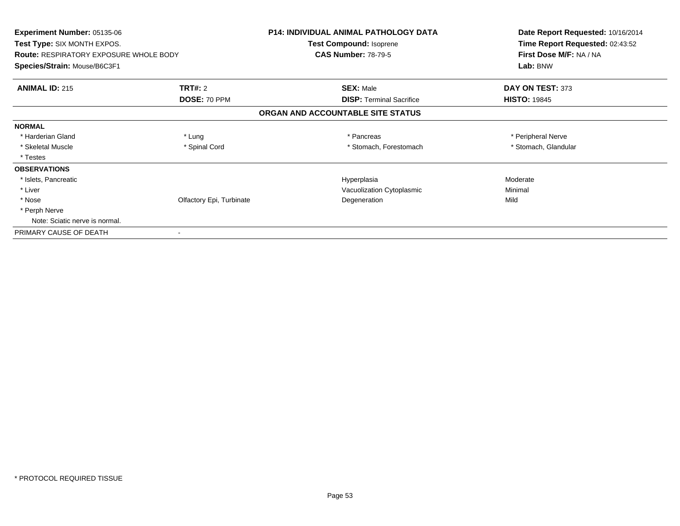| <b>Experiment Number: 05135-06</b>            |                          | <b>P14: INDIVIDUAL ANIMAL PATHOLOGY DATA</b> | Date Report Requested: 10/16/2014 |
|-----------------------------------------------|--------------------------|----------------------------------------------|-----------------------------------|
| <b>Test Type: SIX MONTH EXPOS.</b>            |                          | Test Compound: Isoprene                      | Time Report Requested: 02:43:52   |
| <b>Route: RESPIRATORY EXPOSURE WHOLE BODY</b> |                          | <b>CAS Number: 78-79-5</b>                   | First Dose M/F: NA / NA           |
| Species/Strain: Mouse/B6C3F1                  |                          |                                              | Lab: BNW                          |
| <b>ANIMAL ID: 215</b>                         | TRT#: 2                  | <b>SEX: Male</b>                             | DAY ON TEST: 373                  |
|                                               | DOSE: 70 PPM             | <b>DISP:</b> Terminal Sacrifice              | <b>HISTO: 19845</b>               |
|                                               |                          | ORGAN AND ACCOUNTABLE SITE STATUS            |                                   |
| <b>NORMAL</b>                                 |                          |                                              |                                   |
| * Harderian Gland                             | * Lung                   | * Pancreas                                   | * Peripheral Nerve                |
| * Skeletal Muscle                             | * Spinal Cord            | * Stomach, Forestomach                       | * Stomach, Glandular              |
| * Testes                                      |                          |                                              |                                   |
| <b>OBSERVATIONS</b>                           |                          |                                              |                                   |
| * Islets, Pancreatic                          |                          | Hyperplasia                                  | Moderate                          |
| * Liver                                       |                          | Vacuolization Cytoplasmic                    | Minimal                           |
| * Nose                                        | Olfactory Epi, Turbinate | Degeneration                                 | Mild                              |
| * Perph Nerve                                 |                          |                                              |                                   |
| Note: Sciatic nerve is normal.                |                          |                                              |                                   |
| PRIMARY CAUSE OF DEATH                        |                          |                                              |                                   |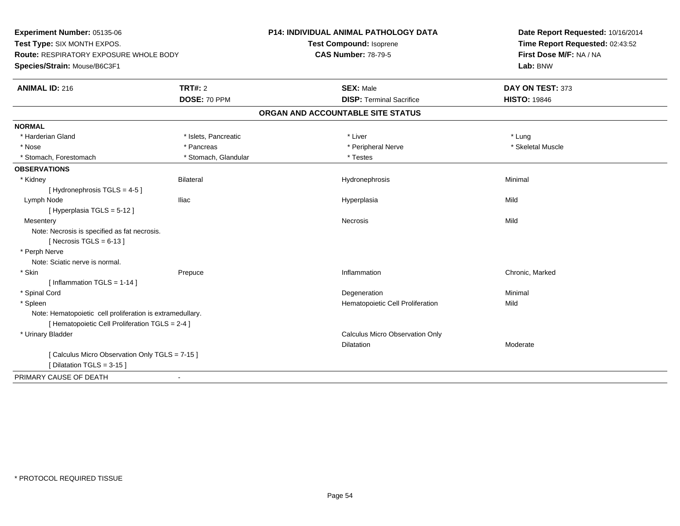**Experiment Number:** 05135-06**Test Type:** SIX MONTH EXPOS.**Route:** RESPIRATORY EXPOSURE WHOLE BODY**Species/Strain:** Mouse/B6C3F1**P14: INDIVIDUAL ANIMAL PATHOLOGY DATATest Compound:** Isoprene**CAS Number:** 78-79-5**Date Report Requested:** 10/16/2014**Time Report Requested:** 02:43:52**First Dose M/F:** NA / NA**Lab:** BNW**ANIMAL ID:** 216**6 DAY ON TEST:** 373 **DOSE:** 70 PPM**DISP:** Terminal Sacrifice **HISTO:** 19846 **ORGAN AND ACCOUNTABLE SITE STATUSNORMAL**\* Harderian Gland \* Harderian Gland \* Islets, Pancreatic \* Liver \* Lung\* Skeletal Muscle \* Nose \* Pancreas \* Peripheral Nerve \* Skeletal Muscle \* Stomach, Forestomach \* Testes \* Stomach, Glandular \* Testes \* Testes **OBSERVATIONS** \* Kidney Bilateral Hydronephrosis Minimal [ Hydronephrosis TGLS = 4-5 ] Lymph Node Iliac Hyperplasia Mild [ Hyperplasia TGLS = 5-12 ]**Mesentery** y and the control of the control of the control of the control of the control of the control of the control of the control of the control of the control of the control of the control of the control of the control of the co Note: Necrosis is specified as fat necrosis. $[$  Necrosis TGLS = 6-13  $]$  \* Perph Nerve Note: Sciatic nerve is normal. \* Skinn and the Prepuce of the Chronic, Marked Chronic, Marked Chronic, Marked Chronic, Marked Chronic, Marked Chronic, Marked Chronic, Marked Chronic, Marked Chronic, Marked Chronic, Marked Chronic, Marked Chronic, Marked Chron  $[$  Inflammation TGLS = 1-14  $]$  \* Spinal Cordd and the control of the control of the control of the control of the control of the control of the control of the control of the control of the control of the control of the control of the control of the control of the co \* SpleenHematopoietic Cell Proliferation Mild Note: Hematopoietic cell proliferation is extramedullary.[ Hematopoietic Cell Proliferation TGLS = 2-4 ] \* Urinary Bladder Calculus Micro Observation OnlyDilatation Moderate [ Calculus Micro Observation Only TGLS = 7-15 ][ Dilatation TGLS = 3-15 ]PRIMARY CAUSE OF DEATH-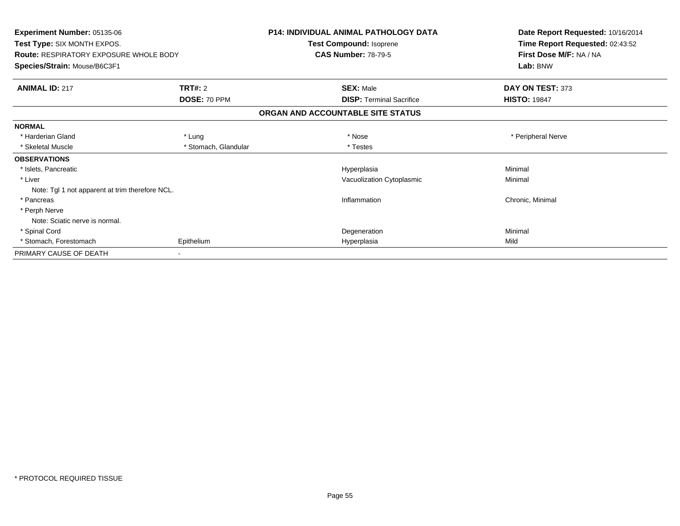| Experiment Number: 05135-06<br>Test Type: SIX MONTH EXPOS.<br><b>Route: RESPIRATORY EXPOSURE WHOLE BODY</b><br>Species/Strain: Mouse/B6C3F1 |                      | <b>P14: INDIVIDUAL ANIMAL PATHOLOGY DATA</b><br>Test Compound: Isoprene | Date Report Requested: 10/16/2014<br>Time Report Requested: 02:43:52<br>First Dose M/F: NA / NA<br>Lab: BNW |
|---------------------------------------------------------------------------------------------------------------------------------------------|----------------------|-------------------------------------------------------------------------|-------------------------------------------------------------------------------------------------------------|
|                                                                                                                                             |                      | <b>CAS Number: 78-79-5</b>                                              |                                                                                                             |
|                                                                                                                                             |                      |                                                                         |                                                                                                             |
| <b>ANIMAL ID: 217</b>                                                                                                                       | TRT#: 2              | <b>SEX: Male</b>                                                        | DAY ON TEST: 373                                                                                            |
|                                                                                                                                             | DOSE: 70 PPM         | <b>DISP: Terminal Sacrifice</b>                                         | <b>HISTO: 19847</b>                                                                                         |
|                                                                                                                                             |                      | ORGAN AND ACCOUNTABLE SITE STATUS                                       |                                                                                                             |
| <b>NORMAL</b>                                                                                                                               |                      |                                                                         |                                                                                                             |
| * Harderian Gland                                                                                                                           | * Lung               | * Nose                                                                  | * Peripheral Nerve                                                                                          |
| * Skeletal Muscle                                                                                                                           | * Stomach, Glandular | * Testes                                                                |                                                                                                             |
| <b>OBSERVATIONS</b>                                                                                                                         |                      |                                                                         |                                                                                                             |
| * Islets, Pancreatic                                                                                                                        |                      | Hyperplasia                                                             | Minimal                                                                                                     |
| * Liver                                                                                                                                     |                      | Vacuolization Cytoplasmic                                               | Minimal                                                                                                     |
| Note: Tgl 1 not apparent at trim therefore NCL.                                                                                             |                      |                                                                         |                                                                                                             |
| * Pancreas                                                                                                                                  |                      | Inflammation                                                            | Chronic, Minimal                                                                                            |
| * Perph Nerve                                                                                                                               |                      |                                                                         |                                                                                                             |
| Note: Sciatic nerve is normal.                                                                                                              |                      |                                                                         |                                                                                                             |
| * Spinal Cord                                                                                                                               |                      | Degeneration                                                            | Minimal                                                                                                     |
| * Stomach, Forestomach                                                                                                                      | Epithelium           | Hyperplasia                                                             | Mild                                                                                                        |
| PRIMARY CAUSE OF DEATH                                                                                                                      |                      |                                                                         |                                                                                                             |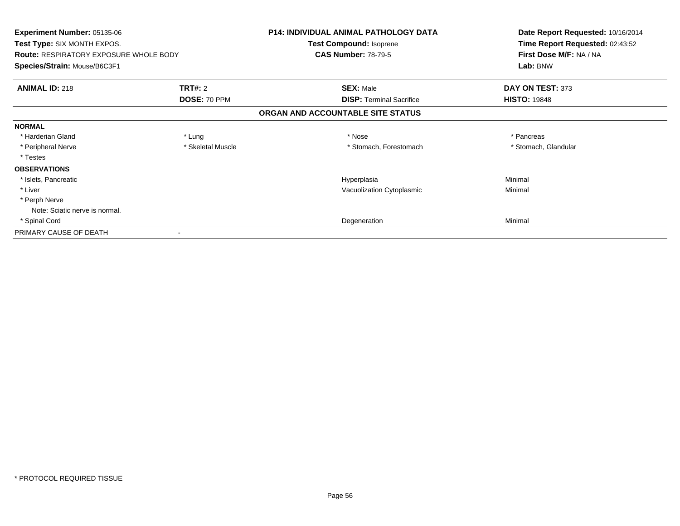| <b>Experiment Number: 05135-06</b><br><b>Test Type: SIX MONTH EXPOS.</b> |                   | <b>P14: INDIVIDUAL ANIMAL PATHOLOGY DATA</b><br>Test Compound: Isoprene | Date Report Requested: 10/16/2014<br>Time Report Requested: 02:43:52 |
|--------------------------------------------------------------------------|-------------------|-------------------------------------------------------------------------|----------------------------------------------------------------------|
| <b>Route: RESPIRATORY EXPOSURE WHOLE BODY</b>                            |                   | <b>CAS Number: 78-79-5</b>                                              | First Dose M/F: NA / NA<br>Lab: BNW                                  |
| Species/Strain: Mouse/B6C3F1                                             |                   |                                                                         |                                                                      |
| <b>ANIMAL ID: 218</b>                                                    | <b>TRT#: 2</b>    | <b>SEX: Male</b>                                                        | DAY ON TEST: 373                                                     |
|                                                                          | DOSE: 70 PPM      | <b>DISP:</b> Terminal Sacrifice                                         | <b>HISTO: 19848</b>                                                  |
|                                                                          |                   | ORGAN AND ACCOUNTABLE SITE STATUS                                       |                                                                      |
| <b>NORMAL</b>                                                            |                   |                                                                         |                                                                      |
| * Harderian Gland                                                        | * Lung            | * Nose                                                                  | * Pancreas                                                           |
| * Peripheral Nerve                                                       | * Skeletal Muscle | * Stomach, Forestomach                                                  | * Stomach, Glandular                                                 |
| * Testes                                                                 |                   |                                                                         |                                                                      |
| <b>OBSERVATIONS</b>                                                      |                   |                                                                         |                                                                      |
| * Islets, Pancreatic                                                     |                   | Hyperplasia                                                             | Minimal                                                              |
| * Liver                                                                  |                   | Vacuolization Cytoplasmic                                               | Minimal                                                              |
| * Perph Nerve                                                            |                   |                                                                         |                                                                      |
| Note: Sciatic nerve is normal.                                           |                   |                                                                         |                                                                      |
| * Spinal Cord                                                            |                   | Degeneration                                                            | Minimal                                                              |
| PRIMARY CAUSE OF DEATH                                                   |                   |                                                                         |                                                                      |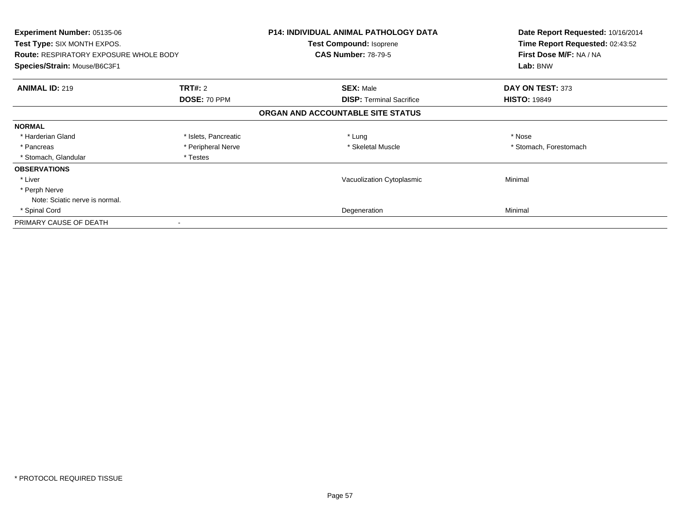| Experiment Number: 05135-06<br>Test Type: SIX MONTH EXPOS.<br><b>Route: RESPIRATORY EXPOSURE WHOLE BODY</b><br>Species/Strain: Mouse/B6C3F1 |                      | <b>P14: INDIVIDUAL ANIMAL PATHOLOGY DATA</b><br>Test Compound: Isoprene<br><b>CAS Number: 78-79-5</b> | Date Report Requested: 10/16/2014<br>Time Report Requested: 02:43:52<br>First Dose M/F: NA / NA<br>Lab: BNW |
|---------------------------------------------------------------------------------------------------------------------------------------------|----------------------|-------------------------------------------------------------------------------------------------------|-------------------------------------------------------------------------------------------------------------|
| <b>ANIMAL ID: 219</b>                                                                                                                       | <b>TRT#: 2</b>       | <b>SEX: Male</b>                                                                                      | DAY ON TEST: 373                                                                                            |
|                                                                                                                                             | DOSE: 70 PPM         | <b>DISP:</b> Terminal Sacrifice                                                                       | <b>HISTO: 19849</b>                                                                                         |
|                                                                                                                                             |                      | ORGAN AND ACCOUNTABLE SITE STATUS                                                                     |                                                                                                             |
| <b>NORMAL</b>                                                                                                                               |                      |                                                                                                       |                                                                                                             |
| * Harderian Gland                                                                                                                           | * Islets, Pancreatic | * Lung                                                                                                | * Nose                                                                                                      |
| * Pancreas                                                                                                                                  | * Peripheral Nerve   | * Skeletal Muscle                                                                                     | * Stomach, Forestomach                                                                                      |
| * Stomach, Glandular                                                                                                                        | * Testes             |                                                                                                       |                                                                                                             |
| <b>OBSERVATIONS</b>                                                                                                                         |                      |                                                                                                       |                                                                                                             |
| * Liver                                                                                                                                     |                      | Vacuolization Cytoplasmic                                                                             | Minimal                                                                                                     |
| * Perph Nerve                                                                                                                               |                      |                                                                                                       |                                                                                                             |
| Note: Sciatic nerve is normal.                                                                                                              |                      |                                                                                                       |                                                                                                             |
| * Spinal Cord                                                                                                                               |                      | Degeneration                                                                                          | Minimal                                                                                                     |
| PRIMARY CAUSE OF DEATH                                                                                                                      |                      |                                                                                                       |                                                                                                             |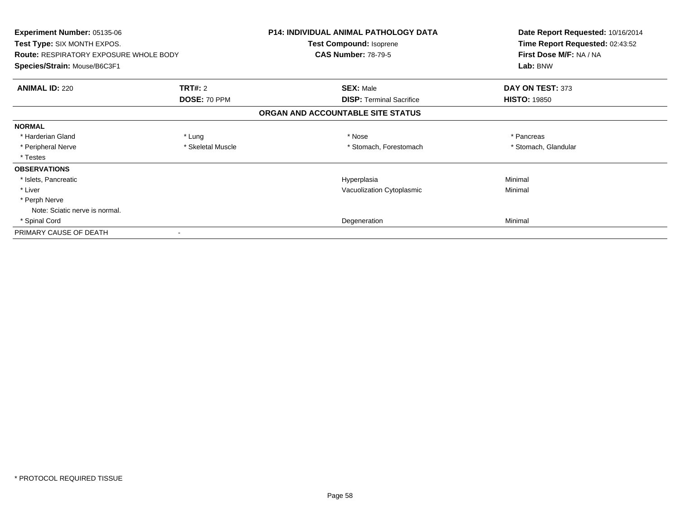| <b>Experiment Number: 05135-06</b><br><b>Test Type: SIX MONTH EXPOS.</b><br><b>Route: RESPIRATORY EXPOSURE WHOLE BODY</b><br>Species/Strain: Mouse/B6C3F1 |                   | <b>P14: INDIVIDUAL ANIMAL PATHOLOGY DATA</b><br>Test Compound: Isoprene<br><b>CAS Number: 78-79-5</b> | Date Report Requested: 10/16/2014<br>Time Report Requested: 02:43:52<br>First Dose M/F: NA / NA |
|-----------------------------------------------------------------------------------------------------------------------------------------------------------|-------------------|-------------------------------------------------------------------------------------------------------|-------------------------------------------------------------------------------------------------|
|                                                                                                                                                           |                   |                                                                                                       | Lab: BNW                                                                                        |
| <b>ANIMAL ID: 220</b>                                                                                                                                     | <b>TRT#: 2</b>    | <b>SEX: Male</b>                                                                                      | DAY ON TEST: 373                                                                                |
|                                                                                                                                                           | DOSE: 70 PPM      | <b>DISP:</b> Terminal Sacrifice                                                                       | <b>HISTO: 19850</b>                                                                             |
|                                                                                                                                                           |                   | ORGAN AND ACCOUNTABLE SITE STATUS                                                                     |                                                                                                 |
| <b>NORMAL</b>                                                                                                                                             |                   |                                                                                                       |                                                                                                 |
| * Harderian Gland                                                                                                                                         | * Lung            | * Nose                                                                                                | * Pancreas                                                                                      |
| * Peripheral Nerve                                                                                                                                        | * Skeletal Muscle | * Stomach, Forestomach                                                                                | * Stomach, Glandular                                                                            |
| * Testes                                                                                                                                                  |                   |                                                                                                       |                                                                                                 |
| <b>OBSERVATIONS</b>                                                                                                                                       |                   |                                                                                                       |                                                                                                 |
| * Islets, Pancreatic                                                                                                                                      |                   | Hyperplasia                                                                                           | Minimal                                                                                         |
| * Liver                                                                                                                                                   |                   | Vacuolization Cytoplasmic                                                                             | Minimal                                                                                         |
| * Perph Nerve                                                                                                                                             |                   |                                                                                                       |                                                                                                 |
| Note: Sciatic nerve is normal.                                                                                                                            |                   |                                                                                                       |                                                                                                 |
| * Spinal Cord                                                                                                                                             |                   | Degeneration                                                                                          | Minimal                                                                                         |
| PRIMARY CAUSE OF DEATH                                                                                                                                    |                   |                                                                                                       |                                                                                                 |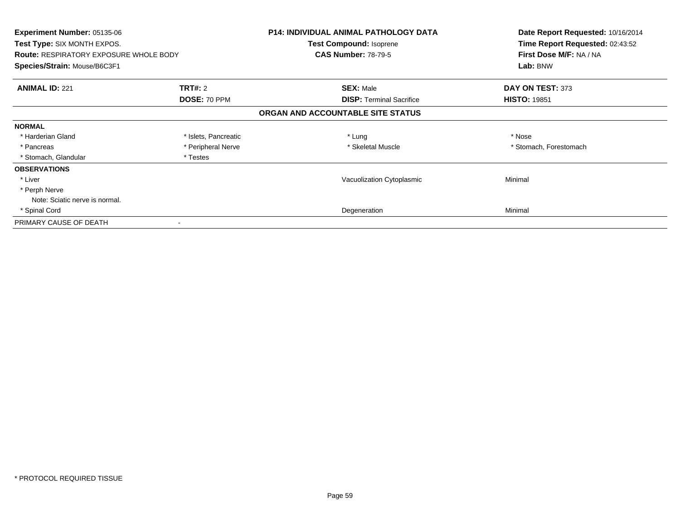| Experiment Number: 05135-06<br>Test Type: SIX MONTH EXPOS.<br><b>Route: RESPIRATORY EXPOSURE WHOLE BODY</b><br>Species/Strain: Mouse/B6C3F1 |                      | <b>P14: INDIVIDUAL ANIMAL PATHOLOGY DATA</b><br>Test Compound: Isoprene<br><b>CAS Number: 78-79-5</b> | Date Report Requested: 10/16/2014<br>Time Report Requested: 02:43:52<br>First Dose M/F: NA / NA<br>Lab: BNW |
|---------------------------------------------------------------------------------------------------------------------------------------------|----------------------|-------------------------------------------------------------------------------------------------------|-------------------------------------------------------------------------------------------------------------|
| <b>ANIMAL ID: 221</b>                                                                                                                       | <b>TRT#: 2</b>       | <b>SEX: Male</b>                                                                                      | DAY ON TEST: 373                                                                                            |
|                                                                                                                                             | DOSE: 70 PPM         | <b>DISP:</b> Terminal Sacrifice                                                                       | <b>HISTO: 19851</b>                                                                                         |
|                                                                                                                                             |                      | ORGAN AND ACCOUNTABLE SITE STATUS                                                                     |                                                                                                             |
| <b>NORMAL</b>                                                                                                                               |                      |                                                                                                       |                                                                                                             |
| * Harderian Gland                                                                                                                           | * Islets, Pancreatic | * Lung                                                                                                | * Nose                                                                                                      |
| * Pancreas                                                                                                                                  | * Peripheral Nerve   | * Skeletal Muscle                                                                                     | * Stomach, Forestomach                                                                                      |
| * Stomach, Glandular                                                                                                                        | * Testes             |                                                                                                       |                                                                                                             |
| <b>OBSERVATIONS</b>                                                                                                                         |                      |                                                                                                       |                                                                                                             |
| * Liver                                                                                                                                     |                      | Vacuolization Cytoplasmic                                                                             | Minimal                                                                                                     |
| * Perph Nerve                                                                                                                               |                      |                                                                                                       |                                                                                                             |
| Note: Sciatic nerve is normal.                                                                                                              |                      |                                                                                                       |                                                                                                             |
| * Spinal Cord                                                                                                                               |                      | Degeneration                                                                                          | Minimal                                                                                                     |
| PRIMARY CAUSE OF DEATH                                                                                                                      |                      |                                                                                                       |                                                                                                             |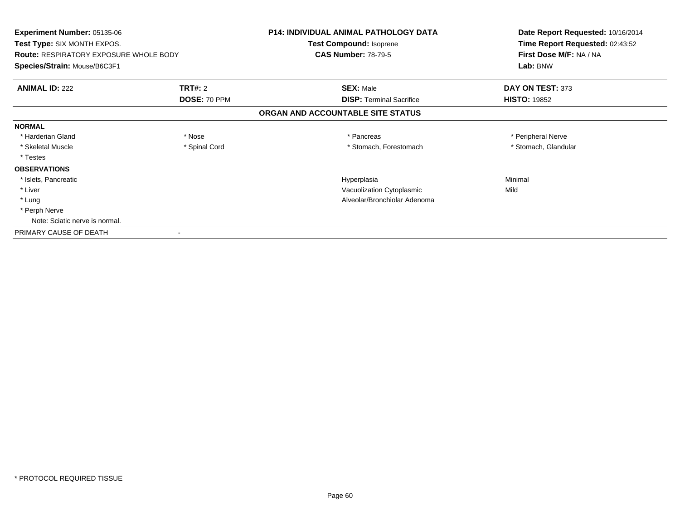| <b>Experiment Number: 05135-06</b><br><b>Test Type: SIX MONTH EXPOS.</b> |                | <b>P14: INDIVIDUAL ANIMAL PATHOLOGY DATA</b><br>Test Compound: Isoprene | Date Report Requested: 10/16/2014<br>Time Report Requested: 02:43:52 |
|--------------------------------------------------------------------------|----------------|-------------------------------------------------------------------------|----------------------------------------------------------------------|
| <b>Route: RESPIRATORY EXPOSURE WHOLE BODY</b>                            |                | <b>CAS Number: 78-79-5</b>                                              | First Dose M/F: NA / NA                                              |
| Species/Strain: Mouse/B6C3F1                                             |                |                                                                         | Lab: BNW                                                             |
| <b>ANIMAL ID: 222</b>                                                    | <b>TRT#: 2</b> | <b>SEX: Male</b>                                                        | DAY ON TEST: 373                                                     |
|                                                                          | DOSE: 70 PPM   | <b>DISP:</b> Terminal Sacrifice                                         | <b>HISTO: 19852</b>                                                  |
|                                                                          |                | ORGAN AND ACCOUNTABLE SITE STATUS                                       |                                                                      |
| <b>NORMAL</b>                                                            |                |                                                                         |                                                                      |
| * Harderian Gland                                                        | * Nose         | * Pancreas                                                              | * Peripheral Nerve                                                   |
| * Skeletal Muscle                                                        | * Spinal Cord  | * Stomach, Forestomach                                                  | * Stomach, Glandular                                                 |
| * Testes                                                                 |                |                                                                         |                                                                      |
| <b>OBSERVATIONS</b>                                                      |                |                                                                         |                                                                      |
| * Islets, Pancreatic                                                     |                | Hyperplasia                                                             | Minimal                                                              |
| * Liver                                                                  |                | Vacuolization Cytoplasmic                                               | Mild                                                                 |
| * Lung                                                                   |                | Alveolar/Bronchiolar Adenoma                                            |                                                                      |
| * Perph Nerve                                                            |                |                                                                         |                                                                      |
| Note: Sciatic nerve is normal.                                           |                |                                                                         |                                                                      |
| PRIMARY CAUSE OF DEATH                                                   |                |                                                                         |                                                                      |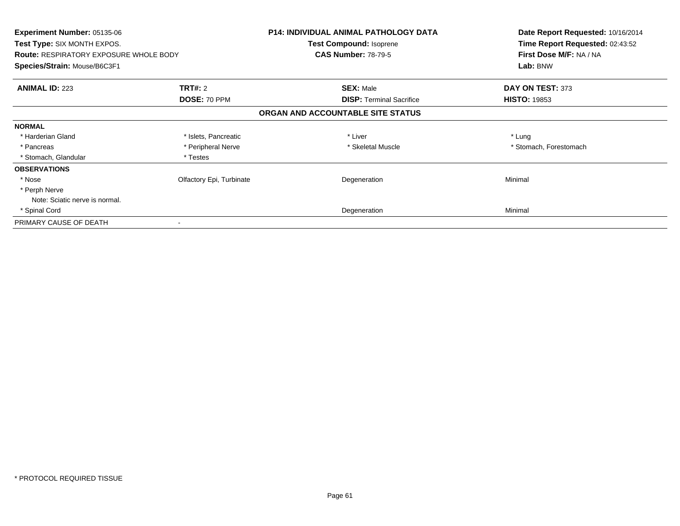| <b>Experiment Number: 05135-06</b><br>Test Type: SIX MONTH EXPOS.<br><b>Route: RESPIRATORY EXPOSURE WHOLE BODY</b><br>Species/Strain: Mouse/B6C3F1 |                          | <b>P14: INDIVIDUAL ANIMAL PATHOLOGY DATA</b><br>Test Compound: Isoprene<br><b>CAS Number: 78-79-5</b> | Date Report Requested: 10/16/2014<br>Time Report Requested: 02:43:52<br>First Dose M/F: NA / NA<br>Lab: BNW |
|----------------------------------------------------------------------------------------------------------------------------------------------------|--------------------------|-------------------------------------------------------------------------------------------------------|-------------------------------------------------------------------------------------------------------------|
| <b>ANIMAL ID: 223</b>                                                                                                                              | <b>TRT#: 2</b>           | <b>SEX: Male</b>                                                                                      | DAY ON TEST: 373                                                                                            |
|                                                                                                                                                    | DOSE: 70 PPM             | <b>DISP:</b> Terminal Sacrifice                                                                       | <b>HISTO: 19853</b>                                                                                         |
|                                                                                                                                                    |                          | ORGAN AND ACCOUNTABLE SITE STATUS                                                                     |                                                                                                             |
| <b>NORMAL</b>                                                                                                                                      |                          |                                                                                                       |                                                                                                             |
| * Harderian Gland                                                                                                                                  | * Islets, Pancreatic     | * Liver                                                                                               | * Lung                                                                                                      |
| * Pancreas                                                                                                                                         | * Peripheral Nerve       | * Skeletal Muscle                                                                                     | * Stomach, Forestomach                                                                                      |
| * Stomach, Glandular                                                                                                                               | * Testes                 |                                                                                                       |                                                                                                             |
| <b>OBSERVATIONS</b>                                                                                                                                |                          |                                                                                                       |                                                                                                             |
| * Nose                                                                                                                                             | Olfactory Epi, Turbinate | Degeneration                                                                                          | Minimal                                                                                                     |
| * Perph Nerve                                                                                                                                      |                          |                                                                                                       |                                                                                                             |
| Note: Sciatic nerve is normal.                                                                                                                     |                          |                                                                                                       |                                                                                                             |
| * Spinal Cord                                                                                                                                      |                          | Degeneration                                                                                          | Minimal                                                                                                     |
| PRIMARY CAUSE OF DEATH                                                                                                                             |                          |                                                                                                       |                                                                                                             |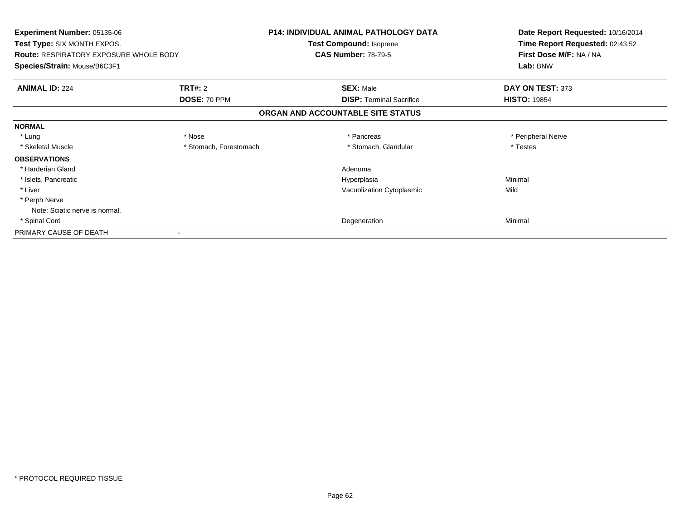| <b>Experiment Number: 05135-06</b><br><b>Test Type: SIX MONTH EXPOS.</b><br><b>Route: RESPIRATORY EXPOSURE WHOLE BODY</b> |                        | <b>P14: INDIVIDUAL ANIMAL PATHOLOGY DATA</b><br>Test Compound: Isoprene<br><b>CAS Number: 78-79-5</b> | Date Report Requested: 10/16/2014<br>Time Report Requested: 02:43:52<br>First Dose M/F: NA / NA |
|---------------------------------------------------------------------------------------------------------------------------|------------------------|-------------------------------------------------------------------------------------------------------|-------------------------------------------------------------------------------------------------|
| Species/Strain: Mouse/B6C3F1                                                                                              |                        |                                                                                                       | Lab: BNW                                                                                        |
| <b>ANIMAL ID: 224</b>                                                                                                     | <b>TRT#: 2</b>         | <b>SEX: Male</b>                                                                                      | DAY ON TEST: 373                                                                                |
|                                                                                                                           | DOSE: 70 PPM           | <b>DISP: Terminal Sacrifice</b>                                                                       | <b>HISTO: 19854</b>                                                                             |
|                                                                                                                           |                        | ORGAN AND ACCOUNTABLE SITE STATUS                                                                     |                                                                                                 |
| <b>NORMAL</b>                                                                                                             |                        |                                                                                                       |                                                                                                 |
| * Lung                                                                                                                    | * Nose                 | * Pancreas                                                                                            | * Peripheral Nerve                                                                              |
| * Skeletal Muscle                                                                                                         | * Stomach, Forestomach | * Stomach, Glandular                                                                                  | * Testes                                                                                        |
| <b>OBSERVATIONS</b>                                                                                                       |                        |                                                                                                       |                                                                                                 |
| * Harderian Gland                                                                                                         |                        | Adenoma                                                                                               |                                                                                                 |
| * Islets, Pancreatic                                                                                                      |                        | Hyperplasia                                                                                           | Minimal                                                                                         |
| * Liver                                                                                                                   |                        | Vacuolization Cytoplasmic                                                                             | Mild                                                                                            |
| * Perph Nerve                                                                                                             |                        |                                                                                                       |                                                                                                 |
| Note: Sciatic nerve is normal.                                                                                            |                        |                                                                                                       |                                                                                                 |
| * Spinal Cord                                                                                                             |                        | Degeneration                                                                                          | Minimal                                                                                         |
| PRIMARY CAUSE OF DEATH                                                                                                    |                        |                                                                                                       |                                                                                                 |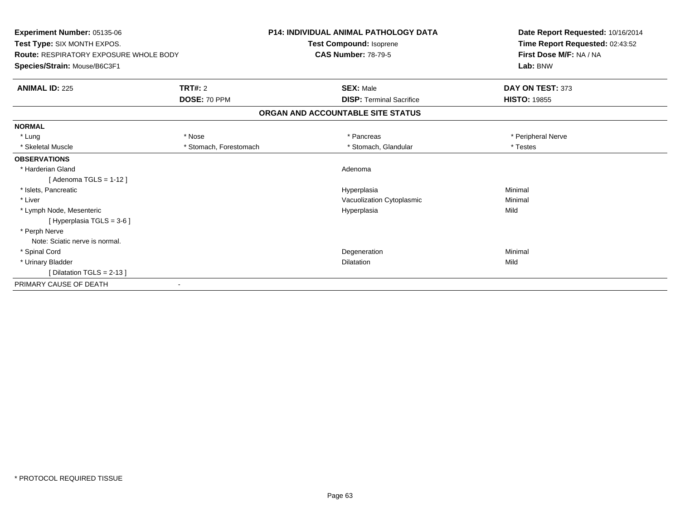| Experiment Number: 05135-06<br>Test Type: SIX MONTH EXPOS.<br><b>Route: RESPIRATORY EXPOSURE WHOLE BODY</b> |                        | <b>P14: INDIVIDUAL ANIMAL PATHOLOGY DATA</b><br>Test Compound: Isoprene<br><b>CAS Number: 78-79-5</b> | Date Report Requested: 10/16/2014<br>Time Report Requested: 02:43:52<br>First Dose M/F: NA / NA |
|-------------------------------------------------------------------------------------------------------------|------------------------|-------------------------------------------------------------------------------------------------------|-------------------------------------------------------------------------------------------------|
| Species/Strain: Mouse/B6C3F1                                                                                |                        |                                                                                                       | Lab: BNW                                                                                        |
| <b>ANIMAL ID: 225</b>                                                                                       | <b>TRT#: 2</b>         | <b>SEX: Male</b>                                                                                      | DAY ON TEST: 373                                                                                |
|                                                                                                             | DOSE: 70 PPM           | <b>DISP: Terminal Sacrifice</b>                                                                       | <b>HISTO: 19855</b>                                                                             |
|                                                                                                             |                        | ORGAN AND ACCOUNTABLE SITE STATUS                                                                     |                                                                                                 |
| <b>NORMAL</b>                                                                                               |                        |                                                                                                       |                                                                                                 |
| * Lung                                                                                                      | * Nose                 | * Pancreas                                                                                            | * Peripheral Nerve                                                                              |
| * Skeletal Muscle                                                                                           | * Stomach, Forestomach | * Stomach, Glandular                                                                                  | * Testes                                                                                        |
| <b>OBSERVATIONS</b>                                                                                         |                        |                                                                                                       |                                                                                                 |
| * Harderian Gland                                                                                           |                        | Adenoma                                                                                               |                                                                                                 |
| [Adenoma TGLS = $1-12$ ]                                                                                    |                        |                                                                                                       |                                                                                                 |
| * Islets, Pancreatic                                                                                        |                        | Hyperplasia                                                                                           | Minimal                                                                                         |
| * Liver                                                                                                     |                        | Vacuolization Cytoplasmic                                                                             | Minimal                                                                                         |
| * Lymph Node, Mesenteric                                                                                    |                        | Hyperplasia                                                                                           | Mild                                                                                            |
| [Hyperplasia TGLS = $3-6$ ]                                                                                 |                        |                                                                                                       |                                                                                                 |
| * Perph Nerve                                                                                               |                        |                                                                                                       |                                                                                                 |
| Note: Sciatic nerve is normal.                                                                              |                        |                                                                                                       |                                                                                                 |
| * Spinal Cord                                                                                               |                        | Degeneration                                                                                          | Minimal                                                                                         |
| * Urinary Bladder                                                                                           |                        | <b>Dilatation</b>                                                                                     | Mild                                                                                            |
| [Dilatation TGLS = $2-13$ ]                                                                                 |                        |                                                                                                       |                                                                                                 |
| PRIMARY CAUSE OF DEATH                                                                                      |                        |                                                                                                       |                                                                                                 |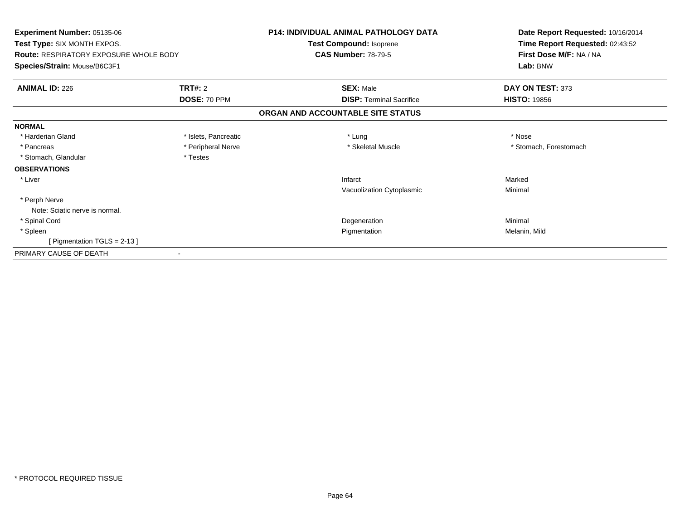| <b>Experiment Number: 05135-06</b><br><b>Test Type: SIX MONTH EXPOS.</b><br><b>Route: RESPIRATORY EXPOSURE WHOLE BODY</b><br>Species/Strain: Mouse/B6C3F1 |                      | <b>P14: INDIVIDUAL ANIMAL PATHOLOGY DATA</b><br>Test Compound: Isoprene<br><b>CAS Number: 78-79-5</b> | Date Report Requested: 10/16/2014<br>Time Report Requested: 02:43:52<br>First Dose M/F: NA / NA<br>Lab: BNW |
|-----------------------------------------------------------------------------------------------------------------------------------------------------------|----------------------|-------------------------------------------------------------------------------------------------------|-------------------------------------------------------------------------------------------------------------|
| <b>ANIMAL ID: 226</b>                                                                                                                                     | <b>TRT#: 2</b>       | <b>SEX: Male</b>                                                                                      | DAY ON TEST: 373                                                                                            |
|                                                                                                                                                           | DOSE: 70 PPM         | <b>DISP: Terminal Sacrifice</b>                                                                       | <b>HISTO: 19856</b>                                                                                         |
|                                                                                                                                                           |                      | ORGAN AND ACCOUNTABLE SITE STATUS                                                                     |                                                                                                             |
| <b>NORMAL</b>                                                                                                                                             |                      |                                                                                                       |                                                                                                             |
| * Harderian Gland                                                                                                                                         | * Islets, Pancreatic | * Lung                                                                                                | * Nose                                                                                                      |
| * Pancreas                                                                                                                                                | * Peripheral Nerve   | * Skeletal Muscle                                                                                     | * Stomach, Forestomach                                                                                      |
| * Stomach, Glandular                                                                                                                                      | * Testes             |                                                                                                       |                                                                                                             |
| <b>OBSERVATIONS</b>                                                                                                                                       |                      |                                                                                                       |                                                                                                             |
| * Liver                                                                                                                                                   |                      | Infarct                                                                                               | Marked                                                                                                      |
|                                                                                                                                                           |                      | Vacuolization Cytoplasmic                                                                             | Minimal                                                                                                     |
| * Perph Nerve                                                                                                                                             |                      |                                                                                                       |                                                                                                             |
| Note: Sciatic nerve is normal.                                                                                                                            |                      |                                                                                                       |                                                                                                             |
| * Spinal Cord                                                                                                                                             |                      | Degeneration                                                                                          | Minimal                                                                                                     |
| * Spleen                                                                                                                                                  |                      | Pigmentation                                                                                          | Melanin, Mild                                                                                               |
| [ Pigmentation TGLS = $2-13$ ]                                                                                                                            |                      |                                                                                                       |                                                                                                             |
| PRIMARY CAUSE OF DEATH                                                                                                                                    |                      |                                                                                                       |                                                                                                             |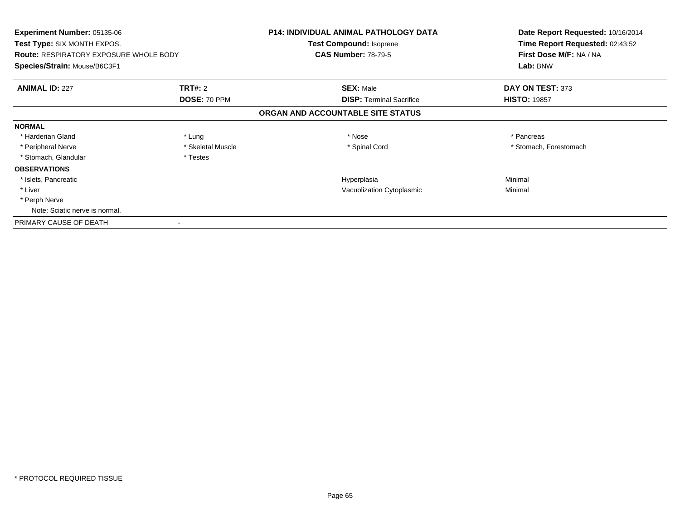| Experiment Number: 05135-06<br>Test Type: SIX MONTH EXPOS.<br><b>Route: RESPIRATORY EXPOSURE WHOLE BODY</b><br>Species/Strain: Mouse/B6C3F1 |                   | <b>P14: INDIVIDUAL ANIMAL PATHOLOGY DATA</b><br>Test Compound: Isoprene<br><b>CAS Number: 78-79-5</b> | Date Report Requested: 10/16/2014<br>Time Report Requested: 02:43:52<br>First Dose M/F: NA / NA<br>Lab: BNW |
|---------------------------------------------------------------------------------------------------------------------------------------------|-------------------|-------------------------------------------------------------------------------------------------------|-------------------------------------------------------------------------------------------------------------|
| <b>ANIMAL ID: 227</b>                                                                                                                       | <b>TRT#: 2</b>    | <b>SEX: Male</b>                                                                                      | DAY ON TEST: 373                                                                                            |
|                                                                                                                                             | DOSE: 70 PPM      | <b>DISP:</b> Terminal Sacrifice                                                                       | <b>HISTO: 19857</b>                                                                                         |
|                                                                                                                                             |                   | ORGAN AND ACCOUNTABLE SITE STATUS                                                                     |                                                                                                             |
| <b>NORMAL</b>                                                                                                                               |                   |                                                                                                       |                                                                                                             |
| * Harderian Gland                                                                                                                           | * Lung            | * Nose                                                                                                | * Pancreas                                                                                                  |
| * Peripheral Nerve                                                                                                                          | * Skeletal Muscle | * Spinal Cord                                                                                         | * Stomach, Forestomach                                                                                      |
| * Stomach, Glandular                                                                                                                        | * Testes          |                                                                                                       |                                                                                                             |
| <b>OBSERVATIONS</b>                                                                                                                         |                   |                                                                                                       |                                                                                                             |
| * Islets, Pancreatic                                                                                                                        |                   | Hyperplasia                                                                                           | Minimal                                                                                                     |
| * Liver                                                                                                                                     |                   | Vacuolization Cytoplasmic                                                                             | Minimal                                                                                                     |
| * Perph Nerve                                                                                                                               |                   |                                                                                                       |                                                                                                             |
| Note: Sciatic nerve is normal.                                                                                                              |                   |                                                                                                       |                                                                                                             |
| PRIMARY CAUSE OF DEATH                                                                                                                      |                   |                                                                                                       |                                                                                                             |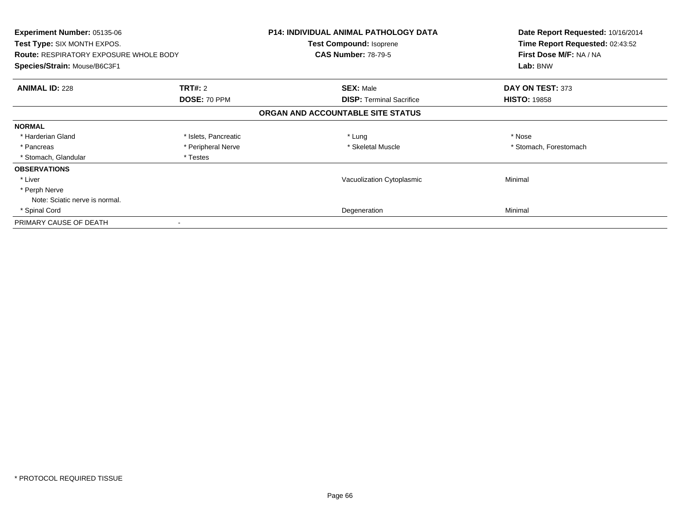| Experiment Number: 05135-06<br>Test Type: SIX MONTH EXPOS.<br><b>Route: RESPIRATORY EXPOSURE WHOLE BODY</b><br>Species/Strain: Mouse/B6C3F1 |                      | <b>P14: INDIVIDUAL ANIMAL PATHOLOGY DATA</b><br>Test Compound: Isoprene<br><b>CAS Number: 78-79-5</b> | Date Report Requested: 10/16/2014<br>Time Report Requested: 02:43:52<br>First Dose M/F: NA / NA<br>Lab: BNW |
|---------------------------------------------------------------------------------------------------------------------------------------------|----------------------|-------------------------------------------------------------------------------------------------------|-------------------------------------------------------------------------------------------------------------|
| <b>ANIMAL ID: 228</b>                                                                                                                       | <b>TRT#: 2</b>       | <b>SEX: Male</b>                                                                                      | DAY ON TEST: 373                                                                                            |
|                                                                                                                                             | DOSE: 70 PPM         | <b>DISP:</b> Terminal Sacrifice                                                                       | <b>HISTO: 19858</b>                                                                                         |
|                                                                                                                                             |                      | ORGAN AND ACCOUNTABLE SITE STATUS                                                                     |                                                                                                             |
| <b>NORMAL</b>                                                                                                                               |                      |                                                                                                       |                                                                                                             |
| * Harderian Gland                                                                                                                           | * Islets, Pancreatic | * Lung                                                                                                | * Nose                                                                                                      |
| * Pancreas                                                                                                                                  | * Peripheral Nerve   | * Skeletal Muscle                                                                                     | * Stomach, Forestomach                                                                                      |
| * Stomach, Glandular                                                                                                                        | * Testes             |                                                                                                       |                                                                                                             |
| <b>OBSERVATIONS</b>                                                                                                                         |                      |                                                                                                       |                                                                                                             |
| * Liver                                                                                                                                     |                      | Vacuolization Cytoplasmic                                                                             | Minimal                                                                                                     |
| * Perph Nerve                                                                                                                               |                      |                                                                                                       |                                                                                                             |
| Note: Sciatic nerve is normal.                                                                                                              |                      |                                                                                                       |                                                                                                             |
| * Spinal Cord                                                                                                                               |                      | Degeneration                                                                                          | Minimal                                                                                                     |
| PRIMARY CAUSE OF DEATH                                                                                                                      |                      |                                                                                                       |                                                                                                             |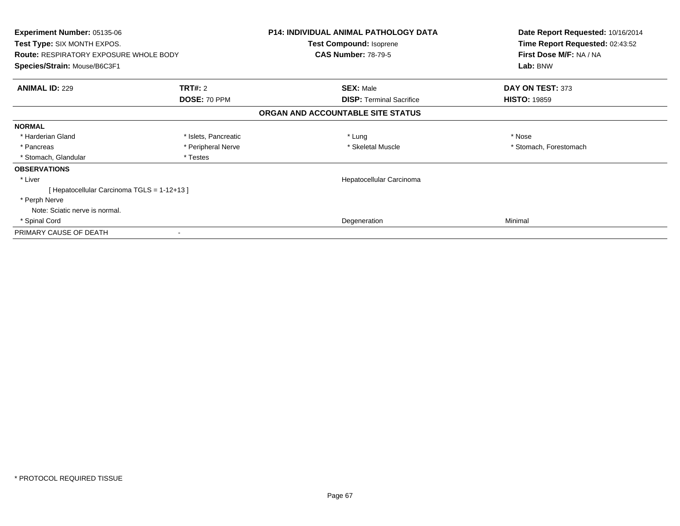| <b>Experiment Number: 05135-06</b><br><b>Test Type: SIX MONTH EXPOS.</b>      |                      | <b>P14: INDIVIDUAL ANIMAL PATHOLOGY DATA</b><br>Test Compound: Isoprene | Date Report Requested: 10/16/2014<br>Time Report Requested: 02:43:52<br>First Dose M/F: NA / NA |
|-------------------------------------------------------------------------------|----------------------|-------------------------------------------------------------------------|-------------------------------------------------------------------------------------------------|
| <b>Route: RESPIRATORY EXPOSURE WHOLE BODY</b><br>Species/Strain: Mouse/B6C3F1 |                      | <b>CAS Number: 78-79-5</b>                                              | Lab: BNW                                                                                        |
|                                                                               |                      |                                                                         |                                                                                                 |
| <b>ANIMAL ID: 229</b>                                                         | <b>TRT#: 2</b>       | <b>SEX: Male</b>                                                        | DAY ON TEST: 373                                                                                |
|                                                                               | DOSE: 70 PPM         | <b>DISP:</b> Terminal Sacrifice                                         | <b>HISTO: 19859</b>                                                                             |
|                                                                               |                      | ORGAN AND ACCOUNTABLE SITE STATUS                                       |                                                                                                 |
| <b>NORMAL</b>                                                                 |                      |                                                                         |                                                                                                 |
| * Harderian Gland                                                             | * Islets, Pancreatic | * Lung                                                                  | * Nose                                                                                          |
| * Pancreas                                                                    | * Peripheral Nerve   | * Skeletal Muscle                                                       | * Stomach, Forestomach                                                                          |
| * Stomach, Glandular                                                          | * Testes             |                                                                         |                                                                                                 |
| <b>OBSERVATIONS</b>                                                           |                      |                                                                         |                                                                                                 |
| * Liver                                                                       |                      | Hepatocellular Carcinoma                                                |                                                                                                 |
| [Hepatocellular Carcinoma TGLS = 1-12+13]                                     |                      |                                                                         |                                                                                                 |
| * Perph Nerve                                                                 |                      |                                                                         |                                                                                                 |
| Note: Sciatic nerve is normal.                                                |                      |                                                                         |                                                                                                 |
| * Spinal Cord                                                                 |                      | Degeneration                                                            | Minimal                                                                                         |
| PRIMARY CAUSE OF DEATH                                                        |                      |                                                                         |                                                                                                 |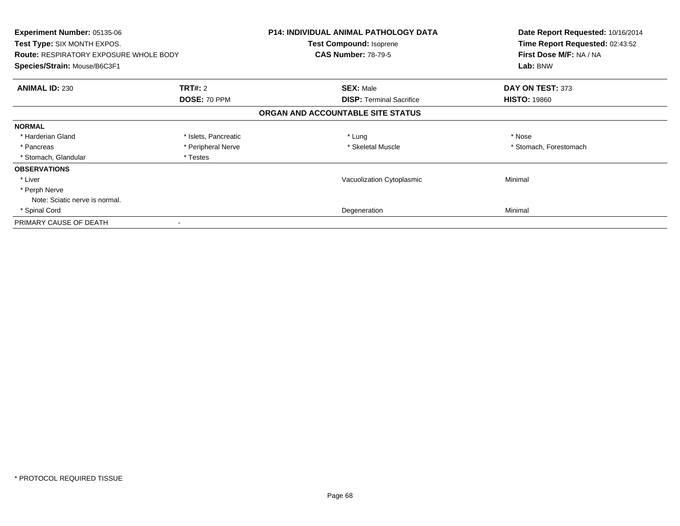| Experiment Number: 05135-06<br>Test Type: SIX MONTH EXPOS.<br><b>Route: RESPIRATORY EXPOSURE WHOLE BODY</b><br>Species/Strain: Mouse/B6C3F1 |                      | <b>P14: INDIVIDUAL ANIMAL PATHOLOGY DATA</b><br>Test Compound: Isoprene<br><b>CAS Number: 78-79-5</b> | Date Report Requested: 10/16/2014<br>Time Report Requested: 02:43:52<br>First Dose M/F: NA / NA<br>Lab: BNW |
|---------------------------------------------------------------------------------------------------------------------------------------------|----------------------|-------------------------------------------------------------------------------------------------------|-------------------------------------------------------------------------------------------------------------|
| <b>ANIMAL ID: 230</b>                                                                                                                       | <b>TRT#: 2</b>       | <b>SEX: Male</b>                                                                                      | DAY ON TEST: 373                                                                                            |
|                                                                                                                                             | DOSE: 70 PPM         | <b>DISP:</b> Terminal Sacrifice                                                                       | <b>HISTO: 19860</b>                                                                                         |
|                                                                                                                                             |                      | ORGAN AND ACCOUNTABLE SITE STATUS                                                                     |                                                                                                             |
| <b>NORMAL</b>                                                                                                                               |                      |                                                                                                       |                                                                                                             |
| * Harderian Gland                                                                                                                           | * Islets, Pancreatic | * Lung                                                                                                | * Nose                                                                                                      |
| * Pancreas                                                                                                                                  | * Peripheral Nerve   | * Skeletal Muscle                                                                                     | * Stomach, Forestomach                                                                                      |
| * Stomach, Glandular                                                                                                                        | * Testes             |                                                                                                       |                                                                                                             |
| <b>OBSERVATIONS</b>                                                                                                                         |                      |                                                                                                       |                                                                                                             |
| * Liver                                                                                                                                     |                      | Vacuolization Cytoplasmic                                                                             | Minimal                                                                                                     |
| * Perph Nerve                                                                                                                               |                      |                                                                                                       |                                                                                                             |
| Note: Sciatic nerve is normal.                                                                                                              |                      |                                                                                                       |                                                                                                             |
| * Spinal Cord                                                                                                                               |                      | Degeneration                                                                                          | Minimal                                                                                                     |
| PRIMARY CAUSE OF DEATH                                                                                                                      |                      |                                                                                                       |                                                                                                             |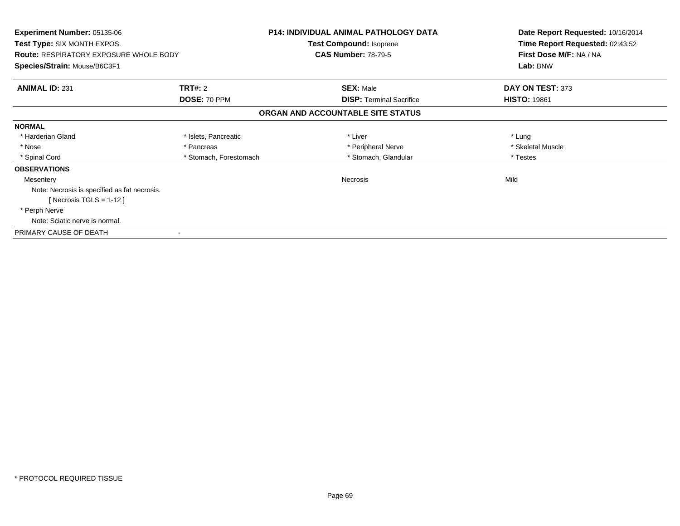| <b>Experiment Number: 05135-06</b><br><b>Test Type: SIX MONTH EXPOS.</b> |                        | <b>P14: INDIVIDUAL ANIMAL PATHOLOGY DATA</b> | Date Report Requested: 10/16/2014<br>Time Report Requested: 02:43:52 |
|--------------------------------------------------------------------------|------------------------|----------------------------------------------|----------------------------------------------------------------------|
|                                                                          |                        | Test Compound: Isoprene                      |                                                                      |
| <b>Route: RESPIRATORY EXPOSURE WHOLE BODY</b>                            |                        | <b>CAS Number: 78-79-5</b>                   | First Dose M/F: NA / NA                                              |
| Species/Strain: Mouse/B6C3F1                                             |                        |                                              | Lab: BNW                                                             |
| <b>ANIMAL ID: 231</b>                                                    | <b>TRT#: 2</b>         | <b>SEX: Male</b>                             | DAY ON TEST: 373                                                     |
|                                                                          | DOSE: 70 PPM           | <b>DISP:</b> Terminal Sacrifice              | <b>HISTO: 19861</b>                                                  |
|                                                                          |                        | ORGAN AND ACCOUNTABLE SITE STATUS            |                                                                      |
| <b>NORMAL</b>                                                            |                        |                                              |                                                                      |
| * Harderian Gland                                                        | * Islets, Pancreatic   | * Liver                                      | * Lung                                                               |
| * Nose                                                                   | * Pancreas             | * Peripheral Nerve                           | * Skeletal Muscle                                                    |
| * Spinal Cord                                                            | * Stomach, Forestomach | * Stomach, Glandular                         | * Testes                                                             |
| <b>OBSERVATIONS</b>                                                      |                        |                                              |                                                                      |
| Mesentery                                                                |                        | <b>Necrosis</b>                              | Mild                                                                 |
| Note: Necrosis is specified as fat necrosis.                             |                        |                                              |                                                                      |
| [ Necrosis TGLS = $1-12$ ]                                               |                        |                                              |                                                                      |
| * Perph Nerve                                                            |                        |                                              |                                                                      |
| Note: Sciatic nerve is normal.                                           |                        |                                              |                                                                      |
| PRIMARY CAUSE OF DEATH                                                   |                        |                                              |                                                                      |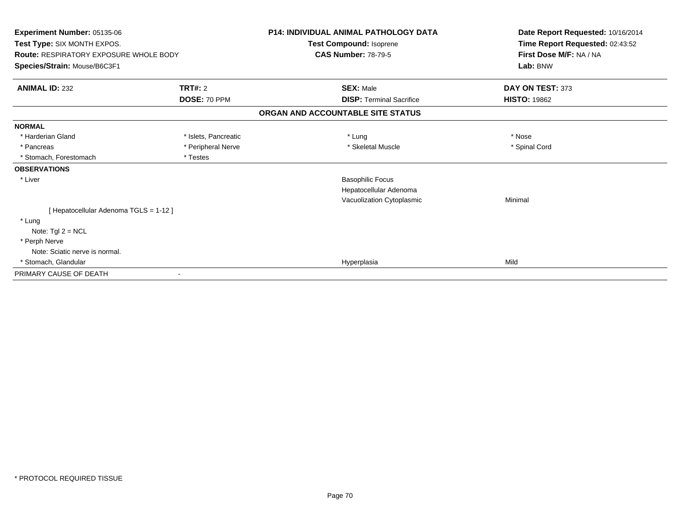| Experiment Number: 05135-06<br>Test Type: SIX MONTH EXPOS.<br><b>Route: RESPIRATORY EXPOSURE WHOLE BODY</b><br>Species/Strain: Mouse/B6C3F1 |                      | <b>P14: INDIVIDUAL ANIMAL PATHOLOGY DATA</b><br>Test Compound: Isoprene | Date Report Requested: 10/16/2014<br>Time Report Requested: 02:43:52<br>First Dose M/F: NA / NA<br>Lab: BNW |
|---------------------------------------------------------------------------------------------------------------------------------------------|----------------------|-------------------------------------------------------------------------|-------------------------------------------------------------------------------------------------------------|
|                                                                                                                                             |                      | <b>CAS Number: 78-79-5</b>                                              |                                                                                                             |
| <b>ANIMAL ID: 232</b>                                                                                                                       | <b>TRT#: 2</b>       | <b>SEX: Male</b>                                                        | DAY ON TEST: 373                                                                                            |
|                                                                                                                                             | DOSE: 70 PPM         | <b>DISP: Terminal Sacrifice</b>                                         | <b>HISTO: 19862</b>                                                                                         |
|                                                                                                                                             |                      | ORGAN AND ACCOUNTABLE SITE STATUS                                       |                                                                                                             |
| <b>NORMAL</b>                                                                                                                               |                      |                                                                         |                                                                                                             |
| * Harderian Gland                                                                                                                           | * Islets, Pancreatic | * Lung                                                                  | * Nose                                                                                                      |
| * Pancreas                                                                                                                                  | * Peripheral Nerve   | * Skeletal Muscle                                                       | * Spinal Cord                                                                                               |
| * Stomach, Forestomach                                                                                                                      | * Testes             |                                                                         |                                                                                                             |
| <b>OBSERVATIONS</b>                                                                                                                         |                      |                                                                         |                                                                                                             |
| * Liver                                                                                                                                     |                      | <b>Basophilic Focus</b>                                                 |                                                                                                             |
|                                                                                                                                             |                      | Hepatocellular Adenoma                                                  |                                                                                                             |
|                                                                                                                                             |                      | Vacuolization Cytoplasmic                                               | Minimal                                                                                                     |
| [ Hepatocellular Adenoma TGLS = 1-12 ]                                                                                                      |                      |                                                                         |                                                                                                             |
| * Lung                                                                                                                                      |                      |                                                                         |                                                                                                             |
| Note: $Tgl 2 = NCL$                                                                                                                         |                      |                                                                         |                                                                                                             |
| * Perph Nerve                                                                                                                               |                      |                                                                         |                                                                                                             |
| Note: Sciatic nerve is normal.                                                                                                              |                      |                                                                         |                                                                                                             |
| * Stomach, Glandular                                                                                                                        |                      | Hyperplasia                                                             | Mild                                                                                                        |
| PRIMARY CAUSE OF DEATH                                                                                                                      |                      |                                                                         |                                                                                                             |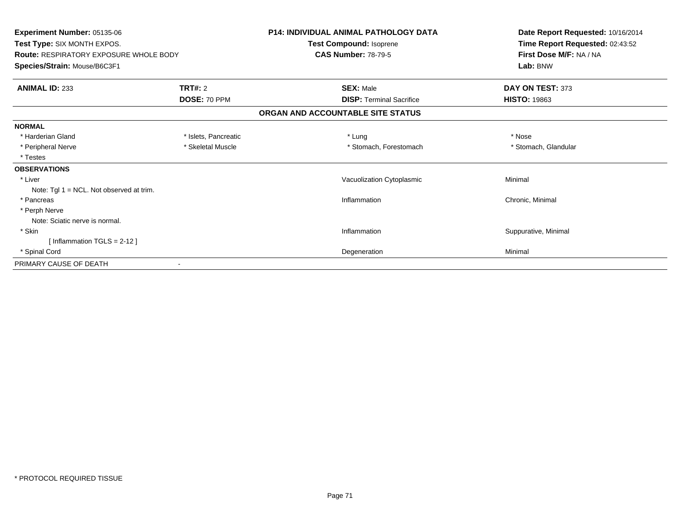| Experiment Number: 05135-06                   |                      | <b>P14: INDIVIDUAL ANIMAL PATHOLOGY DATA</b> | Date Report Requested: 10/16/2014 |
|-----------------------------------------------|----------------------|----------------------------------------------|-----------------------------------|
| Test Type: SIX MONTH EXPOS.                   |                      | Test Compound: Isoprene                      | Time Report Requested: 02:43:52   |
| <b>Route: RESPIRATORY EXPOSURE WHOLE BODY</b> |                      | <b>CAS Number: 78-79-5</b>                   | First Dose M/F: NA / NA           |
| Species/Strain: Mouse/B6C3F1                  |                      |                                              | Lab: BNW                          |
| <b>ANIMAL ID: 233</b>                         | <b>TRT#: 2</b>       | <b>SEX: Male</b>                             | DAY ON TEST: 373                  |
|                                               | DOSE: 70 PPM         | <b>DISP: Terminal Sacrifice</b>              | <b>HISTO: 19863</b>               |
|                                               |                      | ORGAN AND ACCOUNTABLE SITE STATUS            |                                   |
| <b>NORMAL</b>                                 |                      |                                              |                                   |
| * Harderian Gland                             | * Islets, Pancreatic | * Lung                                       | * Nose                            |
| * Peripheral Nerve                            | * Skeletal Muscle    | * Stomach, Forestomach                       | * Stomach, Glandular              |
| * Testes                                      |                      |                                              |                                   |
| <b>OBSERVATIONS</b>                           |                      |                                              |                                   |
| * Liver                                       |                      | Vacuolization Cytoplasmic                    | Minimal                           |
| Note: Tgl $1 = NCL$ . Not observed at trim.   |                      |                                              |                                   |
| * Pancreas                                    |                      | Inflammation                                 | Chronic, Minimal                  |
| * Perph Nerve                                 |                      |                                              |                                   |
| Note: Sciatic nerve is normal.                |                      |                                              |                                   |
| * Skin                                        |                      | Inflammation                                 | Suppurative, Minimal              |
| [Inflammation $TGLS = 2-12$ ]                 |                      |                                              |                                   |
| * Spinal Cord                                 |                      | Degeneration                                 | Minimal                           |
| PRIMARY CAUSE OF DEATH                        |                      |                                              |                                   |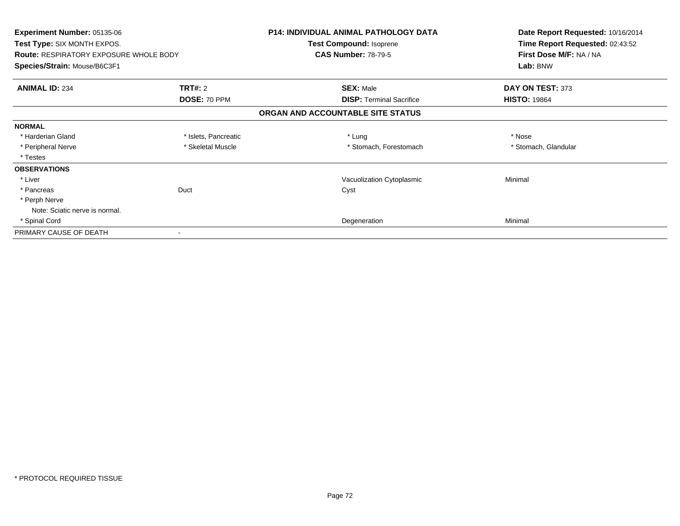| Experiment Number: 05135-06<br>Test Type: SIX MONTH EXPOS.<br><b>Route: RESPIRATORY EXPOSURE WHOLE BODY</b><br>Species/Strain: Mouse/B6C3F1 |                      | <b>P14: INDIVIDUAL ANIMAL PATHOLOGY DATA</b><br>Test Compound: Isoprene<br><b>CAS Number: 78-79-5</b> | Date Report Requested: 10/16/2014<br>Time Report Requested: 02:43:52<br>First Dose M/F: NA / NA<br>Lab: BNW |
|---------------------------------------------------------------------------------------------------------------------------------------------|----------------------|-------------------------------------------------------------------------------------------------------|-------------------------------------------------------------------------------------------------------------|
|                                                                                                                                             |                      |                                                                                                       |                                                                                                             |
|                                                                                                                                             | DOSE: 70 PPM         | <b>DISP:</b> Terminal Sacrifice                                                                       | <b>HISTO: 19864</b>                                                                                         |
|                                                                                                                                             |                      | ORGAN AND ACCOUNTABLE SITE STATUS                                                                     |                                                                                                             |
| <b>NORMAL</b>                                                                                                                               |                      |                                                                                                       |                                                                                                             |
| * Harderian Gland                                                                                                                           | * Islets, Pancreatic | * Lung                                                                                                | * Nose                                                                                                      |
| * Peripheral Nerve                                                                                                                          | * Skeletal Muscle    | * Stomach, Forestomach                                                                                | * Stomach, Glandular                                                                                        |
| * Testes                                                                                                                                    |                      |                                                                                                       |                                                                                                             |
| <b>OBSERVATIONS</b>                                                                                                                         |                      |                                                                                                       |                                                                                                             |
| * Liver                                                                                                                                     |                      | Vacuolization Cytoplasmic                                                                             | Minimal                                                                                                     |
| * Pancreas                                                                                                                                  | Duct                 | Cyst                                                                                                  |                                                                                                             |
| * Perph Nerve                                                                                                                               |                      |                                                                                                       |                                                                                                             |
| Note: Sciatic nerve is normal.                                                                                                              |                      |                                                                                                       |                                                                                                             |
| * Spinal Cord                                                                                                                               |                      | Degeneration                                                                                          | Minimal                                                                                                     |
| PRIMARY CAUSE OF DEATH                                                                                                                      |                      |                                                                                                       |                                                                                                             |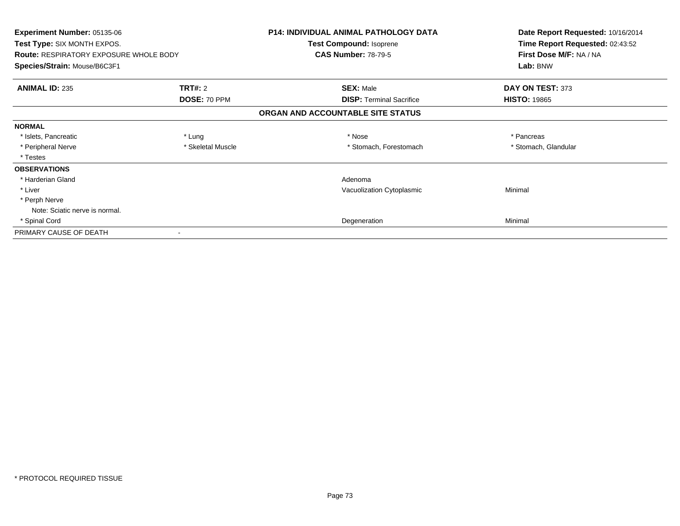| <b>Experiment Number: 05135-06</b><br><b>Test Type: SIX MONTH EXPOS.</b> |                   | <b>P14: INDIVIDUAL ANIMAL PATHOLOGY DATA</b><br>Test Compound: Isoprene | Date Report Requested: 10/16/2014<br>Time Report Requested: 02:43:52 |
|--------------------------------------------------------------------------|-------------------|-------------------------------------------------------------------------|----------------------------------------------------------------------|
| <b>Route: RESPIRATORY EXPOSURE WHOLE BODY</b>                            |                   | <b>CAS Number: 78-79-5</b>                                              | First Dose M/F: NA / NA                                              |
| Species/Strain: Mouse/B6C3F1                                             |                   |                                                                         | Lab: BNW                                                             |
| <b>ANIMAL ID: 235</b>                                                    | <b>TRT#: 2</b>    | <b>SEX: Male</b>                                                        | DAY ON TEST: 373                                                     |
|                                                                          | DOSE: 70 PPM      | <b>DISP:</b> Terminal Sacrifice                                         | <b>HISTO: 19865</b>                                                  |
|                                                                          |                   | ORGAN AND ACCOUNTABLE SITE STATUS                                       |                                                                      |
| <b>NORMAL</b>                                                            |                   |                                                                         |                                                                      |
| * Islets, Pancreatic                                                     | * Lung            | * Nose                                                                  | * Pancreas                                                           |
| * Peripheral Nerve                                                       | * Skeletal Muscle | * Stomach, Forestomach                                                  | * Stomach, Glandular                                                 |
| * Testes                                                                 |                   |                                                                         |                                                                      |
| <b>OBSERVATIONS</b>                                                      |                   |                                                                         |                                                                      |
| * Harderian Gland                                                        |                   | Adenoma                                                                 |                                                                      |
| * Liver                                                                  |                   | Vacuolization Cytoplasmic                                               | Minimal                                                              |
| * Perph Nerve                                                            |                   |                                                                         |                                                                      |
| Note: Sciatic nerve is normal.                                           |                   |                                                                         |                                                                      |
| * Spinal Cord                                                            |                   | Degeneration                                                            | Minimal                                                              |
| PRIMARY CAUSE OF DEATH                                                   |                   |                                                                         |                                                                      |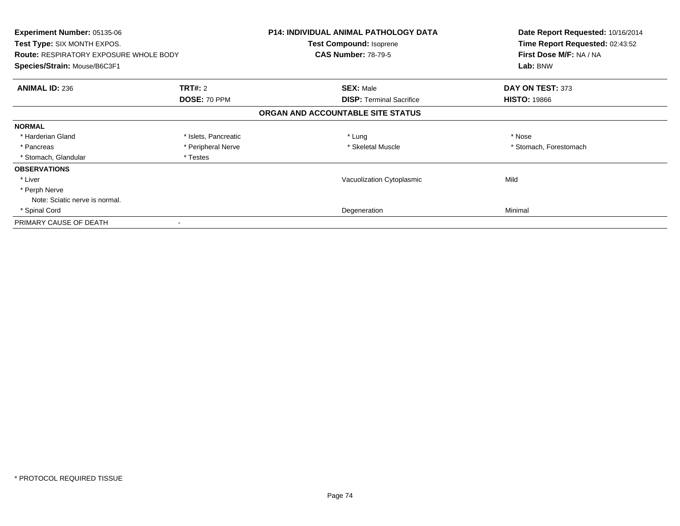| Experiment Number: 05135-06<br>Test Type: SIX MONTH EXPOS.<br><b>Route: RESPIRATORY EXPOSURE WHOLE BODY</b><br>Species/Strain: Mouse/B6C3F1 |                      | <b>P14: INDIVIDUAL ANIMAL PATHOLOGY DATA</b><br>Test Compound: Isoprene<br><b>CAS Number: 78-79-5</b> | Date Report Requested: 10/16/2014<br>Time Report Requested: 02:43:52<br>First Dose M/F: NA / NA<br>Lab: BNW |
|---------------------------------------------------------------------------------------------------------------------------------------------|----------------------|-------------------------------------------------------------------------------------------------------|-------------------------------------------------------------------------------------------------------------|
| <b>ANIMAL ID: 236</b>                                                                                                                       | <b>TRT#: 2</b>       | <b>SEX: Male</b>                                                                                      | DAY ON TEST: 373                                                                                            |
|                                                                                                                                             | DOSE: 70 PPM         | <b>DISP:</b> Terminal Sacrifice                                                                       | <b>HISTO: 19866</b>                                                                                         |
|                                                                                                                                             |                      | ORGAN AND ACCOUNTABLE SITE STATUS                                                                     |                                                                                                             |
| <b>NORMAL</b>                                                                                                                               |                      |                                                                                                       |                                                                                                             |
| * Harderian Gland                                                                                                                           | * Islets, Pancreatic | * Lung                                                                                                | * Nose                                                                                                      |
| * Pancreas                                                                                                                                  | * Peripheral Nerve   | * Skeletal Muscle                                                                                     | * Stomach, Forestomach                                                                                      |
| * Stomach, Glandular                                                                                                                        | * Testes             |                                                                                                       |                                                                                                             |
| <b>OBSERVATIONS</b>                                                                                                                         |                      |                                                                                                       |                                                                                                             |
| * Liver                                                                                                                                     |                      | Vacuolization Cytoplasmic                                                                             | Mild                                                                                                        |
| * Perph Nerve                                                                                                                               |                      |                                                                                                       |                                                                                                             |
| Note: Sciatic nerve is normal.                                                                                                              |                      |                                                                                                       |                                                                                                             |
| * Spinal Cord                                                                                                                               |                      | Degeneration                                                                                          | Minimal                                                                                                     |
| PRIMARY CAUSE OF DEATH                                                                                                                      |                      |                                                                                                       |                                                                                                             |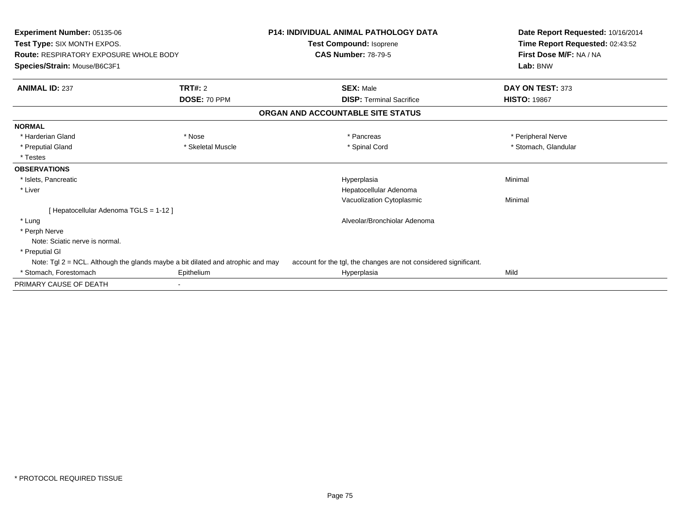| <b>Experiment Number: 05135-06</b><br>Test Type: SIX MONTH EXPOS.<br><b>Route: RESPIRATORY EXPOSURE WHOLE BODY</b><br>Species/Strain: Mouse/B6C3F1 |                                                                                    | <b>P14: INDIVIDUAL ANIMAL PATHOLOGY DATA</b><br>Test Compound: Isoprene | Date Report Requested: 10/16/2014<br>Time Report Requested: 02:43:52 |
|----------------------------------------------------------------------------------------------------------------------------------------------------|------------------------------------------------------------------------------------|-------------------------------------------------------------------------|----------------------------------------------------------------------|
|                                                                                                                                                    |                                                                                    | <b>CAS Number: 78-79-5</b>                                              | First Dose M/F: NA / NA<br>Lab: BNW                                  |
| <b>ANIMAL ID: 237</b>                                                                                                                              | TRT#: 2                                                                            | <b>SEX: Male</b>                                                        | DAY ON TEST: 373                                                     |
|                                                                                                                                                    | DOSE: 70 PPM                                                                       | <b>DISP: Terminal Sacrifice</b>                                         | <b>HISTO: 19867</b>                                                  |
|                                                                                                                                                    |                                                                                    | ORGAN AND ACCOUNTABLE SITE STATUS                                       |                                                                      |
| <b>NORMAL</b>                                                                                                                                      |                                                                                    |                                                                         |                                                                      |
| * Harderian Gland                                                                                                                                  | * Nose                                                                             | * Pancreas                                                              | * Peripheral Nerve                                                   |
| * Preputial Gland                                                                                                                                  | * Skeletal Muscle                                                                  | * Spinal Cord                                                           | * Stomach, Glandular                                                 |
| * Testes                                                                                                                                           |                                                                                    |                                                                         |                                                                      |
| <b>OBSERVATIONS</b>                                                                                                                                |                                                                                    |                                                                         |                                                                      |
| * Islets, Pancreatic                                                                                                                               |                                                                                    | Hyperplasia                                                             | Minimal                                                              |
| * Liver                                                                                                                                            |                                                                                    | Hepatocellular Adenoma                                                  |                                                                      |
|                                                                                                                                                    |                                                                                    | Vacuolization Cytoplasmic                                               | Minimal                                                              |
| [ Hepatocellular Adenoma TGLS = 1-12 ]                                                                                                             |                                                                                    |                                                                         |                                                                      |
| * Lung                                                                                                                                             |                                                                                    | Alveolar/Bronchiolar Adenoma                                            |                                                                      |
| * Perph Nerve                                                                                                                                      |                                                                                    |                                                                         |                                                                      |
| Note: Sciatic nerve is normal.                                                                                                                     |                                                                                    |                                                                         |                                                                      |
| * Preputial GI                                                                                                                                     |                                                                                    |                                                                         |                                                                      |
|                                                                                                                                                    | Note: Tgl $2 = NCL$ . Although the glands maybe a bit dilated and atrophic and may | account for the tgl, the changes are not considered significant.        |                                                                      |
| * Stomach, Forestomach                                                                                                                             | Epithelium                                                                         | Hyperplasia                                                             | Mild                                                                 |
| PRIMARY CAUSE OF DEATH                                                                                                                             |                                                                                    |                                                                         |                                                                      |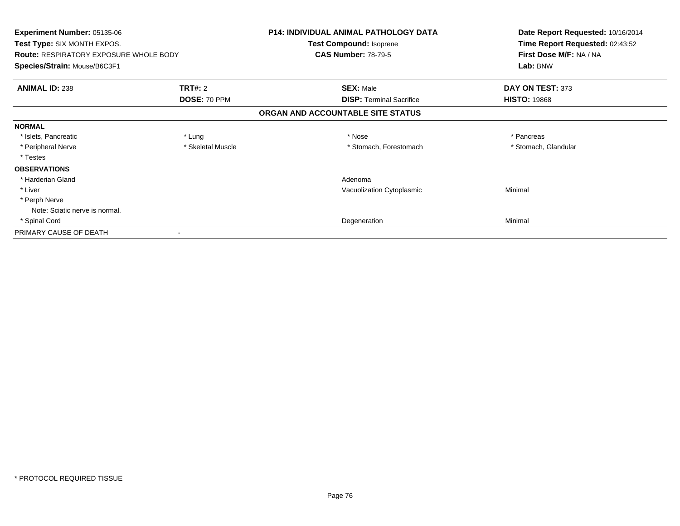| <b>Experiment Number: 05135-06</b><br><b>Test Type: SIX MONTH EXPOS.</b><br><b>Route: RESPIRATORY EXPOSURE WHOLE BODY</b><br>Species/Strain: Mouse/B6C3F1 |                   | <b>P14: INDIVIDUAL ANIMAL PATHOLOGY DATA</b><br><b>Test Compound: Isoprene</b> | Date Report Requested: 10/16/2014<br>Time Report Requested: 02:43:52<br>First Dose M/F: NA / NA<br>Lab: BNW |
|-----------------------------------------------------------------------------------------------------------------------------------------------------------|-------------------|--------------------------------------------------------------------------------|-------------------------------------------------------------------------------------------------------------|
|                                                                                                                                                           |                   | <b>CAS Number: 78-79-5</b>                                                     |                                                                                                             |
|                                                                                                                                                           |                   |                                                                                |                                                                                                             |
| <b>ANIMAL ID: 238</b>                                                                                                                                     | <b>TRT#: 2</b>    | <b>SEX: Male</b>                                                               | DAY ON TEST: 373                                                                                            |
|                                                                                                                                                           | DOSE: 70 PPM      | <b>DISP:</b> Terminal Sacrifice                                                | <b>HISTO: 19868</b>                                                                                         |
|                                                                                                                                                           |                   | ORGAN AND ACCOUNTABLE SITE STATUS                                              |                                                                                                             |
| <b>NORMAL</b>                                                                                                                                             |                   |                                                                                |                                                                                                             |
| * Islets, Pancreatic                                                                                                                                      | * Lung            | * Nose                                                                         | * Pancreas                                                                                                  |
| * Peripheral Nerve                                                                                                                                        | * Skeletal Muscle | * Stomach, Forestomach                                                         | * Stomach, Glandular                                                                                        |
| * Testes                                                                                                                                                  |                   |                                                                                |                                                                                                             |
| <b>OBSERVATIONS</b>                                                                                                                                       |                   |                                                                                |                                                                                                             |
| * Harderian Gland                                                                                                                                         |                   | Adenoma                                                                        |                                                                                                             |
| * Liver                                                                                                                                                   |                   | Vacuolization Cytoplasmic                                                      | Minimal                                                                                                     |
| * Perph Nerve                                                                                                                                             |                   |                                                                                |                                                                                                             |
| Note: Sciatic nerve is normal.                                                                                                                            |                   |                                                                                |                                                                                                             |
| * Spinal Cord                                                                                                                                             |                   | Degeneration                                                                   | Minimal                                                                                                     |
| PRIMARY CAUSE OF DEATH                                                                                                                                    |                   |                                                                                |                                                                                                             |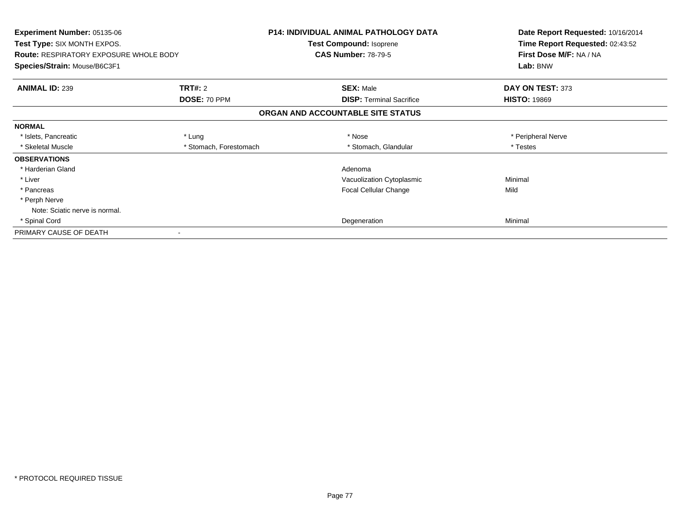| <b>Experiment Number: 05135-06</b><br><b>Test Type: SIX MONTH EXPOS.</b><br><b>Route: RESPIRATORY EXPOSURE WHOLE BODY</b> |                        | <b>P14: INDIVIDUAL ANIMAL PATHOLOGY DATA</b><br>Test Compound: Isoprene<br><b>CAS Number: 78-79-5</b> | Date Report Requested: 10/16/2014<br>Time Report Requested: 02:43:52<br>First Dose M/F: NA / NA |
|---------------------------------------------------------------------------------------------------------------------------|------------------------|-------------------------------------------------------------------------------------------------------|-------------------------------------------------------------------------------------------------|
| Species/Strain: Mouse/B6C3F1                                                                                              |                        |                                                                                                       | Lab: BNW                                                                                        |
| <b>ANIMAL ID: 239</b>                                                                                                     | <b>TRT#: 2</b>         | <b>SEX: Male</b>                                                                                      | DAY ON TEST: 373                                                                                |
|                                                                                                                           | DOSE: 70 PPM           | <b>DISP:</b> Terminal Sacrifice                                                                       | <b>HISTO: 19869</b>                                                                             |
|                                                                                                                           |                        | ORGAN AND ACCOUNTABLE SITE STATUS                                                                     |                                                                                                 |
| <b>NORMAL</b>                                                                                                             |                        |                                                                                                       |                                                                                                 |
| * Islets, Pancreatic                                                                                                      | * Lung                 | * Nose                                                                                                | * Peripheral Nerve                                                                              |
| * Skeletal Muscle                                                                                                         | * Stomach, Forestomach | * Stomach, Glandular                                                                                  | * Testes                                                                                        |
| <b>OBSERVATIONS</b>                                                                                                       |                        |                                                                                                       |                                                                                                 |
| * Harderian Gland                                                                                                         |                        | Adenoma                                                                                               |                                                                                                 |
| * Liver                                                                                                                   |                        | Vacuolization Cytoplasmic                                                                             | Minimal                                                                                         |
| * Pancreas                                                                                                                |                        | Focal Cellular Change                                                                                 | Mild                                                                                            |
| * Perph Nerve                                                                                                             |                        |                                                                                                       |                                                                                                 |
| Note: Sciatic nerve is normal.                                                                                            |                        |                                                                                                       |                                                                                                 |
| * Spinal Cord                                                                                                             |                        | Degeneration                                                                                          | Minimal                                                                                         |
| PRIMARY CAUSE OF DEATH                                                                                                    |                        |                                                                                                       |                                                                                                 |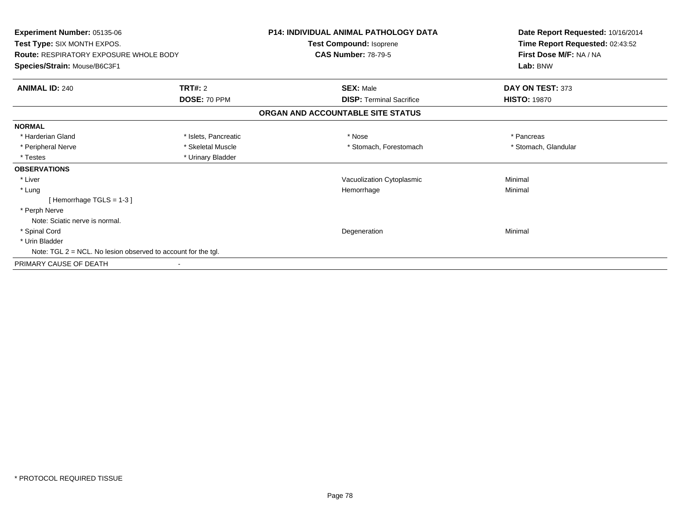| Experiment Number: 05135-06<br>Test Type: SIX MONTH EXPOS.       |                      | <b>P14: INDIVIDUAL ANIMAL PATHOLOGY DATA</b> | Date Report Requested: 10/16/2014<br>Time Report Requested: 02:43:52 |
|------------------------------------------------------------------|----------------------|----------------------------------------------|----------------------------------------------------------------------|
|                                                                  |                      | Test Compound: Isoprene                      |                                                                      |
| <b>Route: RESPIRATORY EXPOSURE WHOLE BODY</b>                    |                      | <b>CAS Number: 78-79-5</b>                   | First Dose M/F: NA / NA                                              |
| Species/Strain: Mouse/B6C3F1                                     |                      |                                              | Lab: BNW                                                             |
| <b>ANIMAL ID: 240</b>                                            | <b>TRT#: 2</b>       | <b>SEX: Male</b>                             | DAY ON TEST: 373                                                     |
|                                                                  | DOSE: 70 PPM         | <b>DISP: Terminal Sacrifice</b>              | <b>HISTO: 19870</b>                                                  |
|                                                                  |                      | ORGAN AND ACCOUNTABLE SITE STATUS            |                                                                      |
| <b>NORMAL</b>                                                    |                      |                                              |                                                                      |
| * Harderian Gland                                                | * Islets, Pancreatic | * Nose                                       | * Pancreas                                                           |
| * Peripheral Nerve                                               | * Skeletal Muscle    | * Stomach, Forestomach                       | * Stomach, Glandular                                                 |
| * Testes                                                         | * Urinary Bladder    |                                              |                                                                      |
| <b>OBSERVATIONS</b>                                              |                      |                                              |                                                                      |
| * Liver                                                          |                      | Vacuolization Cytoplasmic                    | Minimal                                                              |
| * Lung                                                           |                      | Hemorrhage                                   | Minimal                                                              |
| [Hemorrhage TGLS = $1-3$ ]                                       |                      |                                              |                                                                      |
| * Perph Nerve                                                    |                      |                                              |                                                                      |
| Note: Sciatic nerve is normal.                                   |                      |                                              |                                                                      |
| * Spinal Cord                                                    |                      | Degeneration                                 | Minimal                                                              |
| * Urin Bladder                                                   |                      |                                              |                                                                      |
| Note: TGL $2 = NCL$ . No lesion observed to account for the tgl. |                      |                                              |                                                                      |
| PRIMARY CAUSE OF DEATH                                           |                      |                                              |                                                                      |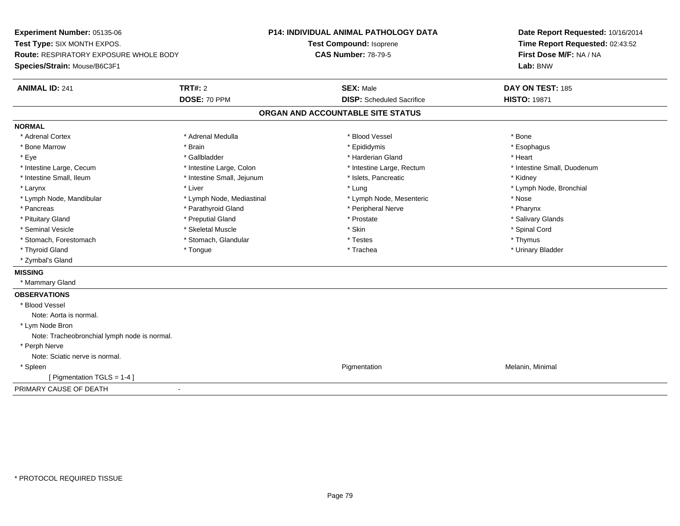**Experiment Number:** 05135-06**Test Type:** SIX MONTH EXPOS.**Route:** RESPIRATORY EXPOSURE WHOLE BODY**Species/Strain:** Mouse/B6C3F1**P14: INDIVIDUAL ANIMAL PATHOLOGY DATATest Compound:** Isoprene**CAS Number:** 78-79-5**Date Report Requested:** 10/16/2014**Time Report Requested:** 02:43:52**First Dose M/F:** NA / NA**Lab:** BNW**ANIMAL ID:** 241**TRT#:** 2 **SEX:** Male **DAY ON TEST:** 185 **DOSE:** 70 PPM**DISP:** Scheduled Sacrifice **HISTO:** 19871 **ORGAN AND ACCOUNTABLE SITE STATUSNORMAL**\* Adrenal Cortex \* Adrenal Cortex \* \* Adrenal Medulla \* \* Adrenal Medulla \* \* Blood Vessel \* \* Brood Vessel \* \* Bone \* Esophagus \* Bone Marrow \* Brain \* Epididymis \* Esophagus \* Eye \* \* Gallbladder \* \* Gallbladder \* \* \* \* Harderian Gland \* \* Heart \* Heart \* Heart \* Heart \* Heart \* Heart \* Intestine Large, Cecum \* Intestine Large, Colon \* Intestine Large, Rectum \* Intestine Small, Duodenum\* Intestine Small, Ileum \* **Allen and The Accord \* Intestine Small**, Jejunum \* 1stets, Pancreatic \* \* Kidney \* Kidney \* Larynx \* Louis \* Liver \* Lung \* Lung \* Lung \* Lung \* Lung \* Lymph Node, Bronchial \* Lymph Node, Bronchial \* \* Lymph Node, Mandibular \* Lymph Node, Mediastinal \* Lymph Node, Mesenteric \* Nose\* Pharynx \* Pancreas \* Pancreas \* Parathyroid Gland \* Peripheral Nerve \* Peripheral Nerve \* Salivary Glands \* Pituitary Gland \* \* Then the state \* Preputial Gland \* Prosection \* Prostate \* \* Salivary Glands \* Salivary Glands \* Salivary Glands \* Salivary Glands \* Salivary Glands \* Salivary Glands \* Salivary Glands \* Salivary Glan \* Seminal Vesicle \* \* Spinal Cord \* Skeletal Muscle \* \* Skin \* \* Skin \* \* Spinal Vesicle \* Spinal Cord \* Spinal Cord \* Stomach, Forestomach \* Thymus \* Stomach, Glandular \* The \* Testes \* Thymus \* Thymus \* Thymus \* Thymus \* Thymus \* Urinary Bladder \* Thyroid Gland \* \* The control of the total property and the top of the top of the top of the top of the top of the top of the top of the top of the top of the top of the top of the top of the top of the top of the top of \* Zymbal's Gland**MISSING** \* Mammary Gland**OBSERVATIONS** \* Blood VesselNote: Aorta is normal. \* Lym Node Bron Note: Tracheobronchial lymph node is normal. \* Perph Nerve Note: Sciatic nerve is normal. \* Spleenn and the contract of the contract of the contract of the contract of the contract of the contract of the contract of the contract of the contract of the contract of the contract of the contract of the contract of the cont [ Pigmentation TGLS = 1-4 ]PRIMARY CAUSE OF DEATH-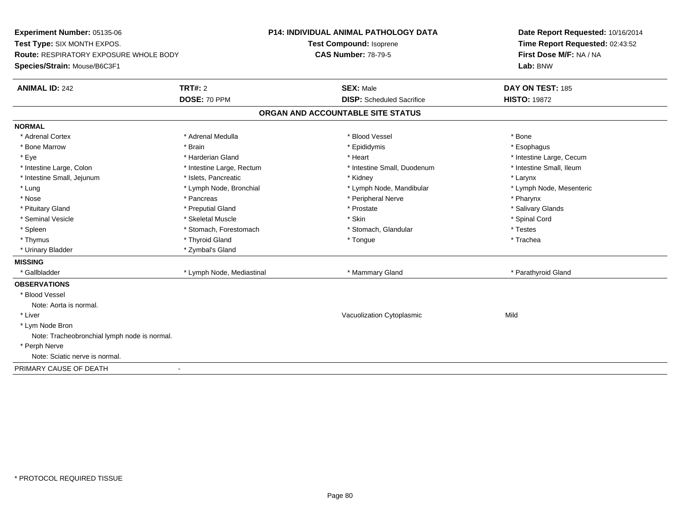**Experiment Number:** 05135-06**Test Type:** SIX MONTH EXPOS.**Route:** RESPIRATORY EXPOSURE WHOLE BODY**Species/Strain:** Mouse/B6C3F1**P14: INDIVIDUAL ANIMAL PATHOLOGY DATATest Compound:** Isoprene**CAS Number:** 78-79-5**Date Report Requested:** 10/16/2014**Time Report Requested:** 02:43:52**First Dose M/F:** NA / NA**Lab:** BNW**ANIMAL ID:** 242**TRT#:** 2 **SEX:** Male **DAY ON TEST:** 185 **DOSE:** 70 PPM**DISP:** Scheduled Sacrifice **HISTO:** 19872 **ORGAN AND ACCOUNTABLE SITE STATUSNORMAL**\* Adrenal Cortex \* Adrenal Cortex \* \* Adrenal Medulla \* \* Adrenal Medulla \* \* Blood Vessel \* \* Brood Vessel \* \* Bone \* Esophagus \* Bone Marrow \* Brain \* Epididymis \* Esophagus \* Eye \* https://www.frage.com/mode.com/mode.com/mode.com/mode.com/mode.com/mode.com/mode.com/mode.com/mode.com/ \* Intestine Small, Ileum \* Intestine Large, Colon \* Intestine Large, Rectum \* Intestine Small, Duodenum \* Intestine Small, Duodenum \* Intestine Small, Jejunum \* The matches of the state of the state of the state of the state of the state of the state of the state of the state of the state of the state of the state of the state of the state of the state \* Lymph Node, Mesenteric \* Lung \* Lymph Node, Bronchial \* Lymph Node, Mandibular \* Lymph Node, Mandibular \* Nose \* Pancreas \* Peripheral Nerve \* Pharynx \* Salivary Glands \* Pituitary Gland \* \* Then the state \* Preputial Gland \* Prosection \* Prostate \* \* Salivary Glands \* Salivary Glands \* Salivary Glands \* Salivary Glands \* Salivary Glands \* Salivary Glands \* Salivary Glands \* Salivary Glan \* Seminal Vesicle \* \* Spinal Cord \* Skeletal Muscle \* \* Skin \* \* Skin \* \* Spinal Vesicle \* Spinal Cord \* Spinal Cord \* Spleen \* Stomach, Forestomach \* Stomach \* Stomach, Slandular \* Testes \* Testes \* Trachea \* Thymus \* \* The mode of the total term of the total term of the total term of the total term of the total term of the total term of the total term of the total term of the total term of the total term of the total term of \* Urinary Bladder \* Zymbal's Gland**MISSING**\* Gallbladder \* Lymph Node, Mediastinal \* Mammary Gland \* Parathyroid Gland \* Parathyroid Gland **OBSERVATIONS** \* Blood VesselNote: Aorta is normal. \* Liver Vacuolization Cytoplasmicc Mild \* Lym Node Bron Note: Tracheobronchial lymph node is normal. \* Perph Nerve Note: Sciatic nerve is normal.PRIMARY CAUSE OF DEATH-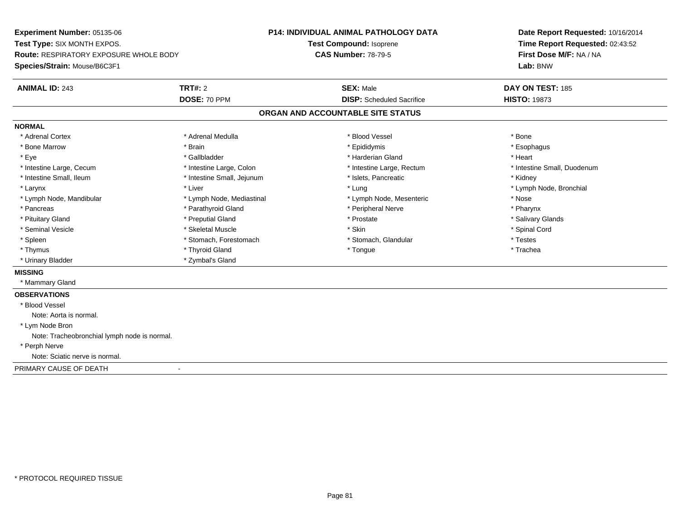**Experiment Number:** 05135-06**Test Type:** SIX MONTH EXPOS.**Route:** RESPIRATORY EXPOSURE WHOLE BODY**Species/Strain:** Mouse/B6C3F1**P14: INDIVIDUAL ANIMAL PATHOLOGY DATATest Compound:** Isoprene**CAS Number:** 78-79-5**Date Report Requested:** 10/16/2014**Time Report Requested:** 02:43:52**First Dose M/F:** NA / NA**Lab:** BNW**ANIMAL ID:** 243**TRT#:** 2 **SEX:** Male **DAY ON TEST:** 185 **DOSE:** 70 PPM**DISP:** Scheduled Sacrifice **HISTO:** 19873 **ORGAN AND ACCOUNTABLE SITE STATUSNORMAL**\* Adrenal Cortex \* Adrenal Cortex \* \* Adrenal Medulla \* \* Adrenal Medulla \* \* Blood Vessel \* \* Brood Vessel \* \* Bone \* Esophagus \* Bone Marrow \* Brain \* Epididymis \* Esophagus \* Eye \* \* Gallbladder \* \* Gallbladder \* \* \* \* Harderian Gland \* \* Heart \* Heart \* Heart \* Heart \* Heart \* Heart \* Intestine Large, Cecum \* Intestine Large, Colon \* Intestine Large, Rectum \* Intestine Small, Duodenum\* Intestine Small, Ileum \* **Alleman \* Intestine Small, Jejunum \***  \* Islets, Pancreatic \* \* \* Kidney \* Kidney \* Larynx \* Louis \* Liver \* Lung \* Lung \* Lung \* Lung \* Lung \* Lymph Node, Bronchial \* Lymph Node, Bronchial \* \* Lymph Node, Mandibular \* The state of the state of the Mediastinal \* Lymph Node, Mesenteric \* Nose \* Pharynx \* Pancreas \* Pancreas \* Parathyroid Gland \* Peripheral Nerve \* Peripheral Nerve \* Salivary Glands \* Pituitary Gland \* \* Then the state \* Preputial Gland \* Prosection \* Prostate \* \* Salivary Glands \* Salivary Glands \* Salivary Glands \* Salivary Glands \* Salivary Glands \* Salivary Glands \* Salivary Glands \* Salivary Glan \* Seminal Vesicle \* \* Spinal Cord \* Skeletal Muscle \* \* Skin \* \* Skin \* \* Spinal Vesicle \* Spinal Cord \* Spinal Cord \* Spleen \* Stomach, Forestomach \* Stomach \* Stomach, Glandular \* Testes \* Testes \* Trachea \* Thymus \* \* The mode of the total term of the total term of the total term of the total term of the total term of the total term of the total term of the total term of the total term of the total term of the total term of \* Urinary Bladder \* Zymbal's Gland**MISSING** \* Mammary Gland**OBSERVATIONS** \* Blood VesselNote: Aorta is normal. \* Lym Node Bron Note: Tracheobronchial lymph node is normal. \* Perph Nerve Note: Sciatic nerve is normal.PRIMARY CAUSE OF DEATH-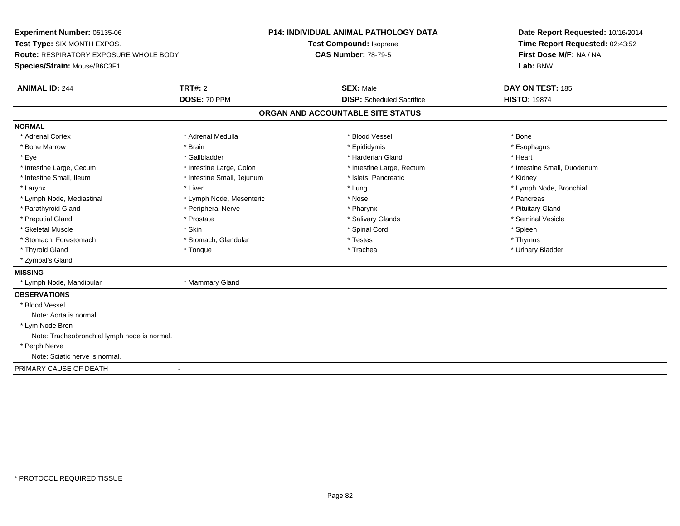**Experiment Number:** 05135-06**Test Type:** SIX MONTH EXPOS.**Route:** RESPIRATORY EXPOSURE WHOLE BODY**Species/Strain:** Mouse/B6C3F1**P14: INDIVIDUAL ANIMAL PATHOLOGY DATATest Compound:** Isoprene**CAS Number:** 78-79-5**Date Report Requested:** 10/16/2014**Time Report Requested:** 02:43:52**First Dose M/F:** NA / NA**Lab:** BNW**ANIMAL ID:** 244**TRT#:** 2 **SEX:** Male **DAY ON TEST:** 185 **DOSE:** 70 PPM**DISP:** Scheduled Sacrifice **HISTO:** 19874 **ORGAN AND ACCOUNTABLE SITE STATUSNORMAL**\* Adrenal Cortex \* Adrenal Cortex \* \* Adrenal Medulla \* \* Adrenal Medulla \* \* Blood Vessel \* \* Brood Vessel \* \* Bone \* Esophagus \* Bone Marrow \* Brain \* Epididymis \* Esophagus \* Eye \* \* Gallbladder \* \* Gallbladder \* \* \* \* Harderian Gland \* \* Heart \* Heart \* Heart \* Heart \* Heart \* Heart \* Intestine Large, Cecum \* Intestine Large, Colon \* Intestine Large, Rectum \* Intestine Small, Duodenum\* Intestine Small, Ileum \* Thestine Small, Jejunum \* 1998, Pancreatic \* Kidney \* Kidney \* Kidney \* Kidney \* Larynx \* Louis \* Liver \* Lung \* Lung \* Lung \* Lung \* Lung \* Lymph Node, Bronchial \* Lymph Node, Bronchial \* \* Lymph Node, Mediastinal \* The state of the second text of the second text of the second text of the second text of the second text of the second text of the second text of the second text of the second text of text of te \* Pituitary Gland \* Parathyroid Gland \* **Example 20** \* Peripheral Nerve \* Pharynx \* Pharynx \* Pharynx \* Seminal Vesicle \* Preputial Gland \* \* Annual vesicle \* \* Prostate \* \* Salivary Glands \* \* Salivary Glands \* \* Seminal Vesicle \* \* Skeletal Muscle \* Skin \* Spinal Cord \* Spleen \* Thymus \* Stomach, Forestomach \* Testes \* Stomach, Glandular \* Testes \* Testes \* Testes \* Testes \* Testes \* Testes \* T \* Urinary Bladder \* Thyroid Gland \* \* The control of the total property and the top of the top of the top of the top of the top of the top of the top of the top of the top of the top of the top of the top of the top of the top of the top of \* Zymbal's Gland**MISSING** \* Lymph Node, Mandibular \* Mammary Gland**OBSERVATIONS** \* Blood VesselNote: Aorta is normal. \* Lym Node Bron Note: Tracheobronchial lymph node is normal. \* Perph Nerve Note: Sciatic nerve is normal.PRIMARY CAUSE OF DEATH-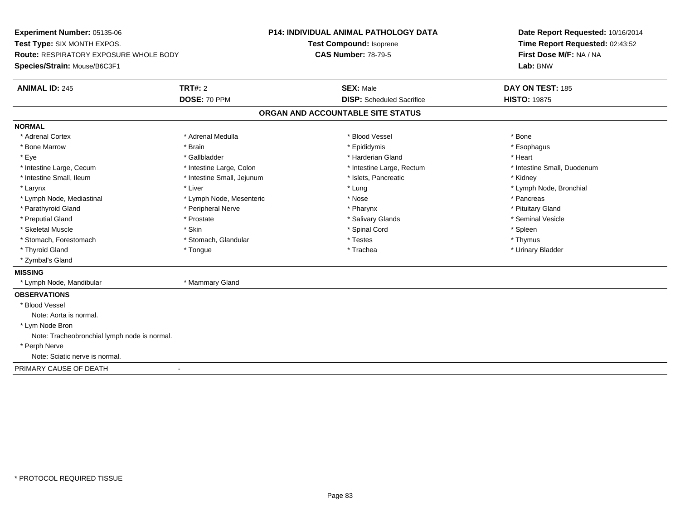**Experiment Number:** 05135-06**Test Type:** SIX MONTH EXPOS.**Route:** RESPIRATORY EXPOSURE WHOLE BODY**Species/Strain:** Mouse/B6C3F1**P14: INDIVIDUAL ANIMAL PATHOLOGY DATATest Compound:** Isoprene**CAS Number:** 78-79-5**Date Report Requested:** 10/16/2014**Time Report Requested:** 02:43:52**First Dose M/F:** NA / NA**Lab:** BNW**ANIMAL ID:** 245**TRT#:** 2 **SEX:** Male **DAY ON TEST:** 185 **DOSE:** 70 PPM**DISP:** Scheduled Sacrifice **HISTO:** 19875 **ORGAN AND ACCOUNTABLE SITE STATUSNORMAL**\* Adrenal Cortex \* Adrenal Cortex \* \* Adrenal Medulla \* \* Adrenal Medulla \* \* Blood Vessel \* \* Brood Vessel \* \* Bone \* Esophagus \* Bone Marrow \* Brain \* Epididymis \* Esophagus \* Eye \* \* Gallbladder \* \* Gallbladder \* \* \* \* Harderian Gland \* \* Heart \* Heart \* Heart \* Heart \* Heart \* Heart \* Intestine Large, Cecum \* Intestine Large, Colon \* Intestine Large, Rectum \* Intestine Small, Duodenum\* Intestine Small, Ileum \* Thestine Small, Jejunum \* 1998, Pancreatic \* Kidney \* Kidney \* Kidney \* Kidney \* Larynx \* Louis \* Liver \* Lung \* Lung \* Lung \* Lung \* Lung \* Lymph Node, Bronchial \* Lymph Node, Bronchial \* \* Lymph Node, Mediastinal \* The state of the second text of the second text of the second text of the second text of the second text of the second text of the second text of the second text of the second text of text of te \* Pituitary Gland \* Parathyroid Gland \* **Example 20** \* Peripheral Nerve \* Pharynx \* Pharynx \* Pharynx \* Seminal Vesicle \* Preputial Gland \* \* Annual vesicle \* \* Prostate \* \* Salivary Glands \* \* Salivary Glands \* \* Seminal Vesicle \* \* Skeletal Muscle \* Skin \* Spinal Cord \* Spleen \* Thymus \* Stomach, Forestomach \* Testes \* Stomach, Glandular \* Testes \* Testes \* Testes \* Testes \* Testes \* Testes \* T \* Urinary Bladder \* Thyroid Gland \* \* The control of the total property and the top of the top of the top of the top of the top of the top of the top of the top of the top of the top of the top of the top of the top of the top of the top of \* Zymbal's Gland**MISSING** \* Lymph Node, Mandibular \* Mammary Gland**OBSERVATIONS** \* Blood VesselNote: Aorta is normal. \* Lym Node Bron Note: Tracheobronchial lymph node is normal. \* Perph Nerve Note: Sciatic nerve is normal.PRIMARY CAUSE OF DEATH-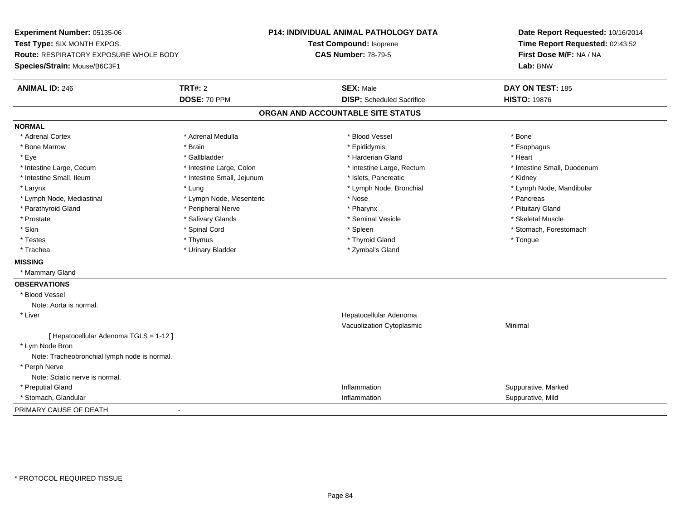**Experiment Number:** 05135-06**Test Type:** SIX MONTH EXPOS.**Route:** RESPIRATORY EXPOSURE WHOLE BODY**Species/Strain:** Mouse/B6C3F1**P14: INDIVIDUAL ANIMAL PATHOLOGY DATATest Compound:** Isoprene**CAS Number:** 78-79-5**Date Report Requested:** 10/16/2014**Time Report Requested:** 02:43:52**First Dose M/F:** NA / NA**Lab:** BNW**ANIMAL ID:** 246**TRT#:** 2 **SEX:** Male **DAY ON TEST:** 185 **DOSE:** 70 PPM**DISP:** Scheduled Sacrifice **HISTO:** 19876 **ORGAN AND ACCOUNTABLE SITE STATUSNORMAL**\* Adrenal Cortex \* Adrenal Cortex \* \* Adrenal Medulla \* \* Adrenal Medulla \* \* Blood Vessel \* \* Brood Vessel \* \* Bone \* Esophagus \* Bone Marrow \* Brain \* Epididymis \* Esophagus \* Eye \* \* Gallbladder \* \* Gallbladder \* \* \* \* Harderian Gland \* \* Heart \* Heart \* Heart \* Heart \* Heart \* Heart \* Intestine Large, Cecum \* Intestine Large, Colon \* Intestine Large, Thestine Large, Rectum \* Intestine Small, Duodenum \* Intestine Small, Ileum \* Thestine Small, Jejunum \* 1998, Pancreatic \* Kidney \* Kidney \* Kidney \* Kidney \* Larynx \* Lung \* Lymph Node, Bronchial \* Lymph Node, Mandibular \* Lymph Node, Mediastinal \* The metal was a structure of the Mesenteric the metal was a structure of the metal was the metal was the metal of the metal of the metal of the metal was the metal was the metal was the metal wa \* Pituitary Gland \* Parathyroid Gland \* **According the Contract According to the Contract According to the Contract According to the Pituz Contract According to the Pharynx \* Pharynx \* Pharynx \* Pharynx \* Pharynx \* Pharynx \* Pharynx \* Phary** \* Skeletal Muscle \* Prostate \* \* Skeletal Muscle \* \* Salivary Glands \* \* Steminal Vesicle \* \* Seminal Vesicle \* \* Skeletal Muscle \* Skin \* Spinal Cord \* Spinal Cord \* Spinal Cord \* Spinal \* Spinal \* Stomach, Forestomach \* Stomach, Forestomach \* Testes \* Thymus \* Thyroid Gland \* Tongue \* Trachea \* Urinary Bladder \* Zymbal's Gland \* Zymbal's Gland \* Zymbal's Gland **MISSING** \* Mammary Gland**OBSERVATIONS** \* Blood VesselNote: Aorta is normal. \* Liver Hepatocellular Adenoma Vacuolization Cytoplasmic Minimal [ Hepatocellular Adenoma TGLS = 1-12 ] \* Lym Node Bron Note: Tracheobronchial lymph node is normal. \* Perph Nerve Note: Sciatic nerve is normal. \* Preputial Glandd the suppurative, Marked of the Suppuration of the Suppuration of the Suppurative, Marked of the Suppurative, Marked of the Suppuration of the Suppuration of the Suppuration of the Suppuration of the Suppuration of the Su \* Stomach, Glandular**Inflammation Inflammation** Inflammation **Suppurative, Mild** PRIMARY CAUSE OF DEATH-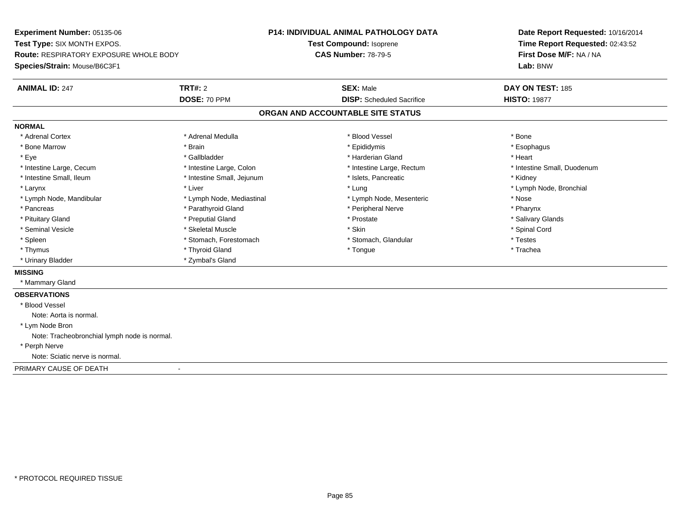**Experiment Number:** 05135-06**Test Type:** SIX MONTH EXPOS.**Route:** RESPIRATORY EXPOSURE WHOLE BODY**Species/Strain:** Mouse/B6C3F1**P14: INDIVIDUAL ANIMAL PATHOLOGY DATATest Compound:** Isoprene**CAS Number:** 78-79-5**Date Report Requested:** 10/16/2014**Time Report Requested:** 02:43:52**First Dose M/F:** NA / NA**Lab:** BNW**ANIMAL ID:** 247**TRT#:** 2 **SEX:** Male **DAY ON TEST:** 185 **DOSE:** 70 PPM**DISP:** Scheduled Sacrifice **HISTO:** 19877 **ORGAN AND ACCOUNTABLE SITE STATUSNORMAL**\* Adrenal Cortex \* Adrenal Cortex \* \* Adrenal Medulla \* \* Adrenal Medulla \* \* Blood Vessel \* \* Brood Vessel \* \* Bone \* Esophagus \* Bone Marrow \* Brain \* Epididymis \* Esophagus \* Eye \* \* Gallbladder \* \* Gallbladder \* \* \* \* Harderian Gland \* \* Heart \* Heart \* Heart \* Heart \* Heart \* Heart \* Intestine Large, Cecum \* Intestine Large, Colon \* Intestine Large, Thestine Large, Rectum \* Intestine Small, Duodenum \* Intestine Small, Ileum \* **Alleman \* Intestine Small, Jejunum \***  \* Islets, Pancreatic \* \* \* Kidney \* Kidney \* Larynx \* Louis \* Liver \* Lung \* Lung \* Lung \* Lung \* Lung \* Lymph Node, Bronchial \* Lymph Node, Bronchial \* \* Lymph Node, Mandibular \* The state of the state of the Mediastinal \* Lymph Node, Mesenteric \* Nose \* Pharynx \* Pancreas \* Pancreas \* Parathyroid Gland \* Peripheral Nerve \* Peripheral Nerve \* Salivary Glands \* Pituitary Gland \* \* Then the state \* Preputial Gland \* Prosection \* Prostate \* \* Salivary Glands \* Salivary Glands \* Salivary Glands \* Salivary Glands \* Salivary Glands \* Salivary Glands \* Salivary Glands \* Salivary Glan \* Seminal Vesicle \* \* Spinal Cord \* Skeletal Muscle \* \* Skin \* \* Skin \* \* Spinal Vesicle \* Spinal Cord \* Spinal Cord \* Spleen \* Stomach, Forestomach \* Stomach \* Stomach, Glandular \* Testes \* Testes \* Trachea \* Thymus \* \* The mode of the total term of the total term of the total term of the total term of the total term of the total term of the total term of the total term of the total term of the total term of the total term of \* Urinary Bladder \* Zymbal's Gland**MISSING** \* Mammary Gland**OBSERVATIONS** \* Blood VesselNote: Aorta is normal. \* Lym Node Bron Note: Tracheobronchial lymph node is normal. \* Perph Nerve Note: Sciatic nerve is normal.PRIMARY CAUSE OF DEATH-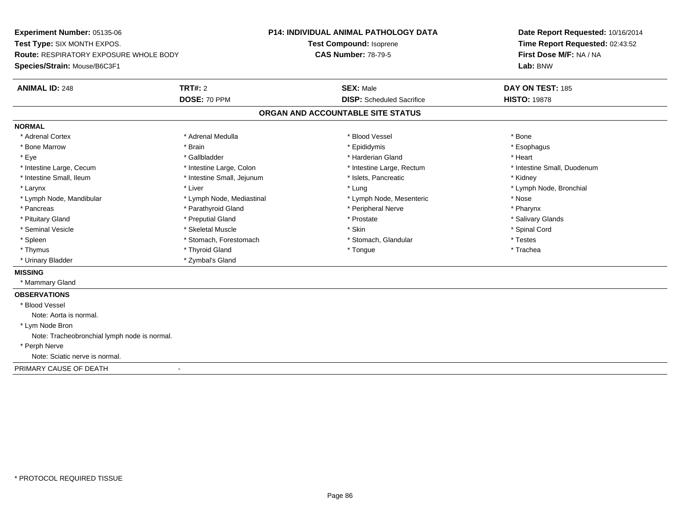**Experiment Number:** 05135-06**Test Type:** SIX MONTH EXPOS.**Route:** RESPIRATORY EXPOSURE WHOLE BODY**Species/Strain:** Mouse/B6C3F1**P14: INDIVIDUAL ANIMAL PATHOLOGY DATATest Compound:** Isoprene**CAS Number:** 78-79-5**Date Report Requested:** 10/16/2014**Time Report Requested:** 02:43:52**First Dose M/F:** NA / NA**Lab:** BNW**ANIMAL ID:** 248**TRT#:** 2 **SEX:** Male **DAY ON TEST:** 185 **DOSE:** 70 PPM**DISP:** Scheduled Sacrifice **HISTO:** 19878 **ORGAN AND ACCOUNTABLE SITE STATUSNORMAL**\* Adrenal Cortex \* Adrenal Cortex \* \* Adrenal Medulla \* \* Adrenal Medulla \* \* Blood Vessel \* \* Brood Vessel \* \* Bone \* Esophagus \* Bone Marrow \* Brain \* Epididymis \* Esophagus \* Eye \* \* Gallbladder \* \* Gallbladder \* \* \* \* Harderian Gland \* \* Heart \* Heart \* Heart \* Heart \* Heart \* Heart \* Intestine Large, Cecum \* Intestine Large, Colon \* Intestine Large, Thestine Large, Rectum \* Intestine Small, Duodenum \* Intestine Small, Ileum \* **Alleman \* Intestine Small, Jejunum \***  \* Islets, Pancreatic \* \* \* Kidney \* Kidney \* Larynx \* Louis \* Liver \* Lung \* Lung \* Lung \* Lung \* Lung \* Lymph Node, Bronchial \* Lymph Node, Bronchial \* \* Lymph Node, Mandibular \* The state of the state of the Mediastinal \* Lymph Node, Mesenteric \* Nose \* Pharynx \* Pancreas \* Pancreas \* Parathyroid Gland \* Peripheral Nerve \* Peripheral Nerve \* Salivary Glands \* Pituitary Gland \* \* Then the state \* Preputial Gland \* Prosection \* Prostate \* \* Salivary Glands \* Salivary Glands \* Salivary Glands \* Salivary Glands \* Salivary Glands \* Salivary Glands \* Salivary Glands \* Salivary Glan \* Seminal Vesicle \* \* Spinal Cord \* Skeletal Muscle \* \* Skin \* \* Skin \* \* Spinal Vesicle \* Spinal Cord \* Spinal Cord \* Spleen \* Stomach, Forestomach \* Stomach \* Stomach, Glandular \* Testes \* Testes \* Trachea \* Thymus \* \* The mode of the total term of the total term of the total term of the total term of the total term of the total term of the total term of the total term of the total term of the total term of the total term of \* Urinary Bladder \* Zymbal's Gland**MISSING** \* Mammary Gland**OBSERVATIONS** \* Blood VesselNote: Aorta is normal. \* Lym Node Bron Note: Tracheobronchial lymph node is normal. \* Perph Nerve Note: Sciatic nerve is normal.PRIMARY CAUSE OF DEATH-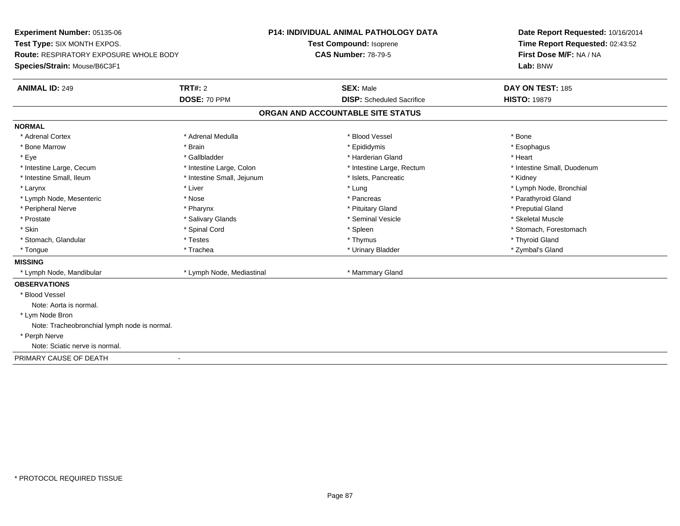**Experiment Number:** 05135-06**Test Type:** SIX MONTH EXPOS.**Route:** RESPIRATORY EXPOSURE WHOLE BODY**Species/Strain:** Mouse/B6C3F1**P14: INDIVIDUAL ANIMAL PATHOLOGY DATATest Compound:** Isoprene**CAS Number:** 78-79-5**Date Report Requested:** 10/16/2014**Time Report Requested:** 02:43:52**First Dose M/F:** NA / NA**Lab:** BNW**ANIMAL ID:** 249**TRT#:** 2 **SEX:** Male **DAY ON TEST:** 185 **DOSE:** 70 PPM**DISP:** Scheduled Sacrifice **HISTO:** 19879 **ORGAN AND ACCOUNTABLE SITE STATUSNORMAL**\* Adrenal Cortex \* Adrenal Cortex \* \* Adrenal Medulla \* \* Adrenal Medulla \* \* Blood Vessel \* \* Brood Vessel \* \* Bone \* Esophagus \* Bone Marrow \* Brain \* Epididymis \* Esophagus \* Eye \* \* Gallbladder \* \* Gallbladder \* \* \* \* Harderian Gland \* \* Heart \* Heart \* Heart \* Heart \* Heart \* Heart \* Intestine Large, Cecum \* Intestine Large, Colon \* Intestine Large, Thestine Large, Rectum \* Intestine Small, Duodenum \* Intestine Small, Ileum \* Thestine Small, Jejunum \* 1998, Pancreatic \* Kidney \* Kidney \* Kidney \* Kidney \* Larynx \* Louis \* Liver \* Lung \* Lung \* Lung \* Lung \* Lung \* Lymph Node, Bronchial \* Lymph Node, Bronchial \* \* Lymph Node, Mesenteric \* The state of the state of the state of the state of the state of the state of the state of the state of the state of the state of the state of the state of the state of the state of the state of \* Peripheral Nerve \* \* \* \* Pharynx \* \* Pharynx \* \* \* Preputial Gland \* \* Preputial Gland \* \* Preputial Gland \* Skeletal Muscle \* Prostate \* \* Skeletal Muscle \* \* Salivary Glands \* \* Steminal Vesicle \* \* Seminal Vesicle \* \* Skeletal Muscle \* Skin \* Spinal Cord \* Spinal Cord \* Spinal Cord \* Spinal \* Spinal \* Stomach, Forestomach \* Stomach, Forestomach \* Stomach, Glandular \* \* \* Thyroid Glandular \* Thestes \* \* Thymus \* Thymus \* Thyroid Glandular \* Thyroid Gland \* Zymbal's Gland \* Tongue \* Trachea \* Urinary Bladder \* Zymbal's Gland **MISSING** \* Lymph Node, Mandibular \* Lymph Node, Mediastinal \* Mammary Gland**OBSERVATIONS** \* Blood VesselNote: Aorta is normal. \* Lym Node Bron Note: Tracheobronchial lymph node is normal. \* Perph Nerve Note: Sciatic nerve is normal.PRIMARY CAUSE OF DEATH-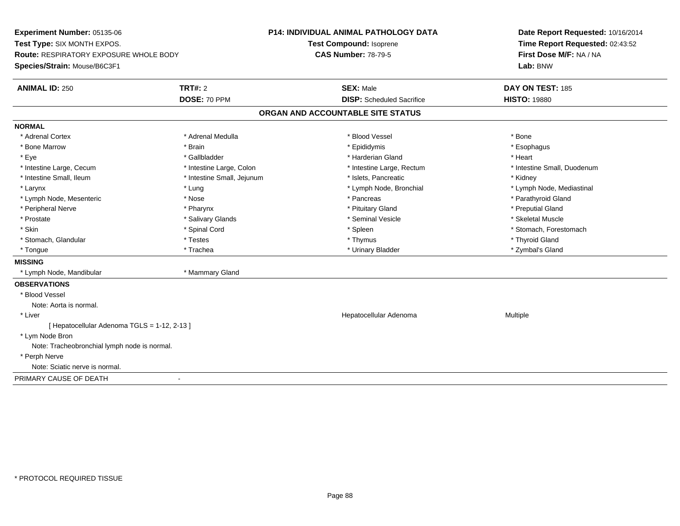**Experiment Number:** 05135-06**Test Type:** SIX MONTH EXPOS.**Route:** RESPIRATORY EXPOSURE WHOLE BODY**Species/Strain:** Mouse/B6C3F1**P14: INDIVIDUAL ANIMAL PATHOLOGY DATATest Compound:** Isoprene**CAS Number:** 78-79-5**Date Report Requested:** 10/16/2014**Time Report Requested:** 02:43:52**First Dose M/F:** NA / NA**Lab:** BNW**ANIMAL ID:** 250**TRT#:** 2 **SEX:** Male **DAY ON TEST:** 185 **DOSE:** 70 PPM**DISP:** Scheduled Sacrifice **HISTO:** 19880 **ORGAN AND ACCOUNTABLE SITE STATUSNORMAL**\* Adrenal Cortex \* Adrenal Cortex \* \* Adrenal Medulla \* \* Adrenal Medulla \* \* Blood Vessel \* \* Brood Vessel \* \* Bone \* Esophagus \* Bone Marrow \* Brain \* Epididymis \* Esophagus \* Eye \* \* Gallbladder \* \* Gallbladder \* \* \* \* Harderian Gland \* \* Heart \* Heart \* Heart \* Heart \* Heart \* Heart \* Intestine Large, Cecum \* Intestine Large, Colon \* Intestine Large, Thestine Large, Rectum \* Intestine Small, Duodenum \* Intestine Small, Ileum \* Thestine Small, Jejunum \* 1998, Pancreatic \* Kidney \* Kidney \* Kidney \* Kidney \* Larynx \* Lymph Node, Bronchial \* Lymph Node, Bronchial \* Lymph Node, et al. \* Lymph Node, Mediastinal \* Lymph Node, Mediastinal \* Lymph Node, Mediastinal \* Lymph Node, Mediastinal \* Lymph Node, Mediastinal \* Lymph Node, \* Lymph Node, Mesenteric \* The state of the state of the state of the state of the state of the state of the state of the state of the state of the state of the state of the state of the state of the state of the state of \* Peripheral Nerve \* \* \* \* Pharynx \* \* Pharynx \* \* \* Preputial Gland \* \* Preputial Gland \* \* Preputial Gland \* Skeletal Muscle \* Prostate \* \* Skeletal Muscle \* \* Salivary Glands \* \* Steminal Vesicle \* \* Seminal Vesicle \* \* Skeletal Muscle \* Skin \* Spinal Cord \* Spinal Cord \* Spinal Cord \* Spinal \* Spinal \* Stomach, Forestomach \* Stomach, Forestomach \* Stomach, Glandular \* \* \* Thyroid Glandular \* Thestes \* \* Thymus \* Thymus \* Thyroid Glandular \* Thyroid Gland \* Zymbal's Gland \* Tongue \* Trachea \* Urinary Bladder \* Zymbal's Gland **MISSING** \* Lymph Node, Mandibular \* Mammary Gland**OBSERVATIONS** \* Blood VesselNote: Aorta is normal. \* Liver Hepatocellular Adenoma Multiple [ Hepatocellular Adenoma TGLS = 1-12, 2-13 ] \* Lym Node Bron Note: Tracheobronchial lymph node is normal. \* Perph Nerve Note: Sciatic nerve is normal.PRIMARY CAUSE OF DEATH-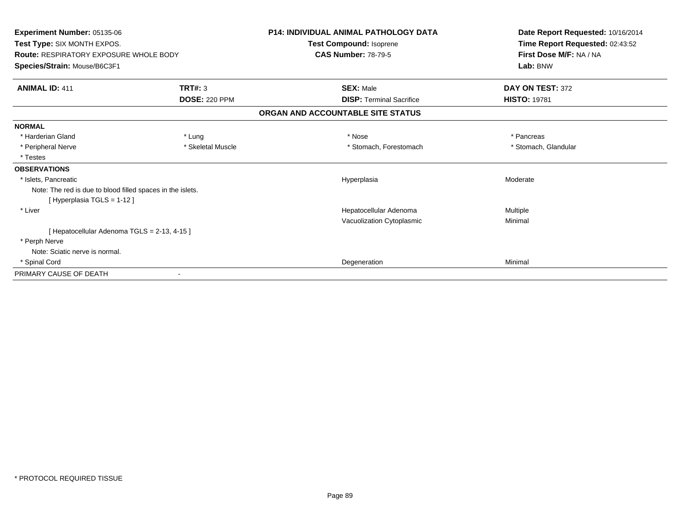| Experiment Number: 05135-06                                |                      | <b>P14: INDIVIDUAL ANIMAL PATHOLOGY DATA</b> | Date Report Requested: 10/16/2014 |
|------------------------------------------------------------|----------------------|----------------------------------------------|-----------------------------------|
| Test Type: SIX MONTH EXPOS.                                |                      | Test Compound: Isoprene                      | Time Report Requested: 02:43:52   |
| <b>Route: RESPIRATORY EXPOSURE WHOLE BODY</b>              |                      | <b>CAS Number: 78-79-5</b>                   | First Dose M/F: NA / NA           |
| Species/Strain: Mouse/B6C3F1                               |                      |                                              | Lab: BNW                          |
| <b>ANIMAL ID: 411</b>                                      | TRT#: 3              | <b>SEX: Male</b>                             | DAY ON TEST: 372                  |
|                                                            | <b>DOSE: 220 PPM</b> | <b>DISP: Terminal Sacrifice</b>              | <b>HISTO: 19781</b>               |
|                                                            |                      | ORGAN AND ACCOUNTABLE SITE STATUS            |                                   |
| <b>NORMAL</b>                                              |                      |                                              |                                   |
| * Harderian Gland                                          | * Lung               | * Nose                                       | * Pancreas                        |
| * Peripheral Nerve                                         | * Skeletal Muscle    | * Stomach, Forestomach                       | * Stomach, Glandular              |
| * Testes                                                   |                      |                                              |                                   |
| <b>OBSERVATIONS</b>                                        |                      |                                              |                                   |
| * Islets, Pancreatic                                       |                      | Hyperplasia                                  | Moderate                          |
| Note: The red is due to blood filled spaces in the islets. |                      |                                              |                                   |
| [Hyperplasia TGLS = 1-12]                                  |                      |                                              |                                   |
| * Liver                                                    |                      | Hepatocellular Adenoma                       | <b>Multiple</b>                   |
|                                                            |                      | Vacuolization Cytoplasmic                    | Minimal                           |
| [ Hepatocellular Adenoma TGLS = 2-13, 4-15 ]               |                      |                                              |                                   |
| * Perph Nerve                                              |                      |                                              |                                   |
| Note: Sciatic nerve is normal.                             |                      |                                              |                                   |
| * Spinal Cord                                              |                      | Degeneration                                 | Minimal                           |
| PRIMARY CAUSE OF DEATH                                     |                      |                                              |                                   |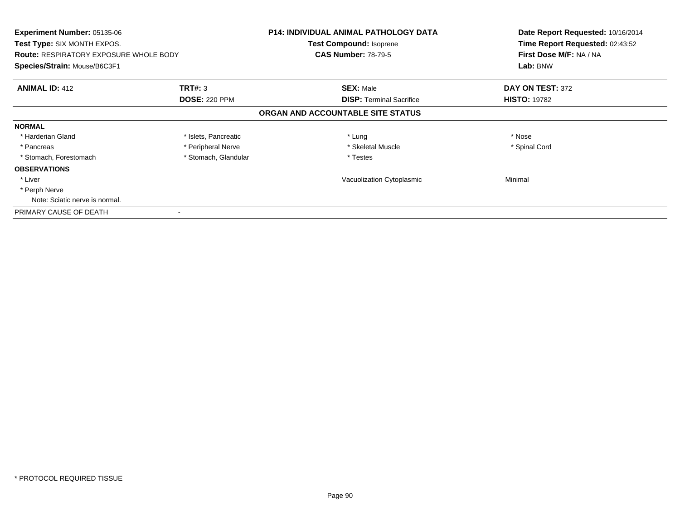| <b>Experiment Number: 05135-06</b><br>Test Type: SIX MONTH EXPOS.<br><b>Route: RESPIRATORY EXPOSURE WHOLE BODY</b> |                      | <b>P14: INDIVIDUAL ANIMAL PATHOLOGY DATA</b><br>Test Compound: Isoprene<br><b>CAS Number: 78-79-5</b> | Date Report Requested: 10/16/2014<br>Time Report Requested: 02:43:52<br>First Dose M/F: NA / NA |
|--------------------------------------------------------------------------------------------------------------------|----------------------|-------------------------------------------------------------------------------------------------------|-------------------------------------------------------------------------------------------------|
| Species/Strain: Mouse/B6C3F1                                                                                       |                      |                                                                                                       | Lab: BNW                                                                                        |
| <b>ANIMAL ID: 412</b>                                                                                              | <b>TRT#: 3</b>       | <b>SEX: Male</b>                                                                                      | DAY ON TEST: 372                                                                                |
|                                                                                                                    | <b>DOSE: 220 PPM</b> | <b>DISP:</b> Terminal Sacrifice                                                                       | <b>HISTO: 19782</b>                                                                             |
|                                                                                                                    |                      | ORGAN AND ACCOUNTABLE SITE STATUS                                                                     |                                                                                                 |
| <b>NORMAL</b>                                                                                                      |                      |                                                                                                       |                                                                                                 |
| * Harderian Gland                                                                                                  | * Islets, Pancreatic | * Lung                                                                                                | * Nose                                                                                          |
| * Pancreas                                                                                                         | * Peripheral Nerve   | * Skeletal Muscle                                                                                     | * Spinal Cord                                                                                   |
| * Stomach, Forestomach                                                                                             | * Stomach, Glandular | * Testes                                                                                              |                                                                                                 |
| <b>OBSERVATIONS</b>                                                                                                |                      |                                                                                                       |                                                                                                 |
| * Liver                                                                                                            |                      | Vacuolization Cytoplasmic                                                                             | Minimal                                                                                         |
| * Perph Nerve                                                                                                      |                      |                                                                                                       |                                                                                                 |
| Note: Sciatic nerve is normal.                                                                                     |                      |                                                                                                       |                                                                                                 |
| PRIMARY CAUSE OF DEATH                                                                                             |                      |                                                                                                       |                                                                                                 |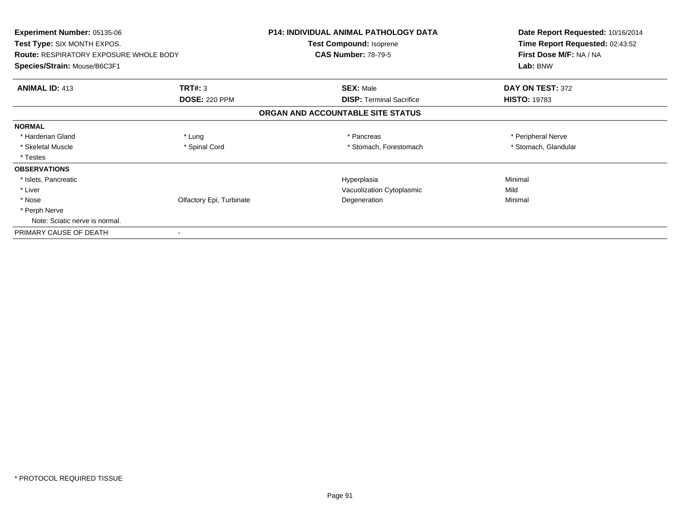| <b>Experiment Number: 05135-06</b><br>Test Type: SIX MONTH EXPOS.<br><b>Route: RESPIRATORY EXPOSURE WHOLE BODY</b> |                          | <b>P14: INDIVIDUAL ANIMAL PATHOLOGY DATA</b><br>Test Compound: Isoprene<br><b>CAS Number: 78-79-5</b> | Date Report Requested: 10/16/2014<br>Time Report Requested: 02:43:52<br>First Dose M/F: NA / NA |
|--------------------------------------------------------------------------------------------------------------------|--------------------------|-------------------------------------------------------------------------------------------------------|-------------------------------------------------------------------------------------------------|
|                                                                                                                    |                          |                                                                                                       |                                                                                                 |
| <b>ANIMAL ID: 413</b>                                                                                              | TRT#: 3                  | <b>SEX: Male</b>                                                                                      | DAY ON TEST: 372                                                                                |
|                                                                                                                    | <b>DOSE: 220 PPM</b>     | <b>DISP: Terminal Sacrifice</b>                                                                       | <b>HISTO: 19783</b>                                                                             |
|                                                                                                                    |                          | ORGAN AND ACCOUNTABLE SITE STATUS                                                                     |                                                                                                 |
| <b>NORMAL</b>                                                                                                      |                          |                                                                                                       |                                                                                                 |
| * Harderian Gland                                                                                                  | * Lung                   | * Pancreas                                                                                            | * Peripheral Nerve                                                                              |
| * Skeletal Muscle                                                                                                  | * Spinal Cord            | * Stomach, Forestomach                                                                                | * Stomach, Glandular                                                                            |
| * Testes                                                                                                           |                          |                                                                                                       |                                                                                                 |
| <b>OBSERVATIONS</b>                                                                                                |                          |                                                                                                       |                                                                                                 |
| * Islets, Pancreatic                                                                                               |                          | Hyperplasia                                                                                           | Minimal                                                                                         |
| * Liver                                                                                                            |                          | Vacuolization Cytoplasmic                                                                             | Mild                                                                                            |
| * Nose                                                                                                             | Olfactory Epi, Turbinate | Degeneration                                                                                          | Minimal                                                                                         |
| * Perph Nerve                                                                                                      |                          |                                                                                                       |                                                                                                 |
| Note: Sciatic nerve is normal.                                                                                     |                          |                                                                                                       |                                                                                                 |
| PRIMARY CAUSE OF DEATH                                                                                             | $\blacksquare$           |                                                                                                       |                                                                                                 |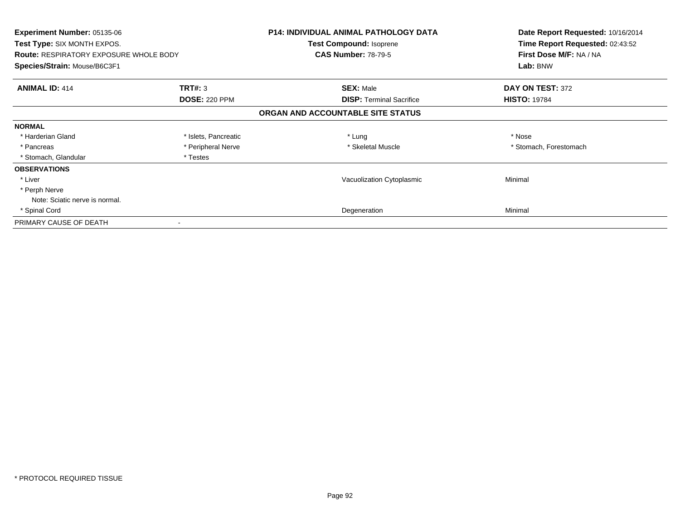| Experiment Number: 05135-06<br>Test Type: SIX MONTH EXPOS.<br><b>Route: RESPIRATORY EXPOSURE WHOLE BODY</b><br>Species/Strain: Mouse/B6C3F1 |                      | <b>P14: INDIVIDUAL ANIMAL PATHOLOGY DATA</b><br>Test Compound: Isoprene<br><b>CAS Number: 78-79-5</b> | Date Report Requested: 10/16/2014<br>Time Report Requested: 02:43:52<br>First Dose M/F: NA / NA<br>Lab: BNW |
|---------------------------------------------------------------------------------------------------------------------------------------------|----------------------|-------------------------------------------------------------------------------------------------------|-------------------------------------------------------------------------------------------------------------|
| <b>ANIMAL ID: 414</b>                                                                                                                       | <b>TRT#: 3</b>       | <b>SEX: Male</b>                                                                                      | DAY ON TEST: 372                                                                                            |
|                                                                                                                                             | <b>DOSE: 220 PPM</b> | <b>DISP:</b> Terminal Sacrifice                                                                       | <b>HISTO: 19784</b>                                                                                         |
|                                                                                                                                             |                      | ORGAN AND ACCOUNTABLE SITE STATUS                                                                     |                                                                                                             |
| <b>NORMAL</b>                                                                                                                               |                      |                                                                                                       |                                                                                                             |
| * Harderian Gland                                                                                                                           | * Islets, Pancreatic | * Lung                                                                                                | * Nose                                                                                                      |
| * Pancreas                                                                                                                                  | * Peripheral Nerve   | * Skeletal Muscle                                                                                     | * Stomach, Forestomach                                                                                      |
| * Stomach, Glandular                                                                                                                        | * Testes             |                                                                                                       |                                                                                                             |
| <b>OBSERVATIONS</b>                                                                                                                         |                      |                                                                                                       |                                                                                                             |
| * Liver                                                                                                                                     |                      | Vacuolization Cytoplasmic                                                                             | Minimal                                                                                                     |
| * Perph Nerve                                                                                                                               |                      |                                                                                                       |                                                                                                             |
| Note: Sciatic nerve is normal.                                                                                                              |                      |                                                                                                       |                                                                                                             |
| * Spinal Cord                                                                                                                               |                      | Degeneration                                                                                          | Minimal                                                                                                     |
| PRIMARY CAUSE OF DEATH                                                                                                                      |                      |                                                                                                       |                                                                                                             |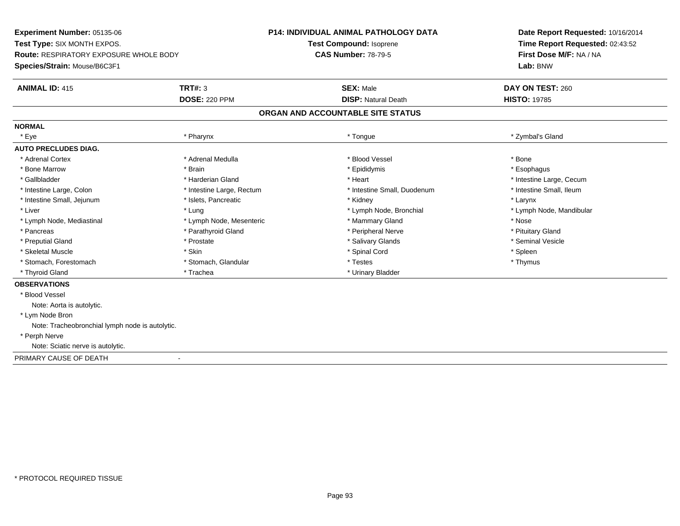**Experiment Number:** 05135-06**Test Type:** SIX MONTH EXPOS.**Route:** RESPIRATORY EXPOSURE WHOLE BODY**Species/Strain:** Mouse/B6C3F1**P14: INDIVIDUAL ANIMAL PATHOLOGY DATATest Compound:** Isoprene**CAS Number:** 78-79-5**Date Report Requested:** 10/16/2014**Time Report Requested:** 02:43:52**First Dose M/F:** NA / NA**Lab:** BNW**ANIMAL ID:** 415**TRT#:** 3 **SEX:** Male **DAY ON TEST:** 260 **DOSE:** 220 PPM**DISP:** Natural Death **HISTO:** 19785 **ORGAN AND ACCOUNTABLE SITE STATUSNORMAL** \* Eye \* Pharynx \* Tongue \* Zymbal's Gland**AUTO PRECLUDES DIAG.**\* Adrenal Cortex \* Adrenal Medulla \* Adrenal Medulla \* \* Blood Vessel \* Brown \* Bone \* Esophagus \* Bone Marrow \* Brain \* Epididymis \* Esophagus \* Gallbladder \* https://www.frage.com/web/2012/2012/advertising/state and the state of the state of the state of the state of the state of the state of the state of the state of the state of the state of the state of the s \* Intestine Small, Ileum \* Intestine Large, Colon \* Intestine Large, Rectum \* Intestine Small, Duodenum \* Intestine Small, Duodenum \* Intestine Small, Jejunum \* The metal was a structure of the structure of the structure of the structure of the structure of the structure of the structure of the structure of the structure of the structure of the structu \* Liver \* Lymph Node, Bronchial \* Lymph Node, Bronchial \* Lymph Node, Mandibular \* Lymph Node, Mandibular \* Lymph Node, Mandibular \* Lymph Node, Mandibular \* Lymph Node, Mandibular \* Lymph Node, Mandibular \* Lymph Node, Ma \* Lymph Node, Mediastinal \* Lymph Node, Mesenteric \* Mammary Gland \* Nose\* Pituitary Gland \* Pancreas \* Parathyroid Gland \* Parathyroid Gland \* Peripheral Nerve \* Seminal Vesicle \* Preputial Gland \* \* Annual vesicle \* \* Prostate \* \* Salivary Glands \* \* Salivary Glands \* \* Seminal Vesicle \* \* Skeletal Muscle \* Skin \* Spinal Cord \* Spleen \* Thymus \* Stomach, Forestomach \* Testes \* Stomach, Glandular \* Testes \* Testes \* Testes \* Testes \* Testes \*  $\sim$  \* Testes \* Testes \* Testes \* Testes \* Testes \* Testes \* Testes \* Testes \* Testes \* Testes \* Testes \* Testes \* Testes \* Thyroid Gland \* Trachea \* Trachea \* Trachea \* Thyroid Gland \* Urinary Bladder **OBSERVATIONS** \* Blood VesselNote: Aorta is autolytic. \* Lym Node Bron Note: Tracheobronchial lymph node is autolytic. \* Perph Nerve Note: Sciatic nerve is autolytic.PRIMARY CAUSE OF DEATH-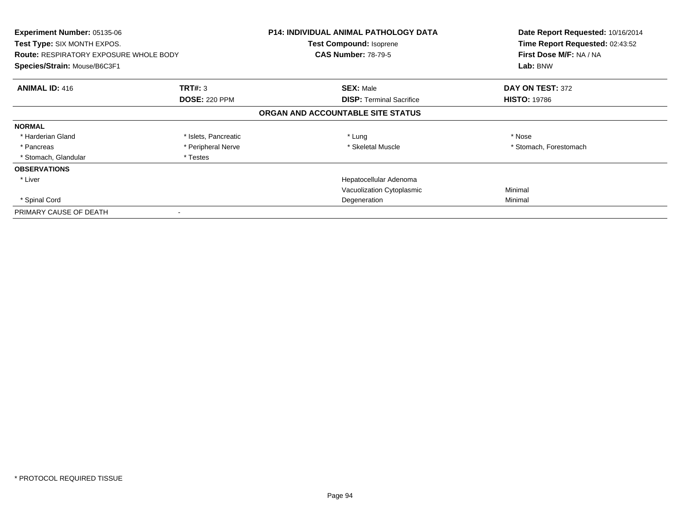| <b>Experiment Number: 05135-06</b><br><b>Test Type: SIX MONTH EXPOS.</b><br><b>Route: RESPIRATORY EXPOSURE WHOLE BODY</b><br>Species/Strain: Mouse/B6C3F1 |                                 | <b>P14: INDIVIDUAL ANIMAL PATHOLOGY DATA</b><br><b>Test Compound: Isoprene</b><br><b>CAS Number: 78-79-5</b> | Date Report Requested: 10/16/2014<br>Time Report Requested: 02:43:52<br>First Dose M/F: NA / NA<br>Lab: BNW |
|-----------------------------------------------------------------------------------------------------------------------------------------------------------|---------------------------------|--------------------------------------------------------------------------------------------------------------|-------------------------------------------------------------------------------------------------------------|
| <b>ANIMAL ID: 416</b>                                                                                                                                     | TRT#: 3<br><b>DOSE: 220 PPM</b> | <b>SEX: Male</b><br><b>DISP: Terminal Sacrifice</b>                                                          | DAY ON TEST: 372<br><b>HISTO: 19786</b>                                                                     |
|                                                                                                                                                           |                                 | ORGAN AND ACCOUNTABLE SITE STATUS                                                                            |                                                                                                             |
| <b>NORMAL</b>                                                                                                                                             |                                 |                                                                                                              |                                                                                                             |
| * Harderian Gland                                                                                                                                         | * Islets, Pancreatic            | * Lung                                                                                                       | * Nose                                                                                                      |
| * Pancreas                                                                                                                                                | * Peripheral Nerve              | * Skeletal Muscle                                                                                            | * Stomach, Forestomach                                                                                      |
| * Stomach, Glandular                                                                                                                                      | * Testes                        |                                                                                                              |                                                                                                             |
| <b>OBSERVATIONS</b>                                                                                                                                       |                                 |                                                                                                              |                                                                                                             |
| * Liver                                                                                                                                                   |                                 | Hepatocellular Adenoma                                                                                       |                                                                                                             |
|                                                                                                                                                           |                                 | Vacuolization Cytoplasmic                                                                                    | Minimal                                                                                                     |
| * Spinal Cord                                                                                                                                             |                                 | Degeneration                                                                                                 | Minimal                                                                                                     |
| PRIMARY CAUSE OF DEATH                                                                                                                                    |                                 |                                                                                                              |                                                                                                             |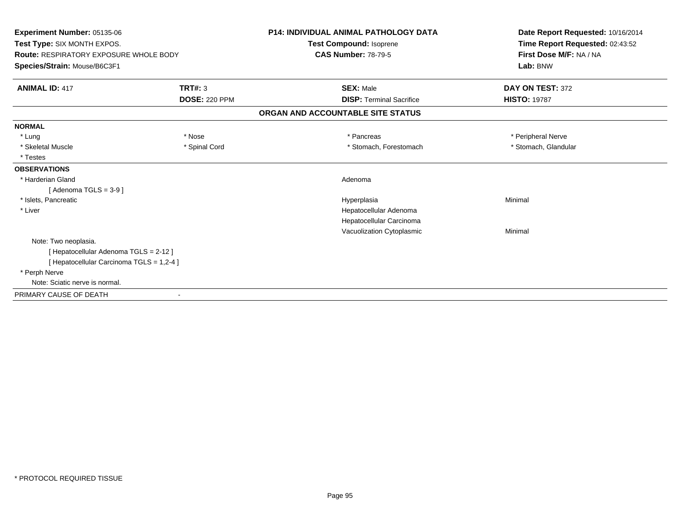| <b>Experiment Number: 05135-06</b><br>Test Type: SIX MONTH EXPOS.<br>Route: RESPIRATORY EXPOSURE WHOLE BODY<br>Species/Strain: Mouse/B6C3F1 |                      | <b>P14: INDIVIDUAL ANIMAL PATHOLOGY DATA</b><br>Test Compound: Isoprene<br><b>CAS Number: 78-79-5</b> | Date Report Requested: 10/16/2014<br>Time Report Requested: 02:43:52<br>First Dose M/F: NA / NA<br>Lab: BNW |
|---------------------------------------------------------------------------------------------------------------------------------------------|----------------------|-------------------------------------------------------------------------------------------------------|-------------------------------------------------------------------------------------------------------------|
| <b>ANIMAL ID: 417</b>                                                                                                                       | TRT#: 3              | <b>SEX: Male</b>                                                                                      | DAY ON TEST: 372                                                                                            |
|                                                                                                                                             | <b>DOSE: 220 PPM</b> | <b>DISP: Terminal Sacrifice</b>                                                                       | <b>HISTO: 19787</b>                                                                                         |
|                                                                                                                                             |                      | ORGAN AND ACCOUNTABLE SITE STATUS                                                                     |                                                                                                             |
| <b>NORMAL</b>                                                                                                                               |                      |                                                                                                       |                                                                                                             |
| * Lung                                                                                                                                      | * Nose               | * Pancreas                                                                                            | * Peripheral Nerve                                                                                          |
| * Skeletal Muscle                                                                                                                           | * Spinal Cord        | * Stomach, Forestomach                                                                                | * Stomach, Glandular                                                                                        |
| * Testes                                                                                                                                    |                      |                                                                                                       |                                                                                                             |
| <b>OBSERVATIONS</b>                                                                                                                         |                      |                                                                                                       |                                                                                                             |
| * Harderian Gland                                                                                                                           |                      | Adenoma                                                                                               |                                                                                                             |
| [Adenoma TGLS = $3-9$ ]                                                                                                                     |                      |                                                                                                       |                                                                                                             |
| * Islets. Pancreatic                                                                                                                        |                      | Hyperplasia                                                                                           | Minimal                                                                                                     |
| * Liver                                                                                                                                     |                      | Hepatocellular Adenoma                                                                                |                                                                                                             |
|                                                                                                                                             |                      | Hepatocellular Carcinoma                                                                              |                                                                                                             |
|                                                                                                                                             |                      | Vacuolization Cytoplasmic                                                                             | Minimal                                                                                                     |
| Note: Two neoplasia.                                                                                                                        |                      |                                                                                                       |                                                                                                             |
| [Hepatocellular Adenoma TGLS = 2-12]                                                                                                        |                      |                                                                                                       |                                                                                                             |
| [ Hepatocellular Carcinoma TGLS = 1,2-4 ]                                                                                                   |                      |                                                                                                       |                                                                                                             |
| * Perph Nerve                                                                                                                               |                      |                                                                                                       |                                                                                                             |
| Note: Sciatic nerve is normal.                                                                                                              |                      |                                                                                                       |                                                                                                             |
| PRIMARY CAUSE OF DEATH                                                                                                                      |                      |                                                                                                       |                                                                                                             |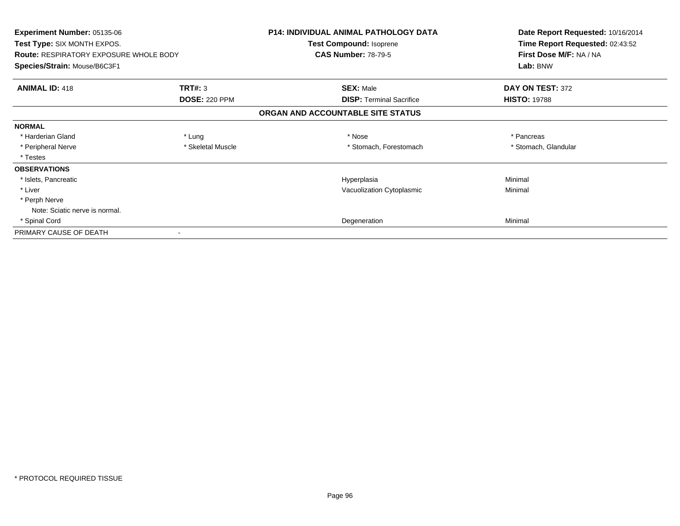| <b>Experiment Number: 05135-06</b><br>Test Type: SIX MONTH EXPOS.<br><b>Route: RESPIRATORY EXPOSURE WHOLE BODY</b> |                      | P14: INDIVIDUAL ANIMAL PATHOLOGY DATA<br>Test Compound: Isoprene<br><b>CAS Number: 78-79-5</b> | Date Report Requested: 10/16/2014<br>Time Report Requested: 02:43:52<br>First Dose M/F: NA / NA |
|--------------------------------------------------------------------------------------------------------------------|----------------------|------------------------------------------------------------------------------------------------|-------------------------------------------------------------------------------------------------|
| Species/Strain: Mouse/B6C3F1                                                                                       |                      |                                                                                                | Lab: BNW                                                                                        |
| <b>ANIMAL ID: 418</b>                                                                                              | <b>TRT#: 3</b>       | <b>SEX: Male</b>                                                                               | DAY ON TEST: 372                                                                                |
|                                                                                                                    | <b>DOSE: 220 PPM</b> | <b>DISP:</b> Terminal Sacrifice                                                                | <b>HISTO: 19788</b>                                                                             |
|                                                                                                                    |                      | ORGAN AND ACCOUNTABLE SITE STATUS                                                              |                                                                                                 |
| <b>NORMAL</b>                                                                                                      |                      |                                                                                                |                                                                                                 |
| * Harderian Gland                                                                                                  | * Lung               | * Nose                                                                                         | * Pancreas                                                                                      |
| * Peripheral Nerve                                                                                                 | * Skeletal Muscle    | * Stomach, Forestomach                                                                         | * Stomach, Glandular                                                                            |
| * Testes                                                                                                           |                      |                                                                                                |                                                                                                 |
| <b>OBSERVATIONS</b>                                                                                                |                      |                                                                                                |                                                                                                 |
| * Islets, Pancreatic                                                                                               |                      | Hyperplasia                                                                                    | Minimal                                                                                         |
| * Liver                                                                                                            |                      | Vacuolization Cytoplasmic                                                                      | Minimal                                                                                         |
| * Perph Nerve                                                                                                      |                      |                                                                                                |                                                                                                 |
| Note: Sciatic nerve is normal.                                                                                     |                      |                                                                                                |                                                                                                 |
| * Spinal Cord                                                                                                      |                      | Degeneration                                                                                   | Minimal                                                                                         |
| PRIMARY CAUSE OF DEATH                                                                                             |                      |                                                                                                |                                                                                                 |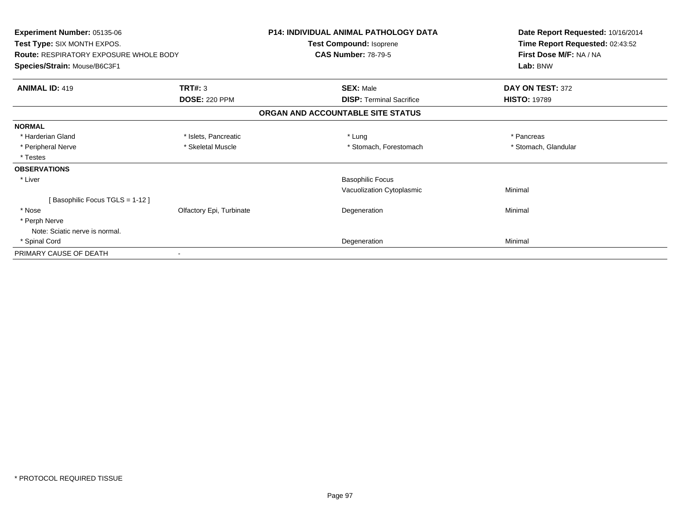| Experiment Number: 05135-06<br>Test Type: SIX MONTH EXPOS.<br><b>Route: RESPIRATORY EXPOSURE WHOLE BODY</b><br>Species/Strain: Mouse/B6C3F1 |                          | <b>P14: INDIVIDUAL ANIMAL PATHOLOGY DATA</b><br>Test Compound: Isoprene | Date Report Requested: 10/16/2014<br>Time Report Requested: 02:43:52<br>First Dose M/F: NA / NA<br>Lab: BNW |
|---------------------------------------------------------------------------------------------------------------------------------------------|--------------------------|-------------------------------------------------------------------------|-------------------------------------------------------------------------------------------------------------|
|                                                                                                                                             |                          | <b>CAS Number: 78-79-5</b>                                              |                                                                                                             |
|                                                                                                                                             |                          |                                                                         |                                                                                                             |
| <b>ANIMAL ID: 419</b>                                                                                                                       | TRT#: 3                  | <b>SEX: Male</b>                                                        | DAY ON TEST: 372                                                                                            |
|                                                                                                                                             | <b>DOSE: 220 PPM</b>     | <b>DISP: Terminal Sacrifice</b>                                         | <b>HISTO: 19789</b>                                                                                         |
|                                                                                                                                             |                          | ORGAN AND ACCOUNTABLE SITE STATUS                                       |                                                                                                             |
| <b>NORMAL</b>                                                                                                                               |                          |                                                                         |                                                                                                             |
| * Harderian Gland                                                                                                                           | * Islets, Pancreatic     | * Lung                                                                  | * Pancreas                                                                                                  |
| * Peripheral Nerve                                                                                                                          | * Skeletal Muscle        | * Stomach, Forestomach                                                  | * Stomach, Glandular                                                                                        |
| * Testes                                                                                                                                    |                          |                                                                         |                                                                                                             |
| <b>OBSERVATIONS</b>                                                                                                                         |                          |                                                                         |                                                                                                             |
| * Liver                                                                                                                                     |                          | <b>Basophilic Focus</b>                                                 |                                                                                                             |
|                                                                                                                                             |                          | Vacuolization Cytoplasmic                                               | Minimal                                                                                                     |
| [Basophilic Focus TGLS = 1-12]                                                                                                              |                          |                                                                         |                                                                                                             |
| * Nose                                                                                                                                      | Olfactory Epi, Turbinate | Degeneration                                                            | Minimal                                                                                                     |
| * Perph Nerve                                                                                                                               |                          |                                                                         |                                                                                                             |
| Note: Sciatic nerve is normal.                                                                                                              |                          |                                                                         |                                                                                                             |
| * Spinal Cord                                                                                                                               |                          | Degeneration                                                            | Minimal                                                                                                     |
| PRIMARY CAUSE OF DEATH                                                                                                                      |                          |                                                                         |                                                                                                             |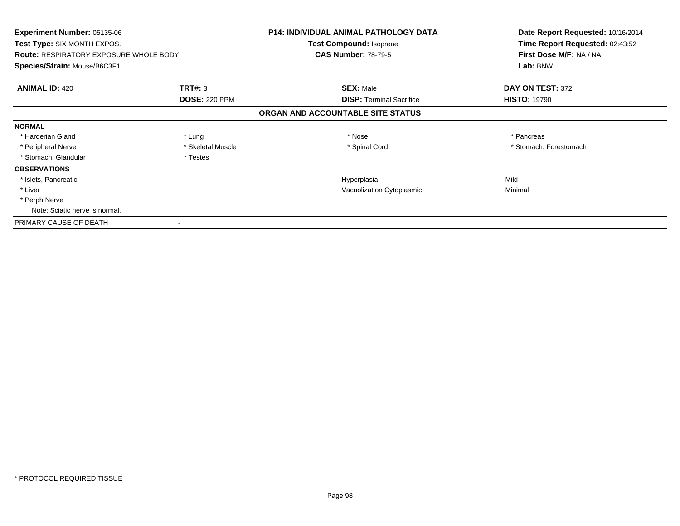| Experiment Number: 05135-06<br>Test Type: SIX MONTH EXPOS.<br><b>Route: RESPIRATORY EXPOSURE WHOLE BODY</b><br>Species/Strain: Mouse/B6C3F1 |                      | <b>P14: INDIVIDUAL ANIMAL PATHOLOGY DATA</b><br>Test Compound: Isoprene<br><b>CAS Number: 78-79-5</b> | Date Report Requested: 10/16/2014<br>Time Report Requested: 02:43:52<br>First Dose M/F: NA / NA<br>Lab: BNW |
|---------------------------------------------------------------------------------------------------------------------------------------------|----------------------|-------------------------------------------------------------------------------------------------------|-------------------------------------------------------------------------------------------------------------|
| <b>ANIMAL ID: 420</b>                                                                                                                       | TRT#: 3              | <b>SEX: Male</b>                                                                                      | DAY ON TEST: 372                                                                                            |
|                                                                                                                                             | <b>DOSE: 220 PPM</b> | <b>DISP:</b> Terminal Sacrifice                                                                       | <b>HISTO: 19790</b>                                                                                         |
|                                                                                                                                             |                      | ORGAN AND ACCOUNTABLE SITE STATUS                                                                     |                                                                                                             |
| <b>NORMAL</b>                                                                                                                               |                      |                                                                                                       |                                                                                                             |
| * Harderian Gland                                                                                                                           | * Lung               | * Nose                                                                                                | * Pancreas                                                                                                  |
| * Peripheral Nerve                                                                                                                          | * Skeletal Muscle    | * Spinal Cord                                                                                         | * Stomach, Forestomach                                                                                      |
| * Stomach, Glandular                                                                                                                        | * Testes             |                                                                                                       |                                                                                                             |
| <b>OBSERVATIONS</b>                                                                                                                         |                      |                                                                                                       |                                                                                                             |
| * Islets, Pancreatic                                                                                                                        |                      | Hyperplasia                                                                                           | Mild                                                                                                        |
| * Liver                                                                                                                                     |                      | Vacuolization Cytoplasmic                                                                             | Minimal                                                                                                     |
| * Perph Nerve                                                                                                                               |                      |                                                                                                       |                                                                                                             |
| Note: Sciatic nerve is normal.                                                                                                              |                      |                                                                                                       |                                                                                                             |
| PRIMARY CAUSE OF DEATH                                                                                                                      |                      |                                                                                                       |                                                                                                             |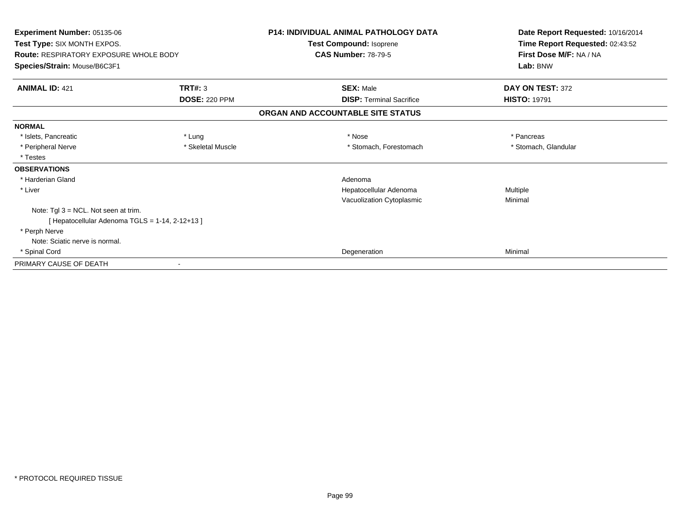| Experiment Number: 05135-06<br>Test Type: SIX MONTH EXPOS.<br><b>Route: RESPIRATORY EXPOSURE WHOLE BODY</b><br>Species/Strain: Mouse/B6C3F1 |                      | <b>P14: INDIVIDUAL ANIMAL PATHOLOGY DATA</b><br>Test Compound: Isoprene<br><b>CAS Number: 78-79-5</b> | Date Report Requested: 10/16/2014<br>Time Report Requested: 02:43:52 |
|---------------------------------------------------------------------------------------------------------------------------------------------|----------------------|-------------------------------------------------------------------------------------------------------|----------------------------------------------------------------------|
|                                                                                                                                             |                      |                                                                                                       | First Dose M/F: NA / NA                                              |
|                                                                                                                                             |                      |                                                                                                       | Lab: BNW                                                             |
| <b>ANIMAL ID: 421</b>                                                                                                                       | TRT#: 3              | <b>SEX: Male</b>                                                                                      | DAY ON TEST: 372                                                     |
|                                                                                                                                             | <b>DOSE: 220 PPM</b> | <b>DISP: Terminal Sacrifice</b>                                                                       | <b>HISTO: 19791</b>                                                  |
|                                                                                                                                             |                      | ORGAN AND ACCOUNTABLE SITE STATUS                                                                     |                                                                      |
| <b>NORMAL</b>                                                                                                                               |                      |                                                                                                       |                                                                      |
| * Islets, Pancreatic                                                                                                                        | * Lung               | * Nose                                                                                                | * Pancreas                                                           |
| * Peripheral Nerve                                                                                                                          | * Skeletal Muscle    | * Stomach, Forestomach                                                                                | * Stomach, Glandular                                                 |
| * Testes                                                                                                                                    |                      |                                                                                                       |                                                                      |
| <b>OBSERVATIONS</b>                                                                                                                         |                      |                                                                                                       |                                                                      |
| * Harderian Gland                                                                                                                           |                      | Adenoma                                                                                               |                                                                      |
| * Liver                                                                                                                                     |                      | Hepatocellular Adenoma                                                                                | Multiple                                                             |
|                                                                                                                                             |                      | Vacuolization Cytoplasmic                                                                             | Minimal                                                              |
| Note: Tgl 3 = NCL. Not seen at trim.                                                                                                        |                      |                                                                                                       |                                                                      |
| [Hepatocellular Adenoma TGLS = 1-14, 2-12+13]                                                                                               |                      |                                                                                                       |                                                                      |
| * Perph Nerve                                                                                                                               |                      |                                                                                                       |                                                                      |
| Note: Sciatic nerve is normal.                                                                                                              |                      |                                                                                                       |                                                                      |
| * Spinal Cord                                                                                                                               |                      | Degeneration                                                                                          | Minimal                                                              |
| PRIMARY CAUSE OF DEATH                                                                                                                      |                      |                                                                                                       |                                                                      |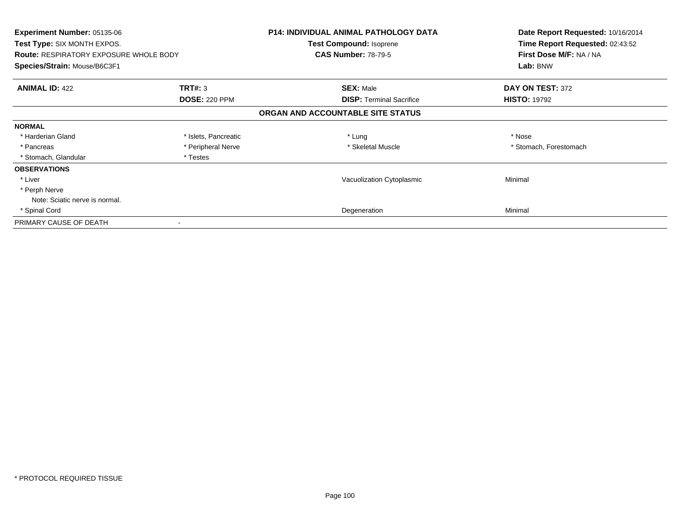| Experiment Number: 05135-06<br>Test Type: SIX MONTH EXPOS.<br><b>Route: RESPIRATORY EXPOSURE WHOLE BODY</b><br>Species/Strain: Mouse/B6C3F1 |                      | <b>P14: INDIVIDUAL ANIMAL PATHOLOGY DATA</b><br>Test Compound: Isoprene<br><b>CAS Number: 78-79-5</b> | Date Report Requested: 10/16/2014<br>Time Report Requested: 02:43:52<br>First Dose M/F: NA / NA<br>Lab: BNW |
|---------------------------------------------------------------------------------------------------------------------------------------------|----------------------|-------------------------------------------------------------------------------------------------------|-------------------------------------------------------------------------------------------------------------|
| <b>ANIMAL ID: 422</b>                                                                                                                       | <b>TRT#: 3</b>       | <b>SEX: Male</b>                                                                                      | DAY ON TEST: 372                                                                                            |
|                                                                                                                                             | <b>DOSE: 220 PPM</b> | <b>DISP:</b> Terminal Sacrifice                                                                       | <b>HISTO: 19792</b>                                                                                         |
|                                                                                                                                             |                      | ORGAN AND ACCOUNTABLE SITE STATUS                                                                     |                                                                                                             |
| <b>NORMAL</b>                                                                                                                               |                      |                                                                                                       |                                                                                                             |
| * Harderian Gland                                                                                                                           | * Islets, Pancreatic | * Lung                                                                                                | * Nose                                                                                                      |
| * Pancreas                                                                                                                                  | * Peripheral Nerve   | * Skeletal Muscle                                                                                     | * Stomach, Forestomach                                                                                      |
| * Stomach, Glandular                                                                                                                        | * Testes             |                                                                                                       |                                                                                                             |
| <b>OBSERVATIONS</b>                                                                                                                         |                      |                                                                                                       |                                                                                                             |
| * Liver                                                                                                                                     |                      | Vacuolization Cytoplasmic                                                                             | Minimal                                                                                                     |
| * Perph Nerve                                                                                                                               |                      |                                                                                                       |                                                                                                             |
| Note: Sciatic nerve is normal.                                                                                                              |                      |                                                                                                       |                                                                                                             |
| * Spinal Cord                                                                                                                               |                      | Degeneration                                                                                          | Minimal                                                                                                     |
| PRIMARY CAUSE OF DEATH                                                                                                                      |                      |                                                                                                       |                                                                                                             |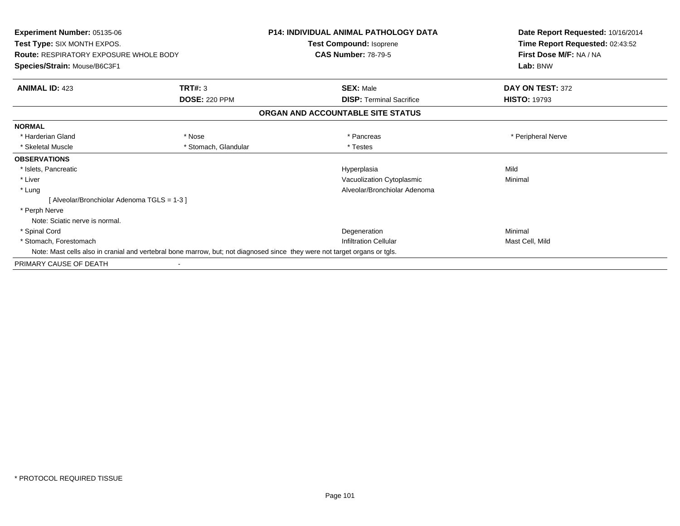| Experiment Number: 05135-06                   |                      | <b>P14: INDIVIDUAL ANIMAL PATHOLOGY DATA</b>                                                                              | Date Report Requested: 10/16/2014 |  |
|-----------------------------------------------|----------------------|---------------------------------------------------------------------------------------------------------------------------|-----------------------------------|--|
| Test Type: SIX MONTH EXPOS.                   |                      | Test Compound: Isoprene                                                                                                   | Time Report Requested: 02:43:52   |  |
| <b>Route: RESPIRATORY EXPOSURE WHOLE BODY</b> |                      | <b>CAS Number: 78-79-5</b>                                                                                                | First Dose M/F: NA / NA           |  |
| Species/Strain: Mouse/B6C3F1                  |                      |                                                                                                                           | Lab: BNW                          |  |
| <b>ANIMAL ID: 423</b>                         | TRT#: 3              | <b>SEX: Male</b>                                                                                                          | DAY ON TEST: 372                  |  |
|                                               | <b>DOSE: 220 PPM</b> | <b>DISP: Terminal Sacrifice</b>                                                                                           | <b>HISTO: 19793</b>               |  |
|                                               |                      | ORGAN AND ACCOUNTABLE SITE STATUS                                                                                         |                                   |  |
| <b>NORMAL</b>                                 |                      |                                                                                                                           |                                   |  |
| * Harderian Gland                             | * Nose               | * Pancreas                                                                                                                | * Peripheral Nerve                |  |
| * Skeletal Muscle                             | * Stomach, Glandular | * Testes                                                                                                                  |                                   |  |
| <b>OBSERVATIONS</b>                           |                      |                                                                                                                           |                                   |  |
| * Islets, Pancreatic                          |                      | Hyperplasia                                                                                                               | Mild                              |  |
| * Liver                                       |                      | Vacuolization Cytoplasmic                                                                                                 | Minimal                           |  |
| * Lung                                        |                      | Alveolar/Bronchiolar Adenoma                                                                                              |                                   |  |
| [Alveolar/Bronchiolar Adenoma TGLS = 1-3]     |                      |                                                                                                                           |                                   |  |
| * Perph Nerve                                 |                      |                                                                                                                           |                                   |  |
| Note: Sciatic nerve is normal.                |                      |                                                                                                                           |                                   |  |
| * Spinal Cord                                 |                      | Degeneration                                                                                                              | Minimal                           |  |
| * Stomach, Forestomach                        |                      | <b>Infiltration Cellular</b>                                                                                              | Mast Cell, Mild                   |  |
|                                               |                      | Note: Mast cells also in cranial and vertebral bone marrow, but; not diagnosed since they were not target organs or tgls. |                                   |  |
| PRIMARY CAUSE OF DEATH                        |                      |                                                                                                                           |                                   |  |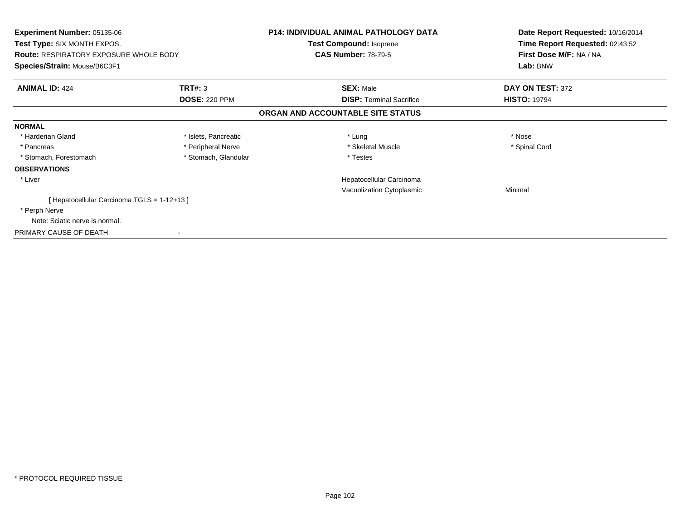| <b>Experiment Number: 05135-06</b><br>Test Type: SIX MONTH EXPOS.<br><b>Route: RESPIRATORY EXPOSURE WHOLE BODY</b><br>Species/Strain: Mouse/B6C3F1 |                      | <b>P14: INDIVIDUAL ANIMAL PATHOLOGY DATA</b><br>Test Compound: Isoprene<br><b>CAS Number: 78-79-5</b> | Date Report Requested: 10/16/2014<br>Time Report Requested: 02:43:52<br>First Dose M/F: NA / NA<br>Lab: BNW |
|----------------------------------------------------------------------------------------------------------------------------------------------------|----------------------|-------------------------------------------------------------------------------------------------------|-------------------------------------------------------------------------------------------------------------|
|                                                                                                                                                    |                      |                                                                                                       |                                                                                                             |
| <b>ANIMAL ID: 424</b>                                                                                                                              | TRT#: 3              | <b>SEX: Male</b>                                                                                      | DAY ON TEST: 372                                                                                            |
|                                                                                                                                                    | <b>DOSE: 220 PPM</b> | <b>DISP:</b> Terminal Sacrifice                                                                       | <b>HISTO: 19794</b>                                                                                         |
|                                                                                                                                                    |                      | ORGAN AND ACCOUNTABLE SITE STATUS                                                                     |                                                                                                             |
| <b>NORMAL</b>                                                                                                                                      |                      |                                                                                                       |                                                                                                             |
| * Harderian Gland                                                                                                                                  | * Islets, Pancreatic | * Lung                                                                                                | * Nose                                                                                                      |
| * Pancreas                                                                                                                                         | * Peripheral Nerve   | * Skeletal Muscle                                                                                     | * Spinal Cord                                                                                               |
| * Stomach, Forestomach                                                                                                                             | * Stomach, Glandular | * Testes                                                                                              |                                                                                                             |
| <b>OBSERVATIONS</b>                                                                                                                                |                      |                                                                                                       |                                                                                                             |
| * Liver                                                                                                                                            |                      | Hepatocellular Carcinoma                                                                              |                                                                                                             |
|                                                                                                                                                    |                      | Vacuolization Cytoplasmic                                                                             | Minimal                                                                                                     |
| [ Hepatocellular Carcinoma TGLS = 1-12+13 ]                                                                                                        |                      |                                                                                                       |                                                                                                             |
| * Perph Nerve                                                                                                                                      |                      |                                                                                                       |                                                                                                             |
| Note: Sciatic nerve is normal.                                                                                                                     |                      |                                                                                                       |                                                                                                             |
| PRIMARY CAUSE OF DEATH                                                                                                                             |                      |                                                                                                       |                                                                                                             |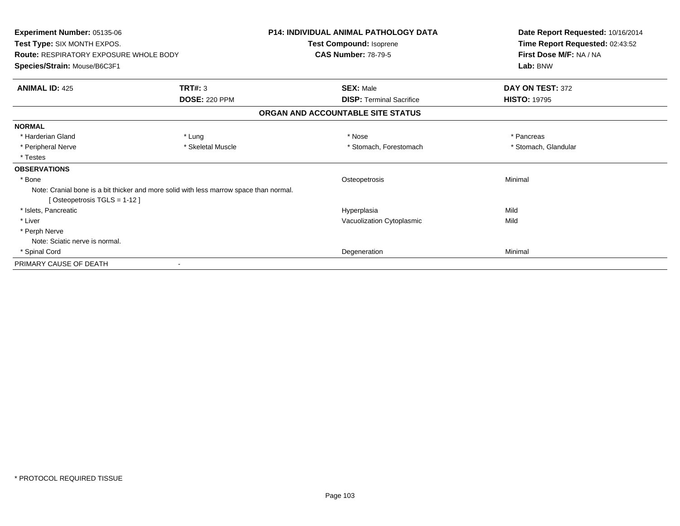| Experiment Number: 05135-06<br>Test Type: SIX MONTH EXPOS.                                                            |                      | <b>P14: INDIVIDUAL ANIMAL PATHOLOGY DATA</b><br><b>Test Compound: Isoprene</b> | Date Report Requested: 10/16/2014<br>Time Report Requested: 02:43:52 |
|-----------------------------------------------------------------------------------------------------------------------|----------------------|--------------------------------------------------------------------------------|----------------------------------------------------------------------|
| <b>Route: RESPIRATORY EXPOSURE WHOLE BODY</b><br>Species/Strain: Mouse/B6C3F1                                         |                      | <b>CAS Number: 78-79-5</b>                                                     | First Dose M/F: NA / NA<br>Lab: BNW                                  |
| <b>ANIMAL ID: 425</b>                                                                                                 | <b>TRT#: 3</b>       | <b>SEX: Male</b>                                                               | DAY ON TEST: 372                                                     |
|                                                                                                                       | <b>DOSE: 220 PPM</b> | <b>DISP:</b> Terminal Sacrifice                                                | <b>HISTO: 19795</b>                                                  |
|                                                                                                                       |                      | ORGAN AND ACCOUNTABLE SITE STATUS                                              |                                                                      |
| <b>NORMAL</b>                                                                                                         |                      |                                                                                |                                                                      |
| * Harderian Gland                                                                                                     | * Lung               | * Nose                                                                         | * Pancreas                                                           |
| * Peripheral Nerve                                                                                                    | * Skeletal Muscle    | * Stomach, Forestomach                                                         | * Stomach, Glandular                                                 |
| * Testes                                                                                                              |                      |                                                                                |                                                                      |
| <b>OBSERVATIONS</b>                                                                                                   |                      |                                                                                |                                                                      |
| * Bone                                                                                                                |                      | Osteopetrosis                                                                  | Minimal                                                              |
| Note: Cranial bone is a bit thicker and more solid with less marrow space than normal.<br>[Osteopetrosis TGLS = 1-12] |                      |                                                                                |                                                                      |
| * Islets. Pancreatic                                                                                                  |                      | Hyperplasia                                                                    | Mild                                                                 |
| * Liver                                                                                                               |                      | Vacuolization Cytoplasmic                                                      | Mild                                                                 |
| * Perph Nerve                                                                                                         |                      |                                                                                |                                                                      |
| Note: Sciatic nerve is normal.                                                                                        |                      |                                                                                |                                                                      |
| * Spinal Cord                                                                                                         |                      | Degeneration                                                                   | Minimal                                                              |
| PRIMARY CAUSE OF DEATH                                                                                                |                      |                                                                                |                                                                      |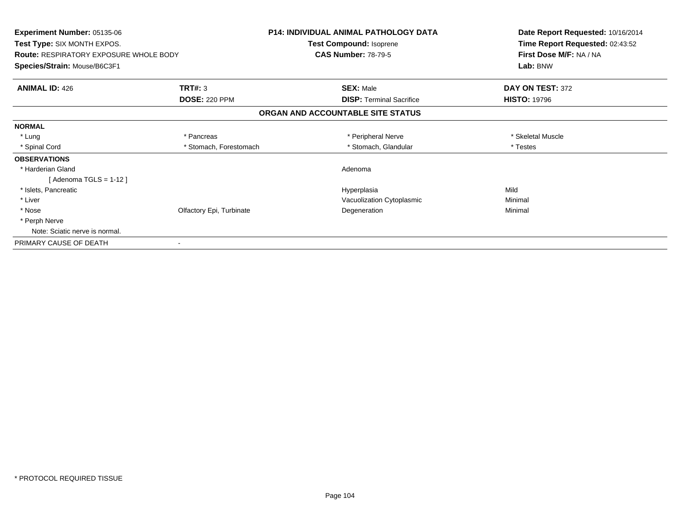| <b>Experiment Number: 05135-06</b><br>Test Type: SIX MONTH EXPOS. |                          | <b>P14: INDIVIDUAL ANIMAL PATHOLOGY DATA</b>                 | Date Report Requested: 10/16/2014<br>Time Report Requested: 02:43:52 |
|-------------------------------------------------------------------|--------------------------|--------------------------------------------------------------|----------------------------------------------------------------------|
|                                                                   |                          | <b>Test Compound: Isoprene</b><br><b>CAS Number: 78-79-5</b> |                                                                      |
| <b>Route: RESPIRATORY EXPOSURE WHOLE BODY</b>                     |                          |                                                              | First Dose M/F: NA / NA                                              |
| Species/Strain: Mouse/B6C3F1                                      |                          |                                                              | Lab: BNW                                                             |
| <b>ANIMAL ID: 426</b>                                             | TRT#: 3                  | <b>SEX: Male</b>                                             | DAY ON TEST: 372                                                     |
|                                                                   | <b>DOSE: 220 PPM</b>     | <b>DISP:</b> Terminal Sacrifice                              | <b>HISTO: 19796</b>                                                  |
|                                                                   |                          | ORGAN AND ACCOUNTABLE SITE STATUS                            |                                                                      |
| <b>NORMAL</b>                                                     |                          |                                                              |                                                                      |
| * Lung                                                            | * Pancreas               | * Peripheral Nerve                                           | * Skeletal Muscle                                                    |
| * Spinal Cord                                                     | * Stomach, Forestomach   | * Stomach, Glandular                                         | * Testes                                                             |
| <b>OBSERVATIONS</b>                                               |                          |                                                              |                                                                      |
| * Harderian Gland                                                 |                          | Adenoma                                                      |                                                                      |
| [ Adenoma TGLS = 1-12 ]                                           |                          |                                                              |                                                                      |
| * Islets, Pancreatic                                              |                          | Hyperplasia                                                  | Mild                                                                 |
| * Liver                                                           |                          | Vacuolization Cytoplasmic                                    | Minimal                                                              |
| * Nose                                                            | Olfactory Epi, Turbinate | Degeneration                                                 | Minimal                                                              |
| * Perph Nerve                                                     |                          |                                                              |                                                                      |
| Note: Sciatic nerve is normal.                                    |                          |                                                              |                                                                      |
| PRIMARY CAUSE OF DEATH                                            |                          |                                                              |                                                                      |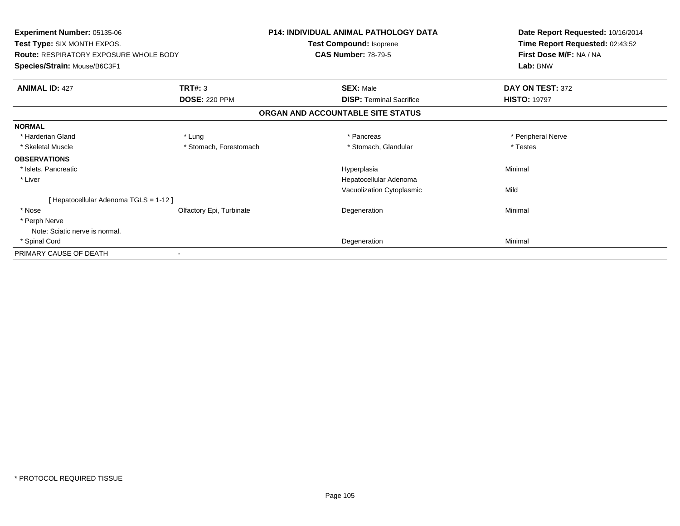| Experiment Number: 05135-06<br>Test Type: SIX MONTH EXPOS.<br><b>Route: RESPIRATORY EXPOSURE WHOLE BODY</b><br>Species/Strain: Mouse/B6C3F1 |                          | <b>P14: INDIVIDUAL ANIMAL PATHOLOGY DATA</b><br>Test Compound: Isoprene | Date Report Requested: 10/16/2014<br>Time Report Requested: 02:43:52<br>First Dose M/F: NA / NA<br>Lab: BNW |
|---------------------------------------------------------------------------------------------------------------------------------------------|--------------------------|-------------------------------------------------------------------------|-------------------------------------------------------------------------------------------------------------|
|                                                                                                                                             |                          | <b>CAS Number: 78-79-5</b>                                              |                                                                                                             |
| <b>ANIMAL ID: 427</b>                                                                                                                       | TRT#: 3                  | <b>SEX: Male</b>                                                        | DAY ON TEST: 372                                                                                            |
|                                                                                                                                             | <b>DOSE: 220 PPM</b>     | <b>DISP: Terminal Sacrifice</b>                                         | <b>HISTO: 19797</b>                                                                                         |
|                                                                                                                                             |                          | ORGAN AND ACCOUNTABLE SITE STATUS                                       |                                                                                                             |
| <b>NORMAL</b>                                                                                                                               |                          |                                                                         |                                                                                                             |
| * Harderian Gland                                                                                                                           | * Lung                   | * Pancreas                                                              | * Peripheral Nerve                                                                                          |
| * Skeletal Muscle                                                                                                                           | * Stomach, Forestomach   | * Stomach, Glandular                                                    | * Testes                                                                                                    |
| <b>OBSERVATIONS</b>                                                                                                                         |                          |                                                                         |                                                                                                             |
| * Islets, Pancreatic                                                                                                                        |                          | Hyperplasia                                                             | Minimal                                                                                                     |
| * Liver                                                                                                                                     |                          | Hepatocellular Adenoma                                                  |                                                                                                             |
|                                                                                                                                             |                          | Vacuolization Cytoplasmic                                               | Mild                                                                                                        |
| [ Hepatocellular Adenoma TGLS = 1-12 ]                                                                                                      |                          |                                                                         |                                                                                                             |
| * Nose                                                                                                                                      | Olfactory Epi, Turbinate | Degeneration                                                            | Minimal                                                                                                     |
| * Perph Nerve                                                                                                                               |                          |                                                                         |                                                                                                             |
| Note: Sciatic nerve is normal.                                                                                                              |                          |                                                                         |                                                                                                             |
| * Spinal Cord                                                                                                                               |                          | Degeneration                                                            | Minimal                                                                                                     |
| PRIMARY CAUSE OF DEATH                                                                                                                      |                          |                                                                         |                                                                                                             |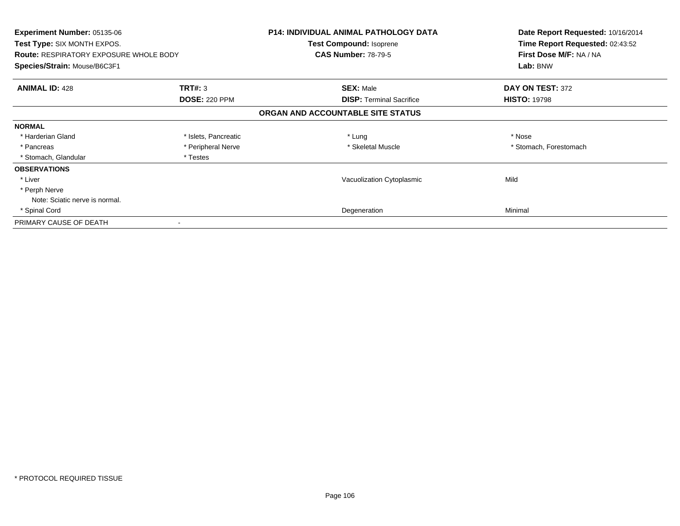| <b>Experiment Number: 05135-06</b><br>Test Type: SIX MONTH EXPOS.<br><b>Route: RESPIRATORY EXPOSURE WHOLE BODY</b><br>Species/Strain: Mouse/B6C3F1 |                      | <b>P14: INDIVIDUAL ANIMAL PATHOLOGY DATA</b><br>Test Compound: Isoprene<br><b>CAS Number: 78-79-5</b> | Date Report Requested: 10/16/2014<br>Time Report Requested: 02:43:52<br>First Dose M/F: NA / NA<br>Lab: BNW |
|----------------------------------------------------------------------------------------------------------------------------------------------------|----------------------|-------------------------------------------------------------------------------------------------------|-------------------------------------------------------------------------------------------------------------|
| <b>ANIMAL ID: 428</b>                                                                                                                              | <b>TRT#: 3</b>       | <b>SEX: Male</b>                                                                                      | DAY ON TEST: 372                                                                                            |
|                                                                                                                                                    | <b>DOSE: 220 PPM</b> | <b>DISP:</b> Terminal Sacrifice                                                                       | <b>HISTO: 19798</b>                                                                                         |
|                                                                                                                                                    |                      | ORGAN AND ACCOUNTABLE SITE STATUS                                                                     |                                                                                                             |
| <b>NORMAL</b>                                                                                                                                      |                      |                                                                                                       |                                                                                                             |
| * Harderian Gland                                                                                                                                  | * Islets, Pancreatic | * Lung                                                                                                | * Nose                                                                                                      |
| * Pancreas                                                                                                                                         | * Peripheral Nerve   | * Skeletal Muscle                                                                                     | * Stomach, Forestomach                                                                                      |
| * Stomach, Glandular                                                                                                                               | * Testes             |                                                                                                       |                                                                                                             |
| <b>OBSERVATIONS</b>                                                                                                                                |                      |                                                                                                       |                                                                                                             |
| * Liver                                                                                                                                            |                      | Vacuolization Cytoplasmic                                                                             | Mild                                                                                                        |
| * Perph Nerve                                                                                                                                      |                      |                                                                                                       |                                                                                                             |
| Note: Sciatic nerve is normal.                                                                                                                     |                      |                                                                                                       |                                                                                                             |
| * Spinal Cord                                                                                                                                      |                      | Degeneration                                                                                          | Minimal                                                                                                     |
| PRIMARY CAUSE OF DEATH                                                                                                                             |                      |                                                                                                       |                                                                                                             |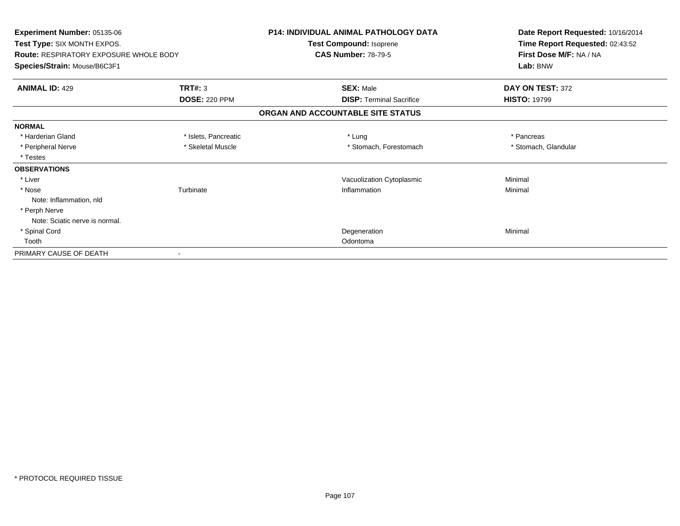| Experiment Number: 05135-06<br>Test Type: SIX MONTH EXPOS. |                      | <b>P14: INDIVIDUAL ANIMAL PATHOLOGY DATA</b><br>Test Compound: Isoprene | Date Report Requested: 10/16/2014<br>Time Report Requested: 02:43:52 |
|------------------------------------------------------------|----------------------|-------------------------------------------------------------------------|----------------------------------------------------------------------|
|                                                            |                      |                                                                         |                                                                      |
| Species/Strain: Mouse/B6C3F1                               |                      |                                                                         | Lab: BNW                                                             |
| <b>ANIMAL ID: 429</b>                                      | TRT#: 3              | <b>SEX: Male</b>                                                        | DAY ON TEST: 372                                                     |
|                                                            | <b>DOSE: 220 PPM</b> | <b>DISP: Terminal Sacrifice</b>                                         | <b>HISTO: 19799</b>                                                  |
|                                                            |                      | ORGAN AND ACCOUNTABLE SITE STATUS                                       |                                                                      |
| <b>NORMAL</b>                                              |                      |                                                                         |                                                                      |
| * Harderian Gland                                          | * Islets, Pancreatic | * Lung                                                                  | * Pancreas                                                           |
| * Peripheral Nerve                                         | * Skeletal Muscle    | * Stomach, Forestomach                                                  | * Stomach, Glandular                                                 |
| * Testes                                                   |                      |                                                                         |                                                                      |
| <b>OBSERVATIONS</b>                                        |                      |                                                                         |                                                                      |
| * Liver                                                    |                      | Vacuolization Cytoplasmic                                               | Minimal                                                              |
| * Nose                                                     | Turbinate            | Inflammation                                                            | Minimal                                                              |
| Note: Inflammation, nld                                    |                      |                                                                         |                                                                      |
| * Perph Nerve                                              |                      |                                                                         |                                                                      |
| Note: Sciatic nerve is normal.                             |                      |                                                                         |                                                                      |
| * Spinal Cord                                              |                      | Degeneration                                                            | Minimal                                                              |
| Tooth                                                      |                      | Odontoma                                                                |                                                                      |
| PRIMARY CAUSE OF DEATH                                     |                      |                                                                         |                                                                      |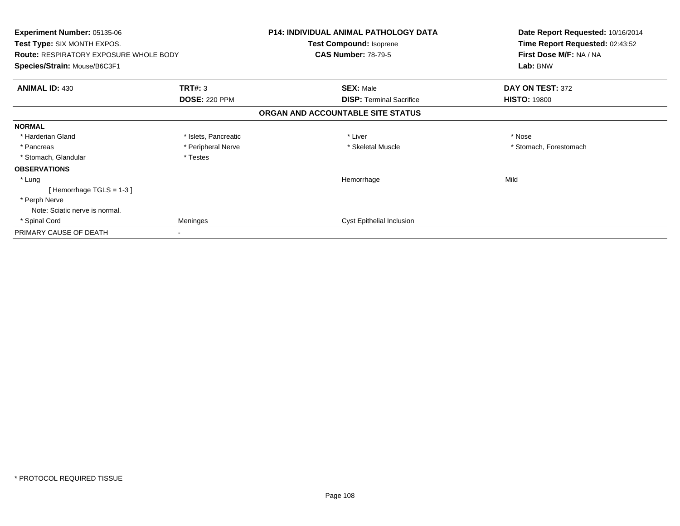| <b>Experiment Number: 05135-06</b><br><b>Test Type: SIX MONTH EXPOS.</b>      |                      | <b>P14: INDIVIDUAL ANIMAL PATHOLOGY DATA</b><br>Test Compound: Isoprene | Date Report Requested: 10/16/2014<br>Time Report Requested: 02:43:52 |
|-------------------------------------------------------------------------------|----------------------|-------------------------------------------------------------------------|----------------------------------------------------------------------|
| <b>Route: RESPIRATORY EXPOSURE WHOLE BODY</b><br>Species/Strain: Mouse/B6C3F1 |                      | <b>CAS Number: 78-79-5</b>                                              | First Dose M/F: NA / NA<br>Lab: BNW                                  |
| <b>ANIMAL ID: 430</b>                                                         | TRT#: 3              | <b>SEX: Male</b>                                                        | DAY ON TEST: 372                                                     |
|                                                                               | <b>DOSE: 220 PPM</b> | <b>DISP:</b> Terminal Sacrifice                                         | <b>HISTO: 19800</b>                                                  |
|                                                                               |                      | ORGAN AND ACCOUNTABLE SITE STATUS                                       |                                                                      |
| <b>NORMAL</b>                                                                 |                      |                                                                         |                                                                      |
| * Harderian Gland                                                             | * Islets, Pancreatic | * Liver                                                                 | * Nose                                                               |
| * Pancreas                                                                    | * Peripheral Nerve   | * Skeletal Muscle                                                       | * Stomach, Forestomach                                               |
| * Stomach, Glandular                                                          | * Testes             |                                                                         |                                                                      |
| <b>OBSERVATIONS</b>                                                           |                      |                                                                         |                                                                      |
| * Lung                                                                        |                      | Hemorrhage                                                              | Mild                                                                 |
| [Hemorrhage TGLS = $1-3$ ]                                                    |                      |                                                                         |                                                                      |
| * Perph Nerve                                                                 |                      |                                                                         |                                                                      |
| Note: Sciatic nerve is normal.                                                |                      |                                                                         |                                                                      |
| * Spinal Cord                                                                 | Meninges             | <b>Cyst Epithelial Inclusion</b>                                        |                                                                      |
| PRIMARY CAUSE OF DEATH                                                        |                      |                                                                         |                                                                      |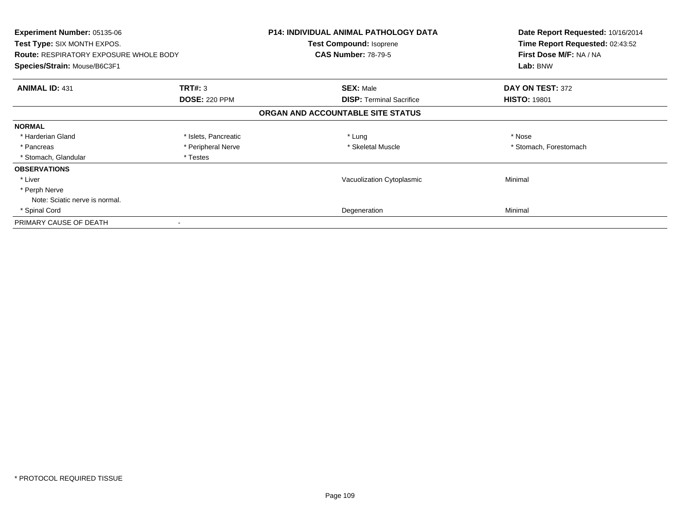| Experiment Number: 05135-06<br>Test Type: SIX MONTH EXPOS.<br><b>Route: RESPIRATORY EXPOSURE WHOLE BODY</b><br>Species/Strain: Mouse/B6C3F1 |                      | <b>P14: INDIVIDUAL ANIMAL PATHOLOGY DATA</b><br>Test Compound: Isoprene<br><b>CAS Number: 78-79-5</b> | Date Report Requested: 10/16/2014<br>Time Report Requested: 02:43:52<br>First Dose M/F: NA / NA<br>Lab: BNW |
|---------------------------------------------------------------------------------------------------------------------------------------------|----------------------|-------------------------------------------------------------------------------------------------------|-------------------------------------------------------------------------------------------------------------|
| <b>ANIMAL ID: 431</b>                                                                                                                       | <b>TRT#: 3</b>       | <b>SEX: Male</b>                                                                                      | DAY ON TEST: 372                                                                                            |
|                                                                                                                                             | <b>DOSE: 220 PPM</b> | <b>DISP:</b> Terminal Sacrifice                                                                       | <b>HISTO: 19801</b>                                                                                         |
|                                                                                                                                             |                      | ORGAN AND ACCOUNTABLE SITE STATUS                                                                     |                                                                                                             |
| <b>NORMAL</b>                                                                                                                               |                      |                                                                                                       |                                                                                                             |
| * Harderian Gland                                                                                                                           | * Islets, Pancreatic | * Lung                                                                                                | * Nose                                                                                                      |
| * Pancreas                                                                                                                                  | * Peripheral Nerve   | * Skeletal Muscle                                                                                     | * Stomach, Forestomach                                                                                      |
| * Stomach, Glandular                                                                                                                        | * Testes             |                                                                                                       |                                                                                                             |
| <b>OBSERVATIONS</b>                                                                                                                         |                      |                                                                                                       |                                                                                                             |
| * Liver                                                                                                                                     |                      | Vacuolization Cytoplasmic                                                                             | Minimal                                                                                                     |
| * Perph Nerve                                                                                                                               |                      |                                                                                                       |                                                                                                             |
| Note: Sciatic nerve is normal.                                                                                                              |                      |                                                                                                       |                                                                                                             |
| * Spinal Cord                                                                                                                               |                      | Degeneration                                                                                          | Minimal                                                                                                     |
| PRIMARY CAUSE OF DEATH                                                                                                                      |                      |                                                                                                       |                                                                                                             |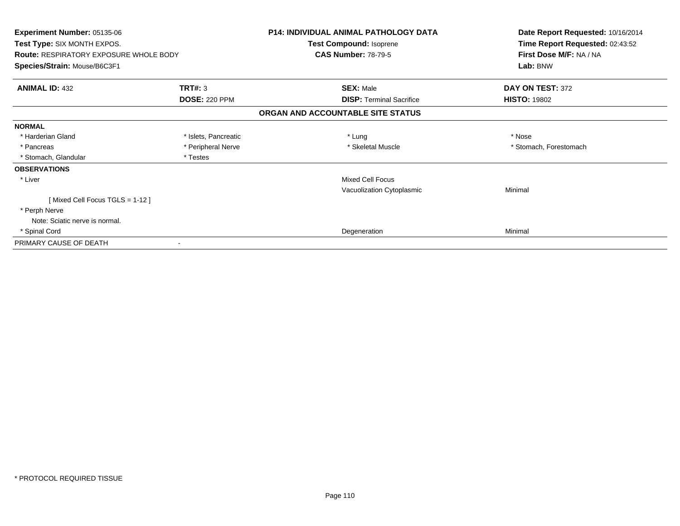| Experiment Number: 05135-06<br>Test Type: SIX MONTH EXPOS.<br><b>Route: RESPIRATORY EXPOSURE WHOLE BODY</b> |                      | <b>P14: INDIVIDUAL ANIMAL PATHOLOGY DATA</b><br>Test Compound: Isoprene<br><b>CAS Number: 78-79-5</b> | Date Report Requested: 10/16/2014<br>Time Report Requested: 02:43:52<br>First Dose M/F: NA / NA |
|-------------------------------------------------------------------------------------------------------------|----------------------|-------------------------------------------------------------------------------------------------------|-------------------------------------------------------------------------------------------------|
| Species/Strain: Mouse/B6C3F1                                                                                |                      |                                                                                                       | Lab: BNW                                                                                        |
| <b>ANIMAL ID: 432</b>                                                                                       | TRT#: 3              | <b>SEX: Male</b>                                                                                      | DAY ON TEST: 372                                                                                |
|                                                                                                             | <b>DOSE: 220 PPM</b> | <b>DISP:</b> Terminal Sacrifice                                                                       | <b>HISTO: 19802</b>                                                                             |
|                                                                                                             |                      | ORGAN AND ACCOUNTABLE SITE STATUS                                                                     |                                                                                                 |
| <b>NORMAL</b>                                                                                               |                      |                                                                                                       |                                                                                                 |
| * Harderian Gland                                                                                           | * Islets, Pancreatic | * Lung                                                                                                | * Nose                                                                                          |
| * Pancreas                                                                                                  | * Peripheral Nerve   | * Skeletal Muscle                                                                                     | * Stomach, Forestomach                                                                          |
| * Stomach, Glandular                                                                                        | * Testes             |                                                                                                       |                                                                                                 |
| <b>OBSERVATIONS</b>                                                                                         |                      |                                                                                                       |                                                                                                 |
| * Liver                                                                                                     |                      | <b>Mixed Cell Focus</b>                                                                               |                                                                                                 |
|                                                                                                             |                      | Vacuolization Cytoplasmic                                                                             | Minimal                                                                                         |
| [Mixed Cell Focus TGLS = 1-12]                                                                              |                      |                                                                                                       |                                                                                                 |
| * Perph Nerve                                                                                               |                      |                                                                                                       |                                                                                                 |
| Note: Sciatic nerve is normal.                                                                              |                      |                                                                                                       |                                                                                                 |
| * Spinal Cord                                                                                               |                      | Degeneration                                                                                          | Minimal                                                                                         |
| PRIMARY CAUSE OF DEATH                                                                                      |                      |                                                                                                       |                                                                                                 |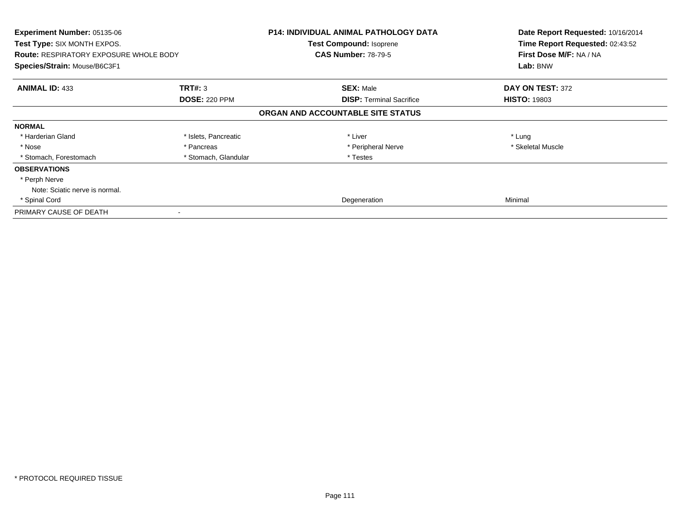| <b>Experiment Number: 05135-06</b><br>Test Type: SIX MONTH EXPOS. |                      | <b>P14: INDIVIDUAL ANIMAL PATHOLOGY DATA</b><br><b>Test Compound: Isoprene</b> | Date Report Requested: 10/16/2014<br>Time Report Requested: 02:43:52 |
|-------------------------------------------------------------------|----------------------|--------------------------------------------------------------------------------|----------------------------------------------------------------------|
| <b>Route: RESPIRATORY EXPOSURE WHOLE BODY</b>                     |                      | <b>CAS Number: 78-79-5</b>                                                     | First Dose M/F: NA / NA                                              |
| Species/Strain: Mouse/B6C3F1                                      |                      |                                                                                | Lab: BNW                                                             |
| <b>ANIMAL ID: 433</b>                                             | TRT#: 3              | <b>SEX: Male</b>                                                               | DAY ON TEST: 372                                                     |
|                                                                   | <b>DOSE: 220 PPM</b> | <b>DISP:</b> Terminal Sacrifice                                                | <b>HISTO: 19803</b>                                                  |
|                                                                   |                      | ORGAN AND ACCOUNTABLE SITE STATUS                                              |                                                                      |
| <b>NORMAL</b>                                                     |                      |                                                                                |                                                                      |
| * Harderian Gland                                                 | * Islets, Pancreatic | * Liver                                                                        | * Lung                                                               |
| * Nose                                                            | * Pancreas           | * Peripheral Nerve                                                             | * Skeletal Muscle                                                    |
| * Stomach, Forestomach                                            | * Stomach, Glandular | * Testes                                                                       |                                                                      |
| <b>OBSERVATIONS</b>                                               |                      |                                                                                |                                                                      |
| * Perph Nerve                                                     |                      |                                                                                |                                                                      |
| Note: Sciatic nerve is normal.                                    |                      |                                                                                |                                                                      |
| * Spinal Cord                                                     |                      | Degeneration                                                                   | Minimal                                                              |
| PRIMARY CAUSE OF DEATH                                            |                      |                                                                                |                                                                      |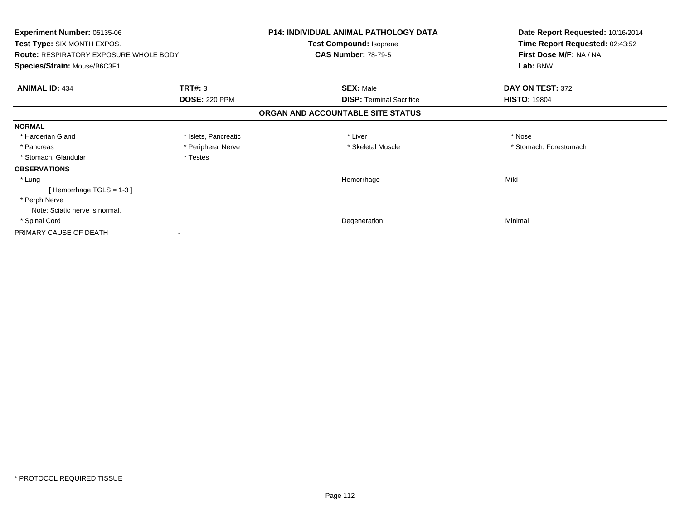| Experiment Number: 05135-06<br>Test Type: SIX MONTH EXPOS.<br><b>Route: RESPIRATORY EXPOSURE WHOLE BODY</b><br>Species/Strain: Mouse/B6C3F1 |                      | <b>P14: INDIVIDUAL ANIMAL PATHOLOGY DATA</b><br>Test Compound: Isoprene | Date Report Requested: 10/16/2014<br>Time Report Requested: 02:43:52<br>First Dose M/F: NA / NA<br>Lab: BNW |
|---------------------------------------------------------------------------------------------------------------------------------------------|----------------------|-------------------------------------------------------------------------|-------------------------------------------------------------------------------------------------------------|
|                                                                                                                                             |                      | <b>CAS Number: 78-79-5</b>                                              |                                                                                                             |
|                                                                                                                                             |                      |                                                                         |                                                                                                             |
| <b>ANIMAL ID: 434</b>                                                                                                                       | TRT#: 3              | <b>SEX: Male</b>                                                        | DAY ON TEST: 372                                                                                            |
|                                                                                                                                             | <b>DOSE: 220 PPM</b> | <b>DISP:</b> Terminal Sacrifice                                         | <b>HISTO: 19804</b>                                                                                         |
|                                                                                                                                             |                      | ORGAN AND ACCOUNTABLE SITE STATUS                                       |                                                                                                             |
| <b>NORMAL</b>                                                                                                                               |                      |                                                                         |                                                                                                             |
| * Harderian Gland                                                                                                                           | * Islets, Pancreatic | * Liver                                                                 | * Nose                                                                                                      |
| * Pancreas                                                                                                                                  | * Peripheral Nerve   | * Skeletal Muscle                                                       | * Stomach, Forestomach                                                                                      |
| * Stomach, Glandular                                                                                                                        | * Testes             |                                                                         |                                                                                                             |
| <b>OBSERVATIONS</b>                                                                                                                         |                      |                                                                         |                                                                                                             |
| * Lung                                                                                                                                      |                      | Hemorrhage                                                              | Mild                                                                                                        |
| [Hemorrhage TGLS = $1-3$ ]                                                                                                                  |                      |                                                                         |                                                                                                             |
| * Perph Nerve                                                                                                                               |                      |                                                                         |                                                                                                             |
| Note: Sciatic nerve is normal.                                                                                                              |                      |                                                                         |                                                                                                             |
| * Spinal Cord                                                                                                                               |                      | Degeneration                                                            | Minimal                                                                                                     |
| PRIMARY CAUSE OF DEATH                                                                                                                      |                      |                                                                         |                                                                                                             |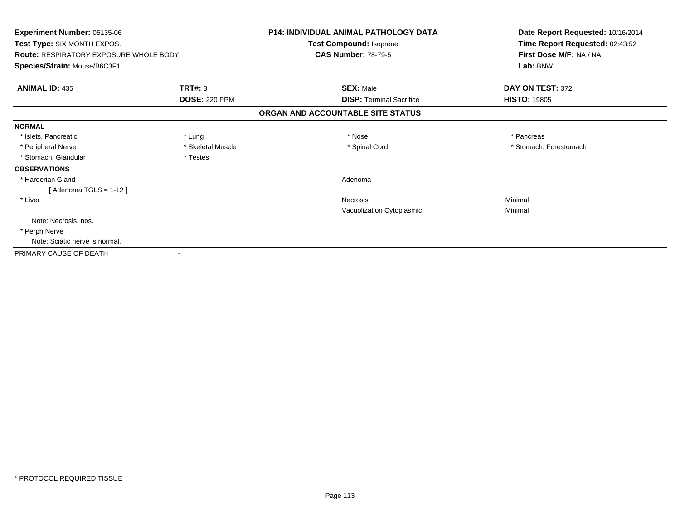| Experiment Number: 05135-06                   |                      | <b>P14: INDIVIDUAL ANIMAL PATHOLOGY DATA</b> | Date Report Requested: 10/16/2014 |
|-----------------------------------------------|----------------------|----------------------------------------------|-----------------------------------|
| Test Type: SIX MONTH EXPOS.                   |                      | Test Compound: Isoprene                      | Time Report Requested: 02:43:52   |
| <b>Route: RESPIRATORY EXPOSURE WHOLE BODY</b> |                      | <b>CAS Number: 78-79-5</b>                   | First Dose M/F: NA / NA           |
| Species/Strain: Mouse/B6C3F1                  |                      |                                              | Lab: BNW                          |
| <b>ANIMAL ID: 435</b>                         | TRT#: 3              | <b>SEX: Male</b>                             | DAY ON TEST: 372                  |
|                                               | <b>DOSE: 220 PPM</b> | <b>DISP: Terminal Sacrifice</b>              | <b>HISTO: 19805</b>               |
|                                               |                      | ORGAN AND ACCOUNTABLE SITE STATUS            |                                   |
| <b>NORMAL</b>                                 |                      |                                              |                                   |
| * Islets, Pancreatic                          | * Lung               | * Nose                                       | * Pancreas                        |
| * Peripheral Nerve                            | * Skeletal Muscle    | * Spinal Cord                                | * Stomach, Forestomach            |
| * Stomach, Glandular                          | * Testes             |                                              |                                   |
| <b>OBSERVATIONS</b>                           |                      |                                              |                                   |
| * Harderian Gland                             |                      | Adenoma                                      |                                   |
| [Adenoma TGLS = $1-12$ ]                      |                      |                                              |                                   |
| * Liver                                       |                      | Necrosis                                     | Minimal                           |
|                                               |                      | Vacuolization Cytoplasmic                    | Minimal                           |
| Note: Necrosis, nos.                          |                      |                                              |                                   |
| * Perph Nerve                                 |                      |                                              |                                   |
| Note: Sciatic nerve is normal.                |                      |                                              |                                   |
| PRIMARY CAUSE OF DEATH                        |                      |                                              |                                   |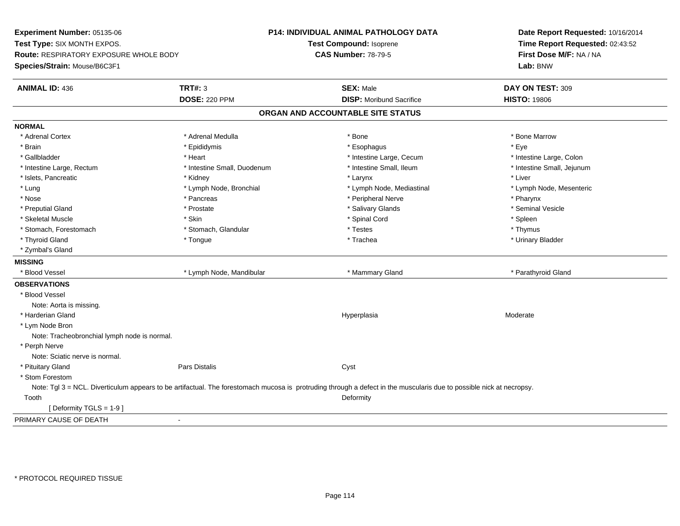**Experiment Number:** 05135-06**Test Type:** SIX MONTH EXPOS.**Route:** RESPIRATORY EXPOSURE WHOLE BODY**Species/Strain:** Mouse/B6C3F1**P14: INDIVIDUAL ANIMAL PATHOLOGY DATATest Compound:** Isoprene**CAS Number:** 78-79-5**Date Report Requested:** 10/16/2014**Time Report Requested:** 02:43:52**First Dose M/F:** NA / NA**Lab:** BNW**ANIMAL ID:** 436**TRT#:** 3 **SEX:** Male **DAY ON TEST:** 309 **DOSE:** 220 PPM**DISP:** Moribund Sacrifice **HISTO:** 19806 **ORGAN AND ACCOUNTABLE SITE STATUSNORMAL**\* Adrenal Cortex \* Adrenal Medulla \* Adrenal Medulla \* Bone \* Bone \* Bone \* Bone \* Bone Marrow \* Brain \* \* Expediance \* Epididymis \* \* Expediance \* \* Esophagus \* Expediance \* \* Expediance \* Eye \* Eye \* Intestine Large, Colon \* Gallbladder \* The mode of the state of the state of the state of the state of the state of the state of the state of the state of the state of the state of the state of the state of the state of the state of the state of \* Intestine Small, Jejunum \* Intestine Large, Rectum \* Intestine Small, Duodenum \* Intestine Small, Ileum \* Intestine Small, Ileum \* Islets, Pancreatic \* \* \* Andrew \* Kidney \* \* Kidney \* \* Larynx \* Larynx \* \* Larynx \* \* Liver \* Liver \* Liver \* Lung \* Lymph Node, Bronchial \* Lymph Node, Mediastinal \* Lymph Node, Mesenteric\* Nose \* Pancreas \* Peripheral Nerve \* Pharynx \* Seminal Vesicle \* Preputial Gland \* \* Annual vesicle \* \* Prostate \* \* Salivary Glands \* \* Salivary Glands \* \* Seminal Vesicle \* \* Skeletal Muscle \* Skin \* Spinal Cord \* Spleen \* Thymus \* Stomach, Forestomach \* Testes \* Stomach, Glandular \* Testes \* Testes \* Testes \* Testes \* Testes \* Testes \* T \* Urinary Bladder \* Thyroid Gland \* \* The control of the total property and the top of the top of the top of the top of the top of the top of the top of the top of the top of the top of the top of the top of the top of the top of the top of \* Zymbal's Gland**MISSING**\* Blood Vessel \* Lymph Node, Mandibular \* The metal \* Mammary Gland \* Parathyroid Gland \* Parathyroid Gland **OBSERVATIONS** \* Blood VesselNote: Aorta is missing. \* Harderian Glandd and the controller of the controller of the Moderate Moderate of the Moderate of the Moderate of the Moderate of the Moderate of the Moderate of the Moderate of the Moderate of the Moderate of the Moderate of the Moderat \* Lym Node Bron Note: Tracheobronchial lymph node is normal. \* Perph Nerve Note: Sciatic nerve is normal. \* Pituitary Glandd **Example 2018** Pars Distalis **Contains 2018** Cyst \* Stom Forestom Note: Tgl 3 = NCL. Diverticulum appears to be artifactual. The forestomach mucosa is protruding through a defect in the muscularis due to possible nick at necropsy. Toothh and the control of the control of the control of the control of the control of the control of the control of the control of the control of the control of the control of the control of the control of the control of the co [ Deformity TGLS = 1-9 ]PRIMARY CAUSE OF DEATH-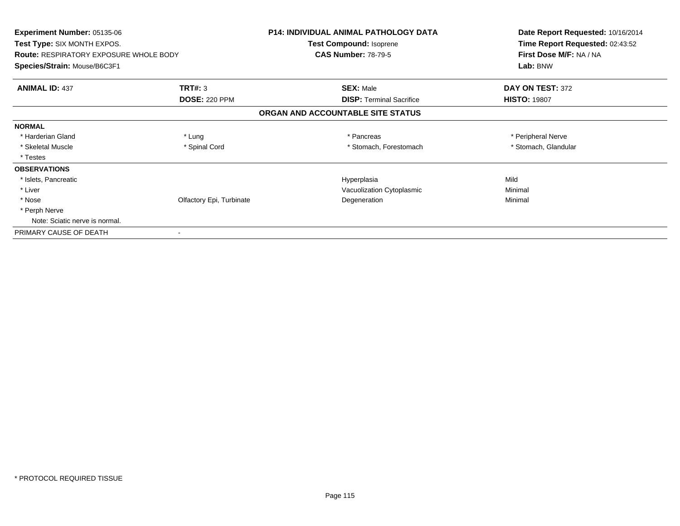| <b>Experiment Number: 05135-06</b><br><b>Test Type: SIX MONTH EXPOS.</b> |                          | <b>P14: INDIVIDUAL ANIMAL PATHOLOGY DATA</b> | Date Report Requested: 10/16/2014<br>Time Report Requested: 02:43:52 |
|--------------------------------------------------------------------------|--------------------------|----------------------------------------------|----------------------------------------------------------------------|
|                                                                          |                          | Test Compound: Isoprene                      |                                                                      |
| <b>Route: RESPIRATORY EXPOSURE WHOLE BODY</b>                            |                          | <b>CAS Number: 78-79-5</b>                   | First Dose M/F: NA / NA                                              |
| Species/Strain: Mouse/B6C3F1                                             |                          |                                              | Lab: BNW                                                             |
| <b>ANIMAL ID: 437</b>                                                    | <b>TRT#: 3</b>           | <b>SEX: Male</b>                             | DAY ON TEST: 372                                                     |
|                                                                          | <b>DOSE: 220 PPM</b>     | <b>DISP:</b> Terminal Sacrifice              | <b>HISTO: 19807</b>                                                  |
|                                                                          |                          | ORGAN AND ACCOUNTABLE SITE STATUS            |                                                                      |
| <b>NORMAL</b>                                                            |                          |                                              |                                                                      |
| * Harderian Gland                                                        | * Lung                   | * Pancreas                                   | * Peripheral Nerve                                                   |
| * Skeletal Muscle                                                        | * Spinal Cord            | * Stomach, Forestomach                       | * Stomach, Glandular                                                 |
| * Testes                                                                 |                          |                                              |                                                                      |
| <b>OBSERVATIONS</b>                                                      |                          |                                              |                                                                      |
| * Islets, Pancreatic                                                     |                          | Hyperplasia                                  | Mild                                                                 |
| * Liver                                                                  |                          | Vacuolization Cytoplasmic                    | Minimal                                                              |
| * Nose                                                                   | Olfactory Epi, Turbinate | Degeneration                                 | Minimal                                                              |
| * Perph Nerve                                                            |                          |                                              |                                                                      |
| Note: Sciatic nerve is normal.                                           |                          |                                              |                                                                      |
| PRIMARY CAUSE OF DEATH                                                   |                          |                                              |                                                                      |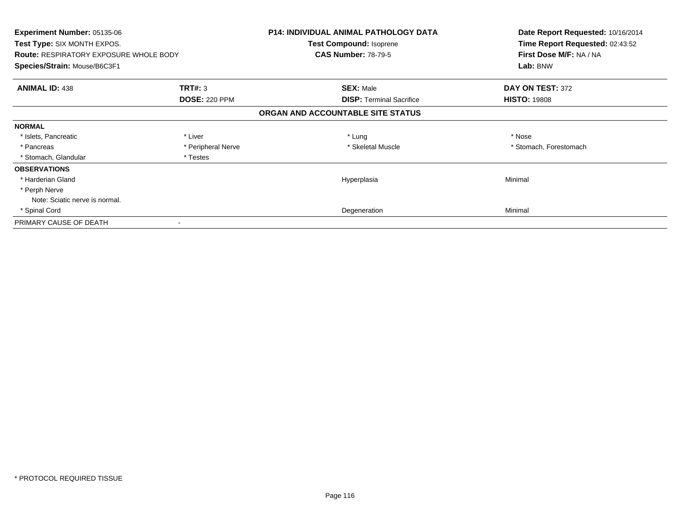| Experiment Number: 05135-06<br>Test Type: SIX MONTH EXPOS.<br><b>Route: RESPIRATORY EXPOSURE WHOLE BODY</b><br>Species/Strain: Mouse/B6C3F1 |                      | <b>P14: INDIVIDUAL ANIMAL PATHOLOGY DATA</b><br>Test Compound: Isoprene<br><b>CAS Number: 78-79-5</b> | Date Report Requested: 10/16/2014<br>Time Report Requested: 02:43:52<br>First Dose M/F: NA / NA<br>Lab: BNW |
|---------------------------------------------------------------------------------------------------------------------------------------------|----------------------|-------------------------------------------------------------------------------------------------------|-------------------------------------------------------------------------------------------------------------|
| <b>ANIMAL ID: 438</b>                                                                                                                       | TRT#: 3              | <b>SEX: Male</b>                                                                                      | DAY ON TEST: 372                                                                                            |
|                                                                                                                                             | <b>DOSE: 220 PPM</b> | <b>DISP:</b> Terminal Sacrifice                                                                       | <b>HISTO: 19808</b>                                                                                         |
|                                                                                                                                             |                      | ORGAN AND ACCOUNTABLE SITE STATUS                                                                     |                                                                                                             |
| <b>NORMAL</b>                                                                                                                               |                      |                                                                                                       |                                                                                                             |
| * Islets, Pancreatic                                                                                                                        | * Liver              | * Lung                                                                                                | * Nose                                                                                                      |
| * Pancreas                                                                                                                                  | * Peripheral Nerve   | * Skeletal Muscle                                                                                     | * Stomach, Forestomach                                                                                      |
| * Stomach, Glandular                                                                                                                        | * Testes             |                                                                                                       |                                                                                                             |
| <b>OBSERVATIONS</b>                                                                                                                         |                      |                                                                                                       |                                                                                                             |
| * Harderian Gland                                                                                                                           |                      | Hyperplasia                                                                                           | Minimal                                                                                                     |
| * Perph Nerve                                                                                                                               |                      |                                                                                                       |                                                                                                             |
| Note: Sciatic nerve is normal.                                                                                                              |                      |                                                                                                       |                                                                                                             |
| * Spinal Cord                                                                                                                               |                      | Degeneration                                                                                          | Minimal                                                                                                     |
| PRIMARY CAUSE OF DEATH                                                                                                                      |                      |                                                                                                       |                                                                                                             |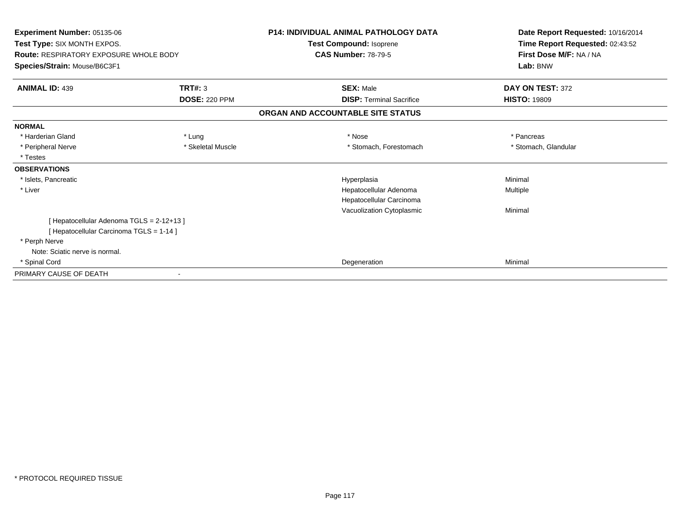| Experiment Number: 05135-06<br>Test Type: SIX MONTH EXPOS.<br><b>Route: RESPIRATORY EXPOSURE WHOLE BODY</b><br>Species/Strain: Mouse/B6C3F1 |                      | <b>P14: INDIVIDUAL ANIMAL PATHOLOGY DATA</b><br>Test Compound: Isoprene<br><b>CAS Number: 78-79-5</b> | Date Report Requested: 10/16/2014<br>Time Report Requested: 02:43:52<br>First Dose M/F: NA / NA |
|---------------------------------------------------------------------------------------------------------------------------------------------|----------------------|-------------------------------------------------------------------------------------------------------|-------------------------------------------------------------------------------------------------|
|                                                                                                                                             |                      |                                                                                                       | Lab: BNW                                                                                        |
| <b>ANIMAL ID: 439</b>                                                                                                                       | TRT#: 3              | <b>SEX: Male</b>                                                                                      | DAY ON TEST: 372                                                                                |
|                                                                                                                                             | <b>DOSE: 220 PPM</b> | <b>DISP: Terminal Sacrifice</b>                                                                       | <b>HISTO: 19809</b>                                                                             |
|                                                                                                                                             |                      | ORGAN AND ACCOUNTABLE SITE STATUS                                                                     |                                                                                                 |
| <b>NORMAL</b>                                                                                                                               |                      |                                                                                                       |                                                                                                 |
| * Harderian Gland                                                                                                                           | * Lung               | * Nose                                                                                                | * Pancreas                                                                                      |
| * Peripheral Nerve                                                                                                                          | * Skeletal Muscle    | * Stomach, Forestomach                                                                                | * Stomach, Glandular                                                                            |
| * Testes                                                                                                                                    |                      |                                                                                                       |                                                                                                 |
| <b>OBSERVATIONS</b>                                                                                                                         |                      |                                                                                                       |                                                                                                 |
| * Islets, Pancreatic                                                                                                                        |                      | Hyperplasia                                                                                           | Minimal                                                                                         |
| * Liver                                                                                                                                     |                      | Hepatocellular Adenoma                                                                                | Multiple                                                                                        |
|                                                                                                                                             |                      | Hepatocellular Carcinoma                                                                              |                                                                                                 |
|                                                                                                                                             |                      | Vacuolization Cytoplasmic                                                                             | Minimal                                                                                         |
| [Hepatocellular Adenoma TGLS = 2-12+13]                                                                                                     |                      |                                                                                                       |                                                                                                 |
| [ Hepatocellular Carcinoma TGLS = 1-14 ]                                                                                                    |                      |                                                                                                       |                                                                                                 |
| * Perph Nerve                                                                                                                               |                      |                                                                                                       |                                                                                                 |
| Note: Sciatic nerve is normal.                                                                                                              |                      |                                                                                                       |                                                                                                 |
| * Spinal Cord                                                                                                                               |                      | Degeneration                                                                                          | Minimal                                                                                         |
| PRIMARY CAUSE OF DEATH                                                                                                                      |                      |                                                                                                       |                                                                                                 |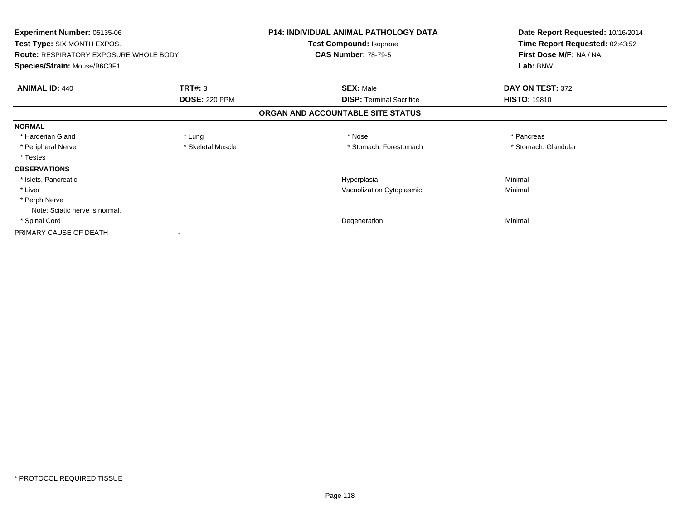| <b>Experiment Number: 05135-06</b><br><b>Test Type: SIX MONTH EXPOS.</b><br><b>Route: RESPIRATORY EXPOSURE WHOLE BODY</b> |                      | P14: INDIVIDUAL ANIMAL PATHOLOGY DATA<br>Test Compound: Isoprene<br><b>CAS Number: 78-79-5</b> | Date Report Requested: 10/16/2014<br>Time Report Requested: 02:43:52<br>First Dose M/F: NA / NA |
|---------------------------------------------------------------------------------------------------------------------------|----------------------|------------------------------------------------------------------------------------------------|-------------------------------------------------------------------------------------------------|
| Species/Strain: Mouse/B6C3F1                                                                                              |                      |                                                                                                | Lab: BNW                                                                                        |
| <b>ANIMAL ID: 440</b>                                                                                                     | <b>TRT#: 3</b>       | <b>SEX: Male</b>                                                                               | DAY ON TEST: 372                                                                                |
|                                                                                                                           | <b>DOSE: 220 PPM</b> | <b>DISP:</b> Terminal Sacrifice                                                                | <b>HISTO: 19810</b>                                                                             |
|                                                                                                                           |                      | ORGAN AND ACCOUNTABLE SITE STATUS                                                              |                                                                                                 |
| <b>NORMAL</b>                                                                                                             |                      |                                                                                                |                                                                                                 |
| * Harderian Gland                                                                                                         | * Lung               | * Nose                                                                                         | * Pancreas                                                                                      |
| * Peripheral Nerve                                                                                                        | * Skeletal Muscle    | * Stomach, Forestomach                                                                         | * Stomach, Glandular                                                                            |
| * Testes                                                                                                                  |                      |                                                                                                |                                                                                                 |
| <b>OBSERVATIONS</b>                                                                                                       |                      |                                                                                                |                                                                                                 |
| * Islets, Pancreatic                                                                                                      |                      | Hyperplasia                                                                                    | Minimal                                                                                         |
| * Liver                                                                                                                   |                      | Vacuolization Cytoplasmic                                                                      | Minimal                                                                                         |
| * Perph Nerve                                                                                                             |                      |                                                                                                |                                                                                                 |
| Note: Sciatic nerve is normal.                                                                                            |                      |                                                                                                |                                                                                                 |
| * Spinal Cord                                                                                                             |                      | Degeneration                                                                                   | Minimal                                                                                         |
| PRIMARY CAUSE OF DEATH                                                                                                    |                      |                                                                                                |                                                                                                 |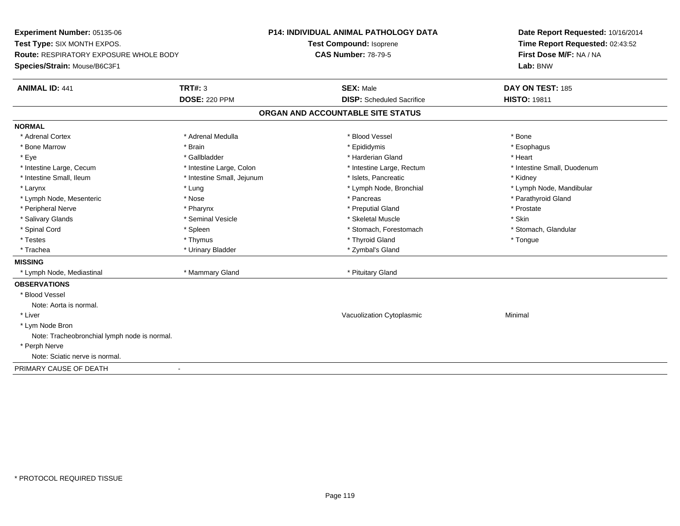**Experiment Number:** 05135-06**Test Type:** SIX MONTH EXPOS.**Route:** RESPIRATORY EXPOSURE WHOLE BODY**Species/Strain:** Mouse/B6C3F1**P14: INDIVIDUAL ANIMAL PATHOLOGY DATATest Compound:** Isoprene**CAS Number:** 78-79-5**Date Report Requested:** 10/16/2014**Time Report Requested:** 02:43:52**First Dose M/F:** NA / NA**Lab:** BNW**ANIMAL ID:** 441**TRT#:** 3 **SEX:** Male **DAY ON TEST:** 185 **DOSE:** 220 PPM**DISP:** Scheduled Sacrifice **HISTO:** 19811 **ORGAN AND ACCOUNTABLE SITE STATUSNORMAL**\* Adrenal Cortex \* Adrenal Cortex \* \* Adrenal Medulla \* \* Adrenal Medulla \* \* Blood Vessel \* \* Brood Vessel \* \* Bone \* Esophagus \* Bone Marrow \* Brain \* Epididymis \* Esophagus \* Eye \* \* Gallbladder \* \* Gallbladder \* \* \* \* Harderian Gland \* \* Heart \* Heart \* Heart \* Heart \* Heart \* Heart \* Intestine Large, Cecum \* Intestine Large, Colon \* Intestine Large, Rectum \* Intestine Small, Duodenum\* Intestine Small, Ileum \* Thestine Small, Jejunum \* 1998, Pancreatic \* Kidney \* Kidney \* Kidney \* Kidney \* Larynx \* Lung \* Lymph Node, Bronchial \* Lymph Node, Mandibular \* Lymph Node, Mesenteric \* The state of the state of the state of the state of the state of the state of the state of the state of the state of the state of the state of the state of the state of the state of the state of \* Peripheral Nerve \* \* \* Pharynx \* Pharynx \* \* Pharynx \* \* Preputial Gland \* \* Preputial Gland \* \* Prostate \* Salivary Glands \* Seminal Vesicle \* Skeletal Muscle \* Skin\* Stomach, Glandular \* Spinal Cord **\* Stomach, Forestomach \* Spinal Cord \*** Stomach, Forestomach \* Stomach, Forestomach \* Testes \* Thymus \* Thyroid Gland \* Tongue \* Trachea \* Urinary Bladder \* Zymbal's Gland \* Zymbal's Gland **MISSING**\* Lymph Node, Mediastinal **\* Mammary Gland \* Pituitary Gland** \* Pituitary Gland \* Pituitary Gland \* P **OBSERVATIONS** \* Blood VesselNote: Aorta is normal. \* Liver Vacuolization Cytoplasmic Minimal \* Lym Node Bron Note: Tracheobronchial lymph node is normal. \* Perph Nerve Note: Sciatic nerve is normal.PRIMARY CAUSE OF DEATH-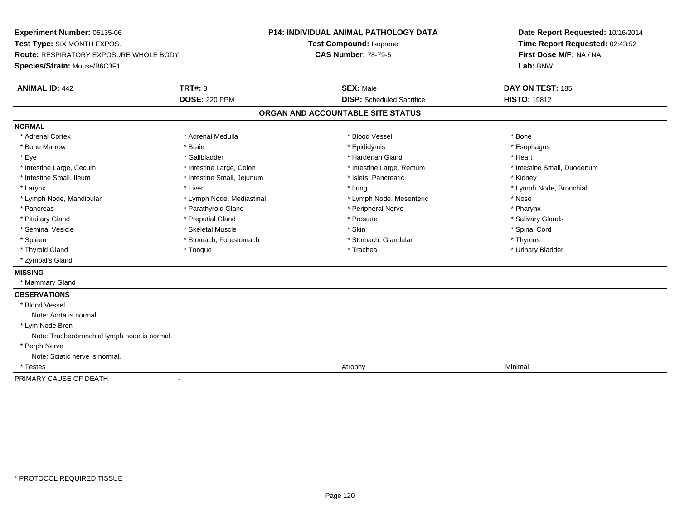**Experiment Number:** 05135-06**Test Type:** SIX MONTH EXPOS.**Route:** RESPIRATORY EXPOSURE WHOLE BODY**Species/Strain:** Mouse/B6C3F1**P14: INDIVIDUAL ANIMAL PATHOLOGY DATATest Compound:** Isoprene**CAS Number:** 78-79-5**Date Report Requested:** 10/16/2014**Time Report Requested:** 02:43:52**First Dose M/F:** NA / NA**Lab:** BNW**ANIMAL ID:** 442**TRT#:** 3 **SEX:** Male **DAY ON TEST:** 185 **DOSE:** 220 PPM**DISP:** Scheduled Sacrifice **HISTO:** 19812 **ORGAN AND ACCOUNTABLE SITE STATUSNORMAL**\* Adrenal Cortex \* Adrenal Cortex \* \* Adrenal Medulla \* \* Adrenal Medulla \* \* Blood Vessel \* \* Brood Vessel \* \* Bone \* Esophagus \* Bone Marrow \* Brain \* Epididymis \* Esophagus \* Eye \* \* Gallbladder \* \* Gallbladder \* \* \* \* Harderian Gland \* \* Heart \* Heart \* Heart \* Heart \* Heart \* Heart \* Intestine Large, Cecum \* Intestine Large, Colon \* Intestine Large, Thestine Large, Rectum \* Intestine Small, Duodenum \* Intestine Small, Ileum \* **Allen and The Accord Accord Test intervents** \* Islets, Pancreatic \* The manus \* Kidney \* Larynx \* Louis \* Liver \* Lung \* Lung \* Lung \* Lung \* Lung \* Lymph Node, Bronchial \* Lymph Node, Bronchial \* \* Lymph Node, Mandibular \* The state of the state of the Mediastinal \* Lymph Node, Mesenteric \* Nose \* Pharynx \* Pancreas \* Pancreas \* Parathyroid Gland \* Peripheral Nerve \* Peripheral Nerve \* Salivary Glands \* Pituitary Gland \* \* Then the state \* Preputial Gland \* Prosection \* Prostate \* \* Salivary Glands \* Salivary Glands \* Salivary Glands \* Salivary Glands \* Salivary Glands \* Salivary Glands \* Salivary Glands \* Salivary Glan \* Seminal Vesicle \* \* Spinal Cord \* Skeletal Muscle \* \* Skin \* \* Skin \* \* Spinal Vesicle \* Spinal Cord \* Spinal Cord \* Spleen \* Stomach, Forestomach \* Stomach \* Stomach, Glandular \* Stomach, Glandular \* Thymus \* Urinary Bladder \* Thyroid Gland \* \* The control of the total property and the top of the top of the top of the top of the top of the top of the top of the top of the top of the top of the top of the top of the top of the top of the top of \* Zymbal's Gland**MISSING** \* Mammary Gland**OBSERVATIONS** \* Blood VesselNote: Aorta is normal. \* Lym Node Bron Note: Tracheobronchial lymph node is normal. \* Perph Nerve Note: Sciatic nerve is normal. \* Testess and the control of the control of the control of the control of the control of the control of the control of the control of the control of the control of the control of the control of the control of the control of the co PRIMARY CAUSE OF DEATH-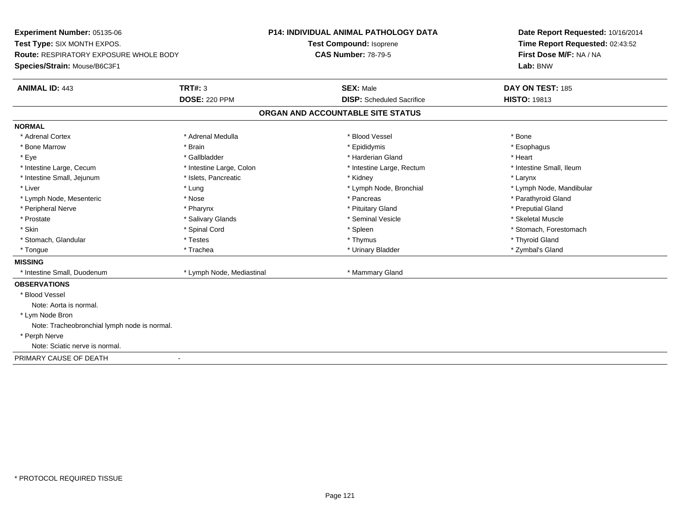**Experiment Number:** 05135-06**Test Type:** SIX MONTH EXPOS.**Route:** RESPIRATORY EXPOSURE WHOLE BODY**Species/Strain:** Mouse/B6C3F1**P14: INDIVIDUAL ANIMAL PATHOLOGY DATATest Compound:** Isoprene**CAS Number:** 78-79-5**Date Report Requested:** 10/16/2014**Time Report Requested:** 02:43:52**First Dose M/F:** NA / NA**Lab:** BNW**ANIMAL ID:** 443**TRT#:** 3 **SEX:** Male **DAY ON TEST:** 185 **DOSE:** 220 PPM**DISP:** Scheduled Sacrifice **HISTO:** 19813 **ORGAN AND ACCOUNTABLE SITE STATUSNORMAL**\* Adrenal Cortex \* Adrenal Cortex \* \* Adrenal Medulla \* \* Adrenal Medulla \* \* Blood Vessel \* \* Brood Vessel \* \* Bone \* Esophagus \* Bone Marrow \* Brain \* Epididymis \* Esophagus \* Eye \* \* Gallbladder \* \* Gallbladder \* \* \* \* Harderian Gland \* \* Heart \* Heart \* Heart \* Heart \* Heart \* Heart \* Intestine Large, Cecum \* Intestine Large, Colon \* Intestine Large, Rectum \* Intestine Small, Ileum \* Intestine Small, Ileum \* Intestine Small, Jejunum \* The many research that we have the state of the state of the state of the state of the state of the state of the state of the state of the state of the state of the state of the state of the st \* Liver which is the settlement of the term of the settlement of the settlement of the settlement of the settlement of the settlement of the settlement of the settlement of the settlement of the settlement of the settlemen \* Lymph Node, Mesenteric \* The state of the state of the state of the state of the state of the state of the state of the state of the state of the state of the state of the state of the state of the state of the state of \* Peripheral Nerve \* \* \* \* Pharynx \* \* Pharynx \* \* \* Preputial Gland \* \* Preputial Gland \* \* Preputial Gland \* Skeletal Muscle \* Prostate \* \* Skeletal Muscle \* \* Salivary Glands \* \* Steminal Vesicle \* \* Seminal Vesicle \* \* Skeletal Muscle \* Skin \* Spinal Cord \* Spinal Cord \* Spinal Cord \* Spinal \* Spinal \* Stomach, Forestomach \* Stomach, Forestomach \* Stomach, Glandular \* \* \* Thyroid Glandular \* Thestes \* \* Thymus \* Thymus \* Thyroid Glandular \* Thyroid Gland \* Zymbal's Gland \* Tongue \* Trachea \* Urinary Bladder \* Zymbal's Gland **MISSING**\* Intestine Small, Duodenum \* Lymph Node, Mediastinal \* Mammary Gland **OBSERVATIONS** \* Blood VesselNote: Aorta is normal. \* Lym Node Bron Note: Tracheobronchial lymph node is normal. \* Perph Nerve Note: Sciatic nerve is normal.PRIMARY CAUSE OF DEATH-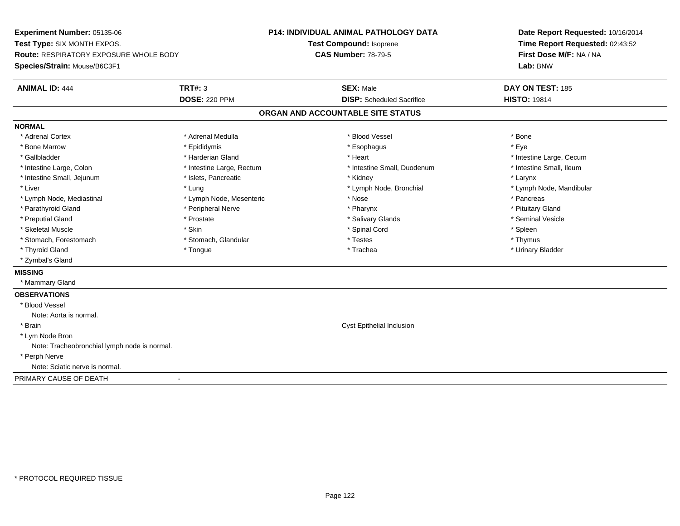**Experiment Number:** 05135-06**Test Type:** SIX MONTH EXPOS.**Route:** RESPIRATORY EXPOSURE WHOLE BODY**Species/Strain:** Mouse/B6C3F1**P14: INDIVIDUAL ANIMAL PATHOLOGY DATATest Compound:** Isoprene**CAS Number:** 78-79-5**Date Report Requested:** 10/16/2014**Time Report Requested:** 02:43:52**First Dose M/F:** NA / NA**Lab:** BNW**ANIMAL ID:** 444**TRT#:** 3 **SEX:** Male **DAY ON TEST:** 185 **DOSE:** 220 PPM**DISP:** Scheduled Sacrifice **HISTO:** 19814 **ORGAN AND ACCOUNTABLE SITE STATUSNORMAL**\* Adrenal Cortex \* Adrenal Medulla \* Adrenal Medulla \* Blood Vessel \* Bood Vessel \* Bone \* Bone \* Bone \* Bone \* Bone \* Bone \* Bone \* Bone \* Bone \* Bone \* Bone \* Bone \* Bone \* Bone \* Bone \* Bone \* Bone \* Bone \* Bone \* Bone \* Bone \* Bone \* \* \* Eve \* Bone Marrow \* Epididymis \* Esophagus \* Eye \* Gallbladder \* https://www.frage.com/marticle/state-of-state-of-state-of-state-of-state-of-state-of-state-of-state-of-state-of-state-of-state-of-state-of-state-of-state-of-state-of-state-of-state-of-state-of-state-of-stat \* Intestine Small, Ileum \* Intestine Large, Colon \* Intestine Large, Rectum \* Intestine Small, Duodenum \* Intestine Small, Duodenum \* Intestine Small, Jejunum \* The many research that we have the state of the state of the state of the state of the state of the state of the state of the state of the state of the state of the state of the state of the st \* Liver which is the settlement of the term of the settlement of the settlement of the settlement of the settlement of the settlement of the settlement of the settlement of the settlement of the settlement of the settlemen \* Lymph Node, Mediastinal \* The state of the second text of the second text of the second text of the second text of the second of the second text of the second text of the second text of the second text of the second text \* Pituitary Gland \* Parathyroid Gland \* **Example 20** \* Peripheral Nerve \* Pharynx \* Pharynx \* Pharynx \* Seminal Vesicle \* Preputial Gland \* \* Annual vesicle \* \* Prostate \* \* Salivary Glands \* \* Salivary Glands \* \* Seminal Vesicle \* \* Skeletal Muscle \* Skin \* Spinal Cord \* Spleen \* Thymus \* Stomach, Forestomach \* Testes \* Stomach, Glandular \* Testes \* Testes \* Testes \* Testes \* Testes \* Testes \* T \* Urinary Bladder \* Thyroid Gland \* \* The control of the total property and the top of the top of the top of the top of the top of the top of the top of the top of the top of the top of the top of the top of the top of the top of the top of \* Zymbal's Gland**MISSING** \* Mammary Gland**OBSERVATIONS** \* Blood VesselNote: Aorta is normal. \* Brain Cyst Epithelial Inclusion \* Lym Node Bron Note: Tracheobronchial lymph node is normal. \* Perph Nerve Note: Sciatic nerve is normal.PRIMARY CAUSE OF DEATH-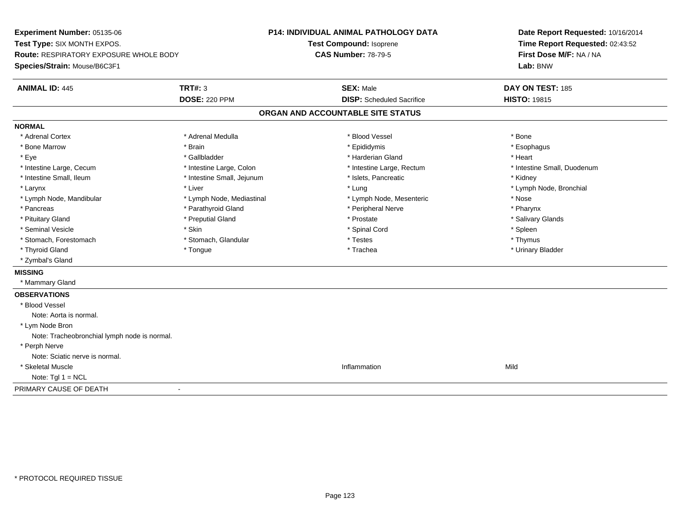**Experiment Number:** 05135-06**Test Type:** SIX MONTH EXPOS.**Route:** RESPIRATORY EXPOSURE WHOLE BODY**Species/Strain:** Mouse/B6C3F1**P14: INDIVIDUAL ANIMAL PATHOLOGY DATATest Compound:** Isoprene**CAS Number:** 78-79-5**Date Report Requested:** 10/16/2014**Time Report Requested:** 02:43:52**First Dose M/F:** NA / NA**Lab:** BNW**ANIMAL ID:** 445**TRT#:** 3 **SEX:** Male **DAY ON TEST:** 185 **DOSE:** 220 PPM**DISP:** Scheduled Sacrifice **HISTO:** 19815 **ORGAN AND ACCOUNTABLE SITE STATUSNORMAL**\* Adrenal Cortex \* Adrenal Cortex \* \* Adrenal Medulla \* \* Adrenal Medulla \* \* Blood Vessel \* \* Brood Vessel \* \* Bone \* Esophagus \* Bone Marrow \* Brain \* Epididymis \* Esophagus \* Eye \* \* Gallbladder \* \* Gallbladder \* \* \* \* Harderian Gland \* \* Heart \* Heart \* Heart \* Heart \* Heart \* Heart \* Intestine Large, Cecum \* Intestine Large, Colon \* Intestine Large, Thestine Large, Rectum \* Intestine Small, Duodenum \* Intestine Small, Ileum \* **Allen and The Accord Accord Test intervents** \* Islets, Pancreatic \* The manus \* Kidney \* Larynx \* Louis \* Liver \* Lung \* Lung \* Lung \* Lung \* Lung \* Lymph Node, Bronchial \* Lymph Node, Bronchial \* \* Lymph Node, Mandibular \* The state of the state of the Mediastinal \* Lymph Node, Mesenteric \* Nose \* Pharynx \* Pancreas \* Pancreas \* Parathyroid Gland \* Peripheral Nerve \* Peripheral Nerve \* Salivary Glands \* Pituitary Gland \* \* Then the state \* Preputial Gland \* Prosection \* Prostate \* \* Salivary Glands \* Salivary Glands \* Salivary Glands \* Salivary Glands \* Salivary Glands \* Salivary Glands \* Salivary Glands \* Salivary Glan \* Seminal Vesicle \* Skin \* Spinal Cord \* Spleen \* Thymus \* Stomach, Forestomach \* Testes \* Stomach, Glandular \* Testes \* Testes \* Testes \* Testes \* Testes \* Testes \* T \* Urinary Bladder \* Thyroid Gland \* \* The control of the total property and the top of the top of the top of the top of the top of the top of the top of the top of the top of the top of the top of the top of the top of the top of the top of \* Zymbal's Gland**MISSING** \* Mammary Gland**OBSERVATIONS** \* Blood VesselNote: Aorta is normal. \* Lym Node Bron Note: Tracheobronchial lymph node is normal. \* Perph Nerve Note: Sciatic nerve is normal. \* Skeletal Musclee discussion of the control of the control of the control of the control of the control of the control of the control of the control of the control of the control of the control of the control of the control of the control Note:  $Tgl 1 = NCL$ PRIMARY CAUSE OF DEATH-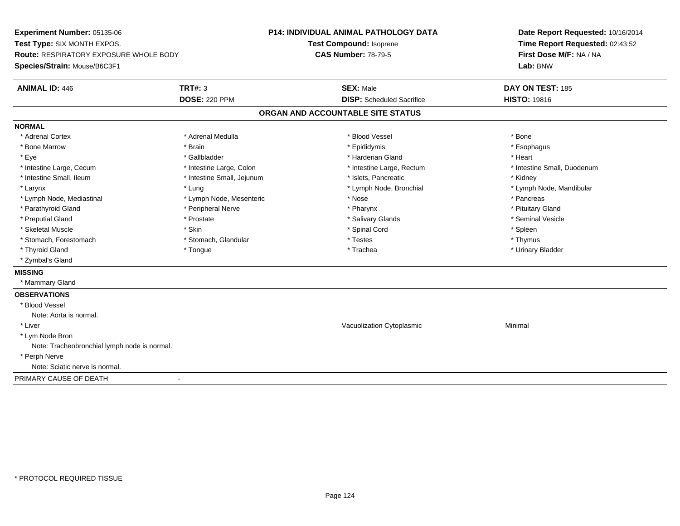**Experiment Number:** 05135-06**Test Type:** SIX MONTH EXPOS.**Route:** RESPIRATORY EXPOSURE WHOLE BODY**Species/Strain:** Mouse/B6C3F1**P14: INDIVIDUAL ANIMAL PATHOLOGY DATATest Compound:** Isoprene**CAS Number:** 78-79-5**Date Report Requested:** 10/16/2014**Time Report Requested:** 02:43:52**First Dose M/F:** NA / NA**Lab:** BNW**ANIMAL ID:** 446**6 DAY ON TEST:** 185 **DOSE:** 220 PPM**DISP:** Scheduled Sacrifice **HISTO:** 19816 **ORGAN AND ACCOUNTABLE SITE STATUSNORMAL**\* Adrenal Cortex \* Adrenal Cortex \* \* Adrenal Medulla \* \* Adrenal Medulla \* \* Blood Vessel \* \* Brood Vessel \* \* Bone \* Esophagus \* Bone Marrow \* Brain \* Epididymis \* Esophagus \* Eye \* \* Gallbladder \* \* Gallbladder \* \* \* \* Harderian Gland \* \* Heart \* Heart \* Heart \* Heart \* Heart \* Heart \* Intestine Large, Cecum \* Intestine Large, Colon \* Intestine Large, Rectum \* Intestine Small, Duodenum\* Intestine Small, Ileum \* **Allen and The Accord Accord Test intervents** \* Islets, Pancreatic \* The manus \* Kidney \* Larynx \* Lung \* Lymph Node, Bronchial \* Lymph Node, Mandibular \* Lymph Node, Mediastinal \* The metal of the second text of the Mesenteric text of the second text of the second text of the second text of the second text of the second text of the second text of the second text of text o \* Pituitary Gland \* Parathyroid Gland \* **Example 20** \* Peripheral Nerve \* Pharynx \* Pharynx \* Pharynx \* Seminal Vesicle \* Preputial Gland \* \* Annual vesicle \* \* Prostate \* \* Salivary Glands \* \* Salivary Glands \* \* Seminal Vesicle \* \* Skeletal Muscle \* Skin \* Spinal Cord \* Spleen \* Thymus \* Stomach, Forestomach \* Testes \* Stomach, Glandular \* Testes \* Testes \* Testes \* Testes \* Testes \* Testes \* T \* Urinary Bladder \* Thyroid Gland \* \* The control of the total property and the top of the top of the top of the top of the top of the top of the top of the top of the top of the top of the top of the top of the top of the top of the top of \* Zymbal's Gland**MISSING** \* Mammary Gland**OBSERVATIONS** \* Blood VesselNote: Aorta is normal. \* Liver Vacuolization Cytoplasmic Minimal \* Lym Node Bron Note: Tracheobronchial lymph node is normal. \* Perph Nerve Note: Sciatic nerve is normal.PRIMARY CAUSE OF DEATH-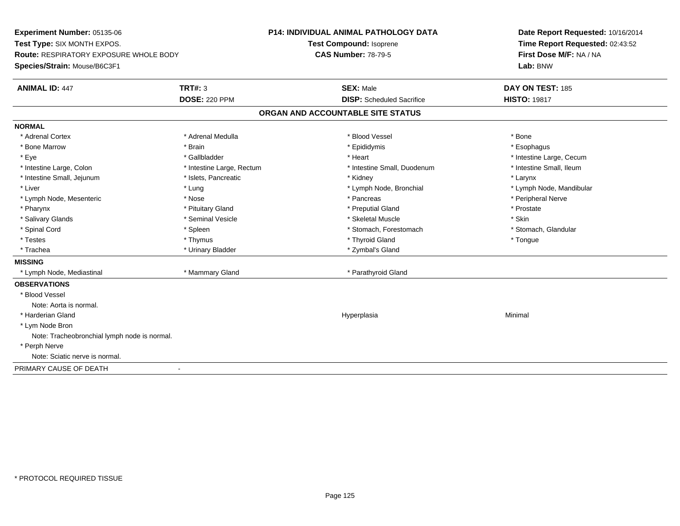**Experiment Number:** 05135-06**Test Type:** SIX MONTH EXPOS.**Route:** RESPIRATORY EXPOSURE WHOLE BODY**Species/Strain:** Mouse/B6C3F1**P14: INDIVIDUAL ANIMAL PATHOLOGY DATATest Compound:** Isoprene**CAS Number:** 78-79-5**Date Report Requested:** 10/16/2014**Time Report Requested:** 02:43:52**First Dose M/F:** NA / NA**Lab:** BNW**ANIMAL ID:** 447**TRT#:** 3 **SEX:** Male **DAY ON TEST:** 185 **DOSE:** 220 PPM**DISP:** Scheduled Sacrifice **HISTO:** 19817 **ORGAN AND ACCOUNTABLE SITE STATUSNORMAL**\* Adrenal Cortex \* Adrenal Cortex \* \* Adrenal Medulla \* \* Adrenal Medulla \* \* Blood Vessel \* \* Brood Vessel \* \* Bone \* Esophagus \* Bone Marrow \* Brain \* Epididymis \* Esophagus \* Eye \* https://www.frage.com/windown.com/windown.com/windown.com/windown.com/windown.com/windown.com/windown-\* Intestine Small, Ileum \* Intestine Large, Colon \* Intestine Large, Rectum \* Intestine Small, Duodenum \* Intestine Small, Duodenum \* Intestine Small, Jejunum \* The many research that we have the state of the state of the state of the state of the state of the state of the state of the state of the state of the state of the state of the state of the st \* Liver which is the settlement of the term of the settlement of the settlement of the settlement of the settlement of the settlement of the settlement of the settlement of the settlement of the settlement of the settlemen \* Lymph Node, Mesenteric \* The state of the state of the state of the state of the state of the state of the state of the state of the state of the state of the state of the state of the state of the state of the state of \* Pharynx \* Pituitary Gland \* Preputial Gland \* Prostate \* Salivary Glands \* Seminal Vesicle \* Skeletal Muscle \* Skin\* Stomach, Glandular \* Spinal Cord \* Spinal Cord \* Spinal Cord \* Stomach, Forestomach \* Spinal Cord \* Stomach, Forestomach \* Testes \* Thymus \* Thyroid Gland \* Tongue \* Trachea \* Urinary Bladder \* Zymbal's Gland \* Zymbal's Gland **MISSING** \* Lymph Node, Mediastinal \* Mammary Gland \* Parathyroid Gland**OBSERVATIONS** \* Blood VesselNote: Aorta is normal. \* Harderian Glandd and the control of the control of the control of the Hyperplasia and the control of the control of the control of the control of the control of the control of the control of the control of the control of the control of t \* Lym Node Bron Note: Tracheobronchial lymph node is normal. \* Perph Nerve Note: Sciatic nerve is normal.PRIMARY CAUSE OF DEATH-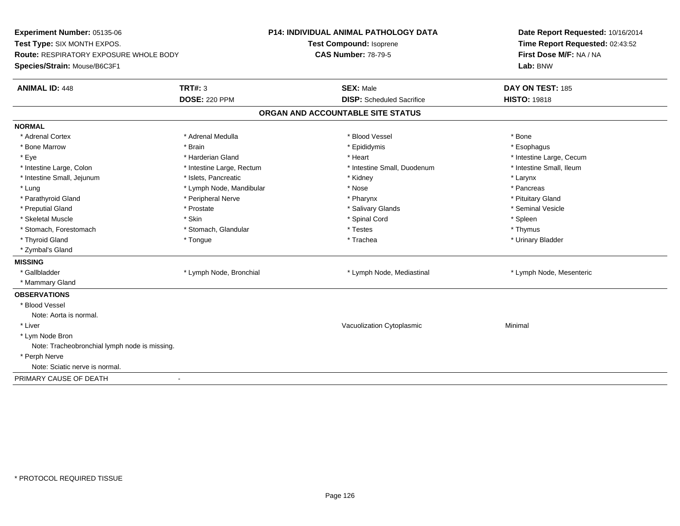**Experiment Number:** 05135-06**Test Type:** SIX MONTH EXPOS.**Route:** RESPIRATORY EXPOSURE WHOLE BODY**Species/Strain:** Mouse/B6C3F1**P14: INDIVIDUAL ANIMAL PATHOLOGY DATATest Compound:** Isoprene**CAS Number:** 78-79-5**Date Report Requested:** 10/16/2014**Time Report Requested:** 02:43:52**First Dose M/F:** NA / NA**Lab:** BNW**ANIMAL ID:** 448**TRT#:** 3 **SEX:** Male **DAY ON TEST:** 185 **DOSE:** 220 PPM**DISP:** Scheduled Sacrifice **HISTO:** 19818 **ORGAN AND ACCOUNTABLE SITE STATUSNORMAL**\* Adrenal Cortex \* Adrenal Cortex \* \* Adrenal Medulla \* \* Adrenal Medulla \* \* Blood Vessel \* \* Brood Vessel \* \* Bone \* Esophagus \* Bone Marrow \* Brain \* Epididymis \* Esophagus \* Eye \* https://www.frage.com/mode.com/mode.com/mode.com/mode.com/mode.com/mode.com/mode.com/mode.com/mode.com/ \* Intestine Small, Ileum \* Intestine Large, Colon \* Intestine Large, Rectum \* Intestine Small, Duodenum \* Intestine Small, Duodenum \* Intestine Small, Jejunum \* The many research that we have the state of the state of the state of the state of the state of the state of the state of the state of the state of the state of the state of the state of the st \* Pancreas \* Lung \* Lymph Node, Mandibular \* Pancreas \* Nose \* Nose \* Nose \* Pancreas \* Pancreas \* Pancreas \* Nose \* \* Pituitary Gland \* Parathyroid Gland \* **Arror and \* Peripheral Nerve \* Pharynx \* Pharynx \* Pharynx** \* Pharynx \* Seminal Vesicle \* Preputial Gland \* \* Annual vesicle \* \* Prostate \* \* Salivary Glands \* \* Salivary Glands \* \* Seminal Vesicle \* \* Skeletal Muscle \* Skin \* Spinal Cord \* Spleen \* Thymus \* Stomach, Forestomach \* Testes \* Stomach, Glandular \* Testes \* Testes \* Testes \* Testes \* Testes \* Testes \* T \* Urinary Bladder \* Thyroid Gland \* \* The control of the total property and the top of the top of the top of the top of the top of the top of the top of the top of the top of the top of the top of the top of the top of the top of the top of \* Zymbal's Gland**MISSING**\* Gallbladder \* Lymph Node, Bronchial \* Lymph Node, Mediastinal \* Lymph Node, Mesenteric \* Mammary Gland**OBSERVATIONS** \* Blood VesselNote: Aorta is normal. \* Liver Vacuolization Cytoplasmic Minimal \* Lym Node Bron Note: Tracheobronchial lymph node is missing. \* Perph Nerve Note: Sciatic nerve is normal.PRIMARY CAUSE OF DEATH-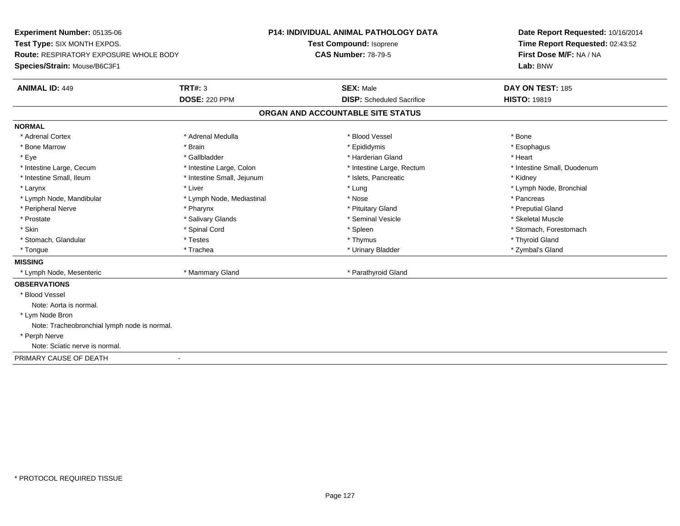**Experiment Number:** 05135-06**Test Type:** SIX MONTH EXPOS.**Route:** RESPIRATORY EXPOSURE WHOLE BODY**Species/Strain:** Mouse/B6C3F1**P14: INDIVIDUAL ANIMAL PATHOLOGY DATATest Compound:** Isoprene**CAS Number:** 78-79-5**Date Report Requested:** 10/16/2014**Time Report Requested:** 02:43:52**First Dose M/F:** NA / NA**Lab:** BNW**ANIMAL ID:** 449**TRT#:** 3 **SEX:** Male **DAY ON TEST:** 185 **DOSE:** 220 PPM**DISP:** Scheduled Sacrifice **HISTO:** 19819 **ORGAN AND ACCOUNTABLE SITE STATUSNORMAL**\* Adrenal Cortex \* Adrenal Cortex \* \* Adrenal Medulla \* \* Adrenal Medulla \* \* Blood Vessel \* \* Brood Vessel \* \* Bone \* Esophagus \* Bone Marrow \* Brain \* Epididymis \* Esophagus \* Eye \* \* Gallbladder \* \* Gallbladder \* \* \* \* Harderian Gland \* \* Heart \* Heart \* Heart \* Heart \* Heart \* Heart \* Intestine Large, Cecum \* Intestine Large, Colon \* Intestine Large, Rectum \* Intestine Small, Duodenum\* Intestine Small, Ileum \* **Allen and The Accord Accord Test intervents** \* Islets, Pancreatic \* The manus \* Kidney \* Larynx \* Louis \* Liver \* Lung \* Lung \* Lung \* Lung \* Lung \* Lymph Node, Bronchial \* Lymph Node, Bronchial \* \* Lymph Node, Mandibular \* The state of the state of the state of the state of the state of the state of the state of the state of the state of the state of the state of the state of the state of the state of the state of \* Preputial Gland \* Peripheral Nerve \* \* \* \* Pharynx \* \* Pharynx \* \* \* Preputial Gland \* \* Preputial Gland \* \* Preputial Gland \* Skeletal Muscle \* Prostate \* \* Skeletal Muscle \* \* Salivary Glands \* \* Steminal Vesicle \* \* Seminal Vesicle \* \* Skeletal Muscle \* Skin \* Spinal Cord \* Spinal Cord \* Spinal Cord \* Spinal \* Spinal \* Stomach, Forestomach \* Stomach, Forestomach \* Stomach, Glandular \* \* \* Thyroid Glandular \* Thestes \* \* Thymus \* Thymus \* Thyroid Glandular \* Thyroid Gland \* Zymbal's Gland \* Tongue \* Trachea \* Urinary Bladder \* Zymbal's Gland **MISSING** \* Lymph Node, Mesenteric \* Mammary Gland \* Parathyroid Gland**OBSERVATIONS** \* Blood VesselNote: Aorta is normal. \* Lym Node Bron Note: Tracheobronchial lymph node is normal. \* Perph Nerve Note: Sciatic nerve is normal.PRIMARY CAUSE OF DEATH-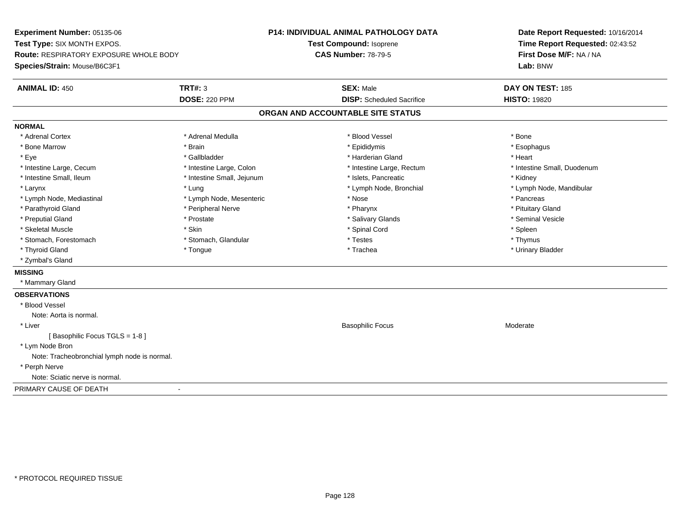**Experiment Number:** 05135-06**Test Type:** SIX MONTH EXPOS.**Route:** RESPIRATORY EXPOSURE WHOLE BODY**Species/Strain:** Mouse/B6C3F1**P14: INDIVIDUAL ANIMAL PATHOLOGY DATATest Compound:** Isoprene**CAS Number:** 78-79-5**Date Report Requested:** 10/16/2014**Time Report Requested:** 02:43:52**First Dose M/F:** NA / NA**Lab:** BNW**ANIMAL ID:** 450**C TRT#:** 3 **SEX:** Male **DAY ON TEST:** 185 **DOSE:** 220 PPM**DISP:** Scheduled Sacrifice **HISTO:** 19820 **ORGAN AND ACCOUNTABLE SITE STATUSNORMAL**\* Adrenal Cortex \* Adrenal Cortex \* \* Adrenal Medulla \* \* Adrenal Medulla \* \* Blood Vessel \* \* Brood Vessel \* \* Bone \* Esophagus \* Bone Marrow \* Brain \* Epididymis \* Esophagus \* Eye \* \* Gallbladder \* \* Gallbladder \* \* \* \* Harderian Gland \* \* Heart \* Heart \* Heart \* Heart \* Heart \* Heart \* Intestine Large, Cecum \* Intestine Large, Colon \* Intestine Large, Rectum \* Intestine Small, Duodenum\* Intestine Small, Ileum \* **Allen and The Accord Accord Test intervents** \* Islets, Pancreatic \* The manus \* Kidney \* Larynx \* Lung \* Lymph Node, Bronchial \* Lymph Node, Mandibular \* Lymph Node, Mediastinal \* The state of the second text of the second text of the second text of the second text of the second of the second text of the second text of the second text of the second text of the second text \* Pituitary Gland \* Parathyroid Gland \* **Example 20** \* Peripheral Nerve \* Pharynx \* Pharynx \* Pharynx \* Seminal Vesicle \* Preputial Gland \* \* Annual vesicle \* \* Prostate \* \* Salivary Glands \* \* Salivary Glands \* \* Seminal Vesicle \* \* Skeletal Muscle \* Skin \* Spinal Cord \* Spleen \* Thymus \* Stomach, Forestomach \* Testes \* Stomach, Glandular \* Testes \* Testes \* Testes \* Testes \* Testes \* Testes \* T \* Urinary Bladder \* Thyroid Gland \* \* The control of the total property and the top of the top of the top of the top of the top of the top of the top of the top of the top of the top of the top of the top of the top of the top of the top of \* Zymbal's Gland**MISSING** \* Mammary Gland**OBSERVATIONS** \* Blood VesselNote: Aorta is normal. \* Liver Basophilic Focus Moderate[ Basophilic Focus TGLS = 1-8 ] \* Lym Node Bron Note: Tracheobronchial lymph node is normal. \* Perph Nerve Note: Sciatic nerve is normal.PRIMARY CAUSE OF DEATH-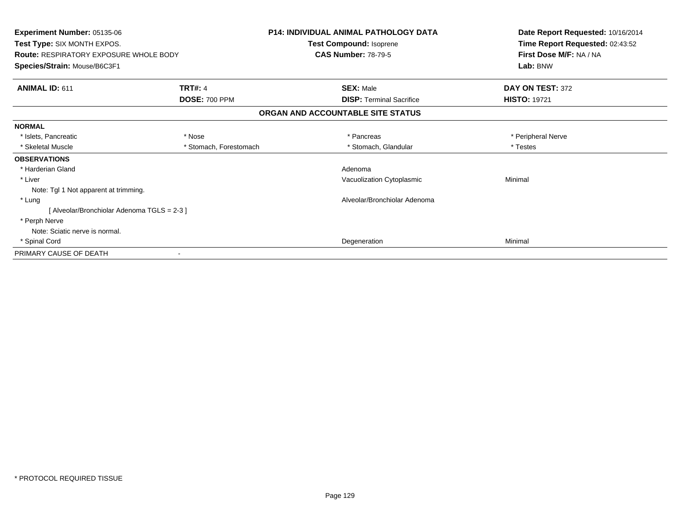| <b>Experiment Number: 05135-06</b><br>Test Type: SIX MONTH EXPOS.<br><b>Route: RESPIRATORY EXPOSURE WHOLE BODY</b> |                        | <b>P14: INDIVIDUAL ANIMAL PATHOLOGY DATA</b><br>Test Compound: Isoprene<br><b>CAS Number: 78-79-5</b> | Date Report Requested: 10/16/2014<br>Time Report Requested: 02:43:52<br>First Dose M/F: NA / NA |
|--------------------------------------------------------------------------------------------------------------------|------------------------|-------------------------------------------------------------------------------------------------------|-------------------------------------------------------------------------------------------------|
| Species/Strain: Mouse/B6C3F1                                                                                       |                        |                                                                                                       | Lab: BNW                                                                                        |
| ANIMAL ID: 611                                                                                                     | <b>TRT#: 4</b>         | <b>SEX: Male</b>                                                                                      | DAY ON TEST: 372                                                                                |
|                                                                                                                    | <b>DOSE: 700 PPM</b>   | <b>DISP:</b> Terminal Sacrifice                                                                       | <b>HISTO: 19721</b>                                                                             |
|                                                                                                                    |                        | ORGAN AND ACCOUNTABLE SITE STATUS                                                                     |                                                                                                 |
| <b>NORMAL</b>                                                                                                      |                        |                                                                                                       |                                                                                                 |
| * Islets, Pancreatic                                                                                               | * Nose                 | * Pancreas                                                                                            | * Peripheral Nerve                                                                              |
| * Skeletal Muscle                                                                                                  | * Stomach, Forestomach | * Stomach, Glandular                                                                                  | * Testes                                                                                        |
| <b>OBSERVATIONS</b>                                                                                                |                        |                                                                                                       |                                                                                                 |
| * Harderian Gland                                                                                                  |                        | Adenoma                                                                                               |                                                                                                 |
| * Liver                                                                                                            |                        | Vacuolization Cytoplasmic                                                                             | Minimal                                                                                         |
| Note: Tgl 1 Not apparent at trimming.                                                                              |                        |                                                                                                       |                                                                                                 |
| * Lung                                                                                                             |                        | Alveolar/Bronchiolar Adenoma                                                                          |                                                                                                 |
| [Alveolar/Bronchiolar Adenoma TGLS = 2-3]                                                                          |                        |                                                                                                       |                                                                                                 |
| * Perph Nerve                                                                                                      |                        |                                                                                                       |                                                                                                 |
| Note: Sciatic nerve is normal.                                                                                     |                        |                                                                                                       |                                                                                                 |
| * Spinal Cord                                                                                                      |                        | Degeneration                                                                                          | Minimal                                                                                         |
| PRIMARY CAUSE OF DEATH                                                                                             |                        |                                                                                                       |                                                                                                 |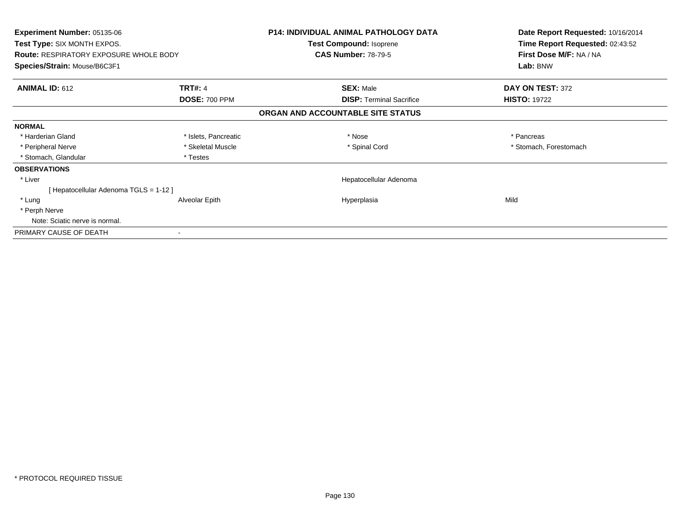| <b>Experiment Number: 05135-06</b><br><b>Test Type: SIX MONTH EXPOS.</b> |                      | <b>P14: INDIVIDUAL ANIMAL PATHOLOGY DATA</b> | Date Report Requested: 10/16/2014<br>Time Report Requested: 02:43:52 |
|--------------------------------------------------------------------------|----------------------|----------------------------------------------|----------------------------------------------------------------------|
|                                                                          |                      | Test Compound: Isoprene                      |                                                                      |
| <b>Route: RESPIRATORY EXPOSURE WHOLE BODY</b>                            |                      | <b>CAS Number: 78-79-5</b>                   | First Dose M/F: NA / NA                                              |
| Species/Strain: Mouse/B6C3F1                                             |                      |                                              | Lab: BNW                                                             |
| <b>ANIMAL ID: 612</b>                                                    | <b>TRT#: 4</b>       | <b>SEX: Male</b>                             | DAY ON TEST: 372                                                     |
|                                                                          | <b>DOSE: 700 PPM</b> | <b>DISP:</b> Terminal Sacrifice              | <b>HISTO: 19722</b>                                                  |
|                                                                          |                      | ORGAN AND ACCOUNTABLE SITE STATUS            |                                                                      |
| <b>NORMAL</b>                                                            |                      |                                              |                                                                      |
| * Harderian Gland                                                        | * Islets, Pancreatic | * Nose                                       | * Pancreas                                                           |
| * Peripheral Nerve                                                       | * Skeletal Muscle    | * Spinal Cord                                | * Stomach, Forestomach                                               |
| * Stomach, Glandular                                                     | * Testes             |                                              |                                                                      |
| <b>OBSERVATIONS</b>                                                      |                      |                                              |                                                                      |
| * Liver                                                                  |                      | Hepatocellular Adenoma                       |                                                                      |
| [ Hepatocellular Adenoma TGLS = 1-12 ]                                   |                      |                                              |                                                                      |
| * Lung                                                                   | Alveolar Epith       | Hyperplasia                                  | Mild                                                                 |
| * Perph Nerve                                                            |                      |                                              |                                                                      |
| Note: Sciatic nerve is normal.                                           |                      |                                              |                                                                      |
| PRIMARY CAUSE OF DEATH                                                   |                      |                                              |                                                                      |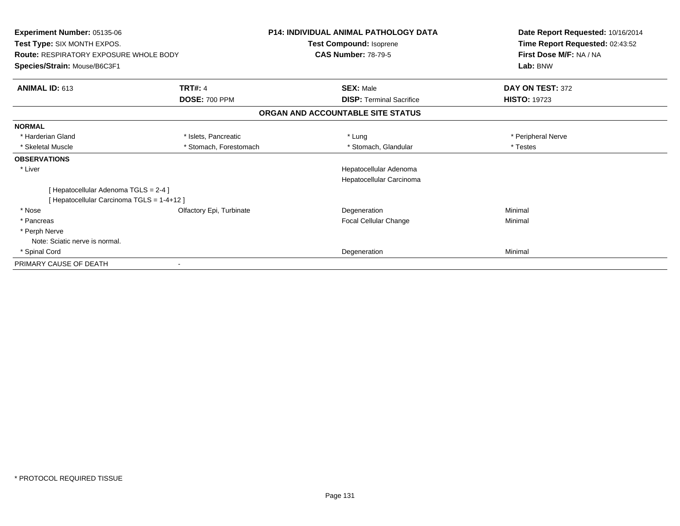| <b>Experiment Number: 05135-06</b>            |                          | <b>P14: INDIVIDUAL ANIMAL PATHOLOGY DATA</b> | Date Report Requested: 10/16/2014 |
|-----------------------------------------------|--------------------------|----------------------------------------------|-----------------------------------|
| Test Type: SIX MONTH EXPOS.                   |                          | Test Compound: Isoprene                      | Time Report Requested: 02:43:52   |
| <b>Route: RESPIRATORY EXPOSURE WHOLE BODY</b> |                          | <b>CAS Number: 78-79-5</b>                   | First Dose M/F: NA / NA           |
| Species/Strain: Mouse/B6C3F1                  |                          |                                              | Lab: BNW                          |
| ANIMAL ID: 613                                | <b>TRT#: 4</b>           | <b>SEX: Male</b>                             | DAY ON TEST: 372                  |
|                                               | <b>DOSE: 700 PPM</b>     | <b>DISP: Terminal Sacrifice</b>              | <b>HISTO: 19723</b>               |
|                                               |                          | ORGAN AND ACCOUNTABLE SITE STATUS            |                                   |
| <b>NORMAL</b>                                 |                          |                                              |                                   |
| * Harderian Gland                             | * Islets, Pancreatic     | * Lung                                       | * Peripheral Nerve                |
| * Skeletal Muscle                             | * Stomach, Forestomach   | * Stomach, Glandular                         | * Testes                          |
| <b>OBSERVATIONS</b>                           |                          |                                              |                                   |
| * Liver                                       |                          | Hepatocellular Adenoma                       |                                   |
|                                               |                          | Hepatocellular Carcinoma                     |                                   |
| [Hepatocellular Adenoma TGLS = 2-4]           |                          |                                              |                                   |
| [ Hepatocellular Carcinoma TGLS = 1-4+12 ]    |                          |                                              |                                   |
| * Nose                                        | Olfactory Epi, Turbinate | Degeneration                                 | Minimal                           |
| * Pancreas                                    |                          | Focal Cellular Change                        | Minimal                           |
| * Perph Nerve                                 |                          |                                              |                                   |
| Note: Sciatic nerve is normal.                |                          |                                              |                                   |
| * Spinal Cord                                 |                          | Degeneration                                 | Minimal                           |
| PRIMARY CAUSE OF DEATH                        |                          |                                              |                                   |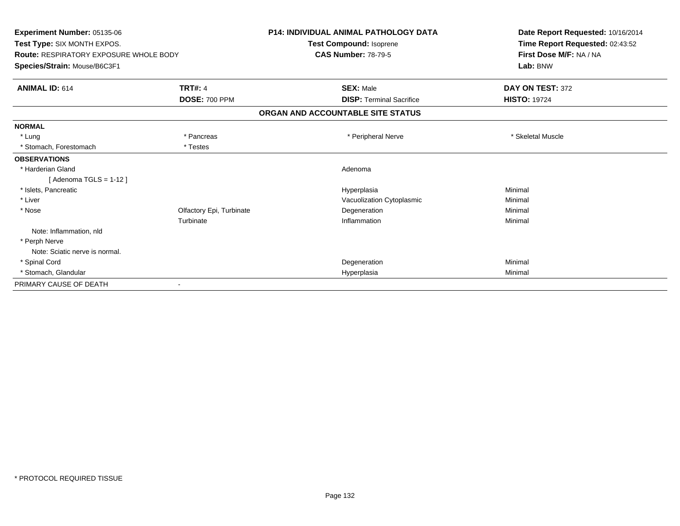| Experiment Number: 05135-06                   |                          | <b>P14: INDIVIDUAL ANIMAL PATHOLOGY DATA</b> | Date Report Requested: 10/16/2014 |
|-----------------------------------------------|--------------------------|----------------------------------------------|-----------------------------------|
| Test Type: SIX MONTH EXPOS.                   |                          | Test Compound: Isoprene                      | Time Report Requested: 02:43:52   |
| <b>Route: RESPIRATORY EXPOSURE WHOLE BODY</b> |                          | <b>CAS Number: 78-79-5</b>                   | First Dose M/F: NA / NA           |
| Species/Strain: Mouse/B6C3F1                  |                          |                                              | Lab: BNW                          |
| <b>ANIMAL ID: 614</b>                         | <b>TRT#: 4</b>           | <b>SEX: Male</b>                             | DAY ON TEST: 372                  |
|                                               | <b>DOSE: 700 PPM</b>     | <b>DISP: Terminal Sacrifice</b>              | <b>HISTO: 19724</b>               |
|                                               |                          | ORGAN AND ACCOUNTABLE SITE STATUS            |                                   |
| <b>NORMAL</b>                                 |                          |                                              |                                   |
| * Lung                                        | * Pancreas               | * Peripheral Nerve                           | * Skeletal Muscle                 |
| * Stomach, Forestomach                        | * Testes                 |                                              |                                   |
| <b>OBSERVATIONS</b>                           |                          |                                              |                                   |
| * Harderian Gland                             |                          | Adenoma                                      |                                   |
| [ Adenoma TGLS = 1-12 ]                       |                          |                                              |                                   |
| * Islets, Pancreatic                          |                          | Hyperplasia                                  | Minimal                           |
| * Liver                                       |                          | Vacuolization Cytoplasmic                    | Minimal                           |
| * Nose                                        | Olfactory Epi, Turbinate | Degeneration                                 | Minimal                           |
|                                               | Turbinate                | Inflammation                                 | Minimal                           |
| Note: Inflammation, nld                       |                          |                                              |                                   |
| * Perph Nerve                                 |                          |                                              |                                   |
| Note: Sciatic nerve is normal.                |                          |                                              |                                   |
| * Spinal Cord                                 |                          | Degeneration                                 | Minimal                           |
| * Stomach, Glandular                          |                          | Hyperplasia                                  | Minimal                           |
| PRIMARY CAUSE OF DEATH                        |                          |                                              |                                   |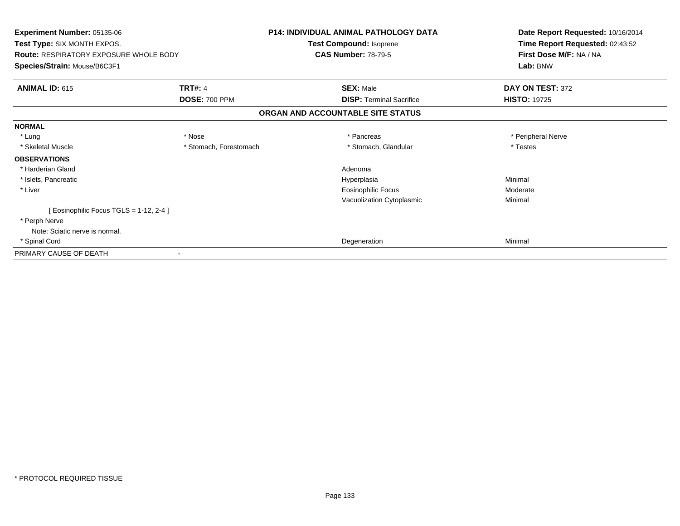| Experiment Number: 05135-06<br>Test Type: SIX MONTH EXPOS.<br><b>Route: RESPIRATORY EXPOSURE WHOLE BODY</b><br>Species/Strain: Mouse/B6C3F1 |                        | <b>P14: INDIVIDUAL ANIMAL PATHOLOGY DATA</b><br><b>Test Compound: Isoprene</b><br><b>CAS Number: 78-79-5</b> | Date Report Requested: 10/16/2014<br>Time Report Requested: 02:43:52<br>First Dose M/F: NA / NA<br>Lab: BNW |
|---------------------------------------------------------------------------------------------------------------------------------------------|------------------------|--------------------------------------------------------------------------------------------------------------|-------------------------------------------------------------------------------------------------------------|
| <b>ANIMAL ID: 615</b>                                                                                                                       | <b>TRT#: 4</b>         | <b>SEX: Male</b>                                                                                             | DAY ON TEST: 372                                                                                            |
|                                                                                                                                             | <b>DOSE: 700 PPM</b>   | <b>DISP:</b> Terminal Sacrifice                                                                              | <b>HISTO: 19725</b>                                                                                         |
|                                                                                                                                             |                        | ORGAN AND ACCOUNTABLE SITE STATUS                                                                            |                                                                                                             |
| <b>NORMAL</b>                                                                                                                               |                        |                                                                                                              |                                                                                                             |
| * Lung                                                                                                                                      | * Nose                 | * Pancreas                                                                                                   | * Peripheral Nerve                                                                                          |
| * Skeletal Muscle                                                                                                                           | * Stomach, Forestomach | * Stomach, Glandular                                                                                         | * Testes                                                                                                    |
| <b>OBSERVATIONS</b>                                                                                                                         |                        |                                                                                                              |                                                                                                             |
| * Harderian Gland                                                                                                                           |                        | Adenoma                                                                                                      |                                                                                                             |
| * Islets, Pancreatic                                                                                                                        |                        | Hyperplasia                                                                                                  | Minimal                                                                                                     |
| * Liver                                                                                                                                     |                        | Eosinophilic Focus                                                                                           | Moderate                                                                                                    |
|                                                                                                                                             |                        | Vacuolization Cytoplasmic                                                                                    | Minimal                                                                                                     |
| [Eosinophilic Focus TGLS = 1-12, 2-4]                                                                                                       |                        |                                                                                                              |                                                                                                             |
| * Perph Nerve                                                                                                                               |                        |                                                                                                              |                                                                                                             |
| Note: Sciatic nerve is normal.                                                                                                              |                        |                                                                                                              |                                                                                                             |
| * Spinal Cord                                                                                                                               |                        | Degeneration                                                                                                 | Minimal                                                                                                     |
| PRIMARY CAUSE OF DEATH                                                                                                                      |                        |                                                                                                              |                                                                                                             |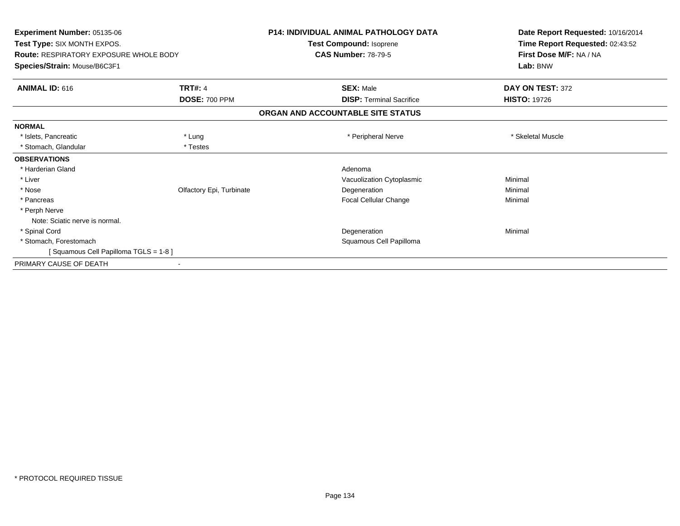| <b>P14: INDIVIDUAL ANIMAL PATHOLOGY DATA</b>            | Date Report Requested: 10/16/2014 |
|---------------------------------------------------------|-----------------------------------|
| Test Compound: Isoprene                                 | Time Report Requested: 02:43:52   |
| <b>CAS Number: 78-79-5</b>                              | First Dose M/F: NA / NA           |
|                                                         | Lab: BNW                          |
| <b>SEX: Male</b>                                        | DAY ON TEST: 372                  |
| <b>DOSE: 700 PPM</b><br><b>DISP: Terminal Sacrifice</b> | <b>HISTO: 19726</b>               |
| ORGAN AND ACCOUNTABLE SITE STATUS                       |                                   |
|                                                         |                                   |
| * Peripheral Nerve                                      | * Skeletal Muscle                 |
|                                                         |                                   |
|                                                         |                                   |
| Adenoma                                                 |                                   |
| Vacuolization Cytoplasmic                               | Minimal                           |
| Olfactory Epi, Turbinate<br>Degeneration                | Minimal                           |
| Focal Cellular Change                                   | Minimal                           |
|                                                         |                                   |
|                                                         |                                   |
| Degeneration                                            | Minimal                           |
| Squamous Cell Papilloma                                 |                                   |
|                                                         |                                   |
|                                                         |                                   |
|                                                         |                                   |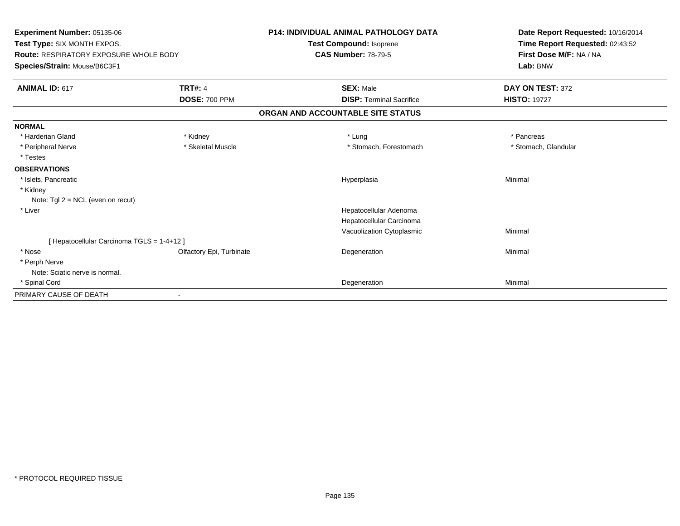| Experiment Number: 05135-06<br>Test Type: SIX MONTH EXPOS.<br><b>Route: RESPIRATORY EXPOSURE WHOLE BODY</b><br>Species/Strain: Mouse/B6C3F1 |                          | <b>P14: INDIVIDUAL ANIMAL PATHOLOGY DATA</b><br><b>Test Compound: Isoprene</b><br><b>CAS Number: 78-79-5</b> | Date Report Requested: 10/16/2014<br>Time Report Requested: 02:43:52<br>First Dose M/F: NA / NA<br>Lab: BNW |
|---------------------------------------------------------------------------------------------------------------------------------------------|--------------------------|--------------------------------------------------------------------------------------------------------------|-------------------------------------------------------------------------------------------------------------|
| <b>ANIMAL ID: 617</b>                                                                                                                       | <b>TRT#: 4</b>           | <b>SEX: Male</b>                                                                                             | DAY ON TEST: 372                                                                                            |
|                                                                                                                                             | <b>DOSE: 700 PPM</b>     | <b>DISP: Terminal Sacrifice</b>                                                                              | <b>HISTO: 19727</b>                                                                                         |
|                                                                                                                                             |                          | ORGAN AND ACCOUNTABLE SITE STATUS                                                                            |                                                                                                             |
| <b>NORMAL</b>                                                                                                                               |                          |                                                                                                              |                                                                                                             |
| * Harderian Gland                                                                                                                           | * Kidney                 | * Lung                                                                                                       | * Pancreas                                                                                                  |
| * Peripheral Nerve                                                                                                                          | * Skeletal Muscle        | * Stomach, Forestomach                                                                                       | * Stomach, Glandular                                                                                        |
| * Testes                                                                                                                                    |                          |                                                                                                              |                                                                                                             |
| <b>OBSERVATIONS</b>                                                                                                                         |                          |                                                                                                              |                                                                                                             |
| * Islets, Pancreatic                                                                                                                        |                          | Hyperplasia                                                                                                  | Minimal                                                                                                     |
| * Kidney                                                                                                                                    |                          |                                                                                                              |                                                                                                             |
| Note: $Tgl 2 = NCL$ (even on recut)                                                                                                         |                          |                                                                                                              |                                                                                                             |
| * Liver                                                                                                                                     |                          | Hepatocellular Adenoma                                                                                       |                                                                                                             |
|                                                                                                                                             |                          | Hepatocellular Carcinoma                                                                                     |                                                                                                             |
|                                                                                                                                             |                          | Vacuolization Cytoplasmic                                                                                    | Minimal                                                                                                     |
| [ Hepatocellular Carcinoma TGLS = 1-4+12 ]                                                                                                  |                          |                                                                                                              |                                                                                                             |
| * Nose                                                                                                                                      | Olfactory Epi, Turbinate | Degeneration                                                                                                 | Minimal                                                                                                     |
| * Perph Nerve                                                                                                                               |                          |                                                                                                              |                                                                                                             |
| Note: Sciatic nerve is normal.                                                                                                              |                          |                                                                                                              |                                                                                                             |
| * Spinal Cord                                                                                                                               |                          | Degeneration                                                                                                 | Minimal                                                                                                     |
| PRIMARY CAUSE OF DEATH                                                                                                                      |                          |                                                                                                              |                                                                                                             |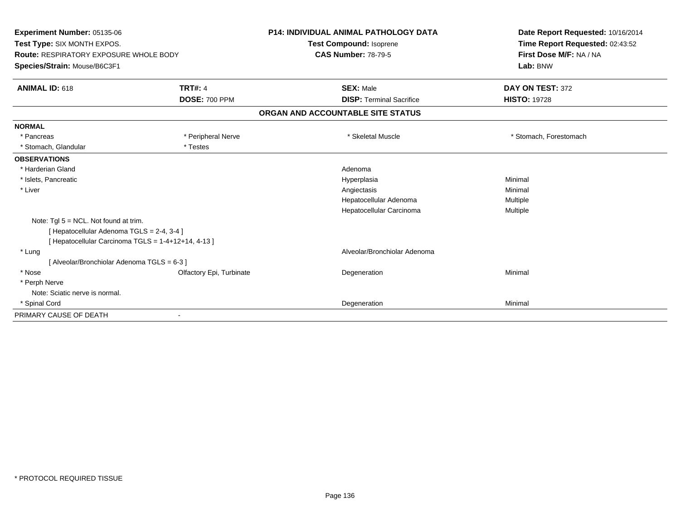| Experiment Number: 05135-06                         |                          | <b>P14: INDIVIDUAL ANIMAL PATHOLOGY DATA</b> | Date Report Requested: 10/16/2014 |
|-----------------------------------------------------|--------------------------|----------------------------------------------|-----------------------------------|
| Test Type: SIX MONTH EXPOS.                         |                          | <b>Test Compound: Isoprene</b>               | Time Report Requested: 02:43:52   |
| <b>Route: RESPIRATORY EXPOSURE WHOLE BODY</b>       |                          | <b>CAS Number: 78-79-5</b>                   | First Dose M/F: NA / NA           |
| Species/Strain: Mouse/B6C3F1                        |                          |                                              | Lab: BNW                          |
| <b>ANIMAL ID: 618</b>                               | <b>TRT#: 4</b>           | <b>SEX: Male</b>                             | DAY ON TEST: 372                  |
|                                                     | <b>DOSE: 700 PPM</b>     | <b>DISP: Terminal Sacrifice</b>              | <b>HISTO: 19728</b>               |
|                                                     |                          | ORGAN AND ACCOUNTABLE SITE STATUS            |                                   |
| <b>NORMAL</b>                                       |                          |                                              |                                   |
| * Pancreas                                          | * Peripheral Nerve       | * Skeletal Muscle                            | * Stomach, Forestomach            |
| * Stomach, Glandular                                | * Testes                 |                                              |                                   |
| <b>OBSERVATIONS</b>                                 |                          |                                              |                                   |
| * Harderian Gland                                   |                          | Adenoma                                      |                                   |
| * Islets, Pancreatic                                |                          | Hyperplasia                                  | Minimal                           |
| * Liver                                             |                          | Angiectasis                                  | Minimal                           |
|                                                     |                          | Hepatocellular Adenoma                       | Multiple                          |
|                                                     |                          | Hepatocellular Carcinoma                     | Multiple                          |
| Note: $Tgl 5 = NCL$ . Not found at trim.            |                          |                                              |                                   |
| [ Hepatocellular Adenoma TGLS = 2-4, 3-4 ]          |                          |                                              |                                   |
| [ Hepatocellular Carcinoma TGLS = 1-4+12+14, 4-13 ] |                          |                                              |                                   |
| * Lung                                              |                          | Alveolar/Bronchiolar Adenoma                 |                                   |
| [Alveolar/Bronchiolar Adenoma TGLS = 6-3 ]          |                          |                                              |                                   |
| * Nose                                              | Olfactory Epi, Turbinate | Degeneration                                 | Minimal                           |
| * Perph Nerve                                       |                          |                                              |                                   |
| Note: Sciatic nerve is normal.                      |                          |                                              |                                   |
| * Spinal Cord                                       |                          | Degeneration                                 | Minimal                           |
| PRIMARY CAUSE OF DEATH                              |                          |                                              |                                   |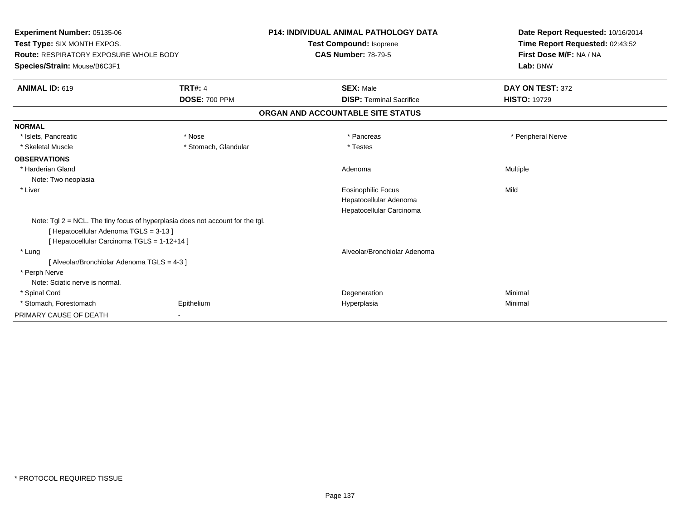| Experiment Number: 05135-06                                                  |                                                                                | <b>P14: INDIVIDUAL ANIMAL PATHOLOGY DATA</b> | Date Report Requested: 10/16/2014                          |
|------------------------------------------------------------------------------|--------------------------------------------------------------------------------|----------------------------------------------|------------------------------------------------------------|
| Test Type: SIX MONTH EXPOS.<br><b>Route: RESPIRATORY EXPOSURE WHOLE BODY</b> |                                                                                | <b>Test Compound: Isoprene</b>               | Time Report Requested: 02:43:52<br>First Dose M/F: NA / NA |
|                                                                              |                                                                                | <b>CAS Number: 78-79-5</b>                   |                                                            |
| Species/Strain: Mouse/B6C3F1                                                 |                                                                                |                                              | Lab: BNW                                                   |
| <b>ANIMAL ID: 619</b>                                                        | <b>TRT#: 4</b>                                                                 | <b>SEX: Male</b>                             | DAY ON TEST: 372                                           |
|                                                                              | <b>DOSE: 700 PPM</b>                                                           | <b>DISP: Terminal Sacrifice</b>              | <b>HISTO: 19729</b>                                        |
|                                                                              |                                                                                | ORGAN AND ACCOUNTABLE SITE STATUS            |                                                            |
| <b>NORMAL</b>                                                                |                                                                                |                                              |                                                            |
| * Islets, Pancreatic                                                         | * Nose                                                                         | * Pancreas                                   | * Peripheral Nerve                                         |
| * Skeletal Muscle                                                            | * Stomach, Glandular                                                           | * Testes                                     |                                                            |
| <b>OBSERVATIONS</b>                                                          |                                                                                |                                              |                                                            |
| * Harderian Gland                                                            |                                                                                | Adenoma                                      | Multiple                                                   |
| Note: Two neoplasia                                                          |                                                                                |                                              |                                                            |
| * Liver                                                                      |                                                                                | <b>Eosinophilic Focus</b>                    | Mild                                                       |
|                                                                              |                                                                                | Hepatocellular Adenoma                       |                                                            |
|                                                                              |                                                                                | Hepatocellular Carcinoma                     |                                                            |
|                                                                              | Note: Tgl 2 = NCL. The tiny focus of hyperplasia does not account for the tgl. |                                              |                                                            |
| [ Hepatocellular Adenoma TGLS = 3-13 ]                                       |                                                                                |                                              |                                                            |
| [ Hepatocellular Carcinoma TGLS = 1-12+14 ]                                  |                                                                                |                                              |                                                            |
| * Lung                                                                       |                                                                                | Alveolar/Bronchiolar Adenoma                 |                                                            |
| [ Alveolar/Bronchiolar Adenoma TGLS = 4-3 ]                                  |                                                                                |                                              |                                                            |
| * Perph Nerve                                                                |                                                                                |                                              |                                                            |
| Note: Sciatic nerve is normal.                                               |                                                                                |                                              |                                                            |
| * Spinal Cord                                                                |                                                                                | Degeneration                                 | Minimal                                                    |
| * Stomach, Forestomach                                                       | Epithelium                                                                     | Hyperplasia                                  | Minimal                                                    |
| PRIMARY CAUSE OF DEATH                                                       |                                                                                |                                              |                                                            |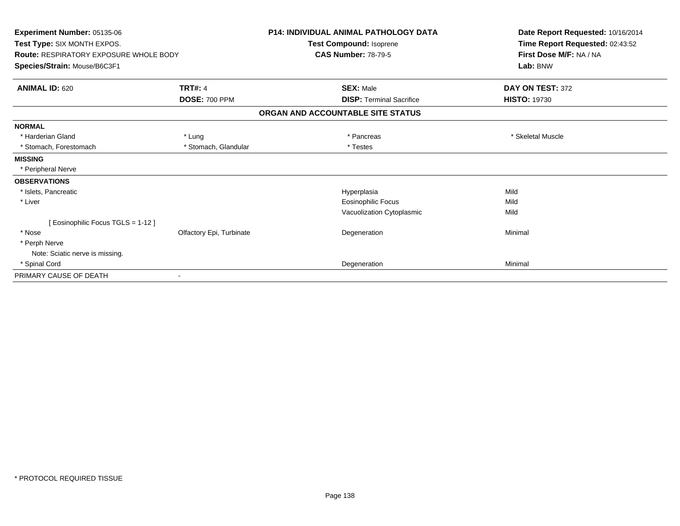| <b>Experiment Number: 05135-06</b><br>Test Type: SIX MONTH EXPOS.<br><b>Route: RESPIRATORY EXPOSURE WHOLE BODY</b> |                          | <b>P14: INDIVIDUAL ANIMAL PATHOLOGY DATA</b><br>Test Compound: Isoprene<br><b>CAS Number: 78-79-5</b> | Date Report Requested: 10/16/2014<br>Time Report Requested: 02:43:52<br>First Dose M/F: NA / NA |
|--------------------------------------------------------------------------------------------------------------------|--------------------------|-------------------------------------------------------------------------------------------------------|-------------------------------------------------------------------------------------------------|
| Species/Strain: Mouse/B6C3F1                                                                                       |                          |                                                                                                       | Lab: BNW                                                                                        |
| <b>ANIMAL ID: 620</b>                                                                                              | <b>TRT#: 4</b>           | <b>SEX: Male</b>                                                                                      | DAY ON TEST: 372                                                                                |
|                                                                                                                    | <b>DOSE: 700 PPM</b>     | <b>DISP: Terminal Sacrifice</b>                                                                       | <b>HISTO: 19730</b>                                                                             |
|                                                                                                                    |                          | ORGAN AND ACCOUNTABLE SITE STATUS                                                                     |                                                                                                 |
| <b>NORMAL</b>                                                                                                      |                          |                                                                                                       |                                                                                                 |
| * Harderian Gland                                                                                                  | * Lung                   | * Pancreas                                                                                            | * Skeletal Muscle                                                                               |
| * Stomach, Forestomach                                                                                             | * Stomach, Glandular     | * Testes                                                                                              |                                                                                                 |
| <b>MISSING</b>                                                                                                     |                          |                                                                                                       |                                                                                                 |
| * Peripheral Nerve                                                                                                 |                          |                                                                                                       |                                                                                                 |
| <b>OBSERVATIONS</b>                                                                                                |                          |                                                                                                       |                                                                                                 |
| * Islets, Pancreatic                                                                                               |                          | Hyperplasia                                                                                           | Mild                                                                                            |
| * Liver                                                                                                            |                          | Eosinophilic Focus                                                                                    | Mild                                                                                            |
|                                                                                                                    |                          | Vacuolization Cytoplasmic                                                                             | Mild                                                                                            |
| [ Eosinophilic Focus TGLS = 1-12 ]                                                                                 |                          |                                                                                                       |                                                                                                 |
| * Nose                                                                                                             | Olfactory Epi, Turbinate | Degeneration                                                                                          | Minimal                                                                                         |
| * Perph Nerve                                                                                                      |                          |                                                                                                       |                                                                                                 |
| Note: Sciatic nerve is missing.                                                                                    |                          |                                                                                                       |                                                                                                 |
| * Spinal Cord                                                                                                      |                          | Degeneration                                                                                          | Minimal                                                                                         |
| PRIMARY CAUSE OF DEATH                                                                                             |                          |                                                                                                       |                                                                                                 |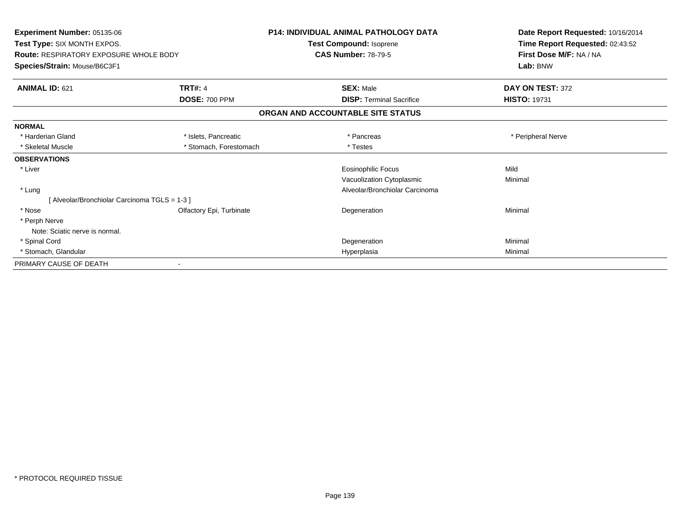| Experiment Number: 05135-06                   |                          | <b>P14: INDIVIDUAL ANIMAL PATHOLOGY DATA</b> | Date Report Requested: 10/16/2014 |
|-----------------------------------------------|--------------------------|----------------------------------------------|-----------------------------------|
| Test Type: SIX MONTH EXPOS.                   |                          | Test Compound: Isoprene                      | Time Report Requested: 02:43:52   |
| <b>Route: RESPIRATORY EXPOSURE WHOLE BODY</b> |                          | <b>CAS Number: 78-79-5</b>                   | First Dose M/F: NA / NA           |
| Species/Strain: Mouse/B6C3F1                  |                          |                                              | Lab: BNW                          |
| <b>ANIMAL ID: 621</b>                         | <b>TRT#: 4</b>           | <b>SEX: Male</b>                             | DAY ON TEST: 372                  |
|                                               | <b>DOSE: 700 PPM</b>     | <b>DISP: Terminal Sacrifice</b>              | <b>HISTO: 19731</b>               |
|                                               |                          | ORGAN AND ACCOUNTABLE SITE STATUS            |                                   |
| <b>NORMAL</b>                                 |                          |                                              |                                   |
| * Harderian Gland                             | * Islets, Pancreatic     | * Pancreas                                   | * Peripheral Nerve                |
| * Skeletal Muscle                             | * Stomach, Forestomach   | * Testes                                     |                                   |
| <b>OBSERVATIONS</b>                           |                          |                                              |                                   |
| * Liver                                       |                          | <b>Eosinophilic Focus</b>                    | Mild                              |
|                                               |                          | Vacuolization Cytoplasmic                    | Minimal                           |
| * Lung                                        |                          | Alveolar/Bronchiolar Carcinoma               |                                   |
| [ Alveolar/Bronchiolar Carcinoma TGLS = 1-3 ] |                          |                                              |                                   |
| * Nose                                        | Olfactory Epi, Turbinate | Degeneration                                 | Minimal                           |
| * Perph Nerve                                 |                          |                                              |                                   |
| Note: Sciatic nerve is normal.                |                          |                                              |                                   |
| * Spinal Cord                                 |                          | Degeneration                                 | Minimal                           |
| * Stomach, Glandular                          |                          | Hyperplasia                                  | Minimal                           |
| PRIMARY CAUSE OF DEATH                        |                          |                                              |                                   |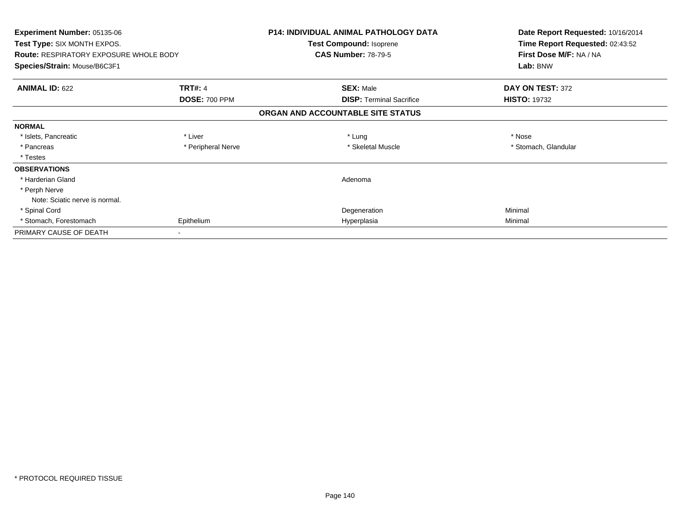| Experiment Number: 05135-06<br>Test Type: SIX MONTH EXPOS. |                      | <b>P14: INDIVIDUAL ANIMAL PATHOLOGY DATA</b><br>Test Compound: Isoprene | Date Report Requested: 10/16/2014<br>Time Report Requested: 02:43:52 |
|------------------------------------------------------------|----------------------|-------------------------------------------------------------------------|----------------------------------------------------------------------|
| <b>Route: RESPIRATORY EXPOSURE WHOLE BODY</b>              |                      | <b>CAS Number: 78-79-5</b>                                              | First Dose M/F: NA / NA                                              |
| Species/Strain: Mouse/B6C3F1                               |                      |                                                                         | Lab: BNW                                                             |
| <b>ANIMAL ID: 622</b>                                      | <b>TRT#: 4</b>       | <b>SEX: Male</b>                                                        | DAY ON TEST: 372                                                     |
|                                                            | <b>DOSE: 700 PPM</b> | <b>DISP:</b> Terminal Sacrifice                                         | <b>HISTO: 19732</b>                                                  |
|                                                            |                      | ORGAN AND ACCOUNTABLE SITE STATUS                                       |                                                                      |
| <b>NORMAL</b>                                              |                      |                                                                         |                                                                      |
| * Islets, Pancreatic                                       | * Liver              | * Lung                                                                  | * Nose                                                               |
| * Pancreas                                                 | * Peripheral Nerve   | * Skeletal Muscle                                                       | * Stomach, Glandular                                                 |
| * Testes                                                   |                      |                                                                         |                                                                      |
| <b>OBSERVATIONS</b>                                        |                      |                                                                         |                                                                      |
| * Harderian Gland                                          |                      | Adenoma                                                                 |                                                                      |
| * Perph Nerve                                              |                      |                                                                         |                                                                      |
| Note: Sciatic nerve is normal.                             |                      |                                                                         |                                                                      |
| * Spinal Cord                                              |                      | Degeneration                                                            | Minimal                                                              |
| * Stomach, Forestomach                                     | Epithelium           | Hyperplasia                                                             | Minimal                                                              |
| PRIMARY CAUSE OF DEATH                                     |                      |                                                                         |                                                                      |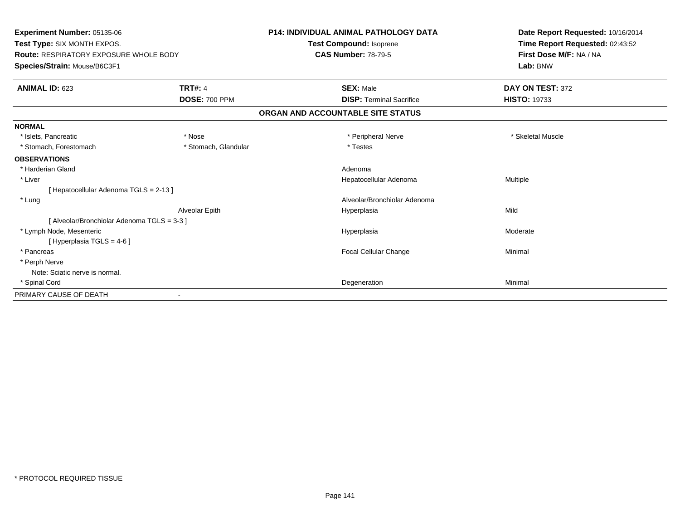| Experiment Number: 05135-06<br>Test Type: SIX MONTH EXPOS.<br>Route: RESPIRATORY EXPOSURE WHOLE BODY<br>Species/Strain: Mouse/B6C3F1 |                      | <b>P14: INDIVIDUAL ANIMAL PATHOLOGY DATA</b><br><b>Test Compound: Isoprene</b><br><b>CAS Number: 78-79-5</b> | Date Report Requested: 10/16/2014<br>Time Report Requested: 02:43:52<br>First Dose M/F: NA / NA<br>Lab: BNW |
|--------------------------------------------------------------------------------------------------------------------------------------|----------------------|--------------------------------------------------------------------------------------------------------------|-------------------------------------------------------------------------------------------------------------|
|                                                                                                                                      |                      |                                                                                                              |                                                                                                             |
| <b>ANIMAL ID: 623</b>                                                                                                                | <b>TRT#: 4</b>       | <b>SEX: Male</b>                                                                                             | DAY ON TEST: 372                                                                                            |
|                                                                                                                                      | <b>DOSE: 700 PPM</b> | <b>DISP: Terminal Sacrifice</b>                                                                              | <b>HISTO: 19733</b>                                                                                         |
|                                                                                                                                      |                      | ORGAN AND ACCOUNTABLE SITE STATUS                                                                            |                                                                                                             |
| <b>NORMAL</b>                                                                                                                        |                      |                                                                                                              |                                                                                                             |
| * Islets, Pancreatic                                                                                                                 | * Nose               | * Peripheral Nerve                                                                                           | * Skeletal Muscle                                                                                           |
| * Stomach, Forestomach                                                                                                               | * Stomach, Glandular | * Testes                                                                                                     |                                                                                                             |
| <b>OBSERVATIONS</b>                                                                                                                  |                      |                                                                                                              |                                                                                                             |
| * Harderian Gland                                                                                                                    |                      | Adenoma                                                                                                      |                                                                                                             |
| * Liver                                                                                                                              |                      | Hepatocellular Adenoma                                                                                       | <b>Multiple</b>                                                                                             |
| [Hepatocellular Adenoma TGLS = 2-13]                                                                                                 |                      |                                                                                                              |                                                                                                             |
| * Lung                                                                                                                               |                      | Alveolar/Bronchiolar Adenoma                                                                                 |                                                                                                             |
|                                                                                                                                      | Alveolar Epith       | Hyperplasia                                                                                                  | Mild                                                                                                        |
| [ Alveolar/Bronchiolar Adenoma TGLS = 3-3 ]                                                                                          |                      |                                                                                                              |                                                                                                             |
| * Lymph Node, Mesenteric                                                                                                             |                      | Hyperplasia                                                                                                  | Moderate                                                                                                    |
| [Hyperplasia TGLS = $4-6$ ]                                                                                                          |                      |                                                                                                              |                                                                                                             |
| * Pancreas                                                                                                                           |                      | <b>Focal Cellular Change</b>                                                                                 | Minimal                                                                                                     |
| * Perph Nerve                                                                                                                        |                      |                                                                                                              |                                                                                                             |
| Note: Sciatic nerve is normal.                                                                                                       |                      |                                                                                                              |                                                                                                             |
| * Spinal Cord                                                                                                                        |                      | Degeneration                                                                                                 | Minimal                                                                                                     |
| PRIMARY CAUSE OF DEATH                                                                                                               |                      |                                                                                                              |                                                                                                             |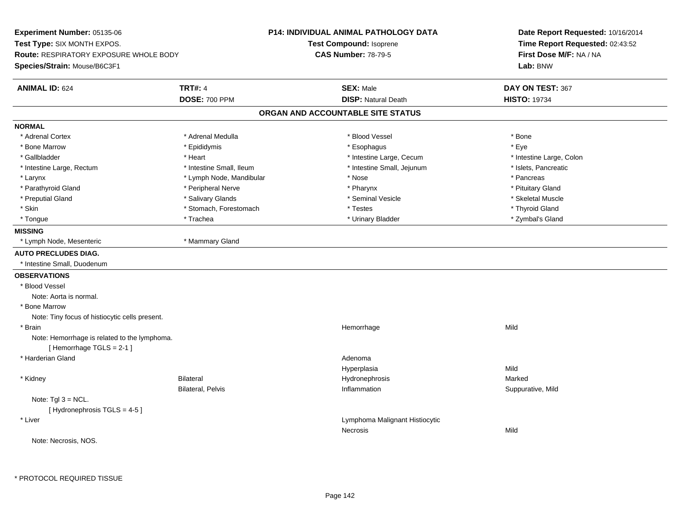**Experiment Number:** 05135-06**Test Type:** SIX MONTH EXPOS.**Route:** RESPIRATORY EXPOSURE WHOLE BODY**Species/Strain:** Mouse/B6C3F1**P14: INDIVIDUAL ANIMAL PATHOLOGY DATATest Compound:** Isoprene**CAS Number:** 78-79-5**Date Report Requested:** 10/16/2014**Time Report Requested:** 02:43:52**First Dose M/F:** NA / NA**Lab:** BNW**ANIMAL ID:** 624**TRT#:** 4 **SEX:** Male **DAY ON TEST:** 367 **DOSE:** 700 PPM**DISP:** Natural Death **HISTO:** 19734 **ORGAN AND ACCOUNTABLE SITE STATUSNORMAL**\* Adrenal Cortex \* Adrenal Medulla \* Adrenal Medulla \* Blood Vessel \* Bood Vessel \* Bone \* Bone \* Bone \* Bone \* Bone \* Bone \* Bone \* Bone \* Bone \* Bone \* Bone \* Bone \* Bone \* Bone \* Bone \* Bone \* Bone \* Bone \* Bone \* Bone \* Bone \* Bone \* \* \* Eve \* Bone Marrow \* Epididymis \* Esophagus \* Eye \* Intestine Large, Colon \* Gallbladder \* The mode of the state of the state of the state of the state of the state of the state of the state of the state of the state of the state of the state of the state of the state of the state of the state of \* Intestine Large, Rectum \* Thestine Small, Ileum \* Intestine Small, Ileum \* Intestine Small, Iejunum \* Islets, Pancreatic \* Larynx \* Lymph Node, Mandibular \* Nose \* Nose \* Pancreas \* Pancreas \* Pancreas \* Pancreas \* Pancreas \* Pancreas \* Pancreas \* Pancreas \* Pancreas \* Pancreas \* Pancreas \* Pancreas \* Pancreas \* Pancreas \* Pancreas \* Pancrea \* Pituitary Gland \* Parathyroid Gland \* **Example 20** \* Peripheral Nerve \* Pharynx \* Pharynx \* Pharynx \* Skeletal Muscle \* Preputial Gland \* \* \* \* Salivary Glands \* \* Salivary Glands \* \* Seminal Vesicle \* \* \* Steretal Muscle \* \* Skeletal Muscle \* Thyroid Gland \* Skin \* Stomach, Forestomach \* Testes \* Testes \* Testes \* Testes \* Testes \* Testes \* Testes \* Testes \* Testes \* Zymbal's Gland \* Tongue \* Trachea \* Urinary Bladder \* Zymbal's Gland **MISSING** \* Lymph Node, Mesenteric \* Mammary Gland**AUTO PRECLUDES DIAG.** \* Intestine Small, Duodenum**OBSERVATIONS** \* Blood VesselNote: Aorta is normal. \* Bone Marrow Note: Tiny focus of histiocytic cells present. \* Brainn and the state of the state of the state of the state of the Middle Middle of the Middle of the Middle of the Middle of the Middle of the Middle of the Middle of the Middle of the Middle of the Middle of the Middle of the Note: Hemorrhage is related to the lymphoma.[ Hemorrhage TGLS = 2-1 ] \* Harderian Glandd and a state of the control of the control of the control of the control of the control of the control of the control of the control of the control of the control of the control of the control of the control of the contro Hyperplasiaa Mild \* Kidney Bilateral Hydronephrosis Markedn Suppurative, Mild Bilateral, Pelvis InflammationNote:  $Tgl 3 = NCL$ . [ Hydronephrosis TGLS = 4-5 ] \* Liver Lymphoma Malignant HistiocyticNecrosiss and the contract of the Mild Note: Necrosis, NOS.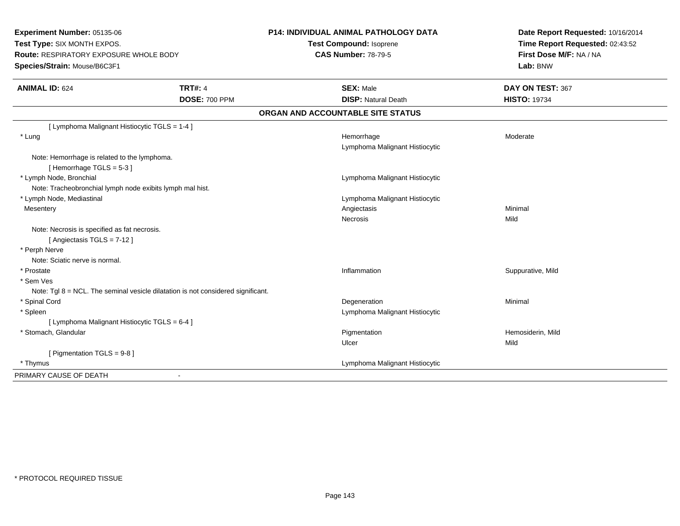**Experiment Number:** 05135-06**Test Type:** SIX MONTH EXPOS.**Route:** RESPIRATORY EXPOSURE WHOLE BODY**Species/Strain:** Mouse/B6C3F1**P14: INDIVIDUAL ANIMAL PATHOLOGY DATATest Compound:** Isoprene**CAS Number:** 78-79-5**Date Report Requested:** 10/16/2014**Time Report Requested:** 02:43:52**First Dose M/F:** NA / NA**Lab:** BNW**ANIMAL ID:** 624**TRT#:** 4 **SEX:** Male **DAY ON TEST:** 367 **DOSE:** 700 PPM**DISP:** Natural Death **HISTO:** 19734 **ORGAN AND ACCOUNTABLE SITE STATUS**[ Lymphoma Malignant Histiocytic TGLS = 1-4 ] \* Lungg and the state of the state of the state of the Moderate of the Moderate of the Moderate of the Moderate of the Moderate of the Moderate of the Moderate of the Moderate of the Moderate of the Moderate of the Moderate of t Lymphoma Malignant HistiocyticNote: Hemorrhage is related to the lymphoma. $[$  Hemorrhage TGLS = 5-3  $]$  \* Lymph Node, Bronchial Lymphoma Malignant HistiocyticNote: Tracheobronchial lymph node exibits lymph mal hist. \* Lymph Node, Mediastinal Lymphoma Malignant Histiocytic**Mesentery** y the control of the control of the control of the control of the control of the control of the control of the control of the control of the control of the control of the control of the control of the control of the contro Necrosiss and the contract of the Mild Note: Necrosis is specified as fat necrosis.[ Angiectasis TGLS = 7-12 ] \* Perph Nerve Note: Sciatic nerve is normal. \* Prostatee inflammation in the suppurative, Mild and Suppurative, Mild and Suppurative, Mild and Suppurative, Mild and Suppurative, Mild and Suppurative, Mild and Suppurative, Mild and Suppurative, Mild and Suppurative, Mild and Su \* Sem Ves Note: Tgl 8 = NCL. The seminal vesicle dilatation is not considered significant. \* Spinal Cordd and the control of the control of the control of the control of the control of the control of the control of the control of the control of the control of the control of the control of the control of the control of the co \* Spleen Lymphoma Malignant Histiocytic [ Lymphoma Malignant Histiocytic TGLS = 6-4 ] \* Stomach, Glandularr and the contract of the contract of the contract of the contract of the contract of the contract of the contract of the contract of the contract of the contract of the contract of the contract of the contract of the cont Pigmentation **Example 2018** Hemosiderin, Mild Ulcerr **Mild** [ Pigmentation TGLS = 9-8 ] \* Thymus Lymphoma Malignant Histiocytic PRIMARY CAUSE OF DEATH-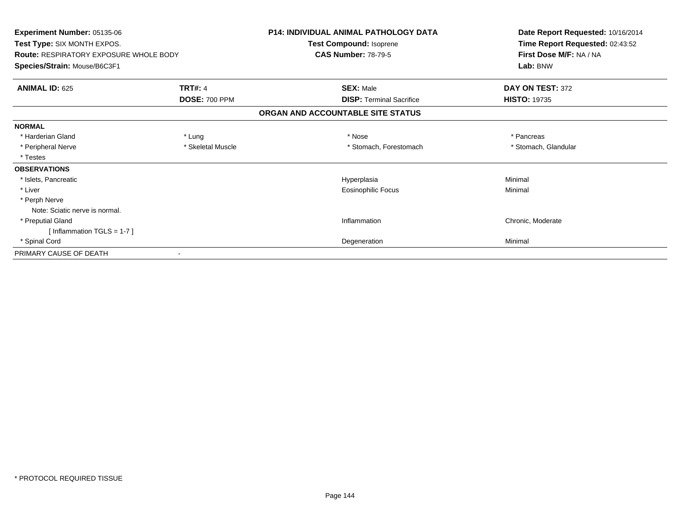| Experiment Number: 05135-06<br>Test Type: SIX MONTH EXPOS.<br><b>Route: RESPIRATORY EXPOSURE WHOLE BODY</b><br>Species/Strain: Mouse/B6C3F1 |                      | <b>P14: INDIVIDUAL ANIMAL PATHOLOGY DATA</b><br>Test Compound: Isoprene<br><b>CAS Number: 78-79-5</b> | Date Report Requested: 10/16/2014<br>Time Report Requested: 02:43:52<br>First Dose M/F: NA / NA<br>Lab: BNW |
|---------------------------------------------------------------------------------------------------------------------------------------------|----------------------|-------------------------------------------------------------------------------------------------------|-------------------------------------------------------------------------------------------------------------|
|                                                                                                                                             |                      |                                                                                                       |                                                                                                             |
|                                                                                                                                             | <b>DOSE: 700 PPM</b> | <b>DISP: Terminal Sacrifice</b>                                                                       | <b>HISTO: 19735</b>                                                                                         |
|                                                                                                                                             |                      | ORGAN AND ACCOUNTABLE SITE STATUS                                                                     |                                                                                                             |
| <b>NORMAL</b>                                                                                                                               |                      |                                                                                                       |                                                                                                             |
| * Harderian Gland                                                                                                                           | * Lung               | * Nose                                                                                                | * Pancreas                                                                                                  |
| * Peripheral Nerve                                                                                                                          | * Skeletal Muscle    | * Stomach, Forestomach                                                                                | * Stomach, Glandular                                                                                        |
| * Testes                                                                                                                                    |                      |                                                                                                       |                                                                                                             |
| <b>OBSERVATIONS</b>                                                                                                                         |                      |                                                                                                       |                                                                                                             |
| * Islets, Pancreatic                                                                                                                        |                      | Hyperplasia                                                                                           | Minimal                                                                                                     |
| * Liver                                                                                                                                     |                      | Eosinophilic Focus                                                                                    | Minimal                                                                                                     |
| * Perph Nerve                                                                                                                               |                      |                                                                                                       |                                                                                                             |
| Note: Sciatic nerve is normal.                                                                                                              |                      |                                                                                                       |                                                                                                             |
| * Preputial Gland                                                                                                                           |                      | Inflammation                                                                                          | Chronic, Moderate                                                                                           |
| [Inflammation TGLS = $1-7$ ]                                                                                                                |                      |                                                                                                       |                                                                                                             |
| * Spinal Cord                                                                                                                               |                      | Degeneration                                                                                          | Minimal                                                                                                     |
| PRIMARY CAUSE OF DEATH                                                                                                                      |                      |                                                                                                       |                                                                                                             |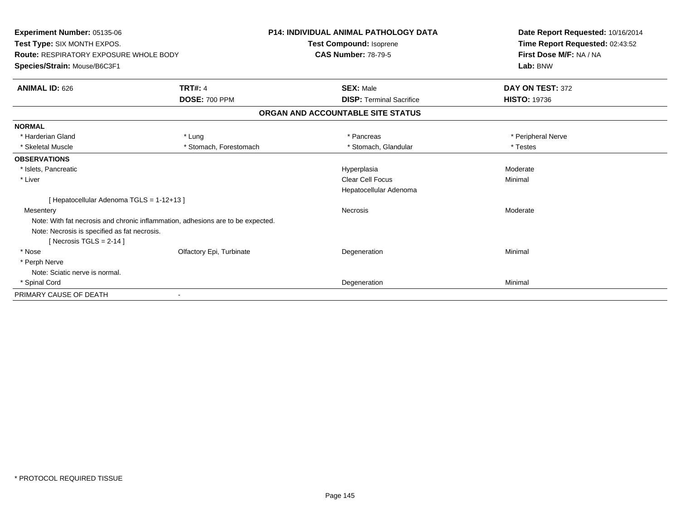| Experiment Number: 05135-06<br>Test Type: SIX MONTH EXPOS.<br><b>Route: RESPIRATORY EXPOSURE WHOLE BODY</b><br>Species/Strain: Mouse/B6C3F1 |                          | <b>P14: INDIVIDUAL ANIMAL PATHOLOGY DATA</b><br><b>Test Compound: Isoprene</b><br><b>CAS Number: 78-79-5</b> | Date Report Requested: 10/16/2014<br>Time Report Requested: 02:43:52<br>First Dose M/F: NA / NA<br>Lab: BNW |
|---------------------------------------------------------------------------------------------------------------------------------------------|--------------------------|--------------------------------------------------------------------------------------------------------------|-------------------------------------------------------------------------------------------------------------|
| <b>ANIMAL ID: 626</b>                                                                                                                       | <b>TRT#: 4</b>           | <b>SEX: Male</b>                                                                                             | DAY ON TEST: 372                                                                                            |
|                                                                                                                                             | <b>DOSE: 700 PPM</b>     | <b>DISP: Terminal Sacrifice</b>                                                                              | <b>HISTO: 19736</b>                                                                                         |
|                                                                                                                                             |                          | ORGAN AND ACCOUNTABLE SITE STATUS                                                                            |                                                                                                             |
| <b>NORMAL</b>                                                                                                                               |                          |                                                                                                              |                                                                                                             |
| * Harderian Gland                                                                                                                           | * Lung                   | * Pancreas                                                                                                   | * Peripheral Nerve                                                                                          |
| * Skeletal Muscle                                                                                                                           | * Stomach, Forestomach   | * Stomach, Glandular                                                                                         | * Testes                                                                                                    |
| <b>OBSERVATIONS</b>                                                                                                                         |                          |                                                                                                              |                                                                                                             |
| * Islets, Pancreatic                                                                                                                        |                          | Hyperplasia                                                                                                  | Moderate                                                                                                    |
| * Liver                                                                                                                                     |                          | <b>Clear Cell Focus</b>                                                                                      | Minimal                                                                                                     |
|                                                                                                                                             |                          | Hepatocellular Adenoma                                                                                       |                                                                                                             |
| [Hepatocellular Adenoma TGLS = 1-12+13]                                                                                                     |                          |                                                                                                              |                                                                                                             |
| Mesentery                                                                                                                                   |                          | <b>Necrosis</b>                                                                                              | Moderate                                                                                                    |
| Note: With fat necrosis and chronic inflammation, adhesions are to be expected.                                                             |                          |                                                                                                              |                                                                                                             |
| Note: Necrosis is specified as fat necrosis.                                                                                                |                          |                                                                                                              |                                                                                                             |
| [Necrosis TGLS = $2-14$ ]                                                                                                                   |                          |                                                                                                              |                                                                                                             |
| * Nose                                                                                                                                      | Olfactory Epi, Turbinate | Degeneration                                                                                                 | Minimal                                                                                                     |
| * Perph Nerve                                                                                                                               |                          |                                                                                                              |                                                                                                             |
| Note: Sciatic nerve is normal.                                                                                                              |                          |                                                                                                              |                                                                                                             |
| * Spinal Cord                                                                                                                               |                          | Degeneration                                                                                                 | Minimal                                                                                                     |
| PRIMARY CAUSE OF DEATH                                                                                                                      |                          |                                                                                                              |                                                                                                             |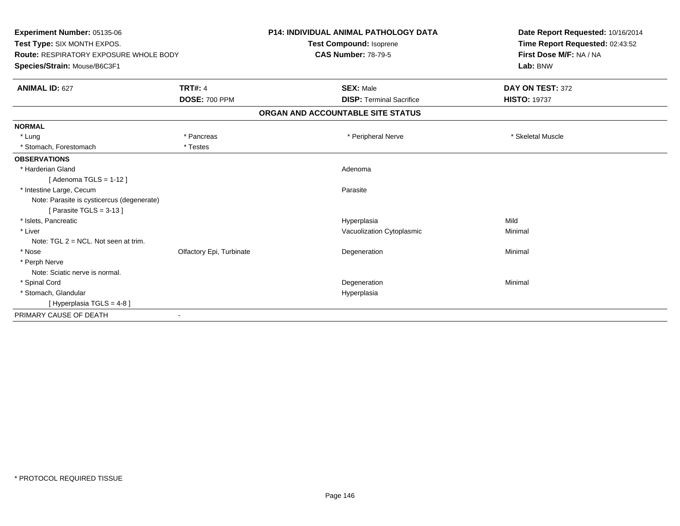| Experiment Number: 05135-06                   |                          | <b>P14: INDIVIDUAL ANIMAL PATHOLOGY DATA</b> | Date Report Requested: 10/16/2014                          |
|-----------------------------------------------|--------------------------|----------------------------------------------|------------------------------------------------------------|
| Test Type: SIX MONTH EXPOS.                   |                          | Test Compound: Isoprene                      | Time Report Requested: 02:43:52<br>First Dose M/F: NA / NA |
| <b>Route: RESPIRATORY EXPOSURE WHOLE BODY</b> |                          | <b>CAS Number: 78-79-5</b>                   |                                                            |
| Species/Strain: Mouse/B6C3F1                  |                          |                                              | Lab: BNW                                                   |
| <b>ANIMAL ID: 627</b>                         | <b>TRT#: 4</b>           | <b>SEX: Male</b>                             | DAY ON TEST: 372                                           |
|                                               | <b>DOSE: 700 PPM</b>     | <b>DISP: Terminal Sacrifice</b>              | <b>HISTO: 19737</b>                                        |
|                                               |                          | ORGAN AND ACCOUNTABLE SITE STATUS            |                                                            |
| <b>NORMAL</b>                                 |                          |                                              |                                                            |
| * Lung                                        | * Pancreas               | * Peripheral Nerve                           | * Skeletal Muscle                                          |
| * Stomach, Forestomach                        | * Testes                 |                                              |                                                            |
| <b>OBSERVATIONS</b>                           |                          |                                              |                                                            |
| * Harderian Gland                             |                          | Adenoma                                      |                                                            |
| [Adenoma TGLS = $1-12$ ]                      |                          |                                              |                                                            |
| * Intestine Large, Cecum                      |                          | Parasite                                     |                                                            |
| Note: Parasite is cysticercus (degenerate)    |                          |                                              |                                                            |
| [ Parasite TGLS = $3-13$ ]                    |                          |                                              |                                                            |
| * Islets, Pancreatic                          |                          | Hyperplasia                                  | Mild                                                       |
| * Liver                                       |                          | Vacuolization Cytoplasmic                    | Minimal                                                    |
| Note: $TGL 2 = NCL$ . Not seen at trim.       |                          |                                              |                                                            |
| * Nose                                        | Olfactory Epi, Turbinate | Degeneration                                 | Minimal                                                    |
| * Perph Nerve                                 |                          |                                              |                                                            |
| Note: Sciatic nerve is normal.                |                          |                                              |                                                            |
| * Spinal Cord                                 |                          | Degeneration                                 | Minimal                                                    |
| * Stomach, Glandular                          |                          | Hyperplasia                                  |                                                            |
| [Hyperplasia TGLS = 4-8]                      |                          |                                              |                                                            |
| PRIMARY CAUSE OF DEATH                        |                          |                                              |                                                            |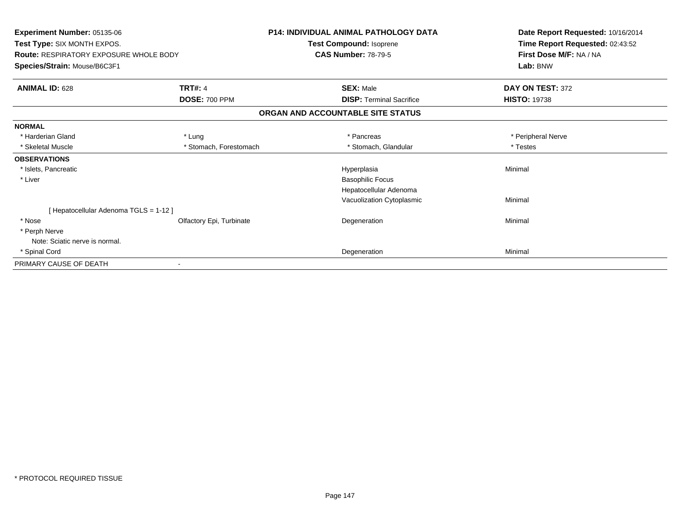| Experiment Number: 05135-06                   |                          | <b>P14: INDIVIDUAL ANIMAL PATHOLOGY DATA</b> | Date Report Requested: 10/16/2014 |
|-----------------------------------------------|--------------------------|----------------------------------------------|-----------------------------------|
| Test Type: SIX MONTH EXPOS.                   |                          | Test Compound: Isoprene                      | Time Report Requested: 02:43:52   |
| <b>Route: RESPIRATORY EXPOSURE WHOLE BODY</b> |                          | <b>CAS Number: 78-79-5</b>                   | First Dose M/F: NA / NA           |
| Species/Strain: Mouse/B6C3F1                  |                          |                                              | Lab: BNW                          |
| <b>ANIMAL ID: 628</b>                         | <b>TRT#: 4</b>           | <b>SEX: Male</b>                             | DAY ON TEST: 372                  |
|                                               | <b>DOSE: 700 PPM</b>     | <b>DISP: Terminal Sacrifice</b>              | <b>HISTO: 19738</b>               |
|                                               |                          | ORGAN AND ACCOUNTABLE SITE STATUS            |                                   |
| <b>NORMAL</b>                                 |                          |                                              |                                   |
| * Harderian Gland                             | * Lung                   | * Pancreas                                   | * Peripheral Nerve                |
| * Skeletal Muscle                             | * Stomach, Forestomach   | * Stomach, Glandular                         | * Testes                          |
| <b>OBSERVATIONS</b>                           |                          |                                              |                                   |
| * Islets, Pancreatic                          |                          | Hyperplasia                                  | Minimal                           |
| * Liver                                       |                          | <b>Basophilic Focus</b>                      |                                   |
|                                               |                          | Hepatocellular Adenoma                       |                                   |
|                                               |                          | Vacuolization Cytoplasmic                    | Minimal                           |
| [Hepatocellular Adenoma TGLS = 1-12]          |                          |                                              |                                   |
| * Nose                                        | Olfactory Epi, Turbinate | Degeneration                                 | Minimal                           |
| * Perph Nerve                                 |                          |                                              |                                   |
| Note: Sciatic nerve is normal.                |                          |                                              |                                   |
| * Spinal Cord                                 |                          | Degeneration                                 | Minimal                           |
| PRIMARY CAUSE OF DEATH                        |                          |                                              |                                   |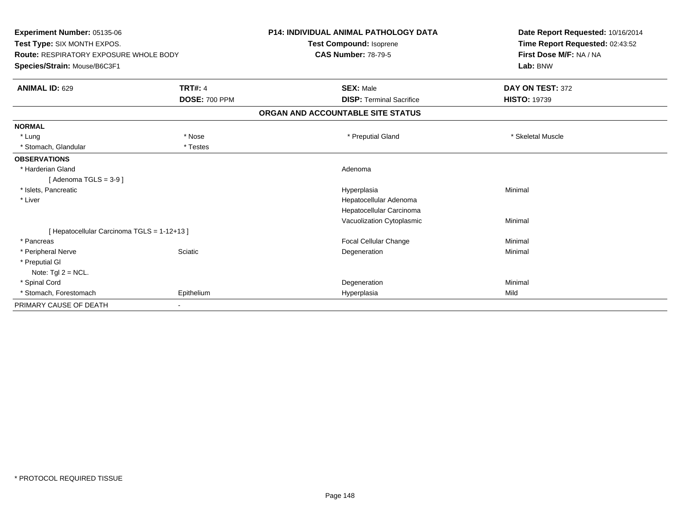| Experiment Number: 05135-06                                                  |                      | <b>P14: INDIVIDUAL ANIMAL PATHOLOGY DATA</b> | Date Report Requested: 10/16/2014 |
|------------------------------------------------------------------------------|----------------------|----------------------------------------------|-----------------------------------|
| Test Type: SIX MONTH EXPOS.<br><b>Route: RESPIRATORY EXPOSURE WHOLE BODY</b> |                      | <b>Test Compound: Isoprene</b>               | Time Report Requested: 02:43:52   |
|                                                                              |                      | <b>CAS Number: 78-79-5</b>                   | First Dose M/F: NA / NA           |
| Species/Strain: Mouse/B6C3F1                                                 |                      |                                              | Lab: BNW                          |
| <b>ANIMAL ID: 629</b>                                                        | <b>TRT#: 4</b>       | <b>SEX: Male</b>                             | DAY ON TEST: 372                  |
|                                                                              | <b>DOSE: 700 PPM</b> | <b>DISP: Terminal Sacrifice</b>              | <b>HISTO: 19739</b>               |
|                                                                              |                      | ORGAN AND ACCOUNTABLE SITE STATUS            |                                   |
| <b>NORMAL</b>                                                                |                      |                                              |                                   |
| * Lung                                                                       | * Nose               | * Preputial Gland                            | * Skeletal Muscle                 |
| * Stomach, Glandular                                                         | * Testes             |                                              |                                   |
| <b>OBSERVATIONS</b>                                                          |                      |                                              |                                   |
| * Harderian Gland                                                            |                      | Adenoma                                      |                                   |
| [Adenoma TGLS = $3-9$ ]                                                      |                      |                                              |                                   |
| * Islets, Pancreatic                                                         |                      | Hyperplasia                                  | Minimal                           |
| * Liver                                                                      |                      | Hepatocellular Adenoma                       |                                   |
|                                                                              |                      | Hepatocellular Carcinoma                     |                                   |
|                                                                              |                      | Vacuolization Cytoplasmic                    | Minimal                           |
| [ Hepatocellular Carcinoma TGLS = 1-12+13 ]                                  |                      |                                              |                                   |
| * Pancreas                                                                   |                      | Focal Cellular Change                        | Minimal                           |
| * Peripheral Nerve                                                           | Sciatic              | Degeneration                                 | Minimal                           |
| * Preputial GI                                                               |                      |                                              |                                   |
| Note: $Tgl 2 = NCL$ .                                                        |                      |                                              |                                   |
| * Spinal Cord                                                                |                      | Degeneration                                 | Minimal                           |
| * Stomach, Forestomach                                                       | Epithelium           | Hyperplasia                                  | Mild                              |
| PRIMARY CAUSE OF DEATH                                                       |                      |                                              |                                   |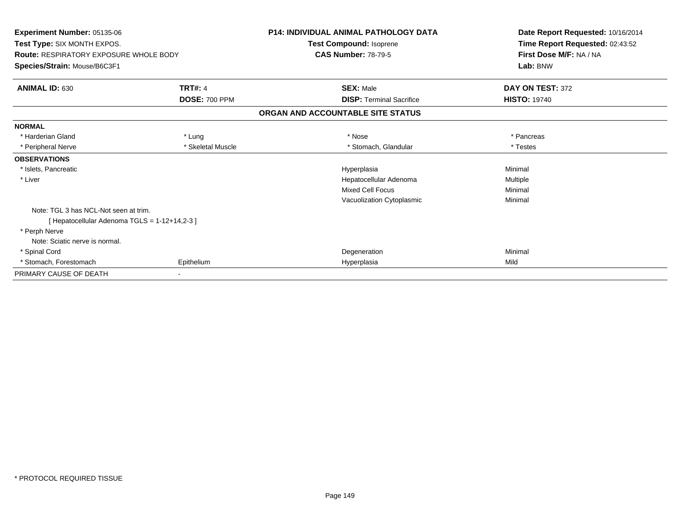| Experiment Number: 05135-06<br>Test Type: SIX MONTH EXPOS.<br><b>Route: RESPIRATORY EXPOSURE WHOLE BODY</b><br>Species/Strain: Mouse/B6C3F1 |                             | P14: INDIVIDUAL ANIMAL PATHOLOGY DATA<br>Test Compound: Isoprene<br><b>CAS Number: 78-79-5</b> | Date Report Requested: 10/16/2014<br>Time Report Requested: 02:43:52<br>First Dose M/F: NA / NA<br>Lab: BNW |
|---------------------------------------------------------------------------------------------------------------------------------------------|-----------------------------|------------------------------------------------------------------------------------------------|-------------------------------------------------------------------------------------------------------------|
| ANIMAL ID: 630                                                                                                                              | <b>TRT#: 4</b>              | <b>SEX: Male</b>                                                                               | DAY ON TEST: 372                                                                                            |
|                                                                                                                                             | <b>DOSE: 700 PPM</b>        | <b>DISP: Terminal Sacrifice</b><br>ORGAN AND ACCOUNTABLE SITE STATUS                           | <b>HISTO: 19740</b>                                                                                         |
| <b>NORMAL</b>                                                                                                                               |                             |                                                                                                |                                                                                                             |
| * Harderian Gland                                                                                                                           | * Lung<br>* Skeletal Muscle | * Nose<br>* Stomach, Glandular                                                                 | * Pancreas<br>* Testes                                                                                      |
| * Peripheral Nerve<br><b>OBSERVATIONS</b>                                                                                                   |                             |                                                                                                |                                                                                                             |
| * Islets, Pancreatic<br>* Liver                                                                                                             |                             | Hyperplasia<br>Hepatocellular Adenoma<br><b>Mixed Cell Focus</b><br>Vacuolization Cytoplasmic  | Minimal<br>Multiple<br>Minimal<br>Minimal                                                                   |
| Note: TGL 3 has NCL-Not seen at trim.<br>[ Hepatocellular Adenoma TGLS = 1-12+14,2-3 ]                                                      |                             |                                                                                                |                                                                                                             |
| * Perph Nerve<br>Note: Sciatic nerve is normal.                                                                                             |                             |                                                                                                |                                                                                                             |
| * Spinal Cord                                                                                                                               |                             | Degeneration                                                                                   | Minimal                                                                                                     |
| * Stomach, Forestomach                                                                                                                      | Epithelium                  | Hyperplasia                                                                                    | Mild                                                                                                        |
| PRIMARY CAUSE OF DEATH                                                                                                                      |                             |                                                                                                |                                                                                                             |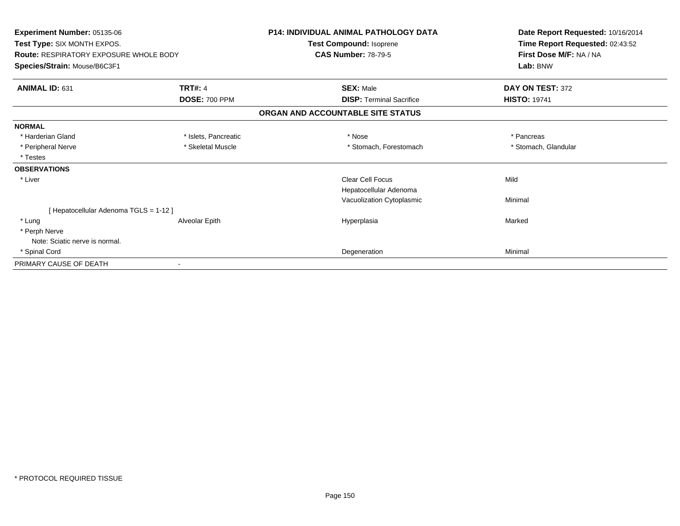| Experiment Number: 05135-06                   |                      | <b>P14: INDIVIDUAL ANIMAL PATHOLOGY DATA</b> | Date Report Requested: 10/16/2014 |
|-----------------------------------------------|----------------------|----------------------------------------------|-----------------------------------|
| Test Type: SIX MONTH EXPOS.                   |                      | Test Compound: Isoprene                      | Time Report Requested: 02:43:52   |
| <b>Route: RESPIRATORY EXPOSURE WHOLE BODY</b> |                      | <b>CAS Number: 78-79-5</b>                   | First Dose M/F: NA / NA           |
| Species/Strain: Mouse/B6C3F1                  |                      |                                              | Lab: BNW                          |
| <b>ANIMAL ID: 631</b>                         | <b>TRT#: 4</b>       | <b>SEX: Male</b>                             | DAY ON TEST: 372                  |
|                                               | <b>DOSE: 700 PPM</b> | <b>DISP: Terminal Sacrifice</b>              | <b>HISTO: 19741</b>               |
|                                               |                      | ORGAN AND ACCOUNTABLE SITE STATUS            |                                   |
| <b>NORMAL</b>                                 |                      |                                              |                                   |
| * Harderian Gland                             | * Islets, Pancreatic | * Nose                                       | * Pancreas                        |
| * Peripheral Nerve                            | * Skeletal Muscle    | * Stomach, Forestomach                       | * Stomach, Glandular              |
| * Testes                                      |                      |                                              |                                   |
| <b>OBSERVATIONS</b>                           |                      |                                              |                                   |
| * Liver                                       |                      | Clear Cell Focus                             | Mild                              |
|                                               |                      | Hepatocellular Adenoma                       |                                   |
|                                               |                      | Vacuolization Cytoplasmic                    | Minimal                           |
| [ Hepatocellular Adenoma TGLS = 1-12 ]        |                      |                                              |                                   |
| * Lung                                        | Alveolar Epith       | Hyperplasia                                  | Marked                            |
| * Perph Nerve                                 |                      |                                              |                                   |
| Note: Sciatic nerve is normal.                |                      |                                              |                                   |
| * Spinal Cord                                 |                      | Degeneration                                 | Minimal                           |
| PRIMARY CAUSE OF DEATH                        |                      |                                              |                                   |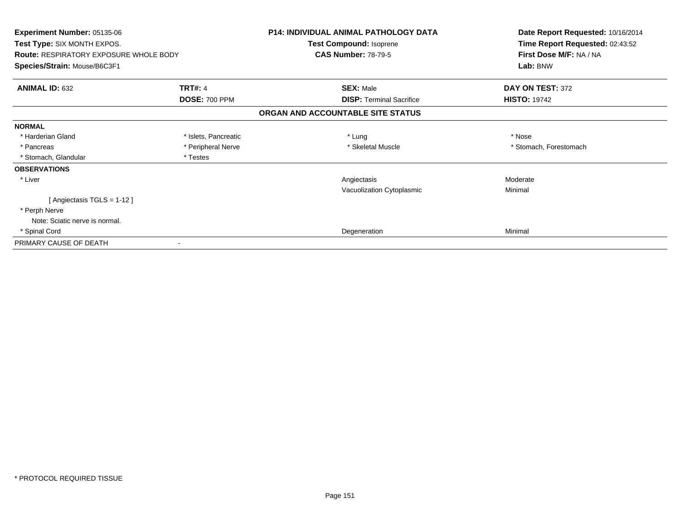| Experiment Number: 05135-06<br>Test Type: SIX MONTH EXPOS.<br><b>Route: RESPIRATORY EXPOSURE WHOLE BODY</b> |                      | <b>P14: INDIVIDUAL ANIMAL PATHOLOGY DATA</b><br><b>Test Compound: Isoprene</b><br><b>CAS Number: 78-79-5</b> | Date Report Requested: 10/16/2014<br>Time Report Requested: 02:43:52<br>First Dose M/F: NA / NA |
|-------------------------------------------------------------------------------------------------------------|----------------------|--------------------------------------------------------------------------------------------------------------|-------------------------------------------------------------------------------------------------|
| Species/Strain: Mouse/B6C3F1                                                                                |                      |                                                                                                              | Lab: BNW                                                                                        |
| <b>ANIMAL ID: 632</b>                                                                                       | <b>TRT#: 4</b>       | <b>SEX: Male</b>                                                                                             | DAY ON TEST: 372                                                                                |
|                                                                                                             | <b>DOSE: 700 PPM</b> | <b>DISP:</b> Terminal Sacrifice                                                                              | <b>HISTO: 19742</b>                                                                             |
|                                                                                                             |                      | ORGAN AND ACCOUNTABLE SITE STATUS                                                                            |                                                                                                 |
| <b>NORMAL</b>                                                                                               |                      |                                                                                                              |                                                                                                 |
| * Harderian Gland                                                                                           | * Islets, Pancreatic | * Lung                                                                                                       | * Nose                                                                                          |
| * Pancreas                                                                                                  | * Peripheral Nerve   | * Skeletal Muscle                                                                                            | * Stomach, Forestomach                                                                          |
| * Stomach, Glandular                                                                                        | * Testes             |                                                                                                              |                                                                                                 |
| <b>OBSERVATIONS</b>                                                                                         |                      |                                                                                                              |                                                                                                 |
| * Liver                                                                                                     |                      | Angiectasis                                                                                                  | Moderate                                                                                        |
|                                                                                                             |                      | Vacuolization Cytoplasmic                                                                                    | Minimal                                                                                         |
| [ Angiectasis TGLS = 1-12 ]                                                                                 |                      |                                                                                                              |                                                                                                 |
| * Perph Nerve                                                                                               |                      |                                                                                                              |                                                                                                 |
| Note: Sciatic nerve is normal.                                                                              |                      |                                                                                                              |                                                                                                 |
| * Spinal Cord                                                                                               |                      | Degeneration                                                                                                 | Minimal                                                                                         |
| PRIMARY CAUSE OF DEATH                                                                                      |                      |                                                                                                              |                                                                                                 |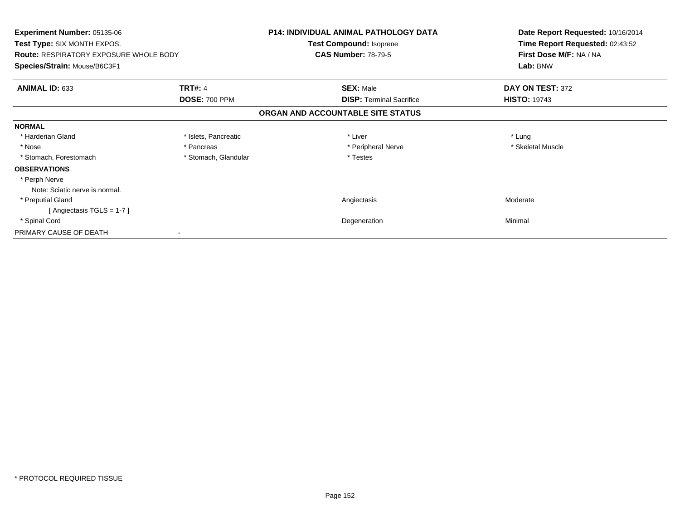| <b>Experiment Number: 05135-06</b>            |                      | <b>P14: INDIVIDUAL ANIMAL PATHOLOGY DATA</b> | Date Report Requested: 10/16/2014 |
|-----------------------------------------------|----------------------|----------------------------------------------|-----------------------------------|
| <b>Test Type: SIX MONTH EXPOS.</b>            |                      | Test Compound: Isoprene                      | Time Report Requested: 02:43:52   |
| <b>Route: RESPIRATORY EXPOSURE WHOLE BODY</b> |                      | <b>CAS Number: 78-79-5</b>                   | First Dose M/F: NA / NA           |
| Species/Strain: Mouse/B6C3F1                  |                      |                                              | Lab: BNW                          |
| <b>ANIMAL ID: 633</b>                         | <b>TRT#: 4</b>       | <b>SEX: Male</b>                             | DAY ON TEST: 372                  |
|                                               | <b>DOSE: 700 PPM</b> | <b>DISP:</b> Terminal Sacrifice              | <b>HISTO: 19743</b>               |
|                                               |                      | ORGAN AND ACCOUNTABLE SITE STATUS            |                                   |
| <b>NORMAL</b>                                 |                      |                                              |                                   |
| * Harderian Gland                             | * Islets, Pancreatic | * Liver                                      | * Lung                            |
| * Nose                                        | * Pancreas           | * Peripheral Nerve                           | * Skeletal Muscle                 |
| * Stomach, Forestomach                        | * Stomach, Glandular | * Testes                                     |                                   |
| <b>OBSERVATIONS</b>                           |                      |                                              |                                   |
| * Perph Nerve                                 |                      |                                              |                                   |
| Note: Sciatic nerve is normal.                |                      |                                              |                                   |
| * Preputial Gland                             |                      | Angiectasis                                  | Moderate                          |
| [Angiectasis TGLS = $1-7$ ]                   |                      |                                              |                                   |
| * Spinal Cord                                 |                      | Degeneration                                 | Minimal                           |
| PRIMARY CAUSE OF DEATH                        |                      |                                              |                                   |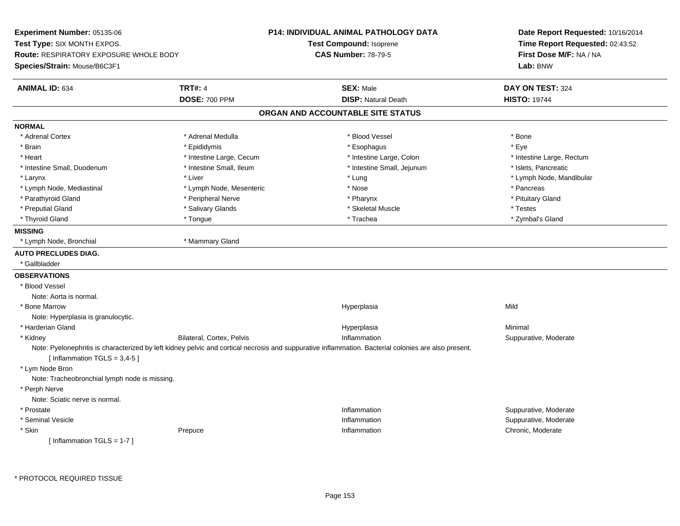**Experiment Number:** 05135-06**Test Type:** SIX MONTH EXPOS.**Route:** RESPIRATORY EXPOSURE WHOLE BODY**Species/Strain:** Mouse/B6C3F1**P14: INDIVIDUAL ANIMAL PATHOLOGY DATATest Compound:** Isoprene**CAS Number:** 78-79-5**Date Report Requested:** 10/16/2014**Time Report Requested:** 02:43:52**First Dose M/F:** NA / NA**Lab:** BNW**ANIMAL ID:** 634**TRT#:** 4 **SEX:** Male **DAY ON TEST:** 324 **DOSE:** 700 PPM**DISP:** Natural Death **HISTO:** 19744 **ORGAN AND ACCOUNTABLE SITE STATUSNORMAL**\* Adrenal Cortex \* Adrenal Medulla \* Adrenal Medulla \* Blood Vessel \* Bood Vessel \* Bone \* Bone \* Bone \* Bone \* Bone \* Bone \* Bone \* Bone \* Bone \* Bone \* Bone \* Bone \* Bone \* Bone \* Bone \* Bone \* Bone \* Bone \* Bone \* Bone \* Bone \* Bone \* \* \* Eve \* Brain \* \* Expediance \* Epididymis \* \* Expediance \* \* Esophagus \* Expediance \* \* Expediance \* Eye \* Eye \* Heart Thestine Large, Cecum Thestine Large, Cecum And Alternative Large, Colon Thestine Large, Rectum \* Intestine Large, Rectum \* Intestine Large, Rectum \* Intestine Small, Duodenum \* Intestine Small, Ileum \* Intestine Small, Jejunum \* Islets, Pancreatic\* Larynx \* Louis \* Liver \* Liver \* Louis \* Lung \* Lung \* Louis \* Louis \* Louis \* Louis \* Lymph Node, Mandibular \* Lymph Node, Mediastinal \* The state of the second text of the second text of the second text of the second text of the second of the second text of the second text of the second text of the second text of the second text \* Pituitary Gland \* Parathyroid Gland \* **Arror and \* Peripheral Nerve \* Pharynx \* Pharynx \* Pharynx** \* Pharynx \* Preputial Gland \* \* \* \* Salivary Glands \* \* \* Salivary Glands \* \* Skeletal Muscle \* \* \* Testes \* \* Testes \* \* Zymbal's Gland \* Thyroid Gland \* Tongue \* Trachea \* Zymbal's Gland **MISSING** \* Lymph Node, Bronchial \* Mammary Gland**AUTO PRECLUDES DIAG.** \* Gallbladder**OBSERVATIONS** \* Blood VesselNote: Aorta is normal. \* Bone Marroww which is a controller to the Hyperplasia controller that  $\mathsf{Mild}$ Note: Hyperplasia is granulocytic. \* Harderian Glandd and the control of the control of the control of the Hyperplasia and the control of the control of the control of the control of the control of the control of the control of the control of the control of the control of t \* KidneyBilateral, Cortex, Pelvis **Inflammation**  Suppurative, Moderate Note: Pyelonephritis is characterized by left kidney pelvic and cortical necrosis and suppurative inflammation. Bacterial colonies are also present. $[$  Inflammation TGLS = 3,4-5  $]$  \* Lym Node Bron Note: Tracheobronchial lymph node is missing. \* Perph Nerve Note: Sciatic nerve is normal. \* Prostatee inflammation inflammation in the suppurative, Moderate expansion in the suppurative, Moderate expansion in the suppurative, Moderate  $\epsilon$  \* Seminal Vesiclee inflammation inflammation in the support of the Suppurative, Moderate entry the Suppurative, Moderate entry  $\sim$  Suppurative, Moderate entry  $\sim$  Suppurative, Moderate entry  $\sim$  Suppurative, Moderate entry  $\sim$  Suppurat \* Skinn and the prepuce that the prepulse of the chronic and the chronic of the Prepuce of the Prepuce of the chronic, Moderate  $\Gamma$ [ Inflammation TGLS = 1-7 ]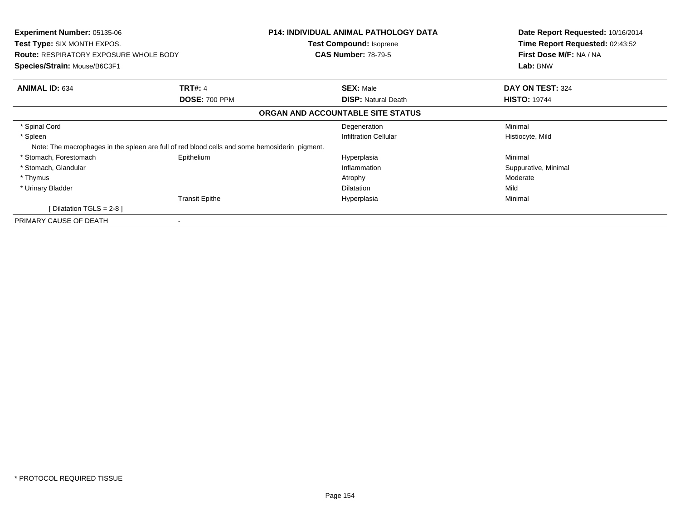| <b>Experiment Number: 05135-06</b><br>Test Type: SIX MONTH EXPOS.<br><b>Route: RESPIRATORY EXPOSURE WHOLE BODY</b><br>Species/Strain: Mouse/B6C3F1 |                                                                                               | P14: INDIVIDUAL ANIMAL PATHOLOGY DATA<br>Test Compound: Isoprene<br><b>CAS Number: 78-79-5</b> | Date Report Requested: 10/16/2014<br>Time Report Requested: 02:43:52<br>First Dose M/F: NA / NA<br>Lab: BNW |
|----------------------------------------------------------------------------------------------------------------------------------------------------|-----------------------------------------------------------------------------------------------|------------------------------------------------------------------------------------------------|-------------------------------------------------------------------------------------------------------------|
| <b>ANIMAL ID: 634</b>                                                                                                                              | <b>TRT#: 4</b>                                                                                | <b>SEX: Male</b>                                                                               | DAY ON TEST: 324                                                                                            |
|                                                                                                                                                    | <b>DOSE: 700 PPM</b>                                                                          | <b>DISP:</b> Natural Death                                                                     | <b>HISTO: 19744</b>                                                                                         |
|                                                                                                                                                    |                                                                                               | ORGAN AND ACCOUNTABLE SITE STATUS                                                              |                                                                                                             |
| * Spinal Cord                                                                                                                                      |                                                                                               | Degeneration                                                                                   | Minimal                                                                                                     |
| * Spleen                                                                                                                                           |                                                                                               | <b>Infiltration Cellular</b>                                                                   | Histiocyte, Mild                                                                                            |
|                                                                                                                                                    | Note: The macrophages in the spleen are full of red blood cells and some hemosiderin pigment. |                                                                                                |                                                                                                             |
| * Stomach, Forestomach                                                                                                                             | Epithelium                                                                                    | Hyperplasia                                                                                    | Minimal                                                                                                     |
| * Stomach, Glandular                                                                                                                               |                                                                                               | Inflammation                                                                                   | Suppurative, Minimal                                                                                        |
| * Thymus                                                                                                                                           |                                                                                               | Atrophy                                                                                        | Moderate                                                                                                    |
| * Urinary Bladder                                                                                                                                  |                                                                                               | <b>Dilatation</b>                                                                              | Mild                                                                                                        |
|                                                                                                                                                    | <b>Transit Epithe</b>                                                                         | Hyperplasia                                                                                    | Minimal                                                                                                     |
| [Dilatation TGLS = $2-8$ ]                                                                                                                         |                                                                                               |                                                                                                |                                                                                                             |
| PRIMARY CAUSE OF DEATH                                                                                                                             |                                                                                               |                                                                                                |                                                                                                             |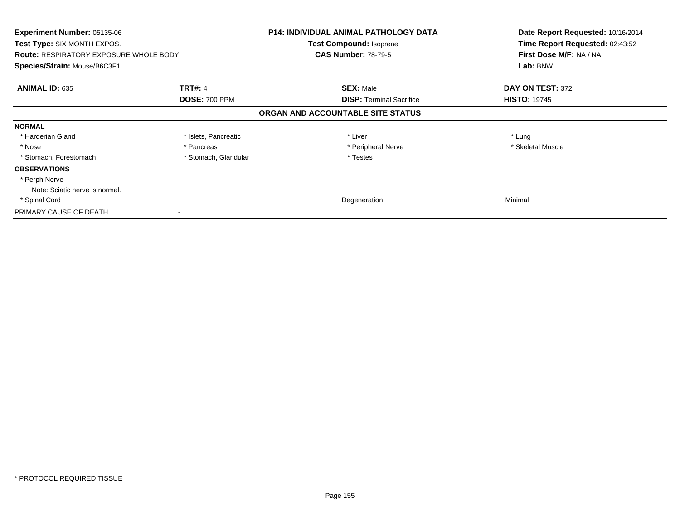| <b>Experiment Number: 05135-06</b><br>Test Type: SIX MONTH EXPOS.<br><b>Route: RESPIRATORY EXPOSURE WHOLE BODY</b> |                      | <b>P14: INDIVIDUAL ANIMAL PATHOLOGY DATA</b><br>Test Compound: Isoprene<br><b>CAS Number: 78-79-5</b> | Date Report Requested: 10/16/2014<br>Time Report Requested: 02:43:52<br>First Dose M/F: NA / NA |
|--------------------------------------------------------------------------------------------------------------------|----------------------|-------------------------------------------------------------------------------------------------------|-------------------------------------------------------------------------------------------------|
| Species/Strain: Mouse/B6C3F1                                                                                       |                      |                                                                                                       | Lab: BNW                                                                                        |
| <b>ANIMAL ID: 635</b>                                                                                              | <b>TRT#: 4</b>       | <b>SEX: Male</b>                                                                                      | DAY ON TEST: 372                                                                                |
|                                                                                                                    | <b>DOSE: 700 PPM</b> | <b>DISP: Terminal Sacrifice</b>                                                                       | <b>HISTO: 19745</b>                                                                             |
|                                                                                                                    |                      | ORGAN AND ACCOUNTABLE SITE STATUS                                                                     |                                                                                                 |
| <b>NORMAL</b>                                                                                                      |                      |                                                                                                       |                                                                                                 |
| * Harderian Gland                                                                                                  | * Islets, Pancreatic | * Liver                                                                                               | * Lung                                                                                          |
| * Nose                                                                                                             | * Pancreas           | * Peripheral Nerve                                                                                    | * Skeletal Muscle                                                                               |
| * Stomach, Forestomach                                                                                             | * Stomach, Glandular | * Testes                                                                                              |                                                                                                 |
| <b>OBSERVATIONS</b>                                                                                                |                      |                                                                                                       |                                                                                                 |
| * Perph Nerve                                                                                                      |                      |                                                                                                       |                                                                                                 |
| Note: Sciatic nerve is normal.                                                                                     |                      |                                                                                                       |                                                                                                 |
| * Spinal Cord                                                                                                      |                      | Degeneration                                                                                          | Minimal                                                                                         |
| PRIMARY CAUSE OF DEATH                                                                                             |                      |                                                                                                       |                                                                                                 |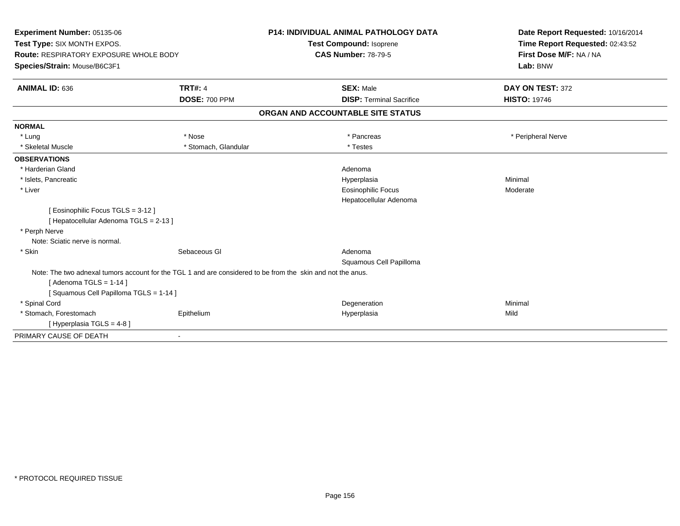| Experiment Number: 05135-06<br>Test Type: SIX MONTH EXPOS.                                                  |                      | <b>P14: INDIVIDUAL ANIMAL PATHOLOGY DATA</b><br><b>Test Compound: Isoprene</b> | Date Report Requested: 10/16/2014<br>Time Report Requested: 02:43:52 |  |
|-------------------------------------------------------------------------------------------------------------|----------------------|--------------------------------------------------------------------------------|----------------------------------------------------------------------|--|
| Route: RESPIRATORY EXPOSURE WHOLE BODY                                                                      |                      | <b>CAS Number: 78-79-5</b>                                                     | First Dose M/F: NA / NA                                              |  |
| Species/Strain: Mouse/B6C3F1                                                                                |                      |                                                                                | Lab: BNW                                                             |  |
| <b>ANIMAL ID: 636</b>                                                                                       | <b>TRT#: 4</b>       | <b>SEX: Male</b>                                                               | DAY ON TEST: 372                                                     |  |
|                                                                                                             | <b>DOSE: 700 PPM</b> | <b>DISP: Terminal Sacrifice</b>                                                | <b>HISTO: 19746</b>                                                  |  |
|                                                                                                             |                      | ORGAN AND ACCOUNTABLE SITE STATUS                                              |                                                                      |  |
| <b>NORMAL</b>                                                                                               |                      |                                                                                |                                                                      |  |
| * Lung                                                                                                      | * Nose               | * Pancreas                                                                     | * Peripheral Nerve                                                   |  |
| * Skeletal Muscle                                                                                           | * Stomach, Glandular | * Testes                                                                       |                                                                      |  |
| <b>OBSERVATIONS</b>                                                                                         |                      |                                                                                |                                                                      |  |
| * Harderian Gland                                                                                           |                      | Adenoma                                                                        |                                                                      |  |
| * Islets, Pancreatic                                                                                        |                      | Hyperplasia                                                                    | Minimal                                                              |  |
| * Liver                                                                                                     |                      | <b>Eosinophilic Focus</b>                                                      | Moderate                                                             |  |
|                                                                                                             |                      | Hepatocellular Adenoma                                                         |                                                                      |  |
| [ Eosinophilic Focus TGLS = 3-12 ]<br>[ Hepatocellular Adenoma TGLS = 2-13 ]                                |                      |                                                                                |                                                                      |  |
| * Perph Nerve                                                                                               |                      |                                                                                |                                                                      |  |
| Note: Sciatic nerve is normal.                                                                              |                      |                                                                                |                                                                      |  |
| * Skin                                                                                                      | Sebaceous GI         | Adenoma                                                                        |                                                                      |  |
|                                                                                                             |                      | Squamous Cell Papilloma                                                        |                                                                      |  |
| Note: The two adnexal tumors account for the TGL 1 and are considered to be from the skin and not the anus. |                      |                                                                                |                                                                      |  |
| [Adenoma TGLS = $1-14$ ]                                                                                    |                      |                                                                                |                                                                      |  |
| [Squamous Cell Papilloma TGLS = 1-14]                                                                       |                      |                                                                                |                                                                      |  |
| * Spinal Cord                                                                                               |                      | Degeneration                                                                   | Minimal                                                              |  |
| * Stomach, Forestomach                                                                                      | Epithelium           | Hyperplasia                                                                    | Mild                                                                 |  |
| [Hyperplasia TGLS = $4-8$ ]                                                                                 |                      |                                                                                |                                                                      |  |
| PRIMARY CAUSE OF DEATH                                                                                      | $\blacksquare$       |                                                                                |                                                                      |  |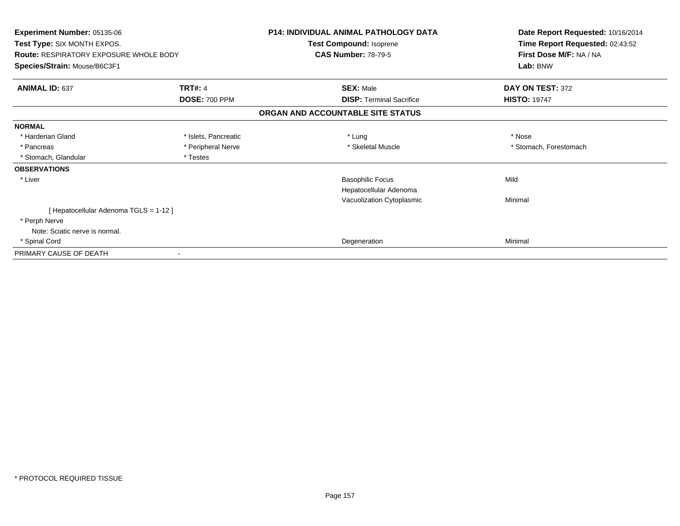| Experiment Number: 05135-06<br>Test Type: SIX MONTH EXPOS.<br><b>Route: RESPIRATORY EXPOSURE WHOLE BODY</b> |                      | <b>P14: INDIVIDUAL ANIMAL PATHOLOGY DATA</b><br>Test Compound: Isoprene<br><b>CAS Number: 78-79-5</b> | Date Report Requested: 10/16/2014<br>Time Report Requested: 02:43:52<br>First Dose M/F: NA / NA |
|-------------------------------------------------------------------------------------------------------------|----------------------|-------------------------------------------------------------------------------------------------------|-------------------------------------------------------------------------------------------------|
| Species/Strain: Mouse/B6C3F1                                                                                |                      |                                                                                                       | Lab: BNW                                                                                        |
| <b>ANIMAL ID: 637</b>                                                                                       | <b>TRT#: 4</b>       | <b>SEX: Male</b>                                                                                      | DAY ON TEST: 372                                                                                |
|                                                                                                             | <b>DOSE: 700 PPM</b> | <b>DISP: Terminal Sacrifice</b>                                                                       | <b>HISTO: 19747</b>                                                                             |
|                                                                                                             |                      | ORGAN AND ACCOUNTABLE SITE STATUS                                                                     |                                                                                                 |
| <b>NORMAL</b>                                                                                               |                      |                                                                                                       |                                                                                                 |
| * Harderian Gland                                                                                           | * Islets, Pancreatic | * Lung                                                                                                | * Nose                                                                                          |
| * Pancreas                                                                                                  | * Peripheral Nerve   | * Skeletal Muscle                                                                                     | * Stomach, Forestomach                                                                          |
| * Stomach, Glandular                                                                                        | * Testes             |                                                                                                       |                                                                                                 |
| <b>OBSERVATIONS</b>                                                                                         |                      |                                                                                                       |                                                                                                 |
| * Liver                                                                                                     |                      | <b>Basophilic Focus</b>                                                                               | Mild                                                                                            |
|                                                                                                             |                      | Hepatocellular Adenoma                                                                                |                                                                                                 |
|                                                                                                             |                      | Vacuolization Cytoplasmic                                                                             | Minimal                                                                                         |
| [ Hepatocellular Adenoma TGLS = 1-12 ]                                                                      |                      |                                                                                                       |                                                                                                 |
| * Perph Nerve                                                                                               |                      |                                                                                                       |                                                                                                 |
| Note: Sciatic nerve is normal.                                                                              |                      |                                                                                                       |                                                                                                 |
| * Spinal Cord                                                                                               |                      | Degeneration                                                                                          | Minimal                                                                                         |
| PRIMARY CAUSE OF DEATH                                                                                      |                      |                                                                                                       |                                                                                                 |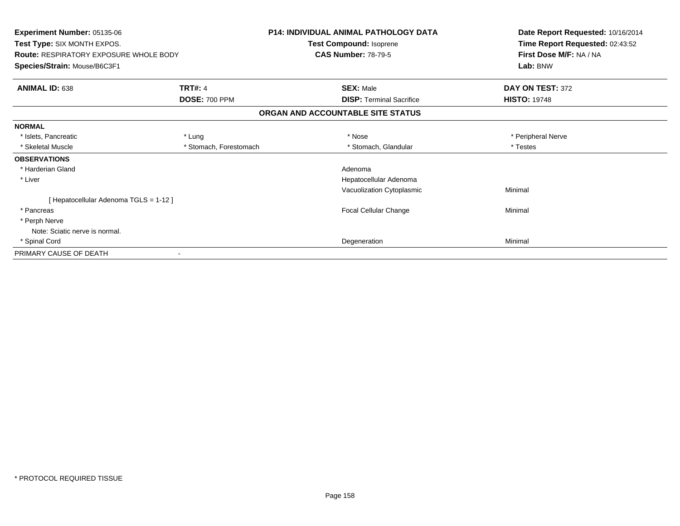| <b>Experiment Number: 05135-06</b><br>Test Type: SIX MONTH EXPOS.<br><b>Route: RESPIRATORY EXPOSURE WHOLE BODY</b><br>Species/Strain: Mouse/B6C3F1 |                                   | <b>P14: INDIVIDUAL ANIMAL PATHOLOGY DATA</b><br>Test Compound: Isoprene<br><b>CAS Number: 78-79-5</b> | Date Report Requested: 10/16/2014<br>Time Report Requested: 02:43:52<br>First Dose M/F: NA / NA<br>Lab: BNW |  |  |  |  |
|----------------------------------------------------------------------------------------------------------------------------------------------------|-----------------------------------|-------------------------------------------------------------------------------------------------------|-------------------------------------------------------------------------------------------------------------|--|--|--|--|
| ANIMAL ID: 638                                                                                                                                     | <b>TRT#: 4</b>                    | <b>SEX: Male</b>                                                                                      | DAY ON TEST: 372                                                                                            |  |  |  |  |
|                                                                                                                                                    | <b>DOSE: 700 PPM</b>              | <b>DISP: Terminal Sacrifice</b>                                                                       | <b>HISTO: 19748</b>                                                                                         |  |  |  |  |
|                                                                                                                                                    | ORGAN AND ACCOUNTABLE SITE STATUS |                                                                                                       |                                                                                                             |  |  |  |  |
| <b>NORMAL</b>                                                                                                                                      |                                   |                                                                                                       |                                                                                                             |  |  |  |  |
| * Islets, Pancreatic                                                                                                                               | * Lung                            | * Nose                                                                                                | * Peripheral Nerve                                                                                          |  |  |  |  |
| * Skeletal Muscle                                                                                                                                  | * Stomach, Forestomach            | * Stomach, Glandular                                                                                  | * Testes                                                                                                    |  |  |  |  |
| <b>OBSERVATIONS</b>                                                                                                                                |                                   |                                                                                                       |                                                                                                             |  |  |  |  |
| * Harderian Gland                                                                                                                                  |                                   | Adenoma                                                                                               |                                                                                                             |  |  |  |  |
| * Liver                                                                                                                                            |                                   | Hepatocellular Adenoma                                                                                |                                                                                                             |  |  |  |  |
|                                                                                                                                                    |                                   | Vacuolization Cytoplasmic                                                                             | Minimal                                                                                                     |  |  |  |  |
| [Hepatocellular Adenoma TGLS = 1-12]                                                                                                               |                                   |                                                                                                       |                                                                                                             |  |  |  |  |
| * Pancreas                                                                                                                                         |                                   | Focal Cellular Change                                                                                 | Minimal                                                                                                     |  |  |  |  |
| * Perph Nerve                                                                                                                                      |                                   |                                                                                                       |                                                                                                             |  |  |  |  |
| Note: Sciatic nerve is normal.                                                                                                                     |                                   |                                                                                                       |                                                                                                             |  |  |  |  |
| * Spinal Cord                                                                                                                                      |                                   | Degeneration                                                                                          | Minimal                                                                                                     |  |  |  |  |
| PRIMARY CAUSE OF DEATH                                                                                                                             |                                   |                                                                                                       |                                                                                                             |  |  |  |  |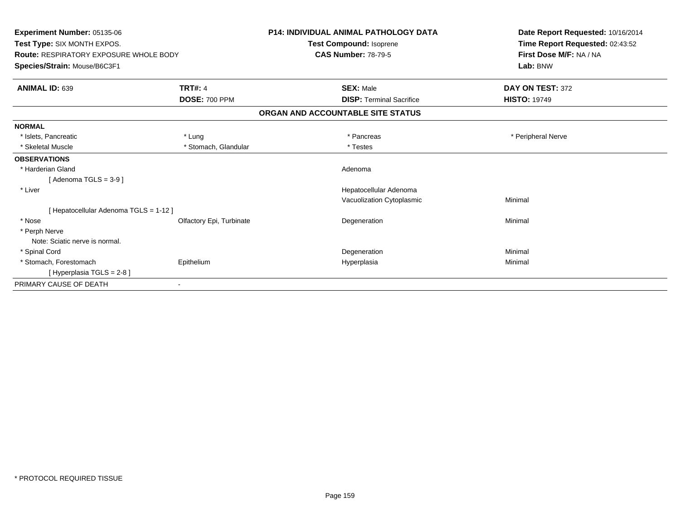| Experiment Number: 05135-06<br>Test Type: SIX MONTH EXPOS.<br>Route: RESPIRATORY EXPOSURE WHOLE BODY<br>Species/Strain: Mouse/B6C3F1 |                          | <b>P14: INDIVIDUAL ANIMAL PATHOLOGY DATA</b><br>Test Compound: Isoprene<br><b>CAS Number: 78-79-5</b> | Date Report Requested: 10/16/2014<br>Time Report Requested: 02:43:52<br>First Dose M/F: NA / NA<br>Lab: BNW |
|--------------------------------------------------------------------------------------------------------------------------------------|--------------------------|-------------------------------------------------------------------------------------------------------|-------------------------------------------------------------------------------------------------------------|
|                                                                                                                                      |                          |                                                                                                       |                                                                                                             |
| <b>ANIMAL ID: 639</b>                                                                                                                | <b>TRT#: 4</b>           | <b>SEX: Male</b>                                                                                      | DAY ON TEST: 372                                                                                            |
|                                                                                                                                      | <b>DOSE: 700 PPM</b>     | <b>DISP: Terminal Sacrifice</b>                                                                       | <b>HISTO: 19749</b>                                                                                         |
|                                                                                                                                      |                          | ORGAN AND ACCOUNTABLE SITE STATUS                                                                     |                                                                                                             |
| <b>NORMAL</b>                                                                                                                        |                          |                                                                                                       |                                                                                                             |
| * Islets, Pancreatic                                                                                                                 | * Lung                   | * Pancreas                                                                                            | * Peripheral Nerve                                                                                          |
| * Skeletal Muscle                                                                                                                    | * Stomach, Glandular     | * Testes                                                                                              |                                                                                                             |
| <b>OBSERVATIONS</b>                                                                                                                  |                          |                                                                                                       |                                                                                                             |
| * Harderian Gland                                                                                                                    |                          | Adenoma                                                                                               |                                                                                                             |
| [Adenoma TGLS = $3-9$ ]                                                                                                              |                          |                                                                                                       |                                                                                                             |
| * Liver                                                                                                                              |                          | Hepatocellular Adenoma                                                                                |                                                                                                             |
|                                                                                                                                      |                          | Vacuolization Cytoplasmic                                                                             | Minimal                                                                                                     |
| [ Hepatocellular Adenoma TGLS = 1-12 ]                                                                                               |                          |                                                                                                       |                                                                                                             |
| * Nose                                                                                                                               | Olfactory Epi, Turbinate | Degeneration                                                                                          | Minimal                                                                                                     |
| * Perph Nerve                                                                                                                        |                          |                                                                                                       |                                                                                                             |
| Note: Sciatic nerve is normal.                                                                                                       |                          |                                                                                                       |                                                                                                             |
| * Spinal Cord                                                                                                                        |                          | Degeneration                                                                                          | Minimal                                                                                                     |
| * Stomach, Forestomach                                                                                                               | Epithelium               | Hyperplasia                                                                                           | Minimal                                                                                                     |
| [Hyperplasia TGLS = 2-8]                                                                                                             |                          |                                                                                                       |                                                                                                             |
| PRIMARY CAUSE OF DEATH                                                                                                               |                          |                                                                                                       |                                                                                                             |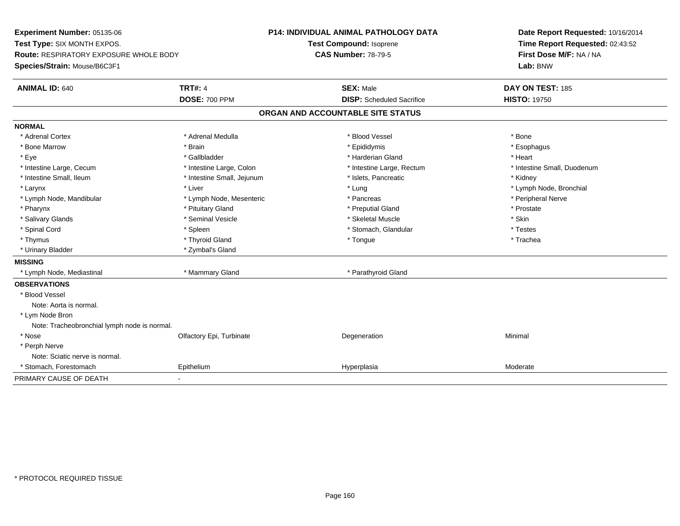**Experiment Number:** 05135-06**Test Type:** SIX MONTH EXPOS.**Route:** RESPIRATORY EXPOSURE WHOLE BODY**Species/Strain:** Mouse/B6C3F1**P14: INDIVIDUAL ANIMAL PATHOLOGY DATATest Compound:** Isoprene**CAS Number:** 78-79-5**Date Report Requested:** 10/16/2014**Time Report Requested:** 02:43:52**First Dose M/F:** NA / NA**Lab:** BNW**ANIMAL ID:** 640**TRT#:** 4 **SEX:** Male **DAY ON TEST:** 185 **DOSE:** 700 PPM**DISP:** Scheduled Sacrifice **HISTO:** 19750 **ORGAN AND ACCOUNTABLE SITE STATUSNORMAL**\* Adrenal Cortex \* Adrenal Cortex \* \* Adrenal Medulla \* \* Adrenal Medulla \* \* Blood Vessel \* \* Brood Vessel \* \* Bone \* Esophagus \* Bone Marrow \* Brain \* Epididymis \* Esophagus \* Eye \* \* Gallbladder \* \* Gallbladder \* \* \* \* Harderian Gland \* \* Heart \* Heart \* Heart \* Heart \* Heart \* Heart \* Intestine Large, Cecum \* Intestine Large, Colon \* Intestine Large, Thestine Large, Rectum \* Intestine Small, Duodenum \* Intestine Small, Ileum \* **Allen and The Accord Accord Test intervents** \* Islets, Pancreatic \* The manus \* Kidney \* Larynx \* Louis \* Liver \* Lung \* Lung \* Lung \* Lung \* Lung \* Lymph Node, Bronchial \* Lymph Node, Bronchial \* \* Lymph Node, Mandibular \* Lymph Node, Mesenteric \* Pancreas \* Peripheral Nerve\* Pharynx \* Pituitary Gland \* Preputial Gland \* Prostate \* Salivary Glands \* Seminal Vesicle \* Skeletal Muscle \* Skin\* Testes \* Spinal Cord \* Spinal Cord \* Spinal Cord \* Stomach, Glandular \* Stomach, Glandular \* Stomach, Glandular \* Testesse \* Trachea \* Thymus \* \* The mode of the total term of the total term of the total term of the total term of the total term of the total term of the total term of the total term of the total term of the total term of the total term of \* Urinary Bladder \* Zymbal's Gland**MISSING** \* Lymph Node, Mediastinal \* Mammary Gland \* Parathyroid Gland**OBSERVATIONS** \* Blood VesselNote: Aorta is normal. \* Lym Node Bron Note: Tracheobronchial lymph node is normal. \* Nosee and the Colfactory Epi, Turbinate and the Coleman Degeneration Coleman Minimal Minimal \* Perph Nerve Note: Sciatic nerve is normal. \* Stomach, Forestomach Epitheliumm Moderate Manuel Hyperplasia Moderate Moderate PRIMARY CAUSE OF DEATH-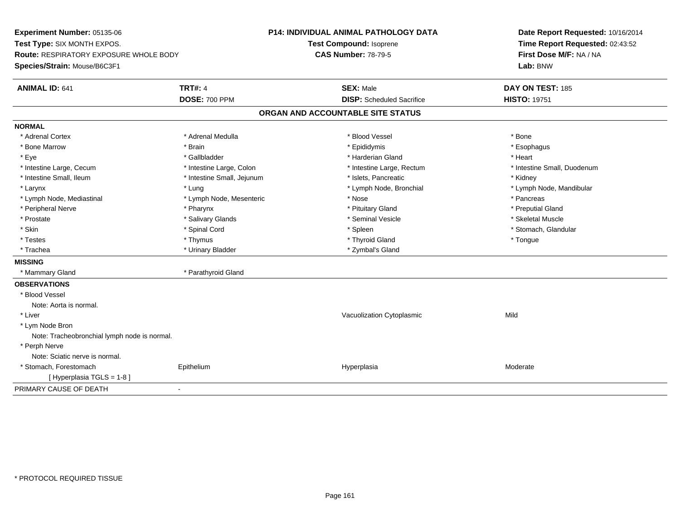**Experiment Number:** 05135-06**Test Type:** SIX MONTH EXPOS.**Route:** RESPIRATORY EXPOSURE WHOLE BODY**Species/Strain:** Mouse/B6C3F1**P14: INDIVIDUAL ANIMAL PATHOLOGY DATATest Compound:** Isoprene**CAS Number:** 78-79-5**Date Report Requested:** 10/16/2014**Time Report Requested:** 02:43:52**First Dose M/F:** NA / NA**Lab:** BNW**ANIMAL ID:** 641**TRT#:** 4 **SEX:** Male **SEX:** Male **DAY ON TEST:** 185 **DOSE:** 700 PPM**DISP:** Scheduled Sacrifice **HISTO:** 19751 **ORGAN AND ACCOUNTABLE SITE STATUSNORMAL**\* Adrenal Cortex \* Adrenal Cortex \* \* Adrenal Medulla \* \* Adrenal Medulla \* \* Blood Vessel \* \* Brood Vessel \* \* Bone \* Esophagus \* Bone Marrow \* Brain \* Epididymis \* Esophagus \* Eye \* \* Gallbladder \* \* Gallbladder \* \* \* \* Harderian Gland \* \* Heart \* Heart \* Heart \* Heart \* Heart \* Heart \* Intestine Large, Cecum \* Intestine Large, Colon \* Intestine Large, Rectum \* Intestine Small, Duodenum\* Intestine Small, Ileum \* Thestine Small, Jejunum \* 1998, Pancreatic \* Kidney \* Kidney \* Kidney \* Kidney \* Larynx \* Lung \* Lymph Node, Bronchial \* Lymph Node, Mandibular \* Lymph Node, Mediastinal \* The metal was a structure of the Mesenteric the metal was a structure of the metal was the metal was the metal of the metal was the metal of the metal was the metal was the metal was the metal w \* Preputial Gland \* Peripheral Nerve \* \* \* \* Pharynx \* \* Pharynx \* \* \* Preputial Gland \* \* Preputial Gland \* \* Preputial Gland \* Skeletal Muscle \* Prostate \* \* Skeletal Muscle \* \* Salivary Glands \* \* Steminal Vesicle \* \* Seminal Vesicle \* \* Skeletal Muscle \* Stomach, Glandular \* Skin \* Stomach, Glandular \* Spinal Cord \* \* Stomach, Stomach, Glandular \* Spinal Cord \* \* Stomach, Glandular \* Testes \* Thymus \* Thyroid Gland \* Tongue \* Trachea \* Urinary Bladder \* Zymbal's Gland \* Zymbal's Gland **MISSING**\* Mammary Gland \* Parathyroid Gland **OBSERVATIONS** \* Blood VesselNote: Aorta is normal. \* Liver Vacuolization Cytoplasmicc Mild \* Lym Node Bron Note: Tracheobronchial lymph node is normal. \* Perph Nerve Note: Sciatic nerve is normal. \* Stomach, Forestomach Epitheliumm and the Hyperplasia measurement of the Hyperplasia measurement of the Moderate Moderate [ Hyperplasia TGLS = 1-8 ]PRIMARY CAUSE OF DEATH-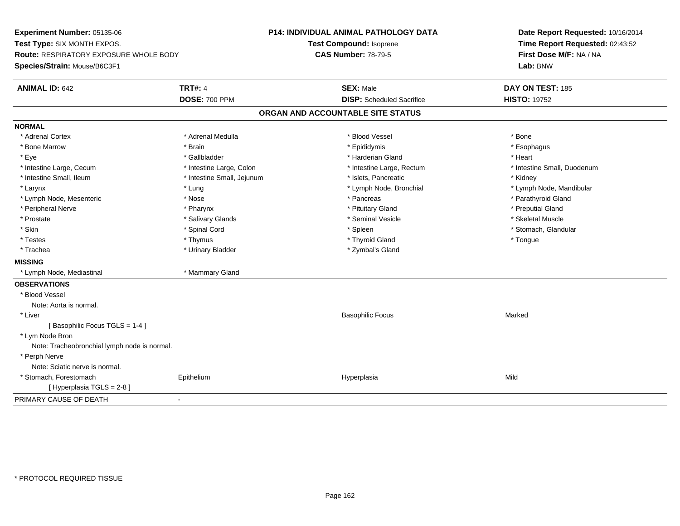**Experiment Number:** 05135-06**Test Type:** SIX MONTH EXPOS.**Route:** RESPIRATORY EXPOSURE WHOLE BODY**Species/Strain:** Mouse/B6C3F1**P14: INDIVIDUAL ANIMAL PATHOLOGY DATATest Compound:** Isoprene**CAS Number:** 78-79-5**Date Report Requested:** 10/16/2014**Time Report Requested:** 02:43:52**First Dose M/F:** NA / NA**Lab:** BNW**ANIMAL ID:** 642**TRT#:** 4 **SEX:** Male **DAY ON TEST:** 185 **DOSE:** 700 PPM**DISP:** Scheduled Sacrifice **HISTO:** 19752 **ORGAN AND ACCOUNTABLE SITE STATUSNORMAL**\* Adrenal Cortex \* Adrenal Cortex \* \* Adrenal Medulla \* \* Adrenal Medulla \* \* Blood Vessel \* \* Brood Vessel \* \* Bone \* Esophagus \* Bone Marrow \* Brain \* Epididymis \* Esophagus \* Eye \* \* Gallbladder \* \* Gallbladder \* \* \* \* Harderian Gland \* \* Heart \* Heart \* Heart \* Heart \* Heart \* Heart \* Intestine Large, Cecum \* Intestine Large, Colon \* Intestine Large, Rectum \* Intestine Small, Duodenum\* Intestine Small, Ileum \* Thestine Small, Jejunum \* 1998, Pancreatic \* Kidney \* Kidney \* Kidney \* Kidney \* Larynx \* Lung \* Lymph Node, Bronchial \* Lymph Node, Mandibular \* Lymph Node, Mesenteric \* Nose \* Pancreas \* Parathyroid Gland\* Peripheral Nerve \* \* \* \* Pharynx \* \* Pharynx \* \* \* Preputial Gland \* \* Preputial Gland \* \* Preputial Gland \* Skeletal Muscle \* Prostate \* \* Skeletal Muscle \* \* Salivary Glands \* \* Steminal Vesicle \* \* Seminal Vesicle \* \* Skeletal Muscle \* Stomach, Glandular \* Skin \* Stomach, Glandular \* Spinal Cord \* \* Stomach, Stomach, Glandular \* Spinal Cord \* \* Stomach, Glandular \* Testes \* Thymus \* Thyroid Gland \* Tongue \* Trachea \* Urinary Bladder \* Zymbal's Gland \* Zymbal's Gland **MISSING** \* Lymph Node, Mediastinal \* Mammary Gland**OBSERVATIONS** \* Blood VesselNote: Aorta is normal. \* Liver Basophilic Focuss Marked [ Basophilic Focus TGLS = 1-4 ] \* Lym Node Bron Note: Tracheobronchial lymph node is normal. \* Perph Nerve Note: Sciatic nerve is normal. \* Stomach, Forestomach Epithelium Hyperplasia Mild [ Hyperplasia TGLS = 2-8 ]PRIMARY CAUSE OF DEATH-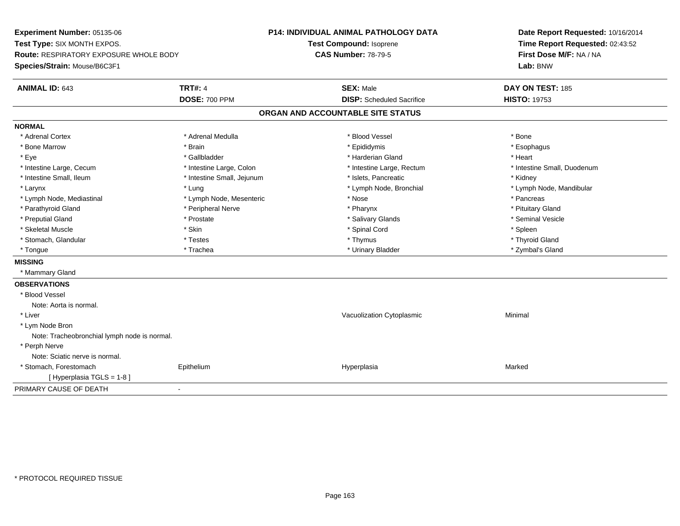**Experiment Number:** 05135-06**Test Type:** SIX MONTH EXPOS.**Route:** RESPIRATORY EXPOSURE WHOLE BODY**Species/Strain:** Mouse/B6C3F1**P14: INDIVIDUAL ANIMAL PATHOLOGY DATATest Compound:** Isoprene**CAS Number:** 78-79-5**Date Report Requested:** 10/16/2014**Time Report Requested:** 02:43:52**First Dose M/F:** NA / NA**Lab:** BNW**ANIMAL ID:** 643**TRT#:** 4 **SEX:** Male **DAY ON TEST:** 185 **DOSE:** 700 PPM**DISP:** Scheduled Sacrifice **HISTO:** 19753 **ORGAN AND ACCOUNTABLE SITE STATUSNORMAL**\* Adrenal Cortex \* Adrenal Cortex \* \* Adrenal Medulla \* \* Adrenal Medulla \* \* Blood Vessel \* \* Brood Vessel \* \* Bone \* Esophagus \* Bone Marrow \* Brain \* Epididymis \* Esophagus \* Eye \* \* Gallbladder \* \* Gallbladder \* \* \* \* Harderian Gland \* \* Heart \* Heart \* Heart \* Heart \* Heart \* Heart \* Intestine Large, Cecum \* Intestine Large, Colon \* Intestine Large, Rectum \* Intestine Small, Duodenum\* Intestine Small, Ileum \* **Allen and The Accord \* Intestine Small**, Jejunum \* 1stets, Pancreatic \* \* Kidney \* Kidney \* Larynx \* Lung \* Lymph Node, Bronchial \* Lymph Node, Mandibular \* Lymph Node, Mediastinal \* The metal of the second text of the Mesenteric text of the second text of the second text of the second text of the second text of the second text of the second text of the second text of text o \* Pituitary Gland \* Parathyroid Gland \* **Example 20** \* Peripheral Nerve \* Pharynx \* Pharynx \* Pharynx \* Seminal Vesicle \* Preputial Gland \* \* Annual vesicle \* \* Prostate \* \* Salivary Glands \* \* Salivary Glands \* \* Seminal Vesicle \* \* Skeletal Muscle \* Skin \* Spinal Cord \* Spleen \* Thyroid Gland \* Stomach, Glandular \* \* \* Thyroid Glandular \* Thestes \* \* Thymus \* Thymus \* Thyroid Glandular \* Thyroid Gland \* Zymbal's Gland \* Tongue \* Trachea \* Urinary Bladder \* Zymbal's Gland **MISSING** \* Mammary Gland**OBSERVATIONS** \* Blood VesselNote: Aorta is normal. \* Liver Vacuolization Cytoplasmic Minimal \* Lym Node Bron Note: Tracheobronchial lymph node is normal. \* Perph Nerve Note: Sciatic nerve is normal. \* Stomach, Forestomach Epithelium Hyperplasia Marked [ Hyperplasia TGLS = 1-8 ]PRIMARY CAUSE OF DEATH-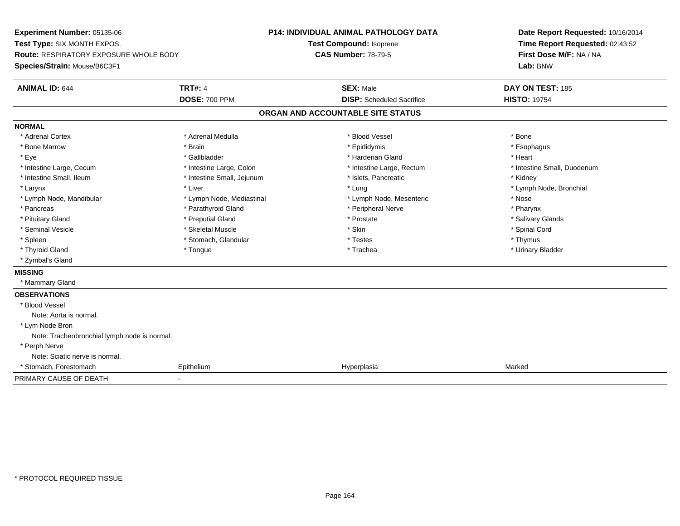**Experiment Number:** 05135-06**Test Type:** SIX MONTH EXPOS.**Route:** RESPIRATORY EXPOSURE WHOLE BODY**Species/Strain:** Mouse/B6C3F1**P14: INDIVIDUAL ANIMAL PATHOLOGY DATATest Compound:** Isoprene**CAS Number:** 78-79-5**Date Report Requested:** 10/16/2014**Time Report Requested:** 02:43:52**First Dose M/F:** NA / NA**Lab:** BNW**ANIMAL ID:** 644**TRT#:** 4 **SEX:** Male **DAY ON TEST:** 185 **DOSE:** 700 PPM**DISP:** Scheduled Sacrifice **HISTO:** 19754 **ORGAN AND ACCOUNTABLE SITE STATUSNORMAL**\* Adrenal Cortex \* Adrenal Cortex \* \* Adrenal Medulla \* \* Adrenal Medulla \* \* Blood Vessel \* \* Brood Vessel \* \* Bone \* Esophagus \* Bone Marrow \* Brain \* Epididymis \* Esophagus \* Eye \* \* Gallbladder \* \* Gallbladder \* \* \* \* Harderian Gland \* \* Heart \* Heart \* Heart \* Heart \* Heart \* Heart \* Intestine Large, Cecum \* Intestine Large, Colon \* Intestine Large, Rectum \* Intestine Small, Duodenum\* Intestine Small, Ileum \* **Allen and The Accord \* Intestine Small**, Jejunum \* 1stets, Pancreatic \* \* Kidney \* Kidney \* Larynx \* Louis \* Liver \* Lung \* Lung \* Lung \* Lung \* Lung \* Lymph Node, Bronchial \* Lymph Node, Bronchial \* \* Lymph Node, Mandibular \* The state of the state of the Mediastinal \* Lymph Node, Mesenteric \* Nose \* Pharynx \* Pancreas \* Pancreas \* Parathyroid Gland \* Peripheral Nerve \* Peripheral Nerve \* Salivary Glands \* Pituitary Gland \* \* Then the state \* Preputial Gland \* Prosection \* Prostate \* \* Salivary Glands \* Salivary Glands \* Salivary Glands \* Salivary Glands \* Salivary Glands \* Salivary Glands \* Salivary Glands \* Salivary Glan \* Seminal Vesicle \* \* Spinal Cord \* Skeletal Muscle \* \* Skin \* \* Skin \* \* Spinal Vesicle \* Spinal Cord \* Spinal Cord \* Spleen \* \* Stomach, Glandular \* \* Thymus \* Testes \* Thymus \* Thymus \* Thymus \* Thymus \* Thymus \* \* Thymus \* \* Urinary Bladder \* Thyroid Gland \* \* The control of the total property and the top of the top of the top of the top of the top of the top of the top of the top of the top of the top of the top of the top of the top of the top of the top of \* Zymbal's Gland**MISSING** \* Mammary Gland**OBSERVATIONS** \* Blood VesselNote: Aorta is normal. \* Lym Node Bron Note: Tracheobronchial lymph node is normal. \* Perph Nerve Note: Sciatic nerve is normal. \* Stomach, Forestomach Epithelium Hyperplasia Marked PRIMARY CAUSE OF DEATH-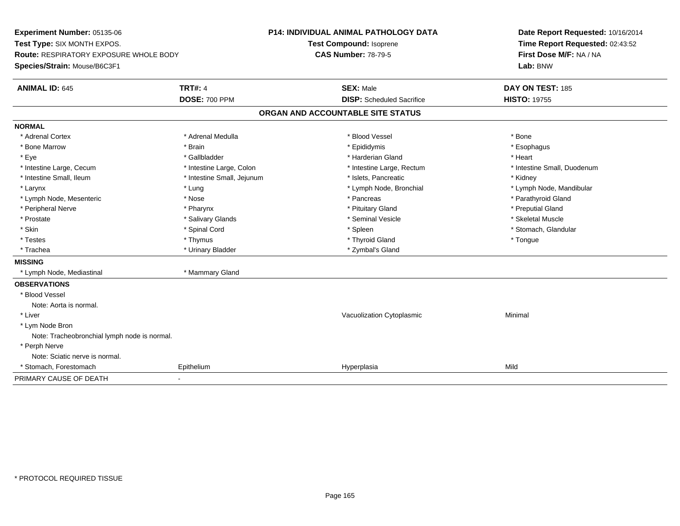**Experiment Number:** 05135-06**Test Type:** SIX MONTH EXPOS.**Route:** RESPIRATORY EXPOSURE WHOLE BODY**Species/Strain:** Mouse/B6C3F1**P14: INDIVIDUAL ANIMAL PATHOLOGY DATATest Compound:** Isoprene**CAS Number:** 78-79-5**Date Report Requested:** 10/16/2014**Time Report Requested:** 02:43:52**First Dose M/F:** NA / NA**Lab:** BNW**ANIMAL ID:** 645**TRT#:** 4 **SEX:** Male **SEX:** Male **DAY ON TEST:** 185 **DOSE:** 700 PPM**DISP:** Scheduled Sacrifice **HISTO:** 19755 **ORGAN AND ACCOUNTABLE SITE STATUSNORMAL**\* Adrenal Cortex \* Adrenal Cortex \* \* Adrenal Medulla \* \* Adrenal Medulla \* \* Blood Vessel \* \* Brood Vessel \* \* Bone \* Esophagus \* Bone Marrow \* Brain \* Epididymis \* Esophagus \* Eye \* \* Gallbladder \* \* Gallbladder \* \* \* \* Harderian Gland \* \* Heart \* Heart \* Heart \* Heart \* Heart \* Heart \* Intestine Large, Cecum \* Intestine Large, Colon \* Intestine Large, Thestine Large, Rectum \* Intestine Small, Duodenum \* Intestine Small, Ileum \* Thestine Small, Jejunum \* 1998, Pancreatic \* Kidney \* Kidney \* Kidney \* Kidney \* Larynx \* Lung \* Lymph Node, Bronchial \* Lymph Node, Mandibular \* Lymph Node, Mesenteric \* The state of the state of the state of the state of the state of the state of the state of the state of the state of the state of the state of the state of the state of the state of the state of \* Peripheral Nerve \* \* \* \* Pharynx \* \* Pharynx \* \* \* Preputial Gland \* \* Preputial Gland \* \* Preputial Gland \* Skeletal Muscle \* Prostate \* \* Skeletal Muscle \* \* Salivary Glands \* \* Steminal Vesicle \* \* Seminal Vesicle \* \* Skeletal Muscle \* Stomach, Glandular \* Skin \* Stomach, Glandular \* Spinal Cord \* \* Stomach, Stomach, Glandular \* Spinal Cord \* \* Stomach, Glandular \* Testes \* Thymus \* Thyroid Gland \* Tongue \* Trachea \* Urinary Bladder \* Zymbal's Gland \* Zymbal's Gland **MISSING** \* Lymph Node, Mediastinal \* Mammary Gland**OBSERVATIONS** \* Blood VesselNote: Aorta is normal. \* Liver Vacuolization Cytoplasmic Minimal \* Lym Node Bron Note: Tracheobronchial lymph node is normal. \* Perph Nerve Note: Sciatic nerve is normal. \* Stomach, Forestomach Epithelium Hyperplasia Mild PRIMARY CAUSE OF DEATH-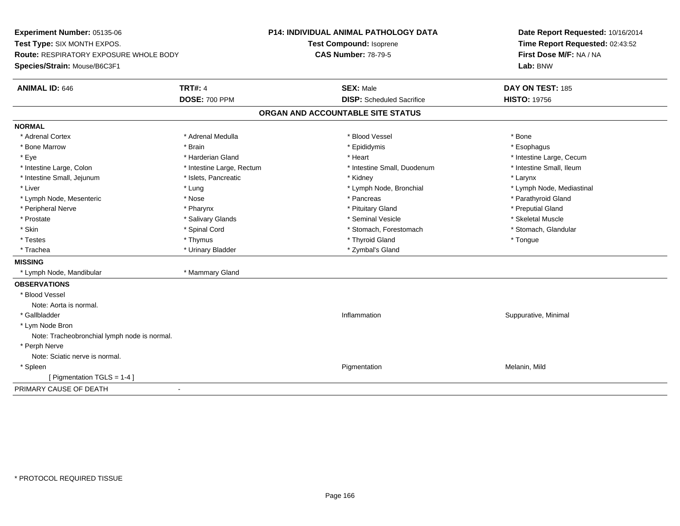**Experiment Number:** 05135-06**Test Type:** SIX MONTH EXPOS.**Route:** RESPIRATORY EXPOSURE WHOLE BODY**Species/Strain:** Mouse/B6C3F1**P14: INDIVIDUAL ANIMAL PATHOLOGY DATATest Compound:** Isoprene**CAS Number:** 78-79-5**Date Report Requested:** 10/16/2014**Time Report Requested:** 02:43:52**First Dose M/F:** NA / NA**Lab:** BNW**ANIMAL ID:** 646**6 DAY ON TEST:** 185 **DOSE:** 700 PPM**DISP:** Scheduled Sacrifice **HISTO:** 19756 **ORGAN AND ACCOUNTABLE SITE STATUSNORMAL**\* Adrenal Cortex \* Adrenal Cortex \* \* Adrenal Medulla \* \* Adrenal Medulla \* \* Blood Vessel \* \* Brood Vessel \* \* Bone \* Esophagus \* Bone Marrow \* Brain \* Epididymis \* Esophagus \* Eye \* https://www.frage.com/mode.com/mode.com/mode.com/mode.com/mode.com/mode.com/mode.com/mode.com/mode.com/ \* Intestine Small, Ileum \* Intestine Large, Colon \* Intestine Large, Rectum \* Intestine Small, Duodenum \* Intestine Small, Duodenum \* Intestine Small, Jejunum \* The many research that we have the state of the state of the state of the state of the state of the state of the state of the state of the state of the state of the state of the state of the st \* Liver which is the settlement of the settlement of the settlement of the settlement of the settlement of the settlement of the settlement of the settlement of the settlement of the settlement of the settlement of the set \* Lymph Node, Mesenteric \* The state of the state of the state of the state of the state of the state of the state of the state of the state of the state of the state of the state of the state of the state of the state of \* Peripheral Nerve \* \* \* \* Pharynx \* \* Pharynx \* \* \* Preputial Gland \* \* Preputial Gland \* \* Preputial Gland \* Skeletal Muscle \* Prostate \* \* Skeletal Muscle \* \* Salivary Glands \* \* Steminal Vesicle \* \* Seminal Vesicle \* \* Skeletal Muscle \* Stomach, Glandular \* Skin \* Spinal Cord \* Spinal Cord \* Stomach, Forestomach \* Stomach, Forestomach \* Testes \* Thymus \* Thyroid Gland \* Tongue \* Trachea \* Urinary Bladder \* Zymbal's Gland \* Zymbal's Gland **MISSING** \* Lymph Node, Mandibular \* Mammary Gland**OBSERVATIONS** \* Blood VesselNote: Aorta is normal. \* Gallbladder**Inflammation** in the contract of the contract of the contract of the contract of the contract of the contract of the contract of the contract of the contract of the contract of the contract of the contract of the contract Inflammation **Suppurative, Minimal**  \* Lym Node Bron Note: Tracheobronchial lymph node is normal. \* Perph Nerve Note: Sciatic nerve is normal. \* Spleenn and the control of the control of the control of the control of the control of the control of the control of  $P$ igmentation  $P$ igmentation  $P$ igmentation  $P$ igmentation  $P$ igmentation  $P$ igmentation  $P$ igmentation  $P$ igm [ Pigmentation TGLS = 1-4 ]PRIMARY CAUSE OF DEATH-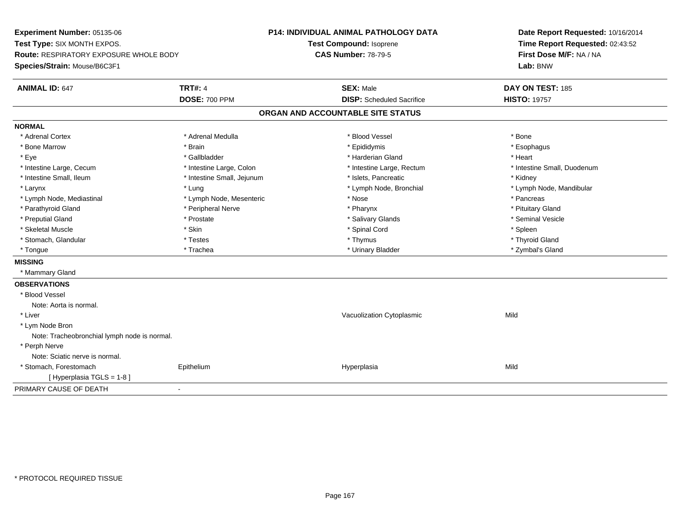**Experiment Number:** 05135-06**Test Type:** SIX MONTH EXPOS.**Route:** RESPIRATORY EXPOSURE WHOLE BODY**Species/Strain:** Mouse/B6C3F1**P14: INDIVIDUAL ANIMAL PATHOLOGY DATATest Compound:** Isoprene**CAS Number:** 78-79-5**Date Report Requested:** 10/16/2014**Time Report Requested:** 02:43:52**First Dose M/F:** NA / NA**Lab:** BNW**ANIMAL ID:** 647**TRT#:** 4 **SEX:** Male **DAY ON TEST:** 185 **DOSE:** 700 PPM**DISP:** Scheduled Sacrifice **HISTO:** 19757 **ORGAN AND ACCOUNTABLE SITE STATUSNORMAL**\* Adrenal Cortex \* Adrenal Cortex \* \* Adrenal Medulla \* \* Adrenal Medulla \* \* Blood Vessel \* \* Brood Vessel \* \* Bone \* Esophagus \* Bone Marrow \* Brain \* Epididymis \* Esophagus \* Eye \* \* Gallbladder \* \* Gallbladder \* \* \* \* Harderian Gland \* \* Heart \* Heart \* Heart \* Heart \* Heart \* Heart \* Intestine Large, Cecum \* Intestine Large, Colon \* Intestine Large, Rectum \* Intestine Small, Duodenum\* Intestine Small, Ileum \* **Allen and The Accord \* Intestine Small**, Jejunum \* 1stets, Pancreatic \* \* Kidney \* Kidney \* Larynx \* Lung \* Lymph Node, Bronchial \* Lymph Node, Mandibular \* Lymph Node, Mediastinal \* The metal of the second text of the Mesenteric text of the second text of the second text of the second text of the second text of the second text of the second text of the second text of text o \* Pituitary Gland \* Parathyroid Gland \* **Example 20** \* Peripheral Nerve \* Pharynx \* Pharynx \* Pharynx \* Seminal Vesicle \* Preputial Gland \* \* Annual vesicle \* \* Prostate \* \* Salivary Glands \* \* Salivary Glands \* \* Seminal Vesicle \* \* Skeletal Muscle \* Skin \* Spinal Cord \* Spleen \* Thyroid Gland \* Stomach, Glandular \* \* \* Thyroid Glandular \* Thestes \* \* Thymus \* Thymus \* Thyroid Glandular \* Thyroid Gland \* Zymbal's Gland \* Tongue \* Trachea \* Urinary Bladder \* Zymbal's Gland **MISSING** \* Mammary Gland**OBSERVATIONS** \* Blood VesselNote: Aorta is normal. \* Liver Vacuolization Cytoplasmicc Mild \* Lym Node Bron Note: Tracheobronchial lymph node is normal. \* Perph Nerve Note: Sciatic nerve is normal. \* Stomach, Forestomach Epithelium Hyperplasia Mild [ Hyperplasia TGLS = 1-8 ]PRIMARY CAUSE OF DEATH-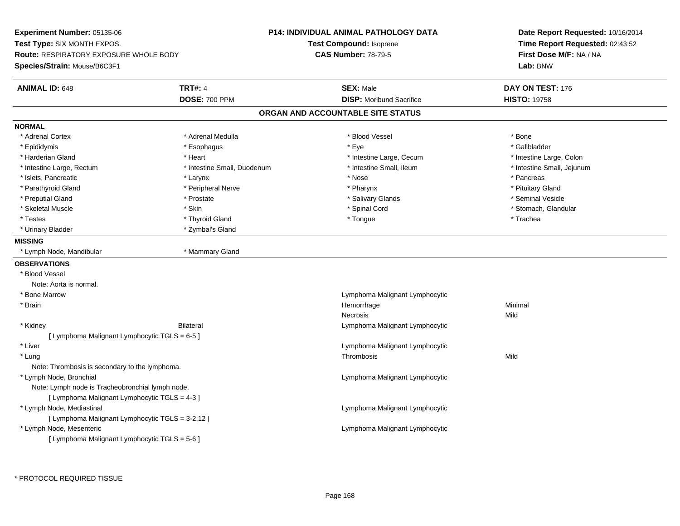**Experiment Number:** 05135-06**Test Type:** SIX MONTH EXPOS.**Route:** RESPIRATORY EXPOSURE WHOLE BODY**Species/Strain:** Mouse/B6C3F1**P14: INDIVIDUAL ANIMAL PATHOLOGY DATATest Compound:** Isoprene**CAS Number:** 78-79-5**Date Report Requested:** 10/16/2014**Time Report Requested:** 02:43:52**First Dose M/F:** NA / NA**Lab:** BNW**ANIMAL ID:** 648**TRT#:** 4 **SEX:** Male **DAY ON TEST:** 176 **DOSE:** 700 PPM**DISP:** Moribund Sacrifice **HISTO:** 19758 **ORGAN AND ACCOUNTABLE SITE STATUSNORMAL**\* Adrenal Cortex \* Adrenal Medulla \* Adrenal Medulla \* Blood Vessel \* Bone \* Bone \* Bone \* Bone \* Bone \* Gallbladder \* Epididymis \* \* ethanology \* Esophagus \* \* Exercises \* Eye \* \* Eye \* \* Exercises \* Gallbladder \* Gallbladder \* \* Gallbladder \* \* Gallbladder \* \* Gallbladder \* \* Gallbladder \* \* Exercises \* \* Gallbladder \* \* Gallbladder \* \* Harderian Gland \* Thestine Large, Cecum \* Intestine Large, Cecum \* Intestine Large, Cecum \* 11testine Large, Colon \* Intestine Small, Jejunum \* Intestine Large, Rectum \* Intestine Small, Duodenum \* Intestine Small, Duodenum \* \* Intestine Small, Ileum \* Islets, Pancreatic \* \* Larynx \* Larynx \* Larynx \* \* Nose \* \* Pancreas \* Pancreas \* Pancreas \* Pancreas \* Pancreas \* Pituitary Gland \* Parathyroid Gland \* \* Peripheral Nerve \* \* Peripheral Nerve \* \* Pharynx \* \* Pharynx \* \* Pituitary Gland \* Pituitary Gland \* Seminal Vesicle \* Preputial Gland \* \* Annual vesicle \* \* Prostate \* \* Salivary Glands \* \* Salivary Glands \* \* Seminal Vesicle \* \* Skeletal Muscle \* The state of the state of the state of the state of the state of the state of the state of the state of the state of the state of the state of the state of the state of the state of the state of the sta \* Testes \* \* Trachea \* \* Thyroid Gland \* \* \* Tongue \* \* Tongue \* \* Tongue \* Trachea \* Trachea \* Trachea \* Trachea \* Urinary Bladder \* Zymbal's Gland**MISSING** \* Lymph Node, Mandibular \* Mammary Gland**OBSERVATIONS** \* Blood VesselNote: Aorta is normal. \* Bone Marrow Lymphoma Malignant Lymphocytic \* Brainn and the state of the state of the state of the state of the Minimal Section 1, the Minimal Section 1, the Minimal Section 1, the state of the state of the state of the state of the state of the state of the state of the Necrosiss and the contract of the Mild \* Kidney Bilateral Lymphoma Malignant Lymphocytic [ Lymphoma Malignant Lymphocytic TGLS = 6-5 ] \* Liver Lymphoma Malignant Lymphocytic \* Lungg and the state of the state of the state of the state of the state of the state of the state of the state of the state of the state of the state of the state of the state of the state of the state of the state of the stat Note: Thrombosis is secondary to the lymphoma. \* Lymph Node, Bronchial Lymphoma Malignant LymphocyticNote: Lymph node is Tracheobronchial lymph node.[ Lymphoma Malignant Lymphocytic TGLS = 4-3 ] \* Lymph Node, Mediastinal Lymphoma Malignant Lymphocytic[ Lymphoma Malignant Lymphocytic TGLS = 3-2,12 ] \* Lymph Node, Mesenteric Lymphoma Malignant Lymphocytic  $[$  Lymphoma Malignant Lymphocytic TGLS = 5-6 ]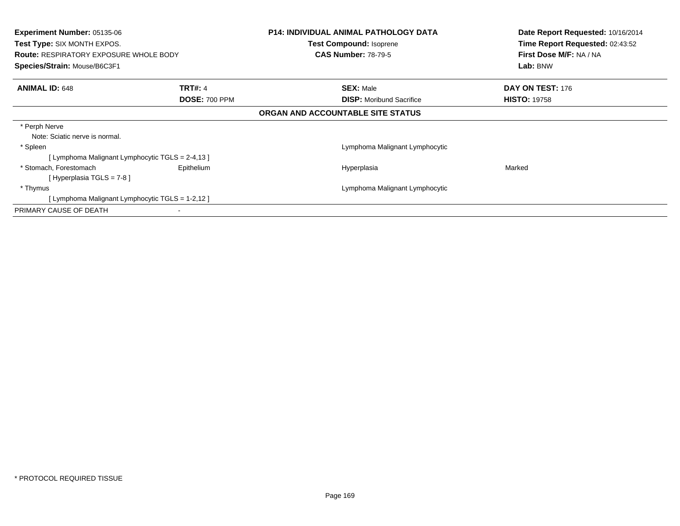| <b>Experiment Number: 05135-06</b><br><b>Test Type: SIX MONTH EXPOS.</b><br><b>Route: RESPIRATORY EXPOSURE WHOLE BODY</b><br>Species/Strain: Mouse/B6C3F1 |                      | <b>P14: INDIVIDUAL ANIMAL PATHOLOGY DATA</b> | Date Report Requested: 10/16/2014<br>Time Report Requested: 02:43:52<br>First Dose M/F: NA / NA |
|-----------------------------------------------------------------------------------------------------------------------------------------------------------|----------------------|----------------------------------------------|-------------------------------------------------------------------------------------------------|
|                                                                                                                                                           |                      | <b>Test Compound: Isoprene</b>               |                                                                                                 |
|                                                                                                                                                           |                      | <b>CAS Number: 78-79-5</b>                   |                                                                                                 |
|                                                                                                                                                           |                      |                                              | Lab: BNW                                                                                        |
| <b>ANIMAL ID: 648</b><br><b>TRT#: 4</b>                                                                                                                   |                      | <b>SEX: Male</b>                             | DAY ON TEST: 176                                                                                |
|                                                                                                                                                           | <b>DOSE: 700 PPM</b> | <b>DISP:</b> Moribund Sacrifice              | <b>HISTO: 19758</b>                                                                             |
|                                                                                                                                                           |                      | ORGAN AND ACCOUNTABLE SITE STATUS            |                                                                                                 |
| * Perph Nerve                                                                                                                                             |                      |                                              |                                                                                                 |
| Note: Sciatic nerve is normal.                                                                                                                            |                      |                                              |                                                                                                 |
| * Spleen                                                                                                                                                  |                      | Lymphoma Malignant Lymphocytic               |                                                                                                 |
| [Lymphoma Malignant Lymphocytic TGLS = 2-4,13 ]                                                                                                           |                      |                                              |                                                                                                 |
| * Stomach, Forestomach                                                                                                                                    | Epithelium           | Hyperplasia                                  | Marked                                                                                          |
| [Hyperplasia TGLS = 7-8]                                                                                                                                  |                      |                                              |                                                                                                 |
| * Thymus                                                                                                                                                  |                      | Lymphoma Malignant Lymphocytic               |                                                                                                 |
| [Lymphoma Malignant Lymphocytic TGLS = 1-2,12 ]                                                                                                           |                      |                                              |                                                                                                 |
| PRIMARY CAUSE OF DEATH                                                                                                                                    |                      |                                              |                                                                                                 |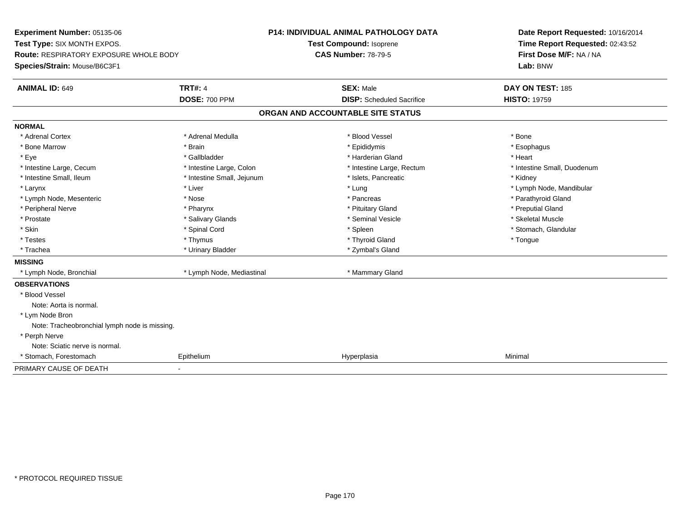**Experiment Number:** 05135-06**Test Type:** SIX MONTH EXPOS.**Route:** RESPIRATORY EXPOSURE WHOLE BODY**Species/Strain:** Mouse/B6C3F1**P14: INDIVIDUAL ANIMAL PATHOLOGY DATATest Compound:** Isoprene**CAS Number:** 78-79-5**Date Report Requested:** 10/16/2014**Time Report Requested:** 02:43:52**First Dose M/F:** NA / NA**Lab:** BNW**ANIMAL ID:** 649**TRT#:** 4 **SEX:** Male **SEX:** Male **DAY ON TEST:** 185 **DOSE:** 700 PPM**DISP:** Scheduled Sacrifice **HISTO:** 19759 **ORGAN AND ACCOUNTABLE SITE STATUSNORMAL**\* Adrenal Cortex \* Adrenal Cortex \* \* Adrenal Medulla \* \* Adrenal Medulla \* \* Blood Vessel \* \* Brood Vessel \* \* Bone \* Esophagus \* Bone Marrow \* Brain \* Epididymis \* Esophagus \* Eye \* \* Gallbladder \* \* Gallbladder \* \* \* \* Harderian Gland \* \* Heart \* Heart \* Heart \* Heart \* Heart \* Heart \* Intestine Large, Cecum \* Intestine Large, Colon \* Intestine Large, Rectum \* Intestine Small, Duodenum\* Intestine Small, Ileum \* Thestine Small, Jejunum \* 1998, Pancreatic \* Kidney \* Kidney \* Kidney \* Kidney \* Larynx \* Louis \* Liver \* Liver \* Louis \* Lung \* Lung \* Louis \* Louis \* Louis \* Louis \* Lymph Node, Mandibular \* Lymph Node, Mesenteric \* The state of the state of the state of the state of the state of the state of the state of the state of the state of the state of the state of the state of the state of the state of the state of \* Peripheral Nerve \* \* \* \* Pharynx \* \* Pharynx \* \* \* Preputial Gland \* \* Preputial Gland \* \* Preputial Gland \* Skeletal Muscle \* Prostate \* \* Skeletal Muscle \* \* Salivary Glands \* \* Steminal Vesicle \* \* Seminal Vesicle \* \* Skeletal Muscle \* Stomach, Glandular \* Skin \* Stomach, Glandular \* Spinal Cord \* \* Stomach, Stomach, Glandular \* Spinal Cord \* \* Stomach, Glandular \* Testes \* Thymus \* Thyroid Gland \* Tongue \* Trachea \* Urinary Bladder \* Zymbal's Gland \* Zymbal's Gland **MISSING**\* Lymph Node, Bronchial \* Lymph Node, Mediastinal \* Mammary Gland **OBSERVATIONS** \* Blood VesselNote: Aorta is normal. \* Lym Node Bron Note: Tracheobronchial lymph node is missing. \* Perph Nerve Note: Sciatic nerve is normal. \* Stomach, Forestomach Epithelium Hyperplasia Minimal PRIMARY CAUSE OF DEATH-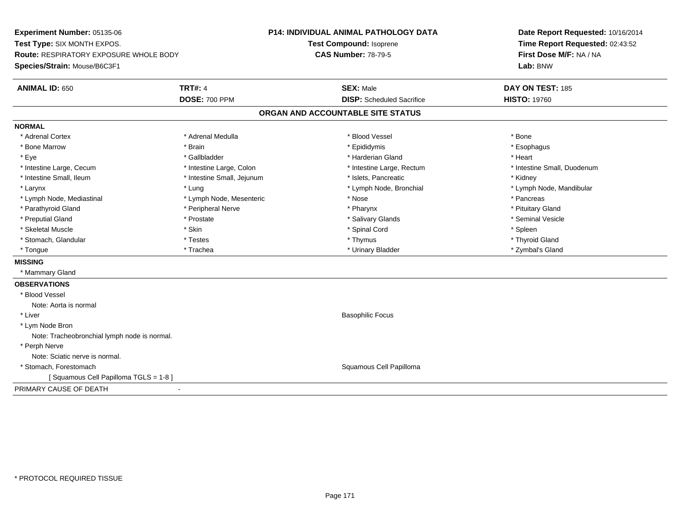**Experiment Number:** 05135-06**Test Type:** SIX MONTH EXPOS.**Route:** RESPIRATORY EXPOSURE WHOLE BODY**Species/Strain:** Mouse/B6C3F1**P14: INDIVIDUAL ANIMAL PATHOLOGY DATATest Compound:** Isoprene**CAS Number:** 78-79-5**Date Report Requested:** 10/16/2014**Time Report Requested:** 02:43:52**First Dose M/F:** NA / NA**Lab:** BNW**ANIMAL ID:** 650**TRT#:** 4 **SEX:** Male **DAY ON TEST:** 185 **DOSE:** 700 PPM**DISP:** Scheduled Sacrifice **HISTO:** 19760 **ORGAN AND ACCOUNTABLE SITE STATUSNORMAL**\* Adrenal Cortex \* Adrenal Cortex \* \* Adrenal Medulla \* \* Adrenal Medulla \* \* Blood Vessel \* \* Brood Vessel \* \* Bone \* Esophagus \* Bone Marrow \* Brain \* Epididymis \* Esophagus \* Eye \* \* Gallbladder \* \* Gallbladder \* \* \* \* Harderian Gland \* \* Heart \* Heart \* Heart \* Heart \* Heart \* Heart \* Intestine Large, Cecum \* Intestine Large, Colon \* Intestine Large, Rectum \* Intestine Small, Duodenum\* Intestine Small, Ileum \* **Allen and The Accord \* Intestine Small**, Jejunum \* 1stets, Pancreatic \* \* Kidney \* Kidney \* Larynx \* Lung \* Lymph Node, Bronchial \* Lymph Node, Mandibular \* Lymph Node, Mediastinal \* The metal of the second text of the Mesenteric text of the second text of the second text of the second text of the second text of the second text of the second text of the second text of text o \* Pituitary Gland \* Parathyroid Gland \* **Example 20** \* Peripheral Nerve \* Pharynx \* Pharynx \* Pharynx \* Seminal Vesicle \* Preputial Gland \* \* Annual vesicle \* \* Prostate \* \* Salivary Glands \* \* Salivary Glands \* \* Seminal Vesicle \* \* Skeletal Muscle \* Skin \* Spinal Cord \* Spleen \* Thyroid Gland \* Stomach, Glandular \* \* \* Thyroid Glandular \* Thestes \* \* Thymus \* Thymus \* Thyroid Glandular \* Thyroid Gland \* Zymbal's Gland \* Tongue \* Trachea \* Urinary Bladder \* Zymbal's Gland **MISSING** \* Mammary Gland**OBSERVATIONS** \* Blood VesselNote: Aorta is normal \* Liver Basophilic Focus \* Lym Node Bron Note: Tracheobronchial lymph node is normal. \* Perph Nerve Note: Sciatic nerve is normal. \* Stomach, Forestomach Squamous Cell Papilloma [ Squamous Cell Papilloma TGLS = 1-8 ]PRIMARY CAUSE OF DEATH-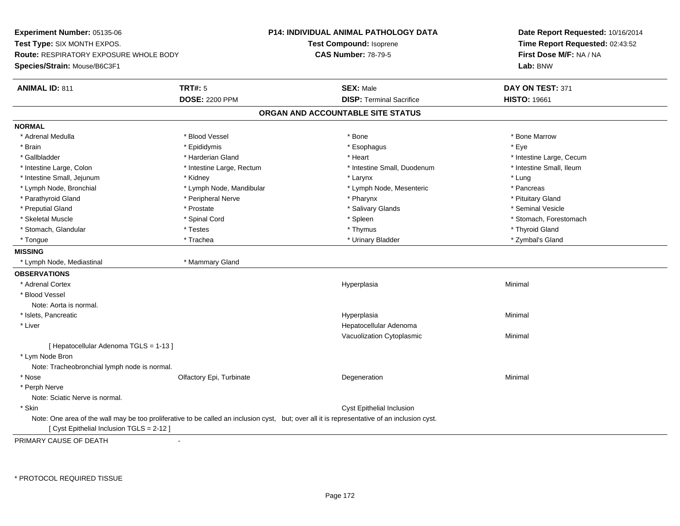**Experiment Number:** 05135-06**Test Type:** SIX MONTH EXPOS.**Route:** RESPIRATORY EXPOSURE WHOLE BODY**Species/Strain:** Mouse/B6C3F1**P14: INDIVIDUAL ANIMAL PATHOLOGY DATATest Compound:** Isoprene**CAS Number:** 78-79-5**Date Report Requested:** 10/16/2014**Time Report Requested:** 02:43:52**First Dose M/F:** NA / NA**Lab:** BNW**ANIMAL ID:** 811**TRT#:** 5 **SEX:** Male **SEX:** Male **DAY ON TEST:** 371 **DOSE:** 2200 PPM**DISP:** Terminal Sacrifice **HISTO:** 19661 **ORGAN AND ACCOUNTABLE SITE STATUSNORMAL**\* Adrenal Medulla \* \* \* Blood Vessel \* \* \* Bone Marrow \* Bone Marrow \* Bone Marrow \* Bone Marrow \* Brain \* \* Expediance \* Epididymis \* \* Expediance \* \* Esophagus \* Expediance \* \* Expediance \* Eye \* Eye \* Gallbladder \* https://www.frage.com/marticle/state-of-state-of-state-of-state-of-state-of-state-of-state-of-state-of-state-of-state-of-state-of-state-of-state-of-state-of-state-of-state-of-state-of-state-of-state-of-stat \* Intestine Small, Ileum \* Intestine Large, Colon \* Intestine Large, Rectum \* Intestine Small, Duodenum \* Intestine Small, Duodenum \* Intestine Small, Jejunum \* \* Widney \* \* Kidney \* \* Larynx \* Larynx \* Larynx \* Larynx \* Lung \* Pancreas \* Lymph Node, Bronchial \* Lymph Node, Mandibular \* Lymph Node, Mesenteric \* Pancreass \* Pancreass \* Pancreass \* Pancreass \* Pancreass \* Pancreass \* Pancreass \* Pancreass \* Pancreass \* Pancreass \* Pancreass \* Pancreass \* Pa \* Pituitary Gland \* Parathyroid Gland \* \* Peripheral Nerve \* \* Peripheral Nerve \* \* Pharynx \* \* Pharynx \* \* Pituitary Gland \* Pituitary Gland \* Seminal Vesicle \* Preputial Gland \* \* Annual vesicle \* \* Prostate \* \* Salivary Glands \* \* Salivary Glands \* \* Seminal Vesicle \* \* Skeletal Muscle \* The state of the spinal Cord \* Spinal Cord \* Spinal Cord \* Spinal Cord \* Stomach, Forestomach \* Stomach, Glandular \* \* \* Thyroid Glandular \* Thestes \* \* Thymus \* Thymus \* Thyroid Glandular \* Thyroid Gland \* Zymbal's Gland \* Tongue \* Trachea \* Urinary Bladder \* Zymbal's Gland **MISSING** \* Lymph Node, Mediastinal \* Mammary Gland**OBSERVATIONS** \* Adrenal Cortexx and the contract of the contract of the contract of the contract of the contract of the contract of the contract of the contract of the contract of the contract of the contract of the contract of the contract of the cont a **Minimal**  \* Blood VesselNote: Aorta is normal. \* Islets, Pancreaticc and the control of the control of the control of the control of the control of the control of the control of the control of the control of the control of the control of the control of the control of the control of the co a **Minimal**  \* Liver Hepatocellular Adenoma Vacuolization Cytoplasmic Minimal [ Hepatocellular Adenoma TGLS = 1-13 ] \* Lym Node Bron Note: Tracheobronchial lymph node is normal. \* Nosee and the Colfactory Epi, Turbinate and the Coleman Degeneration Coleman Minimal Minimal \* Perph Nerve Note: Sciatic Nerve is normal. \* Skin Cyst Epithelial Inclusion Note: One area of the wall may be too proliferative to be called an inclusion cyst, but; over all it is representative of an inclusion cyst.[ Cyst Epithelial Inclusion TGLS = 2-12 ]

PRIMARY CAUSE OF DEATH-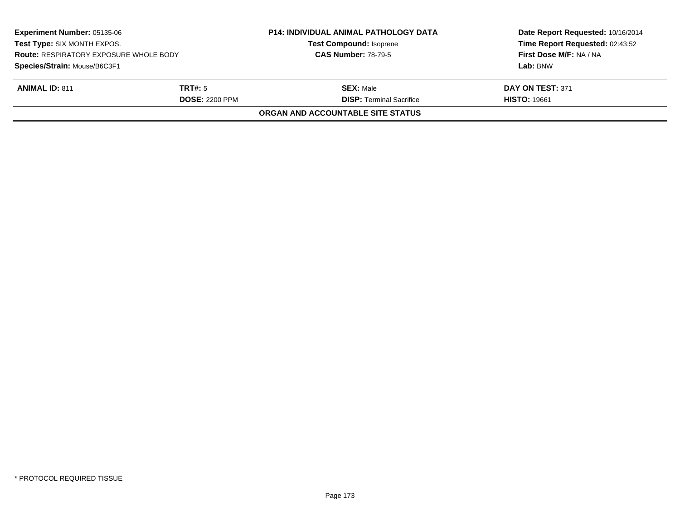| <b>Experiment Number: 05135-06</b><br>Test Type: SIX MONTH EXPOS.<br><b>Route: RESPIRATORY EXPOSURE WHOLE BODY</b><br>Species/Strain: Mouse/B6C3F1 |                       | <b>P14: INDIVIDUAL ANIMAL PATHOLOGY DATA</b><br><b>Test Compound: Isoprene</b><br><b>CAS Number: 78-79-5</b> | Date Report Requested: 10/16/2014<br>Time Report Requested: 02:43:52<br>First Dose M/F: NA / NA |
|----------------------------------------------------------------------------------------------------------------------------------------------------|-----------------------|--------------------------------------------------------------------------------------------------------------|-------------------------------------------------------------------------------------------------|
|                                                                                                                                                    |                       |                                                                                                              | Lab: BNW                                                                                        |
| <b>ANIMAL ID: 811</b>                                                                                                                              | TRT#: 5               | <b>SEX:</b> Male                                                                                             | DAY ON TEST: 371                                                                                |
|                                                                                                                                                    | <b>DOSE: 2200 PPM</b> | <b>DISP: Terminal Sacrifice</b>                                                                              | <b>HISTO: 19661</b>                                                                             |
|                                                                                                                                                    |                       | ORGAN AND ACCOUNTABLE SITE STATUS                                                                            |                                                                                                 |
|                                                                                                                                                    |                       |                                                                                                              |                                                                                                 |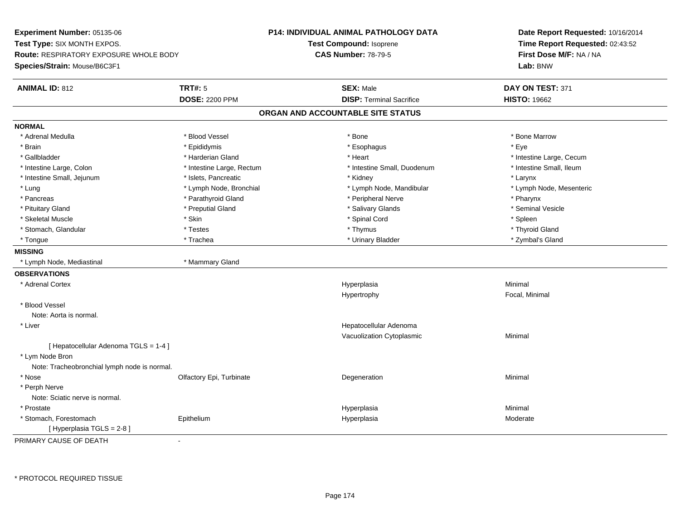**Experiment Number:** 05135-06**Test Type:** SIX MONTH EXPOS.**Route:** RESPIRATORY EXPOSURE WHOLE BODY**Species/Strain:** Mouse/B6C3F1**P14: INDIVIDUAL ANIMAL PATHOLOGY DATATest Compound:** Isoprene**CAS Number:** 78-79-5**Date Report Requested:** 10/16/2014**Time Report Requested:** 02:43:52**First Dose M/F:** NA / NA**Lab:** BNW**ANIMAL ID:** 812 **TRT#:** <sup>5</sup> **SEX:** Male **DAY ON TEST:** <sup>371</sup> **DOSE:** 2200 PPM**DISP:** Terminal Sacrifice **HISTO:** 19662 **ORGAN AND ACCOUNTABLE SITE STATUSNORMAL**\* Adrenal Medulla \* \* \* Blood Vessel \* \* \* Bone Marrow \* Bone Marrow \* Bone Marrow \* Bone Marrow \* Brain \* \* Expediance \* Epididymis \* \* Expediance \* \* Esophagus \* Expediance \* \* Expediance \* Eye \* Eye \* Gallbladder \* https://www.frage.com/marticle/state-of-state-of-state-of-state-of-state-of-state-of-state-of-state-of-state-of-state-of-state-of-state-of-state-of-state-of-state-of-state-of-state-of-state-of-state-of-stat \* Intestine Small, Ileum \* Intestine Large, Colon \* Intestine Large, Rectum \* Intestine Small, Duodenum \* Intestine Small, Duodenum \* Intestine Small, Jejunum \* The metal was a structure of the structure of the structure of the structure of the structure of the structure of the structure of the structure of the structure of the structure of the structu \* Lymph Node, Mesenteric \* Lung \* Lymph Node, Bronchial \* Lymph Node, Mandibular \* Lymph Node, Mandibular \* Pancreas \* Parathyroid Gland \* \* Parathyroid Gland \* Peripheral Nerve \* \* Peripheral Nerve \* \* Pharynx \* Seminal Vesicle \* Pituitary Gland \* \* Annual Cland \* \* Preputial Gland \* \* \* \* Salivary Glands \* \* Seminal Vesicle \* \* Seminal Vesicle \* Skeletal Muscle \* Skin \* Spinal Cord \* Spleen \* Thyroid Gland \* Stomach, Glandular \* \* \* Thyroid Glandular \* Thestes \* \* Thymus \* Thymus \* Thyroid Glandular \* Thyroid Gland \* Zymbal's Gland \* Tongue \* Trachea \* Urinary Bladder \* Zymbal's Gland **MISSING** \* Lymph Node, Mediastinal \* Mammary Gland**OBSERVATIONS** \* Adrenal Cortexx and the contract of the contract of the contract of the contract of the contract of the contract of the contract of the contract of the contract of the contract of the contract of the contract of the contract of the cont a **Minimal** Hypertrophy Focal, Minimal \* Blood VesselNote: Aorta is normal. \* Liver Hepatocellular Adenoma Vacuolization Cytoplasmic Minimal [ Hepatocellular Adenoma TGLS = 1-4 ] \* Lym Node Bron Note: Tracheobronchial lymph node is normal. \* Nosee and the Colfactory Epi, Turbinate and the Coleman Degeneration Coleman Minimal Minimal \* Perph Nerve Note: Sciatic nerve is normal. \* Prostatee and the state of the state of the state of the Hyperplasia and the Minimal Minimal Section 1, 1996, 1997, 19<br>The state of the state of the state of the state of the state of the state of the state of the state of the st \* Stomach, Forestomach Epitheliumm and the Hyperplasia measurement of the Hyperplasia measurement of the Moderate Moderate [ Hyperplasia TGLS = 2-8 ]

PRIMARY CAUSE OF DEATH-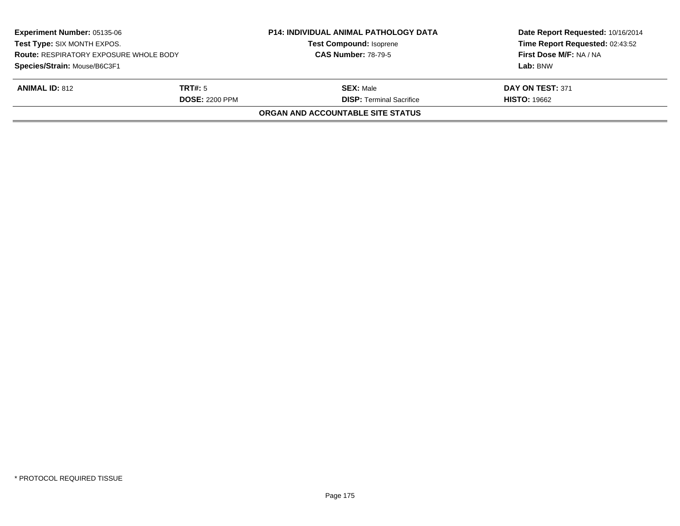| <b>Experiment Number: 05135-06</b><br>Test Type: SIX MONTH EXPOS.<br><b>Route: RESPIRATORY EXPOSURE WHOLE BODY</b><br>Species/Strain: Mouse/B6C3F1 |                       | <b>P14: INDIVIDUAL ANIMAL PATHOLOGY DATA</b><br><b>Test Compound: Isoprene</b> | Date Report Requested: 10/16/2014<br>Time Report Requested: 02:43:52<br>First Dose M/F: NA / NA |
|----------------------------------------------------------------------------------------------------------------------------------------------------|-----------------------|--------------------------------------------------------------------------------|-------------------------------------------------------------------------------------------------|
|                                                                                                                                                    |                       | <b>CAS Number: 78-79-5</b>                                                     |                                                                                                 |
|                                                                                                                                                    |                       |                                                                                | Lab: BNW                                                                                        |
| <b>ANIMAL ID: 812</b>                                                                                                                              | <b>TRT#:</b> 5        | <b>SEX:</b> Male                                                               | DAY ON TEST: 371                                                                                |
|                                                                                                                                                    | <b>DOSE: 2200 PPM</b> | <b>DISP: Terminal Sacrifice</b>                                                | <b>HISTO: 19662</b>                                                                             |
|                                                                                                                                                    |                       | ORGAN AND ACCOUNTABLE SITE STATUS                                              |                                                                                                 |
|                                                                                                                                                    |                       |                                                                                |                                                                                                 |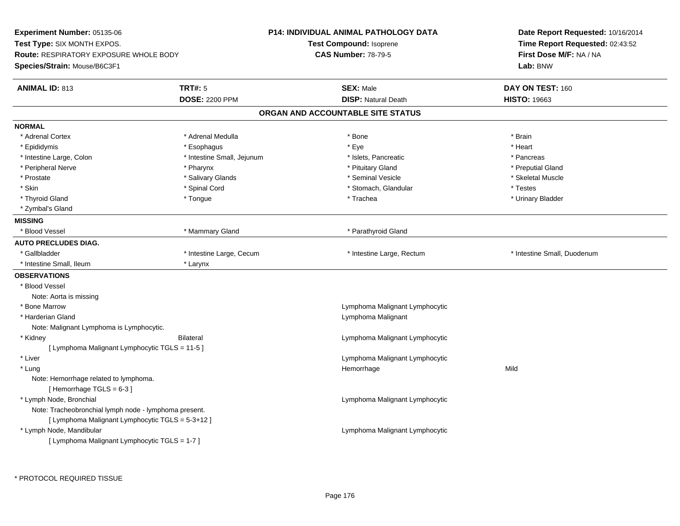| Experiment Number: 05135-06<br>Test Type: SIX MONTH EXPOS.<br>Route: RESPIRATORY EXPOSURE WHOLE BODY<br>Species/Strain: Mouse/B6C3F1 |                            | <b>P14: INDIVIDUAL ANIMAL PATHOLOGY DATA</b> | Date Report Requested: 10/16/2014<br>Time Report Requested: 02:43:52<br>First Dose M/F: NA / NA |
|--------------------------------------------------------------------------------------------------------------------------------------|----------------------------|----------------------------------------------|-------------------------------------------------------------------------------------------------|
|                                                                                                                                      |                            | Test Compound: Isoprene                      |                                                                                                 |
|                                                                                                                                      |                            | <b>CAS Number: 78-79-5</b>                   |                                                                                                 |
|                                                                                                                                      |                            |                                              | Lab: BNW                                                                                        |
| <b>ANIMAL ID: 813</b>                                                                                                                | <b>TRT#: 5</b>             | <b>SEX: Male</b>                             | DAY ON TEST: 160                                                                                |
|                                                                                                                                      | <b>DOSE: 2200 PPM</b>      | <b>DISP: Natural Death</b>                   | <b>HISTO: 19663</b>                                                                             |
|                                                                                                                                      |                            | ORGAN AND ACCOUNTABLE SITE STATUS            |                                                                                                 |
| <b>NORMAL</b>                                                                                                                        |                            |                                              |                                                                                                 |
| * Adrenal Cortex                                                                                                                     | * Adrenal Medulla          | * Bone                                       | * Brain                                                                                         |
| * Epididymis                                                                                                                         | * Esophagus                | * Eye                                        | * Heart                                                                                         |
| * Intestine Large, Colon                                                                                                             | * Intestine Small, Jejunum | * Islets, Pancreatic                         | * Pancreas                                                                                      |
| * Peripheral Nerve                                                                                                                   | * Pharynx                  | * Pituitary Gland                            | * Preputial Gland                                                                               |
| * Prostate                                                                                                                           | * Salivary Glands          | * Seminal Vesicle                            | * Skeletal Muscle                                                                               |
| * Skin                                                                                                                               | * Spinal Cord              | * Stomach, Glandular                         | * Testes                                                                                        |
| * Thyroid Gland                                                                                                                      | * Tongue                   | * Trachea                                    | * Urinary Bladder                                                                               |
| * Zymbal's Gland                                                                                                                     |                            |                                              |                                                                                                 |
| <b>MISSING</b>                                                                                                                       |                            |                                              |                                                                                                 |
| * Blood Vessel                                                                                                                       | * Mammary Gland            | * Parathyroid Gland                          |                                                                                                 |
| <b>AUTO PRECLUDES DIAG.</b>                                                                                                          |                            |                                              |                                                                                                 |
| * Gallbladder                                                                                                                        | * Intestine Large, Cecum   | * Intestine Large, Rectum                    | * Intestine Small, Duodenum                                                                     |
| * Intestine Small, Ileum                                                                                                             | * Larynx                   |                                              |                                                                                                 |
| <b>OBSERVATIONS</b>                                                                                                                  |                            |                                              |                                                                                                 |
| * Blood Vessel                                                                                                                       |                            |                                              |                                                                                                 |
| Note: Aorta is missing                                                                                                               |                            |                                              |                                                                                                 |
| * Bone Marrow                                                                                                                        |                            | Lymphoma Malignant Lymphocytic               |                                                                                                 |
| * Harderian Gland                                                                                                                    |                            | Lymphoma Malignant                           |                                                                                                 |
| Note: Malignant Lymphoma is Lymphocytic.                                                                                             |                            |                                              |                                                                                                 |
| * Kidney                                                                                                                             | <b>Bilateral</b>           | Lymphoma Malignant Lymphocytic               |                                                                                                 |
| [ Lymphoma Malignant Lymphocytic TGLS = 11-5 ]                                                                                       |                            |                                              |                                                                                                 |
| * Liver                                                                                                                              |                            | Lymphoma Malignant Lymphocytic               |                                                                                                 |
| * Lung                                                                                                                               |                            | Hemorrhage                                   | Mild                                                                                            |
| Note: Hemorrhage related to lymphoma.                                                                                                |                            |                                              |                                                                                                 |
| [Hemorrhage TGLS = $6-3$ ]                                                                                                           |                            |                                              |                                                                                                 |
| * Lymph Node, Bronchial                                                                                                              |                            | Lymphoma Malignant Lymphocytic               |                                                                                                 |
| Note: Tracheobronchial lymph node - lymphoma present.                                                                                |                            |                                              |                                                                                                 |
| [ Lymphoma Malignant Lymphocytic TGLS = 5-3+12 ]                                                                                     |                            |                                              |                                                                                                 |
| * Lymph Node, Mandibular                                                                                                             |                            | Lymphoma Malignant Lymphocytic               |                                                                                                 |
| [ Lymphoma Malignant Lymphocytic TGLS = 1-7 ]                                                                                        |                            |                                              |                                                                                                 |
|                                                                                                                                      |                            |                                              |                                                                                                 |

\* PROTOCOL REQUIRED TISSUE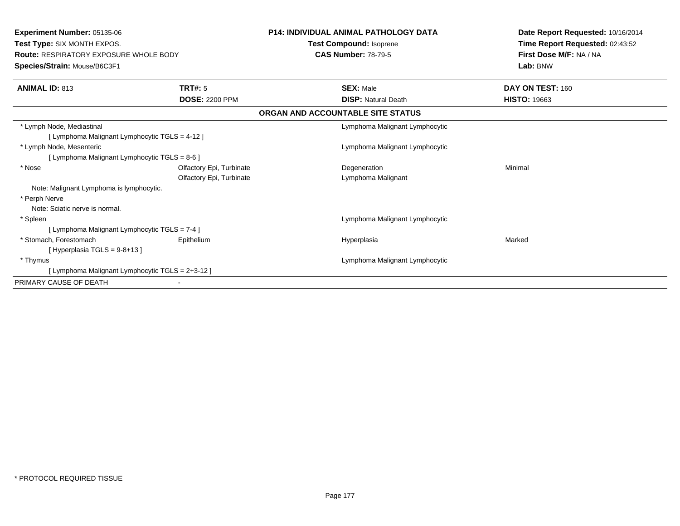| <b>Experiment Number: 05135-06</b><br><b>Test Type: SIX MONTH EXPOS.</b><br><b>Route: RESPIRATORY EXPOSURE WHOLE BODY</b><br>Species/Strain: Mouse/B6C3F1 |                          | <b>P14: INDIVIDUAL ANIMAL PATHOLOGY DATA</b><br>Test Compound: Isoprene<br><b>CAS Number: 78-79-5</b> |                                | Date Report Requested: 10/16/2014<br>Time Report Requested: 02:43:52 |
|-----------------------------------------------------------------------------------------------------------------------------------------------------------|--------------------------|-------------------------------------------------------------------------------------------------------|--------------------------------|----------------------------------------------------------------------|
|                                                                                                                                                           |                          |                                                                                                       |                                | First Dose M/F: NA / NA<br>Lab: BNW                                  |
| <b>ANIMAL ID: 813</b>                                                                                                                                     | <b>TRT#: 5</b>           |                                                                                                       | <b>SEX: Male</b>               | DAY ON TEST: 160                                                     |
|                                                                                                                                                           | <b>DOSE: 2200 PPM</b>    |                                                                                                       | <b>DISP: Natural Death</b>     | <b>HISTO: 19663</b>                                                  |
|                                                                                                                                                           |                          | ORGAN AND ACCOUNTABLE SITE STATUS                                                                     |                                |                                                                      |
| * Lymph Node, Mediastinal                                                                                                                                 |                          |                                                                                                       | Lymphoma Malignant Lymphocytic |                                                                      |
| [ Lymphoma Malignant Lymphocytic TGLS = 4-12 ]                                                                                                            |                          |                                                                                                       |                                |                                                                      |
| * Lymph Node, Mesenteric                                                                                                                                  |                          |                                                                                                       | Lymphoma Malignant Lymphocytic |                                                                      |
| [ Lymphoma Malignant Lymphocytic TGLS = 8-6 ]                                                                                                             |                          |                                                                                                       |                                |                                                                      |
| * Nose                                                                                                                                                    | Olfactory Epi, Turbinate |                                                                                                       | Degeneration                   | Minimal                                                              |
|                                                                                                                                                           | Olfactory Epi, Turbinate |                                                                                                       | Lymphoma Malignant             |                                                                      |
| Note: Malignant Lymphoma is lymphocytic.                                                                                                                  |                          |                                                                                                       |                                |                                                                      |
| * Perph Nerve                                                                                                                                             |                          |                                                                                                       |                                |                                                                      |
| Note: Sciatic nerve is normal.                                                                                                                            |                          |                                                                                                       |                                |                                                                      |
| * Spleen                                                                                                                                                  |                          |                                                                                                       | Lymphoma Malignant Lymphocytic |                                                                      |
| [ Lymphoma Malignant Lymphocytic TGLS = 7-4 ]                                                                                                             |                          |                                                                                                       |                                |                                                                      |
| * Stomach, Forestomach                                                                                                                                    | Epithelium               |                                                                                                       | Hyperplasia                    | Marked                                                               |
| [Hyperplasia TGLS = $9-8+13$ ]                                                                                                                            |                          |                                                                                                       |                                |                                                                      |
| * Thymus                                                                                                                                                  |                          |                                                                                                       | Lymphoma Malignant Lymphocytic |                                                                      |
| [ Lymphoma Malignant Lymphocytic TGLS = 2+3-12 ]                                                                                                          |                          |                                                                                                       |                                |                                                                      |
| PRIMARY CAUSE OF DEATH                                                                                                                                    |                          |                                                                                                       |                                |                                                                      |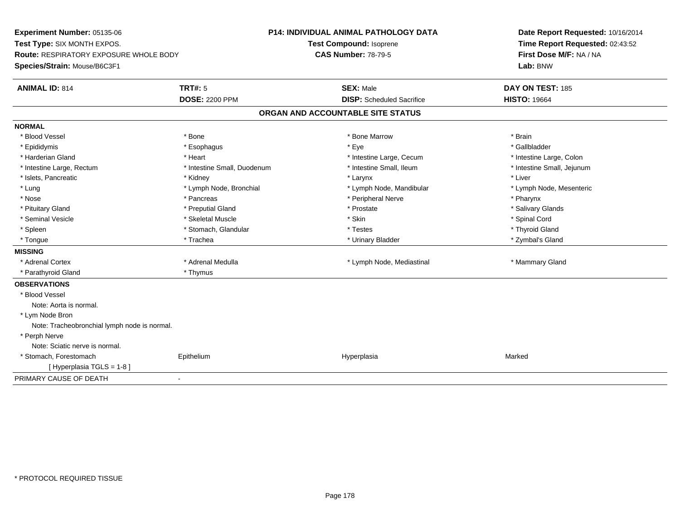**Experiment Number:** 05135-06**Test Type:** SIX MONTH EXPOS.**Route:** RESPIRATORY EXPOSURE WHOLE BODY**Species/Strain:** Mouse/B6C3F1**P14: INDIVIDUAL ANIMAL PATHOLOGY DATATest Compound:** Isoprene**CAS Number:** 78-79-5**Date Report Requested:** 10/16/2014**Time Report Requested:** 02:43:52**First Dose M/F:** NA / NA**Lab:** BNW**ANIMAL ID:** 814**TRT#:** 5 **SEX:** Male **DAY ON TEST:** 185 **DOSE:** 2200 PPM**DISP:** Scheduled Sacrifice **HISTO:** 19664 **ORGAN AND ACCOUNTABLE SITE STATUSNORMAL**\* Blood Vessel \* Blood Vessel \* \* Annual \* Bone \* \* Bone \* \* Bone \* \* Bone Marrow \* \* Bone Marrow \* \* Brain \* Brain \* Brain \* \* Gallbladder \* Epididymis \* \* ethanology \* Esophagus \* \* Exercises \* Eye \* \* Eye \* \* Exercises \* Gallbladder \* Gallbladder \* \* Gallbladder \* \* Gallbladder \* \* Gallbladder \* \* Gallbladder \* \* Exercises \* \* Gallbladder \* \* Gallbladder \* \* Harderian Gland \* The structure \* Theart \* Heart \* Intestine Large, Cecum \* Intestine Large, Cecum \* Intestine Large, Colon \* Intestine Small, Jejunum \* Intestine Large, Rectum \* Intestine Small, Duodenum \* Intestine Small, Ileum \* Intestine Small, Ileum \* Islets, Pancreatic \* \* \* Andrew \* Kidney \* \* Kidney \* \* Larynx \* Larynx \* \* Larynx \* \* Liver \* Liver \* Liver \* Lung \* Lymph Node, Bronchial \* Lymph Node, Mandibular \* Lymph Node, Mesenteric\* Nose \* Pancreas \* Peripheral Nerve \* Pharynx \* Salivary Glands \* Pituitary Gland \* \* Then the state \* Preputial Gland \* Prosection \* Prostate \* \* Salivary Glands \* Salivary Glands \* Salivary Glands \* Salivary Glands \* Salivary Glands \* Salivary Glands \* Salivary Glands \* Salivary Glan \* Seminal Vesicle \* \* Spinal Cord \* Skeletal Muscle \* \* Skin \* \* Skin \* \* Spinal Vesicle \* Spinal Cord \* Spinal Cord \* Thyroid Gland \* Spleen \* Thyroid Gland \* Stomach, Glandular \* The \* Testes \* Testes \* Thyroid Gland \* Thyroid Gland \* \* Thyroid Gland \* \* Zymbal's Gland \* Tongue \* Trachea \* Urinary Bladder \* Zymbal's Gland **MISSING**\* Adrenal Cortex \* Adrenal Medulla **\*** Adrenal Medulla \* Lymph Node, Mediastinal \* Mammary Gland \* Parathyroid Gland \* Thymus**OBSERVATIONS** \* Blood VesselNote: Aorta is normal. \* Lym Node Bron Note: Tracheobronchial lymph node is normal. \* Perph Nerve Note: Sciatic nerve is normal. \* Stomach, Forestomach Epithelium Hyperplasia Marked [ Hyperplasia TGLS = 1-8 ]PRIMARY CAUSE OF DEATH-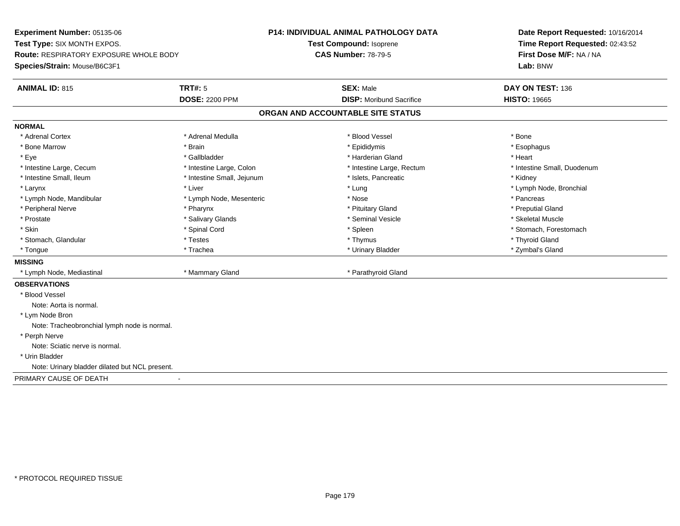**Experiment Number:** 05135-06**Test Type:** SIX MONTH EXPOS.**Route:** RESPIRATORY EXPOSURE WHOLE BODY**Species/Strain:** Mouse/B6C3F1**P14: INDIVIDUAL ANIMAL PATHOLOGY DATATest Compound:** Isoprene**CAS Number:** 78-79-5**Date Report Requested:** 10/16/2014**Time Report Requested:** 02:43:52**First Dose M/F:** NA / NA**Lab:** BNW**ANIMAL ID:** 815**TRT#:** 5 **SEX:** Male **DAY ON TEST:** 136 **DOSE:** 2200 PPM**DISP:** Moribund Sacrifice **HISTO:** 19665 **ORGAN AND ACCOUNTABLE SITE STATUSNORMAL**\* Adrenal Cortex \* Adrenal Cortex \* \* Adrenal Medulla \* \* Adrenal Medulla \* \* Blood Vessel \* \* Brood Vessel \* \* Bone \* Esophagus \* Bone Marrow \* Brain \* Epididymis \* Esophagus \* Eye \* \* Gallbladder \* \* Gallbladder \* \* \* \* Harderian Gland \* \* Heart \* Heart \* Heart \* Heart \* Heart \* Heart \* Intestine Large, Cecum \* Intestine Large, Colon \* Intestine Large, Rectum \* Intestine Small, Duodenum\* Intestine Small, Ileum \* **Allen and The Accord \* Intestine Small**, Jejunum \* 1stets, Pancreatic \* \* Kidney \* Kidney \* Larynx \* Louis \* Liver \* Lung \* Lung \* Lung \* Lung \* Lung \* Lymph Node, Bronchial \* Lymph Node, Bronchial \* \* Lymph Node, Mandibular \* The state of the second text of the second text of the second text of the second text of the second text of the second text of the second text of the second text of text of text of text of text o \* Preputial Gland \* Peripheral Nerve \* \* \* \* Pharynx \* \* Pharynx \* \* \* Preputial Gland \* \* Preputial Gland \* \* Preputial Gland \* Skeletal Muscle \* Prostate \* \* Skeletal Muscle \* \* Salivary Glands \* \* Steminal Vesicle \* \* Seminal Vesicle \* \* Skeletal Muscle \* Skin \* Spinal Cord \* Spinal Cord \* Spinal Cord \* Spinal \* Spinal \* Stomach, Forestomach \* Stomach, Forestomach \* Stomach, Glandular \* \* \* Thyroid Glandular \* Thestes \* \* Thymus \* Thymus \* Thyroid Glandular \* Thyroid Gland \* Zymbal's Gland \* Tongue \* Trachea \* Urinary Bladder \* Zymbal's Gland **MISSING** \* Lymph Node, Mediastinal \* Mammary Gland \* Parathyroid Gland**OBSERVATIONS** \* Blood VesselNote: Aorta is normal. \* Lym Node Bron Note: Tracheobronchial lymph node is normal. \* Perph Nerve Note: Sciatic nerve is normal. \* Urin BladderNote: Urinary bladder dilated but NCL present.PRIMARY CAUSE OF DEATH-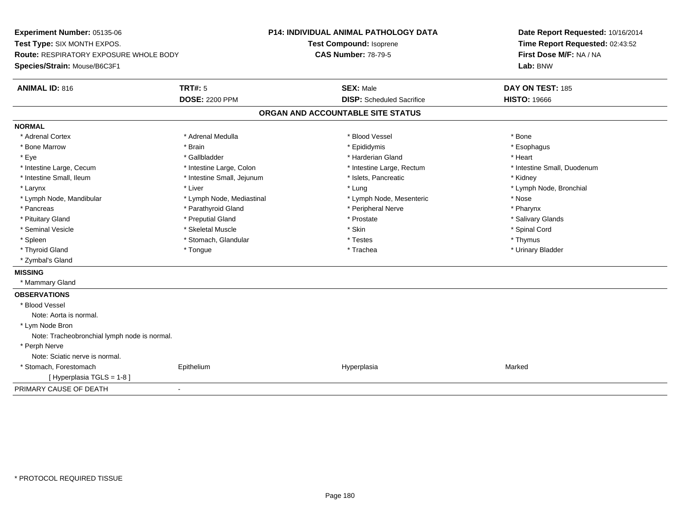**Experiment Number:** 05135-06**Test Type:** SIX MONTH EXPOS.**Route:** RESPIRATORY EXPOSURE WHOLE BODY**Species/Strain:** Mouse/B6C3F1**P14: INDIVIDUAL ANIMAL PATHOLOGY DATATest Compound:** Isoprene**CAS Number:** 78-79-5**Date Report Requested:** 10/16/2014**Time Report Requested:** 02:43:52**First Dose M/F:** NA / NA**Lab:** BNW**ANIMAL ID:** 816**6 DAY ON TEST:** 185 **DOSE:** 2200 PPM**DISP:** Scheduled Sacrifice **HISTO:** 19666 **ORGAN AND ACCOUNTABLE SITE STATUSNORMAL**\* Adrenal Cortex \* Adrenal Cortex \* \* Adrenal Medulla \* \* Adrenal Medulla \* \* Blood Vessel \* \* Brood Vessel \* \* Bone \* Esophagus \* Bone Marrow \* Brain \* Epididymis \* Esophagus \* Eye \* \* Gallbladder \* \* Gallbladder \* \* \* \* Harderian Gland \* \* Heart \* Heart \* Heart \* Heart \* Heart \* Heart \* Intestine Large, Cecum \* Intestine Large, Colon \* Intestine Large, Rectum \* Intestine Small, Duodenum\* Intestine Small, Ileum \* Thestine Small, Jejunum \* 1998, Pancreatic \* Kidney \* Kidney \* Kidney \* Kidney \* Larynx \* Louis \* Liver \* Lung \* Lung \* Lung \* Lung \* Lung \* Lymph Node, Bronchial \* Lymph Node, Bronchial \* \* Lymph Node, Mandibular \* Lymph Node, Mediastinal \* Lymph Node, Mesenteric \* Nose\* Pharynx \* Pancreas \* Pancreas \* Parathyroid Gland \* Peripheral Nerve \* Peripheral Nerve \* Salivary Glands \* Pituitary Gland \* \* Then the state \* Preputial Gland \* Prosection \* Prostate \* \* Salivary Glands \* Salivary Glands \* Salivary Glands \* Salivary Glands \* Salivary Glands \* Salivary Glands \* Salivary Glands \* Salivary Glan \* Seminal Vesicle \* \* Spinal Cord \* Skeletal Muscle \* \* Skin \* \* Skin \* \* Spinal Vesicle \* Spinal Cord \* Spinal Cord \* Spleen \* \* Stomach, Glandular \* \* Thymus \* Testes \* Thymus \* Thymus \* Thymus \* Thymus \* Thymus \* \* Thymus \* \* Urinary Bladder \* Thyroid Gland \* \* The control of the total property and the top of the top of the top of the top of the top of the top of the top of the top of the top of the top of the top of the top of the top of the top of the top of \* Zymbal's Gland**MISSING** \* Mammary Gland**OBSERVATIONS** \* Blood VesselNote: Aorta is normal. \* Lym Node Bron Note: Tracheobronchial lymph node is normal. \* Perph Nerve Note: Sciatic nerve is normal. \* Stomach, Forestomach Epithelium Hyperplasia Marked [ Hyperplasia TGLS = 1-8 ]PRIMARY CAUSE OF DEATH-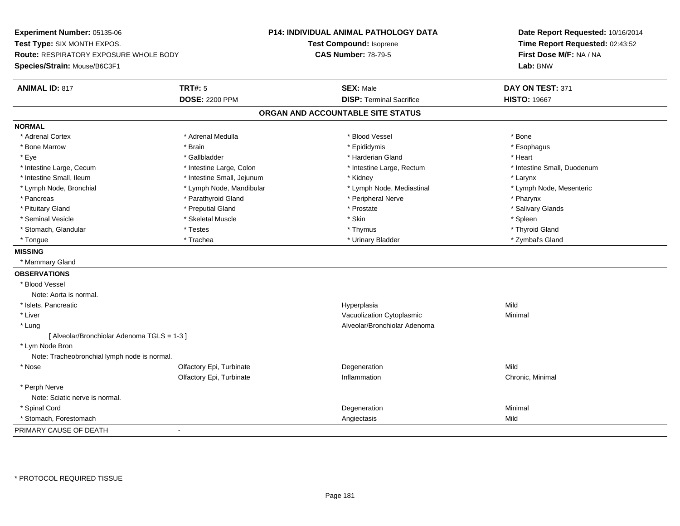**Experiment Number:** 05135-06**Test Type:** SIX MONTH EXPOS.**Route:** RESPIRATORY EXPOSURE WHOLE BODY**Species/Strain:** Mouse/B6C3F1**P14: INDIVIDUAL ANIMAL PATHOLOGY DATATest Compound:** Isoprene**CAS Number:** 78-79-5**Date Report Requested:** 10/16/2014**Time Report Requested:** 02:43:52**First Dose M/F:** NA / NA**Lab:** BNW**ANIMAL ID:** 817 **TRT#:** <sup>5</sup> **SEX:** Male **DAY ON TEST:** <sup>371</sup> **DOSE:** 2200 PPM**DISP:** Terminal Sacrifice **HISTO:** 19667 **ORGAN AND ACCOUNTABLE SITE STATUSNORMAL**\* Adrenal Cortex \* Adrenal Cortex \* \* Adrenal Medulla \* \* Adrenal Medulla \* \* Blood Vessel \* \* Brood Vessel \* \* Bone \* Esophagus \* Bone Marrow \* Brain \* Epididymis \* Esophagus \* Eye \* \* Gallbladder \* \* Gallbladder \* \* \* \* Harderian Gland \* \* Heart \* Heart \* Heart \* Heart \* Heart \* Heart \* Intestine Large, Cecum \* Intestine Large, Colon \* Intestine Large, Thestine Large, Rectum \* Intestine Small, Duodenum \* Intestine Small, Ileum \* Intestine Small, Jejunum \* Kidney \* Larynx\* Lymph Node, Mesenteric \* Lymph Node, Bronchial \* Lymph Node, Mandibular \* Lymph Node, Mediastinal \* Lymph Node, Mediastinal \* Pancreas \* Parathyroid Gland \* \* Parathyroid Gland \* Peripheral Nerve \* \* Peripheral Nerve \* \* Pharynx \* Salivary Glands \* Pituitary Gland \* \* Then the state \* Preputial Gland \* Prosection \* Prostate \* \* Salivary Glands \* Salivary Glands \* Salivary Glands \* Salivary Glands \* Salivary Glands \* Salivary Glands \* Salivary Glands \* Salivary Glan \* Seminal Vesicle \* \* \* Sheem \* Skeletal Muscle \* \* Stemme \* Skin \* \* Skin \* \* Spleen \* Spleen \* Spleen \* Spleen \* Thyroid Gland \* Stomach, Glandular \* \* \* Thyroid Glandular \* Thestes \* \* Thymus \* Thymus \* Thyroid Glandular \* Thyroid Gland \* Zymbal's Gland \* Tongue \* Trachea \* Urinary Bladder \* Zymbal's Gland **MISSING** \* Mammary Gland**OBSERVATIONS** \* Blood VesselNote: Aorta is normal. \* Islets, Pancreaticc and the contract of the contract of the contract of the contract of the contract of the contract of the contract of the contract of the contract of the contract of the contract of the contract of the contract of the cont a Mild \* Liver Vacuolization Cytoplasmic Minimal \* Lung Alveolar/Bronchiolar Adenoma [ Alveolar/Bronchiolar Adenoma TGLS = 1-3 ] \* Lym Node Bron Note: Tracheobronchial lymph node is normal. \* Nosee and the Colfactory Epi, Turbinate and the Colfactory Epistem of the Colfactory Epistem Mild Olfactory Epi, Turbinatee Chronic, Minimal \* Perph Nerve Note: Sciatic nerve is normal. \* Spinal Cordd and the control of the control of the control of the control of the control of the control of the control of the control of the control of the control of the control of the control of the control of the control of the co \* Stomach, Forestomach Angiectasis Mild PRIMARY CAUSE OF DEATH-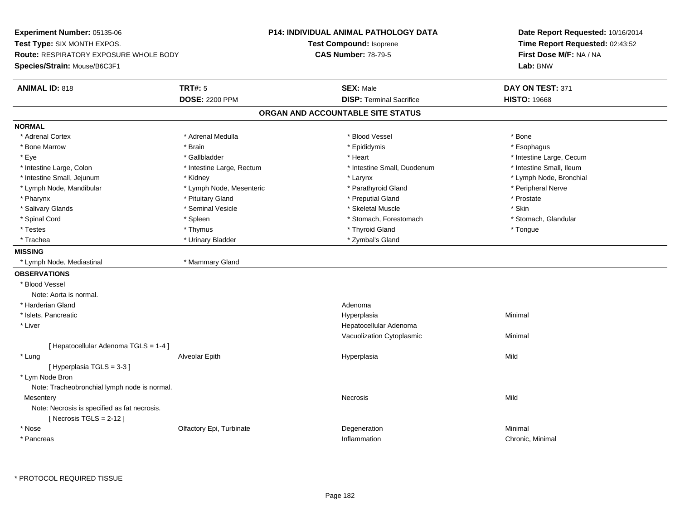**Experiment Number:** 05135-06**Test Type:** SIX MONTH EXPOS.**Route:** RESPIRATORY EXPOSURE WHOLE BODY**Species/Strain:** Mouse/B6C3F1**P14: INDIVIDUAL ANIMAL PATHOLOGY DATATest Compound:** Isoprene**CAS Number:** 78-79-5**Date Report Requested:** 10/16/2014**Time Report Requested:** 02:43:52**First Dose M/F:** NA / NA**Lab:** BNW**ANIMAL ID:** 818**SEX:** Male **DAY ON TEST:** 371 **DOSE:** 2200 PPM**DISP:** Terminal Sacrifice **HISTO:** 19668 **ORGAN AND ACCOUNTABLE SITE STATUSNORMAL**\* Adrenal Cortex \* Adrenal Cortex \* \* Adrenal Medulla \* \* Adrenal Medulla \* \* Blood Vessel \* \* Brood Vessel \* \* Bone \* Esophagus \* Bone Marrow \* Brain \* Epididymis \* Esophagus \* Eye \* https://www.frage.com/windown.com/windown.com/windown.com/windown.com/windown.com/windown.com/windown-\* Intestine Small, Ileum \* Intestine Large, Colon \* Intestine Large, Rectum \* Intestine Small, Duodenum \* Intestine Small, Duodenum \* Lymph Node, Bronchial \* Intestine Small, Jejunum \* Manus \* Kidney \* Kidney \* Larynx \* Larynx \* Larynx \* Larynx \* Larynx \* Larynx \* Larynx \* Larynx \* Larynx \* Larynx \* Larynx \* Larynx \* Larynx \* Larynx \* Larynx \* Larynx \* Larynx \* Larynx \* Laryn \* Lymph Node, Mandibular \* Lymph Node, Mesenteric \* Parathyroid Gland \* Parathyroid Gland \* Peripheral Nerve \* Pharynx \* Pituitary Gland \* Preputial Gland \* Prostate \* Salivary Glands \* Seminal Vesicle \* Skeletal Muscle \* Skin\* Stomach, Glandular \* Spinal Cord \* Spinal Cord \* Spinal Cord \* Spinal Cord \* Spinal Cord \* Stomach, Forestomach \* Spinal Archives \* Spinal Archives \* Spinal Archives \* Spinal Archives \* Spinal Archives \* Spinal Archives \* Spinal Archives \* S \* Testes \* Thymus \* Thyroid Gland \* Tongue \* Trachea \* Urinary Bladder \* 2ymbal's Gland \* Zymbal's Gland \* Zymbal's Gland \* Zymbal's Gland **MISSING** \* Lymph Node, Mediastinal \* Mammary Gland**OBSERVATIONS** \* Blood VesselNote: Aorta is normal. \* Harderian Glandd and a state of the control of the control of the control of the control of the control of the control of the control of the control of the control of the control of the control of the control of the control of the contro \* Islets, Pancreaticc and the contract of the contract of the contract of the contract of the contract of the contract of the contract of the contract of the contract of the contract of the contract of the contract of the contract of the cont a **Minimal**  \* Liver Hepatocellular Adenoma Vacuolization Cytoplasmic Minimal [ Hepatocellular Adenoma TGLS = 1-4 ] \* Lung Alveolar Epith Hyperplasia Mild [ Hyperplasia TGLS = 3-3 ] \* Lym Node Bron Note: Tracheobronchial lymph node is normal.**Mesentery** y and the control of the control of the control of the control of the control of the control of the control of the control of the control of the control of the control of the control of the control of the control of the co Note: Necrosis is specified as fat necrosis. $[$  Necrosis TGLS = 2-12  $]$  \* Nosee and the Colfactory Epi, Turbinate and the Coleman Degeneration Coleman Minimal Minimal \* Pancreass the control of the control of the control of the control of the control of the control of the control of the control of the control of the control of the control of the control of the control of the control of the contro Inflammation **Chronic**, Minimal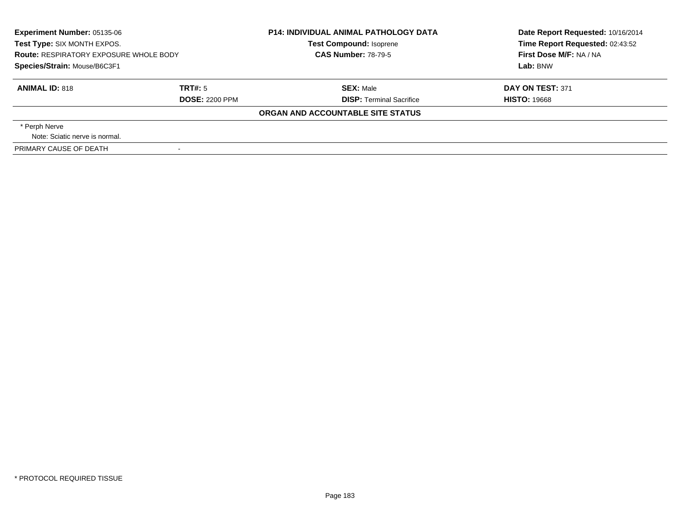| <b>Route: RESPIRATORY EXPOSURE WHOLE BODY</b> | <b>P14: INDIVIDUAL ANIMAL PATHOLOGY DATA</b><br><b>Test Compound: Isoprene</b><br><b>CAS Number: 78-79-5</b> | Date Report Requested: 10/16/2014<br>Time Report Requested: 02:43:52<br>First Dose M/F: NA / NA<br>Lab: BNW |
|-----------------------------------------------|--------------------------------------------------------------------------------------------------------------|-------------------------------------------------------------------------------------------------------------|
| TRT#: 5<br><b>DOSE: 2200 PPM</b>              | <b>SEX: Male</b><br><b>DISP:</b> Terminal Sacrifice                                                          | DAY ON TEST: 371<br><b>HISTO: 19668</b>                                                                     |
|                                               | ORGAN AND ACCOUNTABLE SITE STATUS                                                                            |                                                                                                             |
|                                               |                                                                                                              |                                                                                                             |
|                                               |                                                                                                              |                                                                                                             |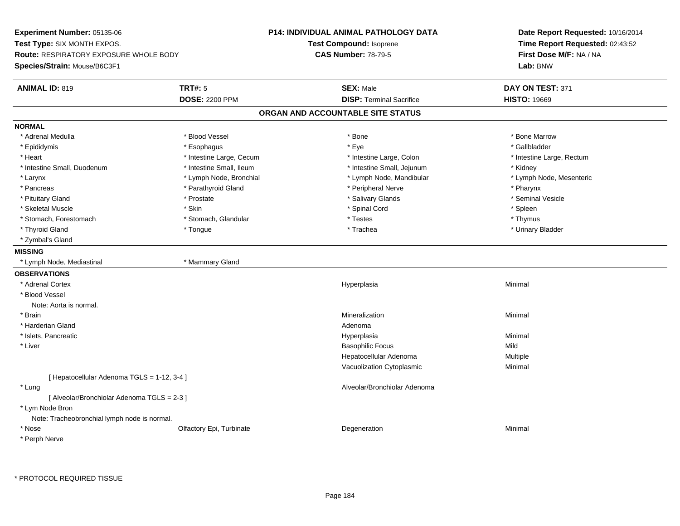**Experiment Number:** 05135-06**Test Type:** SIX MONTH EXPOS.**Route:** RESPIRATORY EXPOSURE WHOLE BODY**Species/Strain:** Mouse/B6C3F1**P14: INDIVIDUAL ANIMAL PATHOLOGY DATATest Compound:** Isoprene**CAS Number:** 78-79-5**Date Report Requested:** 10/16/2014**Time Report Requested:** 02:43:52**First Dose M/F:** NA / NA**Lab:** BNW**ANIMAL ID:** 819 **TRT#:** <sup>5</sup> **SEX:** Male **DAY ON TEST:** <sup>371</sup> **DOSE:** 2200 PPM**DISP:** Terminal Sacrifice **HISTO:** 19669 **ORGAN AND ACCOUNTABLE SITE STATUSNORMAL**\* Adrenal Medulla \* \* \* Blood Vessel \* \* \* Bone Marrow \* \* Bone Marrow \* \* Bone Marrow \* Gallbladder \* Epididymis \* \* exphagus \* Esophagus \* \* Eye \* \* Eye \* \* Exercise \* Gallbladder \* Gallbladder \* \* Gallbladder \* \* Gallbladder \* \* Gallbladder \* \* Gallbladder \* \* Gallbladder \* \* Exercise \* \* \* Gallbladder \* \* \* Gallbladde \* Heart **\*** Intestine Large, Cecum \* Intestine Large, Cecum \* Intestine Large, Colon \* <sup>\*</sup> Intestine Large, Rectum \* Intestine Small, Duodenum \* 100 \* 100 \* 100 \* 100 \* 100 \* 100 \* 100 \* 100 \* 100 \* 100 \* 100 \* 100 \* Hotestine Small, Jejunum \* Kidney \* Lymph Node, Mesenteric \* Larynx \* Lymph Node, Bronchial \* Lymph Node, Aandibular \* Lymph Node, Mandibular \* Pancreas \* Parathyroid Gland \* Parathyroid Gland \* Peripheral Nerve \* Pancreas \* Pharynx \* Seminal Vesicle \* Pituitary Gland \* \* \* \* Prostate \* \* Prostate \* \* Salivary Glands \* \* Salivary Glands \* \* Seminal Vesicle \* Skeletal Muscle \* Skin \* Spinal Cord \* Spleen \* Thymus \* Stomach, Forestomach \* Testes \* Stomach, Glandular \* Testes \* Testes \* Testes \* Testes \* Testes \* Testes \* T \* Urinary Bladder \* Thyroid Gland \* \* The control of the total property and the top of the top of the top of the top of the top of the top of the top of the top of the top of the top of the top of the top of the top of the top of the top of \* Zymbal's Gland**MISSING** \* Lymph Node, Mediastinal \* Mammary Gland**OBSERVATIONS** \* Adrenal Cortexx and the control of the control of the control of the control of the control of the control of the control of the control of the control of the control of the control of the control of the control of the control of the co a **Minimal**  \* Blood VesselNote: Aorta is normal. \* Brainn and the controller of the controller of the controller of the Minimal Mineralization and the controller of the Minimal Minimal  $\alpha$  \* Harderian Glandd and a state of the control of the control of the control of the control of the control of the control of the control of the control of the control of the control of the control of the control of the control of the contro \* Islets, Pancreaticc and the contract of the contract of the contract of the contract of the contract of the contract of the contract of the contract of the contract of the contract of the contract of the contract of the contract of the cont a **Minimal**  \* Liverr and the contract of the contract of the contract of the contract of the contract of the Basophilic Focus of the contract of the contract of the contract of the contract of the contract of the contract of the contract of s Mild a **Multiple** Hepatocellular AdenomaVacuolization Cytoplasmic Minimal [ Hepatocellular Adenoma TGLS = 1-12, 3-4 ] \* Lung Alveolar/Bronchiolar Adenoma [ Alveolar/Bronchiolar Adenoma TGLS = 2-3 ] \* Lym Node Bron Note: Tracheobronchial lymph node is normal. \* Nosee and the Colfactory Epi, Turbinate and the Coleman Degeneration Coleman Minimal Minimal \* Perph Nerve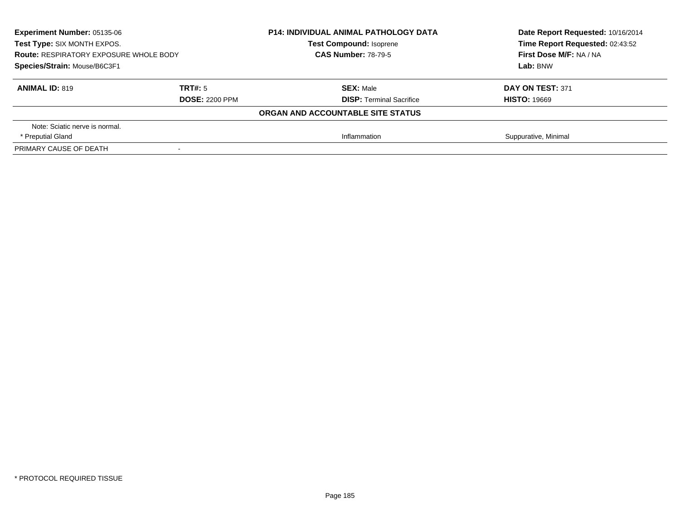| <b>Experiment Number: 05135-06</b>            |                       | <b>P14: INDIVIDUAL ANIMAL PATHOLOGY DATA</b> | Date Report Requested: 10/16/2014 |
|-----------------------------------------------|-----------------------|----------------------------------------------|-----------------------------------|
| Test Type: SIX MONTH EXPOS.                   |                       | <b>Test Compound: Isoprene</b>               | Time Report Requested: 02:43:52   |
| <b>Route: RESPIRATORY EXPOSURE WHOLE BODY</b> |                       | <b>CAS Number: 78-79-5</b>                   | First Dose M/F: NA / NA           |
| Species/Strain: Mouse/B6C3F1                  |                       |                                              | Lab: BNW                          |
| <b>ANIMAL ID: 819</b>                         | TRT#: 5               | <b>SEX: Male</b>                             | DAY ON TEST: 371                  |
|                                               | <b>DOSE: 2200 PPM</b> | <b>DISP:</b> Terminal Sacrifice              | <b>HISTO: 19669</b>               |
|                                               |                       | ORGAN AND ACCOUNTABLE SITE STATUS            |                                   |
| Note: Sciatic nerve is normal.                |                       |                                              |                                   |
| * Preputial Gland                             |                       | Inflammation                                 | Suppurative, Minimal              |
| PRIMARY CAUSE OF DEATH                        |                       |                                              |                                   |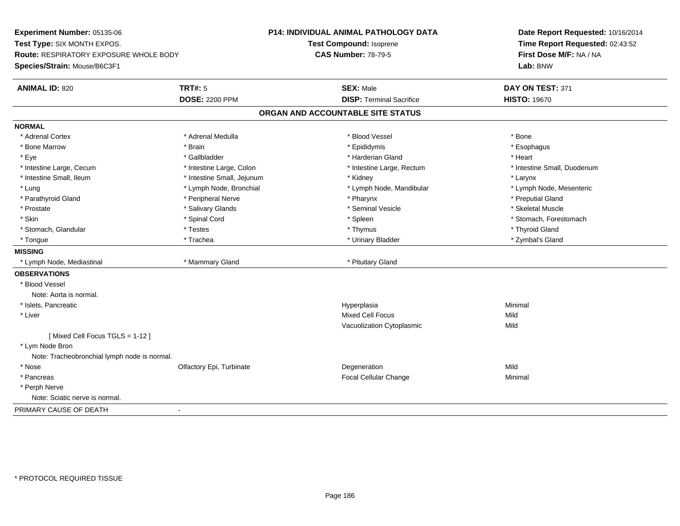**Experiment Number:** 05135-06**Test Type:** SIX MONTH EXPOS.**Route:** RESPIRATORY EXPOSURE WHOLE BODY**Species/Strain:** Mouse/B6C3F1**P14: INDIVIDUAL ANIMAL PATHOLOGY DATATest Compound:** Isoprene**CAS Number:** 78-79-5**Date Report Requested:** 10/16/2014**Time Report Requested:** 02:43:52**First Dose M/F:** NA / NA**Lab:** BNW**ANIMAL ID:** 820**CONSEX:** Male **DAY ON TEST:** 371 **DOSE:** 2200 PPM**DISP:** Terminal Sacrifice **HISTO:** 19670 **ORGAN AND ACCOUNTABLE SITE STATUSNORMAL**\* Adrenal Cortex \* Adrenal Cortex \* \* Adrenal Medulla \* \* Adrenal Medulla \* \* Blood Vessel \* \* Brood Vessel \* \* Bone \* Esophagus \* Bone Marrow \* Brain \* Epididymis \* Esophagus \* Eye \* \* Gallbladder \* \* Gallbladder \* \* \* \* Harderian Gland \* \* Heart \* Heart \* Heart \* Heart \* Heart \* Heart \* Intestine Large, Cecum \* Intestine Large, Colon \* Intestine Large, Thestine Large, Rectum \* Intestine Small, Duodenum \* Intestine Small, Ileum \* Intestine Small, Jejunum \* Kidney \* Larynx\* Lymph Node, Mesenteric \* Lung \* Lymph Node, Bronchial \* Lymph Node, Mandibular \* Lymph Node, Mandibular \* Parathyroid Gland \* \* \* Peripheral Nerve \* \* Peripheral Nerve \* \* Pharynx \* \* Pharynx \* \* Preputial Gland \* Skeletal Muscle \* Prostate \* \* Skeletal Muscle \* \* Salivary Glands \* \* Steminal Vesicle \* \* Seminal Vesicle \* \* Skeletal Muscle \* Skin \* Spinal Cord \* Spinal Cord \* Spinal Cord \* Spinal \* Spinal \* Stomach, Forestomach \* Stomach, Forestomach \* Stomach, Glandular \* Thyroid Gland \* Testes \* Thyroid Gland \* Thyroid Gland \* Thyroid Gland \* Thyroid Gland \* Zymbal's Gland \* Tongue \* Trachea \* Urinary Bladder \* Zymbal's Gland **MISSING**\* Lymph Node, Mediastinal **\* Mammary Gland \* Pituitary Gland** \* Pituitary Gland \* Pituitary Gland \* P **OBSERVATIONS** \* Blood VesselNote: Aorta is normal. \* Islets, Pancreaticc and the contract of the contract of the contract of the contract of the contract of the contract of the contract of the contract of the contract of the contract of the contract of the contract of the contract of the cont a **Minimal**  \* Liver Mixed Cell Focuss Mild Mild Vacuolization Cytoplasmicc Mild [ Mixed Cell Focus TGLS = 1-12 ] \* Lym Node Bron Note: Tracheobronchial lymph node is normal. \* Nosee and the Colfactory Epi, Turbinate and the Colfactory Epistem of the Colfactory Epistem Mild \* Pancreas Focal Cellular Changee Minimal \* Perph Nerve Note: Sciatic nerve is normal.PRIMARY CAUSE OF DEATH

-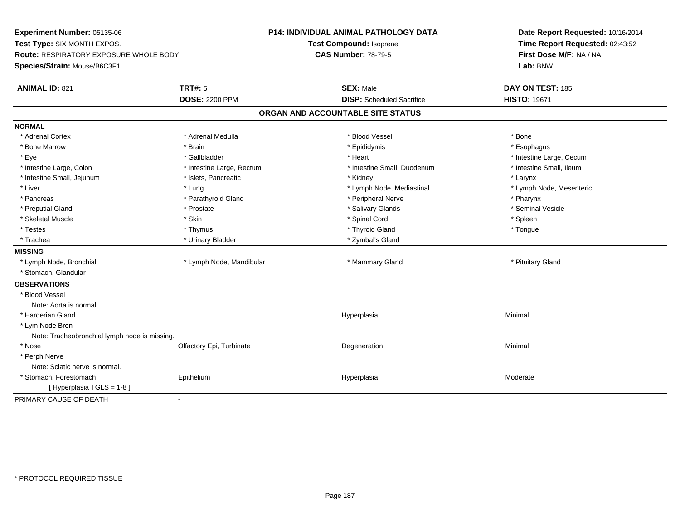**Experiment Number:** 05135-06**Test Type:** SIX MONTH EXPOS.**Route:** RESPIRATORY EXPOSURE WHOLE BODY**Species/Strain:** Mouse/B6C3F1**P14: INDIVIDUAL ANIMAL PATHOLOGY DATATest Compound:** Isoprene**CAS Number:** 78-79-5**Date Report Requested:** 10/16/2014**Time Report Requested:** 02:43:52**First Dose M/F:** NA / NA**Lab:** BNW**ANIMAL ID:** 821**TRT#:** 5 **SEX:** Male **DAY ON TEST:** 185 **DOSE:** 2200 PPM**DISP:** Scheduled Sacrifice **HISTO:** 19671 **ORGAN AND ACCOUNTABLE SITE STATUSNORMAL**\* Adrenal Cortex \* Adrenal Cortex \* \* Adrenal Medulla \* \* Adrenal Medulla \* \* Blood Vessel \* \* Brood Vessel \* \* Bone \* Esophagus \* Bone Marrow \* Brain \* Epididymis \* Esophagus \* Eye \* https://www.frage.com/windown.com/windown.com/windown.com/windown.com/windown.com/windown.com/windown-\* Intestine Small, Ileum \* Intestine Large, Colon \* Intestine Large, Rectum \* Intestine Small, Duodenum \* Intestine Small, Duodenum \* Intestine Small, Jejunum \* The matches of the state of the state of the state of the state of the state of the state of the state of the state of the state of the state of the state of the state of the state of the state \* Lymph Node, Mesenteric \* Liver \* Liver \* Lung \* Lung \* Lung \* Lung \* Lymph Node, Mediastinal \* Lymph Node, Mediastinal \* \* Pancreas \* Parathyroid Gland \* Parathyroid Gland \* Peripheral Nerve \* Posterious \* Pharynx \* Seminal Vesicle \* Preputial Gland \* \* Annual vesicle \* \* Prostate \* \* Salivary Glands \* \* Salivary Glands \* \* Seminal Vesicle \* \* Skeletal Muscle \* Skin \* Spinal Cord \* Spleen \* Tongue \* Testes \* Thymus \* Thyroid Gland \* Tongue \* Trachea \* Urinary Bladder \* 2ymbal's Gland \* Zymbal's Gland \* Zymbal's Gland \* Zymbal's Gland **MISSING**\* Lymph Node, Bronchial \* Lymph Node, Mandibular \* Mannesom \* Mammary Gland \* Pituitary Gland \* Pituitary Gland \* Stomach, Glandular**OBSERVATIONS** \* Blood VesselNote: Aorta is normal. \* Harderian Glandd and the control of the control of the control of the Hyperplasia and the control of the control of the control of the control of the control of the control of the control of the control of the control of the control of t \* Lym Node Bron Note: Tracheobronchial lymph node is missing. \* Nosee and the Colfactory Epi, Turbinate and the Coleman Degeneration Coleman Minimal Minimal \* Perph Nerve Note: Sciatic nerve is normal. \* Stomach, Forestomach Epitheliumm and the Hyperplasia measurement of the Hyperplasia measurement of the Moderate Moderate [ Hyperplasia TGLS = 1-8 ]PRIMARY CAUSE OF DEATH-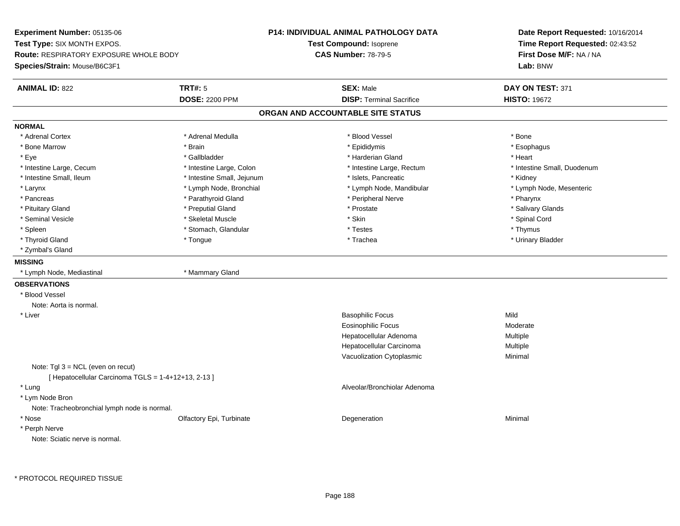**Experiment Number:** 05135-06**Test Type:** SIX MONTH EXPOS.**Route:** RESPIRATORY EXPOSURE WHOLE BODY**Species/Strain:** Mouse/B6C3F1**P14: INDIVIDUAL ANIMAL PATHOLOGY DATATest Compound:** Isoprene**CAS Number:** 78-79-5**Date Report Requested:** 10/16/2014**Time Report Requested:** 02:43:52**First Dose M/F:** NA / NA**Lab:** BNW**ANIMAL ID:** 822 **TRT#:** <sup>5</sup> **SEX:** Male **DAY ON TEST:** <sup>371</sup> **DOSE:** 2200 PPM**DISP:** Terminal Sacrifice **HISTO:** 19672 **ORGAN AND ACCOUNTABLE SITE STATUSNORMAL**\* Adrenal Cortex \* Adrenal Cortex \* \* Adrenal Medulla \* \* Adrenal Medulla \* \* Blood Vessel \* \* Brood Vessel \* \* Bone \* Esophagus \* Bone Marrow \* Brain \* Epididymis \* Esophagus \* Eye \* \* Gallbladder \* \* Gallbladder \* \* \* \* Harderian Gland \* \* Heart \* Heart \* Heart \* Heart \* Heart \* Heart \* Intestine Large, Cecum \* Intestine Large, Colon \* Intestine Large, Thestine Large, Rectum \* Intestine Small, Duodenum \* Intestine Small, Ileum \* Thestine Small, Jejunum \* Islets, Pancreatic \* \* Kidney \* Kidney \* Kidney \* Lymph Node, Mesenteric \* Larynx **\*** Lymph Node, Bronchial \* Lymph Node, Mandibular \* Lymph Node, Mandibular \* Pancreas \* Parathyroid Gland \* \* Parathyroid Gland \* Peripheral Nerve \* \* Peripheral Nerve \* \* Pharynx \* Salivary Glands \* Pituitary Gland \* \* Then the state \* Preputial Gland \* Prosection \* Prostate \* \* Salivary Glands \* Salivary Glands \* Salivary Glands \* Salivary Glands \* Salivary Glands \* Salivary Glands \* Salivary Glands \* Salivary Glan \* Seminal Vesicle \* \* Spinal Cord \* Skeletal Muscle \* \* Skin \* \* Skin \* \* Spinal Vesicle \* Spinal Cord \* Spinal Cord \* Spleen \* \* Stomach, Glandular \* \* Thymus \* Testes \* Thymus \* Thymus \* Thymus \* Thymus \* Thymus \* \* Thymus \* \* Urinary Bladder \* Thyroid Gland \* \* The control of the total property and the top of the top of the top of the top of the top of the top of the top of the top of the top of the top of the top of the top of the top of the top of the top of \* Zymbal's Gland**MISSING** \* Lymph Node, Mediastinal \* Mammary Gland**OBSERVATIONS** \* Blood VesselNote: Aorta is normal. \* Liver Basophilic Focuss Mild s Moderate Eosinophilic FocusHepatocellular Adenoma Multiple Hepatocellular Carcinoma Multiple Vacuolization Cytoplasmic Minimal Note: Tgl 3 = NCL (even on recut) $[$  Hepatocellular Carcinoma TGLS =  $1-4+12+13$ , 2-13 ] \* Lung Alveolar/Bronchiolar Adenoma \* Lym Node Bron Note: Tracheobronchial lymph node is normal. \* Nosee and the Colfactory Epi, Turbinate and the Coleman Degeneration Coleman Minimal Minimal \* Perph NerveNote: Sciatic nerve is normal.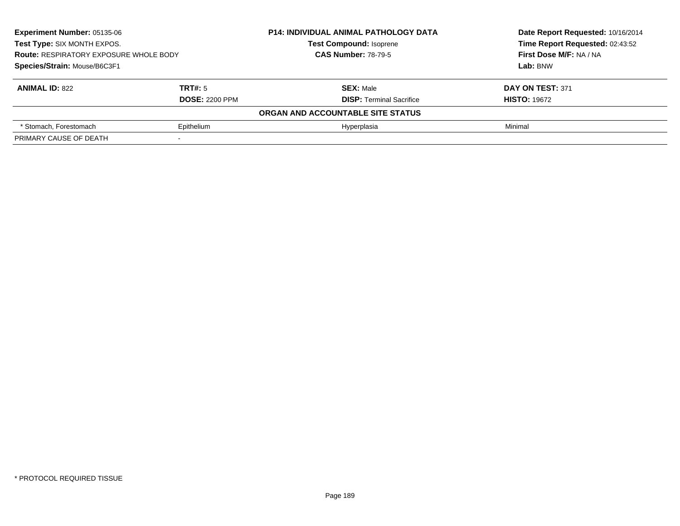| <b>Experiment Number: 05135-06</b><br>Test Type: SIX MONTH EXPOS.<br><b>Route: RESPIRATORY EXPOSURE WHOLE BODY</b> |                       | <b>P14: INDIVIDUAL ANIMAL PATHOLOGY DATA</b> | Date Report Requested: 10/16/2014 |
|--------------------------------------------------------------------------------------------------------------------|-----------------------|----------------------------------------------|-----------------------------------|
|                                                                                                                    |                       | <b>Test Compound: Isoprene</b>               | Time Report Requested: 02:43:52   |
|                                                                                                                    |                       | <b>CAS Number: 78-79-5</b>                   | First Dose M/F: NA / NA           |
| Species/Strain: Mouse/B6C3F1                                                                                       |                       |                                              | Lab: BNW                          |
| <b>ANIMAL ID: 822</b>                                                                                              | TRT#: 5               | <b>SEX: Male</b>                             | DAY ON TEST: 371                  |
|                                                                                                                    | <b>DOSE: 2200 PPM</b> | <b>DISP: Terminal Sacrifice</b>              | <b>HISTO: 19672</b>               |
|                                                                                                                    |                       | ORGAN AND ACCOUNTABLE SITE STATUS            |                                   |
| * Stomach, Forestomach                                                                                             | Epithelium            | Hyperplasia                                  | Minimal                           |
| PRIMARY CAUSE OF DEATH                                                                                             |                       |                                              |                                   |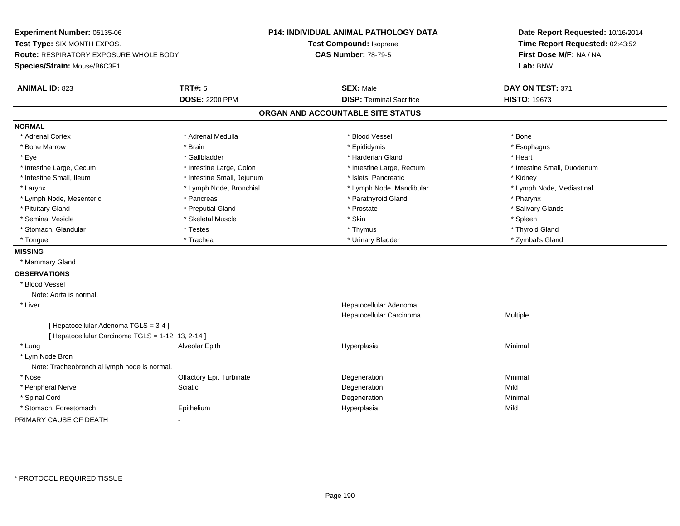**Experiment Number:** 05135-06**Test Type:** SIX MONTH EXPOS.**Route:** RESPIRATORY EXPOSURE WHOLE BODY**Species/Strain:** Mouse/B6C3F1**P14: INDIVIDUAL ANIMAL PATHOLOGY DATATest Compound:** Isoprene**CAS Number:** 78-79-5**Date Report Requested:** 10/16/2014**Time Report Requested:** 02:43:52**First Dose M/F:** NA / NA**Lab:** BNW**ANIMAL ID:** 823**TRT#:** 5 **SEX:** Male **SEX:** Male **DAY ON TEST:** 371 **DOSE:** 2200 PPM**DISP:** Terminal Sacrifice **HISTO:** 19673 **ORGAN AND ACCOUNTABLE SITE STATUSNORMAL**\* Adrenal Cortex \* Adrenal Cortex \* \* Adrenal Medulla \* \* Adrenal Medulla \* \* Blood Vessel \* \* Brood Vessel \* \* Bone \* Esophagus \* Bone Marrow \* Brain \* Epididymis \* Esophagus \* Eye \* \* Gallbladder \* \* Gallbladder \* \* \* \* Harderian Gland \* \* Heart \* Heart \* Heart \* Heart \* Heart \* Heart \* Intestine Large, Cecum \* Intestine Large, Colon \* Intestine Large, Thestine Large, Rectum \* Intestine Small, Duodenum \* Intestine Small, Ileum \* Thestine Small, Jejunum \* 1998, Pancreatic \* Kidney \* Kidney \* Kidney \* Kidney \* Lymph Node, Mediastinal \* Larynx **\*** Lymph Node, Bronchial \* Lymph Node, Mandibular \* Lymph Node, Mandibular \* Lymph Node, Mesenteric \* Pancreas \* Parathyroid Gland \* Pharynx\* Salivary Glands \* Pituitary Gland \* \* Then the state \* Preputial Gland \* Prosection \* Prostate \* \* Salivary Glands \* Salivary Glands \* Salivary Glands \* Salivary Glands \* Salivary Glands \* Salivary Glands \* Salivary Glands \* Salivary Glan \* Seminal Vesicle \* \* \* Sheem \* Skeletal Muscle \* \* Stemme \* Skin \* \* Skin \* \* Spleen \* Spleen \* Spleen \* Spleen \* Thyroid Gland \* Stomach, Glandular \* \* \* Thyroid Glandular \* Thestes \* \* Thymus \* Thymus \* Thyroid Glandular \* Thyroid Gland \* Zymbal's Gland \* Tongue \* Trachea \* Urinary Bladder \* Zymbal's Gland **MISSING** \* Mammary Gland**OBSERVATIONS** \* Blood VesselNote: Aorta is normal. \* Liver Hepatocellular Adenoma Hepatocellular Carcinoma Multiple [ Hepatocellular Adenoma TGLS = 3-4 ][ Hepatocellular Carcinoma TGLS = 1-12+13, 2-14 ] \* Lung Alveolar Epith Hyperplasia Minimal \* Lym Node Bron Note: Tracheobronchial lymph node is normal. \* Nosee and the Colfactory Epi, Turbinate and the Coleman Degeneration Coleman Minimal Minimal \* Peripheral Nervee the settlement of the Sciatic Contract of the Science of the Degeneration of the Mild Mild of the Mild of the Mild of the Science of the Mild of the Mild of the Mild of the Mild of the Mild of the Mild of the Mild of the \* Spinal Cordd and the control of the control of the control of the control of the control of the control of the control of the control of the control of the control of the control of the control of the control of the control of the co \* Stomach, Forestomach Epithelium Hyperplasia Mild PRIMARY CAUSE OF DEATH-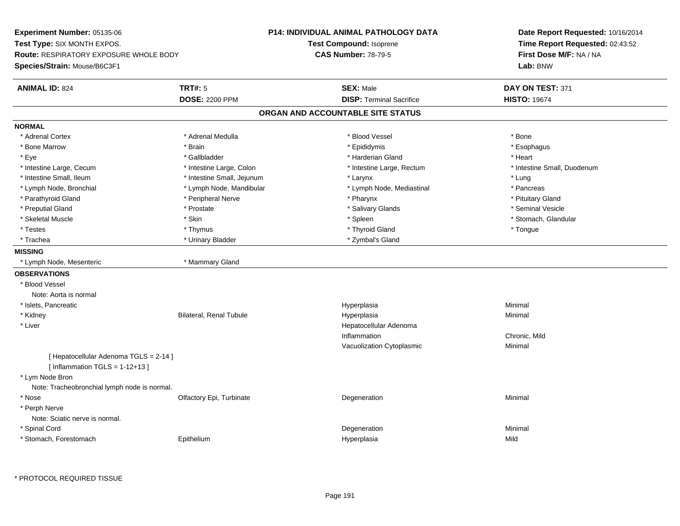**Experiment Number:** 05135-06**Test Type:** SIX MONTH EXPOS.**Route:** RESPIRATORY EXPOSURE WHOLE BODY**Species/Strain:** Mouse/B6C3F1**P14: INDIVIDUAL ANIMAL PATHOLOGY DATATest Compound:** Isoprene**CAS Number:** 78-79-5**Date Report Requested:** 10/16/2014**Time Report Requested:** 02:43:52**First Dose M/F:** NA / NA**Lab:** BNW**ANIMAL ID:** 824 **TRT#:** <sup>5</sup> **SEX:** Male **DAY ON TEST:** <sup>371</sup> **DOSE:** 2200 PPM**DISP:** Terminal Sacrifice **HISTO:** 19674 **ORGAN AND ACCOUNTABLE SITE STATUSNORMAL**\* Adrenal Cortex \* Adrenal Cortex \* \* Adrenal Medulla \* \* Adrenal Medulla \* \* Blood Vessel \* \* Brood Vessel \* \* Bone \* Esophagus \* Bone Marrow \* Brain \* Epididymis \* Esophagus \* Eye \* \* Gallbladder \* \* Gallbladder \* \* \* \* Harderian Gland \* \* Heart \* Heart \* Heart \* Heart \* Heart \* Heart \* Intestine Large, Cecum \* Intestine Large, Colon \* Intestine Large, Thestine Large, Rectum \* Intestine Small, Duodenum \* Intestine Small, Ileum \* Intestine Small, Jejunum \* Larynx \* Lung\* Pancreas \* Lymph Node, Bronchial \* Lymph Node, Mandibular \* Lymph Node, Mediastinal \* Pancreasting \* Pituitary Gland \* Parathyroid Gland \* **Archaeology** \* Peripheral Nerve \* Pharynx \* Pharynx \* Pharynx \* Pharynx \* Seminal Vesicle \* Preputial Gland \* \* Annual vesicle \* \* Prostate \* \* Salivary Glands \* \* Salivary Glands \* \* Seminal Vesicle \* \* Stomach. Glandular \* Skeletal Muscle \* \* Stomach, Glandular \* Skin \* Spleen \* Spleen \* Stomach, Glandular \* Stomach, Glandular \* Stomach, Glandular \* Stomach, Glandular \* Stomach, Glandular \* Stomach, Glandular \* Stomach, Glandular \* Stomach \* Testes \* Thymus \* Thyroid Gland \* Tongue \* Trachea \* Urinary Bladder \* 2ymbal's Gland \* Zymbal's Gland \* Zymbal's Gland \* Zymbal's Gland **MISSING** \* Lymph Node, Mesenteric \* Mammary Gland**OBSERVATIONS** \* Blood VesselNote: Aorta is normal \* Islets, Pancreaticc and the contract of the contract of the contract of the contract of the contract of the contract of the contract of the contract of the contract of the contract of the contract of the contract of the contract of the cont a **Minimal**  \* Kidney Bilateral, Renal Tubule Hyperplasia Minimal \* Liver Hepatocellular AdenomaInflammation Chronic, Mild Vacuolization Cytoplasmic Minimal [ Hepatocellular Adenoma TGLS = 2-14 ] $[$  Inflammation TGLS = 1-12+13  $]$  \* Lym Node Bron Note: Tracheobronchial lymph node is normal. \* Nosee and the Colfactory Epi, Turbinate and the Coleman Degeneration Coleman Minimal Minimal \* Perph Nerve Note: Sciatic nerve is normal. \* Spinal Cordd and the control of the control of the control of the control of the control of the control of the control of the control of the control of the control of the control of the control of the control of the control of the co \* Stomach, Forestomach EpitheliumHyperplasia Mild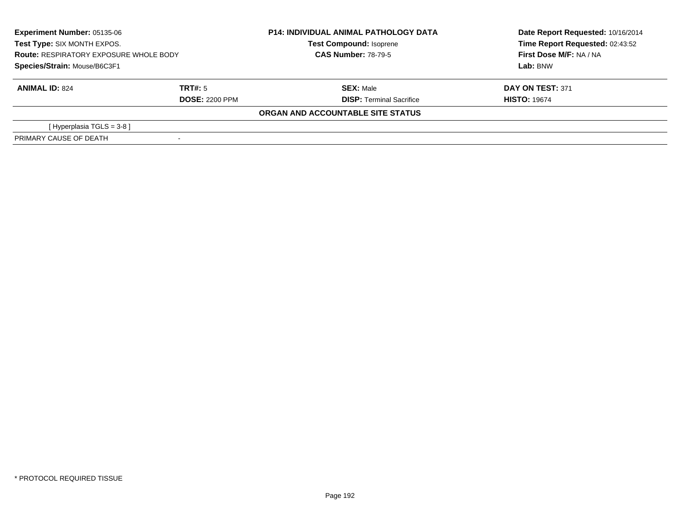| <b>Experiment Number: 05135-06</b><br>Test Type: SIX MONTH EXPOS.<br><b>Route: RESPIRATORY EXPOSURE WHOLE BODY</b><br>Species/Strain: Mouse/B6C3F1 |                                  | <b>P14: INDIVIDUAL ANIMAL PATHOLOGY DATA</b><br><b>Test Compound: Isoprene</b><br><b>CAS Number: 78-79-5</b> | Date Report Requested: 10/16/2014<br>Time Report Requested: 02:43:52<br>First Dose M/F: NA / NA<br>Lab: BNW |
|----------------------------------------------------------------------------------------------------------------------------------------------------|----------------------------------|--------------------------------------------------------------------------------------------------------------|-------------------------------------------------------------------------------------------------------------|
| <b>ANIMAL ID: 824</b>                                                                                                                              | TRT#: 5<br><b>DOSE: 2200 PPM</b> | <b>SEX: Male</b><br><b>DISP:</b> Terminal Sacrifice                                                          | DAY ON TEST: 371<br><b>HISTO: 19674</b>                                                                     |
|                                                                                                                                                    |                                  | ORGAN AND ACCOUNTABLE SITE STATUS                                                                            |                                                                                                             |
| [ Hyperplasia TGLS = 3-8 ]                                                                                                                         |                                  |                                                                                                              |                                                                                                             |
| PRIMARY CAUSE OF DEATH                                                                                                                             |                                  |                                                                                                              |                                                                                                             |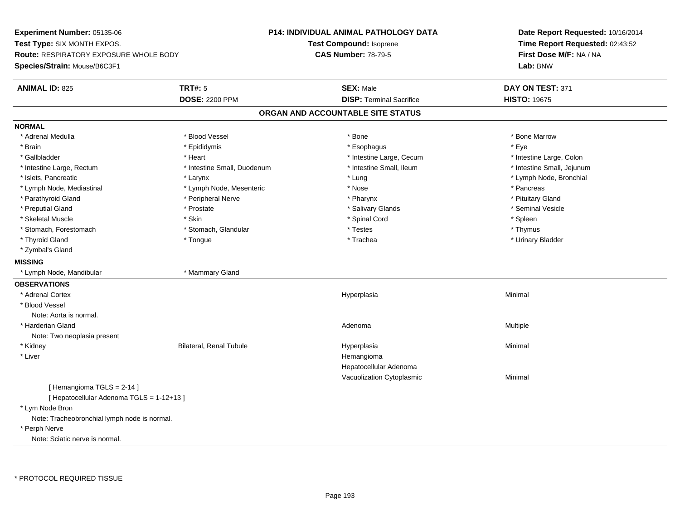**Experiment Number:** 05135-06**Test Type:** SIX MONTH EXPOS.**Route:** RESPIRATORY EXPOSURE WHOLE BODY**Species/Strain:** Mouse/B6C3F1**P14: INDIVIDUAL ANIMAL PATHOLOGY DATATest Compound:** Isoprene**CAS Number:** 78-79-5**Date Report Requested:** 10/16/2014**Time Report Requested:** 02:43:52**First Dose M/F:** NA / NA**Lab:** BNW**ANIMAL ID:** 825 **TRT#:** <sup>5</sup> **SEX:** Male **DAY ON TEST:** <sup>371</sup> **DOSE:** 2200 PPM**DISP:** Terminal Sacrifice **HISTO:** 19675 **ORGAN AND ACCOUNTABLE SITE STATUSNORMAL**\* Adrenal Medulla \* \* \* Blood Vessel \* \* \* Bone Marrow \* \* Bone Marrow \* \* Bone Marrow \* Brain \* \* Expediance \* Epididymis \* \* Expediance \* \* Esophagus \* Expediance \* \* Expediance \* Eye \* Eye \* Intestine Large, Colon \* Gallbladder \* The mode of the state of the state of the state of the state of the state of the state of the state of the state of the state of the state of the state of the state of the state of the state of the state of \* Intestine Small, Jejunum \* Intestine Large, Rectum \* 1992 \* Intestine Small, Duodenum \* Intestine Small, Ileum \* Intestine Small, Ileum \* Islets, Pancreatic \* Larynx \* Lung \* Lymph Node, Bronchial \* Lymph Node, Mediastinal \* The state of the second text of the second text of the second text of the second text of the second of the second text of the second text of the second text of the second text of the second text \* Pituitary Gland \* Parathyroid Gland \* **Arror and \* Peripheral Nerve \* Pharynx \* Pharynx \* Pharynx** \* Pharynx \* Seminal Vesicle \* Preputial Gland \* \* Annual vesicle \* \* Prostate \* \* Salivary Glands \* \* Salivary Glands \* \* Seminal Vesicle \* \* Skeletal Muscle \* Skin \* Spinal Cord \* Spleen \* Thymus \* Stomach, Forestomach \* Testes \* Stomach, Glandular \* Testes \* Testes \* Testes \* Testes \* Testes \* Testes \* T \* Urinary Bladder \* Thyroid Gland \* \* The control of the total property and the top of the top of the top of the top of the top of the top of the top of the top of the top of the top of the top of the top of the top of the top of the top of \* Zymbal's Gland**MISSING** \* Lymph Node, Mandibular \* Mammary Gland**OBSERVATIONS** \* Adrenal Cortexx and the control of the control of the control of the control of the control of the control of the control of the control of the control of the control of the control of the control of the control of the control of the co a **Minimal**  \* Blood VesselNote: Aorta is normal. \* Harderian Glandd and the control of the control of the control of the control of the control of the control of the control of  $A$ denoma  $A$ denoma  $A$ denoma  $A$ Note: Two neoplasia present \* Kidney Bilateral, Renal Tubule Hyperplasia Minimal \* Liverr and the contract of the contract of the contract of the contract of the contract of the contract of the contract of the contract of the contract of the contract of the contract of the contract of the contract of the cont Hepatocellular Adenoma Vacuolization Cytoplasmic Minimal [ Hemangioma TGLS = 2-14 ][ Hepatocellular Adenoma TGLS = 1-12+13 ] \* Lym Node Bron Note: Tracheobronchial lymph node is normal. \* Perph NerveNote: Sciatic nerve is normal.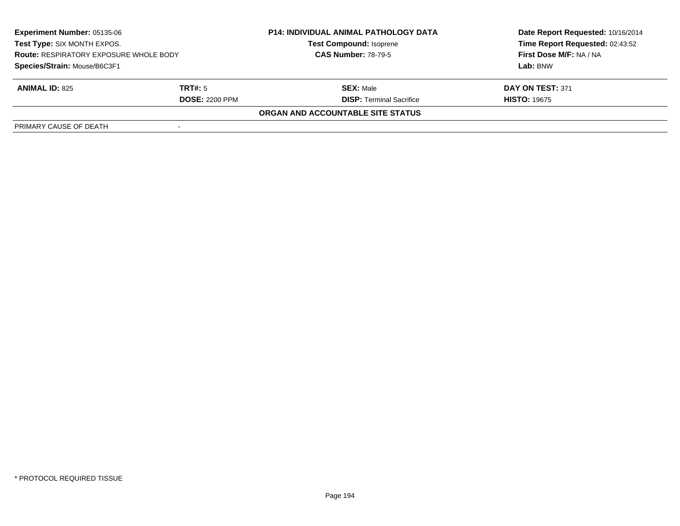| <b>Experiment Number: 05135-06</b><br>Test Type: SIX MONTH EXPOS.<br><b>Route: RESPIRATORY EXPOSURE WHOLE BODY</b><br>Species/Strain: Mouse/B6C3F1 |                       | <b>P14: INDIVIDUAL ANIMAL PATHOLOGY DATA</b> | Date Report Requested: 10/16/2014 |
|----------------------------------------------------------------------------------------------------------------------------------------------------|-----------------------|----------------------------------------------|-----------------------------------|
|                                                                                                                                                    |                       | <b>Test Compound: Isoprene</b>               | Time Report Requested: 02:43:52   |
|                                                                                                                                                    |                       | <b>CAS Number: 78-79-5</b>                   | First Dose M/F: NA / NA           |
|                                                                                                                                                    |                       |                                              | Lab: BNW                          |
| <b>ANIMAL ID: 825</b>                                                                                                                              | TRT#: 5               | <b>SEX: Male</b>                             | DAY ON TEST: 371                  |
|                                                                                                                                                    | <b>DOSE: 2200 PPM</b> | <b>DISP: Terminal Sacrifice</b>              | <b>HISTO: 19675</b>               |
|                                                                                                                                                    |                       | ORGAN AND ACCOUNTABLE SITE STATUS            |                                   |
| PRIMARY CAUSE OF DEATH                                                                                                                             |                       |                                              |                                   |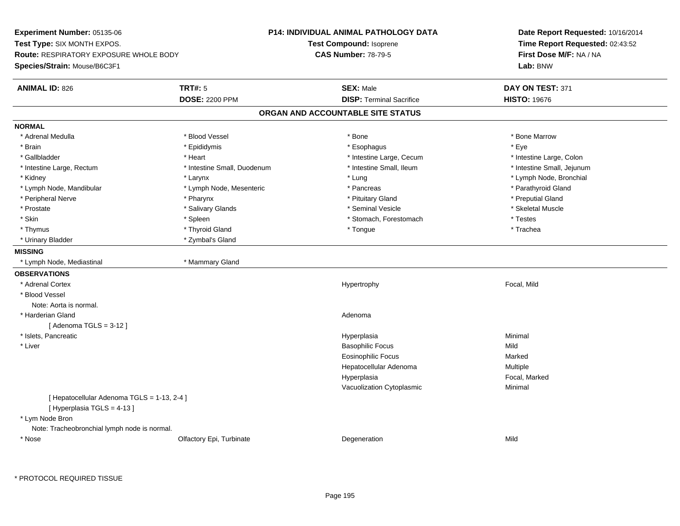**Experiment Number:** 05135-06**Test Type:** SIX MONTH EXPOS.**Route:** RESPIRATORY EXPOSURE WHOLE BODY**Species/Strain:** Mouse/B6C3F1**P14: INDIVIDUAL ANIMAL PATHOLOGY DATATest Compound:** Isoprene**CAS Number:** 78-79-5**Date Report Requested:** 10/16/2014**Time Report Requested:** 02:43:52**First Dose M/F:** NA / NA**Lab:** BNW**ANIMAL ID:** 826 **TRT#:** <sup>5</sup> **SEX:** Male **DAY ON TEST:** <sup>371</sup> **DOSE:** 2200 PPM**DISP:** Terminal Sacrifice **HISTO:** 19676 **ORGAN AND ACCOUNTABLE SITE STATUSNORMAL**\* Adrenal Medulla \* \* \* Blood Vessel \* \* \* Bone Marrow \* \* Bone Marrow \* \* Bone Marrow \* Brain \* \* Expediance \* Epididymis \* \* Expediance \* \* Esophagus \* Expediance \* \* Expediance \* Eye \* Eye \* Intestine Large, Colon \* Gallbladder \* The mode of the state of the state of the state of the state of the state of the state of the state of the state of the state of the state of the state of the state of the state of the state of the state of \* Intestine Small, Jejunum \* Intestine Large, Rectum \* Intestine Small, Duodenum \* Intestine Small, Duodenum \* \* Intestine Small, Ileum \* Kidney \* Larynx \* Lung \* Lymph Node, Bronchial \* Lymph Node, Mandibular \* The state of the state of the second temperature and the state of the state of the state of the state of the state of the state of the state of the state of the state of the state of the state of \* Peripheral Nerve \* Pharynx \* Pituitary Gland \* Preputial Gland\* Skeletal Muscle \* Prostate \* \* Skeletal Muscle \* \* Salivary Glands \* \* Steminal Vesicle \* \* Seminal Vesicle \* \* Skeletal Muscle \* Skin \* Spleen \* Spleen \* Spleen \* Stomach, Forestomach \* Testes \* Testes \* Testes \* Trachea \* Thymus \* \* The mode of the total term of the total term of the total term of the total term of the total term of the total term of the total term of the total term of the total term of the total term of the total term of \* Urinary Bladder \* Zymbal's Gland**MISSING** \* Lymph Node, Mediastinal \* Mammary Gland**OBSERVATIONS** \* Adrenal Cortexx and the state of the state of the state of the Hypertrophy Hypertrophy and the state of the Focal, Mild \* Blood VesselNote: Aorta is normal. \* Harderian Glandd and a state of the control of the control of the control of the control of the control of the control of the control of the control of the control of the control of the control of the control of the control of the contro  $[$  Adenoma TGLS = 3-12  $]$  \* Islets, Pancreaticc and the contract of the contract of the contract of the contract of the contract of the contract of the contract of the contract of the contract of the contract of the contract of the contract of the contract of the cont a **Minimal**  \* Liver Basophilic Focuss Mild s Marked Eosinophilic Focusa **Multiple** Hepatocellular AdenomaHyperplasia Focal, Marked Vacuolization Cytoplasmic Minimal [ Hepatocellular Adenoma TGLS = 1-13, 2-4 ][ Hyperplasia TGLS = 4-13 ] \* Lym Node Bron Note: Tracheobronchial lymph node is normal. \* Nosee and the Colfactory Epi, Turbinate and the Colfactory Epistem of the Colfactory Epistem Mild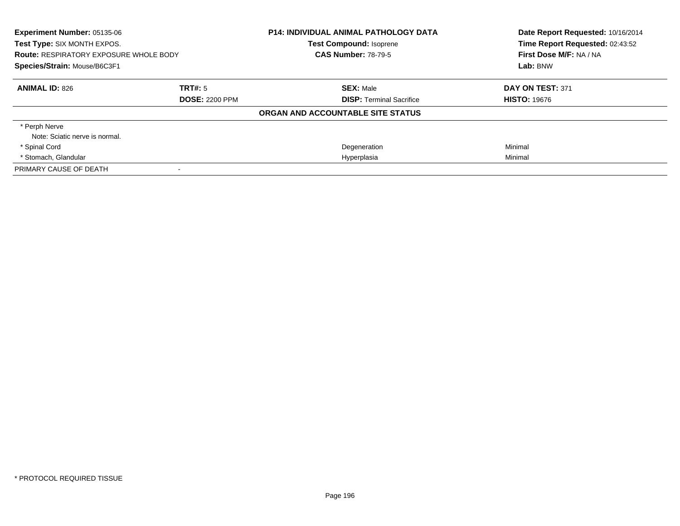| Experiment Number: 05135-06<br>Test Type: SIX MONTH EXPOS.<br><b>Route: RESPIRATORY EXPOSURE WHOLE BODY</b><br>Species/Strain: Mouse/B6C3F1 |                       | <b>P14: INDIVIDUAL ANIMAL PATHOLOGY DATA</b><br><b>Test Compound: Isoprene</b><br><b>CAS Number: 78-79-5</b> | Date Report Requested: 10/16/2014<br>Time Report Requested: 02:43:52<br>First Dose M/F: NA / NA<br>Lab: BNW |
|---------------------------------------------------------------------------------------------------------------------------------------------|-----------------------|--------------------------------------------------------------------------------------------------------------|-------------------------------------------------------------------------------------------------------------|
| <b>ANIMAL ID: 826</b>                                                                                                                       | TRT#: 5               | <b>SEX: Male</b>                                                                                             | DAY ON TEST: 371                                                                                            |
|                                                                                                                                             | <b>DOSE: 2200 PPM</b> | <b>DISP:</b> Terminal Sacrifice                                                                              | <b>HISTO: 19676</b>                                                                                         |
|                                                                                                                                             |                       | ORGAN AND ACCOUNTABLE SITE STATUS                                                                            |                                                                                                             |
| * Perph Nerve                                                                                                                               |                       |                                                                                                              |                                                                                                             |
| Note: Sciatic nerve is normal.                                                                                                              |                       |                                                                                                              |                                                                                                             |
| * Spinal Cord                                                                                                                               |                       | Degeneration                                                                                                 | Minimal                                                                                                     |
| * Stomach, Glandular                                                                                                                        |                       | Hyperplasia                                                                                                  | Minimal                                                                                                     |
| PRIMARY CAUSE OF DEATH                                                                                                                      |                       |                                                                                                              |                                                                                                             |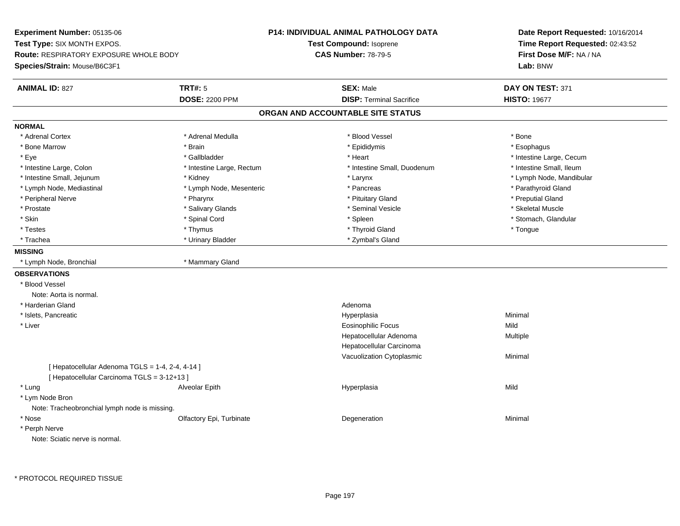**Experiment Number:** 05135-06**Test Type:** SIX MONTH EXPOS.**Route:** RESPIRATORY EXPOSURE WHOLE BODY**Species/Strain:** Mouse/B6C3F1**P14: INDIVIDUAL ANIMAL PATHOLOGY DATATest Compound:** Isoprene**CAS Number:** 78-79-5**Date Report Requested:** 10/16/2014**Time Report Requested:** 02:43:52**First Dose M/F:** NA / NA**Lab:** BNW**ANIMAL ID:** 827 **TRT#:** <sup>5</sup> **SEX:** Male **DAY ON TEST:** <sup>371</sup> **DOSE:** 2200 PPM**DISP:** Terminal Sacrifice **HISTO:** 19677 **ORGAN AND ACCOUNTABLE SITE STATUSNORMAL**\* Adrenal Cortex \* Adrenal Cortex \* \* Adrenal Medulla \* \* Adrenal Medulla \* \* Blood Vessel \* \* Brood Vessel \* \* Bone \* Esophagus \* Bone Marrow \* Brain \* Epididymis \* Esophagus \* Eye \* https://www.frage.com/windown.com/windown.com/windown.com/windown.com/windown.com/windown.com/windown-\* Intestine Small, Ileum \* Intestine Large, Colon \* Intestine Large, Rectum \* Intestine Small, Duodenum \* Intestine Small, Duodenum \* Intestine Small, Jejunum \* Kidney \* Larynx \* Lymph Node, Mandibular\* Lymph Node, Mediastinal \* The state of the state of the Mesenteric \* Pancreas \* Pancreas \* Parathyroid Gland \* Peripheral Nerve \* Pharynx \* Pituitary Gland \* Preputial Gland\* Skeletal Muscle \* Prostate \* \* Skeletal Muscle \* \* Salivary Glands \* \* Steminal Vesicle \* \* Seminal Vesicle \* \* Skeletal Muscle \* Stomach. Glandular \* Skin \* Stomach, Glandular \* Spinal Cord \* \* Stomach, Stomach, Glandular \* Spinal Cord \* \* Stomach, Glandular \* Testes \* Thymus \* Thyroid Gland \* Tongue \* Trachea \* Urinary Bladder \* 2ymbal's Gland \* Zymbal's Gland \* Zymbal's Gland \* Zymbal's Gland **MISSING** \* Lymph Node, Bronchial \* Mammary Gland**OBSERVATIONS** \* Blood VesselNote: Aorta is normal. \* Harderian Glandd and a state of the control of the control of the control of the control of the control of the control of the control of the control of the control of the control of the control of the control of the control of the contro \* Islets, Pancreaticc and the contract of the contract of the contract of the contract of the contract of the contract of the contract of the contract of the contract of the contract of the contract of the contract of the contract of the cont a **Minimal**  \* Liver Eosinophilic Focuss Mild a **Multiple** Hepatocellular AdenomaHepatocellular Carcinoma Vacuolization Cytoplasmic Minimal  $[$  Hepatocellular Adenoma TGLS = 1-4, 2-4, 4-14 ] [ Hepatocellular Carcinoma TGLS = 3-12+13 ] \* Lung Alveolar Epith Hyperplasia Mild \* Lym Node Bron Note: Tracheobronchial lymph node is missing. \* Nosee and the Colfactory Epi, Turbinate and the Coleman Degeneration Coleman Minimal Minimal \* Perph NerveNote: Sciatic nerve is normal.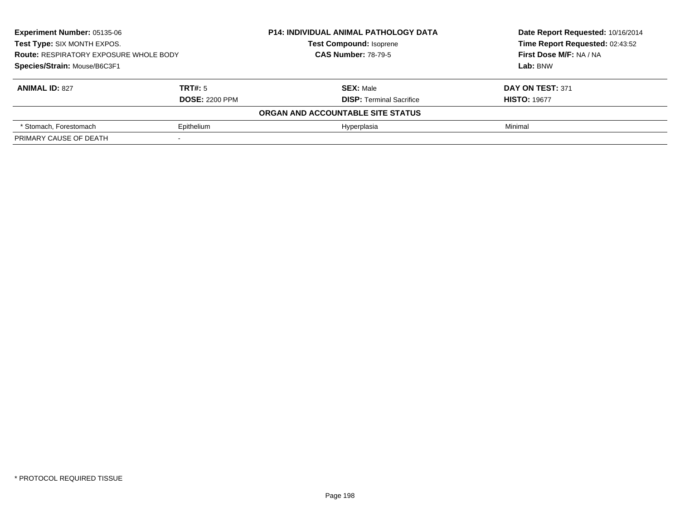| <b>Experiment Number: 05135-06</b><br>Test Type: SIX MONTH EXPOS.<br><b>Route: RESPIRATORY EXPOSURE WHOLE BODY</b><br>Species/Strain: Mouse/B6C3F1 |                       | <b>P14: INDIVIDUAL ANIMAL PATHOLOGY DATA</b> | Date Report Requested: 10/16/2014 |
|----------------------------------------------------------------------------------------------------------------------------------------------------|-----------------------|----------------------------------------------|-----------------------------------|
|                                                                                                                                                    |                       | <b>Test Compound: Isoprene</b>               | Time Report Requested: 02:43:52   |
|                                                                                                                                                    |                       | <b>CAS Number: 78-79-5</b>                   | First Dose M/F: NA / NA           |
|                                                                                                                                                    |                       |                                              | Lab: BNW                          |
| <b>ANIMAL ID: 827</b>                                                                                                                              | TRT#: 5               | <b>SEX: Male</b>                             | DAY ON TEST: 371                  |
|                                                                                                                                                    | <b>DOSE: 2200 PPM</b> | <b>DISP: Terminal Sacrifice</b>              | <b>HISTO: 19677</b>               |
|                                                                                                                                                    |                       | ORGAN AND ACCOUNTABLE SITE STATUS            |                                   |
| * Stomach, Forestomach                                                                                                                             | Epithelium            | Hyperplasia                                  | Minimal                           |
| PRIMARY CAUSE OF DEATH                                                                                                                             |                       |                                              |                                   |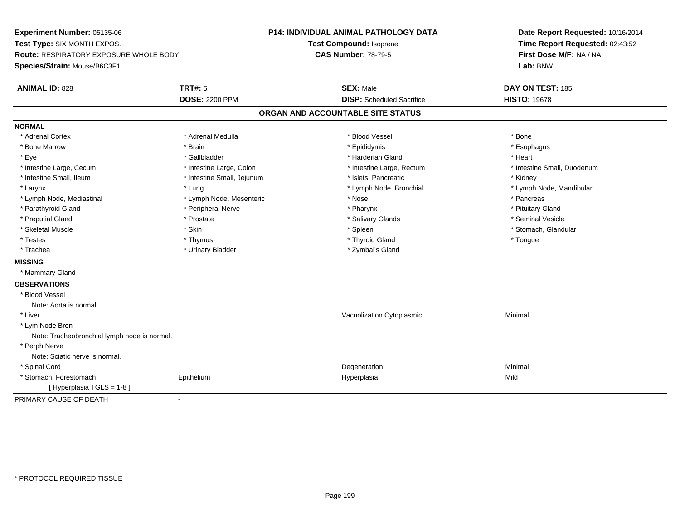**Experiment Number:** 05135-06**Test Type:** SIX MONTH EXPOS.**Route:** RESPIRATORY EXPOSURE WHOLE BODY**Species/Strain:** Mouse/B6C3F1**P14: INDIVIDUAL ANIMAL PATHOLOGY DATATest Compound:** Isoprene**CAS Number:** 78-79-5**Date Report Requested:** 10/16/2014**Time Report Requested:** 02:43:52**First Dose M/F:** NA / NA**Lab:** BNW**ANIMAL ID:** 828**TRT#:** 5 **SEX:** Male **DAY ON TEST:** 185 **DOSE:** 2200 PPM**DISP:** Scheduled Sacrifice **HISTO:** 19678 **ORGAN AND ACCOUNTABLE SITE STATUSNORMAL**\* Adrenal Cortex \* Adrenal Cortex \* \* Adrenal Medulla \* \* Adrenal Medulla \* \* Blood Vessel \* \* Brood Vessel \* \* Bone \* Esophagus \* Bone Marrow \* Brain \* Epididymis \* Esophagus \* Eye \* \* Gallbladder \* \* Gallbladder \* \* \* \* Harderian Gland \* \* Heart \* Heart \* Heart \* Heart \* Heart \* Heart \* Intestine Large, Cecum \* Intestine Large, Colon \* Intestine Large, Thestine Large, Rectum \* Intestine Small, Duodenum \* Intestine Small, Ileum \* Thestine Small, Jejunum \* 1998, Pancreatic \* Kidney \* Kidney \* Kidney \* Kidney \* Larynx \* Lung \* Lymph Node, Bronchial \* Lymph Node, Mandibular \* Lymph Node, Mediastinal \* The metal of the second text of the Mesenteric text of the second text of the second text of the second text of the second text of the second text of the second text of the second text of text o \* Pituitary Gland \* Parathyroid Gland \* **Example 20** \* Peripheral Nerve \* Pharynx \* Pharynx \* Pharynx \* Seminal Vesicle \* Preputial Gland \* \* Annual vesicle \* \* Prostate \* \* Salivary Glands \* \* Salivary Glands \* \* Seminal Vesicle \* \* Stomach, Glandular \* Skeletal Muscle \* \* Stomach, Glandular \* Skin \* Spleen \* Spleen \* Stomach, Glandular \* Stomach, Glandular \* Stomach, Glandular \* Stomach, Glandular \* Stomach, Glandular \* Stomach, Glandular \* Stomach, Glandular \* Stomach \* Testes \* Thymus \* Thyroid Gland \* Tongue \* Trachea \* Urinary Bladder \* Zymbal's Gland \* Zymbal's Gland **MISSING** \* Mammary Gland**OBSERVATIONS** \* Blood VesselNote: Aorta is normal. \* Liver Vacuolization Cytoplasmic Minimal \* Lym Node Bron Note: Tracheobronchial lymph node is normal. \* Perph Nerve Note: Sciatic nerve is normal. \* Spinal Cordd and the control of the control of the control of the control of the control of the control of the control of the control of the control of the control of the control of the control of the control of the control of the co \* Stomach, Forestomach Epithelium Hyperplasia Mild [ Hyperplasia TGLS = 1-8 ]PRIMARY CAUSE OF DEATH-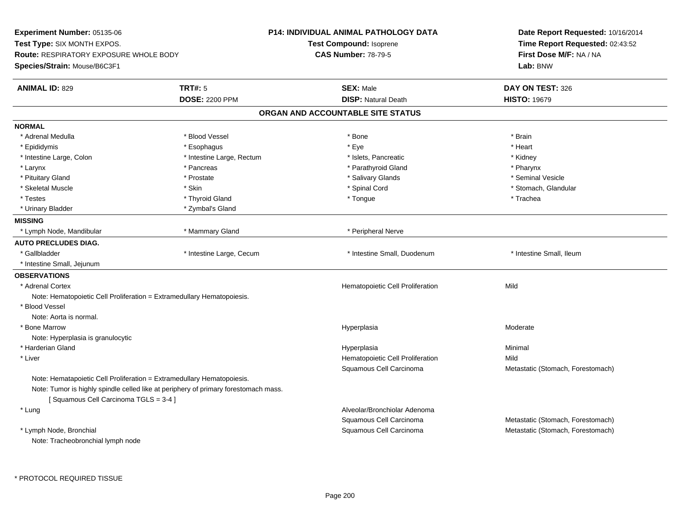| Experiment Number: 05135-06                                            |                                                                                     | <b>P14: INDIVIDUAL ANIMAL PATHOLOGY DATA</b> | Date Report Requested: 10/16/2014<br>Time Report Requested: 02:43:52<br>First Dose M/F: NA / NA |
|------------------------------------------------------------------------|-------------------------------------------------------------------------------------|----------------------------------------------|-------------------------------------------------------------------------------------------------|
| Test Type: SIX MONTH EXPOS.                                            |                                                                                     | Test Compound: Isoprene                      |                                                                                                 |
| <b>Route: RESPIRATORY EXPOSURE WHOLE BODY</b>                          |                                                                                     | <b>CAS Number: 78-79-5</b>                   |                                                                                                 |
| Species/Strain: Mouse/B6C3F1                                           |                                                                                     |                                              | Lab: BNW                                                                                        |
| <b>ANIMAL ID: 829</b>                                                  | TRT#: 5                                                                             | <b>SEX: Male</b>                             | DAY ON TEST: 326                                                                                |
|                                                                        | <b>DOSE: 2200 PPM</b>                                                               | <b>DISP: Natural Death</b>                   | <b>HISTO: 19679</b>                                                                             |
|                                                                        |                                                                                     | ORGAN AND ACCOUNTABLE SITE STATUS            |                                                                                                 |
| <b>NORMAL</b>                                                          |                                                                                     |                                              |                                                                                                 |
| * Adrenal Medulla                                                      | * Blood Vessel                                                                      | * Bone                                       | * Brain                                                                                         |
| * Epididymis                                                           | * Esophagus                                                                         | * Eye                                        | * Heart                                                                                         |
| * Intestine Large, Colon                                               | * Intestine Large, Rectum                                                           | * Islets, Pancreatic                         | * Kidney                                                                                        |
| * Larynx                                                               | * Pancreas                                                                          | * Parathyroid Gland                          | * Pharynx                                                                                       |
| * Pituitary Gland                                                      | * Prostate                                                                          | * Salivary Glands                            | * Seminal Vesicle                                                                               |
| * Skeletal Muscle                                                      | * Skin                                                                              | * Spinal Cord                                | * Stomach, Glandular                                                                            |
| * Testes                                                               | * Thyroid Gland                                                                     | * Tongue                                     | * Trachea                                                                                       |
| * Urinary Bladder                                                      | * Zymbal's Gland                                                                    |                                              |                                                                                                 |
| <b>MISSING</b>                                                         |                                                                                     |                                              |                                                                                                 |
| * Lymph Node, Mandibular                                               | * Mammary Gland                                                                     | * Peripheral Nerve                           |                                                                                                 |
| <b>AUTO PRECLUDES DIAG.</b>                                            |                                                                                     |                                              |                                                                                                 |
| * Gallbladder                                                          | * Intestine Large, Cecum                                                            | * Intestine Small, Duodenum                  | * Intestine Small, Ileum                                                                        |
| * Intestine Small, Jejunum                                             |                                                                                     |                                              |                                                                                                 |
| <b>OBSERVATIONS</b>                                                    |                                                                                     |                                              |                                                                                                 |
| * Adrenal Cortex                                                       |                                                                                     | Hematopoietic Cell Proliferation             | Mild                                                                                            |
| Note: Hematopoietic Cell Proliferation = Extramedullary Hematopoiesis. |                                                                                     |                                              |                                                                                                 |
| * Blood Vessel                                                         |                                                                                     |                                              |                                                                                                 |
| Note: Aorta is normal.                                                 |                                                                                     |                                              |                                                                                                 |
| * Bone Marrow                                                          |                                                                                     | Hyperplasia                                  | Moderate                                                                                        |
| Note: Hyperplasia is granulocytic                                      |                                                                                     |                                              |                                                                                                 |
| * Harderian Gland                                                      |                                                                                     | Hyperplasia                                  | Minimal                                                                                         |
| * Liver                                                                |                                                                                     | Hematopoietic Cell Proliferation             | Mild                                                                                            |
|                                                                        |                                                                                     | Squamous Cell Carcinoma                      | Metastatic (Stomach, Forestomach)                                                               |
| Note: Hematapoietic Cell Proliferation = Extramedullary Hematopoiesis. |                                                                                     |                                              |                                                                                                 |
|                                                                        | Note: Tumor is highly spindle celled like at periphery of primary forestomach mass. |                                              |                                                                                                 |
| [Squamous Cell Carcinoma TGLS = 3-4]                                   |                                                                                     |                                              |                                                                                                 |
| * Lung                                                                 |                                                                                     | Alveolar/Bronchiolar Adenoma                 |                                                                                                 |
|                                                                        |                                                                                     | Squamous Cell Carcinoma                      | Metastatic (Stomach, Forestomach)                                                               |
| * Lymph Node, Bronchial                                                |                                                                                     | Squamous Cell Carcinoma                      | Metastatic (Stomach, Forestomach)                                                               |
| Note: Tracheobronchial lymph node                                      |                                                                                     |                                              |                                                                                                 |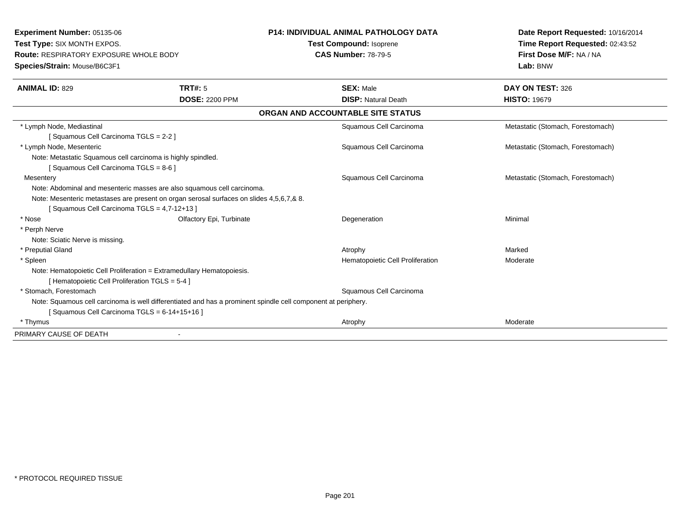**Experiment Number:** 05135-06**Test Type:** SIX MONTH EXPOS.**Route:** RESPIRATORY EXPOSURE WHOLE BODY**Species/Strain:** Mouse/B6C3F1**P14: INDIVIDUAL ANIMAL PATHOLOGY DATATest Compound:** Isoprene**CAS Number:** 78-79-5**Date Report Requested:** 10/16/2014**Time Report Requested:** 02:43:52**First Dose M/F:** NA / NA**Lab:** BNW**ANIMAL ID:** 829**TRT#:** 5 **SEX:** Male **DAY ON TEST:** 326 **DOSE:** 2200 PPM**DISP:** Natural Death **HISTO:** 19679 **ORGAN AND ACCOUNTABLE SITE STATUS** \* Lymph Node, Mediastinal Squamous Cell Carcinoma Metastatic (Stomach, Forestomach) [ Squamous Cell Carcinoma TGLS = 2-2 ] \* Lymph Node, Mesenteric Squamous Cell Carcinoma Metastatic (Stomach, Forestomach) Note: Metastatic Squamous cell carcinoma is highly spindled.[ Squamous Cell Carcinoma TGLS = 8-6 ]**Mesentery**  Squamous Cell Carcinoma Metastatic (Stomach, Forestomach) Note: Abdominal and mesenteric masses are also squamous cell carcinoma.Note: Mesenteric metastases are present on organ serosal surfaces on slides 4,5,6,7,& 8.[ Squamous Cell Carcinoma TGLS = 4,7-12+13 ] \* Nosee and the Colfactory Epi, Turbinate and the Degeneration Colfactory Epi, Turbinate and the Degeneration Minimal \* Perph Nerve Note: Sciatic Nerve is missing. \* Preputial Glandd and the control of the control of the control of the control of the control of the control of the control of the control of the control of the control of the control of the control of the control of the control of the co \* SpleenHematopoietic Cell Proliferation Moderate Note: Hematopoietic Cell Proliferation = Extramedullary Hematopoiesis.[ Hematopoietic Cell Proliferation TGLS = 5-4 ] \* Stomach, Forestomach Squamous Cell Carcinoma Note: Squamous cell carcinoma is well differentiated and has a prominent spindle cell component at periphery.[ Squamous Cell Carcinoma TGLS = 6-14+15+16 ] \* Thymuss and the control of the control of the control of the control of the control of the control of the control of the control of the control of the control of the control of the control of the control of the control of the co PRIMARY CAUSE OF DEATH-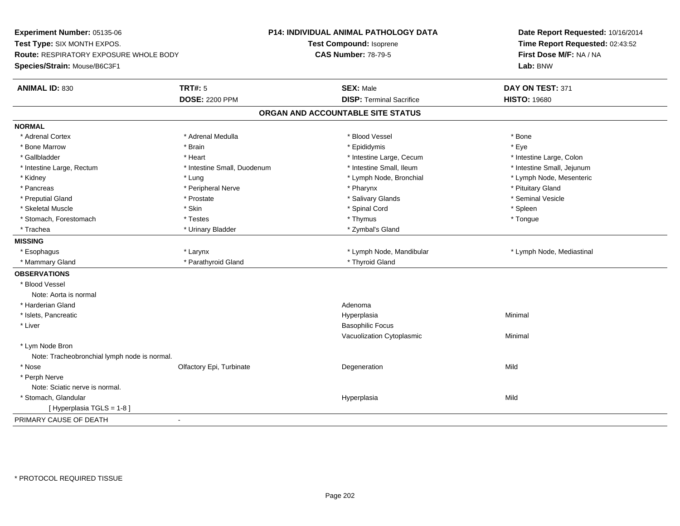**Experiment Number:** 05135-06**Test Type:** SIX MONTH EXPOS.**Route:** RESPIRATORY EXPOSURE WHOLE BODY**Species/Strain:** Mouse/B6C3F1**P14: INDIVIDUAL ANIMAL PATHOLOGY DATATest Compound:** Isoprene**CAS Number:** 78-79-5**Date Report Requested:** 10/16/2014**Time Report Requested:** 02:43:52**First Dose M/F:** NA / NA**Lab:** BNW**ANIMAL ID:** 830**CONSEX:** Male **DAY ON TEST:** 371 **DOSE:** 2200 PPM**DISP:** Terminal Sacrifice **HISTO:** 19680 **ORGAN AND ACCOUNTABLE SITE STATUSNORMAL**\* Adrenal Cortex \* Adrenal Cortex \* \* Adrenal Medulla \* \* Adrenal Medulla \* \* Blood Vessel \* \* Brood Vessel \* \* Bone \* Eve \* Bone Marrow \* Brain \* Epididymis \* Eye \* Intestine Large, Colon \* Gallbladder \* The mode of the state of the state of the state of the state of the state of the state of the state of the state of the state of the state of the state of the state of the state of the state of the state of \* Intestine Small, Jejunum \* Intestine Large, Rectum \* Intestine Small, Duodenum \* Intestine Small, Ileum \* 1ntestine Small, Ileum \* Kidney \* Lung \* Lymph Node, Bronchial \* Lymph Node, Mesenteric \* Pancreas \* \* Peripheral Nerve \* \* Pharynx \* \* Pharynx \* \* Pharynx \* \* \* Pharynx \* \* Pituitary Gland \* \* Pituitary Gland \* \* Pituitary Gland \* \* Pituitary Gland \* \* P \* Seminal Vesicle \* Preputial Gland \* \* Annual vesicle \* \* Prostate \* \* Salivary Glands \* \* Salivary Glands \* \* Seminal Vesicle \* \* Skeletal Muscle \* Skin \* Spinal Cord \* Spleen \* Tongue \* Stomach, Forestomach \* Testes \* Testes \* Thymus \* Thymus \* Thymus \* Thymus \* Thymus \* Thymus \* Thymus \* Thymus \* Thymus \* Thymus \* Thymus \* Thymus \* Thymus \* Thymus \* Thymus \* Thymus \* Thymus \* Thymus \* Thymus \* Thymus \* \* Trachea \* Urinary Bladder \* Zymbal's Gland \* Zymbal's Gland \* Zymbal's Gland **MISSING**\* Esophagus \* Larynx **\* Lymph Node, Mandibular \*** Lymph Node, Mediastinal \* Lymph Node, Mediastinal \* Mammary Gland \* **Mammary Gland** \* Parathyroid Gland **\* Thyroid Gland** \* Thyroid Gland **OBSERVATIONS** \* Blood VesselNote: Aorta is normal \* Harderian Glandd and a state of the control of the control of the control of the control of the control of the control of the control of the control of the control of the control of the control of the control of the control of the contro \* Islets, Pancreaticc and the contract of the contract of the contract of the contract of the contract of the contract of the contract of the contract of the contract of the contract of the contract of the contract of the contract of the cont a **Minimal**  \* Liver Basophilic Focus Vacuolization Cytoplasmic Minimal \* Lym Node Bron Note: Tracheobronchial lymph node is normal. \* Nosee and the Colfactory Epi, Turbinate and the Colfactory Epistem of the Colfactory Epistem Mild \* Perph Nerve Note: Sciatic nerve is normal. \* Stomach, Glandularr and the contract of the contract of the contract of the contract of the contract of the contract of the contract of the contract of the contract of the contract of the contract of the contract of the contract of the cont a Mild [ Hyperplasia TGLS = 1-8 ]PRIMARY CAUSE OF DEATH-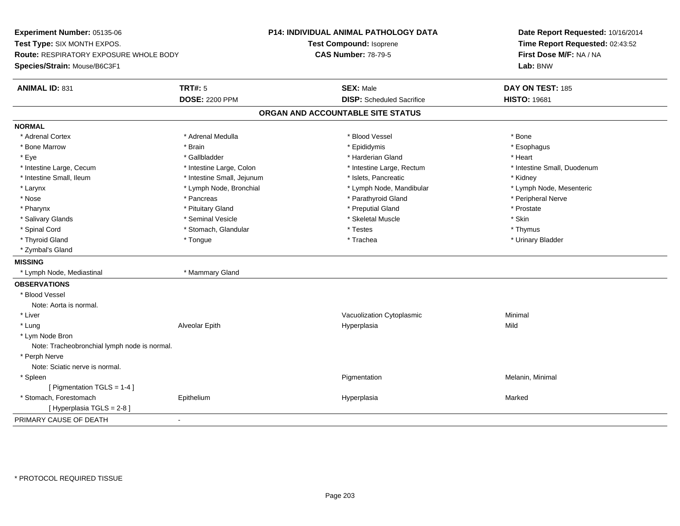**Experiment Number:** 05135-06**Test Type:** SIX MONTH EXPOS.**Route:** RESPIRATORY EXPOSURE WHOLE BODY**Species/Strain:** Mouse/B6C3F1**P14: INDIVIDUAL ANIMAL PATHOLOGY DATATest Compound:** Isoprene**CAS Number:** 78-79-5**Date Report Requested:** 10/16/2014**Time Report Requested:** 02:43:52**First Dose M/F:** NA / NA**Lab:** BNW**ANIMAL ID:** 831**TRT#:** 5 **SEX:** Male **DAY ON TEST:** 185 **DOSE:** 2200 PPM**DISP:** Scheduled Sacrifice **HISTO:** 19681 **ORGAN AND ACCOUNTABLE SITE STATUSNORMAL**\* Adrenal Cortex \* Adrenal Cortex \* \* Adrenal Medulla \* \* Adrenal Medulla \* \* Blood Vessel \* \* Brood Vessel \* \* Bone \* Esophagus \* Bone Marrow \* Brain \* Epididymis \* Esophagus \* Eye \* \* Gallbladder \* \* Gallbladder \* \* \* \* Harderian Gland \* \* Heart \* Heart \* Heart \* Heart \* Heart \* Heart \* Intestine Large, Cecum \* Intestine Large, Colon \* Intestine Large, Rectum \* Intestine Small, Duodenum\* Intestine Small, Ileum \* Thestine Small, Jejunum \* 1998, Pancreatic \* Kidney \* Kidney \* Kidney \* Kidney \* Lymph Node, Mesenteric \* Larynx **\*** Lymph Node, Bronchial \* Lymph Node, Mandibular \* Lymph Node, Mandibular \* Nose \* \* Pancreas \* \* Pancreas \* \* Pancreas \* \* Parathyroid Gland \* \* Peripheral Nerve \* Peripheral Nerve \* \* Pharynx \* Pituitary Gland \* Preputial Gland \* Prostate \* Salivary Glands \* Seminal Vesicle \* Skeletal Muscle \* Skin\* Thymus \* Spinal Cord \* Stomach, Glandular \* Testes \* Thymus \* Urinary Bladder \* Thyroid Gland \* \* The control of the total property and the top of the top of the top of the top of the top of the top of the top of the top of the top of the top of the top of the top of the top of the top of the top of \* Zymbal's Gland**MISSING** \* Lymph Node, Mediastinal \* Mammary Gland**OBSERVATIONS** \* Blood VesselNote: Aorta is normal. \* Liver Vacuolization CytoplasmicMinimal<br>Mild \* Lung Alveolar Epith Hyperplasia Mild \* Lym Node Bron Note: Tracheobronchial lymph node is normal. \* Perph Nerve Note: Sciatic nerve is normal. \* Spleenn and the contract of the contract of the contract of the contract of the contract of the contract of the contract of the contract of the contract of the contract of the contract of the contract of the contract of the cont [ Pigmentation TGLS = 1-4 ] \* Stomach, Forestomach Epithelium Hyperplasia Marked [ Hyperplasia TGLS = 2-8 ]PRIMARY CAUSE OF DEATH-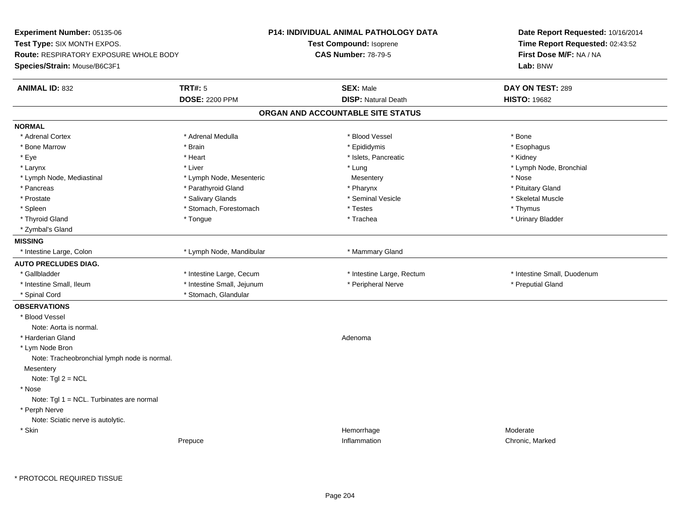**Experiment Number:** 05135-06**Test Type:** SIX MONTH EXPOS.**Route:** RESPIRATORY EXPOSURE WHOLE BODY**Species/Strain:** Mouse/B6C3F1**P14: INDIVIDUAL ANIMAL PATHOLOGY DATATest Compound:** Isoprene**CAS Number:** 78-79-5**Date Report Requested:** 10/16/2014**Time Report Requested:** 02:43:52**First Dose M/F:** NA / NA**Lab:** BNW**ANIMAL ID:** 832**TRT#:** 5 **SEX:** Male **DAY ON TEST:** 289 **DOSE:** 2200 PPM**DISP:** Natural Death **HISTO:** 19682 **ORGAN AND ACCOUNTABLE SITE STATUSNORMAL**\* Adrenal Cortex \* Adrenal Cortex \* \* Adrenal Medulla \* \* Adrenal Medulla \* \* Blood Vessel \* \* Brood Vessel \* \* Bone \* Esophagus \* Bone Marrow \* Brain \* Epididymis \* Esophagus \* Eye \* \* \* Islets, Pancreatic \* \* Islets, Pancreatic \* \* \* Stets, Pancreatic \* \* Kidney \* Kidney \* Kidney \* Kidney \* Larynx \* Louis \* Liver \* Lung \* Lung \* Lung \* Lung \* Lung \* Lymph Node, Bronchial \* Lymph Node, Bronchial \* \* Lymph Node, Mediastinal \* The metal of the Mesenteric Theorem and Mesentery the Mesentery \* Nose \* Pituitary Gland \* Pancreas \* Parathyroid Gland \* Parathyroid Gland \* Pharynx \* Pharynx \* Skeletal Muscle \* Prostate \* \* Skeletal Muscle \* \* Salivary Glands \* \* Steminal Vesicle \* \* Seminal Vesicle \* \* Skeletal Muscle \* Spleen \* Stomach, Forestomach \* Testes \* Testes \* Thymus \* Testes \* Thymus \* Thymus \* Thymus \* Thymus \* Thymus \* Thymus \* Thymus \* Thymus \* Thymus \* Thymus \* Thymus \* Thymus \* Thymus \* Thymus \* Thymus \* Thymus \* Thymus \* \* Urinary Bladder \* Thyroid Gland \* \* The control of the total property and the top of the top of the top of the top of the top of the top of the top of the top of the top of the top of the top of the top of the top of the top of the top of \* Zymbal's Gland**MISSING**\* Intestine Large, Colon \* Lymph Node, Mandibular \* Mammary Gland **AUTO PRECLUDES DIAG.**\* Gallbladder **\* Intestine Large, Cecum** \* Intestine Large, Thestine Large, Rectum \* Intestine Small, Duodenum \* Intestine Small, Ileum \* Thestine Small, Jejunum \* Peripheral Nerve \* Peripheral Nerve \* Preputial Gland \* Spinal Cord \* Stomach, Glandular**OBSERVATIONS** \* Blood VesselNote: Aorta is normal. \* Harderian Glandd and a state of the control of the control of the control of the control of the control of the control of the control of the control of the control of the control of the control of the control of the control of the contro \* Lym Node Bron Note: Tracheobronchial lymph node is normal.**Mesentery** Note: Tgl 2 = NCL \* Nose Note: Tgl 1 = NCL. Turbinates are normal \* Perph Nerve Note: Sciatic nerve is autolytic. \* Skinn and the morphonough the morphonough the morphonough the morphonough the morphonough the morphonough the morphonough  $\mathsf{M}$  Moderate Prepucee **Inflammation** Chronic, Marked Chronic, Marked Chronic, Marked Chronic, Marked Chronic, Marked Chronic, Marked Chronic, Marked Chronic, Marked Chronic, Marked Chronic, Marked Chronic, Marked Chronic, Marked Chronic, Mark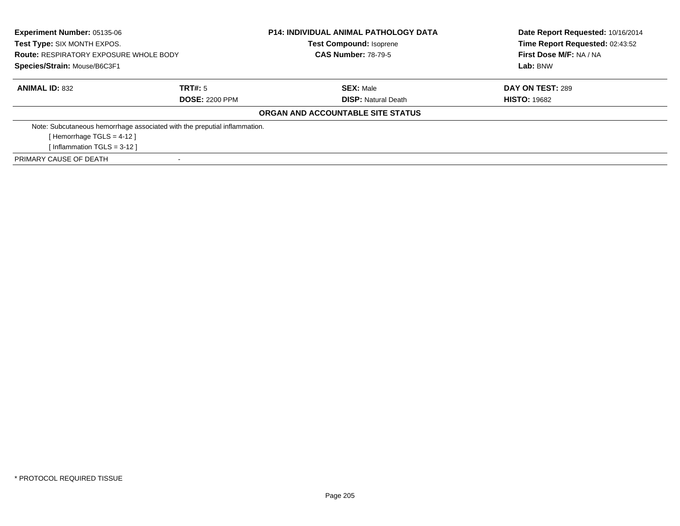| <b>Experiment Number: 05135-06</b><br>Test Type: SIX MONTH EXPOS.         |                       | <b>P14: INDIVIDUAL ANIMAL PATHOLOGY DATA</b><br><b>Test Compound: Isoprene</b> | Date Report Requested: 10/16/2014<br>Time Report Requested: 02:43:52 |
|---------------------------------------------------------------------------|-----------------------|--------------------------------------------------------------------------------|----------------------------------------------------------------------|
| <b>Route: RESPIRATORY EXPOSURE WHOLE BODY</b>                             |                       | <b>CAS Number: 78-79-5</b>                                                     | First Dose M/F: NA / NA                                              |
| Species/Strain: Mouse/B6C3F1                                              |                       |                                                                                | Lab: BNW                                                             |
| <b>ANIMAL ID: 832</b>                                                     | TRT#: 5               | <b>SEX: Male</b>                                                               | DAY ON TEST: 289                                                     |
|                                                                           | <b>DOSE: 2200 PPM</b> | <b>DISP:</b> Natural Death                                                     | <b>HISTO: 19682</b>                                                  |
|                                                                           |                       | ORGAN AND ACCOUNTABLE SITE STATUS                                              |                                                                      |
| Note: Subcutaneous hemorrhage associated with the preputial inflammation. |                       |                                                                                |                                                                      |
| [Hemorrhage TGLS = $4-12$ ]                                               |                       |                                                                                |                                                                      |
| [Inflammation TGLS = $3-12$ ]                                             |                       |                                                                                |                                                                      |
| PRIMARY CAUSE OF DEATH                                                    |                       |                                                                                |                                                                      |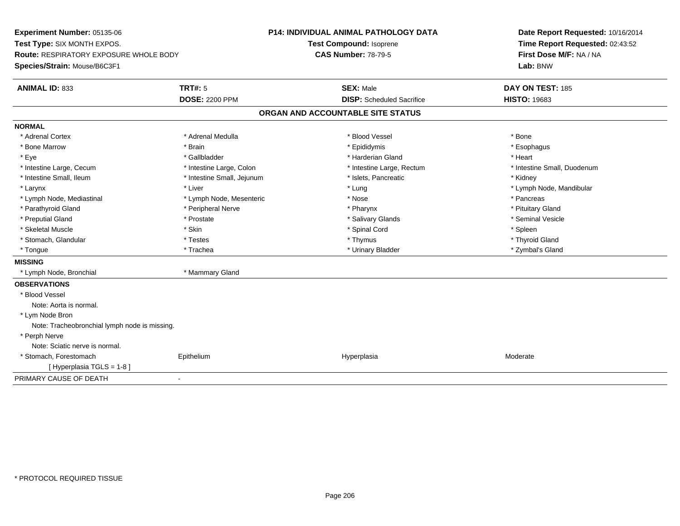**Experiment Number:** 05135-06**Test Type:** SIX MONTH EXPOS.**Route:** RESPIRATORY EXPOSURE WHOLE BODY**Species/Strain:** Mouse/B6C3F1**P14: INDIVIDUAL ANIMAL PATHOLOGY DATATest Compound:** Isoprene**CAS Number:** 78-79-5**Date Report Requested:** 10/16/2014**Time Report Requested:** 02:43:52**First Dose M/F:** NA / NA**Lab:** BNW**ANIMAL ID:** 833**TRT#:** 5 **SEX:** Male **DAY ON TEST:** 185 **DOSE:** 2200 PPM**DISP:** Scheduled Sacrifice **HISTO:** 19683 **ORGAN AND ACCOUNTABLE SITE STATUSNORMAL**\* Adrenal Cortex \* Adrenal Cortex \* \* Adrenal Medulla \* \* Adrenal Medulla \* \* Blood Vessel \* \* Brood Vessel \* \* Bone \* Esophagus \* Bone Marrow \* Brain \* Epididymis \* Esophagus \* Eye \* \* Gallbladder \* \* Gallbladder \* \* \* \* Harderian Gland \* \* Heart \* Heart \* Heart \* Heart \* Heart \* Heart \* Intestine Large, Cecum \* Intestine Large, Colon \* Intestine Large, Thestine Large, Rectum \* Intestine Small, Duodenum \* Intestine Small, Ileum \* **Allen and The Accord \* Intestine Small**, Jejunum \* 1stets, Pancreatic \* \* Kidney \* Kidney \* Larynx \* Louis \* Liver \* Liver \* Louis \* Lung \* Lung \* Louis \* Louis \* Louis \* Louis \* Lymph Node, Mandibular \* Lymph Node, Mediastinal \* The metal of the second text of the Mesenteric text of the second text of the second text of the second text of the second text of the second text of the second text of the second text of text o \* Pituitary Gland \* Parathyroid Gland \* **Example 20** \* Peripheral Nerve \* Pharynx \* Pharynx \* Pharynx \* Seminal Vesicle \* Preputial Gland \* \* Annual vesicle \* \* Prostate \* \* Salivary Glands \* \* Salivary Glands \* \* Seminal Vesicle \* \* Skeletal Muscle \* Skin \* Spinal Cord \* Spleen \* Thyroid Gland \* Stomach, Glandular \* \* \* Thyroid Glandular \* Thestes \* \* Thymus \* Thymus \* Thyroid Glandular \* Thyroid Gland \* Zymbal's Gland \* Tongue \* Trachea \* Urinary Bladder \* Zymbal's Gland **MISSING** \* Lymph Node, Bronchial \* Mammary Gland**OBSERVATIONS** \* Blood VesselNote: Aorta is normal. \* Lym Node Bron Note: Tracheobronchial lymph node is missing. \* Perph Nerve Note: Sciatic nerve is normal. \* Stomach, Forestomach Epitheliumm and the Hyperplasia measurement of the Hyperplasia measurement of the Moderate Moderate [ Hyperplasia TGLS = 1-8 ]PRIMARY CAUSE OF DEATH-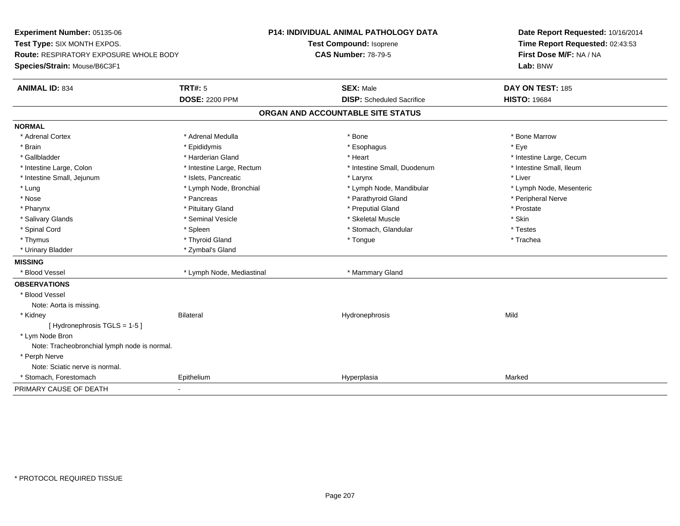**Experiment Number:** 05135-06**Test Type:** SIX MONTH EXPOS.**Route:** RESPIRATORY EXPOSURE WHOLE BODY**Species/Strain:** Mouse/B6C3F1**P14: INDIVIDUAL ANIMAL PATHOLOGY DATATest Compound:** Isoprene**CAS Number:** 78-79-5**Date Report Requested:** 10/16/2014**Time Report Requested:** 02:43:53**First Dose M/F:** NA / NA**Lab:** BNW**ANIMAL ID:** 834**TRT#:** 5 **SEX:** Male **DAY ON TEST:** 185 **DOSE:** 2200 PPM**DISP:** Scheduled Sacrifice **HISTO:** 19684 **ORGAN AND ACCOUNTABLE SITE STATUSNORMAL**\* Adrenal Cortex \* Adrenal Medulla \* Adrenal Medulla \* Bone \* Bone \* Bone \* Bone \* Bone Marrow \* Brain \* \* Expediance \* Epididymis \* \* Expediance \* \* Esophagus \* Expediance \* \* Expediance \* Eye \* Eye \* Gallbladder \* https://www.frage.com/marticle/state-of-state-of-state-of-state-of-state-of-state-of-state-of-state-of-state-of-state-of-state-of-state-of-state-of-state-of-state-of-state-of-state-of-state-of-state-of-stat \* Intestine Small, Ileum \* Intestine Large, Colon \* Intestine Large, Rectum \* Intestine Small, Duodenum \* Intestine Small, Duodenum \* Intestine Small, Jejunum \* 1992 \* The metal of the state of the state of the state of the state of the state of the state of the state of the state of the state of the state of the state of the state of the state of the \* Lung \* Lymph Node, Bronchial \* Lymph Node, Mandibular \* Lymph Node, Mesenteric\* Nose \* \* Pancreas \* \* Pancreas \* \* Pancreas \* \* Parathyroid Gland \* \* Peripheral Nerve \* Peripheral Nerve \* \* Pharynx \* Pituitary Gland \* Preputial Gland \* Prostate \* Salivary Glands \* Seminal Vesicle \* Skeletal Muscle \* Skin\* Testes \* Spinal Cord \* Spinal Cord \* Spinal Cord \* Stomach, Glandular \* Stomach, Glandular \* Stomach, Glandular \* Testesse \* Trachea \* Thymus \* \* The mode of the total term of the total term of the total term of the total term of the total term of the total term of the total term of the total term of the total term of the total term of the total term of \* Urinary Bladder \* Zymbal's Gland**MISSING**\* Blood Vessel \* Lymph Node, Mediastinal \* Mammary Gland **OBSERVATIONS** \* Blood VesselNote: Aorta is missing. \* Kidney Bilateral Hydronephrosis Mild[ Hydronephrosis TGLS = 1-5 ] \* Lym Node Bron Note: Tracheobronchial lymph node is normal. \* Perph Nerve Note: Sciatic nerve is normal. \* Stomach, Forestomach Epithelium Hyperplasia Marked PRIMARY CAUSE OF DEATH-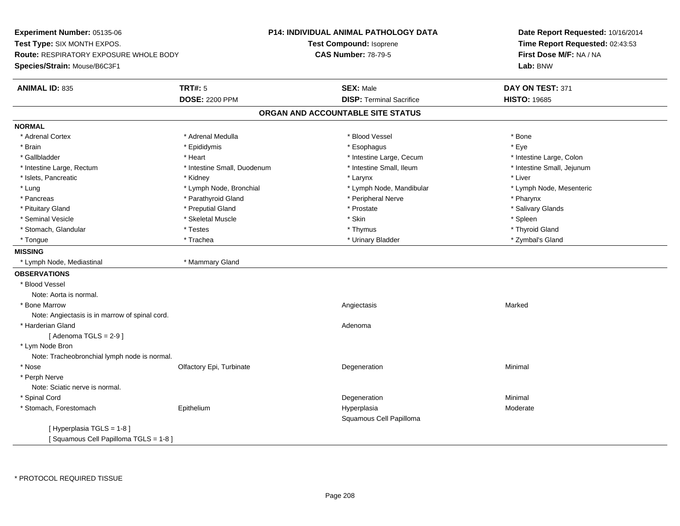**Experiment Number:** 05135-06**Test Type:** SIX MONTH EXPOS.**Route:** RESPIRATORY EXPOSURE WHOLE BODY**Species/Strain:** Mouse/B6C3F1**P14: INDIVIDUAL ANIMAL PATHOLOGY DATATest Compound:** Isoprene**CAS Number:** 78-79-5**Date Report Requested:** 10/16/2014**Time Report Requested:** 02:43:53**First Dose M/F:** NA / NA**Lab:** BNW**ANIMAL ID:** 835 **TRT#:** <sup>5</sup> **SEX:** Male **DAY ON TEST:** <sup>371</sup> **DOSE:** 2200 PPM**DISP:** Terminal Sacrifice **HISTO:** 19685 **ORGAN AND ACCOUNTABLE SITE STATUSNORMAL**\* Adrenal Cortex \* Adrenal Medulla \* Adrenal Medulla \* Blood Vessel \* Bood Vessel \* Bone \* Bone \* Bone \* Bone \* Bone \* Bone \* Bone \* Bone \* Bone \* Bone \* Bone \* Bone \* Bone \* Bone \* Bone \* Bone \* Bone \* Bone \* Bone \* Bone \* Bone \* Bone \* \* \* Eve \* Brain \* \* Expediance \* Epididymis \* \* Expediance \* \* Esophagus \* Expediance \* \* Expediance \* Eye \* Eye \* Intestine Large, Colon \* Gallbladder \* The mode of the state of the state of the state of the state of the state of the state of the state of the state of the state of the state of the state of the state of the state of the state of the state of \* Intestine Small, Jejunum \* Intestine Large, Rectum \* 10 **\*** Intestine Small, Duodenum \* Intestine Small, Ileum \* Islets, Pancreatic \* \* \* Andrew \* Kidney \* \* Kidney \* \* Larynx \* Larynx \* \* Larynx \* \* Liver \* Liver \* Liver \* Lung \* Lymph Node, Bronchial \* Lymph Node, Mandibular \* Lymph Node, Mesenteric\* Pancreas \* Parathyroid Gland \* \* Parathyroid Gland \* Peripheral Nerve \* \* Peripheral Nerve \* \* Pharynx \* Salivary Glands \* Pituitary Gland \* \* Then the state \* Preputial Gland \* Prosection \* Prostate \* \* Salivary Glands \* Salivary Glands \* Salivary Glands \* Salivary Glands \* Salivary Glands \* Salivary Glands \* Salivary Glands \* Salivary Glan \* Seminal Vesicle \* \* \* Sheem \* Skeletal Muscle \* \* Stemme \* Skin \* \* Skin \* \* Spleen \* Spleen \* Spleen \* Spleen \* Thyroid Gland \* Stomach, Glandular \* \* \* Thyroid Glandular \* Thestes \* \* Thymus \* Thymus \* Thyroid Glandular \* Thyroid Gland \* Zymbal's Gland \* Tongue \* Trachea \* Urinary Bladder \* Zymbal's Gland **MISSING** \* Lymph Node, Mediastinal \* Mammary Gland**OBSERVATIONS** \* Blood VesselNote: Aorta is normal. \* Bone Marroww the contraction of the contraction of the contraction of the contraction of the contraction of the contraction of the contraction of the contraction of the contraction of the contraction of the contraction of the contrac Note: Angiectasis is in marrow of spinal cord. \* Harderian Glandd and a state of the control of the control of the control of the control of the control of the control of the control of the control of the control of the control of the control of the control of the control of the contro  $[$  Adenoma TGLS = 2-9 $]$  \* Lym Node Bron Note: Tracheobronchial lymph node is normal. \* Nosee and the Colfactory Epi, Turbinate and the Coleman Degeneration Coleman Minimal Minimal \* Perph Nerve Note: Sciatic nerve is normal. \* Spinal Cordd and the control of the control of the control of the control of the control of the control of the control of the control of the control of the control of the control of the control of the control of the control of the co \* Stomach, Forestomach Epitheliumm and the Hyperplasia method of the Moderate Moderate Moderate and the Moderate of the Moderate of the Moderate  $\sim$ Squamous Cell Papilloma[ Hyperplasia TGLS = 1-8 ][ Squamous Cell Papilloma TGLS = 1-8 ]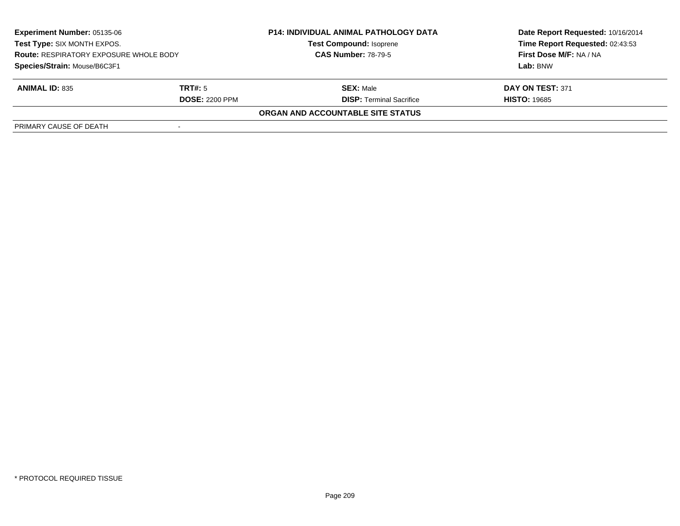| <b>Experiment Number: 05135-06</b><br>Test Type: SIX MONTH EXPOS.<br><b>Route: RESPIRATORY EXPOSURE WHOLE BODY</b> |                       | <b>P14: INDIVIDUAL ANIMAL PATHOLOGY DATA</b> | Date Report Requested: 10/16/2014 |
|--------------------------------------------------------------------------------------------------------------------|-----------------------|----------------------------------------------|-----------------------------------|
|                                                                                                                    |                       | <b>Test Compound: Isoprene</b>               | Time Report Requested: 02:43:53   |
|                                                                                                                    |                       | <b>CAS Number: 78-79-5</b>                   | <b>First Dose M/F: NA / NA</b>    |
| Species/Strain: Mouse/B6C3F1                                                                                       |                       |                                              | Lab: BNW                          |
| <b>ANIMAL ID: 835</b>                                                                                              | TRT#: 5               | <b>SEX: Male</b>                             | DAY ON TEST: 371                  |
|                                                                                                                    | <b>DOSE: 2200 PPM</b> | <b>DISP:</b> Terminal Sacrifice              | <b>HISTO: 19685</b>               |
|                                                                                                                    |                       | ORGAN AND ACCOUNTABLE SITE STATUS            |                                   |
| PRIMARY CAUSE OF DEATH                                                                                             |                       |                                              |                                   |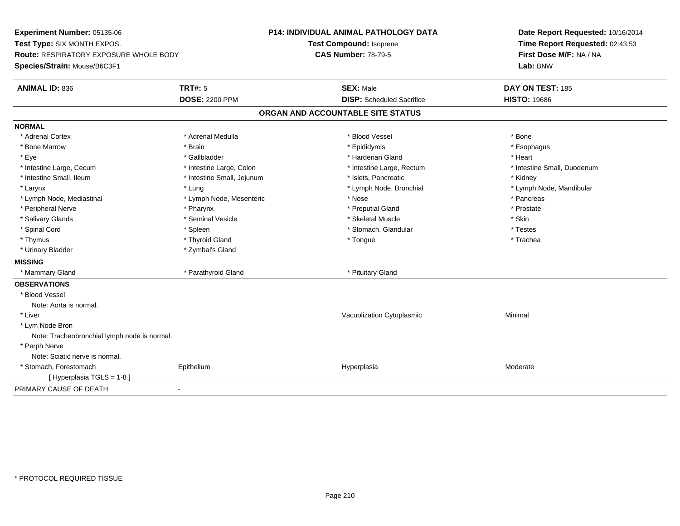**Experiment Number:** 05135-06**Test Type:** SIX MONTH EXPOS.**Route:** RESPIRATORY EXPOSURE WHOLE BODY**Species/Strain:** Mouse/B6C3F1**P14: INDIVIDUAL ANIMAL PATHOLOGY DATATest Compound:** Isoprene**CAS Number:** 78-79-5**Date Report Requested:** 10/16/2014**Time Report Requested:** 02:43:53**First Dose M/F:** NA / NA**Lab:** BNW**ANIMAL ID:** 836**6 DAY ON TEST:** 185 **DOSE:** 2200 PPM**DISP:** Scheduled Sacrifice **HISTO:** 19686 **ORGAN AND ACCOUNTABLE SITE STATUSNORMAL**\* Adrenal Cortex \* Adrenal Cortex \* \* Adrenal Medulla \* \* Adrenal Medulla \* \* Blood Vessel \* \* Brood Vessel \* \* Bone \* Esophagus \* Bone Marrow \* Brain \* Epididymis \* Esophagus \* Eye \* \* Gallbladder \* \* Gallbladder \* \* \* \* Harderian Gland \* \* Heart \* Heart \* Heart \* Heart \* Heart \* Heart \* Intestine Large, Cecum \* Intestine Large, Colon \* Intestine Large, Rectum \* Intestine Small, Duodenum\* Intestine Small, Ileum \* **Allen and The Accord \* Intestine Small**, Jejunum \* 1stets, Pancreatic \* \* Kidney \* Kidney \* Larynx \* Lung \* Lymph Node, Bronchial \* Lymph Node, Mandibular \* Lymph Node, Mediastinal \* The metal was a structure of the Mesenteric the metal was a structure of the metal was the metal was the metal of the metal was the metal of the metal was the metal was the metal was the metal w \* Prostate \* Peripheral Nerve \* \* \* Pharynx \* Pharynx \* \* Pharynx \* \* Preputial Gland \* \* Preputial Gland \* \* Prostate \* Salivary Glands \* Seminal Vesicle \* Skeletal Muscle \* Skin\* Testes \* Spinal Cord \* Spinal Cord \* Spinal Cord \* Spinal Cord \* Stomach, Glandular \* Stomach, Glandular \* \* Trachea \* Thymus \* \* The mode of the total term of the total term of the total term of the total term of the total term of the total term of the total term of the total term of the total term of the total term of the total term of \* Urinary Bladder \* Zymbal's Gland**MISSING**\* Mammary Gland \* Parathyroid Gland \* Pituitary Gland **OBSERVATIONS** \* Blood VesselNote: Aorta is normal. \* Liver Vacuolization Cytoplasmic Minimal \* Lym Node Bron Note: Tracheobronchial lymph node is normal. \* Perph Nerve Note: Sciatic nerve is normal. \* Stomach, Forestomach Epitheliumm and the Hyperplasia measurement of the Hyperplasia measurement of the Moderate Moderate [ Hyperplasia TGLS = 1-8 ]PRIMARY CAUSE OF DEATH-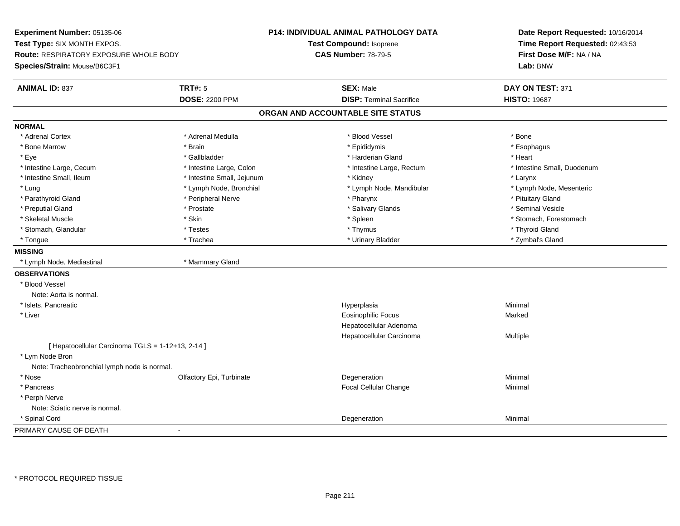**Experiment Number:** 05135-06**Test Type:** SIX MONTH EXPOS.**Route:** RESPIRATORY EXPOSURE WHOLE BODY**Species/Strain:** Mouse/B6C3F1**P14: INDIVIDUAL ANIMAL PATHOLOGY DATATest Compound:** Isoprene**CAS Number:** 78-79-5**Date Report Requested:** 10/16/2014**Time Report Requested:** 02:43:53**First Dose M/F:** NA / NA**Lab:** BNW**ANIMAL ID:** 837 **TRT#:** <sup>5</sup> **SEX:** Male **DAY ON TEST:** <sup>371</sup> **DOSE:** 2200 PPM**DISP:** Terminal Sacrifice **HISTO:** 19687 **ORGAN AND ACCOUNTABLE SITE STATUSNORMAL**\* Adrenal Cortex \* Adrenal Cortex \* \* Adrenal Medulla \* \* Adrenal Medulla \* \* Blood Vessel \* \* Brood Vessel \* \* Bone \* Esophagus \* Bone Marrow \* Brain \* Epididymis \* Esophagus \* Eye \* \* Gallbladder \* \* Gallbladder \* \* \* \* Harderian Gland \* \* Heart \* Heart \* Heart \* Heart \* Heart \* Heart \* Intestine Large, Cecum \* Intestine Large, Colon \* Intestine Large, Thestine Large, Rectum \* Intestine Small, Duodenum \* Intestine Small, Ileum \* Intestine Small, Jejunum \* Kidney \* Larynx\* Lymph Node, Mesenteric \* Lung \* Lymph Node, Bronchial \* Lymph Node, Mandibular \* Lymph Node, Mandibular \* Parathyroid Gland \* The state of the state of the Peripheral Nerve \* That the state of the state of the state of the state of the state of the state of the state of the state of the state of the state of the state of the \* Seminal Vesicle \* Preputial Gland \* \* Annual vesicle \* \* Prostate \* \* Salivary Glands \* \* Salivary Glands \* \* Seminal Vesicle \* \* Skeletal Muscle \* The stomach \* Skin \* Spleen \* Spleen \* Stomach, Forestomach \* Stomach, Forestomach \* Stomach, Glandular \* \* \* Thyroid Glandular \* Thestes \* \* Thymus \* Thymus \* Thyroid Glandular \* Thyroid Gland \* Zymbal's Gland \* Tongue \* Trachea \* Urinary Bladder \* Zymbal's Gland **MISSING** \* Lymph Node, Mediastinal \* Mammary Gland**OBSERVATIONS** \* Blood VesselNote: Aorta is normal. \* Islets, Pancreaticc and the contract of the contract of the contract of the contract of the contract of the contract of the contract of the contract of the contract of the contract of the contract of the contract of the contract of the cont a **Minimal**  \* Liver Eosinophilic Focus MarkedHepatocellular Adenoma Hepatocellular Carcinoma Multiple  $[$  Hepatocellular Carcinoma TGLS = 1-12+13, 2-14 ] \* Lym Node Bron Note: Tracheobronchial lymph node is normal. \* Nosee and the Colfactory Epi, Turbinate and the Coleman Degeneration Coleman Minimal Minimal \* Pancreas Focal Cellular Change Minimal \* Perph Nerve Note: Sciatic nerve is normal. \* Spinal Cordd and the control of the control of the control of the control of the control of the control of the control of the control of the control of the control of the control of the control of the control of the control of the co PRIMARY CAUSE OF DEATH-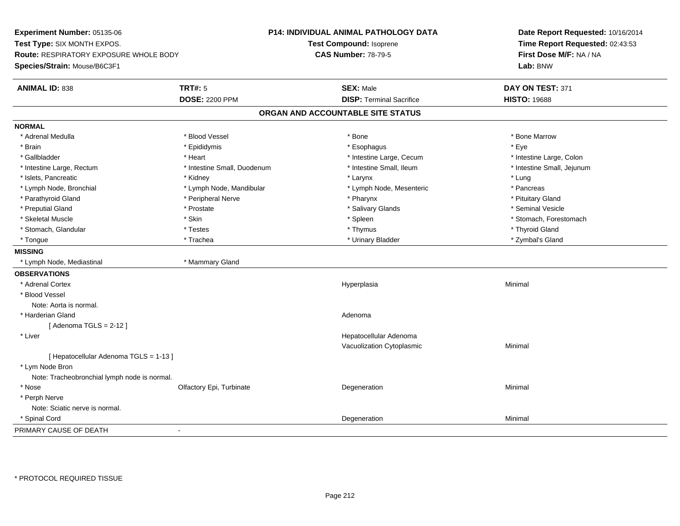**Experiment Number:** 05135-06**Test Type:** SIX MONTH EXPOS.**Route:** RESPIRATORY EXPOSURE WHOLE BODY**Species/Strain:** Mouse/B6C3F1**P14: INDIVIDUAL ANIMAL PATHOLOGY DATATest Compound:** Isoprene**CAS Number:** 78-79-5**Date Report Requested:** 10/16/2014**Time Report Requested:** 02:43:53**First Dose M/F:** NA / NA**Lab:** BNW**ANIMAL ID:** 838**SEX:** Male **DAY ON TEST:** 371 **DOSE:** 2200 PPM**DISP:** Terminal Sacrifice **HISTO:** 19688 **ORGAN AND ACCOUNTABLE SITE STATUSNORMAL**\* Adrenal Medulla \* \* \* Blood Vessel \* \* \* Bone Marrow \* \* Bone Marrow \* \* Bone Marrow \* Brain \* \* Expediance \* Epididymis \* \* Expediance \* \* Esophagus \* Expediance \* \* Expediance \* Eye \* Eye \* Intestine Large, Colon \* Gallbladder \* The mode of the state of the state of the state of the state of the state of the state of the state of the state of the state of the state of the state of the state of the state of the state of the state of \* Intestine Small, Jejunum \* Intestine Large, Rectum \* Intestine Small, Duodenum \* Intestine Small, Duodenum \* \* Intestine Small, Ileum \* Islets, Pancreatic \* \* \* Andrew \* Kidney \* \* Kidney \* \* Karynx \* Larynx \* \* Larynx \* \* Lung \* Lung \* Lung \* Lung \* Lung \* Lung \* Lung \* Lung \* Lung \* Lung \* Lung \* Lung \* Lung \* Lung \* Lung \* Lung \* Lung \* Lung \* Lung \* \* Pancreas \* Lymph Node, Bronchial \* Lymph Node, Mandibular \* Lymph Node, Mesenteric \* Pancreass \* Pancreass \* Pancreass \* Pancreass \* Pancreass \* Pancreass \* Pancreass \* Pancreass \* Pancreass \* Pancreass \* Pancreass \* Pancreass \* Pa \* Pituitary Gland \* Parathyroid Gland \* **Archaeology** \* Peripheral Nerve \* Pharynx \* Pharynx \* Pharynx \* Pharynx \* Seminal Vesicle \* Preputial Gland \* \* Annual vesicle \* \* Prostate \* \* Salivary Glands \* \* Salivary Glands \* \* Seminal Vesicle \* \* Skeletal Muscle \* The stomach \* Skin \* Spleen \* Spleen \* Stomach, Forestomach \* Stomach, Forestomach \* Stomach, Glandular \* \* \* Thyroid Glandular \* Thestes \* \* Thymus \* Thymus \* Thyroid Glandular \* Thyroid Gland \* Zymbal's Gland \* Tongue \* Trachea \* Urinary Bladder \* Zymbal's Gland **MISSING** \* Lymph Node, Mediastinal \* Mammary Gland**OBSERVATIONS** \* Adrenal Cortexx and the control of the control of the control of the control of the control of the control of the control of the control of the control of the control of the control of the control of the control of the control of the co a **Minimal**  \* Blood VesselNote: Aorta is normal. \* Harderian Glandd and a state of the control of the control of the control of the control of the control of the control of the control of the control of the control of the control of the control of the control of the control of the contro  $[$  Adenoma TGLS = 2-12  $]$  \* Liver Hepatocellular Adenoma Vacuolization Cytoplasmic Minimal [ Hepatocellular Adenoma TGLS = 1-13 ] \* Lym Node Bron Note: Tracheobronchial lymph node is normal. \* Nosee and the Colfactory Epi, Turbinate and the Coleman Degeneration Coleman Minimal Minimal \* Perph Nerve Note: Sciatic nerve is normal. \* Spinal Cordd and the control of the control of the control of the control of the control of the control of the control of the control of the control of the control of the control of the control of the control of the control of the co PRIMARY CAUSE OF DEATH-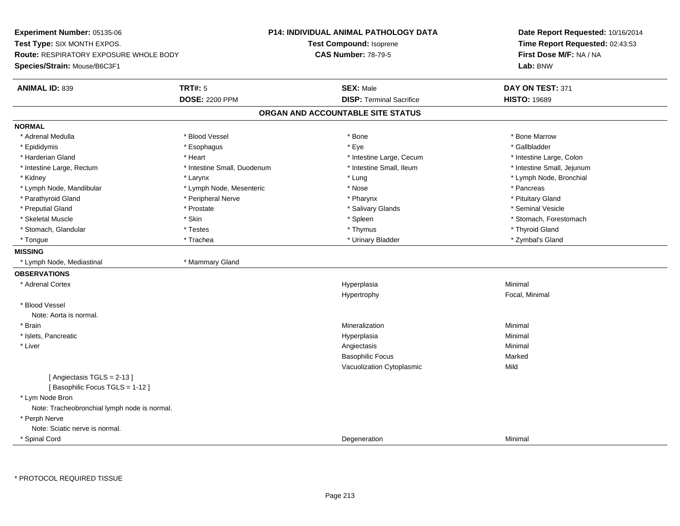**Experiment Number:** 05135-06**Test Type:** SIX MONTH EXPOS.**Route:** RESPIRATORY EXPOSURE WHOLE BODY**Species/Strain:** Mouse/B6C3F1**P14: INDIVIDUAL ANIMAL PATHOLOGY DATATest Compound:** Isoprene**CAS Number:** 78-79-5**Date Report Requested:** 10/16/2014**Time Report Requested:** 02:43:53**First Dose M/F:** NA / NA**Lab:** BNW**ANIMAL ID:** 839 **TRT#:** <sup>5</sup> **SEX:** Male **DAY ON TEST:** <sup>371</sup> **DOSE:** 2200 PPM**DISP:** Terminal Sacrifice **HISTO:** 19689 **ORGAN AND ACCOUNTABLE SITE STATUSNORMAL**\* Adrenal Medulla \* \* \* Blood Vessel \* \* \* Bone Marrow \* \* Bone Marrow \* \* Bone Marrow \* Gallbladder \* Epididymis \* \* exphagus \* Esophagus \* \* Eye \* \* Eye \* \* Exercise \* Gallbladder \* Gallbladder \* \* Gallbladder \* \* Gallbladder \* \* Gallbladder \* \* Gallbladder \* \* Gallbladder \* \* Exercise \* \* \* Gallbladder \* \* \* Gallbladde \* Harderian Gland \* The structure \* Theart \* Heart \* Intestine Large, Cecum \* Intestine Large, Cecum \* Intestine Large, Colon \* Intestine Small, Jejunum \* Intestine Large, Rectum \* 10 **\*** Intestine Small, Duodenum \* Intestine Small, Ileum \* Kidney \* Larynx \* Lung \* Lymph Node, Bronchial \* Lymph Node, Mandibular \* The state of the second text of the second text of the second text of the second text of the second text of the second text of the second text of the second text of the second text of text of tex \* Pituitary Gland \* Parathyroid Gland \* **Arror and \* Peripheral Nerve \* Pharynx \* Pharynx \* Pharynx** \* Pharynx \* Seminal Vesicle \* Preputial Gland \* \* Annual vesicle \* \* Prostate \* \* Salivary Glands \* \* Salivary Glands \* \* Seminal Vesicle \* \* Skeletal Muscle \* The stomach \* Skin \* Spleen \* Spleen \* Stomach, Forestomach \* Stomach, Forestomach \* Stomach, Glandular \* \* \* Thyroid Glandular \* Thestes \* \* Thymus \* Thymus \* Thyroid Glandular \* Thyroid Gland \* Zymbal's Gland \* Tongue \* Trachea \* Urinary Bladder \* Zymbal's Gland **MISSING** \* Lymph Node, Mediastinal \* Mammary Gland**OBSERVATIONS** \* Adrenal Cortexx and the control of the control of the control of the control of the control of the control of the control of the control of the control of the control of the control of the control of the control of the control of the co a **Minimal** Hypertrophy Focal, Minimal \* Blood VesselNote: Aorta is normal. \* Brainn and the controller of the controller of the controller of the Minimal Mineralization and the controller of the Minimal Minimal  $\alpha$  \* Islets, Pancreaticc and the contract of the contract of the contract of the contract of the contract of the contract of the contract of the contract of the contract of the contract of the contract of the contract of the contract of the cont a **Minimal**  \* Liverr and the contract of the contract of the contract of the contract of the contract of the contract of the contract of the contract of the contract of the contract of the contract of the contract of the contract of the cont Minimal Basophilic Focuss Marked Vacuolization Cytoplasmicc Mild [ Angiectasis TGLS = 2-13 ][ Basophilic Focus TGLS = 1-12 ] \* Lym Node Bron Note: Tracheobronchial lymph node is normal. \* Perph Nerve Note: Sciatic nerve is normal. \* Spinal Cordd and the control of the control of the control of the control of the control of the control of the control of the control of the control of the control of the control of the control of the control of the control of the co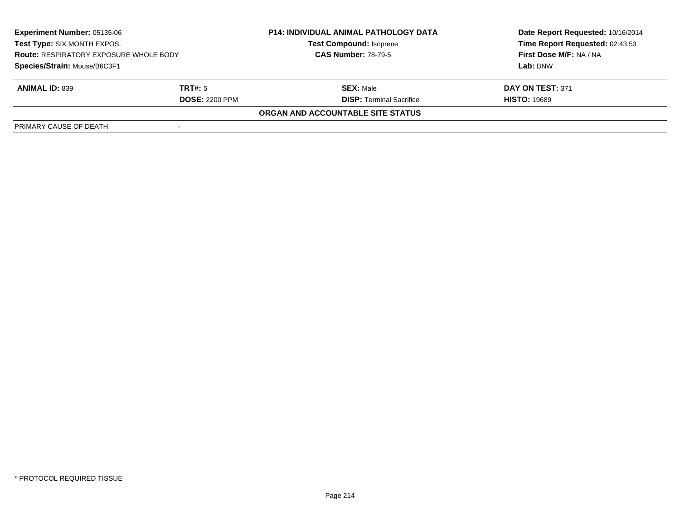| <b>Experiment Number: 05135-06</b><br>Test Type: SIX MONTH EXPOS.<br><b>Route: RESPIRATORY EXPOSURE WHOLE BODY</b><br>Species/Strain: Mouse/B6C3F1 |                       | <b>P14: INDIVIDUAL ANIMAL PATHOLOGY DATA</b> | Date Report Requested: 10/16/2014 |
|----------------------------------------------------------------------------------------------------------------------------------------------------|-----------------------|----------------------------------------------|-----------------------------------|
|                                                                                                                                                    |                       | <b>Test Compound: Isoprene</b>               | Time Report Requested: 02:43:53   |
|                                                                                                                                                    |                       | <b>CAS Number: 78-79-5</b>                   | <b>First Dose M/F: NA / NA</b>    |
|                                                                                                                                                    |                       |                                              | Lab: BNW                          |
| <b>ANIMAL ID: 839</b>                                                                                                                              | TRT#: 5               | <b>SEX: Male</b>                             | DAY ON TEST: 371                  |
|                                                                                                                                                    | <b>DOSE: 2200 PPM</b> | <b>DISP: Terminal Sacrifice</b>              | <b>HISTO: 19689</b>               |
|                                                                                                                                                    |                       | ORGAN AND ACCOUNTABLE SITE STATUS            |                                   |
| PRIMARY CAUSE OF DEATH                                                                                                                             |                       |                                              |                                   |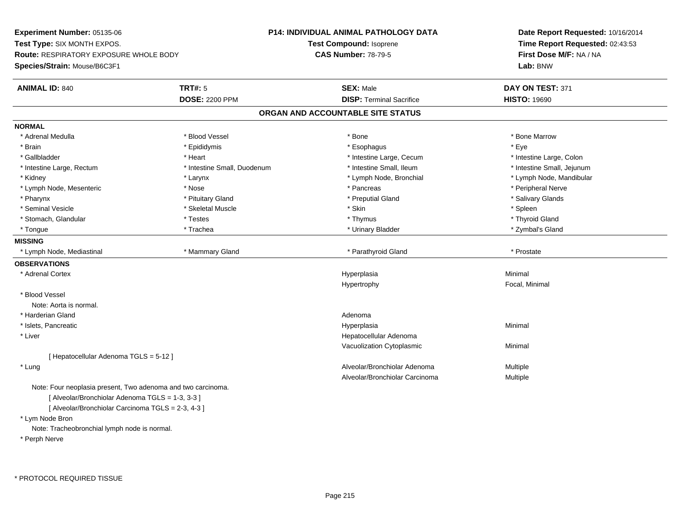**Experiment Number:** 05135-06**Test Type:** SIX MONTH EXPOS.**Route:** RESPIRATORY EXPOSURE WHOLE BODY**Species/Strain:** Mouse/B6C3F1**P14: INDIVIDUAL ANIMAL PATHOLOGY DATATest Compound:** Isoprene**CAS Number:** 78-79-5**Date Report Requested:** 10/16/2014**Time Report Requested:** 02:43:53**First Dose M/F:** NA / NA**Lab:** BNW**ANIMAL ID:** 840**CONSEX:** Male **DAY ON TEST:** 371 **DOSE:** 2200 PPM**DISP:** Terminal Sacrifice **HISTO:** 19690 **ORGAN AND ACCOUNTABLE SITE STATUSNORMAL**\* Adrenal Medulla \* \* \* Blood Vessel \* \* \* Bone Marrow \* \* Bone Marrow \* \* Bone Marrow \* Brain \* \* Expediance \* Epididymis \* \* Expediance \* \* Esophagus \* Expediance \* \* Expediance \* Eye \* Eye \* Intestine Large, Colon \* Gallbladder \* The mode of the state of the state of the state of the state of the state of the state of the state of the state of the state of the state of the state of the state of the state of the state of the state of \* Intestine Small, Jejunum \* Intestine Large, Rectum \* Intestine Small, Duodenum \* Intestine Small, Duodenum \* \* Intestine Small, Ileum \* Kidney \* Larynx \* Lymph Node, Bronchial \* Lymph Node, Mandibular \* Lymph Node, Mesenteric \* The state of the state of the state of the state of the state of the state of the state of the state of the state of the state of the state of the state of the state of the state of the state of \* Salivary Glands \* Pharynx \* Pituitary Gland \* Preputial Gland \* Salivary Glands \* Seminal Vesicle \* \* \* Sheem \* Skeletal Muscle \* \* Stemme \* Skin \* \* Skin \* \* Spleen \* Spleen \* Spleen \* Spleen \* Thyroid Gland \* Stomach, Glandular \* \* \* Thyroid Glandular \* Thestes \* \* Thymus \* Thymus \* Thyroid Glandular \* Thyroid Gland \* Zymbal's Gland \* Tongue \* Trachea \* Urinary Bladder \* Zymbal's Gland **MISSING**\* Lymph Node, Mediastinal \* \* \* Mammary Gland \* \* \* \* \* Parathyroid Gland \* \* Parathyroid Gland \* \* Prostate **OBSERVATIONS** \* Adrenal Cortexx and the control of the control of the control of the control of the control of the control of the control of the control of the control of the control of the control of the control of the control of the control of the co a **Minimal** Hypertrophy Focal, Minimal \* Blood VesselNote: Aorta is normal. \* Harderian Glandd and a state of the control of the control of the control of the control of the control of the control of the control of the control of the control of the control of the control of the control of the control of the contro \* Islets, Pancreaticc and the contract of the contract of the contract of the contract of the contract of the contract of the contract of the contract of the contract of the contract of the contract of the contract of the contract of the cont a **Minimal**  \* Liver Hepatocellular Adenoma Vacuolization Cytoplasmic Minimal [ Hepatocellular Adenoma TGLS = 5-12 ] \* Lungg and the state of the state of the state of the state of the Multiple of the Sheed and Alveolar/Bronchiolar Adenoma<br>Alveolar/Bronchiolar Adenoma and Multiple Alveolar/Bronchiolar Carcinoma Multiple Note: Four neoplasia present, Two adenoma and two carcinoma.[ Alveolar/Bronchiolar Adenoma TGLS = 1-3, 3-3 ][ Alveolar/Bronchiolar Carcinoma TGLS = 2-3, 4-3 ]\* Lym Node Bron

Note: Tracheobronchial lymph node is normal.

\* Perph Nerve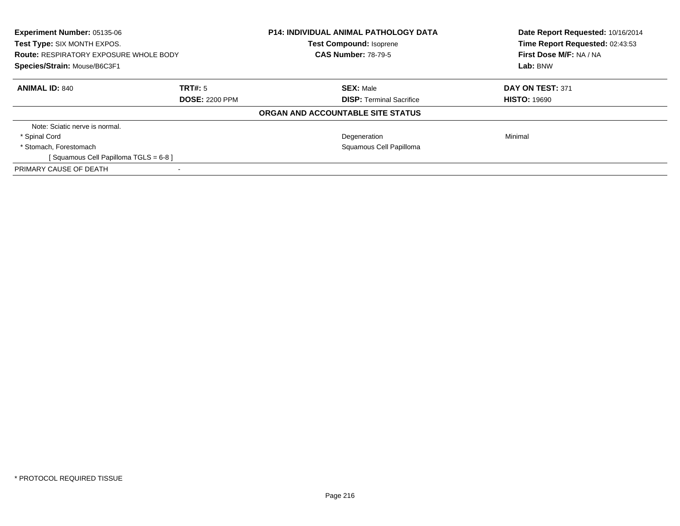| <b>Experiment Number: 05135-06</b><br>Test Type: SIX MONTH EXPOS.<br><b>Route: RESPIRATORY EXPOSURE WHOLE BODY</b><br>Species/Strain: Mouse/B6C3F1 |                       | <b>P14: INDIVIDUAL ANIMAL PATHOLOGY DATA</b><br><b>Test Compound: Isoprene</b><br><b>CAS Number: 78-79-5</b> | Date Report Requested: 10/16/2014<br>Time Report Requested: 02:43:53<br>First Dose M/F: NA / NA<br>Lab: BNW |
|----------------------------------------------------------------------------------------------------------------------------------------------------|-----------------------|--------------------------------------------------------------------------------------------------------------|-------------------------------------------------------------------------------------------------------------|
|                                                                                                                                                    |                       |                                                                                                              |                                                                                                             |
| <b>ANIMAL ID: 840</b>                                                                                                                              | TRT#: 5               | <b>SEX: Male</b>                                                                                             | DAY ON TEST: 371                                                                                            |
|                                                                                                                                                    | <b>DOSE: 2200 PPM</b> | <b>DISP:</b> Terminal Sacrifice                                                                              | <b>HISTO: 19690</b>                                                                                         |
|                                                                                                                                                    |                       | ORGAN AND ACCOUNTABLE SITE STATUS                                                                            |                                                                                                             |
| Note: Sciatic nerve is normal.                                                                                                                     |                       |                                                                                                              |                                                                                                             |
| * Spinal Cord                                                                                                                                      |                       | Degeneration                                                                                                 | Minimal                                                                                                     |
| * Stomach, Forestomach                                                                                                                             |                       | Squamous Cell Papilloma                                                                                      |                                                                                                             |
| [Squamous Cell Papilloma TGLS = 6-8]                                                                                                               |                       |                                                                                                              |                                                                                                             |
| PRIMARY CAUSE OF DEATH                                                                                                                             |                       |                                                                                                              |                                                                                                             |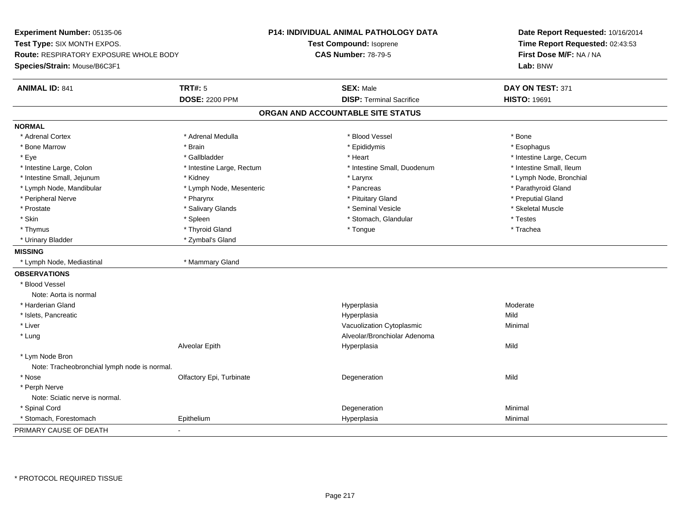**Experiment Number:** 05135-06**Test Type:** SIX MONTH EXPOS.**Route:** RESPIRATORY EXPOSURE WHOLE BODY**Species/Strain:** Mouse/B6C3F1**P14: INDIVIDUAL ANIMAL PATHOLOGY DATATest Compound:** Isoprene**CAS Number:** 78-79-5**Date Report Requested:** 10/16/2014**Time Report Requested:** 02:43:53**First Dose M/F:** NA / NA**Lab:** BNW**ANIMAL ID:** 841**TRT#:** 5 **SEX:** Male **SEX:** Male **DAY ON TEST:** 371 **DOSE:** 2200 PPM**DISP:** Terminal Sacrifice **HISTO:** 19691 **ORGAN AND ACCOUNTABLE SITE STATUSNORMAL**\* Adrenal Cortex \* Adrenal Cortex \* \* Adrenal Medulla \* \* Adrenal Medulla \* \* Blood Vessel \* \* Brood Vessel \* \* Bone \* Esophagus \* Bone Marrow \* Brain \* Epididymis \* Esophagus \* Eye \* https://www.frage.com/windown.com/windown.com/windown.com/windown.com/windown.com/windown.com/windown-\* Intestine Small, Ileum \* Intestine Large, Colon \* Intestine Large, Rectum \* Intestine Small, Duodenum \* Intestine Small, Duodenum \* Lymph Node, Bronchial \* Intestine Small, Jejunum \* Mathematic \* Kidney \* Karynx \* Larynx \* Larynx \* Larynx \* Larynx \* Larynx \* Larynx \* Larynx \* Larynx \* Larynx \* Larynx \* Larynx \* Larynx \* Larynx \* Larynx \* Larynx \* Larynx \* Larynx \* Larynx \* \* Lymph Node, Mandibular \* The state of the state of the Mesenteric \* Pancreas \* Pancreas \* Parathyroid Gland \* Peripheral Nerve \* Pharynx \* Pituitary Gland \* Preputial Gland\* Skeletal Muscle \* Prostate \* \* Skeletal Muscle \* \* Salivary Glands \* \* Steminal Vesicle \* \* Seminal Vesicle \* \* Skeletal Muscle \* Skin \* Spleen \* Spleen \* Spleen \* Stomach, Glandular \* Testes \* Testes \* Testes \* Trachea \* Thymus \* \* The mode of the total term of the total term of the total term of the total term of the total term of the total term of the total term of the total term of the total term of the total term of the total term of \* Urinary Bladder \* Zymbal's Gland**MISSING** \* Lymph Node, Mediastinal \* Mammary Gland**OBSERVATIONS** \* Blood VesselNote: Aorta is normal \* Harderian Glandd and the controller of the controller of the Moderate Moderate of the Moderate of the Moderate of the Moderate of the Moderate of the Moderate of the Moderate of the Moderate of the Moderate of the Moderate of the Moderat \* Islets, Pancreaticc and the contract of the contract of the contract of the contract of the contract of the contract of the contract of the contract of the contract of the contract of the contract of the contract of the contract of the cont a Mild \* Liver Vacuolization Cytoplasmic Minimal \* LungAlveolar/Bronchiolar Adenoma<br>Hyperplasia Alveolar Epithh anns an t-India anns an t-India anns an t-India anns an t-India anns an t-India anns an t-India anns an t-In \* Lym Node Bron Note: Tracheobronchial lymph node is normal. \* Nosee and the Colfactory Epi, Turbinate and the Colfactory Epistem of the Colfactory Epistem Mild \* Perph Nerve Note: Sciatic nerve is normal. \* Spinal Cordd and the control of the control of the control of the control of the control of the control of the control of the control of the control of the control of the control of the control of the control of the control of the co \* Stomach, Forestomach Epithelium Hyperplasia Minimal PRIMARY CAUSE OF DEATH-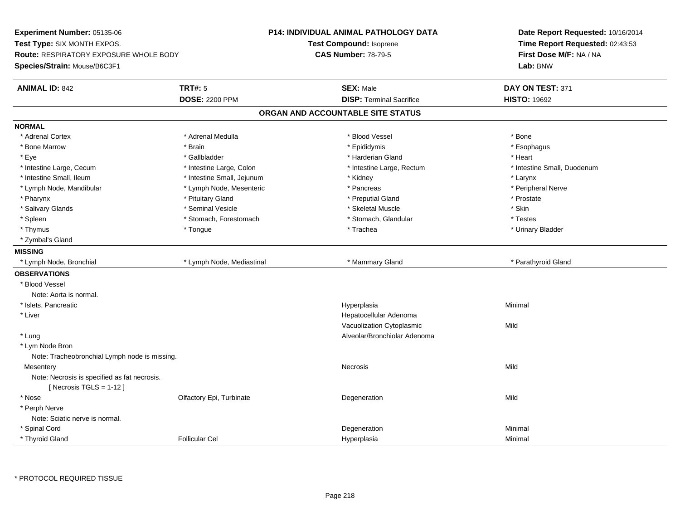**Experiment Number:** 05135-06**Test Type:** SIX MONTH EXPOS.**Route:** RESPIRATORY EXPOSURE WHOLE BODY**Species/Strain:** Mouse/B6C3F1**P14: INDIVIDUAL ANIMAL PATHOLOGY DATATest Compound:** Isoprene**CAS Number:** 78-79-5**Date Report Requested:** 10/16/2014**Time Report Requested:** 02:43:53**First Dose M/F:** NA / NA**Lab:** BNW**ANIMAL ID:** 842 **TRT#:** <sup>5</sup> **SEX:** Male **DAY ON TEST:** <sup>371</sup> **DOSE:** 2200 PPM**DISP:** Terminal Sacrifice **HISTO:** 19692 **ORGAN AND ACCOUNTABLE SITE STATUSNORMAL**\* Adrenal Cortex \* Adrenal Cortex \* \* Adrenal Medulla \* \* Adrenal Medulla \* \* Blood Vessel \* \* Brood Vessel \* \* Bone \* Esophagus \* Bone Marrow \* Brain \* Epididymis \* Esophagus \* Eye \* \* Gallbladder \* \* Gallbladder \* \* \* \* Harderian Gland \* \* Heart \* Heart \* Heart \* Heart \* Heart \* Heart \* Intestine Large, Cecum \* Intestine Large, Colon \* Intestine Large, Thestine Large, Rectum \* Intestine Small, Duodenum \* Intestine Small, Ileum \* Intestine Small, Jejunum \* Kidney \* Larynx\* Peripheral Nerve \* Lymph Node, Mandibular \* Lymph Node, Mesenteric \* Pancreas \* Pancreas \* Pancreas \* Pharynx \* Pituitary Gland \* Preputial Gland \* Prostate \* Salivary Glands \* Seminal Vesicle \* Skeletal Muscle \* Skin\* Testes \* Spleen \* Stomach, Forestomach \* Stomach \* Stomach, Glandular \* Stomach, Glandular \* Urinary Bladder \* Thymus \* Tongue \* Trachea \* Urinary Bladder \* Zymbal's Gland**MISSING**\* Lymph Node, Bronchial \* Lymph Node, Mediastinal \* Mammary Gland \* Mammary Gland \* Parathyroid Gland **OBSERVATIONS** \* Blood VesselNote: Aorta is normal. \* Islets, Pancreaticc and the contract of the contract of the contract of the contract of the contract of the contract of the contract of the contract of the contract of the contract of the contract of the contract of the contract of the cont a **Minimal**  \* Liver Hepatocellular Adenoma Vacuolization Cytoplasmicc Mild \* Lung Alveolar/Bronchiolar Adenoma \* Lym Node Bron Note: Tracheobronchial Lymph node is missing.**Mesentery** y and the control of the control of the control of the control of the control of the control of the control of the control of the control of the control of the control of the control of the control of the control of the co Note: Necrosis is specified as fat necrosis. $[$  Necrosis TGLS = 1-12  $]$  \* Nosee and the Colfactory Epi, Turbinate and the Colfactory Epistem of the Colfactory Epistem Mild \* Perph Nerve Note: Sciatic nerve is normal. \* Spinal Cordd and the control of the control of the control of the control of the control of the control of the control of the control of the control of the control of the control of the control of the control of the control of the co \* Thyroid GlandFollicular Cel Hyperplasia Minimal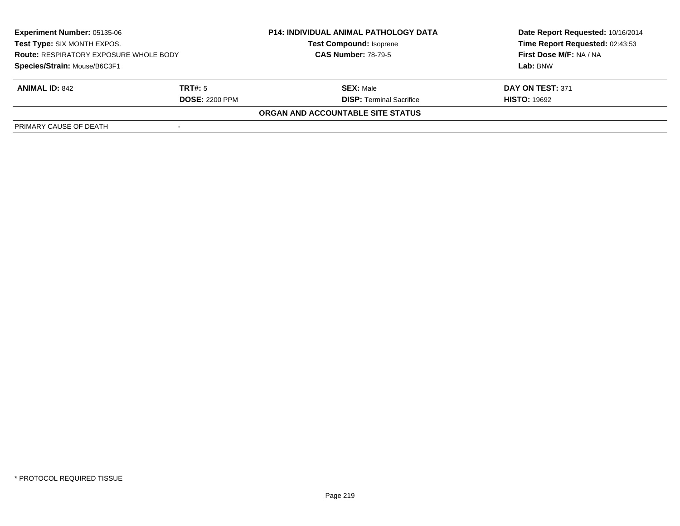| <b>Experiment Number: 05135-06</b><br>Test Type: SIX MONTH EXPOS.<br><b>Route: RESPIRATORY EXPOSURE WHOLE BODY</b><br>Species/Strain: Mouse/B6C3F1 |                       | <b>P14: INDIVIDUAL ANIMAL PATHOLOGY DATA</b> | Date Report Requested: 10/16/2014 |
|----------------------------------------------------------------------------------------------------------------------------------------------------|-----------------------|----------------------------------------------|-----------------------------------|
|                                                                                                                                                    |                       | <b>Test Compound: Isoprene</b>               | Time Report Requested: 02:43:53   |
|                                                                                                                                                    |                       | <b>CAS Number: 78-79-5</b>                   | First Dose M/F: NA / NA           |
|                                                                                                                                                    |                       |                                              | Lab: BNW                          |
| <b>ANIMAL ID: 842</b>                                                                                                                              | TRT#: 5               | <b>SEX: Male</b>                             | DAY ON TEST: 371                  |
|                                                                                                                                                    | <b>DOSE: 2200 PPM</b> | <b>DISP: Terminal Sacrifice</b>              | <b>HISTO: 19692</b>               |
|                                                                                                                                                    |                       | ORGAN AND ACCOUNTABLE SITE STATUS            |                                   |
| PRIMARY CAUSE OF DEATH                                                                                                                             |                       |                                              |                                   |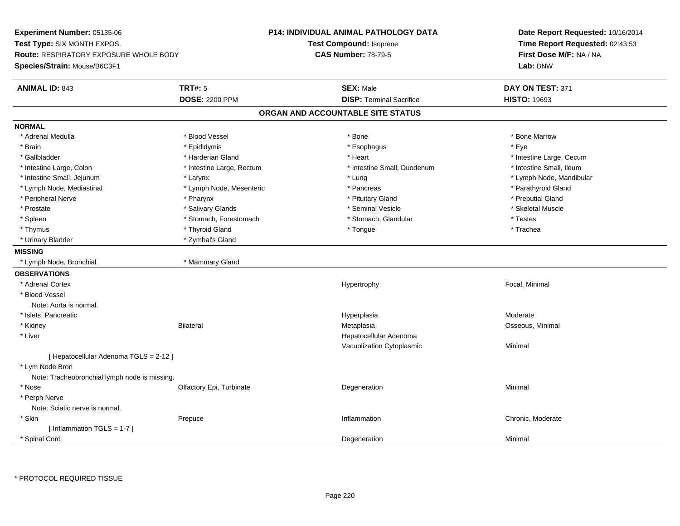**Experiment Number:** 05135-06**Test Type:** SIX MONTH EXPOS.**Route:** RESPIRATORY EXPOSURE WHOLE BODY**Species/Strain:** Mouse/B6C3F1**P14: INDIVIDUAL ANIMAL PATHOLOGY DATATest Compound:** Isoprene**CAS Number:** 78-79-5**Date Report Requested:** 10/16/2014**Time Report Requested:** 02:43:53**First Dose M/F:** NA / NA**Lab:** BNW**ANIMAL ID:** 843**TRT#:** 5 **SEX:** Male **DAY ON TEST:** 371 **DOSE:** 2200 PPM**DISP:** Terminal Sacrifice **HISTO:** 19693 **ORGAN AND ACCOUNTABLE SITE STATUSNORMAL**\* Adrenal Medulla \* \* \* Blood Vessel \* \* \* Bone Marrow \* Bone Marrow \* Bone Marrow \* Bone Marrow \* Brain \* \* Expediance \* Epididymis \* \* Expediance \* \* Esophagus \* Expediance \* \* Expediance \* Eye \* Eye \* Gallbladder \* https://www.frage.com/marticle/state-of-state-of-state-of-state-of-state-of-state-of-state-of-state-of-state-of-state-of-state-of-state-of-state-of-state-of-state-of-state-of-state-of-state-of-state-of-stat \* Intestine Small, Ileum \* Intestine Large, Colon \* Intestine Large, Rectum \* Intestine Small, Duodenum \* Intestine Small, Duodenum \* Intestine Small, Jejunum \* Larynx \* Lung \* Lymph Node, Mandibular\* Lymph Node, Mediastinal \* Lymph Node, Mesenteric \* \* Pancreas \* Pancreas \* Pancreas \* Parathyroid Gland \* Peripheral Nerve \* Pharynx \* Pituitary Gland \* Preputial Gland\* Skeletal Muscle \* Prostate \* \* Skeletal Muscle \* \* Salivary Glands \* \* Steminal Vesicle \* \* Seminal Vesicle \* \* Skeletal Muscle \* Spleen \* Stomach, Forestomach \* Stomach \* Stomach, Shangh, Glandular \* Testes \* Testes \* Trachea \* Thymus \* \* The mode of the total term of the total term of the total term of the total term of the total term of the total term of the total term of the total term of the total term of the total term of the total term of \* Urinary Bladder \* Zymbal's Gland**MISSING** \* Lymph Node, Bronchial \* Mammary Gland**OBSERVATIONS** \* Adrenal Cortex Hypertrophy Focal, Minimal \* Blood VesselNote: Aorta is normal. \* Islets, Pancreaticc and the contract of the contract of the contract of the contract of the contract of the contract of the contract of the contract of the contract of the contract of the contract of the contract of the contract of the cont Hyperplasia and a control of the Moderate Metaplasia and Moderate Metaplasia and Moderate Metaplasia and Moder<br>Metaplasia and Moderate Metaplasia and Moderate Metaplasia and Moderate Metaplasia and Moderate Metaplasia and \* Kidney Bilateral Metaplasia Osseous, Minimal \* Liver Hepatocellular Adenoma Vacuolization Cytoplasmic Minimal [ Hepatocellular Adenoma TGLS = 2-12 ] \* Lym Node Bron Note: Tracheobronchial lymph node is missing. \* Nosee and the Colfactory Epi, Turbinate and the Coleman Degeneration Coleman Minimal Minimal \* Perph Nerve Note: Sciatic nerve is normal. \* Skinn and the prepuce that the prepulse of the chronic and the chronic of the Prepuce of the Prepuce of the Chronic, Moderate of the Prepuce of the chronic, Moderate of the chronic, Moderate of the chronic state of the chronic [ Inflammation TGLS = 1-7 ] \* Spinal Cordd and the control of the control of the control of the control of the control of the control of the control of the control of the control of the control of the control of the control of the control of the control of the co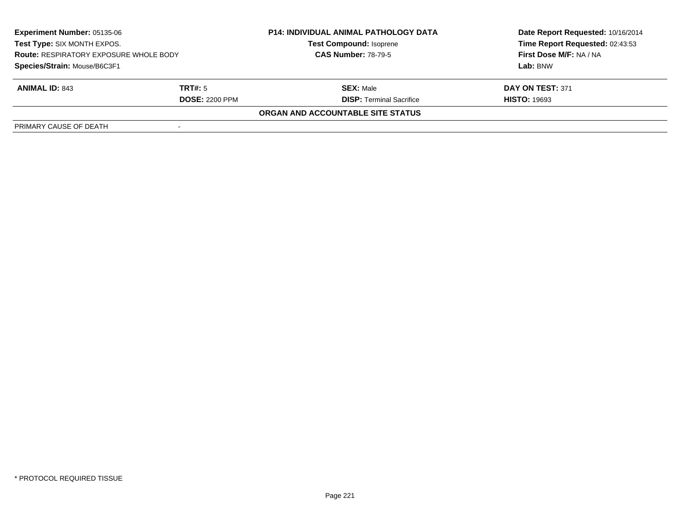| <b>Experiment Number: 05135-06</b><br>Test Type: SIX MONTH EXPOS.<br><b>Route: RESPIRATORY EXPOSURE WHOLE BODY</b><br>Species/Strain: Mouse/B6C3F1 |                       | <b>P14: INDIVIDUAL ANIMAL PATHOLOGY DATA</b><br><b>Test Compound: Isoprene</b><br><b>CAS Number: 78-79-5</b> | Date Report Requested: 10/16/2014 |
|----------------------------------------------------------------------------------------------------------------------------------------------------|-----------------------|--------------------------------------------------------------------------------------------------------------|-----------------------------------|
|                                                                                                                                                    |                       |                                                                                                              | Time Report Requested: 02:43:53   |
|                                                                                                                                                    |                       |                                                                                                              | First Dose M/F: NA / NA           |
|                                                                                                                                                    |                       |                                                                                                              | Lab: BNW                          |
| <b>ANIMAL ID: 843</b>                                                                                                                              | TRT#: 5               | <b>SEX: Male</b>                                                                                             | DAY ON TEST: 371                  |
|                                                                                                                                                    | <b>DOSE: 2200 PPM</b> | <b>DISP: Terminal Sacrifice</b>                                                                              | <b>HISTO: 19693</b>               |
|                                                                                                                                                    |                       | ORGAN AND ACCOUNTABLE SITE STATUS                                                                            |                                   |
| PRIMARY CAUSE OF DEATH                                                                                                                             |                       |                                                                                                              |                                   |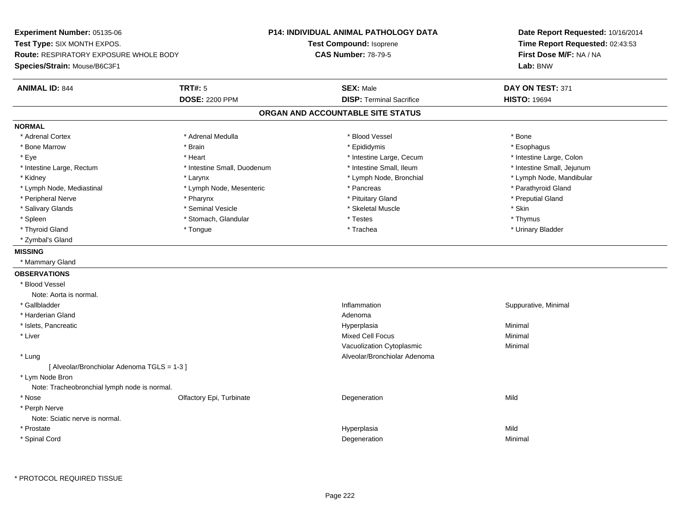**Experiment Number:** 05135-06**Test Type:** SIX MONTH EXPOS.**Route:** RESPIRATORY EXPOSURE WHOLE BODY**Species/Strain:** Mouse/B6C3F1**P14: INDIVIDUAL ANIMAL PATHOLOGY DATATest Compound:** Isoprene**CAS Number:** 78-79-5**Date Report Requested:** 10/16/2014**Time Report Requested:** 02:43:53**First Dose M/F:** NA / NA**Lab:** BNW**ANIMAL ID:** 844 **TRT#:** <sup>5</sup> **SEX:** Male **DAY ON TEST:** <sup>371</sup> **DOSE:** 2200 PPM**DISP:** Terminal Sacrifice **HISTO:** 19694 **ORGAN AND ACCOUNTABLE SITE STATUSNORMAL**\* Adrenal Cortex \* Adrenal Cortex \* \* Adrenal Medulla \* \* Adrenal Medulla \* \* Blood Vessel \* \* Brood Vessel \* \* Bone \* Esophagus \* Bone Marrow \* Brain \* Epididymis \* Esophagus \* Intestine Large, Colon \* Eye \* Heart \* Intestine Large, Cecum \* Intestine Large, Colon\* Intestine Small, Jejunum \* Intestine Large, Rectum \* Intestine Small, Duodenum \* Intestine Small, Duodenum \* 1ntestine Small, Ileum \* Kidney \* Larynx \* Lymph Node, Bronchial \* Lymph Node, Mandibular \* Lymph Node, Mediastinal \* The state of the state of the second temperature and the state of the state of the state of the state of the state of the state of the state of the state of the state of the state of the state o \* Peripheral Nerve \* Pharynx \* Pituitary Gland \* Preputial Gland \* Salivary Glands \* Seminal Vesicle \* Skeletal Muscle \* Skin\* Thymus \* Spleen \* \* Stomach, Glandular \* \* Thymus \* Testes \* Thymus \* Thymus \* Thymus \* Thymus \* Thymus \* \* Thymus \* \* Urinary Bladder \* Thyroid Gland \* \* The control of the total property and the top of the top of the top of the top of the top of the top of the top of the top of the top of the top of the top of the top of the top of the top of the top of \* Zymbal's Gland**MISSING** \* Mammary Gland**OBSERVATIONS** \* Blood VesselNote: Aorta is normal. \* Gallbladder**Inflammation** in the contract of the contract of the contract of the contract of the contract of the contract of the contract of the contract of the contract of the contract of the contract of the contract of the contract Inflammation **Suppurative, Minimal**  \* Harderian Glandd and a state of the control of the control of the control of the control of the control of the control of the control of the control of the control of the control of the control of the control of the control of the contro \* Islets, Pancreaticc and the contract of the contract of the contract of the contract of the contract of the contract of the contract of the contract of the contract of the contract of the contract of the contract of the contract of the cont a **Minimal**  \* Liver Mixed Cell Focuss Minimal Vacuolization Cytoplasmic Minimal \* Lung Alveolar/Bronchiolar Adenoma [ Alveolar/Bronchiolar Adenoma TGLS = 1-3 ] \* Lym Node Bron Note: Tracheobronchial lymph node is normal. \* Nosee and the Colfactory Epi, Turbinate and the Colfactory Epistem of the Colfactory Epistem Mild \* Perph Nerve Note: Sciatic nerve is normal. \* Prostatee and the state of the state of the state of the Hyperplasia Mild and the Mild and the Mild and the Mild and M<br>In the state of the state of the state of the state of the state of the state of the state of the state of the \* Spinal Cordd and the control of the control of the control of the control of the control of the control of the control of the control of the control of the control of the control of the control of the control of the control of the co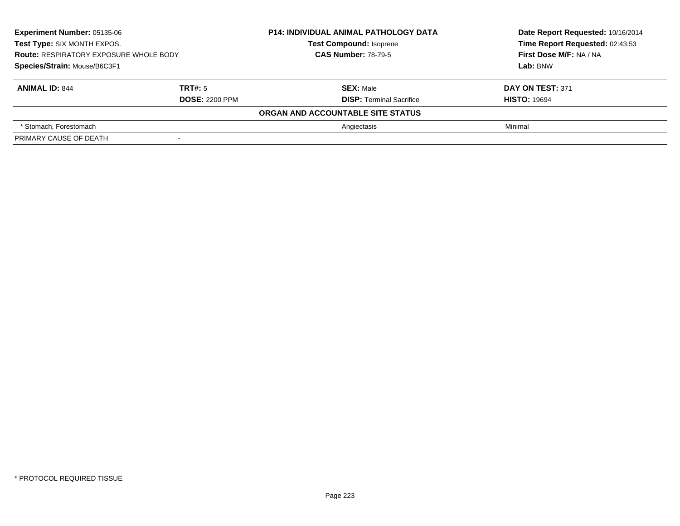| <b>Experiment Number: 05135-06</b><br>Test Type: SIX MONTH EXPOS.<br><b>Route: RESPIRATORY EXPOSURE WHOLE BODY</b><br>Species/Strain: Mouse/B6C3F1 |                       | <b>P14: INDIVIDUAL ANIMAL PATHOLOGY DATA</b> | Date Report Requested: 10/16/2014 |
|----------------------------------------------------------------------------------------------------------------------------------------------------|-----------------------|----------------------------------------------|-----------------------------------|
|                                                                                                                                                    |                       | <b>Test Compound: Isoprene</b>               | Time Report Requested: 02:43:53   |
|                                                                                                                                                    |                       | <b>CAS Number: 78-79-5</b>                   | First Dose M/F: NA / NA           |
|                                                                                                                                                    |                       |                                              | Lab: BNW                          |
| <b>ANIMAL ID: 844</b>                                                                                                                              | TRT#: 5               | <b>SEX: Male</b>                             | DAY ON TEST: 371                  |
|                                                                                                                                                    | <b>DOSE: 2200 PPM</b> | <b>DISP: Terminal Sacrifice</b>              | <b>HISTO: 19694</b>               |
|                                                                                                                                                    |                       | ORGAN AND ACCOUNTABLE SITE STATUS            |                                   |
| * Stomach. Forestomach                                                                                                                             |                       | Angiectasis                                  | Minimal                           |
| PRIMARY CAUSE OF DEATH                                                                                                                             | $\,$                  |                                              |                                   |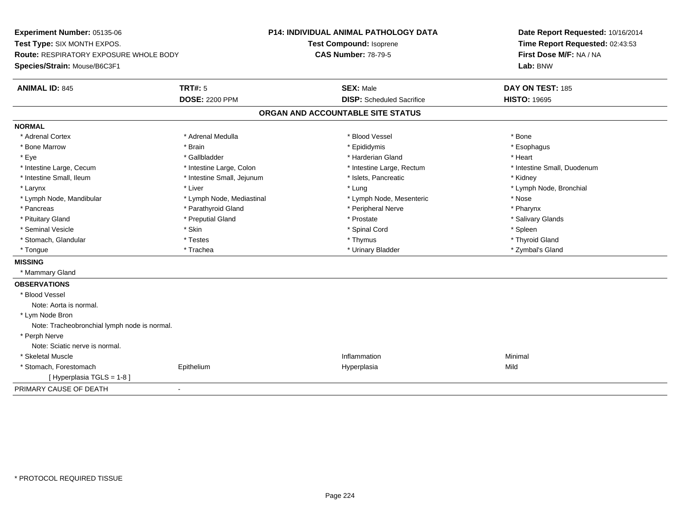**Experiment Number:** 05135-06**Test Type:** SIX MONTH EXPOS.**Route:** RESPIRATORY EXPOSURE WHOLE BODY**Species/Strain:** Mouse/B6C3F1**P14: INDIVIDUAL ANIMAL PATHOLOGY DATATest Compound:** Isoprene**CAS Number:** 78-79-5**Date Report Requested:** 10/16/2014**Time Report Requested:** 02:43:53**First Dose M/F:** NA / NA**Lab:** BNW**ANIMAL ID:** 845**TRT#:** 5 **SEX:** Male **DAY ON TEST:** 185 **DOSE:** 2200 PPM**DISP:** Scheduled Sacrifice **HISTO:** 19695 **ORGAN AND ACCOUNTABLE SITE STATUSNORMAL**\* Adrenal Cortex \* Adrenal Cortex \* \* Adrenal Medulla \* \* Adrenal Medulla \* \* Blood Vessel \* \* Brood Vessel \* \* Bone \* Esophagus \* Bone Marrow \* Brain \* Epididymis \* Esophagus \* Eye \* \* Gallbladder \* \* Gallbladder \* \* \* \* Harderian Gland \* \* Heart \* Heart \* Heart \* Heart \* Heart \* Heart \* Intestine Large, Cecum \* Intestine Large, Colon \* Intestine Large, Thestine Large, Rectum \* Intestine Small, Duodenum \* Intestine Small, Ileum \* **Allen and The Accord Accord Test intervents** \* Islets, Pancreatic \* The manus \* Kidney \* Larynx \* Louis \* Liver \* Lung \* Lung \* Lung \* Lung \* Lung \* Lymph Node, Bronchial \* Lymph Node, Bronchial \* \* Lymph Node, Mandibular \* Lymph Node, Mediastinal \* Lymph Node, Mesenteric \* Nose\* Pharynx \* Pancreas \* Pancreas \* Parathyroid Gland \* Peripheral Nerve \* Peripheral Nerve \* Salivary Glands \* Pituitary Gland \* \* Then the state \* Preputial Gland \* Prosection \* Prostate \* \* Salivary Glands \* Salivary Glands \* Salivary Glands \* Salivary Glands \* Salivary Glands \* Salivary Glands \* Salivary Glands \* Salivary Glan \* Seminal Vesicle \* Skin \* Spinal Cord \* Spleen \* Thyroid Gland \* Stomach, Glandular \* \* \* Thyroid Glandular \* Thestes \* \* Thymus \* Thymus \* Thyroid Glandular \* Thyroid Gland \* Zymbal's Gland \* Tongue \* Trachea \* Urinary Bladder \* Zymbal's Gland **MISSING** \* Mammary Gland**OBSERVATIONS** \* Blood VesselNote: Aorta is normal. \* Lym Node Bron Note: Tracheobronchial lymph node is normal. \* Perph Nerve Note: Sciatic nerve is normal. \* Skeletal Musclee de la constitution de la constitution de la constitution de la constitution de la constitution de la constitu<br>Altres de la constitution de la constitution de la constitution de la constitution de la constitution de la co \* Stomach, Forestomach Epithelium Hyperplasia Mild [ Hyperplasia TGLS = 1-8 ]PRIMARY CAUSE OF DEATH-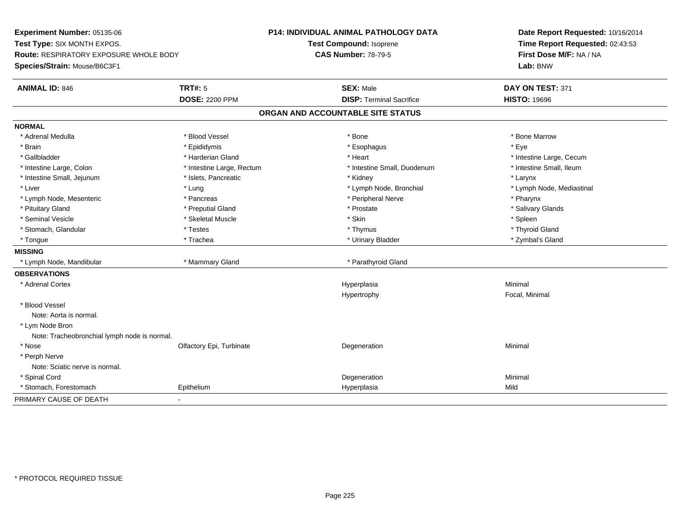**Experiment Number:** 05135-06**Test Type:** SIX MONTH EXPOS.**Route:** RESPIRATORY EXPOSURE WHOLE BODY**Species/Strain:** Mouse/B6C3F1**P14: INDIVIDUAL ANIMAL PATHOLOGY DATATest Compound:** Isoprene**CAS Number:** 78-79-5**Date Report Requested:** 10/16/2014**Time Report Requested:** 02:43:53**First Dose M/F:** NA / NA**Lab:** BNW**ANIMAL ID:** 846 **TRT#:** <sup>5</sup> **SEX:** Male **DAY ON TEST:** <sup>371</sup> **DOSE:** 2200 PPM**DISP:** Terminal Sacrifice **HISTO:** 19696 **ORGAN AND ACCOUNTABLE SITE STATUSNORMAL**\* Adrenal Medulla \* \* \* Blood Vessel \* \* \* Bone Marrow \* Bone Marrow \* Bone Marrow \* Bone Marrow \* Brain \* \* Expediance \* Epididymis \* \* Expediance \* \* Esophagus \* Expediance \* \* Expediance \* Eye \* Eye \* Gallbladder \* https://www.frage.com/marticle/state-of-state-of-state-of-state-of-state-of-state-of-state-of-state-of-state-of-state-of-state-of-state-of-state-of-state-of-state-of-state-of-state-of-state-of-state-of-stat \* Intestine Small, Ileum \* Intestine Large, Colon \* Intestine Large, Rectum \* Intestine Small, Duodenum \* 1 \* Intestine Small, Jejunum \* The metal was a structure of the structure of the structure of the structure of the structure of the structure of the structure of the structure of the structure of the structure of the structu \* Liver which is the settlement of the settlement of the settlement of the settlement of the settlement of the settlement of the settlement of the settlement of the settlement of the settlement of the settlement of the set \* Lymph Node, Mesenteric \* Pancreas \* Peripheral Nerve \* Pharynx\* Salivary Glands \* Pituitary Gland \* \* Then the state \* Preputial Gland \* Prosection \* Prostate \* \* Salivary Glands \* Salivary Glands \* Salivary Glands \* Salivary Glands \* Salivary Glands \* Salivary Glands \* Salivary Glands \* Salivary Glan \* Seminal Vesicle \* \* \* Sheem \* Skeletal Muscle \* \* Stemme \* Skin \* \* Skin \* \* Spleen \* Spleen \* Spleen \* Spleen \* Thyroid Gland \* Stomach, Glandular \* \* \* Thyroid Glandular \* Thestes \* \* Thymus \* Thymus \* Thyroid Glandular \* Thyroid Gland \* Zymbal's Gland \* Tongue \* Trachea \* Urinary Bladder \* Zymbal's Gland **MISSING** \* Lymph Node, Mandibular \* Mammary Gland \* Parathyroid Gland**OBSERVATIONS** \* Adrenal Cortexx and the control of the control of the control of the control of the control of the control of the control of the control of the control of the control of the control of the control of the control of the control of the co a **Minimal** Hypertrophy Focal, Minimal \* Blood VesselNote: Aorta is normal. \* Lym Node Bron Note: Tracheobronchial lymph node is normal. \* Nosee and the Colfactory Epi, Turbinate and the Coleman Degeneration Coleman Minimal Minimal \* Perph Nerve Note: Sciatic nerve is normal. \* Spinal Cordd and the control of the control of the control of the control of the control of the control of the control of the control of the control of the control of the control of the control of the control of the control of the co \* Stomach, Forestomach Epithelium Hyperplasia Mild PRIMARY CAUSE OF DEATH-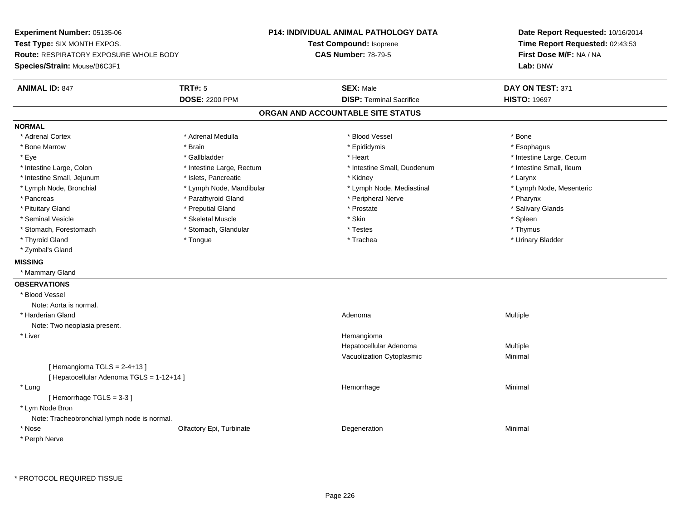**Experiment Number:** 05135-06**Test Type:** SIX MONTH EXPOS.**Route:** RESPIRATORY EXPOSURE WHOLE BODY**Species/Strain:** Mouse/B6C3F1**P14: INDIVIDUAL ANIMAL PATHOLOGY DATATest Compound:** Isoprene**CAS Number:** 78-79-5**Date Report Requested:** 10/16/2014**Time Report Requested:** 02:43:53**First Dose M/F:** NA / NA**Lab:** BNW**ANIMAL ID:** 847 **TRT#:** <sup>5</sup> **SEX:** Male **DAY ON TEST:** <sup>371</sup> **DOSE:** 2200 PPM**DISP:** Terminal Sacrifice **HISTO:** 19697 **ORGAN AND ACCOUNTABLE SITE STATUSNORMAL**\* Adrenal Cortex \* Adrenal Cortex \* \* Adrenal Medulla \* \* Adrenal Medulla \* \* Blood Vessel \* \* Brood Vessel \* \* Bone \* Esophagus \* Bone Marrow \* Brain \* Epididymis \* Esophagus \* Eye \* https://www.frage.com/windown.com/windown.com/windown.com/windown.com/windown.com/windown.com/windown-\* Intestine Small, Ileum \* Intestine Large, Colon \* Intestine Large, Rectum \* Intestine Small, Duodenum \* Intestine Small, Duodenum \* Intestine Small, Jejunum \* The matches of the state of the state of the state of the state of the state of the state of the state of the state of the state of the state of the state of the state of the state of the state \* Lymph Node, Mesenteric \* Lymph Node, Bronchial \* Lymph Node, Mandibular \* Lymph Node, Mediastinal \* Lymph Node, Mediastinal \* Pancreas \* Parathyroid Gland \* \* Parathyroid Gland \* Peripheral Nerve \* \* Peripheral Nerve \* \* Pharynx \* Salivary Glands \* Pituitary Gland \* \* Then the state \* Preputial Gland \* Prosection \* Prostate \* \* Salivary Glands \* Salivary Glands \* Salivary Glands \* Salivary Glands \* Salivary Glands \* Salivary Glands \* Salivary Glands \* Salivary Glan \* Seminal Vesicle \* \* \* Sheem \* Skeletal Muscle \* \* Stemme \* Skin \* \* Skin \* \* Spleen \* Spleen \* Spleen \* Spleen \* Thymus \* Stomach, Forestomach \* Testes \* Stomach, Glandular \* Testes \* Testes \* Testes \* Testes \* Testes \* Testes \* T \* Urinary Bladder \* Thyroid Gland \* \* The control of the total property and the top of the top of the top of the top of the top of the top of the top of the top of the top of the top of the top of the top of the top of the top of the top of \* Zymbal's Gland**MISSING** \* Mammary Gland**OBSERVATIONS** \* Blood VesselNote: Aorta is normal. \* Harderian Glandd and the control of the control of the control of the control of the control of the control of the control of  $A$ denoma  $A$ denoma  $A$ denoma  $A$ Note: Two neoplasia present. \* Liver Hemangioma Hepatocellular Adenoma Multiple Vacuolization Cytoplasmic Minimal  $[$  Hemangioma TGLS = 2-4+13  $]$ [ Hepatocellular Adenoma TGLS = 1-12+14 ] \* Lungg and the state of the state of the state of the state of the Hemorrhage and the state of the Minimal State of [ Hemorrhage TGLS = 3-3 ] \* Lym Node Bron Note: Tracheobronchial lymph node is normal. \* Nosee and the Colfactory Epi, Turbinate and the Coleman Degeneration Coleman Minimal Minimal \* Perph Nerve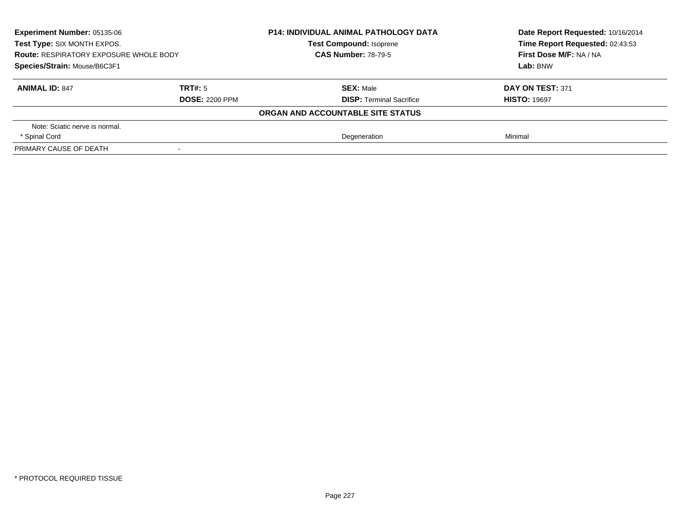| <b>Experiment Number: 05135-06</b><br>Test Type: SIX MONTH EXPOS.<br><b>Route: RESPIRATORY EXPOSURE WHOLE BODY</b> |                       | <b>P14: INDIVIDUAL ANIMAL PATHOLOGY DATA</b> | Date Report Requested: 10/16/2014 |
|--------------------------------------------------------------------------------------------------------------------|-----------------------|----------------------------------------------|-----------------------------------|
|                                                                                                                    |                       | <b>Test Compound: Isoprene</b>               | Time Report Requested: 02:43:53   |
|                                                                                                                    |                       | <b>CAS Number: 78-79-5</b>                   | First Dose M/F: NA / NA           |
| Species/Strain: Mouse/B6C3F1                                                                                       |                       |                                              | Lab: BNW                          |
| <b>ANIMAL ID: 847</b>                                                                                              | <b>TRT#: 5</b>        | <b>SEX: Male</b>                             | DAY ON TEST: 371                  |
|                                                                                                                    | <b>DOSE: 2200 PPM</b> | <b>DISP:</b> Terminal Sacrifice              | <b>HISTO: 19697</b>               |
|                                                                                                                    |                       | ORGAN AND ACCOUNTABLE SITE STATUS            |                                   |
| Note: Sciatic nerve is normal.                                                                                     |                       |                                              |                                   |
| * Spinal Cord                                                                                                      |                       | Degeneration                                 | Minimal                           |
| PRIMARY CAUSE OF DEATH                                                                                             |                       |                                              |                                   |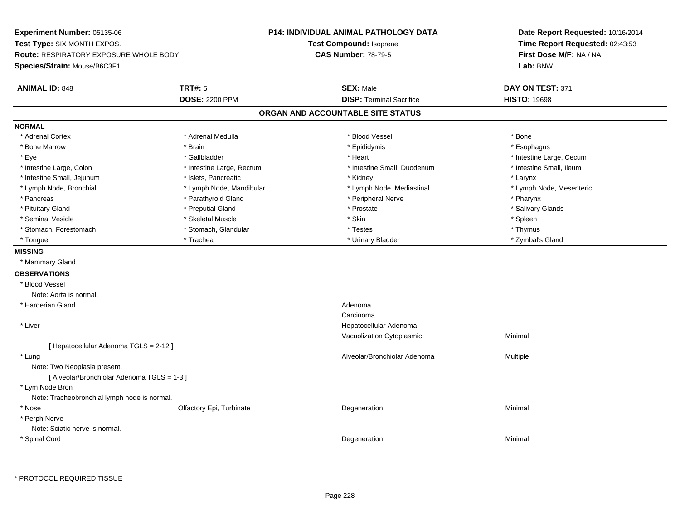**Experiment Number:** 05135-06**Test Type:** SIX MONTH EXPOS.**Route:** RESPIRATORY EXPOSURE WHOLE BODY**Species/Strain:** Mouse/B6C3F1**P14: INDIVIDUAL ANIMAL PATHOLOGY DATATest Compound:** Isoprene**CAS Number:** 78-79-5**Date Report Requested:** 10/16/2014**Time Report Requested:** 02:43:53**First Dose M/F:** NA / NA**Lab:** BNW**ANIMAL ID:** 848**SEX:** Male **DAY ON TEST:** 371 **DOSE:** 2200 PPM**DISP:** Terminal Sacrifice **HISTO:** 19698 **ORGAN AND ACCOUNTABLE SITE STATUSNORMAL**\* Adrenal Cortex \* Adrenal Cortex \* \* Adrenal Medulla \* \* Adrenal Medulla \* \* Blood Vessel \* \* Brood Vessel \* \* Bone \* Esophagus \* Bone Marrow \* Brain \* Epididymis \* Esophagus \* Eye \* https://www.frage.com/windown.com/windown.com/windown.com/windown.com/windown.com/windown.com/windown-\* Intestine Small, Ileum \* Intestine Large, Colon \* Intestine Large, Rectum \* Intestine Small, Duodenum \* Intestine Small, Duodenum \* Intestine Small, Jejunum \* The matches of the state of the state of the state of the state of the state of the state of the state of the state of the state of the state of the state of the state of the state of the state \* Lymph Node, Mesenteric \* Lymph Node, Bronchial \* Lymph Node, Mandibular \* Lymph Node, Mediastinal \* Lymph Node, Mediastinal \* Pancreas \* Parathyroid Gland \* \* Parathyroid Gland \* Peripheral Nerve \* \* Peripheral Nerve \* \* Pharynx \* Salivary Glands \* Pituitary Gland \* \* Then the state \* Preputial Gland \* Prosection \* Prostate \* \* Salivary Glands \* Salivary Glands \* Salivary Glands \* Salivary Glands \* Salivary Glands \* Salivary Glands \* Salivary Glands \* Salivary Glan \* Seminal Vesicle \* \* \* Sheem \* Skeletal Muscle \* \* Stemme \* Skin \* \* Skin \* \* Spleen \* Spleen \* Spleen \* Spleen \* Thymus \* Stomach, Forestomach \* Testes \* Stomach, Glandular \* Testes \* Testes \* Testes \* Testes \* Testes \* Testes \* T \* Zymbal's Gland \* Tongue \* Trachea \* Urinary Bladder \* Zymbal's Gland **MISSING** \* Mammary Gland**OBSERVATIONS** \* Blood VesselNote: Aorta is normal. \* Harderian Glandd and a state of the control of the control of the control of the control of the control of the control of the control of the control of the control of the control of the control of the control of the control of the contro Carcinoma Hepatocellular Adenoma \* Liver Vacuolization Cytoplasmic Minimal [ Hepatocellular Adenoma TGLS = 2-12 ] \* Lungg and the state of the state of the state of the state of the Multiple of the Sheed and Alveolar/Bronchiolar Adenoma<br>Alveolar/Bronchiolar Adenoma and Multiple Note: Two Neoplasia present.[ Alveolar/Bronchiolar Adenoma TGLS = 1-3 ] \* Lym Node Bron Note: Tracheobronchial lymph node is normal. \* Nosee and the Colfactory Epi, Turbinate and the Coleman Degeneration Coleman Minimal Minimal \* Perph Nerve Note: Sciatic nerve is normal. \* Spinal Cordd and the control of the control of the control of the control of the control of the control of the control of the control of the control of the control of the control of the control of the control of the control of the co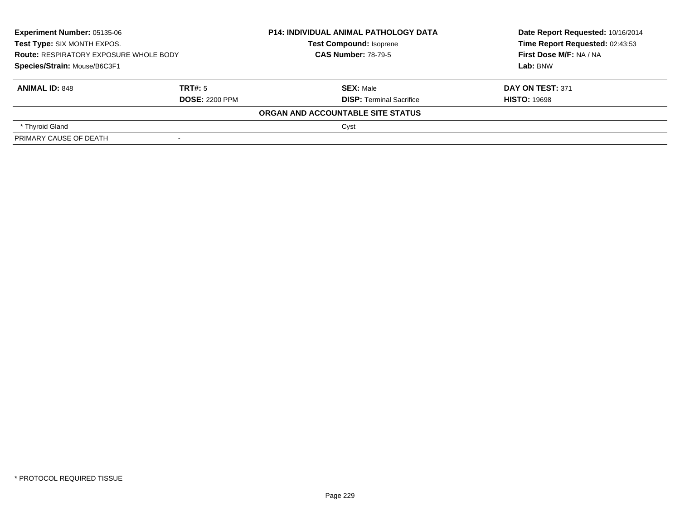| Experiment Number: 05135-06<br>Test Type: SIX MONTH EXPOS.<br><b>Route: RESPIRATORY EXPOSURE WHOLE BODY</b><br>Species/Strain: Mouse/B6C3F1 |                       | <b>P14: INDIVIDUAL ANIMAL PATHOLOGY DATA</b> | Date Report Requested: 10/16/2014 |
|---------------------------------------------------------------------------------------------------------------------------------------------|-----------------------|----------------------------------------------|-----------------------------------|
|                                                                                                                                             |                       | <b>Test Compound: Isoprene</b>               | Time Report Requested: 02:43:53   |
|                                                                                                                                             |                       | <b>CAS Number: 78-79-5</b>                   | First Dose M/F: NA / NA           |
|                                                                                                                                             |                       |                                              | Lab: BNW                          |
| <b>ANIMAL ID: 848</b>                                                                                                                       | TRT#: 5               | <b>SEX: Male</b>                             | DAY ON TEST: 371                  |
|                                                                                                                                             | <b>DOSE: 2200 PPM</b> | <b>DISP: Terminal Sacrifice</b>              | <b>HISTO: 19698</b>               |
|                                                                                                                                             |                       | ORGAN AND ACCOUNTABLE SITE STATUS            |                                   |
| * Thyroid Gland                                                                                                                             |                       | Cyst                                         |                                   |
| PRIMARY CAUSE OF DEATH                                                                                                                      |                       |                                              |                                   |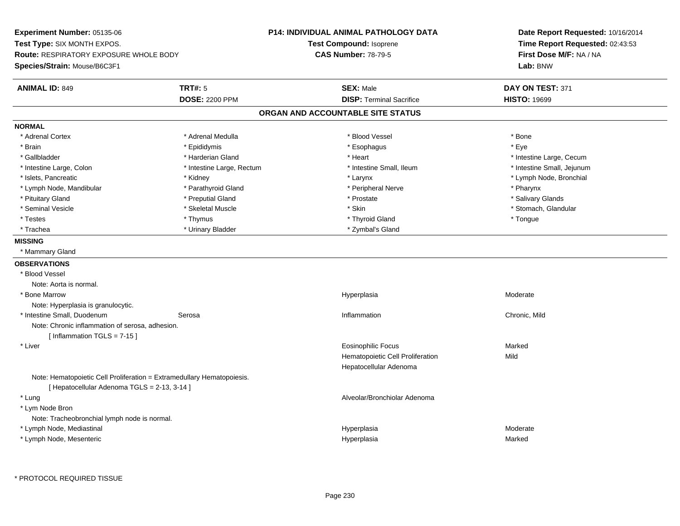**Experiment Number:** 05135-06**Test Type:** SIX MONTH EXPOS.**Route:** RESPIRATORY EXPOSURE WHOLE BODY**Species/Strain:** Mouse/B6C3F1**P14: INDIVIDUAL ANIMAL PATHOLOGY DATATest Compound:** Isoprene**CAS Number:** 78-79-5**Date Report Requested:** 10/16/2014**Time Report Requested:** 02:43:53**First Dose M/F:** NA / NA**Lab:** BNW**ANIMAL ID:** 849 **TRT#:** <sup>5</sup> **SEX:** Male **DAY ON TEST:** <sup>371</sup> **DOSE:** 2200 PPM**DISP:** Terminal Sacrifice **HISTO:** 19699 **ORGAN AND ACCOUNTABLE SITE STATUSNORMAL**\* Adrenal Cortex \* Adrenal Medulla \* Adrenal Medulla \* Blood Vessel \* Bood Vessel \* Bone \* Bone \* Bone \* Bone \* Bone \* Bone \* Bone \* Bone \* Bone \* Bone \* Bone \* Bone \* Bone \* Bone \* Bone \* Bone \* Bone \* Bone \* Bone \* Bone \* Bone \* Bone \* \* \* Eve \* Brain \* \* Expediance \* Epididymis \* \* Expediance \* \* Esophagus \* Expediance \* \* Expediance \* Eye \* Eye \* Gallbladder \* https://www.frage.com/marticle/state-of-state-of-state-of-state-of-state-of-state-of-state-of-state-of-state-of-state-of-state-of-state-of-state-of-state-of-state-of-state-of-state-of-state-of-state-of-stat \* Intestine Small, Jejunum \* Intestine Large, Colon \* Intestine Large, Rectum \* Intestine Small, Ileum \* 11testine Small, Ileum \* Islets, Pancreatic \* Kidney \* Larynx \* Lymph Node, Bronchial \* Lymph Node, Mandibular \* Tharynx \* Parathyroid Gland \* \* Peripheral Nerve \* Posterious \* Pharynx \* Pharynx \* Salivary Glands \* Pituitary Gland \* \* Then the state \* Preputial Gland \* Prosection \* Prostate \* \* Salivary Glands \* Salivary Glands \* Salivary Glands \* Salivary Glands \* Salivary Glands \* Salivary Glands \* Salivary Glands \* Salivary Glan \* Seminal Vesicle \* The store \* Skeletal Muscle \* Skeletal Skeletal Muscle \* Skin \* Skin \* Stomach, Glandular \* Stomach, Glandular \* Skeletal Muscle \* Skeletal Muscle \* Skeletal Muscle \* Skeletal Muscle \* Skeletal \* Stomac \* Testes \* Thymus \* Thyroid Gland \* Tongue \* Trachea \* Urinary Bladder \* Zymbal's Gland \* Zymbal's Gland \* Zymbal's Gland **MISSING** \* Mammary Gland**OBSERVATIONS** \* Blood VesselNote: Aorta is normal. \* Bone Marroww which is a state of the state of the Hyperplasia control Hyperplasia and the Moderate of the Moderate of the Moderate of the Moderate of the Moderate of the Moderate of the Moderate of the Moderate of the Moderate of the Note: Hyperplasia is granulocytic. \* Intestine Small, Duodenumm Serosa **Inflammation** Chronic, Mild<br>The Serosa Chronic Chronic Chronic Mild Note: Chronic inflammation of serosa, adhesion. $[$  Inflammation TGLS = 7-15  $]$  \* Liver Eosinophilic Focuss Marked Hematopoietic Cell Proliferationn Mild Hepatocellular AdenomaNote: Hematopoietic Cell Proliferation = Extramedullary Hematopoiesis.[ Hepatocellular Adenoma TGLS = 2-13, 3-14 ] \* Lung Alveolar/Bronchiolar Adenoma \* Lym Node Bron Note: Tracheobronchial lymph node is normal. \* Lymph Node, Mediastinal Hyperplasiaa **Moderate**  \* Lymph Node, Mesentericc and the contract of the contract of the contract of the contract of the contract of the contract of the contract of the contract of the contract of the contract of the contract of the contract of the contract of the cont a **Marked**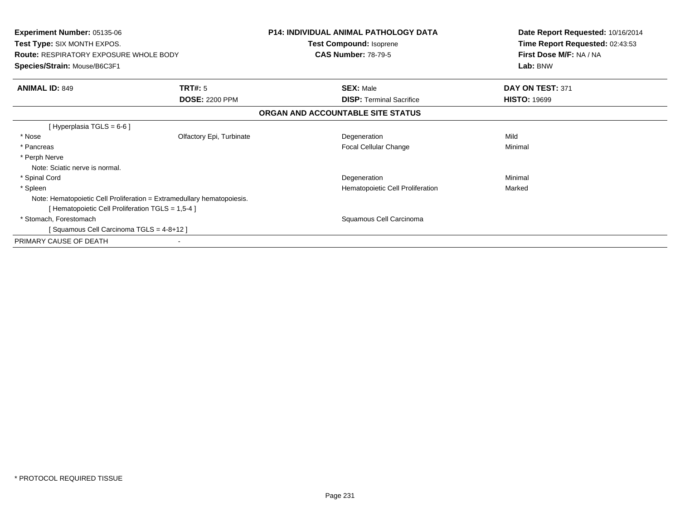| <b>Experiment Number: 05135-06</b><br>Test Type: SIX MONTH EXPOS.<br><b>Route: RESPIRATORY EXPOSURE WHOLE BODY</b><br>Species/Strain: Mouse/B6C3F1 | <b>P14: INDIVIDUAL ANIMAL PATHOLOGY DATA</b><br>Test Compound: Isoprene<br><b>CAS Number: 78-79-5</b> | Date Report Requested: 10/16/2014<br>Time Report Requested: 02:43:53<br>First Dose M/F: NA / NA<br>Lab: BNW |
|----------------------------------------------------------------------------------------------------------------------------------------------------|-------------------------------------------------------------------------------------------------------|-------------------------------------------------------------------------------------------------------------|
| <b>ANIMAL ID: 849</b><br>TRT#: 5                                                                                                                   | <b>SEX: Male</b>                                                                                      | DAY ON TEST: 371                                                                                            |
| <b>DOSE: 2200 PPM</b>                                                                                                                              | <b>DISP:</b> Terminal Sacrifice                                                                       | <b>HISTO: 19699</b>                                                                                         |
|                                                                                                                                                    | ORGAN AND ACCOUNTABLE SITE STATUS                                                                     |                                                                                                             |
| [Hyperplasia TGLS = $6-6$ ]                                                                                                                        |                                                                                                       |                                                                                                             |
| * Nose<br>Olfactory Epi, Turbinate                                                                                                                 | Degeneration                                                                                          | Mild                                                                                                        |
| * Pancreas                                                                                                                                         | Focal Cellular Change                                                                                 | Minimal                                                                                                     |
| * Perph Nerve                                                                                                                                      |                                                                                                       |                                                                                                             |
| Note: Sciatic nerve is normal.                                                                                                                     |                                                                                                       |                                                                                                             |
| * Spinal Cord                                                                                                                                      | Degeneration                                                                                          | Minimal                                                                                                     |
| * Spleen                                                                                                                                           | Hematopoietic Cell Proliferation                                                                      | Marked                                                                                                      |
| Note: Hematopoietic Cell Proliferation = Extramedullary hematopoiesis.                                                                             |                                                                                                       |                                                                                                             |
| [ Hematopoietic Cell Proliferation TGLS = 1,5-4 ]                                                                                                  |                                                                                                       |                                                                                                             |
| * Stomach, Forestomach                                                                                                                             | Squamous Cell Carcinoma                                                                               |                                                                                                             |
| [Squamous Cell Carcinoma TGLS = 4-8+12]                                                                                                            |                                                                                                       |                                                                                                             |
| PRIMARY CAUSE OF DEATH                                                                                                                             |                                                                                                       |                                                                                                             |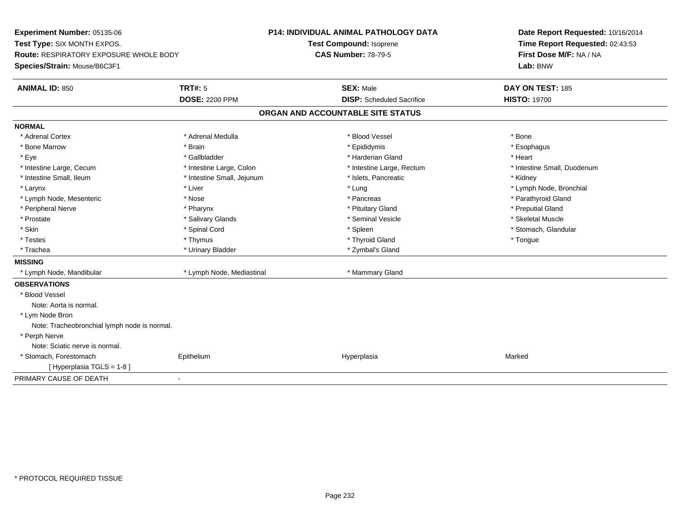**Experiment Number:** 05135-06**Test Type:** SIX MONTH EXPOS.**Route:** RESPIRATORY EXPOSURE WHOLE BODY**Species/Strain:** Mouse/B6C3F1**P14: INDIVIDUAL ANIMAL PATHOLOGY DATATest Compound:** Isoprene**CAS Number:** 78-79-5**Date Report Requested:** 10/16/2014**Time Report Requested:** 02:43:53**First Dose M/F:** NA / NA**Lab:** BNW**ANIMAL ID:** 850**C TRT#:** 5 **SEX:** Male **DAY ON TEST:** 185 **DOSE:** 2200 PPM**DISP:** Scheduled Sacrifice **HISTO:** 19700 **ORGAN AND ACCOUNTABLE SITE STATUSNORMAL**\* Adrenal Cortex \* Adrenal Cortex \* \* Adrenal Medulla \* \* Adrenal Medulla \* \* Blood Vessel \* \* Brood Vessel \* \* Bone \* Esophagus \* Bone Marrow \* Brain \* Epididymis \* Esophagus \* Eye \* \* Gallbladder \* \* Gallbladder \* \* \* \* Harderian Gland \* \* Heart \* Heart \* Heart \* Heart \* Heart \* Heart \* Intestine Large, Cecum \* Intestine Large, Colon \* Intestine Large, Thestine Large, Rectum \* Intestine Small, Duodenum \* Intestine Small, Ileum \* Thestine Small, Jejunum \* 1998, Pancreatic \* Kidney \* Kidney \* Kidney \* Kidney \* Larynx \* Louis \* Liver \* Lung \* Lung \* Lung \* Lung \* Lung \* Lymph Node, Bronchial \* Lymph Node, Bronchial \* \* Lymph Node, Mesenteric \* The state of the state of the state of the state of the state of the state of the state of the state of the state of the state of the state of the state of the state of the state of the state of \* Peripheral Nerve \* Pharynx \* Pituitary Gland \* Preputial Gland\* Skeletal Muscle \* Prostate \* \* Skeletal Muscle \* \* Salivary Glands \* \* Steminal Vesicle \* \* Seminal Vesicle \* \* Skeletal Muscle \* Stomach, Glandular \* Skin \* Stomach, Glandular \* Spinal Cord \* \* Stomach, Stomach, Glandular \* Spinal Cord \* \* Stomach, Glandular \* Testes \* Thymus \* Thyroid Gland \* Tongue \* Trachea \* Urinary Bladder \* Zymbal's Gland \* Zymbal's Gland **MISSING** \* Lymph Node, Mandibular \* Lymph Node, Mediastinal \* Mammary Gland**OBSERVATIONS** \* Blood VesselNote: Aorta is normal. \* Lym Node Bron Note: Tracheobronchial lymph node is normal. \* Perph Nerve Note: Sciatic nerve is normal. \* Stomach, Forestomach Epithelium Hyperplasia Marked [ Hyperplasia TGLS = 1-8 ]PRIMARY CAUSE OF DEATH-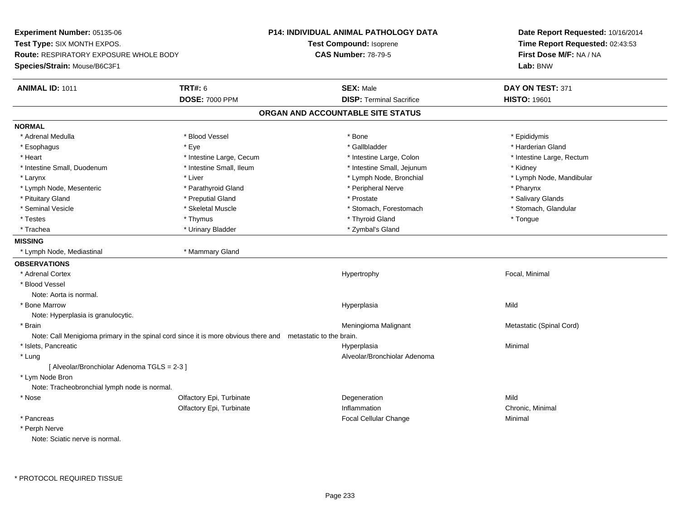**Experiment Number:** 05135-06**Test Type:** SIX MONTH EXPOS.**Route:** RESPIRATORY EXPOSURE WHOLE BODY**Species/Strain:** Mouse/B6C3F1**P14: INDIVIDUAL ANIMAL PATHOLOGY DATATest Compound:** Isoprene**CAS Number:** 78-79-5**Date Report Requested:** 10/16/2014**Time Report Requested:** 02:43:53**First Dose M/F:** NA / NA**Lab:** BNW**ANIMAL ID:** 1011**TRT#:** 6 **SEX:** Male **SEX:** Male **DAY ON TEST:** 371 **DOSE:** 7000 PPM**DISP:** Terminal Sacrifice **HISTO:** 19601 **ORGAN AND ACCOUNTABLE SITE STATUSNORMAL**\* Adrenal Medulla \* Adrenal Medulla \* Blood Vessel \* Bone \* Epididymis\* Harderian Gland \* Esophagus \* Eye \* Gallbladder \* Harderian Gland\* Heart Thestine Large, Cecum Thestine Large, Cecum And Alternative Large, Colon Thestine Large, Rectum \* Intestine Large, Rectum \* Intestine Large, Rectum \* Intestine Small, Duodenum \* 100 \* 100 \* 100 \* 100 \* 100 \* 100 \* 100 \* 100 \* 100 \* 100 \* 100 \* 100 \* Hestine Small, Jejunum \* Kidney \* Larynx \* Lymph Node, Bronchial \* Lymph Node, Bronchial \* Lymph Node, Mandibular \* Lymph Node, Mandibular \* Lymph Node, Mandibular \* Lymph Node, Mesenteric \* \* Parathyroid Gland \* \* Peripheral Nerve \* Posteric \* Pharynx \* Salivary Glands \* Pituitary Gland \* \* Then the state \* Preputial Gland \* Prosection \* Prostate \* \* Salivary Glands \* Salivary Glands \* Salivary Glands \* Salivary Glands \* Salivary Glands \* Salivary Glands \* Salivary Glands \* Salivary Glan \* Stomach, Glandular \* Seminal Vesicle \* Skeletal Muscle \* Stomach, Forestomach \* Stomach, Forestomach \* Testes \* Thymus \* Thyroid Gland \* Tongue \* Trachea \* Noting the Community State of the Urinary Bladder \* Zymbal's Gland \* Zymbal's Gland **MISSING** \* Lymph Node, Mediastinal \* Mammary Gland**OBSERVATIONS** \* Adrenal Cortex Hypertrophy Focal, Minimal \* Blood VesselNote: Aorta is normal. \* Bone Marroww which is a state of the state of the Hyperplasia Mild Mild and the Mild Mild State of the Mild State of the Mild State of the Mild State of the State of the Mild State of the State of the State of the State of the State Note: Hyperplasia is granulocytic. \* Brainn and the matter of the matter of the Meningioma Malignant and Metastatic (Spinal Cord) and  $\mathsf{Met}$ Note: Call Menigioma primary in the spinal cord since it is more obvious there and metastatic to the brain. \* Islets, Pancreaticc and the contract of the contract of the contract of the contract of the contract of the contract of the contract of the contract of the contract of the contract of the contract of the contract of the contract of the cont a **Minimal**  \* Lung Alveolar/Bronchiolar Adenoma [ Alveolar/Bronchiolar Adenoma TGLS = 2-3 ] \* Lym Node Bron Note: Tracheobronchial lymph node is normal. \* Nosee and the Colfactory Epi, Turbinate and the Colfactory Epistem of the Colfactory Epistem Mild Olfactory Epi, Turbinatee Chronic, Minimal \* Pancreas Focal Cellular Change Minimal \* Perph NerveNote: Sciatic nerve is normal.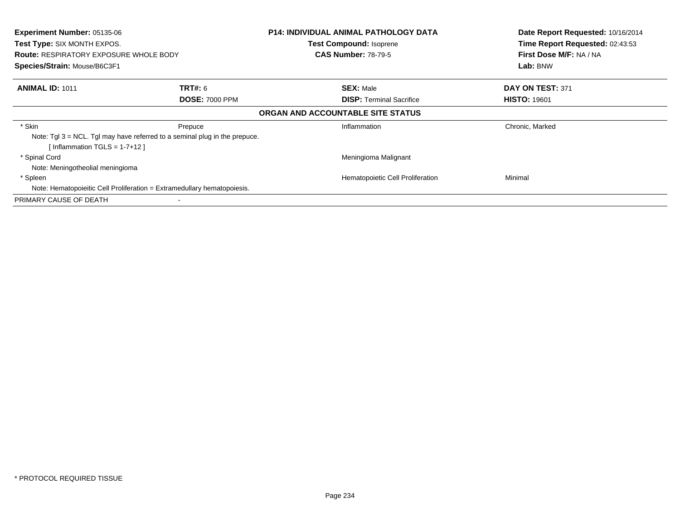| <b>Experiment Number: 05135-06</b><br><b>Test Type: SIX MONTH EXPOS.</b> |                                                                               | <b>P14: INDIVIDUAL ANIMAL PATHOLOGY DATA</b><br><b>Test Compound: Isoprene</b> | Date Report Requested: 10/16/2014<br>Time Report Requested: 02:43:53 |
|--------------------------------------------------------------------------|-------------------------------------------------------------------------------|--------------------------------------------------------------------------------|----------------------------------------------------------------------|
| <b>Route: RESPIRATORY EXPOSURE WHOLE BODY</b>                            |                                                                               | <b>CAS Number: 78-79-5</b>                                                     | First Dose M/F: NA / NA                                              |
| Species/Strain: Mouse/B6C3F1                                             |                                                                               |                                                                                | Lab: BNW                                                             |
| <b>ANIMAL ID: 1011</b>                                                   | <b>TRT#:</b> 6                                                                | <b>SEX: Male</b>                                                               | DAY ON TEST: 371                                                     |
|                                                                          | <b>DOSE: 7000 PPM</b>                                                         | <b>DISP:</b> Terminal Sacrifice                                                | <b>HISTO: 19601</b>                                                  |
|                                                                          |                                                                               | ORGAN AND ACCOUNTABLE SITE STATUS                                              |                                                                      |
| * Skin                                                                   | Prepuce                                                                       | Inflammation                                                                   | Chronic, Marked                                                      |
| [Inflammation TGLS = $1-7+12$ ]                                          | Note: $Tgl 3 = NCL$ . Tgl may have referred to a seminal plug in the prepuce. |                                                                                |                                                                      |
| * Spinal Cord                                                            |                                                                               | Meningioma Malignant                                                           |                                                                      |
| Note: Meningotheolial meningioma                                         |                                                                               |                                                                                |                                                                      |
| * Spleen                                                                 |                                                                               | Hematopoietic Cell Proliferation                                               | Minimal                                                              |
| Note: Hematopoieitic Cell Proliferation = Extramedullary hematopoiesis.  |                                                                               |                                                                                |                                                                      |
| PRIMARY CAUSE OF DEATH                                                   |                                                                               |                                                                                |                                                                      |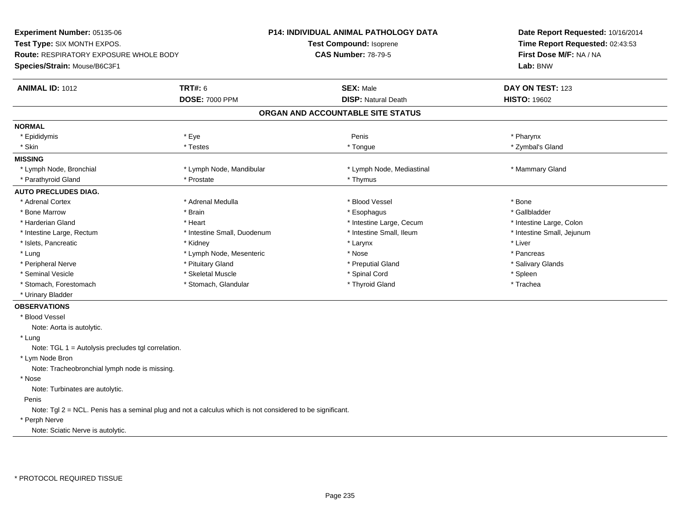**Experiment Number:** 05135-06**Test Type:** SIX MONTH EXPOS.**Route:** RESPIRATORY EXPOSURE WHOLE BODY**Species/Strain:** Mouse/B6C3F1**P14: INDIVIDUAL ANIMAL PATHOLOGY DATATest Compound:** Isoprene**CAS Number:** 78-79-5**Date Report Requested:** 10/16/2014**Time Report Requested:** 02:43:53**First Dose M/F:** NA / NA**Lab:** BNW**ANIMAL ID:** 1012 **TRT#:** <sup>6</sup> **SEX:** Male **DAY ON TEST:** <sup>123</sup> **DOSE:** 7000 PPM**DISP:** Natural Death **HISTO:** 19602 **ORGAN AND ACCOUNTABLE SITE STATUSNORMAL**\* Epididymis \* Epididymis \* \* Pharynx \* Eye \* \* Pharynx \* Pharynx \* Penis \* Penis \* Pharynx \* Pharynx \* Pharynx \* Pharynx \* \* Zymbal's Gland \* Skin \* \* Testes \* Testes \* Testes \* \* Testes \* \* Tongue \* \* Tongue \* \* Tongue \* \* Zymbal's Gland \* \* Zymbal's Gland **MISSING**\* Lymph Node, Bronchial \* Lymph Node, Mandibular \* Lymph Node, Mediastinal \* Manmary Gland \* Parathyroid Gland \* \* Prostate \* Prostate \* Prostate \* Thymus **AUTO PRECLUDES DIAG.**\* Adrenal Cortex \* Atternal Medulla \* Adrenal Medulla \* \* Blood Vessel \* \* Brood Vessel \* \* Bone \* Bone \* Bone \* Gallbladder \* Bone Marrow \* \* Android \* Brain \* Brain \* Esophagus \* Esophagus \* Esophagus \* Gallbladder \* Gallbladder \* \* Gallbladder \* \* Gallbladder \* \* Gallbladder \* \* Gallbladder \* \* Gallbladder \* \* Gallbladder \* \* Gallbladder \* \* \* Harderian Gland \* The structure \* Heart \* Heart \* The structure Large, Cecum \* Intestine Large, Cecum \* Intestine Large, Colon \* Intestine Large, Rectum \* Thestine Small, Duodenum \* Number of the small, Ileum \* Intestine Small, Jejunum \* Intestine Small, Jejunum \* Islets, Pancreatic \* \* \* Andrew \* Kidney \* \* Kidney \* \* Larynx \* Larynx \* \* Larynx \* \* Liver \* Liver \* Liver \* Lung \* Lymph Node, Mesenteric \* Nose \* Nose \* Pancreas \* Pancreas \* Pancreas \* Pancreas \* Pancreas \* Pancreas \* Salivary Glands \* Peripheral Nerve \* \* And the state of the state of Pituitary Gland \* Pituitary Gland \* Salivary Glands \* Salivary Glands \* Salivary Glands \* Salivary Glands \* Salivary Glands \* Salivary Glands \* Salivary Glands \* Salivar \* Seminal Vesicle \* \* \* Sheem \* Skeletal Muscle \* \* Sheem \* Spinal Cord \* \* Spinal Cord \* \* Spinal Vesicle \* \* Spleen \* Spleen \* \* Spinal Cord \* \* Spinal Cord \* \* Spinal Cord \* \* Spinal Cord \* \* Spinal Cord \* \* Spinal Cord \* Trachea \* Stomach, Forestomach \* Thyroid Gland \* Stomach, Glandular \* Thyroid Gland \* Thyroid Gland \* Urinary Bladder**OBSERVATIONS** \* Blood VesselNote: Aorta is autolytic. \* Lung Note: TGL 1 = Autolysis precludes tgl correlation. \* Lym Node BronNote: Tracheobronchial lymph node is missing.

\* Nose

Note: Turbinates are autolytic.

## Penis

Note: Tgl 2 = NCL. Penis has a seminal plug and not a calculus which is not considered to be significant.

## \* Perph Nerve

Note: Sciatic Nerve is autolytic.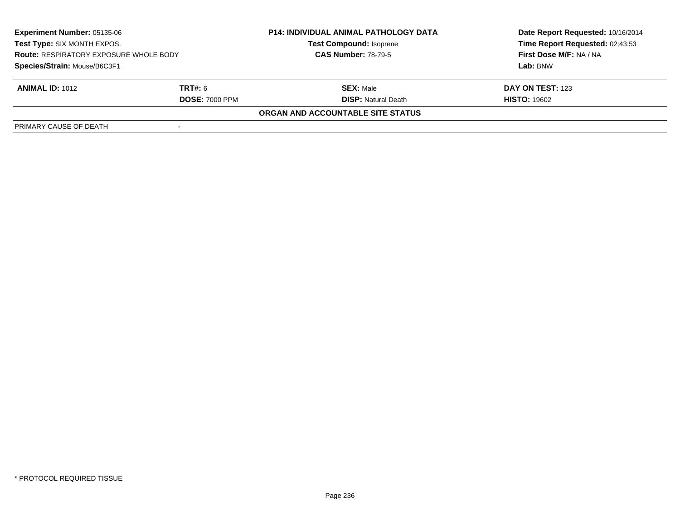| <b>Experiment Number: 05135-06</b><br>Test Type: SIX MONTH EXPOS.<br><b>Route: RESPIRATORY EXPOSURE WHOLE BODY</b><br>Species/Strain: Mouse/B6C3F1 |                       | <b>P14: INDIVIDUAL ANIMAL PATHOLOGY DATA</b><br><b>Test Compound: Isoprene</b><br><b>CAS Number: 78-79-5</b> | Date Report Requested: 10/16/2014 |
|----------------------------------------------------------------------------------------------------------------------------------------------------|-----------------------|--------------------------------------------------------------------------------------------------------------|-----------------------------------|
|                                                                                                                                                    |                       |                                                                                                              | Time Report Requested: 02:43:53   |
|                                                                                                                                                    |                       |                                                                                                              | First Dose M/F: NA / NA           |
|                                                                                                                                                    |                       |                                                                                                              | Lab: BNW                          |
| <b>ANIMAL ID: 1012</b>                                                                                                                             | <b>TRT#: 6</b>        | <b>SEX: Male</b>                                                                                             | DAY ON TEST: 123                  |
|                                                                                                                                                    | <b>DOSE: 7000 PPM</b> | <b>DISP:</b> Natural Death                                                                                   | <b>HISTO: 19602</b>               |
|                                                                                                                                                    |                       | ORGAN AND ACCOUNTABLE SITE STATUS                                                                            |                                   |
| PRIMARY CAUSE OF DEATH                                                                                                                             |                       |                                                                                                              |                                   |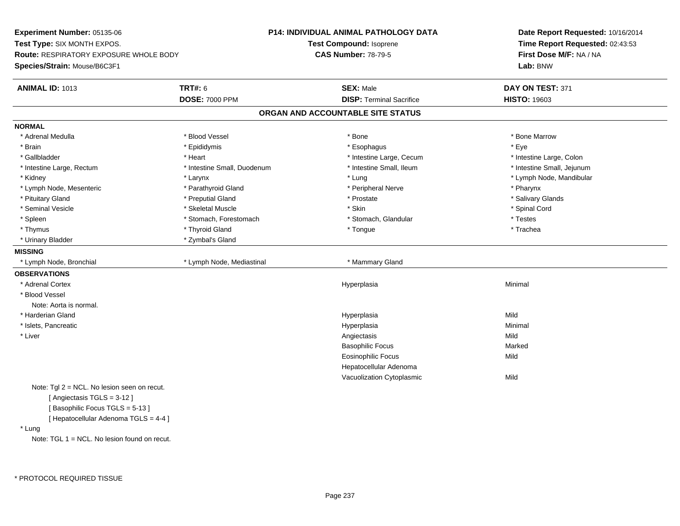**Experiment Number:** 05135-06**Test Type:** SIX MONTH EXPOS.**Route:** RESPIRATORY EXPOSURE WHOLE BODY**Species/Strain:** Mouse/B6C3F1**P14: INDIVIDUAL ANIMAL PATHOLOGY DATATest Compound:** Isoprene**CAS Number:** 78-79-5**Date Report Requested:** 10/16/2014**Time Report Requested:** 02:43:53**First Dose M/F:** NA / NA**Lab:** BNW**ANIMAL ID:** 1013**TRT#:** 6 **SEX:** Male **SEX:** Male **DAY ON TEST:** 371 **DOSE:** 7000 PPM**DISP:** Terminal Sacrifice **HISTO:** 19603 **ORGAN AND ACCOUNTABLE SITE STATUSNORMAL**\* Adrenal Medulla \* \* \* Blood Vessel \* \* \* Bone Marrow \* Bone Marrow \* Bone Marrow \* Bone Marrow \* Brain \* \* Expediance \* Epididymis \* \* Expediance \* \* Esophagus \* Expediance \* \* Expediance \* Eye \* Eye \* Intestine Large, Colon \* Gallbladder \* The mode of the state of the state of the state of the state of the state of the state of the state of the state of the state of the state of the state of the state of the state of the state of the state of \* Intestine Small, Jejunum \* Intestine Large, Rectum \* Intestine Small, Duodenum \* Intestine Small, Ileum \* Intestine Small, Ileum \* Kidney \* Larynx \* Lung \* Lymph Node, Mandibular \* Lymph Node, Mesenteric \* \* Parathyroid Gland \* \* Peripheral Nerve \* Posteric \* Pharynx \* Salivary Glands \* Pituitary Gland \* \* Then the state \* Preputial Gland \* Prosection \* Prostate \* \* Salivary Glands \* Salivary Glands \* Salivary Glands \* Salivary Glands \* Salivary Glands \* Salivary Glands \* Salivary Glands \* Salivary Glan \* Seminal Vesicle \* \* Spinal Cord \* Skeletal Muscle \* \* Skin \* \* Skin \* \* Spinal Vesicle \* Spinal Cord \* Spinal Cord \* Spleen \* Stomach, Forestomach \* Stomach \* Stomach, Slandular \* Testes \* Testes \* Trachea \* Thymus \* \* The mode of the total term of the total term of the total term of the total term of the total term of the total term of the total term of the total term of the total term of the total term of the total term of \* Urinary Bladder \* Zymbal's Gland**MISSING**\* Lymph Node, Bronchial \* Lymph Node, Mediastinal \* Mammary Gland **OBSERVATIONS** \* Adrenal Cortexx and the control of the control of the control of the control of the control of the control of the control of the control of the control of the control of the control of the control of the control of the control of the co a **Minimal**  \* Blood VesselNote: Aorta is normal. \* Harderian Glandd and the control of the control of the control of the Hyperplasia and the control of the Mild of the control of the control of the control of the control of the control of the control of the control of the control of the \* Islets, Pancreaticc and the contract of the contract of the contract of the contract of the contract of the contract of the contract of the contract of the contract of the contract of the contract of the contract of the contract of the cont a **Minimal**  \* Liverr and the contract of the contract of the contract of the contract of the contract of the contract of the contract of the contract of the contract of the contract of the contract of the contract of the contract of the cont s Mild Marked Basophilic Focuss Marked Eosinophilic Focuss Mild Hepatocellular Adenoma Vacuolization Cytoplasmicc Mild Note: Tgl 2 = NCL. No lesion seen on recut.[ Angiectasis TGLS = 3-12 ][ Basophilic Focus TGLS = 5-13 ][ Hepatocellular Adenoma TGLS = 4-4 ] \* LungNote: TGL 1 = NCL. No lesion found on recut.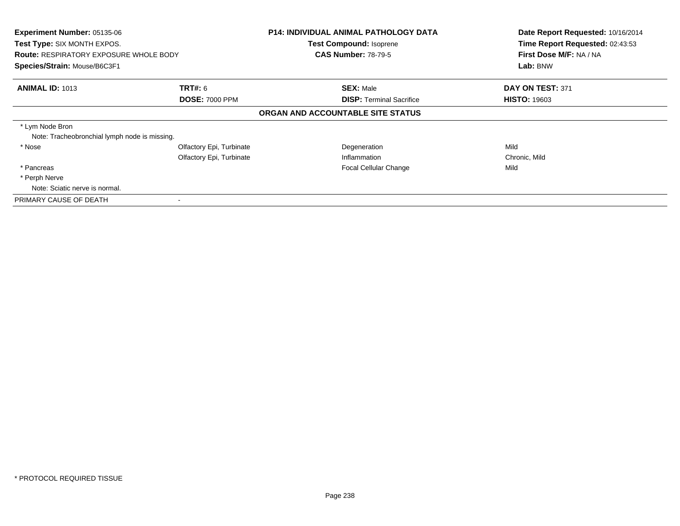| Experiment Number: 05135-06<br>Test Type: SIX MONTH EXPOS.<br><b>Route: RESPIRATORY EXPOSURE WHOLE BODY</b><br>Species/Strain: Mouse/B6C3F1 |                                                      | <b>P14: INDIVIDUAL ANIMAL PATHOLOGY DATA</b><br><b>Test Compound: Isoprene</b><br><b>CAS Number: 78-79-5</b> | Date Report Requested: 10/16/2014<br>Time Report Requested: 02:43:53<br>First Dose M/F: NA / NA<br>Lab: BNW |
|---------------------------------------------------------------------------------------------------------------------------------------------|------------------------------------------------------|--------------------------------------------------------------------------------------------------------------|-------------------------------------------------------------------------------------------------------------|
| <b>ANIMAL ID: 1013</b>                                                                                                                      | <b>TRT#: 6</b><br><b>DOSE: 7000 PPM</b>              | <b>SEX: Male</b><br><b>DISP: Terminal Sacrifice</b>                                                          | DAY ON TEST: 371<br><b>HISTO: 19603</b>                                                                     |
|                                                                                                                                             |                                                      | ORGAN AND ACCOUNTABLE SITE STATUS                                                                            |                                                                                                             |
| * Lym Node Bron<br>Note: Tracheobronchial lymph node is missing.                                                                            |                                                      |                                                                                                              |                                                                                                             |
| * Nose                                                                                                                                      | Olfactory Epi, Turbinate<br>Olfactory Epi, Turbinate | Degeneration<br>Inflammation                                                                                 | Mild<br>Chronic, Mild                                                                                       |
| * Pancreas                                                                                                                                  |                                                      | Focal Cellular Change                                                                                        | Mild                                                                                                        |
| * Perph Nerve                                                                                                                               |                                                      |                                                                                                              |                                                                                                             |
| Note: Sciatic nerve is normal.                                                                                                              |                                                      |                                                                                                              |                                                                                                             |
| PRIMARY CAUSE OF DEATH                                                                                                                      |                                                      |                                                                                                              |                                                                                                             |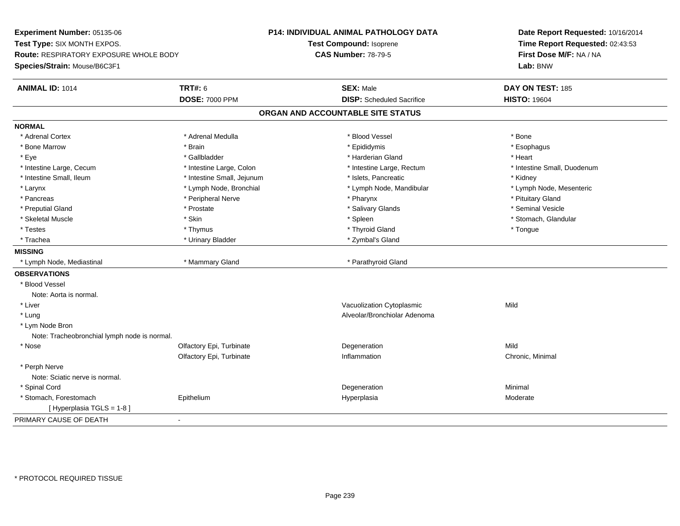**Experiment Number:** 05135-06**Test Type:** SIX MONTH EXPOS.**Route:** RESPIRATORY EXPOSURE WHOLE BODY**Species/Strain:** Mouse/B6C3F1**P14: INDIVIDUAL ANIMAL PATHOLOGY DATATest Compound:** Isoprene**CAS Number:** 78-79-5**Date Report Requested:** 10/16/2014**Time Report Requested:** 02:43:53**First Dose M/F:** NA / NA**Lab:** BNW**ANIMAL ID:** 1014 **TRT#:** <sup>6</sup> **SEX:** Male **DAY ON TEST:** <sup>185</sup> **DOSE:** 7000 PPM**DISP:** Scheduled Sacrifice **HISTO:** 19604 **ORGAN AND ACCOUNTABLE SITE STATUSNORMAL**\* Adrenal Cortex \* Adrenal Cortex \* \* Adrenal Medulla \* \* Adrenal Medulla \* \* Blood Vessel \* \* Brood Vessel \* \* Bone \* Esophagus \* Bone Marrow \* Brain \* Epididymis \* Esophagus \* Eye \* \* Gallbladder \* \* Gallbladder \* \* \* \* Harderian Gland \* \* Heart \* Heart \* Heart \* Heart \* Heart \* Heart \* Intestine Large, Cecum \* Intestine Large, Colon \* Intestine Large, Thestine Large, Rectum \* Intestine Small, Duodenum \* Intestine Small, Ileum \* Thestine Small, Jejunum \* 1998, Pancreatic \* Kidney \* Kidney \* Kidney \* Kidney \* Lymph Node, Mesenteric \* Larynx **\*** Lymph Node, Bronchial \* Lymph Node, Mandibular \* Lymph Node, Mandibular \* Pancreas \* \* Peripheral Nerve \* \* Pharynx \* \* Pharynx \* \* Pharynx \* \* \* Pharynx \* \* Pituitary Gland \* \* Pituitary Gland \* \* Pituitary Gland \* \* Pituitary Gland \* \* P \* Seminal Vesicle \* Preputial Gland \* \* Annual vesicle \* \* Prostate \* \* Salivary Glands \* \* Salivary Glands \* \* Seminal Vesicle \* \* Stomach. Glandular \* Skeletal Muscle \* \* Stomach, Glandular \* Skin \* Spleen \* Spleen \* Stomach, Glandular \* Stomach, Glandular \* Stomach, Glandular \* Stomach, Glandular \* Stomach, Glandular \* Stomach, Glandular \* Stomach, Glandular \* Stomach \* Testes \* Thymus \* Thyroid Gland \* Tongue \* Trachea \* Urinary Bladder \* 2ymbal's Gland \* Zymbal's Gland \* Zymbal's Gland \* Zymbal's Gland **MISSING** \* Lymph Node, Mediastinal \* Mammary Gland \* Parathyroid Gland**OBSERVATIONS** \* Blood VesselNote: Aorta is normal. \* Liver Vacuolization Cytoplasmicc Mild \* Lung Alveolar/Bronchiolar Adenoma \* Lym Node Bron Note: Tracheobronchial lymph node is normal. \* Nosee and the Colfactory Epi, Turbinate and the Colfactory Epistem of the Colfactory Epistem Mild Olfactory Epi, Turbinate Inflammation Chronic, Minimal \* Perph Nerve Note: Sciatic nerve is normal. \* Spinal Cordd and the control of the control of the control of the control of the control of the control of the control of the control of the control of the control of the control of the control of the control of the control of the co \* Stomach, Forestomach Epitheliumm and the Hyperplasia measurement of the Hyperplasia measurement of the Moderate Moderate [ Hyperplasia TGLS = 1-8 ]PRIMARY CAUSE OF DEATH-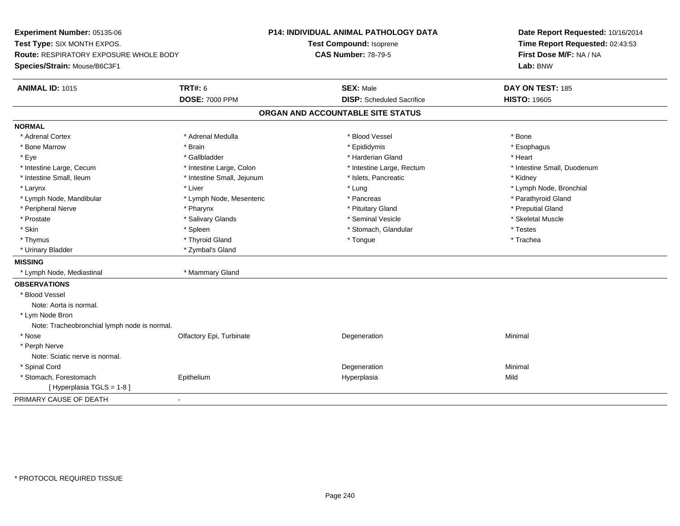**Experiment Number:** 05135-06**Test Type:** SIX MONTH EXPOS.**Route:** RESPIRATORY EXPOSURE WHOLE BODY**Species/Strain:** Mouse/B6C3F1**P14: INDIVIDUAL ANIMAL PATHOLOGY DATATest Compound:** Isoprene**CAS Number:** 78-79-5**Date Report Requested:** 10/16/2014**Time Report Requested:** 02:43:53**First Dose M/F:** NA / NA**Lab:** BNW**ANIMAL ID:** 1015 **TRT#:** <sup>6</sup> **SEX:** Male **DAY ON TEST:** <sup>185</sup> **DOSE:** 7000 PPM**DISP:** Scheduled Sacrifice **HISTO:** 19605 **ORGAN AND ACCOUNTABLE SITE STATUSNORMAL**\* Adrenal Cortex \* Adrenal Cortex \* \* Adrenal Medulla \* \* Adrenal Medulla \* \* Blood Vessel \* \* Brood Vessel \* \* Bone \* Esophagus \* Bone Marrow \* Brain \* Epididymis \* Esophagus \* Eye \* \* Gallbladder \* \* Gallbladder \* \* \* \* Harderian Gland \* \* Heart \* Heart \* Heart \* Heart \* Heart \* Heart \* Intestine Large, Cecum \* Intestine Large, Colon \* Intestine Large, Rectum \* Intestine Small, Duodenum\* Intestine Small, Ileum \* Thestine Small, Jejunum \* 1998, Pancreatic \* Kidney \* Kidney \* Kidney \* Kidney \* Larynx \* Louis \* Liver \* Lung \* Lung \* Lung \* Lung \* Lung \* Lymph Node, Bronchial \* Lymph Node, Bronchial \* \* Lymph Node, Mandibular \* The same \* Lymph Node, Mesenteric \* \* Pancreas \* Pancreas \* \* Pancreas \* \* Parathyroid Gland \* Peripheral Nerve \* Pharynx \* Pituitary Gland \* Preputial Gland\* Skeletal Muscle \* Prostate \* \* Skeletal Muscle \* \* Salivary Glands \* \* Steminal Vesicle \* \* Seminal Vesicle \* \* Skeletal Muscle \* Skin \* Spleen \* Spleen \* Spleen \* Stomach, Glandular \* Testes \* Testes \* Testes \* Trachea \* Thymus \* \* The mode of the total of the total term of the total term of the total term of the total term of t \* Urinary Bladder \* Zymbal's Gland**MISSING** \* Lymph Node, Mediastinal \* Mammary Gland**OBSERVATIONS** \* Blood VesselNote: Aorta is normal. \* Lym Node Bron Note: Tracheobronchial lymph node is normal. \* Nosee and the Colfactory Epi, Turbinate and the Coleman Degeneration Coleman Minimal Minimal \* Perph Nerve Note: Sciatic nerve is normal. \* Spinal Cordd and the control of the control of the control of the control of the control of the control of the control of the control of the control of the control of the control of the control of the control of the control of the co \* Stomach, Forestomach Epithelium Hyperplasia Mild [ Hyperplasia TGLS = 1-8 ]PRIMARY CAUSE OF DEATH-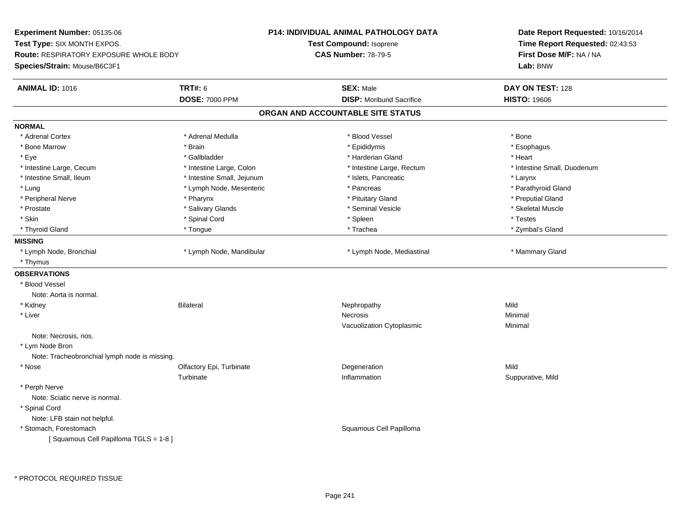**Experiment Number:** 05135-06**Test Type:** SIX MONTH EXPOS.**Route:** RESPIRATORY EXPOSURE WHOLE BODY**Species/Strain:** Mouse/B6C3F1**P14: INDIVIDUAL ANIMAL PATHOLOGY DATATest Compound:** Isoprene**CAS Number:** 78-79-5**Date Report Requested:** 10/16/2014**Time Report Requested:** 02:43:53**First Dose M/F:** NA / NA**Lab:** BNW**ANIMAL ID:** 1016 **TRT#:** <sup>6</sup> **SEX:** Male **DAY ON TEST:** <sup>128</sup> **DOSE:** 7000 PPM**DISP:** Moribund Sacrifice **HISTO:** 19606 **ORGAN AND ACCOUNTABLE SITE STATUSNORMAL**\* Adrenal Cortex \* Adrenal Cortex \* \* Adrenal Medulla \* \* Adrenal Medulla \* \* Blood Vessel \* \* Brood Vessel \* \* Bone \* Esophagus \* Bone Marrow \* Brain \* Epididymis \* Esophagus \* Eye \* \* Gallbladder \* \* Gallbladder \* \* \* \* Harderian Gland \* \* Heart \* Heart \* Heart \* Heart \* Heart \* Heart \* Intestine Large, Cecum \* Intestine Large, Colon \* Intestine Large, Thestine Large, Rectum \* Intestine Small, Duodenum \* Intestine Small, Ileum \* Thestine Small, Jejunum \* Islets, Pancreatic \* The manus \* Larynx \* Larynx \* Parathyroid Gland \* Lung \* Lung \* Pancreas \* Pancreas \* Pancreas \* Pancreas \* Pancreas \* Pancreas \* Pancreas \* Pancreas \* Pancreas \* Pancreas \* Pancreas \* Pancreas \* Pancreas \* Pancreas \* Pancreas \* Pancreas \* Pancreas \* Pancreas \* Pancreas \* Peripheral Nerve \* Pharynx \* Pituitary Gland \* Preputial Gland\* Skeletal Muscle \* Prostate \* \* Skeletal Muscle \* \* Salivary Glands \* \* \* Seminal Vesicle \* \* \* Seminal Vesicle \* \* Skeletal Muscle \* Skin \* \* Shand Cord \* Spinal Cord \* \* Shand The second \* Spleen \* \* Spleen \* \* Testes \* Testes \* Testes \* Testes \* Zymbal's Gland \* Thyroid Gland \* Tongue \* Trachea \* Zymbal's Gland **MISSING**\* Lymph Node, Bronchial \* Lymph Node, Mandibular \* Lymph Node, Mediastinal \* Manmary Gland \* Thymus**OBSERVATIONS** \* Blood VesselNote: Aorta is normal. \* Kidney Bilateral Nephropathy MildMinimal \* Liverr and the contract of the contract of the contract of the contract of the contract of the contract of the contract of the contract of the contract of the contract of the contract of the contract of the contract of the cont Minimal Vacuolization Cytoplasmic Minimal Note: Necrosis, nos. \* Lym Node Bron Note: Tracheobronchial lymph node is missing. \* Nosee and the Colfactory Epi, Turbinate and the Colfactory Epistem of the Colfactory Epistem Mild Turbinatee subsequently suppurative, Mild and the Inflammation subsequently suppurative, Mild and Suppurative, Mild and Suppurative, Mild and Suppurative, Mild and Suppurative, Mild and Suppurative and Suppurative and Suppurative a \* Perph Nerve Note: Sciatic nerve is normal. \* Spinal Cord Note: LFB stain not helpful. \* Stomach, Forestomach Squamous Cell Papilloma [ Squamous Cell Papilloma TGLS = 1-8 ]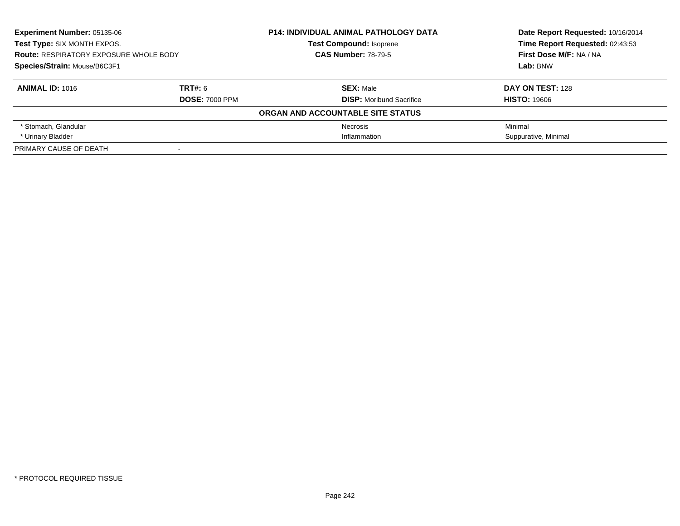| <b>Experiment Number: 05135-06</b><br>Test Type: SIX MONTH EXPOS.<br><b>Route: RESPIRATORY EXPOSURE WHOLE BODY</b> |                       | <b>P14: INDIVIDUAL ANIMAL PATHOLOGY DATA</b> | Date Report Requested: 10/16/2014<br>Time Report Requested: 02:43:53 |
|--------------------------------------------------------------------------------------------------------------------|-----------------------|----------------------------------------------|----------------------------------------------------------------------|
|                                                                                                                    |                       | <b>Test Compound: Isoprene</b>               |                                                                      |
|                                                                                                                    |                       | <b>CAS Number: 78-79-5</b>                   | First Dose M/F: NA / NA                                              |
| Species/Strain: Mouse/B6C3F1                                                                                       |                       |                                              | Lab: BNW                                                             |
| <b>ANIMAL ID: 1016</b>                                                                                             | TRT#: 6               | <b>SEX: Male</b>                             | DAY ON TEST: 128                                                     |
|                                                                                                                    | <b>DOSE: 7000 PPM</b> | <b>DISP:</b> Moribund Sacrifice              | <b>HISTO: 19606</b>                                                  |
|                                                                                                                    |                       | ORGAN AND ACCOUNTABLE SITE STATUS            |                                                                      |
| * Stomach, Glandular                                                                                               |                       | Necrosis                                     | Minimal                                                              |
| * Urinary Bladder                                                                                                  |                       | Inflammation                                 | Suppurative, Minimal                                                 |
| PRIMARY CAUSE OF DEATH<br>-                                                                                        |                       |                                              |                                                                      |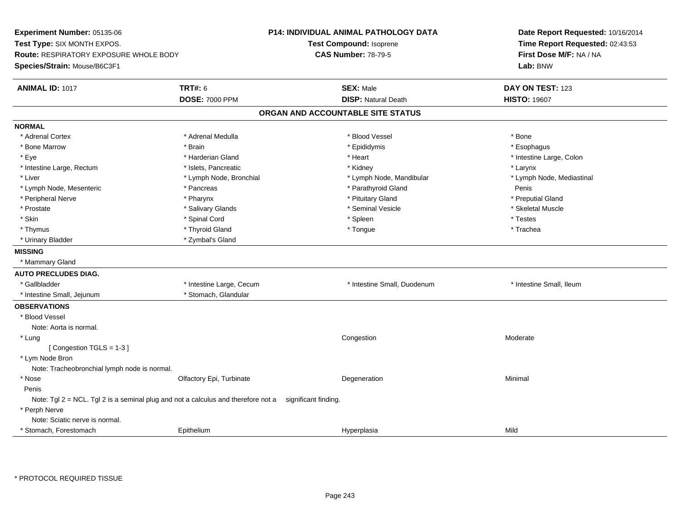**Experiment Number:** 05135-06**Test Type:** SIX MONTH EXPOS.**Route:** RESPIRATORY EXPOSURE WHOLE BODY**Species/Strain:** Mouse/B6C3F1**P14: INDIVIDUAL ANIMAL PATHOLOGY DATATest Compound:** Isoprene**CAS Number:** 78-79-5**Date Report Requested:** 10/16/2014**Time Report Requested:** 02:43:53**First Dose M/F:** NA / NA**Lab:** BNW**ANIMAL ID:** 1017 **TRT#:** <sup>6</sup> **SEX:** Male **DAY ON TEST:** <sup>123</sup> **DOSE:** 7000 PPM**DISP:** Natural Death **HISTO:** 19607 **ORGAN AND ACCOUNTABLE SITE STATUSNORMAL**\* Adrenal Cortex \* Adrenal Cortex \* \* Adrenal Medulla \* \* Adrenal Medulla \* \* Blood Vessel \* \* Brood Vessel \* \* Bone \* Esophagus \* Bone Marrow \* Brain \* Epididymis \* Esophagus \* Eye \* The modern that the state of the state of the state of the state of the state of the state of the state of the state of the state of the state of the state of the state of the state of the state of the state of the \* Intestine Large, Rectum \* The state of the state of the state of the state of the state of the state of the state of the state of the state of the state of the state of the state of the state of the state of the state of \* Lymph Node, Mediastinal \* Liver \* Lymph Node, Bronchial \* Lymph Node, Mandibular \* Lymph Node, Mandibular \* Lymph Node, Mesenteric \* Pancreas \* Parathyroid Gland Penis\* Preputial Gland \* Peripheral Nerve \* Pharynx \* Pituitary Gland \* Preputial Gland\* Skeletal Muscle \* Prostate \* \* Skeletal Muscle \* \* Salivary Glands \* \* \* Seminal Vesicle \* \* \* Seminal Vesicle \* \* Skeletal Muscle \* Skin \* \* Shand Cord \* Spinal Cord \* \* Shand The second \* Spleen \* \* Spleen \* \* Testes \* Testes \* Testes \* Testes \* Trachea \* Thymus \* \* The mode of the total of the total term of the total term of the total term of the total term of t \* Urinary Bladder \* Zymbal's Gland**MISSING** \* Mammary Gland**AUTO PRECLUDES DIAG.**\* Gallbladder **\* Intestine Large, Cecum** \* Intestine Small, Duodenum \* Intestine Small, Intestine Small, Ileum \* Intestine Small, Jejunum \* Stomach, Glandular**OBSERVATIONS** \* Blood VesselNote: Aorta is normal. \* Lungg and the congestion of the congestion of the congestion of the congestion of the congestion of the congestion [ Congestion TGLS = 1-3 ] \* Lym Node Bron Note: Tracheobronchial lymph node is normal. \* Nosee and the Colfactory Epi, Turbinate and the Degeneration Colfactory Epi, Turbinate and the Degeneration Minimal PenisNote: Tgl 2 = NCL. Tgl 2 is a seminal plug and not a calculus and therefore not a significant finding. \* Perph Nerve Note: Sciatic nerve is normal.Stomach, Forestomach EpitheliumHyperplasia Mild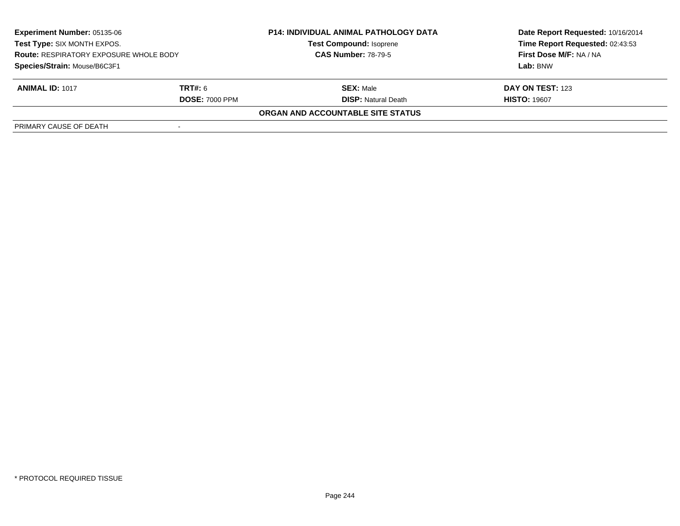| <b>Experiment Number: 05135-06</b><br>Test Type: SIX MONTH EXPOS.<br><b>Route: RESPIRATORY EXPOSURE WHOLE BODY</b><br>Species/Strain: Mouse/B6C3F1 |                       | <b>P14: INDIVIDUAL ANIMAL PATHOLOGY DATA</b><br><b>Test Compound: Isoprene</b><br><b>CAS Number: 78-79-5</b> | Date Report Requested: 10/16/2014 |
|----------------------------------------------------------------------------------------------------------------------------------------------------|-----------------------|--------------------------------------------------------------------------------------------------------------|-----------------------------------|
|                                                                                                                                                    |                       |                                                                                                              | Time Report Requested: 02:43:53   |
|                                                                                                                                                    |                       |                                                                                                              | First Dose M/F: NA / NA           |
|                                                                                                                                                    |                       |                                                                                                              | Lab: BNW                          |
| <b>ANIMAL ID: 1017</b>                                                                                                                             | <b>TRT#:</b> 6        | <b>SEX: Male</b>                                                                                             | <b>DAY ON TEST: 123</b>           |
|                                                                                                                                                    | <b>DOSE: 7000 PPM</b> | <b>DISP:</b> Natural Death                                                                                   | <b>HISTO: 19607</b>               |
|                                                                                                                                                    |                       | ORGAN AND ACCOUNTABLE SITE STATUS                                                                            |                                   |
| PRIMARY CAUSE OF DEATH                                                                                                                             |                       |                                                                                                              |                                   |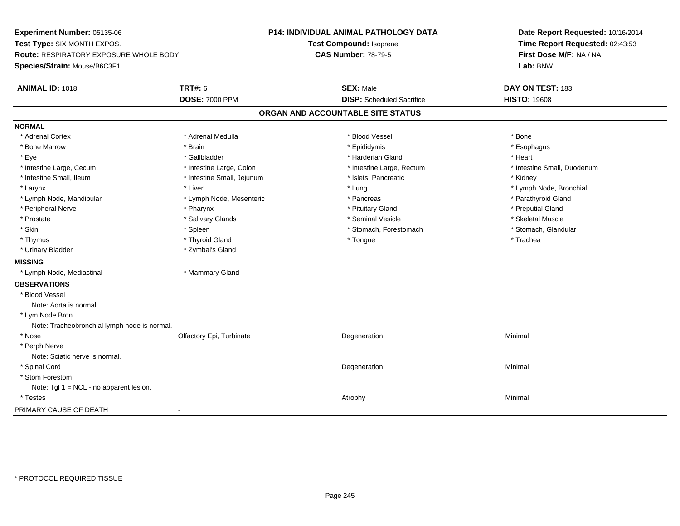**Experiment Number:** 05135-06**Test Type:** SIX MONTH EXPOS.**Route:** RESPIRATORY EXPOSURE WHOLE BODY**Species/Strain:** Mouse/B6C3F1**P14: INDIVIDUAL ANIMAL PATHOLOGY DATATest Compound:** Isoprene**CAS Number:** 78-79-5**Date Report Requested:** 10/16/2014**Time Report Requested:** 02:43:53**First Dose M/F:** NA / NA**Lab:** BNW**ANIMAL ID:** 1018**TRT#:** 6 **SEX:** Male **DAY ON TEST:** 183 **DOSE:** 7000 PPM**DISP:** Scheduled Sacrifice **HISTO:** 19608 **ORGAN AND ACCOUNTABLE SITE STATUSNORMAL**\* Adrenal Cortex \* Adrenal Cortex \* \* Adrenal Medulla \* \* Adrenal Medulla \* \* Blood Vessel \* \* Brood Vessel \* \* Bone \* Esophagus \* Bone Marrow \* Brain \* Epididymis \* Esophagus \* Eye \* \* Gallbladder \* \* Gallbladder \* \* \* \* Harderian Gland \* \* Heart \* Heart \* Heart \* Heart \* Heart \* Heart \* Intestine Large, Cecum \* Intestine Large, Colon \* Intestine Large, Thestine Large, Rectum \* Intestine Small, Duodenum \* Intestine Small, Ileum \* Thestine Small, Jejunum \* 1998, Pancreatic \* Kidney \* Kidney \* Kidney \* Kidney \* Larynx \* Louis \* Liver \* Lung \* Lung \* Lung \* Lung \* Lung \* Lymph Node, Bronchial \* Lymph Node, Bronchial \* \* Lymph Node, Mandibular \* The state of the second text of the second vertex to the second vertex to the second vertex of Parathyroid Gland \* Peripheral Nerve \* Pharynx \* Pituitary Gland \* Preputial Gland\* Skeletal Muscle \* Prostate \* \* Skeletal Muscle \* \* Salivary Glands \* \* \* Seminal Vesicle \* \* \* Seminal Vesicle \* \* Skeletal Muscle \* Stomach. Glandular \* Skin \* Spleen \* Spleen \* Spleen \* Stomach, Forestomach \* Stomach, Forestomach \* Thymus \* \* The mode of the total of the total term of the total term of the total term of the total term of t \* Urinary Bladder \* Zymbal's Gland**MISSING** \* Lymph Node, Mediastinal \* Mammary Gland**OBSERVATIONS** \* Blood VesselNote: Aorta is normal. \* Lym Node Bron Note: Tracheobronchial lymph node is normal. \* Nosee and the Colfactory Epi, Turbinate and the Coleman Degeneration Coleman Minimal Minimal \* Perph Nerve Note: Sciatic nerve is normal. \* Spinal Cordd and the control of the control of the control of the control of the control of the control of the control of the control of the control of the control of the control of the control of the control of the control of the co \* Stom Forestom Note: Tgl 1 = NCL - no apparent lesion. \* Testess and the control of the control of the control of the control of the control of the control of the control of the control of the control of the control of the control of the control of the control of the control of the co PRIMARY CAUSE OF DEATH-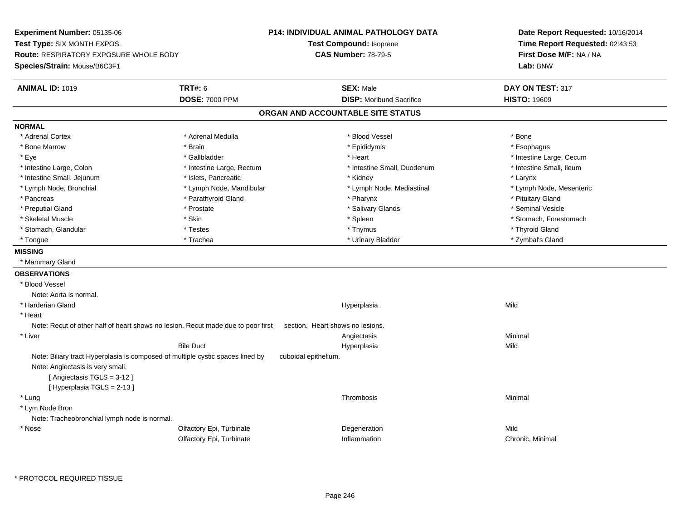**Experiment Number:** 05135-06**Test Type:** SIX MONTH EXPOS.**Route:** RESPIRATORY EXPOSURE WHOLE BODY**Species/Strain:** Mouse/B6C3F1**P14: INDIVIDUAL ANIMAL PATHOLOGY DATATest Compound:** Isoprene**CAS Number:** 78-79-5**Date Report Requested:** 10/16/2014**Time Report Requested:** 02:43:53**First Dose M/F:** NA / NA**Lab:** BNW**ANIMAL ID:** 1019**TRT#:** 6 **SEX:** Male **DAY ON TEST:** 317 **DOSE:** 7000 PPM**DISP:** Moribund Sacrifice **HISTO:** 19609 **ORGAN AND ACCOUNTABLE SITE STATUSNORMAL**\* Adrenal Cortex \* Adrenal Cortex \* \* Adrenal Medulla \* \* Adrenal Medulla \* \* Blood Vessel \* \* Brood Vessel \* \* Bone \* Esophagus \* Bone Marrow \* Brain \* Epididymis \* Esophagus \* Eye \* https://www.frage.com/windown.com/windown.com/windown.com/windown.com/windown.com/windown.com/windown-\* Intestine Small, Ileum \* Intestine Large, Colon \* Intestine Large, Rectum \* Intestine Small, Duodenum \* Intestine Small, Duodenum \* Intestine Small, Jejunum \* The matches of the state of the state of the state of the state of the state of the state of the state of the state of the state of the state of the state of the state of the state of the state \* Lymph Node, Mesenteric \* Lymph Node, Bronchial \* Lymph Node, Mandibular \* Lymph Node, Mediastinal \* Lymph Node, Mediastinal \* Pancreas \* Parathyroid Gland \* \* Parathyroid Gland \* \* Pharynx \* \* Pharynx \* \* Pituitary Gland \* Pituitary Gland \* Seminal Vesicle \* Preputial Gland \* \* Annual vesicle \* \* Prostate \* \* Salivary Glands \* \* Salivary Glands \* \* Seminal Vesicle \* \* Skeletal Muscle \* The stomach \* Skin \* Spleen \* Spleen \* Stomach, Forestomach \* Stomach, Forestomach \* Stomach, Glandular \* \* \* Thyroid Glandular \* Thestes \* \* Thymus \* Thymus \* Thyroid Glandular \* Thyroid Gland \* Zymbal's Gland \* Tongue \* Trachea \* Urinary Bladder \* Zymbal's Gland **MISSING** \* Mammary Gland**OBSERVATIONS** \* Blood VesselNote: Aorta is normal. \* Harderian Glandd and the control of the control of the control of the Hyperplasia and the control of the Mild of the control of the control of the control of the control of the control of the control of the control of the control of the \* HeartNote: Recut of other half of heart shows no lesion. Recut made due to poor first section. Heart shows no lesions. \* Liverr and the contract of the contract of the contract of the contract of the contract of the contract of the contract of the contract of the contract of the contract of the contract of the contract of the contract of the cont Minimal Bile Duct Hyperplasiaa Mild Note: Biliary tract Hyperplasia is composed of multiple cystic spaces lined by cuboidal epithelium.Note: Angiectasis is very small.[ Angiectasis TGLS = 3-12 ][ Hyperplasia TGLS = 2-13 ] \* Lungg and the state of the state of the state of the state of the Shankov Christian School and the Shankov Christian School and the Shankov Christian School and the Shankov Christian School and the Shankov Christian School and \* Lym Node Bron Note: Tracheobronchial lymph node is normal. \* Nosee and the Colfactory Epi, Turbinate and the Colfactory Epistem of the Colfactory Epistem Mild Olfactory Epi, TurbinateInflammation Chronic, Minimal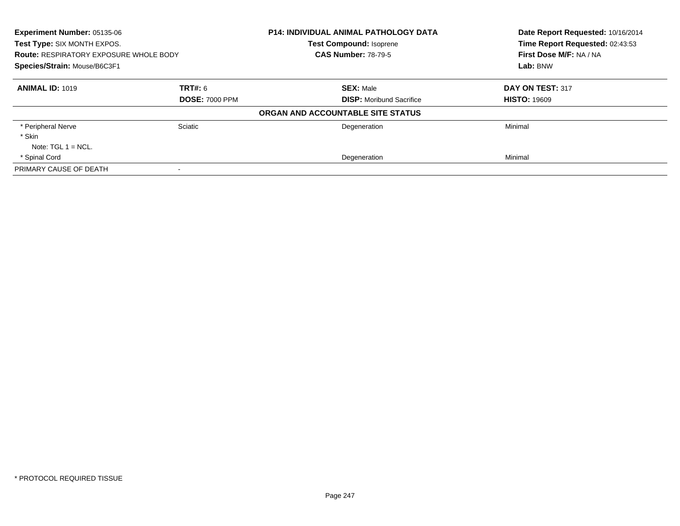| <b>Experiment Number: 05135-06</b><br>Test Type: SIX MONTH EXPOS.<br><b>Route: RESPIRATORY EXPOSURE WHOLE BODY</b><br>Species/Strain: Mouse/B6C3F1 |                       | <b>P14: INDIVIDUAL ANIMAL PATHOLOGY DATA</b>                 | Date Report Requested: 10/16/2014<br>Time Report Requested: 02:43:53 |
|----------------------------------------------------------------------------------------------------------------------------------------------------|-----------------------|--------------------------------------------------------------|----------------------------------------------------------------------|
|                                                                                                                                                    |                       | <b>Test Compound: Isoprene</b><br><b>CAS Number: 78-79-5</b> | First Dose M/F: NA / NA                                              |
|                                                                                                                                                    |                       |                                                              | Lab: BNW                                                             |
| <b>ANIMAL ID: 1019</b>                                                                                                                             | <b>TRT#: 6</b>        | <b>SEX: Male</b>                                             | DAY ON TEST: 317                                                     |
|                                                                                                                                                    | <b>DOSE: 7000 PPM</b> | <b>DISP:</b> Moribund Sacrifice                              | <b>HISTO: 19609</b>                                                  |
|                                                                                                                                                    |                       | ORGAN AND ACCOUNTABLE SITE STATUS                            |                                                                      |
| * Peripheral Nerve                                                                                                                                 | Sciatic               | Degeneration                                                 | Minimal                                                              |
| * Skin                                                                                                                                             |                       |                                                              |                                                                      |
| Note: $TGL 1 = NCL$ .                                                                                                                              |                       |                                                              |                                                                      |
| * Spinal Cord                                                                                                                                      |                       | Degeneration                                                 | Minimal                                                              |
| PRIMARY CAUSE OF DEATH                                                                                                                             |                       |                                                              |                                                                      |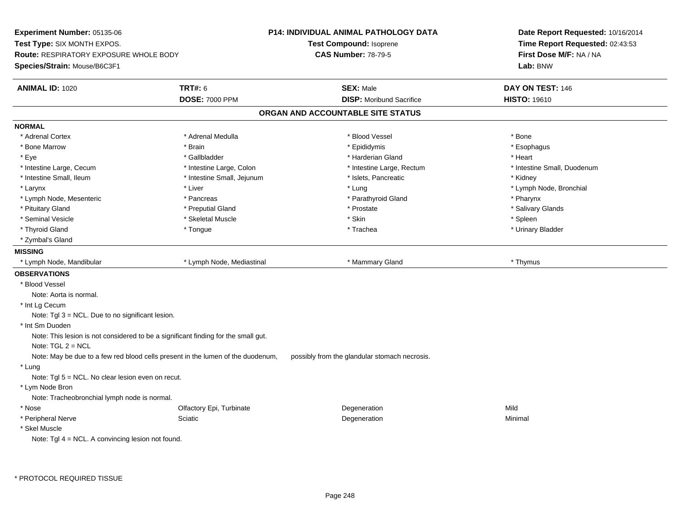**Experiment Number:** 05135-06**Test Type:** SIX MONTH EXPOS.**Route:** RESPIRATORY EXPOSURE WHOLE BODY**Species/Strain:** Mouse/B6C3F1**P14: INDIVIDUAL ANIMAL PATHOLOGY DATATest Compound:** Isoprene**CAS Number:** 78-79-5**Date Report Requested:** 10/16/2014**Time Report Requested:** 02:43:53**First Dose M/F:** NA / NA**Lab:** BNW**ANIMAL ID:** 1020**C TRT#:** 6 **SEX:** Male **DAY ON TEST:** 146 **DOSE:** 7000 PPM**DISP:** Moribund Sacrifice **HISTO:** 19610 **ORGAN AND ACCOUNTABLE SITE STATUSNORMAL**\* Adrenal Cortex \* Adrenal Cortex \* \* Adrenal Medulla \* \* Adrenal Medulla \* \* Blood Vessel \* \* Brood Vessel \* \* Bone \* Esophagus \* Bone Marrow \* Brain \* Epididymis \* Esophagus \* Eye \* \* Gallbladder \* \* Gallbladder \* \* \* \* Harderian Gland \* \* Heart \* Heart \* Heart \* Heart \* Heart \* Heart \* Intestine Large, Cecum \* Intestine Large, Colon \* Intestine Large, Thestine Large, Rectum \* Intestine Small, Duodenum \* Intestine Small, Ileum \* Thestine Small, Jejunum \* 1998, Pancreatic \* Kidney \* Kidney \* Kidney \* Kidney \* Larynx \* Louis \* Liver \* Lung \* Lung \* Lung \* Lung \* Lung \* Lymph Node, Bronchial \* Lymph Node, Bronchial \* \* Lymph Node, Mesenteric \* Pancreas \* Parathyroid Gland \* Pharynx\* Salivary Glands \* Pituitary Gland \* \* Then the state \* Preputial Gland \* Prosection \* Prostate \* \* Salivary Glands \* Salivary Glands \* Salivary Glands \* Salivary Glands \* Salivary Glands \* Salivary Glands \* Salivary Glands \* Salivary Glan \* Seminal Vesicle \* \* \* Sheem \* Skeletal Muscle \* \* Stemme \* Skin \* \* Skin \* \* Spleen \* Spleen \* Spleen \* Spleen \* Urinary Bladder \* Thyroid Gland \* \* The control of the total property and the top of the top of the top of the top of the top of the top of the top of the top of the top of the top of the top of the top of the top of the top of the top of \* Zymbal's Gland**MISSING** \* Lymph Node, Mandibular \* Lymph Node, Mediastinal \* Mammary Gland \* Thymus**OBSERVATIONS** \* Blood VesselNote: Aorta is normal. \* Int Lg Cecum Note: Tgl 3 = NCL. Due to no significant lesion. \* Int Sm Duoden Note: This lesion is not considered to be a significant finding for the small gut.Note: TGL 2 = NCL Note: May be due to a few red blood cells present in the lumen of the duodenum, possibly from the glandular stomach necrosis. \* Lung Note: Tgl 5 = NCL. No clear lesion even on recut. \* Lym Node Bron Note: Tracheobronchial lymph node is normal. \* Nosee and the Colfactory Epi, Turbinate and the Colfactory Epistem of the Colfactory Epistem Mild \* Peripheral Nervee and the Sciatic Control of the Science of the Degeneration Control of Minimal Minimal Science of the Science \* Skel MuscleNote: Tgl 4 = NCL. A convincing lesion not found.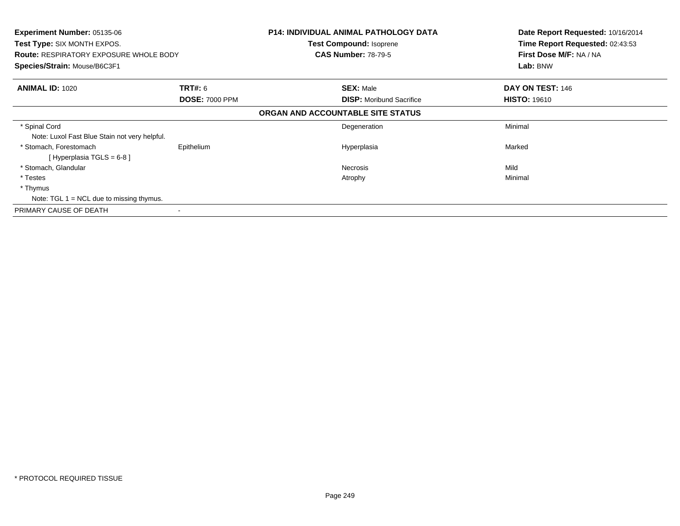| <b>Experiment Number: 05135-06</b>            |                       | <b>P14: INDIVIDUAL ANIMAL PATHOLOGY DATA</b> | Date Report Requested: 10/16/2014 |
|-----------------------------------------------|-----------------------|----------------------------------------------|-----------------------------------|
| <b>Test Type: SIX MONTH EXPOS.</b>            |                       | <b>Test Compound: Isoprene</b>               | Time Report Requested: 02:43:53   |
| <b>Route: RESPIRATORY EXPOSURE WHOLE BODY</b> |                       | <b>CAS Number: 78-79-5</b>                   | First Dose M/F: NA / NA           |
| Species/Strain: Mouse/B6C3F1                  |                       |                                              | Lab: BNW                          |
| <b>ANIMAL ID: 1020</b>                        | <b>TRT#: 6</b>        | <b>SEX: Male</b>                             | <b>DAY ON TEST: 146</b>           |
|                                               | <b>DOSE: 7000 PPM</b> | <b>DISP:</b> Moribund Sacrifice              | <b>HISTO: 19610</b>               |
|                                               |                       | ORGAN AND ACCOUNTABLE SITE STATUS            |                                   |
| * Spinal Cord                                 |                       | Degeneration                                 | Minimal                           |
| Note: Luxol Fast Blue Stain not very helpful. |                       |                                              |                                   |
| * Stomach, Forestomach                        | Epithelium            | Hyperplasia                                  | Marked                            |
| [Hyperplasia TGLS = $6-8$ ]                   |                       |                                              |                                   |
| * Stomach, Glandular                          |                       | <b>Necrosis</b>                              | Mild                              |
| * Testes                                      |                       | Atrophy                                      | Minimal                           |
| * Thymus                                      |                       |                                              |                                   |
| Note: TGL $1 = NCL$ due to missing thymus.    |                       |                                              |                                   |
| PRIMARY CAUSE OF DEATH                        |                       |                                              |                                   |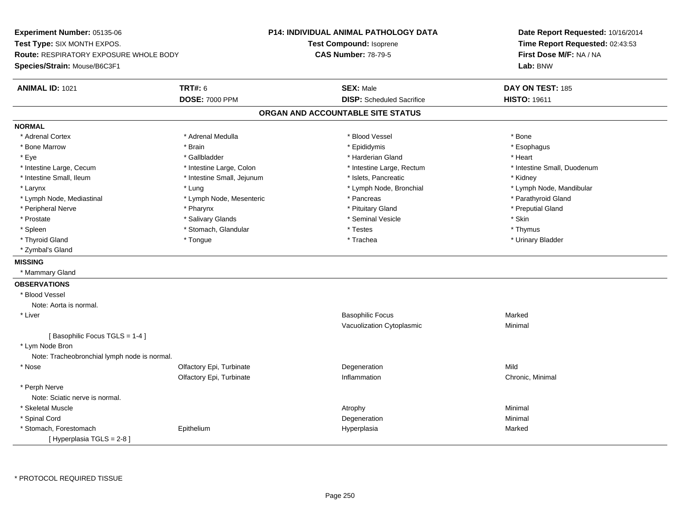**Experiment Number:** 05135-06**Test Type:** SIX MONTH EXPOS.**Route:** RESPIRATORY EXPOSURE WHOLE BODY**Species/Strain:** Mouse/B6C3F1**P14: INDIVIDUAL ANIMAL PATHOLOGY DATATest Compound:** Isoprene**CAS Number:** 78-79-5**Date Report Requested:** 10/16/2014**Time Report Requested:** 02:43:53**First Dose M/F:** NA / NA**Lab:** BNW**ANIMAL ID:** 1021**TRT#:** 6 **SEX:** Male **DAY ON TEST:** 185 **DOSE:** 7000 PPM**DISP:** Scheduled Sacrifice **HISTO:** 19611 **ORGAN AND ACCOUNTABLE SITE STATUSNORMAL**\* Adrenal Cortex \* Adrenal Cortex \* \* Adrenal Medulla \* \* Adrenal Medulla \* \* Blood Vessel \* \* Brood Vessel \* \* Bone \* Esophagus \* Bone Marrow \* Brain \* Epididymis \* Esophagus \* Eye \* \* Gallbladder \* \* Gallbladder \* \* \* \* Harderian Gland \* \* Heart \* Heart \* Heart \* Heart \* Heart \* Heart \* Intestine Large, Cecum \* Intestine Large, Colon \* Intestine Large, Thestine Large, Rectum \* Intestine Small, Duodenum \* Intestine Small, Ileum \* Thestine Small, Jejunum \* 1998, Pancreatic \* Kidney \* Kidney \* Kidney \* Kidney \* Larynx \* Lung \* Lymph Node, Bronchial \* Lymph Node, Mandibular \* Lymph Node, Mediastinal \* Lymph Node, Mesenteric \* \* Pancreas \* Pancreas \* \* Pancreas \* Parathyroid Gland \* Peripheral Nerve \* Pharynx \* Pituitary Gland \* Preputial Gland\* Prostate \* \* Salivary Glands \* \* Salivary Glands \* \* Seminal Vesicle \* \* \* Seminal Yestrich \* \* Skin \* \* Skin \* Thymus \* Spleen \* Spleen \* Stomach, Glandular \* Stomach, Glandular \* Testes \* Urinary Bladder \* Thyroid Gland \* \* The control of the total property and the top of the top of the top of the top of the top of the top of the top of the top of the top of the top of the top of the top of the top of the top of the top of \* Zymbal's Gland**MISSING** \* Mammary Gland**OBSERVATIONS** \* Blood VesselNote: Aorta is normal. \* Liver Basophilic Focuss Marked c **Minimal** Vacuolization Cytoplasmic[ Basophilic Focus TGLS = 1-4 ] \* Lym Node Bron Note: Tracheobronchial lymph node is normal. \* Nosee and the Colfactory Epi, Turbinate and the Colfactory Epistem of the Colfactory Epistem Mild Olfactory Epi, Turbinate Inflammation Chronic, Minimal \* Perph Nerve Note: Sciatic nerve is normal. \* Skeletal Musclee and the control of the control of the control of the control of the control of the control of the control of the control of the control of the control of the control of the control of the control of the control of the co \* Spinal Cordd and the control of the control of the control of the control of the control of the control of the control of the control of the control of the control of the control of the control of the control of the control of the co \* Stomach, Forestomach Epithelium Hyperplasia Marked [ Hyperplasia TGLS = 2-8 ]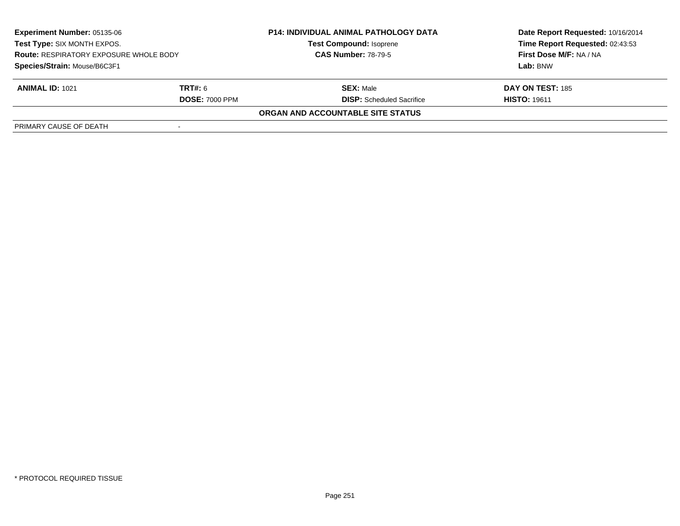| <b>Experiment Number: 05135-06</b><br>Test Type: SIX MONTH EXPOS.<br><b>Route: RESPIRATORY EXPOSURE WHOLE BODY</b><br>Species/Strain: Mouse/B6C3F1 |  | <b>P14: INDIVIDUAL ANIMAL PATHOLOGY DATA</b><br><b>Test Compound: Isoprene</b><br><b>CAS Number: 78-79-5</b> | Date Report Requested: 10/16/2014<br>Time Report Requested: 02:43:53<br>First Dose M/F: NA / NA<br>Lab: BNW |                        |                                  |                     |
|----------------------------------------------------------------------------------------------------------------------------------------------------|--|--------------------------------------------------------------------------------------------------------------|-------------------------------------------------------------------------------------------------------------|------------------------|----------------------------------|---------------------|
|                                                                                                                                                    |  |                                                                                                              |                                                                                                             |                        |                                  |                     |
|                                                                                                                                                    |  |                                                                                                              |                                                                                                             | <b>ANIMAL ID: 1021</b> | <b>TRT#:</b> 6                   | <b>SEX: Male</b>    |
|                                                                                                                                                    |  |                                                                                                              |                                                                                                             | <b>DOSE: 7000 PPM</b>  | <b>DISP:</b> Scheduled Sacrifice | <b>HISTO: 19611</b> |
| ORGAN AND ACCOUNTABLE SITE STATUS                                                                                                                  |  |                                                                                                              |                                                                                                             |                        |                                  |                     |
| PRIMARY CAUSE OF DEATH                                                                                                                             |  |                                                                                                              |                                                                                                             |                        |                                  |                     |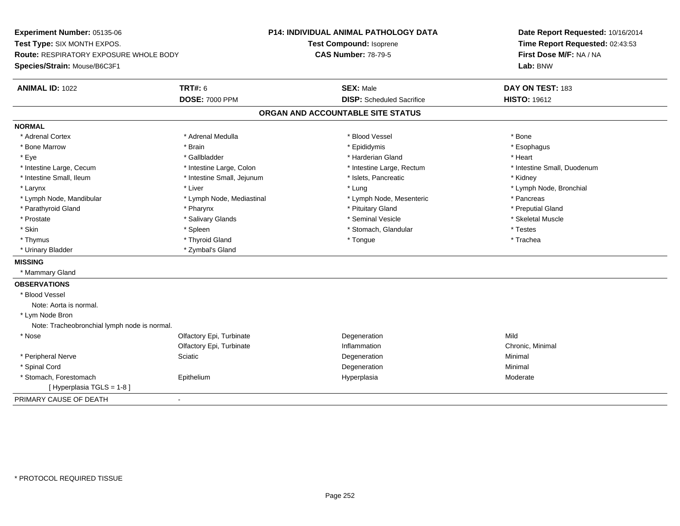**Experiment Number:** 05135-06**Test Type:** SIX MONTH EXPOS.**Route:** RESPIRATORY EXPOSURE WHOLE BODY**Species/Strain:** Mouse/B6C3F1**P14: INDIVIDUAL ANIMAL PATHOLOGY DATATest Compound:** Isoprene**CAS Number:** 78-79-5**Date Report Requested:** 10/16/2014**Time Report Requested:** 02:43:53**First Dose M/F:** NA / NA**Lab:** BNW**ANIMAL ID:** 1022 **TRT#:** <sup>6</sup> **SEX:** Male **DAY ON TEST:** <sup>183</sup> **DOSE:** 7000 PPM**DISP:** Scheduled Sacrifice **HISTO:** 19612 **ORGAN AND ACCOUNTABLE SITE STATUSNORMAL**\* Adrenal Cortex \* Adrenal Cortex \* \* Adrenal Medulla \* \* Adrenal Medulla \* \* Blood Vessel \* \* Brood Vessel \* \* Bone \* Esophagus \* Bone Marrow \* Brain \* Epididymis \* Esophagus \* Eye \* \* Gallbladder \* \* Gallbladder \* \* \* \* Harderian Gland \* \* Heart \* Heart \* Heart \* Heart \* Heart \* Heart \* Intestine Large, Cecum \* Intestine Large, Colon \* Intestine Large, Thestine Large, Rectum \* Intestine Small, Duodenum \* Intestine Small, Ileum \* Thestine Small, Jejunum \* 1998, Pancreatic \* Kidney \* Kidney \* Kidney \* Kidney \* Larynx \* Louis \* Liver \* Lung \* Lung \* Lung \* Lung \* Lung \* Lymph Node, Bronchial \* Lymph Node, Bronchial \* \* Lymph Node, Mandibular \* The mode \* Lymph Node, Mediastinal \* Lymph Node, Mesenteric \* Pancreas \* Pancreas \* Preputial Gland \* Parathyroid Gland \* **Example 20** \* Pharynx \* Pharynx \* Preputing the state of the preputation of the preputation of the preputation of the preputation of the preputation of the preputation of the preputation of the prepu \* Skeletal Muscle \* Prostate \* \* Skeletal Muscle \* \* Salivary Glands \* \* \* Seminal Vesicle \* \* \* Seminal Vesicle \* \* Skeletal Muscle \* Skin \* Spleen \* Spleen \* Spleen \* Stomach, Glandular \* Testes \* Testes \* Testes \* Trachea \* Thymus \* \* The mode of the total of the total term of the total term of the total term of the total term of t \* Urinary Bladder \* Zymbal's Gland**MISSING** \* Mammary Gland**OBSERVATIONS** \* Blood VesselNote: Aorta is normal. \* Lym Node Bron Note: Tracheobronchial lymph node is normal. \* Nosee and the Colfactory Epi, Turbinate and the Colfactory Epistem of the Colfactory Epistem Mild Olfactory Epi, Turbinatee Chronic, Minimal \* Peripheral Nervee and the Sciatic Control of the Science of the Degeneration Control of Minimal Minimal Science of the Science \* Spinal Cordd and the control of the control of the control of the control of the control of the control of the control of the control of the control of the control of the control of the control of the control of the control of the co \* Stomach, Forestomach Epitheliumm and the Hyperplasia measurement of the Hyperplasia measurement of the Moderate Moderate [ Hyperplasia TGLS = 1-8 ]PRIMARY CAUSE OF DEATH-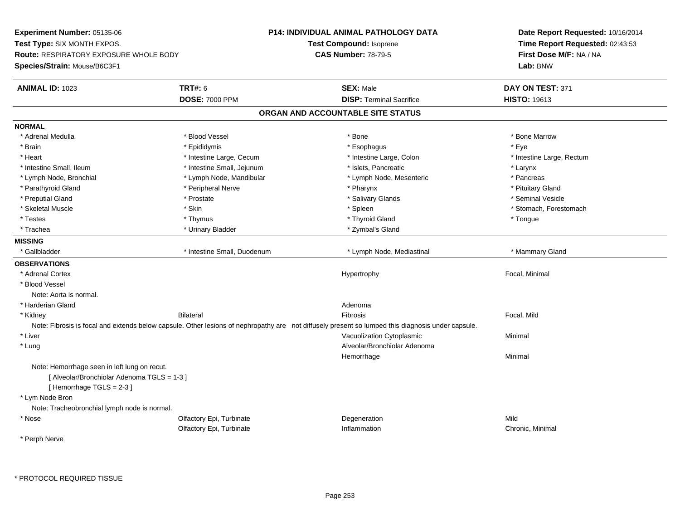**Experiment Number:** 05135-06**Test Type:** SIX MONTH EXPOS.**Route:** RESPIRATORY EXPOSURE WHOLE BODY**Species/Strain:** Mouse/B6C3F1**P14: INDIVIDUAL ANIMAL PATHOLOGY DATATest Compound:** Isoprene**CAS Number:** 78-79-5**Date Report Requested:** 10/16/2014**Time Report Requested:** 02:43:53**First Dose M/F:** NA / NA**Lab:** BNW**ANIMAL ID:** 1023**TRT#:** 6 **SEX:** Male **SEX:** Male **DAY ON TEST:** 371 **DOSE:** 7000 PPM**DISP:** Terminal Sacrifice **HISTO:** 19613 **ORGAN AND ACCOUNTABLE SITE STATUSNORMAL**\* Adrenal Medulla \* \* \* Blood Vessel \* \* \* Bone Marrow \* Bone Marrow \* Bone Marrow \* Bone Marrow \* Brain \* \* Expediance \* Epididymis \* \* Expediance \* \* Esophagus \* Expediance \* \* Expediance \* Eye \* Eye \* Heart Thestine Large, Cecum Thestine Large, Cecum And Alternative Large, Colon Thestine Large, Rectum \* Intestine Large, Rectum \* Intestine Large, Rectum \* Intestine Small, Ileum \* Intestine Small, Jejunum \* Islets, Pancreatic \* Larynx\* Pancreas \* Lymph Node, Bronchial \* Lymph Node, Mandibular \* Pancrease \* Pancrease \* Lymph Node, Mesenteric \* \* Pituitary Gland \* Parathyroid Gland \* **Example 20** \* Peripheral Nerve \* Pharynx \* Pharynx \* Pharynx \* Seminal Vesicle \* Preputial Gland \* \* Annual vesicle \* \* Prostate \* \* Salivary Glands \* \* Salivary Glands \* \* Seminal Vesicle \* \* Skeletal Muscle \* The stomach \* Skin \* Spleen \* Spleen \* Stomach, Forestomach \* Stomach, Forestomach \* Testes \* Thymus \* Thyroid Gland \* Tongue \* Trachea \* Urinary Bladder \* Zymbal's Gland \* Zymbal's Gland \* Zymbal's Gland **MISSING**\* Gallbladder \* Intestine Small, Duodenum \* The \* Intestine Small, Duodenum \* Lymph Node, Mediastinal \* Mammary Gland **OBSERVATIONS** \* Adrenal Cortex Hypertrophy Focal, Minimal \* Blood VesselNote: Aorta is normal. \* Harderian Glandd and a state of the control of the control of the control of the control of the control of the control of the control of the control of the control of the control of the control of the control of the control of the contro \* Kidney Bilateral Fibrosis Focal, MildNote: Fibrosis is focal and extends below capsule. Other lesions of nephropathy are not diffusely present so lumped this diagnosis under capsule. \* Liver Vacuolization Cytoplasmic Minimal \* Lung Alveolar/Bronchiolar Adenoma Hemorrhagee Minimal Note: Hemorrhage seen in left lung on recut.[ Alveolar/Bronchiolar Adenoma TGLS = 1-3 ][ Hemorrhage TGLS = 2-3 ] \* Lym Node Bron Note: Tracheobronchial lymph node is normal. \* Nosee and the Colfactory Epi, Turbinate and the Colfactory Epistem of the Colfactory Epistem Mild Olfactory Epi, TurbinateInflammation **Chronic**, Minimal

\* Perph Nerve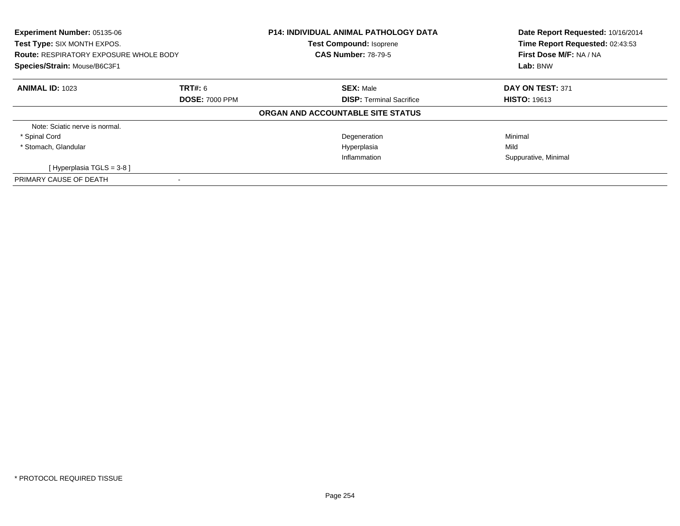| Experiment Number: 05135-06<br>Test Type: SIX MONTH EXPOS.<br><b>Route: RESPIRATORY EXPOSURE WHOLE BODY</b><br>Species/Strain: Mouse/B6C3F1 |                       | <b>P14: INDIVIDUAL ANIMAL PATHOLOGY DATA</b><br><b>Test Compound: Isoprene</b><br><b>CAS Number: 78-79-5</b> | Date Report Requested: 10/16/2014<br>Time Report Requested: 02:43:53<br>First Dose M/F: NA / NA<br>Lab: BNW |
|---------------------------------------------------------------------------------------------------------------------------------------------|-----------------------|--------------------------------------------------------------------------------------------------------------|-------------------------------------------------------------------------------------------------------------|
| <b>ANIMAL ID: 1023</b>                                                                                                                      | <b>TRT#: 6</b>        | <b>SEX: Male</b>                                                                                             | DAY ON TEST: 371                                                                                            |
|                                                                                                                                             | <b>DOSE: 7000 PPM</b> | <b>DISP:</b> Terminal Sacrifice<br>ORGAN AND ACCOUNTABLE SITE STATUS                                         | <b>HISTO: 19613</b>                                                                                         |
| Note: Sciatic nerve is normal.                                                                                                              |                       |                                                                                                              |                                                                                                             |
| * Spinal Cord                                                                                                                               |                       | Degeneration                                                                                                 | Minimal                                                                                                     |
| * Stomach, Glandular                                                                                                                        |                       | Hyperplasia                                                                                                  | Mild                                                                                                        |
|                                                                                                                                             |                       | Inflammation                                                                                                 | Suppurative, Minimal                                                                                        |
| [Hyperplasia TGLS = $3-8$ ]                                                                                                                 |                       |                                                                                                              |                                                                                                             |
| PRIMARY CAUSE OF DEATH                                                                                                                      |                       |                                                                                                              |                                                                                                             |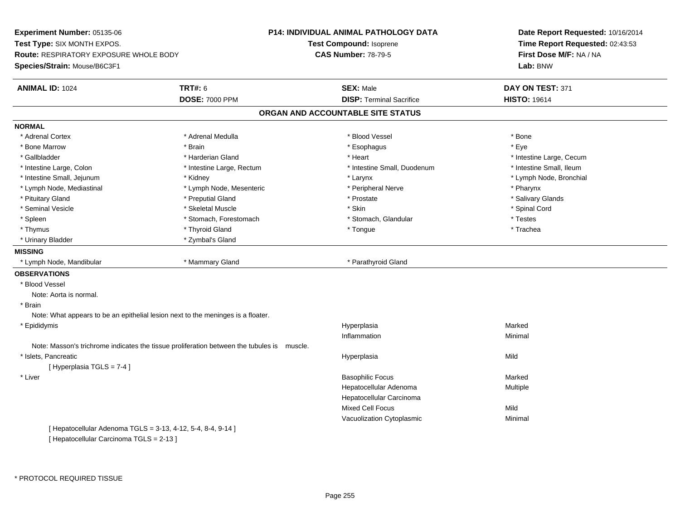**Experiment Number:** 05135-06**Test Type:** SIX MONTH EXPOS.**Route:** RESPIRATORY EXPOSURE WHOLE BODY**Species/Strain:** Mouse/B6C3F1**P14: INDIVIDUAL ANIMAL PATHOLOGY DATATest Compound:** Isoprene**CAS Number:** 78-79-5**Date Report Requested:** 10/16/2014**Time Report Requested:** 02:43:53**First Dose M/F:** NA / NA**Lab:** BNW**ANIMAL ID:** 1024 **TRT#:** <sup>6</sup> **SEX:** Male **DAY ON TEST:** <sup>371</sup> **DOSE:** 7000 PPM**DISP:** Terminal Sacrifice **HISTO:** 19614 **ORGAN AND ACCOUNTABLE SITE STATUSNORMAL**\* Adrenal Cortex \* Adrenal Cortex \* \* Adrenal Medulla \* \* Adrenal Medulla \* \* Blood Vessel \* \* Brood Vessel \* \* Bone \* Eve \* Bone Marrow \* Brain \* Esophagus \* Eye \* Gallbladder \* https://www.frage.com/marticle/state-of-state-of-state-of-state-of-state-of-state-of-state-of-state-of-state-of-state-of-state-of-state-of-state-of-state-of-state-of-state-of-state-of-state-of-state-of-stat \* Intestine Small, Ileum \* Intestine Large, Colon \* Intestine Large, Rectum \* Intestine Small, Duodenum \* Intestine Small, Duodenum \* Lymph Node, Bronchial \* Intestine Small, Jejunum \* Manus \* Kidney \* Kidney \* Larynx \* Larynx \* Larynx \* Larynx \* Larynx \* Larynx \* Larynx \* Larynx \* Larynx \* Larynx \* Larynx \* Larynx \* Larynx \* Larynx \* Larynx \* Larynx \* Larynx \* Larynx \* Laryn \* Lymph Node, Mediastinal \* Tharynx \* Lymph Node, Mesenteric \* Pharynx \* Peripheral Nerve \* Pharynx \* Pharynx \* Salivary Glands \* Pituitary Gland \* \* Then the state \* Preputial Gland \* Prosection \* Prostate \* \* Salivary Glands \* Salivary Glands \* Salivary Glands \* Salivary Glands \* Salivary Glands \* Salivary Glands \* Salivary Glands \* Salivary Glan \* Seminal Vesicle \* \* Spinal Cord \* Skeletal Muscle \* \* Skin \* \* Skin \* \* Spinal Vesicle \* Spinal Cord \* Spinal Cord \* Spleen \* Stomach, Forestomach \* Stomach \* Stomach, Shangh, Glandular \* Testes \* Testes \* Trachea \* Thymus \* \* The mode of the total of the total term of the total term of the total term of the total term of t \* Urinary Bladder \* Zymbal's Gland**MISSING** \* Lymph Node, Mandibular \* Mammary Gland \* Parathyroid Gland**OBSERVATIONS** \* Blood VesselNote: Aorta is normal. \* Brain Note: What appears to be an epithelial lesion next to the meninges is a floater. \* Epididymis Hyperplasiaa **Marked** Inflammationn and a basic control of the Minimal Note: Masson's trichrome indicates the tissue proliferation between the tubules is muscle. \* Islets, Pancreaticc and the contract of the contract of the contract of the contract of the contract of the contract of the contract of the contract of the contract of the contract of the contract of the contract of the contract of the cont a Mild [ Hyperplasia TGLS = 7-4 ] \* Liver Basophilic Focuss Marked a **Multiple** Hepatocellular AdenomaHepatocellular CarcinomaMixed Cell Focuss Mild c **Minimal** Vacuolization Cytoplasmic[ Hepatocellular Adenoma TGLS = 3-13, 4-12, 5-4, 8-4, 9-14 ][ Hepatocellular Carcinoma TGLS = 2-13 ]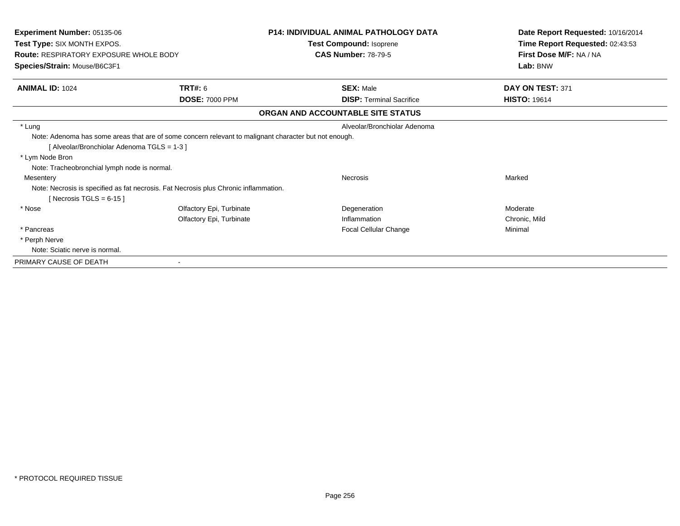| Experiment Number: 05135-06                                                                                                                        |                          | <b>P14: INDIVIDUAL ANIMAL PATHOLOGY DATA</b> | Date Report Requested: 10/16/2014 |
|----------------------------------------------------------------------------------------------------------------------------------------------------|--------------------------|----------------------------------------------|-----------------------------------|
| Test Type: SIX MONTH EXPOS.                                                                                                                        |                          | <b>Test Compound: Isoprene</b>               | Time Report Requested: 02:43:53   |
| <b>Route: RESPIRATORY EXPOSURE WHOLE BODY</b>                                                                                                      |                          | <b>CAS Number: 78-79-5</b>                   | First Dose M/F: NA / NA           |
| Species/Strain: Mouse/B6C3F1                                                                                                                       |                          |                                              | Lab: BNW                          |
| <b>ANIMAL ID: 1024</b>                                                                                                                             | <b>TRT#:</b> 6           | <b>SEX: Male</b>                             | DAY ON TEST: 371                  |
|                                                                                                                                                    | <b>DOSE: 7000 PPM</b>    | <b>DISP:</b> Terminal Sacrifice              | <b>HISTO: 19614</b>               |
|                                                                                                                                                    |                          | ORGAN AND ACCOUNTABLE SITE STATUS            |                                   |
| * Lung                                                                                                                                             |                          | Alveolar/Bronchiolar Adenoma                 |                                   |
| Note: Adenoma has some areas that are of some concern relevant to malignant character but not enough.<br>[Alveolar/Bronchiolar Adenoma TGLS = 1-3] |                          |                                              |                                   |
| * Lym Node Bron                                                                                                                                    |                          |                                              |                                   |
| Note: Tracheobronchial lymph node is normal.                                                                                                       |                          |                                              |                                   |
| Mesentery                                                                                                                                          |                          | <b>Necrosis</b>                              | Marked                            |
| Note: Necrosis is specified as fat necrosis. Fat Necrosis plus Chronic inflammation.<br>[Necrosis TGLS = $6-15$ ]                                  |                          |                                              |                                   |
| * Nose                                                                                                                                             | Olfactory Epi, Turbinate | Degeneration                                 | Moderate                          |
|                                                                                                                                                    | Olfactory Epi, Turbinate | Inflammation                                 | Chronic, Mild                     |
| * Pancreas                                                                                                                                         |                          | Focal Cellular Change                        | Minimal                           |
| * Perph Nerve                                                                                                                                      |                          |                                              |                                   |
| Note: Sciatic nerve is normal.                                                                                                                     |                          |                                              |                                   |
| PRIMARY CAUSE OF DEATH                                                                                                                             |                          |                                              |                                   |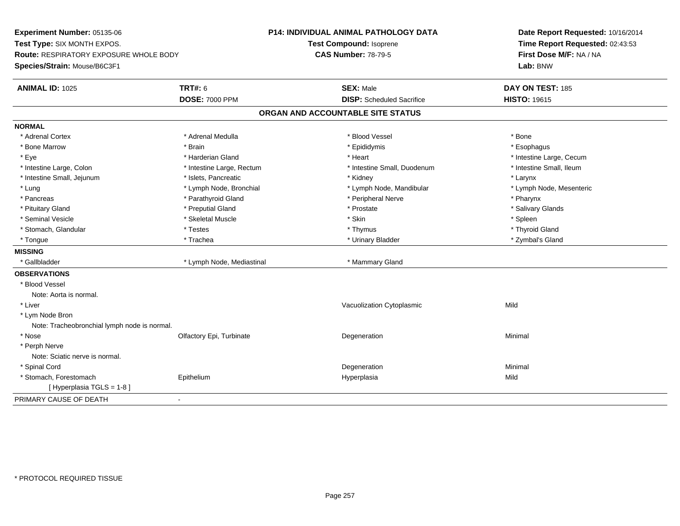**Experiment Number:** 05135-06**Test Type:** SIX MONTH EXPOS.**Route:** RESPIRATORY EXPOSURE WHOLE BODY**Species/Strain:** Mouse/B6C3F1**P14: INDIVIDUAL ANIMAL PATHOLOGY DATATest Compound:** Isoprene**CAS Number:** 78-79-5**Date Report Requested:** 10/16/2014**Time Report Requested:** 02:43:53**First Dose M/F:** NA / NA**Lab:** BNW**ANIMAL ID:** 1025 **TRT#:** <sup>6</sup> **SEX:** Male **DAY ON TEST:** <sup>185</sup> **DOSE:** 7000 PPM**DISP:** Scheduled Sacrifice **HISTO:** 19615 **ORGAN AND ACCOUNTABLE SITE STATUSNORMAL**\* Adrenal Cortex \* Adrenal Cortex \* \* Adrenal Medulla \* \* Adrenal Medulla \* \* Blood Vessel \* \* Brood Vessel \* \* Bone \* Esophagus \* Bone Marrow \* Brain \* Epididymis \* Esophagus \* Eye \* https://www.frage.com/mode.com/mode.com/mode.com/mode.com/mode.com/mode.com/mode.com/mode.com/mode.com/ \* Intestine Small, Ileum \* Intestine Large, Colon \* Intestine Large, Rectum \* Intestine Small, Duodenum \* Intestine Small, Duodenum \* Intestine Small, Jejunum \* The metal was a structure \* Islets, Pancreatic **\* The metal was a structure \* Larynx** \* Larynx \* Lymph Node, Mesenteric \* Lung \* Lymph Node, Bronchial \* Lymph Node, Mandibular \* Lymph Node, Mandibular \* Pancreas \* Parathyroid Gland \* \* Parathyroid Gland \* Peripheral Nerve \* \* Peripheral Nerve \* \* Pharynx \* Salivary Glands \* Pituitary Gland \* \* Then the state \* Preputial Gland \* Prosection \* Prostate \* \* Salivary Glands \* Salivary Glands \* Salivary Glands \* Salivary Glands \* Salivary Glands \* Salivary Glands \* Salivary Glands \* Salivary Glan \* Seminal Vesicle \* \* \* Sheem \* Skeletal Muscle \* \* Stemme \* Skin \* \* Skin \* \* Spleen \* Spleen \* Spleen \* Spleen \* Thyroid Gland \* Stomach, Glandular \* \* \* Thyroid Glandular \* Thestes \* \* Thymus \* Thymus \* Thyroid Glandular \* Thyroid Gland \* Zymbal's Gland \* Tongue \* Trachea \* Urinary Bladder \* Zymbal's Gland **MISSING**\* Gallbladder \* Lymph Node, Mediastinal \* Mammary Gland **OBSERVATIONS** \* Blood VesselNote: Aorta is normal. \* Liver Vacuolization Cytoplasmicc Mild \* Lym Node Bron Note: Tracheobronchial lymph node is normal. \* Nosee and the Colfactory Epi, Turbinate and the Coleman Degeneration Coleman Minimal Minimal \* Perph Nerve Note: Sciatic nerve is normal. \* Spinal Cordd and the control of the control of the control of the control of the control of the control of the control of the control of the control of the control of the control of the control of the control of the control of the co \* Stomach, Forestomach Epithelium Hyperplasia Mild [ Hyperplasia TGLS = 1-8 ]PRIMARY CAUSE OF DEATH-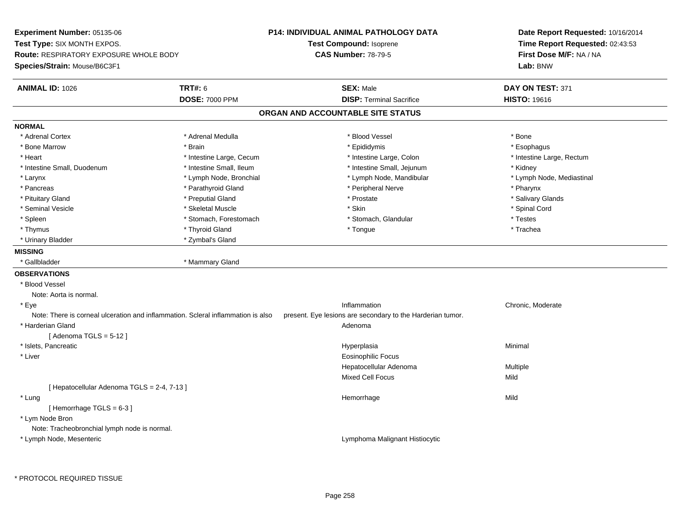**Experiment Number:** 05135-06**Test Type:** SIX MONTH EXPOS.**Route:** RESPIRATORY EXPOSURE WHOLE BODY**Species/Strain:** Mouse/B6C3F1**P14: INDIVIDUAL ANIMAL PATHOLOGY DATATest Compound:** Isoprene**CAS Number:** 78-79-5**Date Report Requested:** 10/16/2014**Time Report Requested:** 02:43:53**First Dose M/F:** NA / NA**Lab:** BNW**ANIMAL ID:** 1026**6 DAY ON TEST:** 371 **DOSE:** 7000 PPM**DISP:** Terminal Sacrifice **HISTO:** 19616 **ORGAN AND ACCOUNTABLE SITE STATUSNORMAL**\* Adrenal Cortex \* Adrenal Cortex \* \* Adrenal Medulla \* \* Adrenal Medulla \* \* Blood Vessel \* \* Brood Vessel \* \* Bone \* Esophagus \* Bone Marrow \* Brain \* Epididymis \* Esophagus \* Heart Thestine Large, Cecum Thestine Large, Cecum Assessment Carge, Colon Thestine Large, Rectum \* Intestine Large, Rectum \* Intestine Large, Rectum \* Intestine Small, Duodenum \* Thestine Small, Ileum \* Intestine Small, Ileum \* Intestine Small, Jejunum \* \* Kidney \* Lymph Node, Mediastinal \* Larynx **\* Lymph Node, Bronchial \*** Lymph Node, Bronchial \* Lymph Node, Mandibular \* Pancreas \* Parathyroid Gland \* Parathyroid Gland \* Peripheral Nerve \* Pancreas \* Pharynx \* Salivary Glands \* Pituitary Gland \* \* Then the state \* Preputial Gland \* Prosection \* Prostate \* \* Salivary Glands \* Salivary Glands \* Salivary Glands \* Salivary Glands \* Salivary Glands \* Salivary Glands \* Salivary Glands \* Salivary Glan \* Seminal Vesicle \* \* Spinal Cord \* Skeletal Muscle \* \* Skin \* \* Skin \* \* Spinal Vesicle \* Spinal Cord \* Spinal Cord \* Spleen \* Stomach, Forestomach \* Stomach \* Stomach, Shangh, Glandular \* Testes \* Testes \* Trachea \* Thymus \* \* The mode of the total of the total term of the total term of the total term of the total term of t \* Urinary Bladder \* Zymbal's Gland**MISSING**\* Gallbladder \* Mammary Gland **OBSERVATIONS** \* Blood VesselNote: Aorta is normal. \* Eyee the contract of the chronic, Moderate contract of the chronic method of the chronic, Moderate chronic, Moderate chronic, Moderate chronic, Moderate chronic, Moderate chronic, Moderate chronic, Moderate chronic, Moderate Note: There is corneal ulceration and inflammation. Scleral inflammation is also present. Eye lesions are secondary to the Harderian tumor. \* Harderian Glandd and a state of the control of the control of the control of the control of the control of the control of the control of the control of the control of the control of the control of the control of the control of the contro  $[$  Adenoma TGLS = 5-12  $]$  \* Islets, Pancreaticc and the contract of the contract of the contract of the contract of the contract of the contract of the contract of the contract of the contract of the contract of the contract of the contract of the contract of the cont a **Minimal**  \* Liver Eosinophilic Focus Hepatocellular AdenomaMultiple<br>Mild Mixed Cell Focuss Mild [ Hepatocellular Adenoma TGLS = 2-4, 7-13 ] \* Lungg and the state of the state of the state of the state of the Hemorrhage state of the Mild state of the Mild state of the State of the State of the State of the State of the State of the State of the State of the State of [ Hemorrhage TGLS = 6-3 ] \* Lym Node Bron Note: Tracheobronchial lymph node is normal. \* Lymph Node, MesentericLymphoma Malignant Histiocytic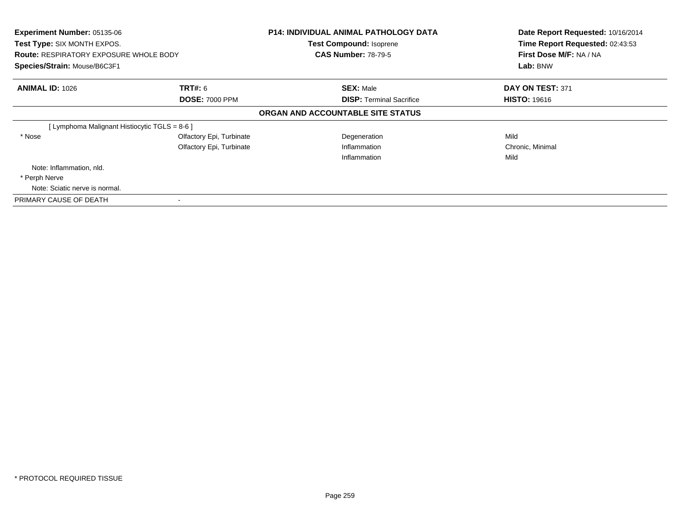| Experiment Number: 05135-06<br>Test Type: SIX MONTH EXPOS.<br><b>Route: RESPIRATORY EXPOSURE WHOLE BODY</b><br>Species/Strain: Mouse/B6C3F1 |                                         | <b>P14: INDIVIDUAL ANIMAL PATHOLOGY DATA</b><br><b>Test Compound: Isoprene</b><br><b>CAS Number: 78-79-5</b> | Date Report Requested: 10/16/2014<br>Time Report Requested: 02:43:53<br>First Dose M/F: NA / NA<br>Lab: BNW |
|---------------------------------------------------------------------------------------------------------------------------------------------|-----------------------------------------|--------------------------------------------------------------------------------------------------------------|-------------------------------------------------------------------------------------------------------------|
| <b>ANIMAL ID: 1026</b>                                                                                                                      | <b>TRT#: 6</b><br><b>DOSE: 7000 PPM</b> | <b>SEX: Male</b><br><b>DISP:</b> Terminal Sacrifice                                                          | DAY ON TEST: 371<br><b>HISTO: 19616</b>                                                                     |
|                                                                                                                                             |                                         | ORGAN AND ACCOUNTABLE SITE STATUS                                                                            |                                                                                                             |
| [ Lymphoma Malignant Histiocytic TGLS = 8-6 ]                                                                                               |                                         |                                                                                                              |                                                                                                             |
| * Nose                                                                                                                                      | Olfactory Epi, Turbinate                | Degeneration                                                                                                 | Mild                                                                                                        |
|                                                                                                                                             | Olfactory Epi, Turbinate                | Inflammation                                                                                                 | Chronic, Minimal                                                                                            |
|                                                                                                                                             |                                         | Inflammation                                                                                                 | Mild                                                                                                        |
| Note: Inflammation, nld.                                                                                                                    |                                         |                                                                                                              |                                                                                                             |
| * Perph Nerve                                                                                                                               |                                         |                                                                                                              |                                                                                                             |
| Note: Sciatic nerve is normal.                                                                                                              |                                         |                                                                                                              |                                                                                                             |
| PRIMARY CAUSE OF DEATH                                                                                                                      |                                         |                                                                                                              |                                                                                                             |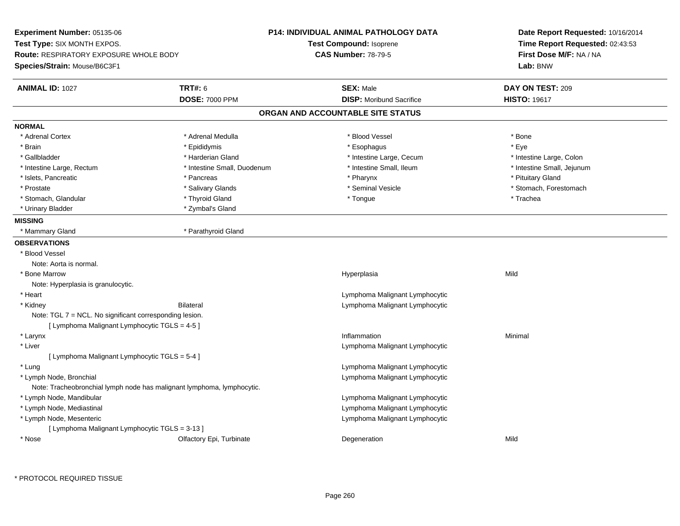| <b>TRT#: 6</b><br><b>SEX: Male</b><br><b>ANIMAL ID: 1027</b><br>DAY ON TEST: 209<br><b>DOSE: 7000 PPM</b><br><b>DISP:</b> Moribund Sacrifice<br><b>HISTO: 19617</b><br>ORGAN AND ACCOUNTABLE SITE STATUS<br>* Adrenal Cortex<br>* Adrenal Medulla<br>* Blood Vessel<br>* Bone<br>* Eye<br>* Brain<br>* Epididymis<br>* Esophagus<br>* Gallbladder<br>* Harderian Gland<br>* Intestine Large, Cecum<br>* Intestine Large, Colon<br>* Intestine Small, Duodenum<br>* Intestine Small, Ileum<br>* Intestine Small, Jejunum<br>* Intestine Large, Rectum<br>* Islets, Pancreatic<br>* Pharynx<br>* Pituitary Gland<br>* Pancreas<br>* Seminal Vesicle<br>* Stomach, Forestomach<br>* Prostate<br>* Salivary Glands<br>* Thyroid Gland<br>* Stomach, Glandular<br>* Tongue<br>* Trachea<br>* Zymbal's Gland<br>* Urinary Bladder<br>* Parathyroid Gland<br>* Mammary Gland<br>* Blood Vessel<br>Note: Aorta is normal.<br>* Bone Marrow<br>Mild<br>Hyperplasia<br>Note: Hyperplasia is granulocytic.<br>* Heart<br>Lymphoma Malignant Lymphocytic<br>Bilateral<br>Lymphoma Malignant Lymphocytic<br>* Kidney<br>Note: TGL 7 = NCL. No significant corresponding lesion.<br>[ Lymphoma Malignant Lymphocytic TGLS = 4-5 ]<br>Minimal<br>* Larynx<br>Inflammation<br>* Liver<br>Lymphoma Malignant Lymphocytic<br>[ Lymphoma Malignant Lymphocytic TGLS = 5-4 ]<br>Lymphoma Malignant Lymphocytic<br>* Lung<br>* Lymph Node, Bronchial<br>Lymphoma Malignant Lymphocytic<br>Note: Tracheobronchial lymph node has malignant lymphoma, lymphocytic.<br>* Lymph Node, Mandibular<br>Lymphoma Malignant Lymphocytic<br>* Lymph Node, Mediastinal<br>Lymphoma Malignant Lymphocytic<br>* Lymph Node, Mesenteric<br>Lymphoma Malignant Lymphocytic<br>[ Lymphoma Malignant Lymphocytic TGLS = 3-13 ]<br>Mild<br>* Nose<br>Olfactory Epi, Turbinate<br>Degeneration | Experiment Number: 05135-06<br>Test Type: SIX MONTH EXPOS.<br><b>Route: RESPIRATORY EXPOSURE WHOLE BODY</b><br>Species/Strain: Mouse/B6C3F1 | <b>P14: INDIVIDUAL ANIMAL PATHOLOGY DATA</b><br>Test Compound: Isoprene<br><b>CAS Number: 78-79-5</b> | Date Report Requested: 10/16/2014<br>Time Report Requested: 02:43:53<br>First Dose M/F: NA / NA<br>Lab: BNW |
|--------------------------------------------------------------------------------------------------------------------------------------------------------------------------------------------------------------------------------------------------------------------------------------------------------------------------------------------------------------------------------------------------------------------------------------------------------------------------------------------------------------------------------------------------------------------------------------------------------------------------------------------------------------------------------------------------------------------------------------------------------------------------------------------------------------------------------------------------------------------------------------------------------------------------------------------------------------------------------------------------------------------------------------------------------------------------------------------------------------------------------------------------------------------------------------------------------------------------------------------------------------------------------------------------------------------------------------------------------------------------------------------------------------------------------------------------------------------------------------------------------------------------------------------------------------------------------------------------------------------------------------------------------------------------------------------------------------------------------------------------------------------------------------------------------------------------------------------------------|---------------------------------------------------------------------------------------------------------------------------------------------|-------------------------------------------------------------------------------------------------------|-------------------------------------------------------------------------------------------------------------|
|                                                                                                                                                                                                                                                                                                                                                                                                                                                                                                                                                                                                                                                                                                                                                                                                                                                                                                                                                                                                                                                                                                                                                                                                                                                                                                                                                                                                                                                                                                                                                                                                                                                                                                                                                                                                                                                        |                                                                                                                                             |                                                                                                       |                                                                                                             |
|                                                                                                                                                                                                                                                                                                                                                                                                                                                                                                                                                                                                                                                                                                                                                                                                                                                                                                                                                                                                                                                                                                                                                                                                                                                                                                                                                                                                                                                                                                                                                                                                                                                                                                                                                                                                                                                        |                                                                                                                                             |                                                                                                       |                                                                                                             |
|                                                                                                                                                                                                                                                                                                                                                                                                                                                                                                                                                                                                                                                                                                                                                                                                                                                                                                                                                                                                                                                                                                                                                                                                                                                                                                                                                                                                                                                                                                                                                                                                                                                                                                                                                                                                                                                        |                                                                                                                                             |                                                                                                       |                                                                                                             |
|                                                                                                                                                                                                                                                                                                                                                                                                                                                                                                                                                                                                                                                                                                                                                                                                                                                                                                                                                                                                                                                                                                                                                                                                                                                                                                                                                                                                                                                                                                                                                                                                                                                                                                                                                                                                                                                        | <b>NORMAL</b>                                                                                                                               |                                                                                                       |                                                                                                             |
|                                                                                                                                                                                                                                                                                                                                                                                                                                                                                                                                                                                                                                                                                                                                                                                                                                                                                                                                                                                                                                                                                                                                                                                                                                                                                                                                                                                                                                                                                                                                                                                                                                                                                                                                                                                                                                                        |                                                                                                                                             |                                                                                                       |                                                                                                             |
|                                                                                                                                                                                                                                                                                                                                                                                                                                                                                                                                                                                                                                                                                                                                                                                                                                                                                                                                                                                                                                                                                                                                                                                                                                                                                                                                                                                                                                                                                                                                                                                                                                                                                                                                                                                                                                                        |                                                                                                                                             |                                                                                                       |                                                                                                             |
|                                                                                                                                                                                                                                                                                                                                                                                                                                                                                                                                                                                                                                                                                                                                                                                                                                                                                                                                                                                                                                                                                                                                                                                                                                                                                                                                                                                                                                                                                                                                                                                                                                                                                                                                                                                                                                                        |                                                                                                                                             |                                                                                                       |                                                                                                             |
|                                                                                                                                                                                                                                                                                                                                                                                                                                                                                                                                                                                                                                                                                                                                                                                                                                                                                                                                                                                                                                                                                                                                                                                                                                                                                                                                                                                                                                                                                                                                                                                                                                                                                                                                                                                                                                                        |                                                                                                                                             |                                                                                                       |                                                                                                             |
|                                                                                                                                                                                                                                                                                                                                                                                                                                                                                                                                                                                                                                                                                                                                                                                                                                                                                                                                                                                                                                                                                                                                                                                                                                                                                                                                                                                                                                                                                                                                                                                                                                                                                                                                                                                                                                                        |                                                                                                                                             |                                                                                                       |                                                                                                             |
|                                                                                                                                                                                                                                                                                                                                                                                                                                                                                                                                                                                                                                                                                                                                                                                                                                                                                                                                                                                                                                                                                                                                                                                                                                                                                                                                                                                                                                                                                                                                                                                                                                                                                                                                                                                                                                                        |                                                                                                                                             |                                                                                                       |                                                                                                             |
|                                                                                                                                                                                                                                                                                                                                                                                                                                                                                                                                                                                                                                                                                                                                                                                                                                                                                                                                                                                                                                                                                                                                                                                                                                                                                                                                                                                                                                                                                                                                                                                                                                                                                                                                                                                                                                                        |                                                                                                                                             |                                                                                                       |                                                                                                             |
|                                                                                                                                                                                                                                                                                                                                                                                                                                                                                                                                                                                                                                                                                                                                                                                                                                                                                                                                                                                                                                                                                                                                                                                                                                                                                                                                                                                                                                                                                                                                                                                                                                                                                                                                                                                                                                                        |                                                                                                                                             |                                                                                                       |                                                                                                             |
|                                                                                                                                                                                                                                                                                                                                                                                                                                                                                                                                                                                                                                                                                                                                                                                                                                                                                                                                                                                                                                                                                                                                                                                                                                                                                                                                                                                                                                                                                                                                                                                                                                                                                                                                                                                                                                                        | <b>MISSING</b>                                                                                                                              |                                                                                                       |                                                                                                             |
|                                                                                                                                                                                                                                                                                                                                                                                                                                                                                                                                                                                                                                                                                                                                                                                                                                                                                                                                                                                                                                                                                                                                                                                                                                                                                                                                                                                                                                                                                                                                                                                                                                                                                                                                                                                                                                                        |                                                                                                                                             |                                                                                                       |                                                                                                             |
|                                                                                                                                                                                                                                                                                                                                                                                                                                                                                                                                                                                                                                                                                                                                                                                                                                                                                                                                                                                                                                                                                                                                                                                                                                                                                                                                                                                                                                                                                                                                                                                                                                                                                                                                                                                                                                                        | <b>OBSERVATIONS</b>                                                                                                                         |                                                                                                       |                                                                                                             |
|                                                                                                                                                                                                                                                                                                                                                                                                                                                                                                                                                                                                                                                                                                                                                                                                                                                                                                                                                                                                                                                                                                                                                                                                                                                                                                                                                                                                                                                                                                                                                                                                                                                                                                                                                                                                                                                        |                                                                                                                                             |                                                                                                       |                                                                                                             |
|                                                                                                                                                                                                                                                                                                                                                                                                                                                                                                                                                                                                                                                                                                                                                                                                                                                                                                                                                                                                                                                                                                                                                                                                                                                                                                                                                                                                                                                                                                                                                                                                                                                                                                                                                                                                                                                        |                                                                                                                                             |                                                                                                       |                                                                                                             |
|                                                                                                                                                                                                                                                                                                                                                                                                                                                                                                                                                                                                                                                                                                                                                                                                                                                                                                                                                                                                                                                                                                                                                                                                                                                                                                                                                                                                                                                                                                                                                                                                                                                                                                                                                                                                                                                        |                                                                                                                                             |                                                                                                       |                                                                                                             |
|                                                                                                                                                                                                                                                                                                                                                                                                                                                                                                                                                                                                                                                                                                                                                                                                                                                                                                                                                                                                                                                                                                                                                                                                                                                                                                                                                                                                                                                                                                                                                                                                                                                                                                                                                                                                                                                        |                                                                                                                                             |                                                                                                       |                                                                                                             |
|                                                                                                                                                                                                                                                                                                                                                                                                                                                                                                                                                                                                                                                                                                                                                                                                                                                                                                                                                                                                                                                                                                                                                                                                                                                                                                                                                                                                                                                                                                                                                                                                                                                                                                                                                                                                                                                        |                                                                                                                                             |                                                                                                       |                                                                                                             |
|                                                                                                                                                                                                                                                                                                                                                                                                                                                                                                                                                                                                                                                                                                                                                                                                                                                                                                                                                                                                                                                                                                                                                                                                                                                                                                                                                                                                                                                                                                                                                                                                                                                                                                                                                                                                                                                        |                                                                                                                                             |                                                                                                       |                                                                                                             |
|                                                                                                                                                                                                                                                                                                                                                                                                                                                                                                                                                                                                                                                                                                                                                                                                                                                                                                                                                                                                                                                                                                                                                                                                                                                                                                                                                                                                                                                                                                                                                                                                                                                                                                                                                                                                                                                        |                                                                                                                                             |                                                                                                       |                                                                                                             |
|                                                                                                                                                                                                                                                                                                                                                                                                                                                                                                                                                                                                                                                                                                                                                                                                                                                                                                                                                                                                                                                                                                                                                                                                                                                                                                                                                                                                                                                                                                                                                                                                                                                                                                                                                                                                                                                        |                                                                                                                                             |                                                                                                       |                                                                                                             |
|                                                                                                                                                                                                                                                                                                                                                                                                                                                                                                                                                                                                                                                                                                                                                                                                                                                                                                                                                                                                                                                                                                                                                                                                                                                                                                                                                                                                                                                                                                                                                                                                                                                                                                                                                                                                                                                        |                                                                                                                                             |                                                                                                       |                                                                                                             |
|                                                                                                                                                                                                                                                                                                                                                                                                                                                                                                                                                                                                                                                                                                                                                                                                                                                                                                                                                                                                                                                                                                                                                                                                                                                                                                                                                                                                                                                                                                                                                                                                                                                                                                                                                                                                                                                        |                                                                                                                                             |                                                                                                       |                                                                                                             |
|                                                                                                                                                                                                                                                                                                                                                                                                                                                                                                                                                                                                                                                                                                                                                                                                                                                                                                                                                                                                                                                                                                                                                                                                                                                                                                                                                                                                                                                                                                                                                                                                                                                                                                                                                                                                                                                        |                                                                                                                                             |                                                                                                       |                                                                                                             |
|                                                                                                                                                                                                                                                                                                                                                                                                                                                                                                                                                                                                                                                                                                                                                                                                                                                                                                                                                                                                                                                                                                                                                                                                                                                                                                                                                                                                                                                                                                                                                                                                                                                                                                                                                                                                                                                        |                                                                                                                                             |                                                                                                       |                                                                                                             |
|                                                                                                                                                                                                                                                                                                                                                                                                                                                                                                                                                                                                                                                                                                                                                                                                                                                                                                                                                                                                                                                                                                                                                                                                                                                                                                                                                                                                                                                                                                                                                                                                                                                                                                                                                                                                                                                        |                                                                                                                                             |                                                                                                       |                                                                                                             |
|                                                                                                                                                                                                                                                                                                                                                                                                                                                                                                                                                                                                                                                                                                                                                                                                                                                                                                                                                                                                                                                                                                                                                                                                                                                                                                                                                                                                                                                                                                                                                                                                                                                                                                                                                                                                                                                        |                                                                                                                                             |                                                                                                       |                                                                                                             |
|                                                                                                                                                                                                                                                                                                                                                                                                                                                                                                                                                                                                                                                                                                                                                                                                                                                                                                                                                                                                                                                                                                                                                                                                                                                                                                                                                                                                                                                                                                                                                                                                                                                                                                                                                                                                                                                        |                                                                                                                                             |                                                                                                       |                                                                                                             |
|                                                                                                                                                                                                                                                                                                                                                                                                                                                                                                                                                                                                                                                                                                                                                                                                                                                                                                                                                                                                                                                                                                                                                                                                                                                                                                                                                                                                                                                                                                                                                                                                                                                                                                                                                                                                                                                        |                                                                                                                                             |                                                                                                       |                                                                                                             |
|                                                                                                                                                                                                                                                                                                                                                                                                                                                                                                                                                                                                                                                                                                                                                                                                                                                                                                                                                                                                                                                                                                                                                                                                                                                                                                                                                                                                                                                                                                                                                                                                                                                                                                                                                                                                                                                        |                                                                                                                                             |                                                                                                       |                                                                                                             |
|                                                                                                                                                                                                                                                                                                                                                                                                                                                                                                                                                                                                                                                                                                                                                                                                                                                                                                                                                                                                                                                                                                                                                                                                                                                                                                                                                                                                                                                                                                                                                                                                                                                                                                                                                                                                                                                        |                                                                                                                                             |                                                                                                       |                                                                                                             |
|                                                                                                                                                                                                                                                                                                                                                                                                                                                                                                                                                                                                                                                                                                                                                                                                                                                                                                                                                                                                                                                                                                                                                                                                                                                                                                                                                                                                                                                                                                                                                                                                                                                                                                                                                                                                                                                        |                                                                                                                                             |                                                                                                       |                                                                                                             |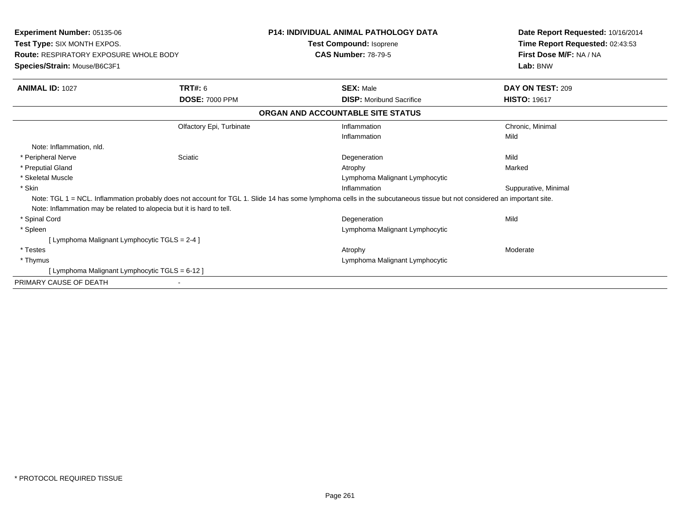| <b>CAS Number: 78-79-5</b><br><b>Route: RESPIRATORY EXPOSURE WHOLE BODY</b><br>Species/Strain: Mouse/B6C3F1                                                            |                      |
|------------------------------------------------------------------------------------------------------------------------------------------------------------------------|----------------------|
| TRT#: 6<br><b>ANIMAL ID: 1027</b><br><b>SEX: Male</b>                                                                                                                  | DAY ON TEST: 209     |
| <b>DOSE: 7000 PPM</b><br><b>DISP:</b> Moribund Sacrifice                                                                                                               | <b>HISTO: 19617</b>  |
| ORGAN AND ACCOUNTABLE SITE STATUS                                                                                                                                      |                      |
| Olfactory Epi, Turbinate<br>Inflammation                                                                                                                               | Chronic, Minimal     |
| Inflammation                                                                                                                                                           | Mild                 |
| Note: Inflammation, nld.                                                                                                                                               |                      |
| * Peripheral Nerve<br>Sciatic<br>Degeneration                                                                                                                          | Mild                 |
| * Preputial Gland<br>Atrophy                                                                                                                                           | Marked               |
| * Skeletal Muscle<br>Lymphoma Malignant Lymphocytic                                                                                                                    |                      |
| * Skin<br>Inflammation                                                                                                                                                 | Suppurative, Minimal |
| Note: TGL 1 = NCL. Inflammation probably does not account for TGL 1. Slide 14 has some lymphoma cells in the subcutaneous tissue but not considered an important site. |                      |
| Note: Inflammation may be related to alopecia but it is hard to tell.                                                                                                  |                      |
| * Spinal Cord<br>Degeneration                                                                                                                                          | Mild                 |
| * Spleen<br>Lymphoma Malignant Lymphocytic                                                                                                                             |                      |
| [ Lymphoma Malignant Lymphocytic TGLS = 2-4 ]                                                                                                                          |                      |
| * Testes<br>Atrophy                                                                                                                                                    | Moderate             |
| * Thymus<br>Lymphoma Malignant Lymphocytic                                                                                                                             |                      |
| [ Lymphoma Malignant Lymphocytic TGLS = 6-12 ]                                                                                                                         |                      |
| PRIMARY CAUSE OF DEATH                                                                                                                                                 |                      |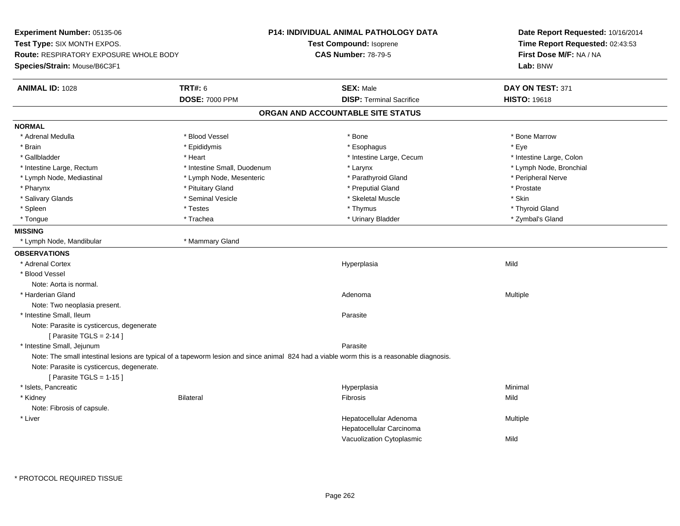**Experiment Number:** 05135-06**Test Type:** SIX MONTH EXPOS.**Route:** RESPIRATORY EXPOSURE WHOLE BODY**Species/Strain:** Mouse/B6C3F1**P14: INDIVIDUAL ANIMAL PATHOLOGY DATATest Compound:** Isoprene**CAS Number:** 78-79-5**Date Report Requested:** 10/16/2014**Time Report Requested:** 02:43:53**First Dose M/F:** NA / NA**Lab:** BNW**ANIMAL ID:** 1028**EX:** Male **DAY ON TEST:** 371 **DOSE:** 7000 PPM**DISP:** Terminal Sacrifice **HISTO:** 19618 **ORGAN AND ACCOUNTABLE SITE STATUSNORMAL**\* Adrenal Medulla \* \* \* Blood Vessel \* \* \* Bone Marrow \* Bone Marrow \* Bone Marrow \* Bone Marrow \* Brain \* \* Expediance \* Epididymis \* \* Expediance \* \* Esophagus \* Expediance \* \* Expediance \* Eye \* Eye \* Intestine Large, Colon \* Gallbladder \* The mode of the state of the state of the state of the state of the state of the state of the state of the state of the state of the state of the state of the state of the state of the state of the state of \* Lymph Node, Bronchial \* Intestine Large, Rectum \* 1. Thestine Small, Duodenum \* Larynx \* Larynx \* Lymph Node, Mediastinal \* Lymph Node, Mesenteric \* Parathyroid Gland \* Peripheral Nerve\* Pharynx \* Pituitary Gland \* Preputial Gland \* Prostate \* Salivary Glands \* Seminal Vesicle \* Skeletal Muscle \* Skin\* Thyroid Gland \* Spleen \* \* Thyroid Gland \* Testes \* \* Testes \* \* Thymus \* Thymus \* \* Thyroid Gland \* Thyroid Gland \* Thyroid Gland \* Zymbal's Gland \* Tongue \* Trachea \* Urinary Bladder \* Zymbal's Gland **MISSING** \* Lymph Node, Mandibular \* Mammary Gland**OBSERVATIONS** \* Adrenal Cortexx and the contract of the contract of the contract of the contract of the contract of the contract of the contract of the contract of the contract of the contract of the contract of the contract of the contract of the cont a Mild \* Blood VesselNote: Aorta is normal. \* Harderian Glandd and the control of the control of the control of the control of the control of the control of the control of  $A$ denoma  $A$ denoma  $A$ denoma  $A$ Note: Two neoplasia present. \* Intestine Small, Ileumm Parasite Note: Parasite is cysticercus, degenerate $[$  Parasite TGLS = 2-14  $]$  \* Intestine Small, Jejunumestine Small, Jejunum<br>Note: The small intestinal lesions are typical of a tapeworm lesion and since animal 824 had a viable worm this is a reasonable diagnosis. Note: Parasite is cysticercus, degenerate. $[$  Parasite TGLS = 1-15  $]$  \* Islets, Pancreaticc and the contract of the contract of the contract of the contract of the contract of the contract of the contract of the contract of the contract of the contract of the contract of the contract of the contract of the cont a **Minimal**  \* Kidney Bilateral Fibrosis MildNote: Fibrosis of capsule. \* Liver Hepatocellular Adenoma Multiple Hepatocellular Carcinoma Vacuolization Cytoplasmicc Mild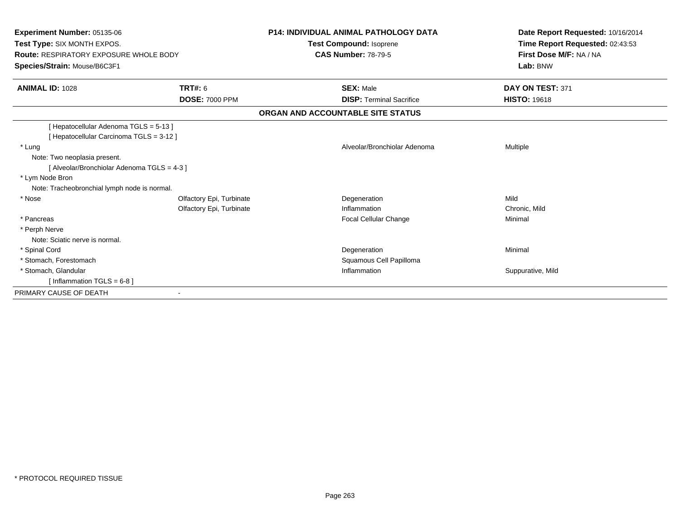| Experiment Number: 05135-06<br>Test Type: SIX MONTH EXPOS.<br><b>Route: RESPIRATORY EXPOSURE WHOLE BODY</b><br>Species/Strain: Mouse/B6C3F1                                                                                                |                                                      | <b>P14: INDIVIDUAL ANIMAL PATHOLOGY DATA</b><br>Test Compound: Isoprene<br><b>CAS Number: 78-79-5</b> | Date Report Requested: 10/16/2014<br>Time Report Requested: 02:43:53<br>First Dose M/F: NA / NA<br>Lab: BNW |
|--------------------------------------------------------------------------------------------------------------------------------------------------------------------------------------------------------------------------------------------|------------------------------------------------------|-------------------------------------------------------------------------------------------------------|-------------------------------------------------------------------------------------------------------------|
| <b>ANIMAL ID: 1028</b>                                                                                                                                                                                                                     | <b>TRT#: 6</b>                                       | <b>SEX: Male</b>                                                                                      | DAY ON TEST: 371                                                                                            |
|                                                                                                                                                                                                                                            | <b>DOSE: 7000 PPM</b>                                | <b>DISP: Terminal Sacrifice</b>                                                                       | <b>HISTO: 19618</b>                                                                                         |
|                                                                                                                                                                                                                                            |                                                      | ORGAN AND ACCOUNTABLE SITE STATUS                                                                     |                                                                                                             |
| [Hepatocellular Adenoma TGLS = 5-13]<br>[Hepatocellular Carcinoma TGLS = 3-12]<br>* Lung<br>Note: Two neoplasia present.<br>[ Alveolar/Bronchiolar Adenoma TGLS = 4-3 ]<br>* Lym Node Bron<br>Note: Tracheobronchial lymph node is normal. |                                                      | Alveolar/Bronchiolar Adenoma                                                                          | <b>Multiple</b>                                                                                             |
| * Nose                                                                                                                                                                                                                                     | Olfactory Epi, Turbinate<br>Olfactory Epi, Turbinate | Degeneration<br>Inflammation                                                                          | Mild<br>Chronic, Mild                                                                                       |
| * Pancreas<br>* Perph Nerve<br>Note: Sciatic nerve is normal.                                                                                                                                                                              |                                                      | Focal Cellular Change                                                                                 | Minimal                                                                                                     |
| * Spinal Cord<br>* Stomach, Forestomach                                                                                                                                                                                                    |                                                      | Degeneration<br>Squamous Cell Papilloma                                                               | Minimal                                                                                                     |
| * Stomach, Glandular<br>[Inflammation TGLS = $6-8$ ]                                                                                                                                                                                       |                                                      | Inflammation                                                                                          | Suppurative, Mild                                                                                           |
| PRIMARY CAUSE OF DEATH                                                                                                                                                                                                                     |                                                      |                                                                                                       |                                                                                                             |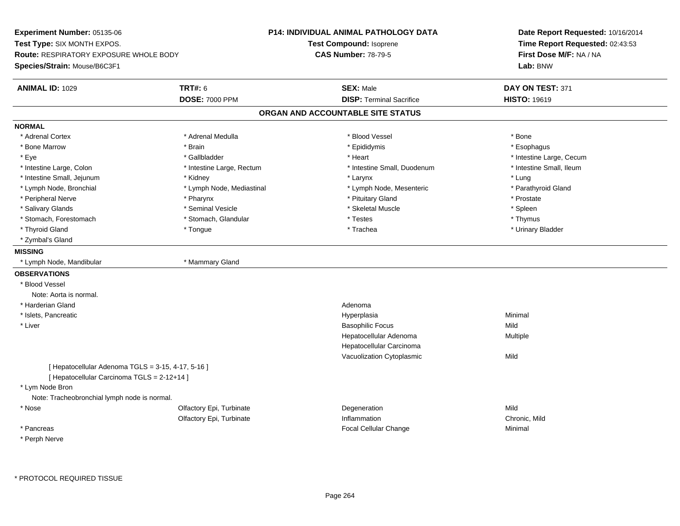**Experiment Number:** 05135-06**Test Type:** SIX MONTH EXPOS.**Route:** RESPIRATORY EXPOSURE WHOLE BODY**Species/Strain:** Mouse/B6C3F1**P14: INDIVIDUAL ANIMAL PATHOLOGY DATATest Compound:** Isoprene**CAS Number:** 78-79-5**Date Report Requested:** 10/16/2014**Time Report Requested:** 02:43:53**First Dose M/F:** NA / NA**Lab:** BNW**ANIMAL ID:** 1029 **TRT#:** <sup>6</sup> **SEX:** Male **DAY ON TEST:** <sup>371</sup> **DOSE:** 7000 PPM**DISP:** Terminal Sacrifice **HISTO:** 19619 **ORGAN AND ACCOUNTABLE SITE STATUSNORMAL**\* Adrenal Cortex \* Adrenal Cortex \* \* Adrenal Medulla \* \* Adrenal Medulla \* \* Blood Vessel \* \* Brood Vessel \* \* Bone \* Esophagus \* Bone Marrow \* Brain \* Epididymis \* Esophagus \* Eye \* https://www.frage.com/windown.com/windown.com/windown.com/windown.com/windown.com/windown.com/windown-\* Intestine Small, Ileum \* Intestine Large, Colon \* Intestine Large, Rectum \* Intestine Small, Duodenum \* Intestine Small, Duodenum \* Intestine Small, Jejunum \* \* Widney \* \* Kidney \* Notesting \* Larynx \* Larynx \* Larynx \* Lung \* Parathyroid Gland \* Lymph Node, Bronchial \* Lymph Node, Mediastinal \* Lymph Node, Mesenteric \* Parathyroid Cland \* Peripheral Nerve \* \* \* Postate \* \* Pharynx \* \* Pharynx \* \* Pituitary Gland \* \* Prostate \* Prostate \* Prostate \* Spleen \* Salivary Glands \* Seminal Vesicle \* Skeletal Muscle \* Spleen\* Thymus \* Stomach, Forestomach \* Testes \* Stomach, Glandular \* Testes \* Testes \* Testes \* Testes \* Testes \* Testes \* T \* Urinary Bladder \* Thyroid Gland \* \* The control of the total property and the top of the top of the top of the top of the top of the top of the top of the top of the top of the top of the top of the top of the top of the top of the top of \* Zymbal's Gland**MISSING** \* Lymph Node, Mandibular \* Mammary Gland**OBSERVATIONS** \* Blood VesselNote: Aorta is normal. \* Harderian Glandd and a state of the control of the control of the control of the control of the control of the control of the control of the control of the control of the control of the control of the control of the control of the contro \* Islets, Pancreaticc and the contract of the contract of the contract of the contract of the contract of the contract of the contract of the contract of the contract of the contract of the contract of the contract of the contract of the cont a **Minimal**  \* Liver Basophilic Focuss Mild a **Multiple** Hepatocellular AdenomaHepatocellular Carcinoma Vacuolization Cytoplasmicc Mild  $[$  Hepatocellular Adenoma TGLS = 3-15, 4-17, 5-16 ] [ Hepatocellular Carcinoma TGLS = 2-12+14 ] \* Lym Node Bron Note: Tracheobronchial lymph node is normal. \* Nosee and the Colfactory Epi, Turbinate and the Colfactory Epistem of the Colfactory Epistem Mild Olfactory Epi, Turbinatee contraction contraction contraction contraction contraction contraction contraction contraction contraction contraction contraction contraction contraction contraction contraction contraction contraction contraction cont \* Pancreas Focal Cellular Change Minimal \* Perph Nerve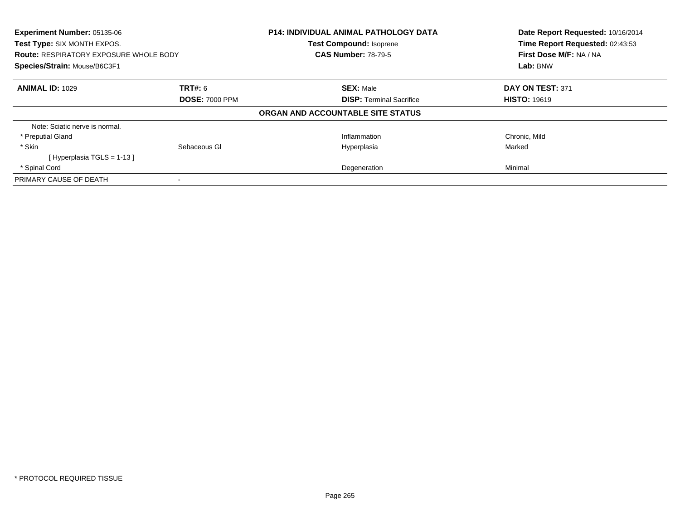| <b>Experiment Number: 05135-06</b><br>Test Type: SIX MONTH EXPOS.<br><b>Route: RESPIRATORY EXPOSURE WHOLE BODY</b> |                       | <b>P14: INDIVIDUAL ANIMAL PATHOLOGY DATA</b> | Date Report Requested: 10/16/2014<br>Time Report Requested: 02:43:53<br>First Dose M/F: NA / NA |
|--------------------------------------------------------------------------------------------------------------------|-----------------------|----------------------------------------------|-------------------------------------------------------------------------------------------------|
|                                                                                                                    |                       | <b>Test Compound: Isoprene</b>               |                                                                                                 |
|                                                                                                                    |                       | <b>CAS Number: 78-79-5</b>                   |                                                                                                 |
| Species/Strain: Mouse/B6C3F1                                                                                       |                       |                                              | Lab: BNW                                                                                        |
| <b>ANIMAL ID: 1029</b>                                                                                             | TRT#: 6               | <b>SEX: Male</b>                             | DAY ON TEST: 371                                                                                |
|                                                                                                                    | <b>DOSE: 7000 PPM</b> | <b>DISP:</b> Terminal Sacrifice              | <b>HISTO: 19619</b>                                                                             |
|                                                                                                                    |                       | ORGAN AND ACCOUNTABLE SITE STATUS            |                                                                                                 |
| Note: Sciatic nerve is normal.                                                                                     |                       |                                              |                                                                                                 |
| * Preputial Gland                                                                                                  |                       | Inflammation                                 | Chronic, Mild                                                                                   |
| * Skin                                                                                                             | Sebaceous GI          | Hyperplasia                                  | Marked                                                                                          |
| [Hyperplasia TGLS = $1-13$ ]                                                                                       |                       |                                              |                                                                                                 |
| * Spinal Cord                                                                                                      |                       | Degeneration                                 | Minimal                                                                                         |
| PRIMARY CAUSE OF DEATH                                                                                             |                       |                                              |                                                                                                 |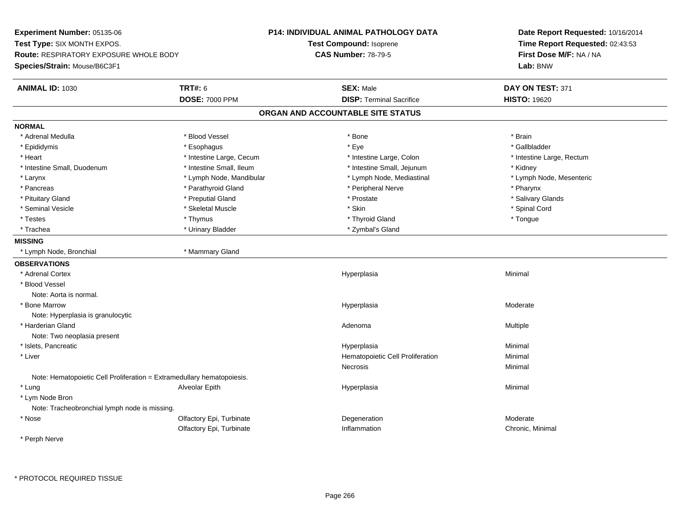**Experiment Number:** 05135-06**Test Type:** SIX MONTH EXPOS.**Route:** RESPIRATORY EXPOSURE WHOLE BODY**Species/Strain:** Mouse/B6C3F1**P14: INDIVIDUAL ANIMAL PATHOLOGY DATATest Compound:** Isoprene**CAS Number:** 78-79-5**Date Report Requested:** 10/16/2014**Time Report Requested:** 02:43:53**First Dose M/F:** NA / NA**Lab:** BNW**ANIMAL ID:** 1030**C TRT#:** 6 **SEX:** Male **SEX:** Male **DAY ON TEST:** 371 **DOSE:** 7000 PPM**DISP:** Terminal Sacrifice **HISTO:** 19620 **ORGAN AND ACCOUNTABLE SITE STATUSNORMAL** \* Adrenal Medulla \* Blood Vessel \* Bone \* Brain\* Gallbladder \* Epididymis \* \* ethanology \* Esophagus \* \* Exercises \* Eye \* \* Eye \* \* Exercises \* Gallbladder \* Gallbladder \* \* Gallbladder \* \* Gallbladder \* \* Gallbladder \* \* Gallbladder \* \* Exercises \* \* Gallbladder \* \* Gallbladder \* \* Heart **\*** Intestine Large, Cecum **\* Intestine Large, Cecum** \* Intestine Large, Colon \* Intestine Large, Rectum \* Intestine Large, Rectum \* Intestine Small, Duodenum \* 100 \* 100 \* 100 \* 100 \* 100 \* 100 \* 100 \* 100 \* 100 \* 100 \* 100 \* Hestine Small, Jejunum \* Kidney \* Lymph Node, Mesenteric \* Larynx **\*** Lymph Node, Mandibular \* Lymph Node, Mediastinal \* Lymph Node, Mediastinal \* \* Pancreas \* Parathyroid Gland \* Parathyroid Gland \* Peripheral Nerve \* Pancreas \* Pharynx \* Salivary Glands \* Pituitary Gland \* \* Then the state \* Preputial Gland \* Prosection \* Prostate \* \* Salivary Glands \* Salivary Glands \* Salivary Glands \* Salivary Glands \* Salivary Glands \* Salivary Glands \* Salivary Glands \* Salivary Glan \* Seminal Vesicle \* \* Spinal Cord \* Skeletal Muscle \* \* Skin \* \* Skin \* \* Spinal Vesicle \* Spinal Cord \* Spinal Cord \* Testes \* Thymus \* Thyroid Gland \* Tongue \* Trachea \* Urinary Bladder \* Zymbal's Gland \* Zymbal's Gland \* Zymbal's Gland **MISSING** \* Lymph Node, Bronchial \* Mammary Gland**OBSERVATIONS** \* Adrenal Cortexx and the contract of the contract of the contract of the contract of the contract of the contract of the contract of the contract of the contract of the contract of the contract of the contract of the contract of the cont a **Minimal**  \* Blood VesselNote: Aorta is normal. \* Bone Marroww which is a state of the state of the Hyperplasia control Hyperplasia and the Moderate of the Moderate of the Moderate of the Moderate of the Moderate of the Moderate of the Moderate of the Moderate of the Moderate of the Note: Hyperplasia is granulocytic \* Harderian Glandd and the control of the control of the control of the control of the control of the control of the control of  $A$ denoma  $A$ denoma  $A$ denoma  $A$ Note: Two neoplasia present \* Islets, Pancreaticc and the contract of the contract of the contract of the contract of the contract of the contract of the contract of the contract of the contract of the contract of the contract of the contract of the contract of the cont a **Minimal**  \* Liver Hematopoietic Cell ProliferationMinimal<br>Minimal Necrosis Minimal Note: Hematopoietic Cell Proliferation = Extramedullary hematopoiesis. \* Lung Alveolar Epith Hyperplasia Minimal \* Lym Node Bron Note: Tracheobronchial lymph node is missing. \* Nosee and the Colfactory Epi, Turbinate and the Content of Degeneration and the Moderate Moderate of the Moderate  $\sim$ Olfactory Epi, TurbinateInflammation **Chronic**, Minimal

\* Perph Nerve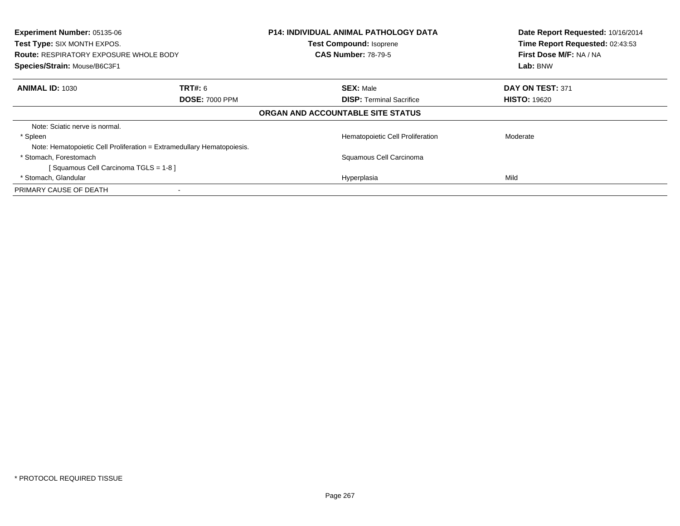| Experiment Number: 05135-06<br><b>Test Type: SIX MONTH EXPOS.</b><br><b>Route: RESPIRATORY EXPOSURE WHOLE BODY</b><br>Species/Strain: Mouse/B6C3F1 |                                                                        | <b>P14: INDIVIDUAL ANIMAL PATHOLOGY DATA</b><br><b>Test Compound: Isoprene</b><br><b>CAS Number: 78-79-5</b> | Date Report Requested: 10/16/2014<br>Time Report Requested: 02:43:53<br>First Dose M/F: NA / NA<br>Lab: BNW |
|----------------------------------------------------------------------------------------------------------------------------------------------------|------------------------------------------------------------------------|--------------------------------------------------------------------------------------------------------------|-------------------------------------------------------------------------------------------------------------|
| <b>ANIMAL ID: 1030</b>                                                                                                                             | <b>TRT#: 6</b><br><b>DOSE: 7000 PPM</b>                                | <b>SEX: Male</b><br><b>DISP: Terminal Sacrifice</b>                                                          | DAY ON TEST: 371<br><b>HISTO: 19620</b>                                                                     |
|                                                                                                                                                    |                                                                        | ORGAN AND ACCOUNTABLE SITE STATUS                                                                            |                                                                                                             |
| Note: Sciatic nerve is normal.                                                                                                                     |                                                                        |                                                                                                              |                                                                                                             |
| * Spleen                                                                                                                                           |                                                                        | Hematopoietic Cell Proliferation                                                                             | Moderate                                                                                                    |
|                                                                                                                                                    | Note: Hematopoietic Cell Proliferation = Extramedullary Hematopoiesis. |                                                                                                              |                                                                                                             |
| * Stomach, Forestomach                                                                                                                             |                                                                        | Squamous Cell Carcinoma                                                                                      |                                                                                                             |
| [Squamous Cell Carcinoma TGLS = 1-8]                                                                                                               |                                                                        |                                                                                                              |                                                                                                             |
| * Stomach, Glandular                                                                                                                               |                                                                        | Hyperplasia                                                                                                  | Mild                                                                                                        |
| PRIMARY CAUSE OF DEATH                                                                                                                             |                                                                        |                                                                                                              |                                                                                                             |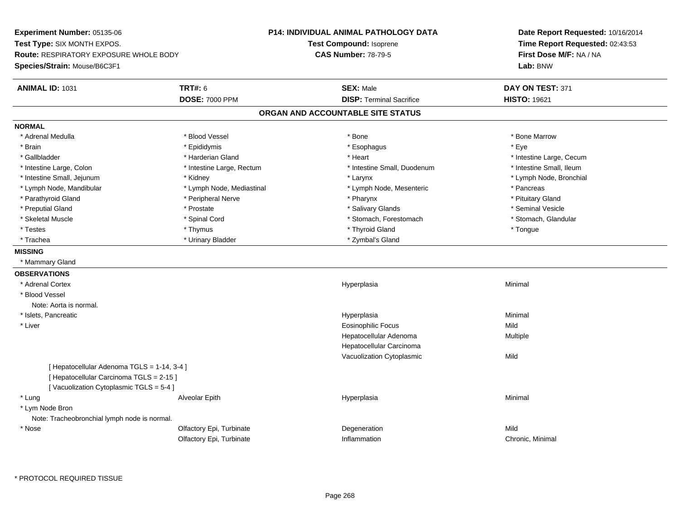**Experiment Number:** 05135-06**Test Type:** SIX MONTH EXPOS.**Route:** RESPIRATORY EXPOSURE WHOLE BODY**Species/Strain:** Mouse/B6C3F1**P14: INDIVIDUAL ANIMAL PATHOLOGY DATATest Compound:** Isoprene**CAS Number:** 78-79-5**Date Report Requested:** 10/16/2014**Time Report Requested:** 02:43:53**First Dose M/F:** NA / NA**Lab:** BNW**ANIMAL ID:** 1031**TRT#:** 6 **SEX:** Male **SEX:** Male **DAY ON TEST:** 371 **DOSE:** 7000 PPM**DISP:** Terminal Sacrifice **HISTO:** 19621 **ORGAN AND ACCOUNTABLE SITE STATUSNORMAL**\* Adrenal Medulla \* \* \* Blood Vessel \* \* \* Bone Marrow \* Bone Marrow \* Bone Marrow \* Bone Marrow \* Brain \* \* Expediance \* Epididymis \* \* Expediance \* \* Esophagus \* Expediance \* \* Expediance \* Eye \* Eye \* Gallbladder \* https://www.frage.com/marticle/state-of-state-of-state-of-state-of-state-of-state-of-state-of-state-of-state-of-state-of-state-of-state-of-state-of-state-of-state-of-state-of-state-of-state-of-state-of-stat \* Intestine Small, Ileum \* Intestine Large, Colon \* Intestine Large, Rectum \* Intestine Small, Duodenum \* Intestine Small, Duodenum \* Lymph Node, Bronchial \* Intestine Small, Jejunum \* Manus \* Kidney \* Kidney \* Larynx \* Larynx \* Larynx \* Larynx \* Larynx \* Larynx \* Larynx \* Larynx \* Larynx \* Larynx \* Larynx \* Larynx \* Larynx \* Larynx \* Larynx \* Larynx \* Larynx \* Larynx \* Laryn \* Lymph Node, Mandibular \* The same that the section of the section of the section of the section of the section of the section of the section of the section of the section of the section of the section of the section of t \* Pituitary Gland \* Parathyroid Gland \* **Archaeology** \* Peripheral Nerve \* Pharynx \* Pharynx \* Pharynx \* Pharynx \* Seminal Vesicle \* Preputial Gland \* \* Annual vesicle \* \* Prostate \* \* Salivary Glands \* \* Salivary Glands \* \* Seminal Vesicle \* \* Stomach. Glandular \* Skeletal Muscle \* Spinal Cord \* Spinal Cord \* Stomach, Forestomach \* Stomach, Forestomach \* Testes \* Thymus \* Thyroid Gland \* Tongue \* Trachea \* Urinary Bladder \* 2ymbal's Gland \* Zymbal's Gland \* Zymbal's Gland \* Zymbal's Gland **MISSING** \* Mammary Gland**OBSERVATIONS** \* Adrenal Cortexx and the control of the control of the control of the control of the control of the control of the control of the control of the control of the control of the control of the control of the control of the control of the co a **Minimal**  \* Blood VesselNote: Aorta is normal. \* Islets, Pancreaticc and the contract of the contract of the contract of the contract of the contract of the contract of the contract of the contract of the contract of the contract of the contract of the contract of the contract of the cont a **Minimal**  \* Liver Eosinophilic Focuss Mild a **Multiple** Hepatocellular AdenomaHepatocellular Carcinoma Vacuolization Cytoplasmicc Mild [ Hepatocellular Adenoma TGLS = 1-14, 3-4 ][ Hepatocellular Carcinoma TGLS = 2-15 ][ Vacuolization Cytoplasmic TGLS = 5-4 ] \* Lung Alveolar Epith Hyperplasia Minimal \* Lym Node Bron Note: Tracheobronchial lymph node is normal. \* Nosee and the Colfactory Epi, Turbinate and the Colfactory Epistem of the Colfactory Epistem Mild Olfactory Epi, TurbinateInflammation Chronic, Minimal

\* PROTOCOL REQUIRED TISSUE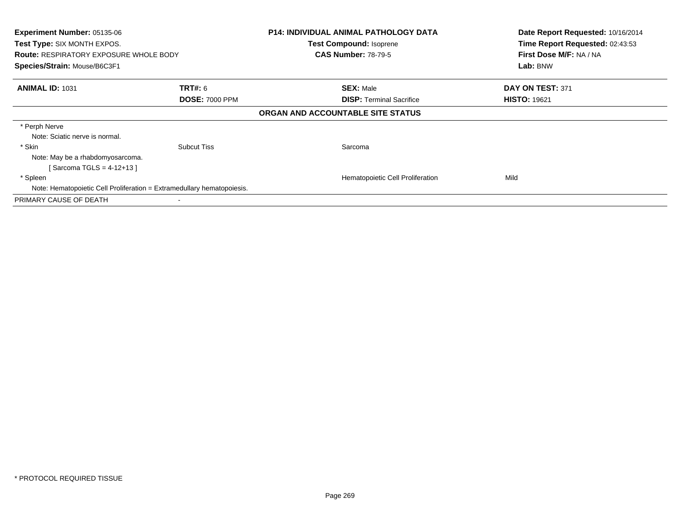| <b>Experiment Number: 05135-06</b><br>Test Type: SIX MONTH EXPOS.<br><b>Route: RESPIRATORY EXPOSURE WHOLE BODY</b><br>Species/Strain: Mouse/B6C3F1 |                                         | <b>P14: INDIVIDUAL ANIMAL PATHOLOGY DATA</b><br><b>Test Compound: Isoprene</b><br><b>CAS Number: 78-79-5</b> | Date Report Requested: 10/16/2014<br>Time Report Requested: 02:43:53<br>First Dose M/F: NA / NA<br>Lab: BNW |
|----------------------------------------------------------------------------------------------------------------------------------------------------|-----------------------------------------|--------------------------------------------------------------------------------------------------------------|-------------------------------------------------------------------------------------------------------------|
| <b>ANIMAL ID: 1031</b>                                                                                                                             | <b>TRT#:</b> 6<br><b>DOSE: 7000 PPM</b> | <b>SEX: Male</b><br><b>DISP: Terminal Sacrifice</b>                                                          | DAY ON TEST: 371<br><b>HISTO: 19621</b>                                                                     |
|                                                                                                                                                    |                                         | ORGAN AND ACCOUNTABLE SITE STATUS                                                                            |                                                                                                             |
| * Perph Nerve<br>Note: Sciatic nerve is normal.<br>* Skin<br>Note: May be a rhabdomyosarcoma.                                                      | <b>Subcut Tiss</b>                      | Sarcoma                                                                                                      |                                                                                                             |
| [Sarcoma TGLS = $4-12+13$ ]<br>* Spleen                                                                                                            |                                         | Hematopoietic Cell Proliferation                                                                             | Mild                                                                                                        |
| Note: Hematopoietic Cell Proliferation = Extramedullary hematopoiesis.                                                                             |                                         |                                                                                                              |                                                                                                             |
| PRIMARY CAUSE OF DEATH                                                                                                                             |                                         |                                                                                                              |                                                                                                             |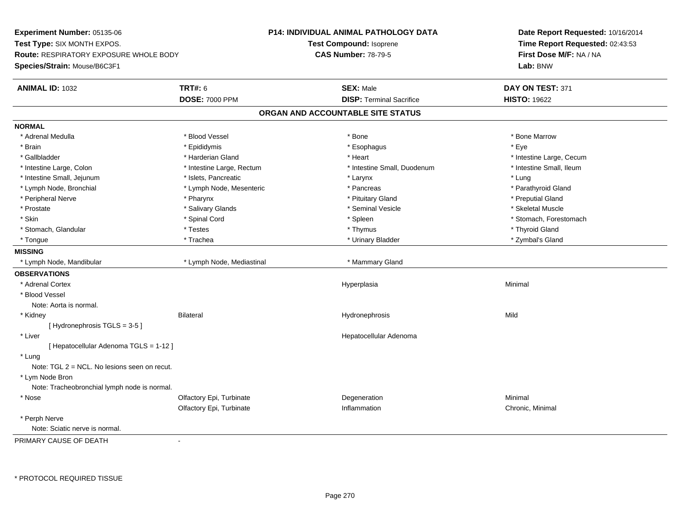**Experiment Number:** 05135-06**Test Type:** SIX MONTH EXPOS.**Route:** RESPIRATORY EXPOSURE WHOLE BODY**Species/Strain:** Mouse/B6C3F1**P14: INDIVIDUAL ANIMAL PATHOLOGY DATATest Compound:** Isoprene**CAS Number:** 78-79-5**Date Report Requested:** 10/16/2014**Time Report Requested:** 02:43:53**First Dose M/F:** NA / NA**Lab:** BNW**ANIMAL ID:** 1032 **TRT#:** <sup>6</sup> **SEX:** Male **DAY ON TEST:** <sup>371</sup> **DOSE:** 7000 PPM**DISP:** Terminal Sacrifice **HISTO:** 19622 **ORGAN AND ACCOUNTABLE SITE STATUSNORMAL**\* Adrenal Medulla \* \* \* Blood Vessel \* \* \* Bone Marrow \* Bone Marrow \* Bone Marrow \* Bone Marrow \* Brain \* \* Expediance \* Epididymis \* \* Expediance \* \* Esophagus \* Expediance \* \* Expediance \* Eye \* Eye \* Gallbladder \* https://www.frage.com/marticle/state-of-state-of-state-of-state-of-state-of-state-of-state-of-state-of-state-of-state-of-state-of-state-of-state-of-state-of-state-of-state-of-state-of-state-of-state-of-stat \* Intestine Small, Ileum \* Intestine Large, Colon \* Intestine Large, Rectum \* Intestine Small, Duodenum \* 1 \* Intestine Small, Jejunum \* \* 19ets, Pancreatic \* Larynx \* Larynx \* Larynx \* Larynx \* Lung \* Parathyroid Gland \* Lymph Node, Bronchial \* The metal \* Lymph Node, Mesenteric \* Pancreas \* Pancreas \* Pancreas \* Pancreas \* Parathyroid Glandashyroid \* Pancreas \* Pancreas \* Pancreas \* Pancreas \* Pancreas \* Pancreas \* Pancreas \* Pancreas \* \* Peripheral Nerve \* \* \* \* Pharynx \* \* Pharynx \* \* \* Preputial Gland \* \* Preputial Gland \* \* Preputial Gland \* Skeletal Muscle \* Prostate \* \* Skeletal Muscle \* \* Salivary Glands \* \* Steminal Vesicle \* \* Seminal Vesicle \* \* Skeletal Muscle \* Skin \* Spinal Cord \* Spinal Cord \* Spinal Cord \* Spinal \* Spinal \* Stomach, Forestomach \* Stomach, Forestomach \* Stomach, Glandular \* Thyroid Gland \* Testes \* Thyroid Gland \* Thyroid Gland \* Thyroid Gland \* Thyroid Gland \* Zymbal's Gland \* Tongue \* Trachea \* Urinary Bladder \* Zymbal's Gland **MISSING** \* Lymph Node, Mandibular \* Lymph Node, Mediastinal \* Mammary Gland**OBSERVATIONS** \* Adrenal Cortexx and the control of the control of the control of the control of the control of the control of the control of the control of the control of the control of the control of the control of the control of the control of the co a **Minimal**  \* Blood VesselNote: Aorta is normal. \* Kidney Bilateral Hydronephrosis Mild[ Hydronephrosis TGLS = 3-5 ] \* Liver Hepatocellular Adenoma[ Hepatocellular Adenoma TGLS = 1-12 ] \* Lung Note: TGL 2 = NCL. No lesions seen on recut. \* Lym Node Bron Note: Tracheobronchial lymph node is normal. \* Nosee and the Colfactory Epi, Turbinate and the Coleman Degeneration Coleman Minimal Minimal Olfactory Epi, Turbinatee Chronic, Minimal \* Perph NerveNote: Sciatic nerve is normal.

PRIMARY CAUSE OF DEATH-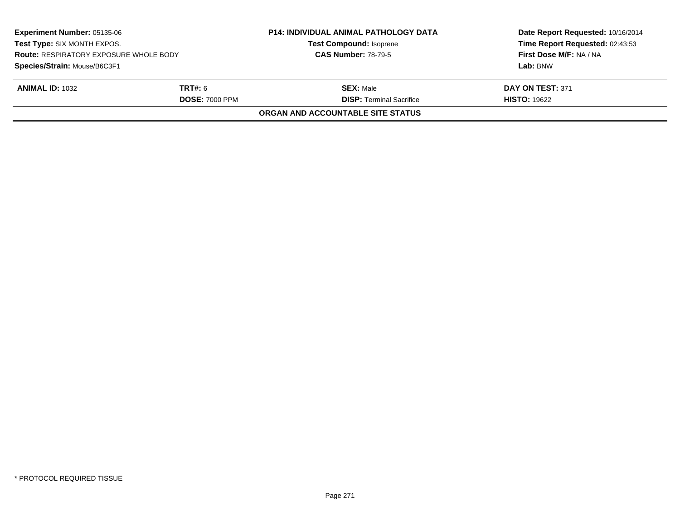| <b>Experiment Number: 05135-06</b><br>Test Type: SIX MONTH EXPOS.<br><b>Route: RESPIRATORY EXPOSURE WHOLE BODY</b> |                       | <b>P14: INDIVIDUAL ANIMAL PATHOLOGY DATA</b> | Date Report Requested: 10/16/2014<br>Time Report Requested: 02:43:53 |
|--------------------------------------------------------------------------------------------------------------------|-----------------------|----------------------------------------------|----------------------------------------------------------------------|
|                                                                                                                    |                       | <b>Test Compound: Isoprene</b>               |                                                                      |
|                                                                                                                    |                       | <b>CAS Number: 78-79-5</b>                   | First Dose M/F: NA / NA                                              |
| Species/Strain: Mouse/B6C3F1                                                                                       |                       |                                              | Lab: BNW                                                             |
| <b>ANIMAL ID: 1032</b>                                                                                             | <b>TRT#:</b> 6        | <b>SEX:</b> Male                             | DAY ON TEST: 371                                                     |
|                                                                                                                    | <b>DOSE: 7000 PPM</b> | <b>DISP: Terminal Sacrifice</b>              | <b>HISTO: 19622</b>                                                  |
|                                                                                                                    |                       | ORGAN AND ACCOUNTABLE SITE STATUS            |                                                                      |
|                                                                                                                    |                       |                                              |                                                                      |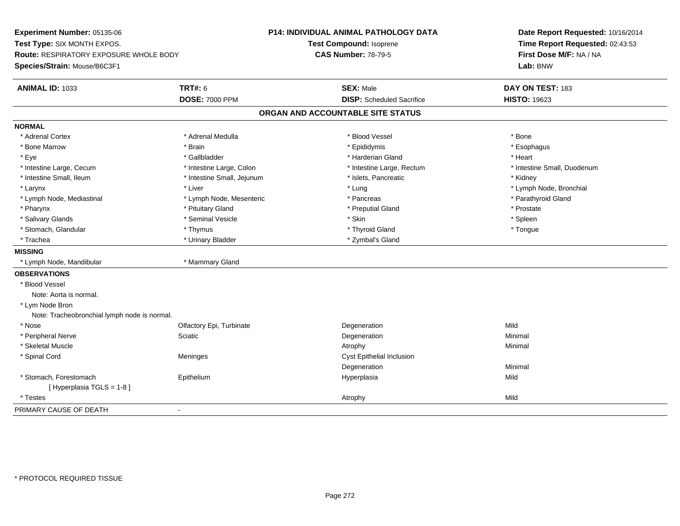**Experiment Number:** 05135-06**Test Type:** SIX MONTH EXPOS.**Route:** RESPIRATORY EXPOSURE WHOLE BODY**Species/Strain:** Mouse/B6C3F1**P14: INDIVIDUAL ANIMAL PATHOLOGY DATATest Compound:** Isoprene**CAS Number:** 78-79-5**Date Report Requested:** 10/16/2014**Time Report Requested:** 02:43:53**First Dose M/F:** NA / NA**Lab:** BNW**ANIMAL ID:** 1033**TRT#:** 6 **SEX:** Male **DAY ON TEST:** 183 **DOSE:** 7000 PPM**DISP:** Scheduled Sacrifice **HISTO:** 19623 **ORGAN AND ACCOUNTABLE SITE STATUSNORMAL**\* Adrenal Cortex \* Adrenal Cortex \* \* Adrenal Medulla \* \* Adrenal Medulla \* \* Blood Vessel \* \* Brood Vessel \* \* Bone \* Esophagus \* Bone Marrow \* Brain \* Epididymis \* Esophagus \* Eye \* \* Gallbladder \* \* Gallbladder \* \* \* \* Harderian Gland \* \* Heart \* Heart \* Heart \* Heart \* Heart \* Heart \* Intestine Large, Cecum \* Intestine Large, Colon \* Intestine Large, Rectum \* Intestine Small, Duodenum\* Intestine Small, Ileum \* Thestine Small, Jejunum \* 1998, Pancreatic \* Kidney \* Kidney \* Kidney \* Kidney \* Larynx \* Louis \* Liver \* Lung \* Lung \* Lung \* Lung \* Lung \* Lymph Node, Bronchial \* Lymph Node, Bronchial \* \* Lymph Node, Mediastinal \* Lymph Node, Mesenteric \* \* Pancreas \* Pancreas \* \* Pancreas \* Parathyroid Gland \* Pharynx \* Pituitary Gland \* Preputial Gland \* Prostate \* Spleen \* Salivary Glands \* \* \* Sheen \* Seminal Vesicle \* \* \* Stan \* \* Skin \* \* Skin \* \* Spleen \* \* Spleen \* \* Spleen \* \* Tongue \* Stomach, Glandular \* Thymus \* Thymus \* Thymus \* Thymus \* Thyroid Gland \* Thyroid Gland \* \* Trachea \* Urinary Bladder \* 2ymbal's Gland \* Zymbal's Gland \* Zymbal's Gland \* Zymbal's Gland **MISSING** \* Lymph Node, Mandibular \* Mammary Gland**OBSERVATIONS** \* Blood VesselNote: Aorta is normal. \* Lym Node Bron Note: Tracheobronchial lymph node is normal. \* Nosee and the Colfactory Epi, Turbinate and the Colfactory Epistem of the Colfactory Epistem Mild \* Peripheral Nervee and the Sciatic Control of the Science of the Degeneration Control of Minimal Minimal Science of the Science \* Skeletal Musclee and the control of the control of the control of the control of the control of the control of the control of the control of the control of the control of the control of the control of the control of the control of the co \* Spinal CordMeninges Meninges Cyst Epithelial Inclusion **Degeneration** n Minimal \* Stomach, Forestomach Epithelium Hyperplasia Mild [ Hyperplasia TGLS = 1-8 ] \* Testess and the contract of the contract of the contract of the contract of the contract of the contract of the contract of the contract of the contract of the contract of the contract of the contract of the contract of the cont PRIMARY CAUSE OF DEATH-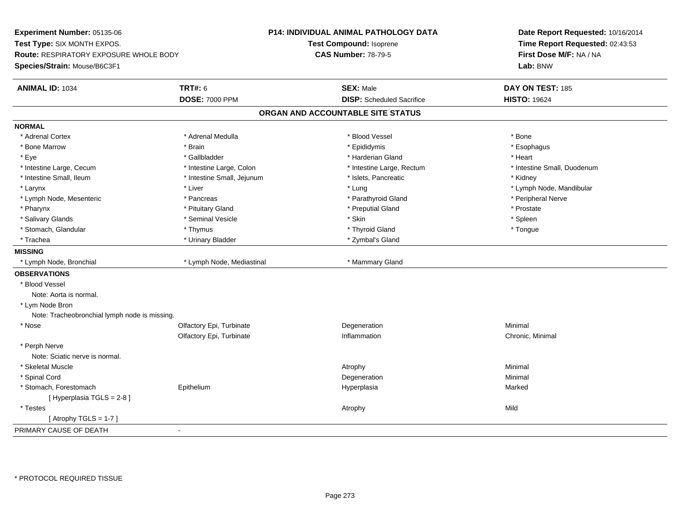**Experiment Number:** 05135-06**Test Type:** SIX MONTH EXPOS.**Route:** RESPIRATORY EXPOSURE WHOLE BODY**Species/Strain:** Mouse/B6C3F1**P14: INDIVIDUAL ANIMAL PATHOLOGY DATATest Compound:** Isoprene**CAS Number:** 78-79-5**Date Report Requested:** 10/16/2014**Time Report Requested:** 02:43:53**First Dose M/F:** NA / NA**Lab:** BNW**ANIMAL ID:** 1034 **TRT#:** <sup>6</sup> **SEX:** Male **DAY ON TEST:** <sup>185</sup> **DOSE:** 7000 PPM**DISP:** Scheduled Sacrifice **HISTO:** 19624 **ORGAN AND ACCOUNTABLE SITE STATUSNORMAL**\* Adrenal Cortex \* Adrenal Cortex \* \* Adrenal Medulla \* \* Adrenal Medulla \* \* Blood Vessel \* \* Brood Vessel \* \* Bone \* Esophagus \* Bone Marrow \* Brain \* Epididymis \* Esophagus \* Eye \* \* Gallbladder \* \* Gallbladder \* \* \* \* Harderian Gland \* \* Heart \* Heart \* Heart \* Heart \* Heart \* Heart \* Intestine Large, Cecum \* Intestine Large, Colon \* Intestine Large, Thestine Large, Rectum \* Intestine Small, Duodenum \* Intestine Small, Ileum \* Thestine Small, Jejunum \* 1998, Pancreatic \* Kidney \* Kidney \* Kidney \* Kidney \* Larynx \* Louis \* Liver \* Liver \* Louis \* Lung \* Lung \* Louis \* Louis \* Louis \* Louis \* Lymph Node, Mandibular \* Lymph Node, Mesenteric \* Pancreas \* Parathyroid Gland \* Peripheral Nerve\* Pharynx \* Pituitary Gland \* Preputial Gland \* Prostate \* Spleen \* Salivary Glands \* \* \* Sheen \* Seminal Vesicle \* \* \* Stan \* \* Skin \* \* Skin \* \* Spleen \* \* Spleen \* \* Spleen \* \* Tongue \* Stomach, Glandular \* Thymus \* Thymus \* Thymus \* Thymus \* Thyroid Gland \* Thyroid Gland \* \* Trachea \* Urinary Bladder \* 2ymbal's Gland \* Zymbal's Gland \* Zymbal's Gland \* Zymbal's Gland **MISSING**\* Lymph Node, Bronchial \* Lymph Node, Mediastinal \* Mammary Gland **OBSERVATIONS** \* Blood VesselNote: Aorta is normal. \* Lym Node Bron Note: Tracheobronchial lymph node is missing. \* Nosee and the Colfactory Epi, Turbinate and the Coleman Degeneration Coleman Minimal Minimal Olfactory Epi, Turbinate Inflammation Chronic, Minimal \* Perph Nerve Note: Sciatic nerve is normal. \* Skeletal Musclee and the control of the control of the control of the control of the control of the control of the control of the control of the control of the control of the control of the control of the control of the control of the co \* Spinal Cordd and the control of the control of the control of the control of the control of the control of the control of the control of the control of the control of the control of the control of the control of the control of the co \* Stomach, Forestomach Epithelium Hyperplasia Marked [ Hyperplasia TGLS = 2-8 ] \* Testess the control of the control of the control of the control of the control of the control of the control of the control of the control of the control of the control of the control of the control of the control of the contro  $[$  Atrophy TGLS = 1-7  $]$ PRIMARY CAUSE OF DEATH-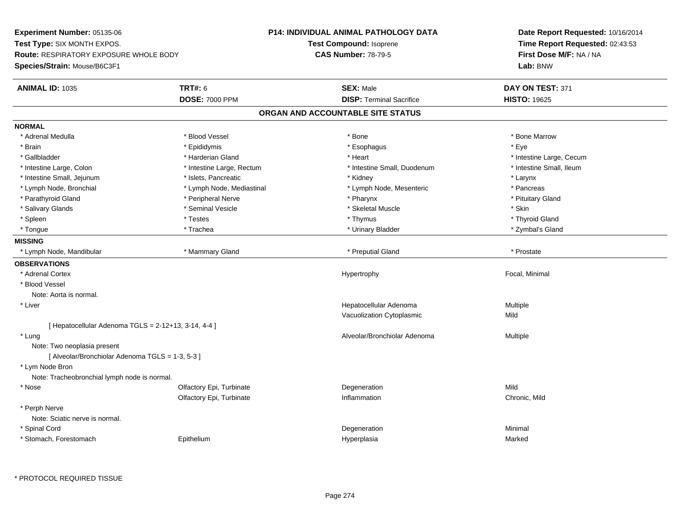**Experiment Number:** 05135-06**Test Type:** SIX MONTH EXPOS.**Route:** RESPIRATORY EXPOSURE WHOLE BODY**Species/Strain:** Mouse/B6C3F1**P14: INDIVIDUAL ANIMAL PATHOLOGY DATATest Compound:** Isoprene**CAS Number:** 78-79-5**Date Report Requested:** 10/16/2014**Time Report Requested:** 02:43:53**First Dose M/F:** NA / NA**Lab:** BNW**ANIMAL ID:** 1035 **TRT#:** <sup>6</sup> **SEX:** Male **DAY ON TEST:** <sup>371</sup> **DOSE:** 7000 PPM**DISP:** Terminal Sacrifice **HISTO:** 19625 **ORGAN AND ACCOUNTABLE SITE STATUSNORMAL**\* Adrenal Medulla \* \* \* Blood Vessel \* \* \* Bone Marrow \* Bone Marrow \* Bone Marrow \* Bone Marrow \* Brain \* \* Expediance \* Epididymis \* \* Expediance \* \* Esophagus \* Expediance \* \* Expediance \* Eye \* Eye \* Gallbladder \* https://www.frage.com/marticle/state-of-state-of-state-of-state-of-state-of-state-of-state-of-state-of-state-of-state-of-state-of-state-of-state-of-state-of-state-of-state-of-state-of-state-of-state-of-stat \* Intestine Small, Ileum \* Intestine Large, Colon \* Intestine Large, Rectum \* Intestine Small, Duodenum \* Intestine Small, Duodenum \* Intestine Small, Jejunum \* The metal was a structure of the structure of the structure of the structure of the structure of the structure of the structure of the structure of the structure of the structure of the structu \* Pancreas \* Lymph Node, Bronchial \* Lymph Node, Mediastinal \* Lymph Node, Mesenteric \* Pancreasting \* Pancreasting \* Pancreasting \* Pancreasting \* Pancreasting \* Pancreasting \* Pancreasting \* Pancreasting \* Pancreasting \* Pancreasti \* Pituitary Gland \* Parathyroid Gland \* \* Peripheral Nerve \* \* Peripheral Nerve \* \* Pharynx \* \* Pharynx \* \* Pituitary Gland \* Pituitary Gland \* Salivary Glands \* Seminal Vesicle \* Skeletal Muscle \* Skin\* Thyroid Gland \* Spleen \* \* Thyroid Gland \* Testes \* \* Testes \* \* Thymus \* Thymus \* \* Thyroid Gland \* Thyroid Gland \* Thyroid Gland \* Zymbal's Gland \* Tongue \* Trachea \* Urinary Bladder \* Zymbal's Gland **MISSING**\* Lymph Node, Mandibular \* \* \* Mammary Gland \* \* \* \* Preputial Gland \* \* Preputial Gland \* \* Prostate **OBSERVATIONS** \* Adrenal Cortex Hypertrophy Focal, Minimal \* Blood VesselNote: Aorta is normal. \* Liver Hepatocellular AdenomaMultiple<br>Mild Vacuolization Cytoplasmicc Mild [ Hepatocellular Adenoma  $TGLS = 2-12+13$ , 3-14, 4-4 ] \* Lungg and the state of the state of the state of the state of the Multiple of the Sheed and Alveolar/Bronchiolar Adenoma<br>Alveolar/Bronchiolar Adenoma and Multiple Note: Two neoplasia present[ Alveolar/Bronchiolar Adenoma TGLS = 1-3, 5-3 ] \* Lym Node Bron Note: Tracheobronchial lymph node is normal. \* Nosee and the Colfactory Epi, Turbinate and the Colfactory Epistem of the Colfactory Epistem Mild Olfactory Epi, Turbinatee contraction contraction contraction contraction contraction contraction contraction contraction contraction contraction contraction contraction contraction contraction contraction contraction contraction contraction cont \* Perph Nerve Note: Sciatic nerve is normal. \* Spinal Cordd and the control of the control of the control of the control of the control of the control of the control of the control of the control of the control of the control of the control of the control of the control of the co \* Stomach, Forestomach EpitheliumHyperplasia Marked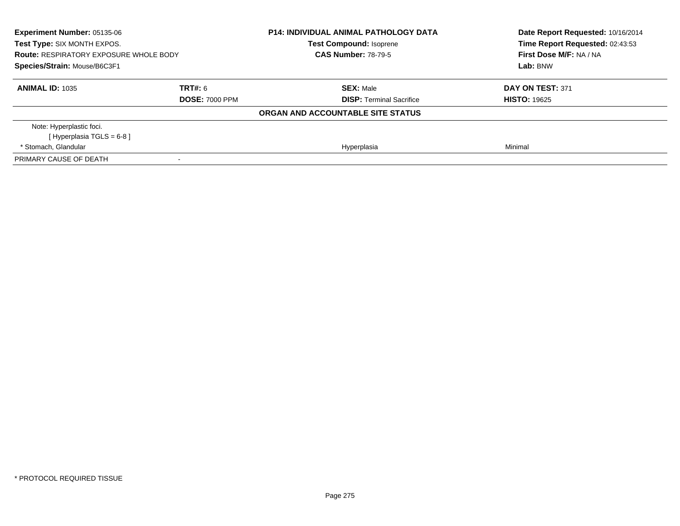| Experiment Number: 05135-06<br>Test Type: SIX MONTH EXPOS.<br><b>Route: RESPIRATORY EXPOSURE WHOLE BODY</b><br>Species/Strain: Mouse/B6C3F1 |                                  | <b>P14: INDIVIDUAL ANIMAL PATHOLOGY DATA</b><br><b>Test Compound: Isoprene</b><br><b>CAS Number: 78-79-5</b> | Date Report Requested: 10/16/2014<br>Time Report Requested: 02:43:53<br>First Dose M/F: NA / NA<br>Lab: BNW |
|---------------------------------------------------------------------------------------------------------------------------------------------|----------------------------------|--------------------------------------------------------------------------------------------------------------|-------------------------------------------------------------------------------------------------------------|
| <b>ANIMAL ID: 1035</b>                                                                                                                      | TRT#: 6<br><b>DOSE: 7000 PPM</b> | <b>SEX: Male</b><br><b>DISP:</b> Terminal Sacrifice                                                          | DAY ON TEST: 371<br><b>HISTO: 19625</b>                                                                     |
|                                                                                                                                             |                                  | ORGAN AND ACCOUNTABLE SITE STATUS                                                                            |                                                                                                             |
| Note: Hyperplastic foci.<br>[Hyperplasia TGLS = 6-8 ]                                                                                       |                                  |                                                                                                              |                                                                                                             |
| * Stomach, Glandular                                                                                                                        |                                  | Hyperplasia                                                                                                  | Minimal                                                                                                     |
| PRIMARY CAUSE OF DEATH                                                                                                                      | $\overline{\phantom{a}}$         |                                                                                                              |                                                                                                             |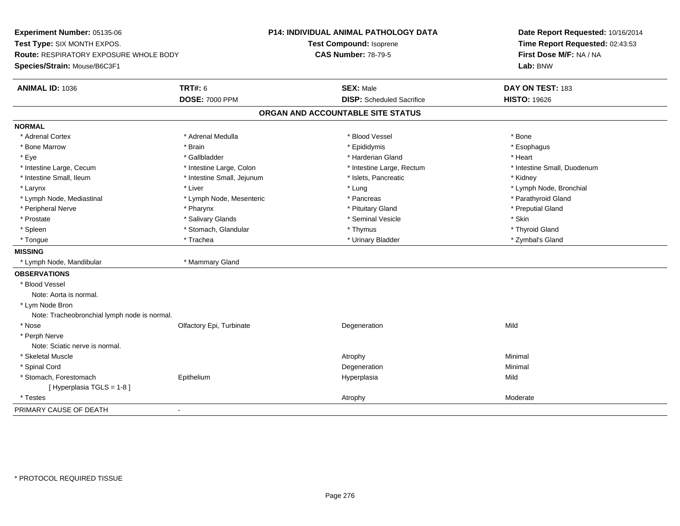**Experiment Number:** 05135-06**Test Type:** SIX MONTH EXPOS.**Route:** RESPIRATORY EXPOSURE WHOLE BODY**Species/Strain:** Mouse/B6C3F1**P14: INDIVIDUAL ANIMAL PATHOLOGY DATATest Compound:** Isoprene**CAS Number:** 78-79-5**Date Report Requested:** 10/16/2014**Time Report Requested:** 02:43:53**First Dose M/F:** NA / NA**Lab:** BNW**ANIMAL ID:** 1036**6 DAY ON TEST:** 183 **DOSE:** 7000 PPM**DISP:** Scheduled Sacrifice **HISTO:** 19626 **ORGAN AND ACCOUNTABLE SITE STATUSNORMAL**\* Adrenal Cortex \* Adrenal Cortex \* \* Adrenal Medulla \* \* Adrenal Medulla \* \* Blood Vessel \* \* Brood Vessel \* \* Bone \* Esophagus \* Bone Marrow \* Brain \* Epididymis \* Esophagus \* Eye \* \* Gallbladder \* \* Gallbladder \* \* \* \* Harderian Gland \* \* Heart \* Heart \* Heart \* Heart \* Heart \* Heart \* Intestine Large, Cecum \* Intestine Large, Colon \* Intestine Large, Thestine Large, Rectum \* Intestine Small, Duodenum \* Intestine Small, Ileum \* Thestine Small, Jejunum \* 1998, Pancreatic \* Kidney \* Kidney \* Kidney \* Kidney \* Larynx \* Louis \* Liver \* Lung \* Lung \* Lung \* Lung \* Lung \* Lymph Node, Bronchial \* Lymph Node, Bronchial \* \* Lymph Node, Mediastinal \* Lymph Node, Mesenteric \* \* Pancreas \* Pancreas \* \* Pancreas \* Parathyroid Gland \* Peripheral Nerve \* \* \* \* Pharynx \* \* Pharynx \* \* \* Preputial Gland \* \* Preputial Gland \* \* Preputial Gland \* Prostate \* \* Salivary Glands \* \* Salivary Glands \* \* Seminal Vesicle \* \* \* Seminal Yestrich \* \* Skin \* \* Skin \* Thyroid Gland \* Spleen \* Stomach, Glandular \* Thymus \* Thymus \* Thymus \* Thymus \* Thymus \* Thymus \* Thymus \* Thymus \* Thymus \* Thymus \* Thymus \* Thymus \* Thymus \* Thymus \* Thymus \* Thymus \* Thymus \* Thymus \* Thymus \* Thymus \* Thymus \* T \* Zymbal's Gland \* Tongue \* Trachea \* Urinary Bladder \* Zymbal's Gland **MISSING** \* Lymph Node, Mandibular \* Mammary Gland**OBSERVATIONS** \* Blood VesselNote: Aorta is normal. \* Lym Node Bron Note: Tracheobronchial lymph node is normal. \* Nosee and the Colfactory Epi, Turbinate and the Colfactory Epistem of the Colfactory Epistem Mild \* Perph Nerve Note: Sciatic nerve is normal. \* Skeletal Musclee and the control of the control of the control of the control of the control of the control of the control of the control of the control of the control of the control of the control of the control of the control of the co \* Spinal Cordd and the control of the control of the control of the control of the control of the control of the control of the control of the control of the control of the control of the control of the control of the control of the co \* Stomach, Forestomach Epithelium Hyperplasia Mild [ Hyperplasia TGLS = 1-8 ] \* Testess and the control of the control of the control of the control of the control of the control of the control of the control of the control of the control of the control of the control of the control of the control of the co PRIMARY CAUSE OF DEATH-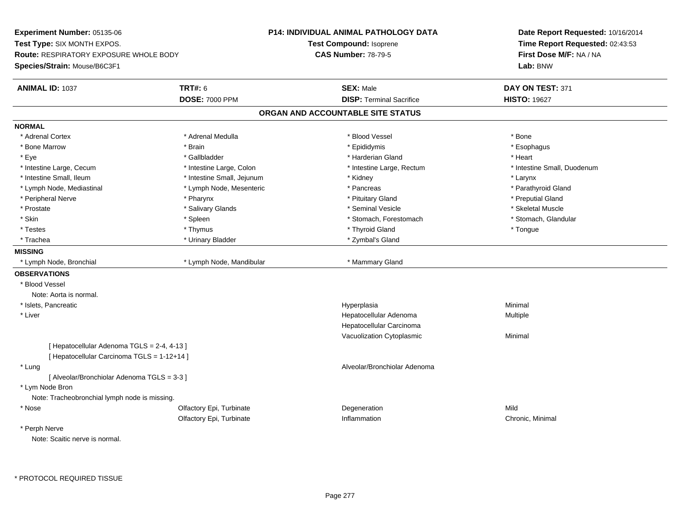**Experiment Number:** 05135-06**Test Type:** SIX MONTH EXPOS.**Route:** RESPIRATORY EXPOSURE WHOLE BODY**Species/Strain:** Mouse/B6C3F1**P14: INDIVIDUAL ANIMAL PATHOLOGY DATATest Compound:** Isoprene**CAS Number:** 78-79-5**Date Report Requested:** 10/16/2014**Time Report Requested:** 02:43:53**First Dose M/F:** NA / NA**Lab:** BNW**ANIMAL ID:** 1037 **TRT#:** <sup>6</sup> **SEX:** Male **DAY ON TEST:** <sup>371</sup> **DOSE:** 7000 PPM**DISP:** Terminal Sacrifice **HISTO:** 19627 **ORGAN AND ACCOUNTABLE SITE STATUSNORMAL**\* Adrenal Cortex \* Adrenal Cortex \* \* Adrenal Medulla \* \* Adrenal Medulla \* \* Blood Vessel \* \* Brood Vessel \* \* Bone \* Esophagus \* Bone Marrow \* Brain \* Epididymis \* Esophagus \* Eye \* \* Gallbladder \* \* Gallbladder \* \* \* \* Harderian Gland \* \* Heart \* Heart \* Heart \* Heart \* Heart \* Heart \* Intestine Large, Cecum \* Intestine Large, Colon \* Intestine Large, Thestine Large, Rectum \* Intestine Small, Duodenum \* Intestine Small, Ileum \* Intestine Small, Jejunum \* Kidney \* Larynx\* Parathyroid Gland \* Lymph Node, Mediastinal \* The media \* Lymph Node, Mesenteric \* Pancreas \* Pancreas \* \* Peripheral Nerve \* \* \* \* Pharynx \* \* Pharynx \* \* \* Preputial Gland \* \* Preputial Gland \* \* Preputial Gland \* Skeletal Muscle \* Prostate \* \* Skeletal Muscle \* \* Salivary Glands \* \* Steminal Vesicle \* \* Seminal Vesicle \* \* Skeletal Muscle \* Stomach. Glandular \* Skin \* Stomach, Forestomach \* Spleen \* Spleen \* Stomach, Forestomach \* Stomach, Forestomach \* Testes \* Thymus \* Thyroid Gland \* Tongue \* Trachea \* Urinary Bladder \* 2ymbal's Gland \* Zymbal's Gland \* Zymbal's Gland \* Zymbal's Gland **MISSING**\* Lymph Node, Bronchial \* Lymph Node, Mandibular \* Mammary Gland **OBSERVATIONS** \* Blood VesselNote: Aorta is normal. \* Islets, Pancreaticc and the contract of the contract of the contract of the contract of the contract of the contract of the contract of the contract of the contract of the contract of the contract of the contract of the contract of the cont a **Minimal**  \* Liver Hepatocellular Adenoma Multiple Hepatocellular Carcinoma Vacuolization Cytoplasmic Minimal [ Hepatocellular Adenoma TGLS = 2-4, 4-13 ][ Hepatocellular Carcinoma TGLS = 1-12+14 ] \* Lung Alveolar/Bronchiolar Adenoma [ Alveolar/Bronchiolar Adenoma TGLS = 3-3 ] \* Lym Node Bron Note: Tracheobronchial lymph node is missing. \* Nosee and the Colfactory Epi, Turbinate and the Colfactory Epistem of the Colfactory Epistem Mild Olfactory Epi, Turbinate Inflammation Chronic, Minimal \* Perph NerveNote: Scaitic nerve is normal.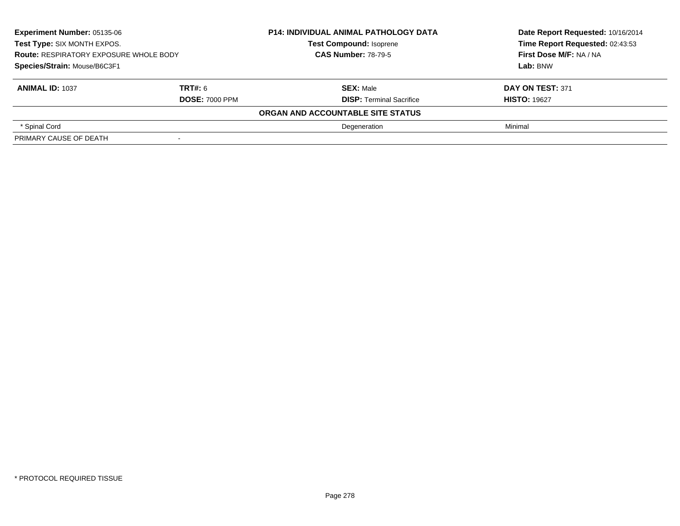| Experiment Number: 05135-06<br>Test Type: SIX MONTH EXPOS.<br><b>Route: RESPIRATORY EXPOSURE WHOLE BODY</b> |                       | <b>P14: INDIVIDUAL ANIMAL PATHOLOGY DATA</b><br><b>Test Compound: Isoprene</b> | Date Report Requested: 10/16/2014<br>Time Report Requested: 02:43:53 |
|-------------------------------------------------------------------------------------------------------------|-----------------------|--------------------------------------------------------------------------------|----------------------------------------------------------------------|
|                                                                                                             |                       | <b>CAS Number: 78-79-5</b>                                                     | First Dose M/F: NA / NA                                              |
| Species/Strain: Mouse/B6C3F1                                                                                |                       |                                                                                | Lab: BNW                                                             |
| <b>ANIMAL ID: 1037</b>                                                                                      | <b>TRT#: 6</b>        | <b>SEX: Male</b>                                                               | DAY ON TEST: 371                                                     |
|                                                                                                             | <b>DOSE: 7000 PPM</b> | <b>DISP: Terminal Sacrifice</b>                                                | <b>HISTO: 19627</b>                                                  |
|                                                                                                             |                       | ORGAN AND ACCOUNTABLE SITE STATUS                                              |                                                                      |
| * Spinal Cord                                                                                               |                       | Degeneration                                                                   | Minimal                                                              |
| PRIMARY CAUSE OF DEATH                                                                                      | $\,$                  |                                                                                |                                                                      |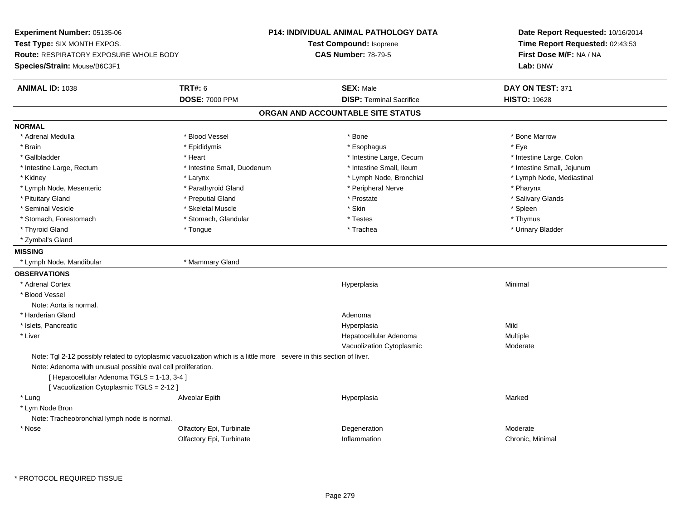**Experiment Number:** 05135-06**Test Type:** SIX MONTH EXPOS.**Route:** RESPIRATORY EXPOSURE WHOLE BODY**Species/Strain:** Mouse/B6C3F1**P14: INDIVIDUAL ANIMAL PATHOLOGY DATATest Compound:** Isoprene**CAS Number:** 78-79-5**Date Report Requested:** 10/16/2014**Time Report Requested:** 02:43:53**First Dose M/F:** NA / NA**Lab:** BNW**ANIMAL ID:** 1038**EX:** Male **DAY ON TEST:** 371 **DOSE:** 7000 PPM**DISP:** Terminal Sacrifice **HISTO:** 19628 **ORGAN AND ACCOUNTABLE SITE STATUSNORMAL**\* Adrenal Medulla \* \* \* Blood Vessel \* \* \* Bone Marrow \* Bone Marrow \* Bone Marrow \* Bone Marrow \* Brain \* \* Expediance \* Epididymis \* \* Expediance \* \* Esophagus \* Expediance \* \* Expediance \* Eye \* Eye \* Intestine Large, Colon \* Gallbladder \* The mode of the state of the state of the state of the state of the state of the state of the state of the state of the state of the state of the state of the state of the state of the state of the state of \* Intestine Small, Jejunum \* Intestine Large, Rectum \* Intestine Small, Duodenum \* Intestine Small, Ileum \* 1ntestine Small, Ileum \* Kidney \* Larynx \* Lymph Node, Bronchial \* Lymph Node, Mediastinal \* Lymph Node, Mesenteric \* \* Parathyroid Gland \* \* Peripheral Nerve \* Posteric \* Pharynx \* Salivary Glands \* Pituitary Gland \* \* Then the state \* Preputial Gland \* Prosection \* Prostate \* \* Salivary Glands \* Salivary Glands \* Salivary Glands \* Salivary Glands \* Salivary Glands \* Salivary Glands \* Salivary Glands \* Salivary Glan \* Seminal Vesicle \* \* \* Sheem \* Skeletal Muscle \* \* Stemme \* Skin \* \* Skin \* \* Spleen \* Spleen \* Spleen \* Spleen \* Thymus \* Stomach, Forestomach \* Testes \* Stomach, Glandular \* Testes \* Testes \* Testes \* Testes \* Testes \* Testes \* T \* Urinary Bladder \* Thyroid Gland \* \* The control of the total property and the top of the top of the top of the top of the top of the top of the top of the top of the top of the top of the top of the top of the top of the top of the top of \* Zymbal's Gland**MISSING** \* Lymph Node, Mandibular \* Mammary Gland**OBSERVATIONS** \* Adrenal Cortexx and the control of the control of the control of the control of the control of the control of the control of the control of the control of the control of the control of the control of the control of the control of the co a **Minimal**  \* Blood VesselNote: Aorta is normal. \* Harderian Glandd and a state of the control of the control of the control of the control of the control of the control of the control of the control of the control of the control of the control of the control of the control of the contro \* Islets, Pancreaticc and the contract of the contract of the contract of the contract of the contract of the contract of the contract of the contract of the contract of the contract of the contract of the contract of the contract of the cont a Mild \* Liver Hepatocellular Adenoma Multiple Vacuolization Cytoplasmic ModerateNote: Tgl 2-12 possibly related to cytoplasmic vacuolization which is a little more severe in this section of liver.Note: Adenoma with unusual possible oval cell proliferation.[ Hepatocellular Adenoma TGLS = 1-13, 3-4 ][ Vacuolization Cytoplasmic TGLS = 2-12 ] \* Lung Alveolar Epith Hyperplasia Marked \* Lym Node Bron Note: Tracheobronchial lymph node is normal. \* Nosee and the Colfactory Epi, Turbinate and the Content of Degeneration and the Moderate Moderate of the Moderate  $\sim$ Olfactory Epi, TurbinateInflammation Chronic, Minimal

\* PROTOCOL REQUIRED TISSUE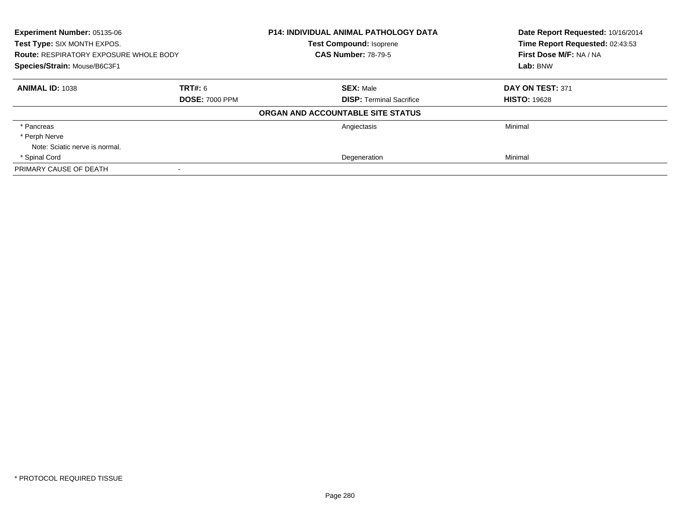| Experiment Number: 05135-06<br>Test Type: SIX MONTH EXPOS.<br><b>Route: RESPIRATORY EXPOSURE WHOLE BODY</b><br>Species/Strain: Mouse/B6C3F1 |                       | <b>P14: INDIVIDUAL ANIMAL PATHOLOGY DATA</b><br><b>Test Compound: Isoprene</b> | Date Report Requested: 10/16/2014<br>Time Report Requested: 02:43:53<br>First Dose M/F: NA / NA<br>Lab: BNW |
|---------------------------------------------------------------------------------------------------------------------------------------------|-----------------------|--------------------------------------------------------------------------------|-------------------------------------------------------------------------------------------------------------|
|                                                                                                                                             |                       | <b>CAS Number: 78-79-5</b>                                                     |                                                                                                             |
|                                                                                                                                             |                       |                                                                                |                                                                                                             |
| <b>ANIMAL ID: 1038</b>                                                                                                                      | TRT#: 6               | <b>SEX: Male</b>                                                               | DAY ON TEST: 371                                                                                            |
|                                                                                                                                             | <b>DOSE: 7000 PPM</b> | <b>DISP:</b> Terminal Sacrifice                                                | <b>HISTO: 19628</b>                                                                                         |
|                                                                                                                                             |                       | ORGAN AND ACCOUNTABLE SITE STATUS                                              |                                                                                                             |
| * Pancreas                                                                                                                                  |                       | Angiectasis                                                                    | Minimal                                                                                                     |
| * Perph Nerve                                                                                                                               |                       |                                                                                |                                                                                                             |
| Note: Sciatic nerve is normal.                                                                                                              |                       |                                                                                |                                                                                                             |
| * Spinal Cord                                                                                                                               |                       | Degeneration                                                                   | Minimal                                                                                                     |
| PRIMARY CAUSE OF DEATH                                                                                                                      |                       |                                                                                |                                                                                                             |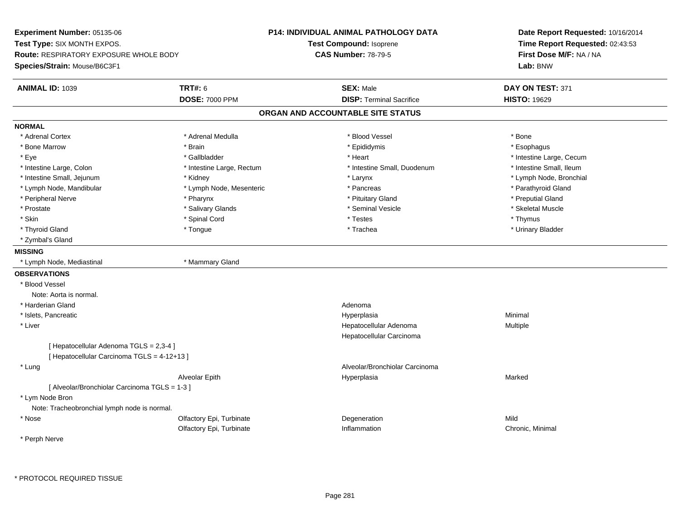**Experiment Number:** 05135-06**Test Type:** SIX MONTH EXPOS.**Route:** RESPIRATORY EXPOSURE WHOLE BODY**Species/Strain:** Mouse/B6C3F1**P14: INDIVIDUAL ANIMAL PATHOLOGY DATATest Compound:** Isoprene**CAS Number:** 78-79-5**Date Report Requested:** 10/16/2014**Time Report Requested:** 02:43:53**First Dose M/F:** NA / NA**Lab:** BNW**ANIMAL ID:** 1039 **TRT#:** <sup>6</sup> **SEX:** Male **DAY ON TEST:** <sup>371</sup> **DOSE:** 7000 PPM**DISP:** Terminal Sacrifice **HISTO:** 19629 **ORGAN AND ACCOUNTABLE SITE STATUSNORMAL**\* Adrenal Cortex \* Adrenal Cortex \* \* Adrenal Medulla \* \* Adrenal Medulla \* \* Blood Vessel \* \* Brood Vessel \* \* Bone \* Esophagus \* Bone Marrow \* Brain \* Epididymis \* Esophagus \* Eye \* https://www.frage.com/windown.com/windown.com/windown.com/windown.com/windown.com/windown.com/windown-\* Intestine Small, Ileum \* Intestine Large, Colon \* Intestine Large, Rectum \* Intestine Small, Duodenum \* Intestine Small, Duodenum \* Lymph Node, Bronchial \* Intestine Small, Jejunum \* Moreover \* Kidney \* Larynx \* Larynx \* Larynx \* Larynx \* Larynx \* Larynx \* Larynx \* Larynx \* Larynx \* Larynx \* Larynx \* Larynx \* Larynx \* Larynx \* Larynx \* Larynx \* Larynx \* Larynx \* Larynx \* La \* Lymph Node, Mandibular \* The state of the state of the Mesenteric \* Pancreas \* Pancreas \* Parathyroid Gland \* Peripheral Nerve \* \* \* \* Pharynx \* \* Pharynx \* \* \* Preputial Gland \* \* Preputial Gland \* \* Preputial Gland \* Skeletal Muscle \* Prostate \* \* Skeletal Muscle \* \* Salivary Glands \* \* Steminal Vesicle \* \* Seminal Vesicle \* \* Skeletal Muscle \* Skin \* \* Stephender \* Spinal Cord \* \* Thymus \* Testes \* \* The \* Thymus \* Thymus \* Thymus \* \* Thymus \* \* Thymus \* Urinary Bladder \* Thyroid Gland \* \* The control of the total property and the top of the top of the top of the top of the top of the top of the top of the top of the top of the top of the top of the top of the top of the top of the top of \* Zymbal's Gland**MISSING** \* Lymph Node, Mediastinal \* Mammary Gland**OBSERVATIONS** \* Blood VesselNote: Aorta is normal. \* Harderian Glandd and a state of the control of the control of the control of the control of the control of the control of the control of the control of the control of the control of the control of the control of the control of the contro \* Islets, Pancreaticc and the contract of the contract of the contract of the contract of the contract of the contract of the contract of the contract of the contract of the contract of the contract of the contract of the contract of the cont a **Minimal**  \* Liver Hepatocellular Adenoma Multiple Hepatocellular Carcinoma[ Hepatocellular Adenoma TGLS = 2,3-4 ][ Hepatocellular Carcinoma TGLS = 4-12+13 ] \* Lung Alveolar/Bronchiolar Carcinoma Alveolar Epith Hyperplasia Marked [ Alveolar/Bronchiolar Carcinoma TGLS = 1-3 ] \* Lym Node Bron Note: Tracheobronchial lymph node is normal. \* Nosee and the Colfactory Epi, Turbinate and the Colfactory Epistem of the Colfactory Epistem Mild Olfactory Epi, Turbinate Inflammation Chronic, Minimal \* Perph Nerve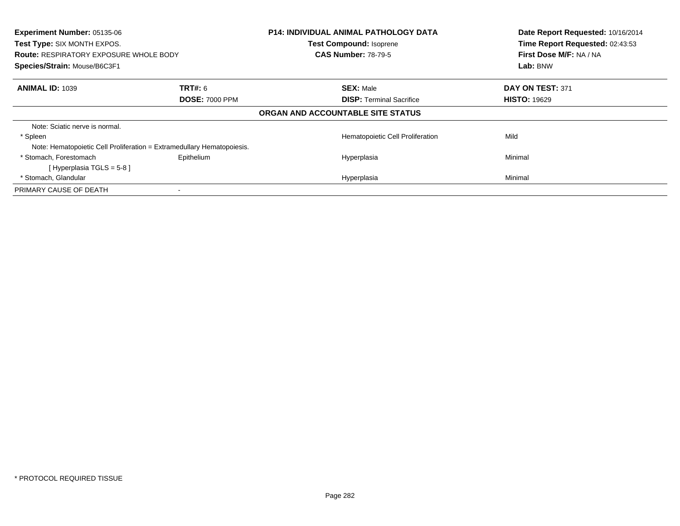| Experiment Number: 05135-06<br>Test Type: SIX MONTH EXPOS.<br><b>Route: RESPIRATORY EXPOSURE WHOLE BODY</b><br>Species/Strain: Mouse/B6C3F1 |                       | <b>P14: INDIVIDUAL ANIMAL PATHOLOGY DATA</b><br>Test Compound: Isoprene<br><b>CAS Number: 78-79-5</b> | Date Report Requested: 10/16/2014<br>Time Report Requested: 02:43:53<br>First Dose M/F: NA / NA<br>Lab: BNW |
|---------------------------------------------------------------------------------------------------------------------------------------------|-----------------------|-------------------------------------------------------------------------------------------------------|-------------------------------------------------------------------------------------------------------------|
| <b>ANIMAL ID: 1039</b>                                                                                                                      | <b>TRT#: 6</b>        | <b>SEX: Male</b>                                                                                      | DAY ON TEST: 371                                                                                            |
|                                                                                                                                             | <b>DOSE: 7000 PPM</b> | <b>DISP:</b> Terminal Sacrifice                                                                       | <b>HISTO: 19629</b>                                                                                         |
|                                                                                                                                             |                       | ORGAN AND ACCOUNTABLE SITE STATUS                                                                     |                                                                                                             |
| Note: Sciatic nerve is normal.                                                                                                              |                       |                                                                                                       |                                                                                                             |
| * Spleen                                                                                                                                    |                       | Hematopoietic Cell Proliferation                                                                      | Mild                                                                                                        |
| Note: Hematopoietic Cell Proliferation = Extramedullary Hematopoiesis.                                                                      |                       |                                                                                                       |                                                                                                             |
| * Stomach, Forestomach                                                                                                                      | Epithelium            | Hyperplasia                                                                                           | Minimal                                                                                                     |
| [Hyperplasia TGLS = $5-8$ ]                                                                                                                 |                       |                                                                                                       |                                                                                                             |
| * Stomach, Glandular                                                                                                                        |                       | Hyperplasia                                                                                           | Minimal                                                                                                     |
| PRIMARY CAUSE OF DEATH                                                                                                                      |                       |                                                                                                       |                                                                                                             |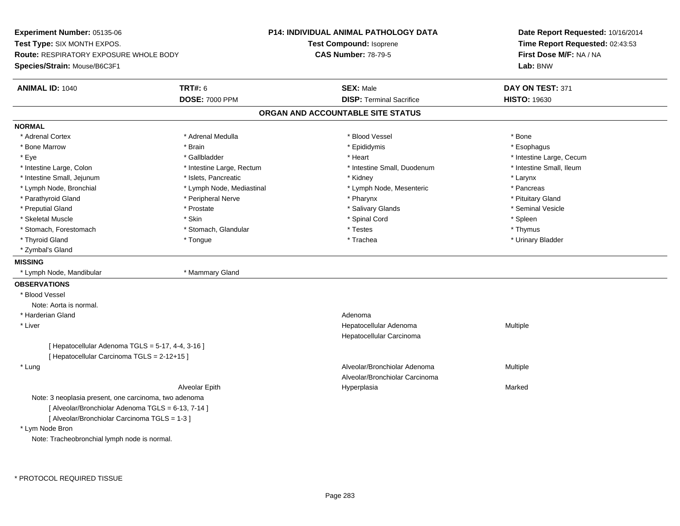**Experiment Number:** 05135-06**Test Type:** SIX MONTH EXPOS.**Route:** RESPIRATORY EXPOSURE WHOLE BODY**Species/Strain:** Mouse/B6C3F1**P14: INDIVIDUAL ANIMAL PATHOLOGY DATATest Compound:** Isoprene**CAS Number:** 78-79-5**Date Report Requested:** 10/16/2014**Time Report Requested:** 02:43:53**First Dose M/F:** NA / NA**Lab:** BNW**ANIMAL ID:** 1040**C TRT#:** 6 **SEX:** Male **SEX:** Male **DAY ON TEST:** 371 **DOSE:** 7000 PPM**DISP:** Terminal Sacrifice **HISTO:** 19630 **ORGAN AND ACCOUNTABLE SITE STATUSNORMAL**\* Adrenal Cortex \* Adrenal Cortex \* \* Adrenal Medulla \* \* Adrenal Medulla \* \* Blood Vessel \* \* Brood Vessel \* \* Bone \* Esophagus \* Bone Marrow \* Brain \* Epididymis \* Esophagus \* Eye \* https://www.frage.com/windown.com/windown.com/windown.com/windown.com/windown.com/windown.com/windown-\* Intestine Small, Ileum \* Intestine Large, Colon \* Intestine Large, Rectum \* Intestine Small, Duodenum \* Intestine Small, Duodenum \* Intestine Small, Jejunum \* The matches of the state of the state of the state of the state of the state of the state of the state of the state of the state of the state of the state of the state of the state of the state \* Pancreas \* Lymph Node, Bronchial \* Lymph Node, Mediastinal \* Lymph Node, Mesenteric \* Pancreasting \* Pancreasting \* Pancreasting \* Pancreasting \* Pancreasting \* Pancreasting \* Pancreasting \* Pancreasting \* Pancreasting \* Pancreasti \* Pituitary Gland \* Parathyroid Gland \* **Arror and \* Peripheral Nerve \* Pharynx \* Pharynx \* Pharynx** \* Pharynx \* Seminal Vesicle \* Preputial Gland \* \* Annual vesicle \* \* Prostate \* \* Salivary Glands \* \* Salivary Glands \* \* Seminal Vesicle \* \* Skeletal Muscle \* Skin \* Spinal Cord \* Spleen \* Thymus \* Stomach, Forestomach \* Testes \* Stomach, Glandular \* Testes \* Testes \* Testes \* Testes \* Testes \* Testes \* T \* Urinary Bladder \* Thyroid Gland \* \* The control of the total property and the top of the top of the top of the top of the top of the top of the top of the top of the top of the top of the top of the top of the top of the top of the top of \* Zymbal's Gland**MISSING** \* Lymph Node, Mandibular \* Mammary Gland**OBSERVATIONS** \* Blood VesselNote: Aorta is normal. \* Harderian Glandd and a state of the control of the control of the control of the control of the control of the control of the control of the control of the control of the control of the control of the control of the control of the contro \* Liver Hepatocellular Adenoma Multiple Hepatocellular Carcinoma[ Hepatocellular Adenoma  $TGLS = 5-17, 4-4, 3-16$  ] [ Hepatocellular Carcinoma TGLS = 2-12+15 ] \* Lungg and the state of the state of the state of the state of the Multiple of the Sheed and Alveolar/Bronchiolar Adenoma<br>Alveolar/Bronchiolar Adenoma and Multiple Alveolar/Bronchiolar CarcinomaAlveolar Epith Hyperplasia Marked Note: 3 neoplasia present, one carcinoma, two adenoma[ Alveolar/Bronchiolar Adenoma TGLS = 6-13, 7-14 ] [ Alveolar/Bronchiolar Carcinoma TGLS = 1-3 ]\* Lym Node Bron

Note: Tracheobronchial lymph node is normal.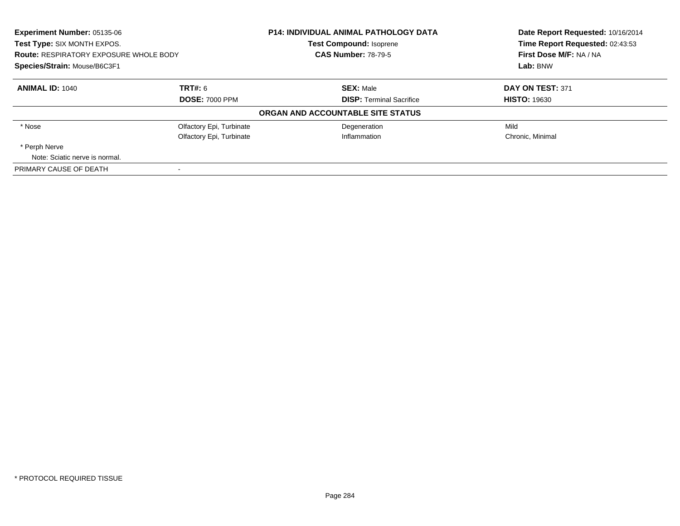| Experiment Number: 05135-06<br>Test Type: SIX MONTH EXPOS.<br><b>Route: RESPIRATORY EXPOSURE WHOLE BODY</b><br>Species/Strain: Mouse/B6C3F1 |                          | <b>P14: INDIVIDUAL ANIMAL PATHOLOGY DATA</b> | Date Report Requested: 10/16/2014<br>Time Report Requested: 02:43:53<br>First Dose M/F: NA / NA<br>Lab: BNW |
|---------------------------------------------------------------------------------------------------------------------------------------------|--------------------------|----------------------------------------------|-------------------------------------------------------------------------------------------------------------|
|                                                                                                                                             |                          | <b>Test Compound: Isoprene</b>               |                                                                                                             |
|                                                                                                                                             |                          | <b>CAS Number: 78-79-5</b>                   |                                                                                                             |
|                                                                                                                                             |                          |                                              |                                                                                                             |
| <b>ANIMAL ID: 1040</b>                                                                                                                      | TRT#: 6                  | <b>SEX: Male</b>                             | DAY ON TEST: 371                                                                                            |
|                                                                                                                                             | <b>DOSE: 7000 PPM</b>    | <b>DISP:</b> Terminal Sacrifice              | <b>HISTO: 19630</b>                                                                                         |
|                                                                                                                                             |                          | ORGAN AND ACCOUNTABLE SITE STATUS            |                                                                                                             |
| * Nose                                                                                                                                      | Olfactory Epi, Turbinate | Degeneration                                 | Mild                                                                                                        |
|                                                                                                                                             | Olfactory Epi, Turbinate | Inflammation                                 | Chronic, Minimal                                                                                            |
| * Perph Nerve                                                                                                                               |                          |                                              |                                                                                                             |
| Note: Sciatic nerve is normal.                                                                                                              |                          |                                              |                                                                                                             |
| PRIMARY CAUSE OF DEATH                                                                                                                      |                          |                                              |                                                                                                             |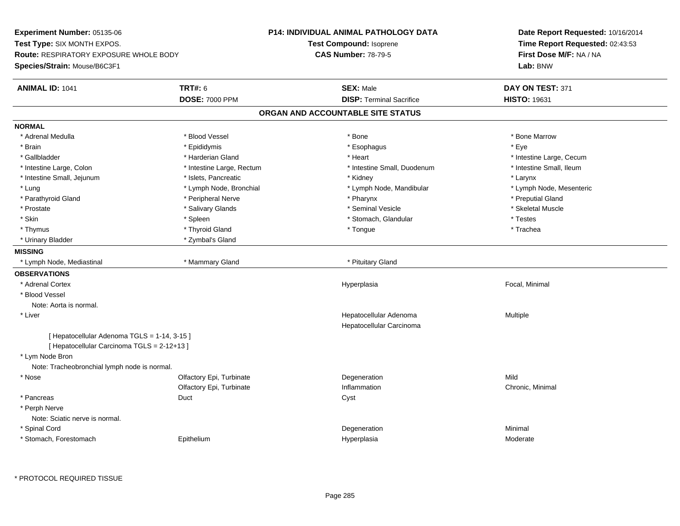**Experiment Number:** 05135-06**Test Type:** SIX MONTH EXPOS.**Route:** RESPIRATORY EXPOSURE WHOLE BODY**Species/Strain:** Mouse/B6C3F1**P14: INDIVIDUAL ANIMAL PATHOLOGY DATATest Compound:** Isoprene**CAS Number:** 78-79-5**Date Report Requested:** 10/16/2014**Time Report Requested:** 02:43:53**First Dose M/F:** NA / NA**Lab:** BNW**ANIMAL ID:** 1041**TRT#:** 6 **SEX:** Male **SEX:** Male **DAY ON TEST:** 371 **DOSE:** 7000 PPM**DISP:** Terminal Sacrifice **HISTO:** 19631 **ORGAN AND ACCOUNTABLE SITE STATUSNORMAL**\* Adrenal Medulla \* \* \* Blood Vessel \* \* \* Bone Marrow \* Bone Marrow \* Bone Marrow \* Bone Marrow \* Brain \* \* Expediance \* Epididymis \* \* Expediance \* \* Esophagus \* Expediance \* \* Expediance \* Eye \* Eye \* Gallbladder \* https://www.frage.com/marticle/state-of-state-of-state-of-state-of-state-of-state-of-state-of-state-of-state-of-state-of-state-of-state-of-state-of-state-of-state-of-state-of-state-of-state-of-state-of-stat \* Intestine Small, Ileum \* Intestine Large, Colon \* Intestine Large, Rectum \* Intestine Small, Duodenum \* Intestine Small, Duodenum \* Intestine Small, Jejunum \* The metal was a structure of the structure of the structure of the structure of the structure of the structure of the structure of the structure of the structure of the structure of the structu \* Lymph Node, Mesenteric \* Lung \* Lymph Node, Bronchial \* Lymph Node, Mandibular \* Lymph Node, Mandibular \* Parathyroid Gland \* The parathyroid Gland \* Peripheral Nerve \* \* Pharynx \* Pharynx \* \* Preputial Gland \* Preputial Gland \* Skeletal Muscle \* Prostate \* \* Skeletal Muscle \* \* Salivary Glands \* \* Steminal Vesicle \* \* Seminal Vesicle \* \* Skeletal Muscle \* Skin \* Spleen \* Spleen \* Spleen \* Stomach, Glandular \* Testes \* Testes \* Testes \* Trachea \* Thymus \* \* The mode of the total of the total term of the total term of the total term of the total term of t \* Urinary Bladder \* Zymbal's Gland**MISSING**\* Lymph Node, Mediastinal **\* Mammary Gland \* Pituitary Gland** \* Pituitary Gland \* Pituitary Gland \* P **OBSERVATIONS** \* Adrenal Cortexx and the control of the control of the control of the control of the control of the control of the control of the control of the control of the control of the control of the control of the control of the control of the co Hyperplasia **Exercise Exercise Serverse Exercise Serverse Exercise Serverse Exercise Serverse Exercise Serverse**  \* Blood VesselNote: Aorta is normal. \* Liver Hepatocellular Adenoma Multiple Hepatocellular Carcinoma[ Hepatocellular Adenoma TGLS = 1-14, 3-15 ][ Hepatocellular Carcinoma TGLS = 2-12+13 ] \* Lym Node Bron Note: Tracheobronchial lymph node is normal. \* Nosee and the Colfactory Epi, Turbinate and the Colfactory Epistem of the Colfactory Epistem Mild Olfactory Epi, Turbinatee Chronic, Minimal \* Pancreass Superintendent Superintendent Superintendent Superintendent Superintendent Superintendent Superintendent Superintendent Superintendent Superintendent Superintendent Superintendent S \* Perph Nerve Note: Sciatic nerve is normal. \* Spinal Cordd and the control of the control of the control of the control of the control of the control of the control of the control of the control of the control of the control of the control of the control of the control of the co \* Stomach, Forestomach Epitheliumm and the Hyperplasia measurement of the Hyperplasia measurement of the Moderate Moderate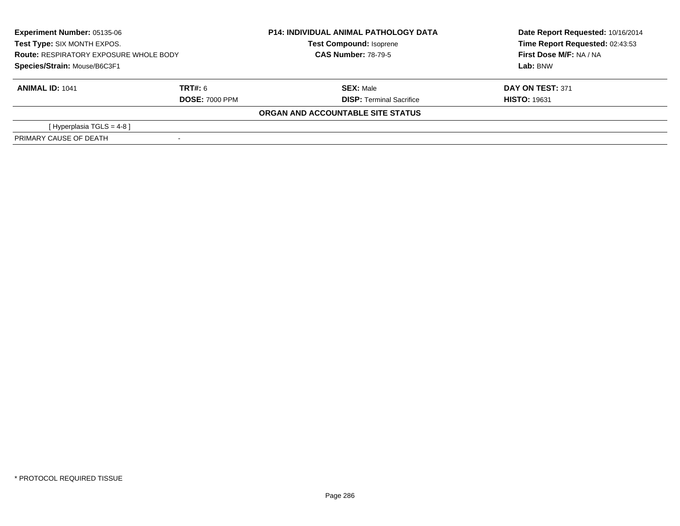| <b>Experiment Number: 05135-06</b><br>Test Type: SIX MONTH EXPOS.<br><b>Route: RESPIRATORY EXPOSURE WHOLE BODY</b><br>Species/Strain: Mouse/B6C3F1 |                       | <b>P14: INDIVIDUAL ANIMAL PATHOLOGY DATA</b><br><b>Test Compound: Isoprene</b><br><b>CAS Number: 78-79-5</b> | Date Report Requested: 10/16/2014<br>Time Report Requested: 02:43:53<br>First Dose M/F: NA / NA<br>Lab: BNW |
|----------------------------------------------------------------------------------------------------------------------------------------------------|-----------------------|--------------------------------------------------------------------------------------------------------------|-------------------------------------------------------------------------------------------------------------|
|                                                                                                                                                    |                       |                                                                                                              |                                                                                                             |
| <b>ANIMAL ID: 1041</b>                                                                                                                             | TRT#: 6               | <b>SEX: Male</b>                                                                                             | DAY ON TEST: 371                                                                                            |
|                                                                                                                                                    | <b>DOSE: 7000 PPM</b> | <b>DISP: Terminal Sacrifice</b>                                                                              | <b>HISTO: 19631</b>                                                                                         |
|                                                                                                                                                    |                       | ORGAN AND ACCOUNTABLE SITE STATUS                                                                            |                                                                                                             |
| [ Hyperplasia TGLS = 4-8 ]                                                                                                                         |                       |                                                                                                              |                                                                                                             |
| PRIMARY CAUSE OF DEATH                                                                                                                             |                       |                                                                                                              |                                                                                                             |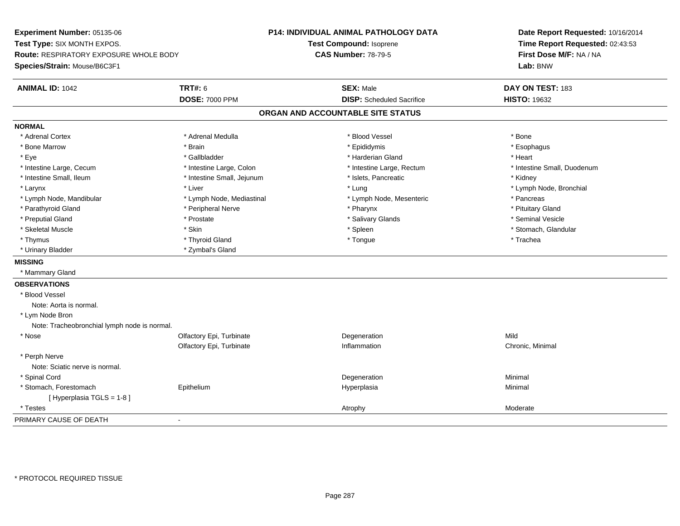**Experiment Number:** 05135-06**Test Type:** SIX MONTH EXPOS.**Route:** RESPIRATORY EXPOSURE WHOLE BODY**Species/Strain:** Mouse/B6C3F1**P14: INDIVIDUAL ANIMAL PATHOLOGY DATATest Compound:** Isoprene**CAS Number:** 78-79-5**Date Report Requested:** 10/16/2014**Time Report Requested:** 02:43:53**First Dose M/F:** NA / NA**Lab:** BNW**ANIMAL ID:** 1042 **TRT#:** <sup>6</sup> **SEX:** Male **DAY ON TEST:** <sup>183</sup> **DOSE:** 7000 PPM**DISP:** Scheduled Sacrifice **HISTO:** 19632 **ORGAN AND ACCOUNTABLE SITE STATUSNORMAL**\* Adrenal Cortex \* Adrenal Cortex \* \* Adrenal Medulla \* \* Adrenal Medulla \* \* Blood Vessel \* \* Brood Vessel \* \* Bone \* Esophagus \* Bone Marrow \* Brain \* Epididymis \* Esophagus \* Eye \* \* Gallbladder \* \* Gallbladder \* \* \* \* Harderian Gland \* \* Heart \* Heart \* Heart \* Heart \* Heart \* Heart \* Intestine Large, Cecum \* Intestine Large, Colon \* Intestine Large, Thestine Large, Rectum \* Intestine Small, Duodenum \* Intestine Small, Ileum \* **Allen and The Accord \* Intestine Small**, Jejunum \* 1stets, Pancreatic \* \* Kidney \* Kidney \* Larynx \* Louis \* Liver \* Lung \* Lung \* Lung \* Lung \* Lung \* Lymph Node, Bronchial \* Lymph Node, Bronchial \* \* Lymph Node, Mandibular \* The mode \* Lymph Node, Mediastinal \* Lymph Node, Mesenteric \* Pancreas \* Pancreas \* Pituitary Gland \* Parathyroid Gland \* **Example 20** \* Peripheral Nerve \* Pharynx \* Pharynx \* Pharynx \* Seminal Vesicle \* Preputial Gland \* \* Annual vesicle \* \* Prostate \* \* Salivary Glands \* \* Salivary Glands \* \* Seminal Vesicle \* \* Stomach, Glandular \* Skeletal Muscle \* \* Stomach, Glandular \* Skin \* Spleen \* Spleen \* Stomach, Glandular \* Stomach, Glandular \* Stomach, Glandular \* Stomach, Glandular \* Stomach, Glandular \* Stomach, Glandular \* Stomach, Glandular \* Stomach \* Thymus \* \* The mode of the total term of the total term of the total term of the total term of the total term of the total term of the total term of the total term of the total term of the total term of the total term of \* Urinary Bladder \* Zymbal's Gland**MISSING** \* Mammary Gland**OBSERVATIONS** \* Blood VesselNote: Aorta is normal. \* Lym Node Bron Note: Tracheobronchial lymph node is normal. \* Nosee and the Colfactory Epi, Turbinate and the Colfactory Epistem of the Colfactory Epistem Mild Olfactory Epi, Turbinate Inflammation Chronic, Minimal \* Perph Nerve Note: Sciatic nerve is normal. \* Spinal Cordd and the control of the control of the control of the control of the control of the control of the control of the control of the control of the control of the control of the control of the control of the control of the co \* Stomach, Forestomach Epithelium Hyperplasia Minimal [ Hyperplasia TGLS = 1-8 ] \* Testess and the control of the control of the control of the control of the control of the control of the control of the control of the control of the control of the control of the control of the control of the control of the co PRIMARY CAUSE OF DEATH-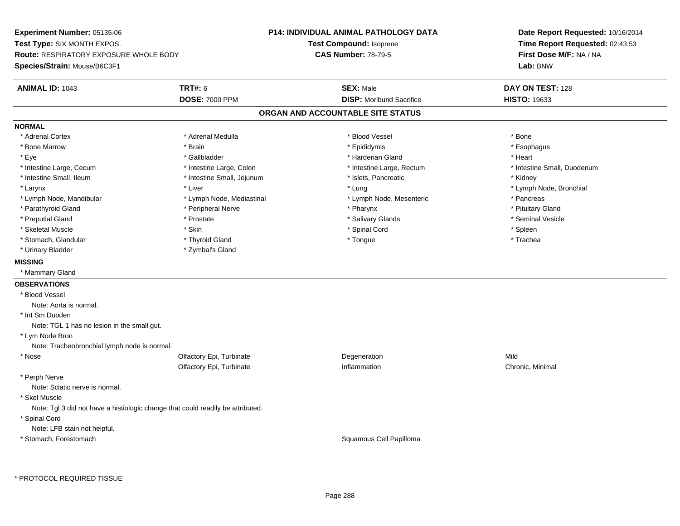**Experiment Number:** 05135-06**Test Type:** SIX MONTH EXPOS.**Route:** RESPIRATORY EXPOSURE WHOLE BODY**Species/Strain:** Mouse/B6C3F1**P14: INDIVIDUAL ANIMAL PATHOLOGY DATATest Compound:** Isoprene**CAS Number:** 78-79-5**Date Report Requested:** 10/16/2014**Time Report Requested:** 02:43:53**First Dose M/F:** NA / NA**Lab:** BNW**ANIMAL ID:** 1043**TRT#:** 6 **SEX:** Male **DAY ON TEST:** 128 **DOSE:** 7000 PPM**DISP:** Moribund Sacrifice **HISTO:** 19633 **ORGAN AND ACCOUNTABLE SITE STATUSNORMAL**\* Adrenal Cortex \* Adrenal Cortex \* \* Adrenal Medulla \* \* Adrenal Medulla \* \* Blood Vessel \* \* Brood Vessel \* \* Bone \* Esophagus \* Bone Marrow \* Brain \* Epididymis \* Esophagus \* Eye \* \* Gallbladder \* \* Gallbladder \* \* \* \* Harderian Gland \* \* Heart \* Heart \* Heart \* Heart \* Heart \* Heart \* Intestine Large, Cecum \* Intestine Large, Colon \* Intestine Large, Thestine Large, Rectum \* Intestine Small, Duodenum \* Intestine Small, Ileum \* Thestine Small, Jejunum \* Islets, Pancreatic \* \* Kidney \* Kidney \* Kidney \* Larynx \* Louis \* Liver \* Lung \* Lung \* Lung \* Lung \* Lung \* Lymph Node, Bronchial \* Lymph Node, Bronchial \* \* Lymph Node, Mandibular \* The mode \* Lymph Node, Mediastinal \* Lymph Node, Mesenteric \* Pancreas \* Pancreas \* Pituitary Gland \* Parathyroid Gland \* **According the Contract According to the Contract According to the Contract According to the Pituz According to the Pharynx \* Pharynx \* Pharynx \* Pharynx \* Pharynx \* Pharynx \* Pharynx \* Pharynx \* Phar** \* Seminal Vesicle \* Preputial Gland \* \* Annual vesicle \* \* Prostate \* \* Salivary Glands \* \* Salivary Glands \* \* Seminal Vesicle \* \* Skeletal Muscle \* Skin \* Spinal Cord \* Spleen \* Trachea \* Stomach, Glandular \* \* Trachea \* \* Thyroid Gland \* \* Tomach \* Tongue \* \* Tongue \* Trachea \* Trachea \* Urinary Bladder \* Zymbal's Gland**MISSING** \* Mammary Gland**OBSERVATIONS** \* Blood VesselNote: Aorta is normal. \* Int Sm Duoden Note: TGL 1 has no lesion in the small gut. \* Lym Node Bron Note: Tracheobronchial lymph node is normal. \* Nosee and the Colfactory Epi, Turbinate and the Colfactory Epistem of the Colfactory Epistem Mild Olfactory Epi, Turbinatee Chronic, Minimal \* Perph Nerve Note: Sciatic nerve is normal. \* Skel Muscle Note: Tgl 3 did not have a histiologic change that could readily be attributed. \* Spinal Cord Note: LFB stain not helpful. \* Stomach, ForestomachSquamous Cell Papilloma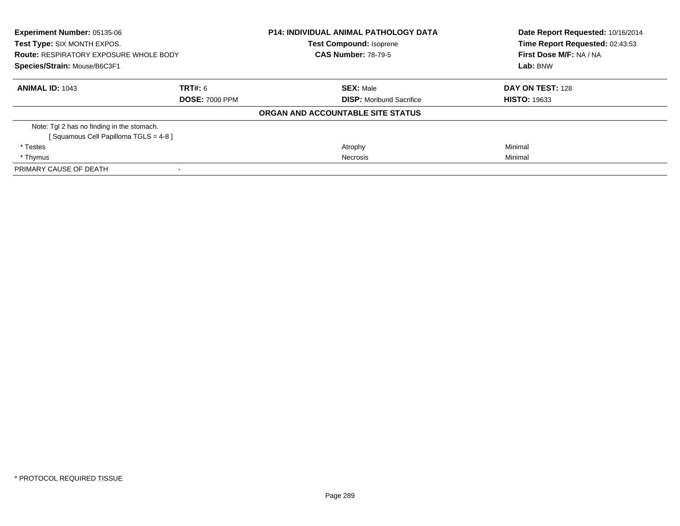| <b>Experiment Number: 05135-06</b><br>Test Type: SIX MONTH EXPOS.<br><b>Route: RESPIRATORY EXPOSURE WHOLE BODY</b><br>Species/Strain: Mouse/B6C3F1 |                       | <b>P14: INDIVIDUAL ANIMAL PATHOLOGY DATA</b><br><b>Test Compound: Isoprene</b> | Date Report Requested: 10/16/2014<br>Time Report Requested: 02:43:53<br>First Dose M/F: NA / NA<br>Lab: BNW |
|----------------------------------------------------------------------------------------------------------------------------------------------------|-----------------------|--------------------------------------------------------------------------------|-------------------------------------------------------------------------------------------------------------|
|                                                                                                                                                    |                       | <b>CAS Number: 78-79-5</b>                                                     |                                                                                                             |
|                                                                                                                                                    |                       |                                                                                |                                                                                                             |
| <b>ANIMAL ID: 1043</b>                                                                                                                             | TRT#: 6               | <b>SEX: Male</b>                                                               | DAY ON TEST: 128                                                                                            |
|                                                                                                                                                    | <b>DOSE: 7000 PPM</b> | <b>DISP:</b> Moribund Sacrifice                                                | <b>HISTO: 19633</b>                                                                                         |
|                                                                                                                                                    |                       | ORGAN AND ACCOUNTABLE SITE STATUS                                              |                                                                                                             |
| Note: Tgl 2 has no finding in the stomach.                                                                                                         |                       |                                                                                |                                                                                                             |
| [Squamous Cell Papilloma TGLS = 4-8]                                                                                                               |                       |                                                                                |                                                                                                             |
| * Testes                                                                                                                                           |                       | Atrophy                                                                        | Minimal                                                                                                     |
| * Thymus                                                                                                                                           |                       | Necrosis                                                                       | Minimal                                                                                                     |
| PRIMARY CAUSE OF DEATH                                                                                                                             |                       |                                                                                |                                                                                                             |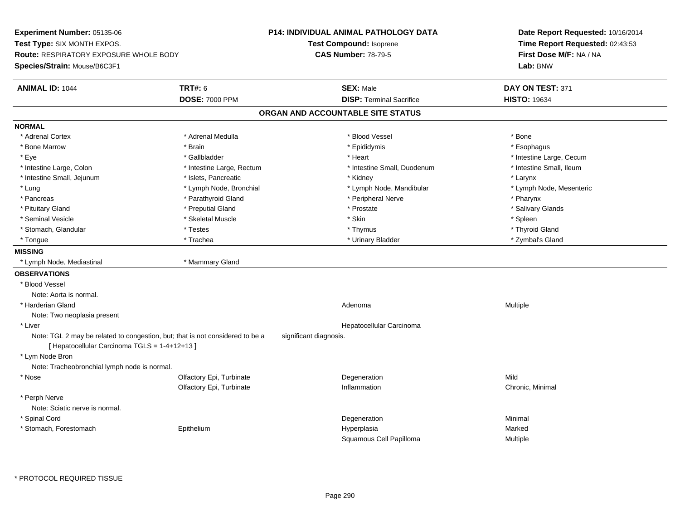**Experiment Number:** 05135-06**Test Type:** SIX MONTH EXPOS.**Route:** RESPIRATORY EXPOSURE WHOLE BODY**Species/Strain:** Mouse/B6C3F1**P14: INDIVIDUAL ANIMAL PATHOLOGY DATATest Compound:** Isoprene**CAS Number:** 78-79-5**Date Report Requested:** 10/16/2014**Time Report Requested:** 02:43:53**First Dose M/F:** NA / NA**Lab:** BNW**ANIMAL ID:** 1044 **TRT#:** <sup>6</sup> **SEX:** Male **DAY ON TEST:** <sup>371</sup> **DOSE:** 7000 PPM**DISP:** Terminal Sacrifice **HISTO:** 19634 **ORGAN AND ACCOUNTABLE SITE STATUSNORMAL**\* Adrenal Cortex \* Adrenal Cortex \* \* Adrenal Medulla \* \* Adrenal Medulla \* \* Blood Vessel \* \* Brood Vessel \* \* Bone \* Esophagus \* Bone Marrow \* Brain \* Epididymis \* Esophagus \* Eye \* https://www.frage.com/windown.com/windown.com/windown.com/windown.com/windown.com/windown.com/windown-\* Intestine Small, Ileum \* Intestine Large, Colon \* Intestine Large, Rectum \* Intestine Small, Duodenum \* Intestine Small, Duodenum \* Intestine Small, Jejunum \* The matches of the state of the state of the state of the state of the state of the state of the state of the state of the state of the state of the state of the state of the state of the state \* Lymph Node, Mesenteric \* Lung \* Lymph Node, Bronchial \* Lymph Node, Mandibular \* Lymph Node, Mandibular \* Pancreas \* Parathyroid Gland \* \* Parathyroid Gland \* Peripheral Nerve \* \* Peripheral Nerve \* \* Pharynx \* Salivary Glands \* Pituitary Gland \* \* Then the state \* Preputial Gland \* Prosection \* Prostate \* \* Salivary Glands \* Salivary Glands \* Salivary Glands \* Salivary Glands \* Salivary Glands \* Salivary Glands \* Salivary Glands \* Salivary Glan \* Seminal Vesicle \* \* \* Sheem \* Skeletal Muscle \* \* Stemme \* Skin \* \* Skin \* \* Spleen \* Spleen \* Spleen \* Spleen \* Thyroid Gland \* Stomach, Glandular \* \* \* Thyroid Glandular \* Thestes \* \* Thymus \* Thymus \* Thyroid Glandular \* Thyroid Gland \* Zymbal's Gland \* Tongue \* Trachea \* Urinary Bladder \* Zymbal's Gland **MISSING** \* Lymph Node, Mediastinal \* Mammary Gland**OBSERVATIONS** \* Blood VesselNote: Aorta is normal. \* Harderian Glandd and the control of the control of the control of the control of the control of the control of the control of  $A$ denoma  $A$ denoma  $A$ denoma  $A$ Note: Two neoplasia present \* Liver Hepatocellular CarcinomaNote: TGL 2 may be related to congestion, but; that is not considered to be a significant diagnosis. [ Hepatocellular Carcinoma TGLS = 1-4+12+13 ] \* Lym Node Bron Note: Tracheobronchial lymph node is normal. \* Nosee and the Colfactory Epi, Turbinate and the Colfactory Epistem of the Colfactory Epistem Mild Olfactory Epi, Turbinatee Chronic, Minimal \* Perph Nerve Note: Sciatic nerve is normal. \* Spinal Cordd and the control of the control of the control of the control of the control of the control of the control of the control of the control of the control of the control of the control of the control of the control of the co \* Stomach, Forestomach Epithelium Hyperplasia Marked Squamous Cell PapillomaMultiple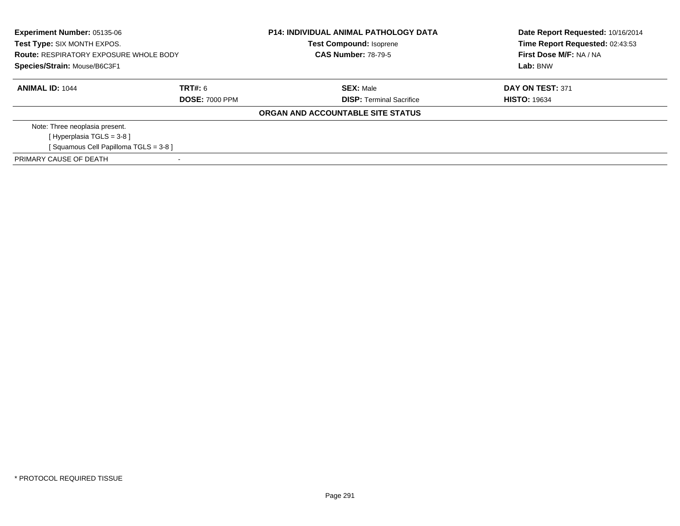| <b>Experiment Number: 05135-06</b><br>Test Type: SIX MONTH EXPOS.<br><b>Route: RESPIRATORY EXPOSURE WHOLE BODY</b><br>Species/Strain: Mouse/B6C3F1 |                       | <b>P14: INDIVIDUAL ANIMAL PATHOLOGY DATA</b><br><b>Test Compound: Isoprene</b><br><b>CAS Number: 78-79-5</b> | Date Report Requested: 10/16/2014<br>Time Report Requested: 02:43:53<br>First Dose M/F: NA / NA<br>Lab: BNW |
|----------------------------------------------------------------------------------------------------------------------------------------------------|-----------------------|--------------------------------------------------------------------------------------------------------------|-------------------------------------------------------------------------------------------------------------|
| <b>ANIMAL ID: 1044</b>                                                                                                                             | TRT#: 6               | <b>SEX: Male</b>                                                                                             | DAY ON TEST: 371                                                                                            |
|                                                                                                                                                    | <b>DOSE: 7000 PPM</b> | <b>DISP:</b> Terminal Sacrifice                                                                              | <b>HISTO: 19634</b>                                                                                         |
|                                                                                                                                                    |                       | ORGAN AND ACCOUNTABLE SITE STATUS                                                                            |                                                                                                             |
| Note: Three neoplasia present.                                                                                                                     |                       |                                                                                                              |                                                                                                             |
| [Hyperplasia TGLS = $3-8$ ]                                                                                                                        |                       |                                                                                                              |                                                                                                             |
| [Squamous Cell Papilloma TGLS = 3-8]                                                                                                               |                       |                                                                                                              |                                                                                                             |
| PRIMARY CAUSE OF DEATH                                                                                                                             |                       |                                                                                                              |                                                                                                             |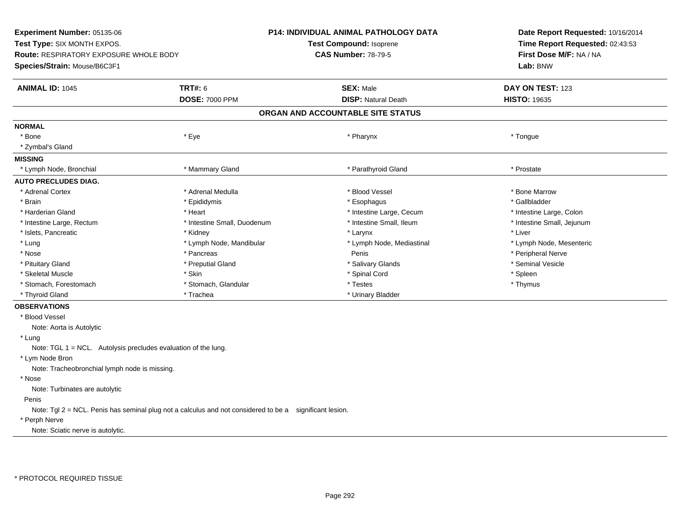**Experiment Number:** 05135-06**Test Type:** SIX MONTH EXPOS.**Route:** RESPIRATORY EXPOSURE WHOLE BODY**Species/Strain:** Mouse/B6C3F1**P14: INDIVIDUAL ANIMAL PATHOLOGY DATATest Compound:** Isoprene**CAS Number:** 78-79-5**Date Report Requested:** 10/16/2014**Time Report Requested:** 02:43:53**First Dose M/F:** NA / NA**Lab:** BNW**ANIMAL ID:** 1045 **TRT#:** <sup>6</sup> **SEX:** Male **DAY ON TEST:** <sup>123</sup> **DOSE:** 7000 PPM**DISP:** Natural Death **HISTO:** 19635 **ORGAN AND ACCOUNTABLE SITE STATUSNORMAL**\* Bone \* Bone \* Eye \* Pharynx \* Tongue \* Zymbal's Gland**MISSING**\* Lymph Node, Bronchial \* \* Thostate \* \* Mammary Gland \* \* Thostate \* \* Parathyroid Gland \* \* Prostate \* Prostate **AUTO PRECLUDES DIAG.**\* Adrenal Cortex \* Andrew \* Adrenal Medulla \* \* \* Blood Vessel \* Blood Vessel \* \* Brook \* Bone Marrow \* Bone Marrow \* Gallbladder \* Brain \* Allen the state of the state of the state of the state of the state of the state of the state of the state of the state of the state of the state of the state of the state of the state of the state of the state o \* Harderian Gland \* The structure \* Heart \* Heart \* The structure Large, Cecum \* Intestine Large, Cecum \* Intestine Large, Colon \* Intestine Small, Jejunum \* Intestine Large, Rectum \* Intestine Small, Duodenum \* Intestine Small, Ileum \* Intestine Small, Ileum \* Islets, Pancreatic \* \* \* Andrew \* Kidney \* \* Kidney \* \* Larynx \* Larynx \* \* Larynx \* \* Liver \* Liver \* Liver \* Lymph Node, Mesenteric \* Lung \* Lymph Node, Mandibular \* Lymph Node, Mediastinal \* Lymph Node, Mediastinal \* \* Nose \* \* Penis \* Penis \* Penis \* Penis \* Penis \* Penis \* Penis \* Peripheral Nerve \* Peripheral Nerve \* \* Peripheral Nerve \* \* Penis \* \* Peripheral Nerve \* \* Penis \* \* Peripheral Nerve \* \* Peripheral Nerve \* \* Penis \* \* P \* Seminal Vesicle \* Pituitary Gland \* The mode of the state of the state of the state of the state of the state of the state of the state of the state of the state of the state of the state of the state of the state of the state of the stat \* Skeletal Muscle \* Skin \* Spinal Cord \* Spleen \* Thymus \* Stomach, Forestomach \* Testes \* Stomach, Glandular \* Testes \* Testes \* Testes \* Testes \* Testes \* Testes \* T \* Thyroid Gland \* Trachea \* Trachea \* Trachea \* Thyroid Gland \* Urinary Bladder **OBSERVATIONS** \* Blood VesselNote: Aorta is Autolytic \* Lung Note: TGL 1 = NCL. Autolysis precludes evaluation of the lung. \* Lym Node Bron Note: Tracheobronchial lymph node is missing. \* Nose Note: Turbinates are autolytic PenisNote: Tgl 2 = NCL. Penis has seminal plug not a calculus and not considered to be a significant lesion.

## \* Perph Nerve

Note: Sciatic nerve is autolytic.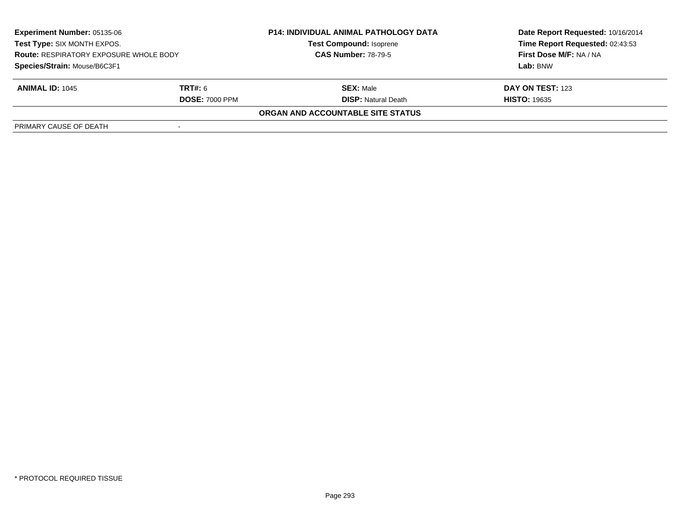| <b>Experiment Number: 05135-06</b><br>Test Type: SIX MONTH EXPOS.<br><b>Route: RESPIRATORY EXPOSURE WHOLE BODY</b><br>Species/Strain: Mouse/B6C3F1 |  | <b>P14: INDIVIDUAL ANIMAL PATHOLOGY DATA</b><br><b>Test Compound: Isoprene</b><br><b>CAS Number: 78-79-5</b> | Date Report Requested: 10/16/2014<br>Time Report Requested: 02:43:53<br>First Dose M/F: NA / NA<br>Lab: BNW |                        |                            |                     |
|----------------------------------------------------------------------------------------------------------------------------------------------------|--|--------------------------------------------------------------------------------------------------------------|-------------------------------------------------------------------------------------------------------------|------------------------|----------------------------|---------------------|
|                                                                                                                                                    |  |                                                                                                              |                                                                                                             |                        |                            |                     |
|                                                                                                                                                    |  |                                                                                                              |                                                                                                             | <b>ANIMAL ID: 1045</b> | <b>TRT#: 6</b>             | <b>SEX: Male</b>    |
|                                                                                                                                                    |  |                                                                                                              |                                                                                                             | <b>DOSE: 7000 PPM</b>  | <b>DISP:</b> Natural Death | <b>HISTO: 19635</b> |
|                                                                                                                                                    |  | ORGAN AND ACCOUNTABLE SITE STATUS                                                                            |                                                                                                             |                        |                            |                     |
| PRIMARY CAUSE OF DEATH                                                                                                                             |  |                                                                                                              |                                                                                                             |                        |                            |                     |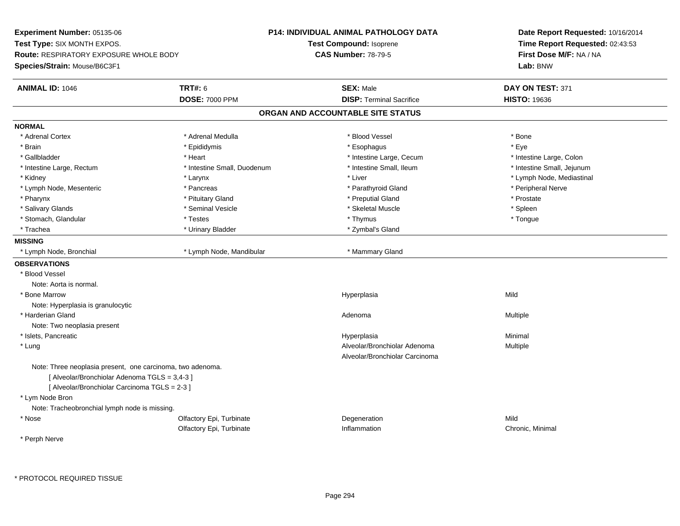**Experiment Number:** 05135-06**Test Type:** SIX MONTH EXPOS.**Route:** RESPIRATORY EXPOSURE WHOLE BODY**Species/Strain:** Mouse/B6C3F1**P14: INDIVIDUAL ANIMAL PATHOLOGY DATATest Compound:** Isoprene**CAS Number:** 78-79-5**Date Report Requested:** 10/16/2014**Time Report Requested:** 02:43:53**First Dose M/F:** NA / NA**Lab:** BNW**ANIMAL ID:** 1046 **TRT#:** <sup>6</sup> **SEX:** Male **DAY ON TEST:** <sup>371</sup> **DOSE:** 7000 PPM**DISP:** Terminal Sacrifice **HISTO:** 19636 **ORGAN AND ACCOUNTABLE SITE STATUSNORMAL**\* Adrenal Cortex \* Adrenal Medulla \* Adrenal Medulla \* Blood Vessel \* Bood Vessel \* Bone \* Bone \* Bone \* Bone \* Bone \* Bone \* Bone \* Bone \* Bone \* Bone \* Bone \* Bone \* Bone \* Bone \* Bone \* Bone \* Bone \* Bone \* Bone \* Bone \* Bone \* Bone \* \* \* Eve \* Brain \* \* Expediance \* Epididymis \* \* Expediance \* \* Esophagus \* Expediance \* \* Expediance \* Eye \* Eye \* Intestine Large, Colon \* Gallbladder \* The mode of the state of the state of the state of the state of the state of the state of the state of the state of the state of the state of the state of the state of the state of the state of the state of \* Intestine Large, Rectum \* Thestine Small, Duodenum \* Number of the small, Ileum \* Intestine Small, Jejunum \* Intestine Small, Jejunum \* Kidney \* Larynx \* Liver \* Lymph Node, Mediastinal \* Lymph Node, Mesenteric \* Pancreas \* Parathyroid Gland \* Peripheral Nerve\* Pharynx \* Pituitary Gland \* Preputial Gland \* Prostate \* Spleen \* Salivary Glands \* Seminal Vesicle \* Skeletal Muscle \* Spleen\* Tongue \* Stomach, Glandular \* Testes \* Testes \* Thymus \* Thymus \* Thymus \* Thymus \* Thymus \* Thymus \* Thymus \* Thymus \* Thymus \* Thymus \* Thymus \* Thymus \* Thymus \* Thymus \* Thymus \* Thymus \* Thymus \* Thymus \* Thymus \* Thymus \* T \* Trachea \* Urinary Bladder \* Zymbal's Gland \* Zymbal's Gland \* Zymbal's Gland **MISSING**\* Lymph Node, Bronchial \* Lymph Node, Mandibular \* Mammary Gland **OBSERVATIONS** \* Blood VesselNote: Aorta is normal. \* Bone Marroww which is a controller to the Hyperplasia controller that  $\mathsf{Mild}$ Note: Hyperplasia is granulocytic \* Harderian Glandd and the control of the control of the control of the control of the control of the control of the control of  $A$ denoma  $A$ denoma  $A$ denoma  $A$ Note: Two neoplasia present \* Islets, Pancreaticc and the control of the control of the control of the control of the control of the control of the control of the control of the control of the control of the control of the control of the control of the control of the co a **Minimal**  \* LungAlveolar/Bronchiolar Adenoma<br>
Multiple Alveolar/Bronchiolar CarcinomaNote: Three neoplasia present, one carcinoma, two adenoma.[ Alveolar/Bronchiolar Adenoma TGLS = 3,4-3 ][ Alveolar/Bronchiolar Carcinoma TGLS = 2-3 ] \* Lym Node Bron Note: Tracheobronchial lymph node is missing. \* Nosee and the Colfactory Epi, Turbinate and the Colfactory Epistem of the Colfactory Epistem Mild Olfactory Epi, Turbinate Inflammation Chronic, Minimal \* Perph Nerve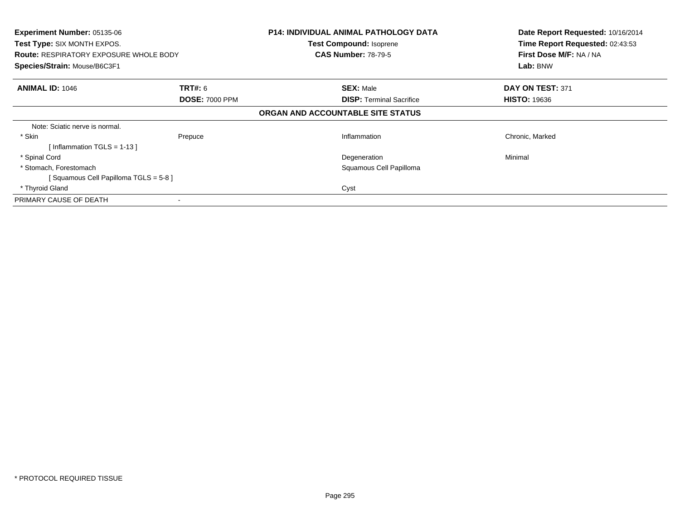| <b>Experiment Number: 05135-06</b><br>Test Type: SIX MONTH EXPOS.<br><b>Route: RESPIRATORY EXPOSURE WHOLE BODY</b><br>Species/Strain: Mouse/B6C3F1 |                                         | <b>P14: INDIVIDUAL ANIMAL PATHOLOGY DATA</b><br><b>Test Compound: Isoprene</b><br><b>CAS Number: 78-79-5</b> | Date Report Requested: 10/16/2014<br>Time Report Requested: 02:43:53<br>First Dose M/F: NA / NA<br>Lab: BNW |
|----------------------------------------------------------------------------------------------------------------------------------------------------|-----------------------------------------|--------------------------------------------------------------------------------------------------------------|-------------------------------------------------------------------------------------------------------------|
| <b>ANIMAL ID: 1046</b>                                                                                                                             | <b>TRT#: 6</b><br><b>DOSE: 7000 PPM</b> | <b>SEX: Male</b><br><b>DISP:</b> Terminal Sacrifice                                                          | DAY ON TEST: 371<br><b>HISTO: 19636</b>                                                                     |
|                                                                                                                                                    |                                         | ORGAN AND ACCOUNTABLE SITE STATUS                                                                            |                                                                                                             |
| Note: Sciatic nerve is normal.                                                                                                                     |                                         |                                                                                                              |                                                                                                             |
| * Skin<br>[Inflammation TGLS = $1-13$ ]                                                                                                            | Prepuce                                 | Inflammation                                                                                                 | Chronic, Marked                                                                                             |
| * Spinal Cord                                                                                                                                      |                                         | Degeneration                                                                                                 | Minimal                                                                                                     |
| * Stomach, Forestomach                                                                                                                             |                                         | Squamous Cell Papilloma                                                                                      |                                                                                                             |
| [Squamous Cell Papilloma TGLS = 5-8]                                                                                                               |                                         |                                                                                                              |                                                                                                             |
| * Thyroid Gland                                                                                                                                    |                                         | Cyst                                                                                                         |                                                                                                             |
| PRIMARY CAUSE OF DEATH                                                                                                                             |                                         |                                                                                                              |                                                                                                             |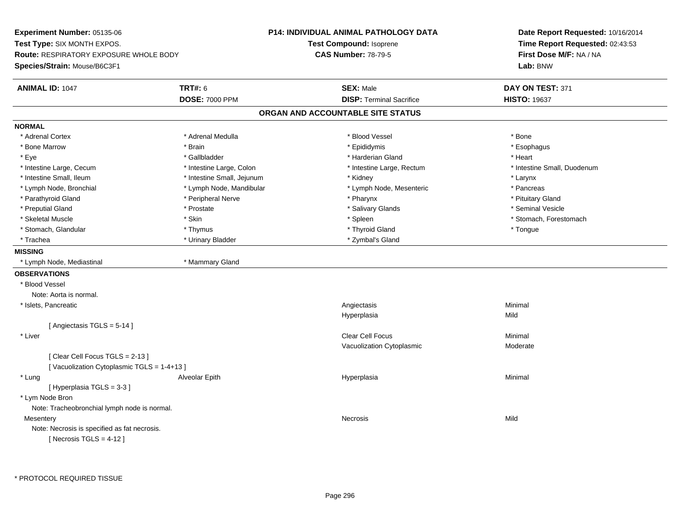**Experiment Number:** 05135-06**Test Type:** SIX MONTH EXPOS.**Route:** RESPIRATORY EXPOSURE WHOLE BODY**Species/Strain:** Mouse/B6C3F1**P14: INDIVIDUAL ANIMAL PATHOLOGY DATATest Compound:** Isoprene**CAS Number:** 78-79-5**Date Report Requested:** 10/16/2014**Time Report Requested:** 02:43:53**First Dose M/F:** NA / NA**Lab:** BNW**ANIMAL ID:** 1047 **TRT#:** <sup>6</sup> **SEX:** Male **DAY ON TEST:** <sup>371</sup> **DOSE:** 7000 PPM**DISP:** Terminal Sacrifice **HISTO:** 19637 **ORGAN AND ACCOUNTABLE SITE STATUSNORMAL**\* Adrenal Cortex \* Adrenal Cortex \* \* Adrenal Medulla \* \* Adrenal Medulla \* \* Blood Vessel \* \* Brood Vessel \* \* Bone \* Esophagus \* Bone Marrow \* Brain \* Epididymis \* Esophagus \* Eye \* \* Gallbladder \* \* Gallbladder \* \* \* \* Harderian Gland \* \* Heart \* Heart \* Heart \* Heart \* Heart \* Heart \* Intestine Large, Cecum \* Intestine Large, Colon \* Intestine Large, Thestine Large, Rectum \* Intestine Small, Duodenum \* Intestine Small, Ileum \* Intestine Small, Jejunum \* Kidney \* Larynx\* Pancreas \* Lymph Node, Bronchial \* Lymph Node, Mandibular \* Lymph Node, Mesenteric \* Pancreass \* Pancreass \* Pancreass \* Pancreass \* Pancreass \* Pancreass \* Pancreass \* Pancreass \* Pancreass \* Pancreass \* Pancreass \* Pancreass \* Pa \* Pituitary Gland \* Parathyroid Gland \* **Archaeology** \* Peripheral Nerve \* Pharynx \* Pharynx \* Pharynx \* Pharynx \* Seminal Vesicle \* Preputial Gland \* \* Annual vesicle \* \* Prostate \* \* Salivary Glands \* \* Salivary Glands \* \* Seminal Vesicle \* \* Skeletal Muscle \* The stomach \* Skin \* Spleen \* Spleen \* Stomach, Forestomach \* Stomach, Forestomach \* Stomach, Glandular \* Thymus \* Thyroid Gland \* Tongue \* Trachea \* Urinary Bladder \* Trachea \* Zymbal's Gland **MISSING** \* Lymph Node, Mediastinal \* Mammary Gland**OBSERVATIONS** \* Blood VesselNote: Aorta is normal. \* Islets, Pancreatic Angiectasis Minimal Hyperplasiaa Mild [ Angiectasis TGLS = 5-14 ] \* Liverr and the contract of the contract of the contract of the contract of the contract of the contract of the contract of the contract of the contract of the contract of the contract of the contract of the contract of the cont s Minimal Vacuolization Cytoplasmic Moderate[ Clear Cell Focus TGLS = 2-13 ][ Vacuolization Cytoplasmic TGLS = 1-4+13 ] \* Lung Alveolar Epith Hyperplasia Minimal [ Hyperplasia TGLS = 3-3 ] \* Lym Node Bron Note: Tracheobronchial lymph node is normal.**Mesentery** y and the control of the control of the control of the control of the control of the control of the control of the control of the control of the control of the control of the control of the control of the control of the co Note: Necrosis is specified as fat necrosis. $[$  Necrosis TGLS = 4-12  $]$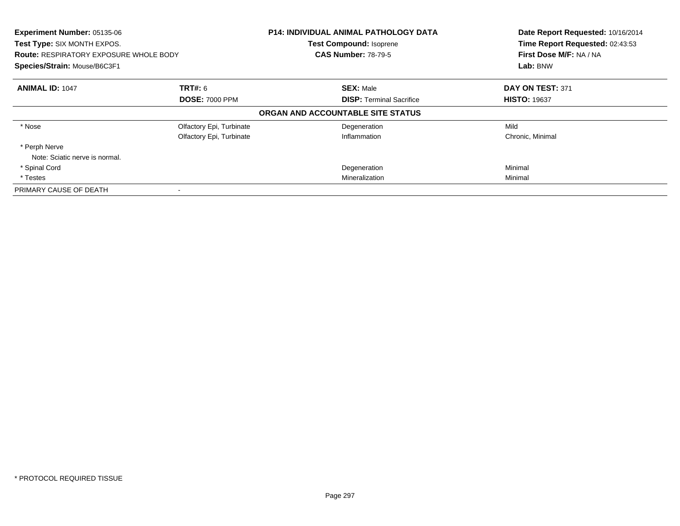| Experiment Number: 05135-06<br>Test Type: SIX MONTH EXPOS.<br><b>Route: RESPIRATORY EXPOSURE WHOLE BODY</b><br>Species/Strain: Mouse/B6C3F1 |                          | <b>P14: INDIVIDUAL ANIMAL PATHOLOGY DATA</b><br><b>Test Compound: Isoprene</b><br><b>CAS Number: 78-79-5</b> | Date Report Requested: 10/16/2014<br>Time Report Requested: 02:43:53<br>First Dose M/F: NA / NA<br>Lab: BNW |
|---------------------------------------------------------------------------------------------------------------------------------------------|--------------------------|--------------------------------------------------------------------------------------------------------------|-------------------------------------------------------------------------------------------------------------|
| <b>ANIMAL ID: 1047</b>                                                                                                                      | <b>TRT#:</b> 6           | <b>SEX: Male</b>                                                                                             | DAY ON TEST: 371                                                                                            |
|                                                                                                                                             | <b>DOSE: 7000 PPM</b>    | <b>DISP:</b> Terminal Sacrifice                                                                              | <b>HISTO: 19637</b>                                                                                         |
|                                                                                                                                             |                          | ORGAN AND ACCOUNTABLE SITE STATUS                                                                            |                                                                                                             |
| * Nose                                                                                                                                      | Olfactory Epi, Turbinate | Degeneration                                                                                                 | Mild                                                                                                        |
|                                                                                                                                             | Olfactory Epi, Turbinate | Inflammation                                                                                                 | Chronic, Minimal                                                                                            |
| * Perph Nerve                                                                                                                               |                          |                                                                                                              |                                                                                                             |
| Note: Sciatic nerve is normal.                                                                                                              |                          |                                                                                                              |                                                                                                             |
| * Spinal Cord                                                                                                                               |                          | Degeneration                                                                                                 | Minimal                                                                                                     |
| * Testes                                                                                                                                    |                          | Mineralization                                                                                               | Minimal                                                                                                     |
| PRIMARY CAUSE OF DEATH                                                                                                                      |                          |                                                                                                              |                                                                                                             |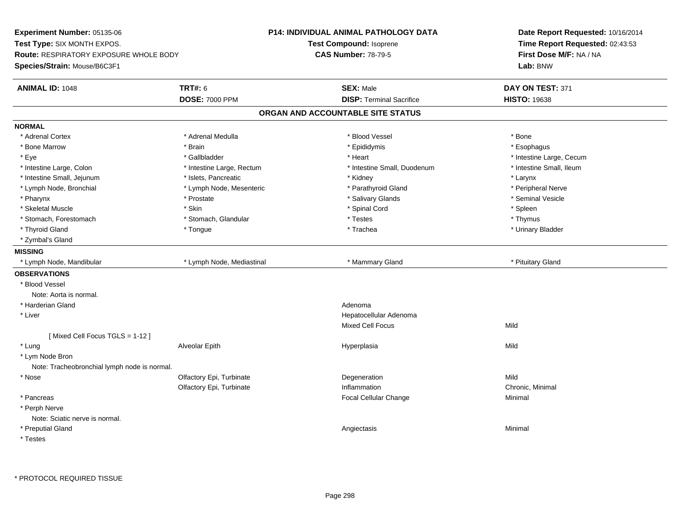**Experiment Number:** 05135-06**Test Type:** SIX MONTH EXPOS.**Route:** RESPIRATORY EXPOSURE WHOLE BODY**Species/Strain:** Mouse/B6C3F1**P14: INDIVIDUAL ANIMAL PATHOLOGY DATATest Compound:** Isoprene**CAS Number:** 78-79-5**Date Report Requested:** 10/16/2014**Time Report Requested:** 02:43:53**First Dose M/F:** NA / NA**Lab:** BNW**ANIMAL ID:** 1048**EX:** Male **DAY ON TEST:** 371 **DOSE:** 7000 PPM**DISP:** Terminal Sacrifice **HISTO:** 19638 **ORGAN AND ACCOUNTABLE SITE STATUSNORMAL**\* Adrenal Cortex \* Adrenal Cortex \* \* Adrenal Medulla \* \* Adrenal Medulla \* \* Blood Vessel \* \* Brood Vessel \* \* Bone \* Esophagus \* Bone Marrow \* Brain \* Epididymis \* Esophagus \* Eye \* https://www.frage.com/windown.com/windown.com/windown.com/windown.com/windown.com/windown.com/windown-\* Intestine Small, Ileum \* Intestine Large, Colon \* Intestine Large, Rectum \* Intestine Small, Duodenum \* Intestine Small, Duodenum \* Intestine Small, Jejunum \* The many reserves the state of the state of the state of the state of the state of the state of the state of the state of the state of the state of the state of the state of the state of the st \* Peripheral Nerve \* Lymph Node, Bronchial \* Lymph Node, Mesenteric \* Parathyroid Gland \* Parathyroid Gland \* Seminal Vesicle \* Pharynx \* Prostate \* Salivary Glands \* Seminal Vesicle \* Skeletal Muscle \* Skin \* Spinal Cord \* Spleen \* Thymus \* Stomach, Forestomach \* Testes \* Stomach, Glandular \* Testes \* Testes \* Testes \* Testes \* Testes \* Testes \* T \* Urinary Bladder \* Thyroid Gland \* \* The control of the total property and the top of the top of the top of the top of the top of the top of the top of the top of the top of the top of the top of the top of the top of the top of the top of \* Zymbal's Gland**MISSING**\* Lymph Node, Mandibular \* \* http://www.fland.com/induction/state/default and the state of the state of the state of the state of the state of the state of the state of the state of the state of the state of the state of t **OBSERVATIONS** \* Blood VesselNote: Aorta is normal. \* Harderian Glandd and a state of the control of the control of the control of the control of the control of the control of the control of the control of the control of the control of the control of the control of the control of the contro \* Liver Hepatocellular AdenomaMixed Cell Focuss Mild [ Mixed Cell Focus TGLS = 1-12 ] \* Lung Alveolar Epith Hyperplasia Mild \* Lym Node Bron Note: Tracheobronchial lymph node is normal. \* Nosee and the Colfactory Epi, Turbinate and the Colfactory Epistem of the Colfactory Epistem Mild Olfactory Epi, Turbinatee Chronic, Minimal \* Pancreas Focal Cellular Change Minimal \* Perph Nerve Note: Sciatic nerve is normal. \* Preputial Glandd and the control of the control of the control of the control of the control of the control of the control of the control of the control of the control of the control of the control of the control of the control of the co \* Testes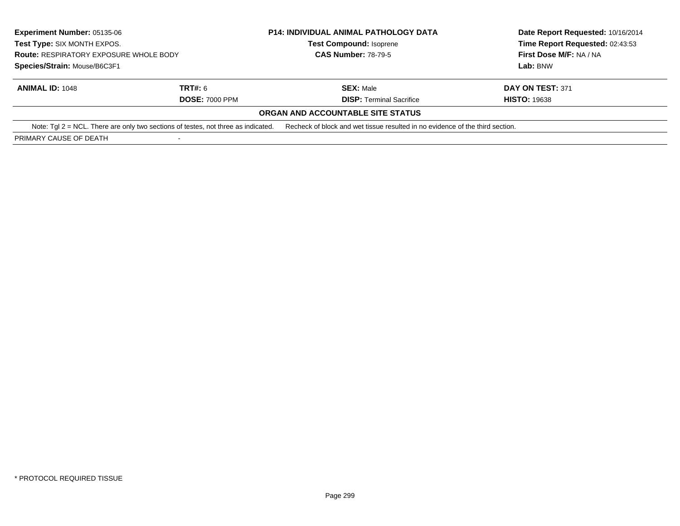| <b>Experiment Number: 05135-06</b><br>Test Type: SIX MONTH EXPOS.<br><b>Route: RESPIRATORY EXPOSURE WHOLE BODY</b><br>Species/Strain: Mouse/B6C3F1 |                       | <b>P14: INDIVIDUAL ANIMAL PATHOLOGY DATA</b><br><b>Test Compound: Isoprene</b><br><b>CAS Number: 78-79-5</b> | Date Report Requested: 10/16/2014                          |                  |
|----------------------------------------------------------------------------------------------------------------------------------------------------|-----------------------|--------------------------------------------------------------------------------------------------------------|------------------------------------------------------------|------------------|
|                                                                                                                                                    |                       |                                                                                                              | Time Report Requested: 02:43:53<br>First Dose M/F: NA / NA |                  |
|                                                                                                                                                    |                       |                                                                                                              |                                                            |                  |
|                                                                                                                                                    |                       | <b>ANIMAL ID: 1048</b>                                                                                       | <b>TRT#: 6</b>                                             | <b>SEX: Male</b> |
|                                                                                                                                                    | <b>DOSE: 7000 PPM</b> | <b>DISP: Terminal Sacrifice</b>                                                                              | <b>HISTO: 19638</b>                                        |                  |
|                                                                                                                                                    |                       | ORGAN AND ACCOUNTABLE SITE STATUS                                                                            |                                                            |                  |
| Note: $Tgl 2 = NCL$ . There are only two sections of testes, not three as indicated.                                                               |                       | Recheck of block and wet tissue resulted in no evidence of the third section.                                |                                                            |                  |
| PRIMARY CAUSE OF DEATH                                                                                                                             |                       |                                                                                                              |                                                            |                  |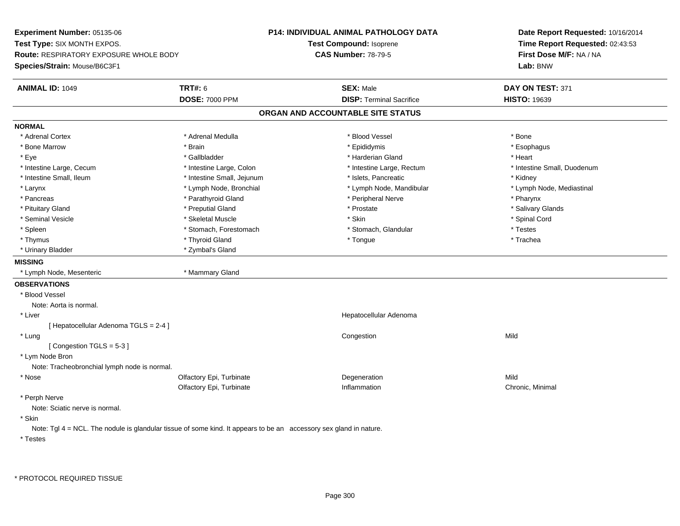**Experiment Number:** 05135-06**Test Type:** SIX MONTH EXPOS.**Route:** RESPIRATORY EXPOSURE WHOLE BODY**Species/Strain:** Mouse/B6C3F1**P14: INDIVIDUAL ANIMAL PATHOLOGY DATATest Compound:** Isoprene**CAS Number:** 78-79-5**Date Report Requested:** 10/16/2014**Time Report Requested:** 02:43:53**First Dose M/F:** NA / NA**Lab:** BNW**ANIMAL ID:** 1049 **TRT#:** <sup>6</sup> **SEX:** Male **DAY ON TEST:** <sup>371</sup> **DOSE:** 7000 PPM**DISP:** Terminal Sacrifice **HISTO:** 19639 **ORGAN AND ACCOUNTABLE SITE STATUSNORMAL**\* Adrenal Cortex \* Adrenal Cortex \* \* Adrenal Medulla \* \* Adrenal Medulla \* \* Blood Vessel \* \* Brood Vessel \* \* Bone \* Esophagus \* Bone Marrow \* Brain \* Epididymis \* Esophagus \* Eye \* \* Gallbladder \* \* Gallbladder \* \* \* \* Harderian Gland \* \* Heart \* Heart \* Heart \* Heart \* Heart \* Heart \* Intestine Large, Cecum \* Intestine Large, Colon \* Intestine Large, Thestine Large, Rectum \* Intestine Small, Duodenum \* Intestine Small, Ileum \* Thestine Small, Jejunum \* 1998, Pancreatic \* Kidney \* Kidney \* Kidney \* Kidney \* Lymph Node, Mediastinal \* Larynx **\*** Lymph Node, Bronchial \* Lymph Node, Mandibular \* Lymph Node, Mandibular \* Pancreas \* Parathyroid Gland \* \* Parathyroid Gland \* Peripheral Nerve \* \* Peripheral Nerve \* \* Pharynx \* Salivary Glands \* Pituitary Gland \* \* Then the state \* Preputial Gland \* Prosection \* Prostate \* \* Salivary Glands \* Salivary Glands \* Salivary Glands \* Salivary Glands \* Salivary Glands \* Salivary Glands \* Salivary Glands \* Salivary Glan \* Seminal Vesicle \* \* Spinal Cord \* Skeletal Muscle \* \* Skin \* \* Skin \* \* Spinal Vesicle \* Spinal Cord \* Spinal Cord \* Spleen \* Stomach, Forestomach \* Stomach \* Stomach, Slandular \* Testes \* Testes \* Trachea \* Thymus \* \* The mode of the total term of the total term of the total term of the total term of the total term of the total term of the total term of the total term of the total term of the total term of the total term of \* Urinary Bladder \* Zymbal's Gland**MISSING** \* Lymph Node, Mesenteric \* Mammary Gland**OBSERVATIONS** \* Blood VesselNote: Aorta is normal. \* Liver Hepatocellular Adenoma[ Hepatocellular Adenoma TGLS = 2-4 ] \* Lungg and the congression of the congression of the congression of the congression of the congression of the congression [ Congestion TGLS = 5-3 ] \* Lym Node Bron Note: Tracheobronchial lymph node is normal. \* Nosee and the Colfactory Epi, Turbinate and the Colfactory Epistem of the Colfactory Epistem Mild Olfactory Epi, Turbinatee Chronic, Minimal \* Perph Nerve Note: Sciatic nerve is normal. \* SkinNote: Tgl 4 = NCL. The nodule is glandular tissue of some kind. It appears to be an accessory sex gland in nature.

\* Testes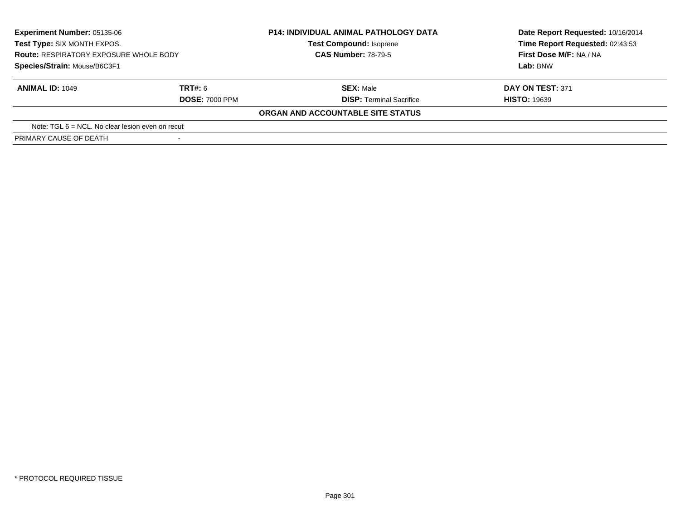| <b>Experiment Number: 05135-06</b><br>Test Type: SIX MONTH EXPOS.<br><b>Route: RESPIRATORY EXPOSURE WHOLE BODY</b> |                       | <b>P14: INDIVIDUAL ANIMAL PATHOLOGY DATA</b><br><b>Test Compound: Isoprene</b><br><b>CAS Number: 78-79-5</b> | Date Report Requested: 10/16/2014<br>Time Report Requested: 02:43:53<br>First Dose M/F: NA / NA |
|--------------------------------------------------------------------------------------------------------------------|-----------------------|--------------------------------------------------------------------------------------------------------------|-------------------------------------------------------------------------------------------------|
| Species/Strain: Mouse/B6C3F1                                                                                       |                       |                                                                                                              | Lab: BNW                                                                                        |
| <b>ANIMAL ID: 1049</b>                                                                                             | TRT#: 6               | <b>SEX: Male</b>                                                                                             | <b>DAY ON TEST: 371</b>                                                                         |
|                                                                                                                    | <b>DOSE: 7000 PPM</b> | <b>DISP: Terminal Sacrifice</b>                                                                              | <b>HISTO: 19639</b>                                                                             |
|                                                                                                                    |                       | ORGAN AND ACCOUNTABLE SITE STATUS                                                                            |                                                                                                 |
| Note: TGL $6 = NCL$ . No clear lesion even on recut                                                                |                       |                                                                                                              |                                                                                                 |
| PRIMARY CAUSE OF DEATH                                                                                             | $\sim$                |                                                                                                              |                                                                                                 |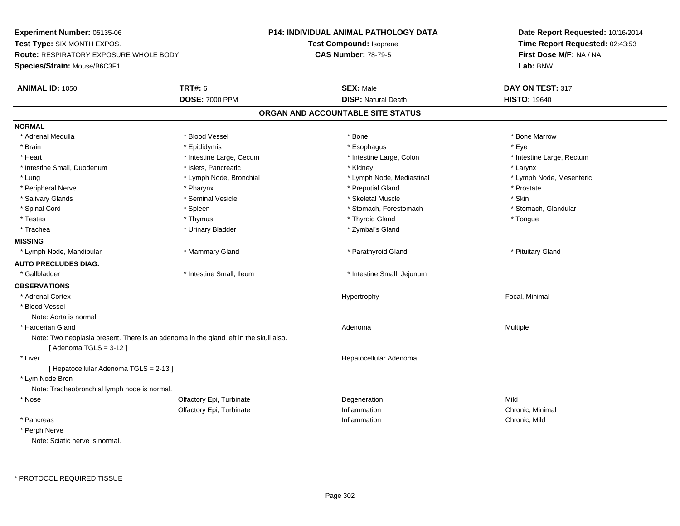**Experiment Number:** 05135-06**Test Type:** SIX MONTH EXPOS.**Route:** RESPIRATORY EXPOSURE WHOLE BODY**Species/Strain:** Mouse/B6C3F1**P14: INDIVIDUAL ANIMAL PATHOLOGY DATATest Compound:** Isoprene**CAS Number:** 78-79-5**Date Report Requested:** 10/16/2014**Time Report Requested:** 02:43:53**First Dose M/F:** NA / NA**Lab:** BNW**ANIMAL ID:** 1050**C TRT#:** 6 **SEX:** Male **DAY ON TEST:** 317 **DOSE:** 7000 PPM**DISP:** Natural Death **HISTO:** 19640 **ORGAN AND ACCOUNTABLE SITE STATUSNORMAL**\* Adrenal Medulla \* \* \* Blood Vessel \* \* \* Bone Marrow \* \* Bone Marrow \* \* Bone Marrow \* Brain \* \* Expediance \* Epididymis \* \* Expediance \* \* Esophagus \* Expediance \* \* Expediance \* Eye \* Eye \* Heart Thestine Large, Cecum Thestine Large, Cecum And Alternative Large, Colon Thestine Large, Rectum \* Intestine Large, Rectum \* Intestine Large, Rectum \* Intestine Small, Duodenum \* The metal was a structure of the structure of the structure of the structure of the structure of the structure of the structure of the structure of the structure of the structure of the struct \* Lymph Node, Mesenteric \* Lung \* Lymph Node, Bronchial \* Lymph Node, Mediastinal \* Lymph Node, Mediastinal \* \* Peripheral Nerve \* \* \* Pharynx \* Pharynx \* \* Pharynx \* \* Preputial Gland \* \* Preputial Gland \* \* Prostate \* Salivary Glands \* Seminal Vesicle \* Skeletal Muscle \* Skin\* Stomach, Glandular \* Spinal Cord **\* Stomach, Forestomach \* Spinal Cord \*** Stomach, Forestomach \* Stomach, Forestomach \* Testes \* Thymus \* Thyroid Gland \* Tongue \* Trachea \* Noting the Community of the Urinary Bladder \* Zymbal's Gland \* Zymbal's Gland **MISSING**\* Lymph Node, Mandibular \* \* Ammary Gland \* Mammary Gland \* Parathyroid Gland \* Parathyroid Gland \* Pituitary Gland **AUTO PRECLUDES DIAG.**\* Gallbladder **\*** Intestine Small, Ileum \* Intestine Small, Ileum \* Intestine Small, Jejunum **OBSERVATIONS** \* Adrenal Cortex Hypertrophy Focal, Minimal \* Blood VesselNote: Aorta is normal \* Harderian Glandd and the control of the control of the control of the control of the control of the control of the control of  $A$ denoma  $A$ denoma  $A$ denoma  $A$ Note: Two neoplasia present. There is an adenoma in the gland left in the skull also.[ Adenoma TGLS = 3-12 ] \* Liver Hepatocellular Adenoma[ Hepatocellular Adenoma TGLS = 2-13 ] \* Lym Node Bron Note: Tracheobronchial lymph node is normal. \* Nosee and the Colfactory Epi, Turbinate and the Degeneration Colfactory Epi, Turbinate and the Degeneration of the Mild Olfactory Epi, Turbinatee Chronic, Minimal \* Pancreass the control of the control of the control of the control of the control of the control of the control of the control of the control of the control of the control of the control of the control of the control of the contro Inflammation **Chronic**, Mild \* Perph Nerve

Note: Sciatic nerve is normal.